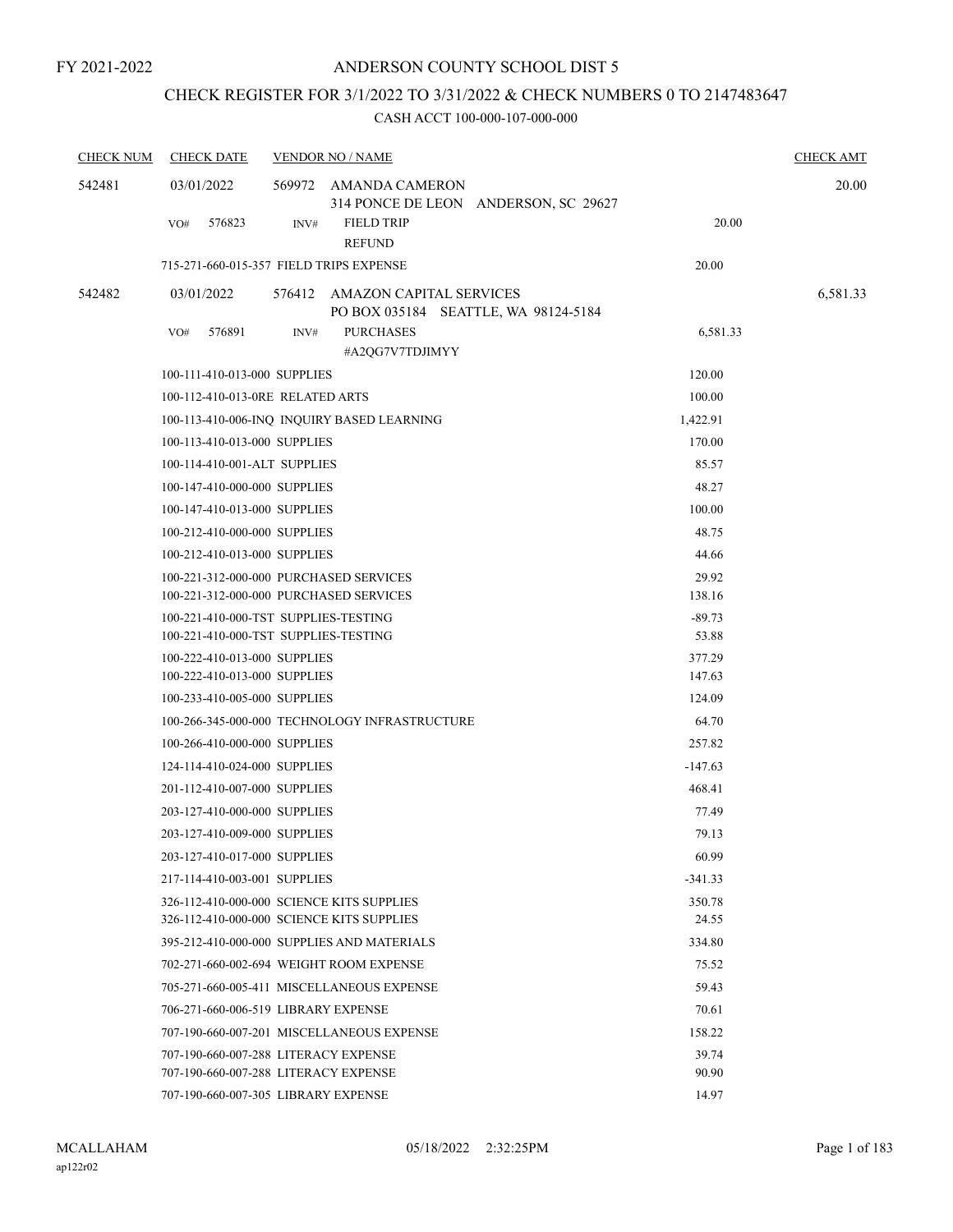## CHECK REGISTER FOR 3/1/2022 TO 3/31/2022 & CHECK NUMBERS 0 TO 2147483647

| <b>CHECK NUM</b> | <b>CHECK DATE</b>                                            |      | <b>VENDOR NO / NAME</b>                                       |                  | <b>CHECK AMT</b> |
|------------------|--------------------------------------------------------------|------|---------------------------------------------------------------|------------------|------------------|
| 542481           | 03/01/2022                                                   |      | 569972 AMANDA CAMERON<br>314 PONCE DE LEON ANDERSON, SC 29627 |                  | 20.00            |
|                  | 576823<br>VO#                                                | INV# | <b>FIELD TRIP</b><br><b>REFUND</b>                            | 20.00            |                  |
|                  | 715-271-660-015-357 FIELD TRIPS EXPENSE                      |      |                                                               | 20.00            |                  |
| 542482           | 03/01/2022                                                   |      | 576412 AMAZON CAPITAL SERVICES                                |                  | 6,581.33         |
|                  |                                                              |      | PO BOX 035184 SEATTLE, WA 98124-5184                          |                  |                  |
|                  | 576891<br>VO#                                                | INV# | <b>PURCHASES</b><br>#A2QG7V7TDJIMYY                           | 6,581.33         |                  |
|                  | 100-111-410-013-000 SUPPLIES                                 |      |                                                               | 120.00           |                  |
|                  | 100-112-410-013-0RE RELATED ARTS                             |      |                                                               | 100.00           |                  |
|                  |                                                              |      | 100-113-410-006-INQ INQUIRY BASED LEARNING                    | 1,422.91         |                  |
|                  | 100-113-410-013-000 SUPPLIES                                 |      |                                                               | 170.00           |                  |
|                  | 100-114-410-001-ALT SUPPLIES                                 |      |                                                               | 85.57            |                  |
|                  | 100-147-410-000-000 SUPPLIES                                 |      |                                                               | 48.27            |                  |
|                  | 100-147-410-013-000 SUPPLIES                                 |      |                                                               | 100.00           |                  |
|                  | 100-212-410-000-000 SUPPLIES                                 |      |                                                               | 48.75            |                  |
|                  | 100-212-410-013-000 SUPPLIES                                 |      |                                                               | 44.66            |                  |
|                  | 100-221-312-000-000 PURCHASED SERVICES                       |      |                                                               | 29.92            |                  |
|                  | 100-221-312-000-000 PURCHASED SERVICES                       |      |                                                               | 138.16           |                  |
|                  | 100-221-410-000-TST SUPPLIES-TESTING                         |      |                                                               | $-89.73$         |                  |
|                  | 100-221-410-000-TST SUPPLIES-TESTING                         |      |                                                               | 53.88            |                  |
|                  | 100-222-410-013-000 SUPPLIES<br>100-222-410-013-000 SUPPLIES |      |                                                               | 377.29<br>147.63 |                  |
|                  | 100-233-410-005-000 SUPPLIES                                 |      |                                                               | 124.09           |                  |
|                  |                                                              |      | 100-266-345-000-000 TECHNOLOGY INFRASTRUCTURE                 | 64.70            |                  |
|                  | 100-266-410-000-000 SUPPLIES                                 |      |                                                               | 257.82           |                  |
|                  | 124-114-410-024-000 SUPPLIES                                 |      |                                                               | $-147.63$        |                  |
|                  | 201-112-410-007-000 SUPPLIES                                 |      |                                                               | 468.41           |                  |
|                  | 203-127-410-000-000 SUPPLIES                                 |      |                                                               | 77.49            |                  |
|                  | 203-127-410-009-000 SUPPLIES                                 |      |                                                               | 79.13            |                  |
|                  | 203-127-410-017-000 SUPPLIES                                 |      |                                                               | 60.99            |                  |
|                  | 217-114-410-003-001 SUPPLIES                                 |      |                                                               | $-341.33$        |                  |
|                  | 326-112-410-000-000 SCIENCE KITS SUPPLIES                    |      |                                                               | 350.78           |                  |
|                  | 326-112-410-000-000 SCIENCE KITS SUPPLIES                    |      |                                                               | 24.55            |                  |
|                  |                                                              |      | 395-212-410-000-000 SUPPLIES AND MATERIALS                    | 334.80           |                  |
|                  | 702-271-660-002-694 WEIGHT ROOM EXPENSE                      |      |                                                               | 75.52            |                  |
|                  |                                                              |      | 705-271-660-005-411 MISCELLANEOUS EXPENSE                     | 59.43            |                  |
|                  | 706-271-660-006-519 LIBRARY EXPENSE                          |      |                                                               | 70.61            |                  |
|                  |                                                              |      | 707-190-660-007-201 MISCELLANEOUS EXPENSE                     | 158.22           |                  |
|                  | 707-190-660-007-288 LITERACY EXPENSE                         |      |                                                               | 39.74            |                  |
|                  | 707-190-660-007-288 LITERACY EXPENSE                         |      |                                                               | 90.90            |                  |
|                  | 707-190-660-007-305 LIBRARY EXPENSE                          |      |                                                               | 14.97            |                  |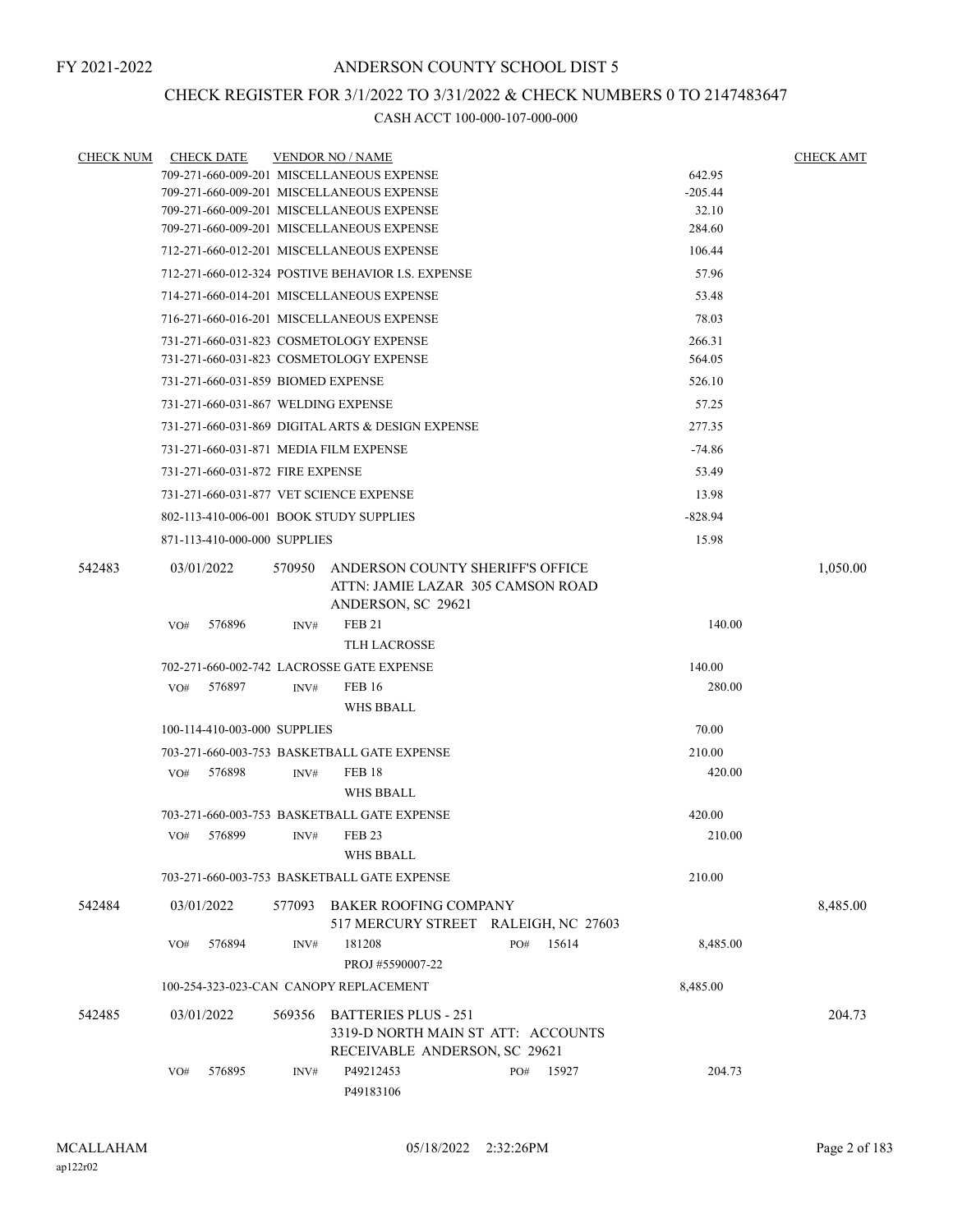## CHECK REGISTER FOR 3/1/2022 TO 3/31/2022 & CHECK NUMBERS 0 TO 2147483647

| <b>CHECK NUM</b> |     | <b>CHECK DATE</b>                  |        | <b>VENDOR NO / NAME</b>                                                                            |  |     |        |                 | <b>CHECK AMT</b> |
|------------------|-----|------------------------------------|--------|----------------------------------------------------------------------------------------------------|--|-----|--------|-----------------|------------------|
|                  |     |                                    |        | 709-271-660-009-201 MISCELLANEOUS EXPENSE                                                          |  |     |        | 642.95          |                  |
|                  |     |                                    |        | 709-271-660-009-201 MISCELLANEOUS EXPENSE                                                          |  |     |        | $-205.44$       |                  |
|                  |     |                                    |        | 709-271-660-009-201 MISCELLANEOUS EXPENSE                                                          |  |     |        | 32.10<br>284.60 |                  |
|                  |     |                                    |        | 709-271-660-009-201 MISCELLANEOUS EXPENSE                                                          |  |     |        |                 |                  |
|                  |     |                                    |        | 712-271-660-012-201 MISCELLANEOUS EXPENSE                                                          |  |     | 106.44 |                 |                  |
|                  |     |                                    |        | 712-271-660-012-324 POSTIVE BEHAVIOR I.S. EXPENSE                                                  |  |     |        | 57.96           |                  |
|                  |     |                                    |        | 714-271-660-014-201 MISCELLANEOUS EXPENSE                                                          |  |     |        | 53.48           |                  |
|                  |     |                                    |        | 716-271-660-016-201 MISCELLANEOUS EXPENSE                                                          |  |     |        | 78.03           |                  |
|                  |     |                                    |        | 731-271-660-031-823 COSMETOLOGY EXPENSE                                                            |  |     |        | 266.31          |                  |
|                  |     |                                    |        | 731-271-660-031-823 COSMETOLOGY EXPENSE                                                            |  |     |        | 564.05          |                  |
|                  |     | 731-271-660-031-859 BIOMED EXPENSE |        |                                                                                                    |  |     |        | 526.10          |                  |
|                  |     |                                    |        | 731-271-660-031-867 WELDING EXPENSE                                                                |  |     |        | 57.25           |                  |
|                  |     |                                    |        | 731-271-660-031-869 DIGITAL ARTS & DESIGN EXPENSE                                                  |  |     |        | 277.35          |                  |
|                  |     |                                    |        | 731-271-660-031-871 MEDIA FILM EXPENSE                                                             |  |     |        | $-74.86$        |                  |
|                  |     | 731-271-660-031-872 FIRE EXPENSE   |        |                                                                                                    |  |     |        | 53.49           |                  |
|                  |     |                                    |        | 731-271-660-031-877 VET SCIENCE EXPENSE                                                            |  |     |        | 13.98           |                  |
|                  |     |                                    |        | 802-113-410-006-001 BOOK STUDY SUPPLIES                                                            |  |     |        | $-828.94$       |                  |
|                  |     | 871-113-410-000-000 SUPPLIES       |        |                                                                                                    |  |     |        | 15.98           |                  |
| 542483           |     | 03/01/2022                         | 570950 | ANDERSON COUNTY SHERIFF'S OFFICE<br>ATTN: JAMIE LAZAR 305 CAMSON ROAD<br>ANDERSON, SC 29621        |  |     |        |                 | 1,050.00         |
|                  | VO# | 576896                             | INV#   | <b>FEB 21</b>                                                                                      |  |     |        | 140.00          |                  |
|                  |     |                                    |        | <b>TLH LACROSSE</b>                                                                                |  |     |        |                 |                  |
|                  |     |                                    |        | 702-271-660-002-742 LACROSSE GATE EXPENSE                                                          |  |     |        | 140.00          |                  |
|                  | VO# | 576897                             | INV#   | <b>FEB 16</b>                                                                                      |  |     |        | 280.00          |                  |
|                  |     |                                    |        | <b>WHS BBALL</b>                                                                                   |  |     |        |                 |                  |
|                  |     | 100-114-410-003-000 SUPPLIES       |        |                                                                                                    |  |     |        | 70.00           |                  |
|                  |     |                                    |        | 703-271-660-003-753 BASKETBALL GATE EXPENSE                                                        |  |     |        | 210.00          |                  |
|                  | VO# | 576898                             | INV#   | FEB <sub>18</sub><br><b>WHS BBALL</b>                                                              |  |     |        | 420.00          |                  |
|                  |     |                                    |        | 703-271-660-003-753 BASKETBALL GATE EXPENSE                                                        |  |     |        | 420.00          |                  |
|                  | VO# | 576899                             | INV#   | <b>FEB 23</b><br>WHS BBALL                                                                         |  |     |        | 210.00          |                  |
|                  |     |                                    |        | 703-271-660-003-753 BASKETBALL GATE EXPENSE                                                        |  |     |        | 210.00          |                  |
| 542484           |     | 03/01/2022                         | 577093 | BAKER ROOFING COMPANY<br>517 MERCURY STREET RALEIGH, NC 27603                                      |  |     |        |                 | 8,485.00         |
|                  | VO# | 576894                             | INV#   | 181208<br>PROJ #5590007-22                                                                         |  | PO# | 15614  | 8,485.00        |                  |
|                  |     |                                    |        | 100-254-323-023-CAN CANOPY REPLACEMENT                                                             |  |     |        | 8,485.00        |                  |
| 542485           |     | 03/01/2022                         | 569356 | <b>BATTERIES PLUS - 251</b><br>3319-D NORTH MAIN ST ATT: ACCOUNTS<br>RECEIVABLE ANDERSON, SC 29621 |  |     |        |                 | 204.73           |
|                  | VO# | 576895                             | INV#   | P49212453<br>P49183106                                                                             |  | PO# | 15927  | 204.73          |                  |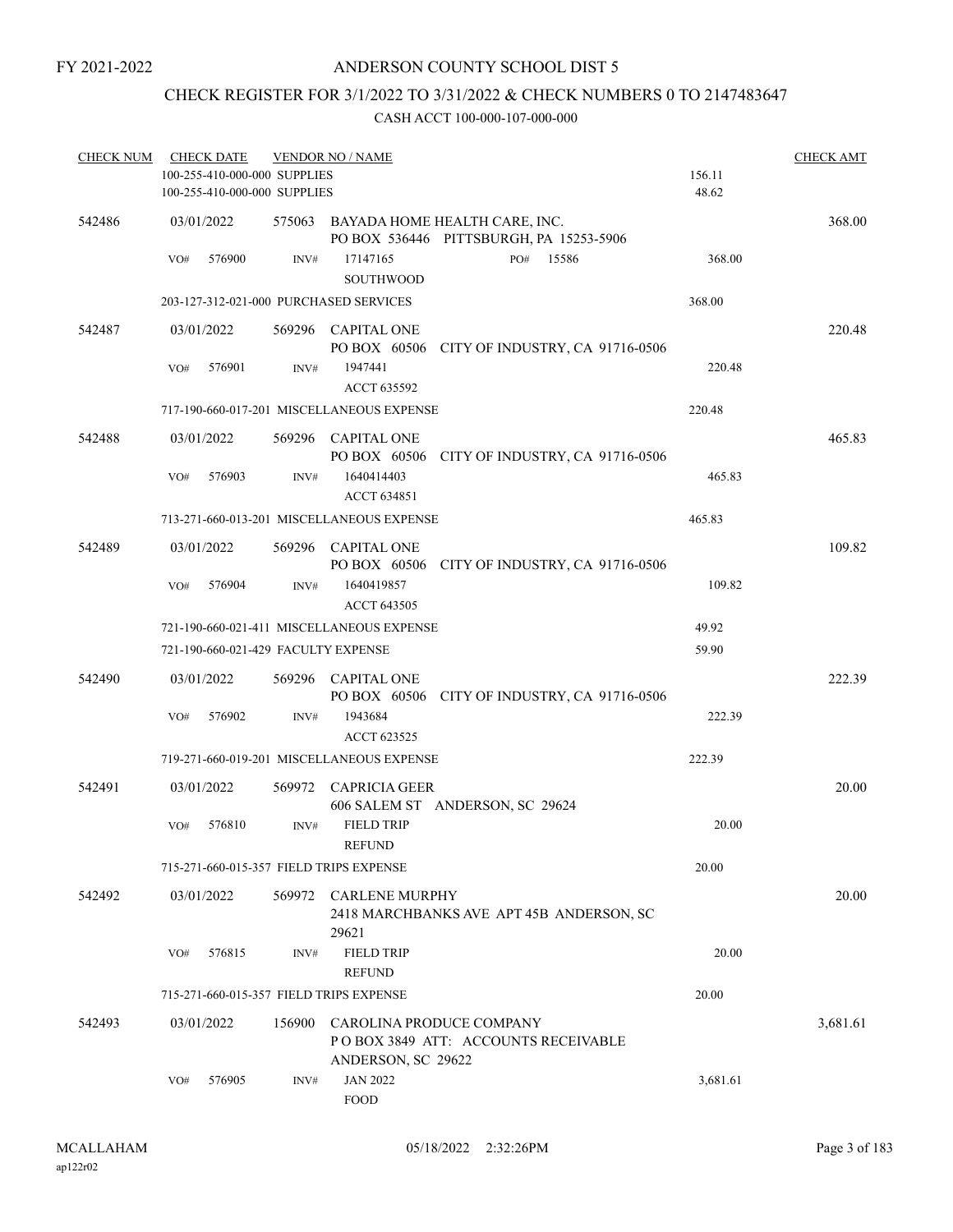## ANDERSON COUNTY SCHOOL DIST 5

## CHECK REGISTER FOR 3/1/2022 TO 3/31/2022 & CHECK NUMBERS 0 TO 2147483647

| <b>CHECK NUM</b> | <b>CHECK DATE</b><br>100-255-410-000-000 SUPPLIES<br>100-255-410-000-000 SUPPLIES |        | <b>VENDOR NO / NAME</b>                   |                                                                                                 | 156.11<br>48.62 | <b>CHECK AMT</b> |
|------------------|-----------------------------------------------------------------------------------|--------|-------------------------------------------|-------------------------------------------------------------------------------------------------|-----------------|------------------|
| 542486           | 03/01/2022<br>576900<br>VO#                                                       | INV#   | 17147165                                  | 575063 BAYADA HOME HEALTH CARE, INC.<br>PO BOX 536446 PITTSBURGH, PA 15253-5906<br>15586<br>PO# | 368.00          | 368.00           |
|                  |                                                                                   |        | <b>SOUTHWOOD</b>                          |                                                                                                 |                 |                  |
|                  | 203-127-312-021-000 PURCHASED SERVICES                                            |        |                                           |                                                                                                 | 368.00          |                  |
| 542487           | 03/01/2022                                                                        |        | 569296 CAPITAL ONE                        | PO BOX 60506 CITY OF INDUSTRY, CA 91716-0506                                                    |                 | 220.48           |
|                  | VO#<br>576901                                                                     | INV#   | 1947441<br>ACCT 635592                    |                                                                                                 | 220.48          |                  |
|                  |                                                                                   |        | 717-190-660-017-201 MISCELLANEOUS EXPENSE |                                                                                                 | 220.48          |                  |
| 542488           | 03/01/2022                                                                        |        | 569296 CAPITAL ONE                        | PO BOX 60506 CITY OF INDUSTRY, CA 91716-0506                                                    |                 | 465.83           |
|                  | 576903<br>VO#                                                                     | INV#   | 1640414403<br>ACCT 634851                 |                                                                                                 | 465.83          |                  |
|                  |                                                                                   |        | 713-271-660-013-201 MISCELLANEOUS EXPENSE |                                                                                                 | 465.83          |                  |
| 542489           | 03/01/2022                                                                        |        | 569296 CAPITAL ONE                        | PO BOX 60506 CITY OF INDUSTRY, CA 91716-0506                                                    |                 | 109.82           |
|                  | 576904<br>VO#                                                                     | INV#   | 1640419857<br>ACCT 643505                 |                                                                                                 | 109.82          |                  |
|                  |                                                                                   |        | 721-190-660-021-411 MISCELLANEOUS EXPENSE |                                                                                                 | 49.92           |                  |
|                  | 721-190-660-021-429 FACULTY EXPENSE                                               |        |                                           |                                                                                                 | 59.90           |                  |
| 542490           | 03/01/2022                                                                        |        | 569296 CAPITAL ONE                        | PO BOX 60506 CITY OF INDUSTRY, CA 91716-0506                                                    |                 | 222.39           |
|                  | 576902<br>VO#                                                                     | INV#   | 1943684<br>ACCT 623525                    |                                                                                                 | 222.39          |                  |
|                  |                                                                                   |        | 719-271-660-019-201 MISCELLANEOUS EXPENSE |                                                                                                 | 222.39          |                  |
| 542491           | 03/01/2022                                                                        |        | 569972 CAPRICIA GEER                      | 606 SALEM ST ANDERSON, SC 29624                                                                 |                 | 20.00            |
|                  | 576810<br>VO#                                                                     | INV#   | <b>FIELD TRIP</b><br><b>REFUND</b>        |                                                                                                 | 20.00           |                  |
|                  | 715-271-660-015-357 FIELD TRIPS EXPENSE                                           |        |                                           |                                                                                                 | 20.00           |                  |
| 542492           | 03/01/2022                                                                        | 569972 | <b>CARLENE MURPHY</b><br>29621            | 2418 MARCHBANKS AVE APT 45B ANDERSON, SC                                                        |                 | 20.00            |
|                  | 576815<br>VO#                                                                     | INV#   | <b>FIELD TRIP</b><br><b>REFUND</b>        |                                                                                                 | 20.00           |                  |
|                  | 715-271-660-015-357 FIELD TRIPS EXPENSE                                           |        |                                           |                                                                                                 | 20.00           |                  |
| 542493           | 03/01/2022                                                                        | 156900 | ANDERSON, SC 29622                        | CAROLINA PRODUCE COMPANY<br>POBOX 3849 ATT: ACCOUNTS RECEIVABLE                                 |                 | 3,681.61         |
|                  | 576905<br>VO#                                                                     | INV#   | <b>JAN 2022</b><br><b>FOOD</b>            |                                                                                                 | 3,681.61        |                  |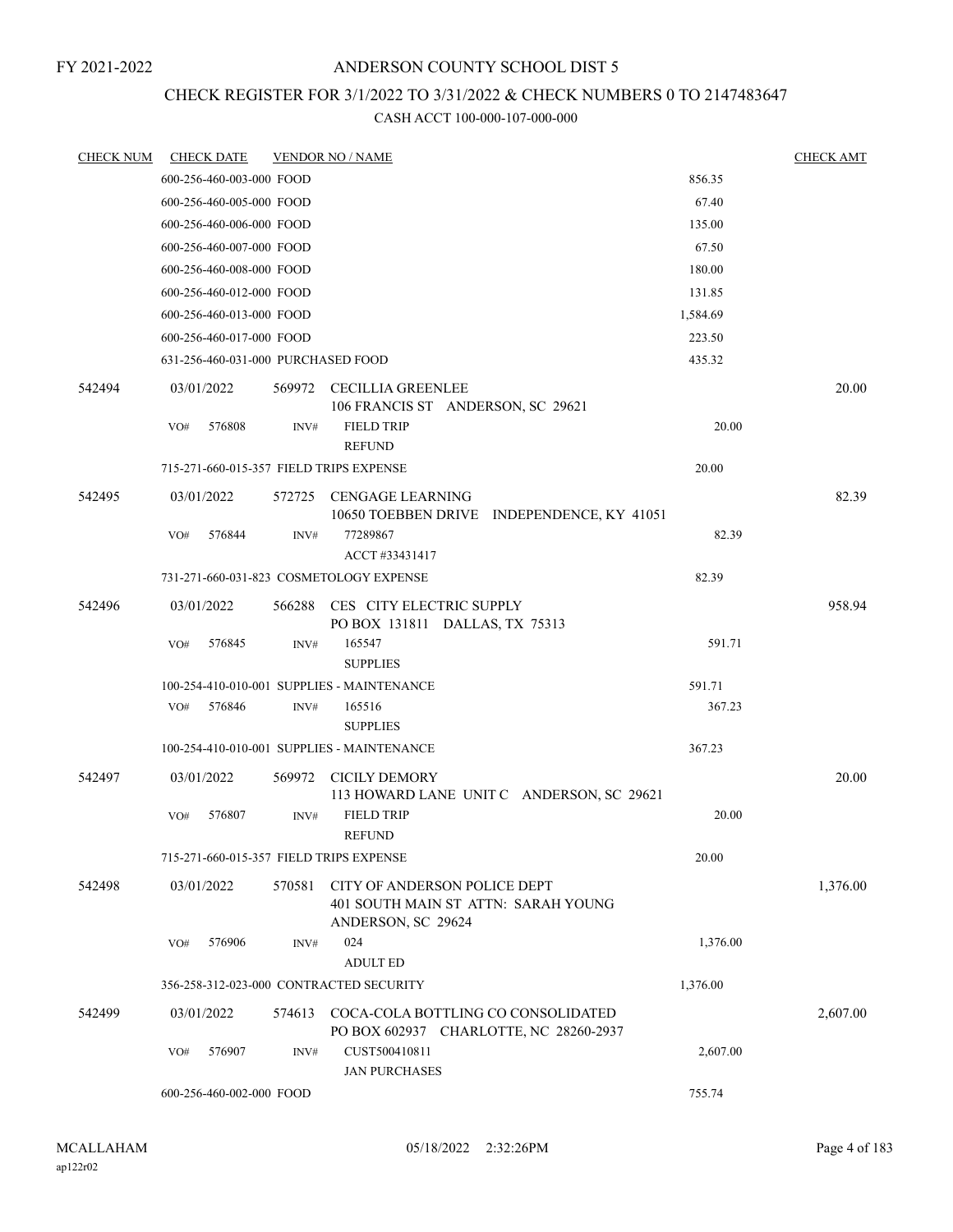## ANDERSON COUNTY SCHOOL DIST 5

## CHECK REGISTER FOR 3/1/2022 TO 3/31/2022 & CHECK NUMBERS 0 TO 2147483647

| <b>CHECK NUM</b> | <b>CHECK DATE</b>                       |        | <b>VENDOR NO / NAME</b>                                                                   |          | <b>CHECK AMT</b> |
|------------------|-----------------------------------------|--------|-------------------------------------------------------------------------------------------|----------|------------------|
|                  | 600-256-460-003-000 FOOD                |        |                                                                                           | 856.35   |                  |
|                  | 600-256-460-005-000 FOOD                |        |                                                                                           | 67.40    |                  |
|                  | 600-256-460-006-000 FOOD                |        |                                                                                           | 135.00   |                  |
|                  | 600-256-460-007-000 FOOD                |        |                                                                                           | 67.50    |                  |
|                  | 600-256-460-008-000 FOOD                |        |                                                                                           | 180.00   |                  |
|                  | 600-256-460-012-000 FOOD                |        |                                                                                           | 131.85   |                  |
|                  | 600-256-460-013-000 FOOD                |        |                                                                                           | 1,584.69 |                  |
|                  | 600-256-460-017-000 FOOD                |        |                                                                                           | 223.50   |                  |
|                  | 631-256-460-031-000 PURCHASED FOOD      |        |                                                                                           | 435.32   |                  |
| 542494           | 03/01/2022                              |        | 569972 CECILLIA GREENLEE                                                                  |          | 20.00            |
|                  | 576808                                  |        | 106 FRANCIS ST ANDERSON, SC 29621<br><b>FIELD TRIP</b>                                    | 20.00    |                  |
|                  | VO#                                     | INV#   | <b>REFUND</b>                                                                             |          |                  |
|                  | 715-271-660-015-357 FIELD TRIPS EXPENSE |        |                                                                                           | 20.00    |                  |
| 542495           | 03/01/2022                              |        | 572725 CENGAGE LEARNING                                                                   |          | 82.39            |
|                  |                                         |        | 10650 TOEBBEN DRIVE INDEPENDENCE, KY 41051                                                |          |                  |
|                  | 576844<br>VO#                           | INV#   | 77289867<br>ACCT #33431417                                                                | 82.39    |                  |
|                  |                                         |        | 731-271-660-031-823 COSMETOLOGY EXPENSE                                                   | 82.39    |                  |
| 542496           | 03/01/2022                              | 566288 | CES CITY ELECTRIC SUPPLY<br>PO BOX 131811 DALLAS, TX 75313                                |          | 958.94           |
|                  | VO#<br>576845                           | INV#   | 165547<br><b>SUPPLIES</b>                                                                 | 591.71   |                  |
|                  |                                         |        | 100-254-410-010-001 SUPPLIES - MAINTENANCE                                                | 591.71   |                  |
|                  | 576846<br>VO#                           | INV#   | 165516                                                                                    | 367.23   |                  |
|                  |                                         |        | <b>SUPPLIES</b>                                                                           |          |                  |
|                  |                                         |        | 100-254-410-010-001 SUPPLIES - MAINTENANCE                                                | 367.23   |                  |
| 542497           | 03/01/2022                              | 569972 | CICILY DEMORY                                                                             |          | 20.00            |
|                  |                                         |        | 113 HOWARD LANE UNIT C ANDERSON, SC 29621                                                 |          |                  |
|                  | VO#<br>576807                           | INV#   | <b>FIELD TRIP</b><br><b>REFUND</b>                                                        | 20.00    |                  |
|                  | 715-271-660-015-357 FIELD TRIPS EXPENSE |        |                                                                                           | 20.00    |                  |
| 542498           | 03/01/2022                              | 570581 | CITY OF ANDERSON POLICE DEPT<br>401 SOUTH MAIN ST ATTN: SARAH YOUNG<br>ANDERSON, SC 29624 |          | 1,376.00         |
|                  | 576906<br>VO#                           | INV#   | 024<br><b>ADULT ED</b>                                                                    | 1,376.00 |                  |
|                  |                                         |        | 356-258-312-023-000 CONTRACTED SECURITY                                                   | 1,376.00 |                  |
|                  |                                         |        |                                                                                           |          |                  |
| 542499           | 03/01/2022                              | 574613 | COCA-COLA BOTTLING CO CONSOLIDATED<br>PO BOX 602937 CHARLOTTE, NC 28260-2937              |          | 2,607.00         |
|                  | 576907<br>VO#                           | INV#   | CUST500410811<br><b>JAN PURCHASES</b>                                                     | 2,607.00 |                  |
|                  | 600-256-460-002-000 FOOD                |        |                                                                                           | 755.74   |                  |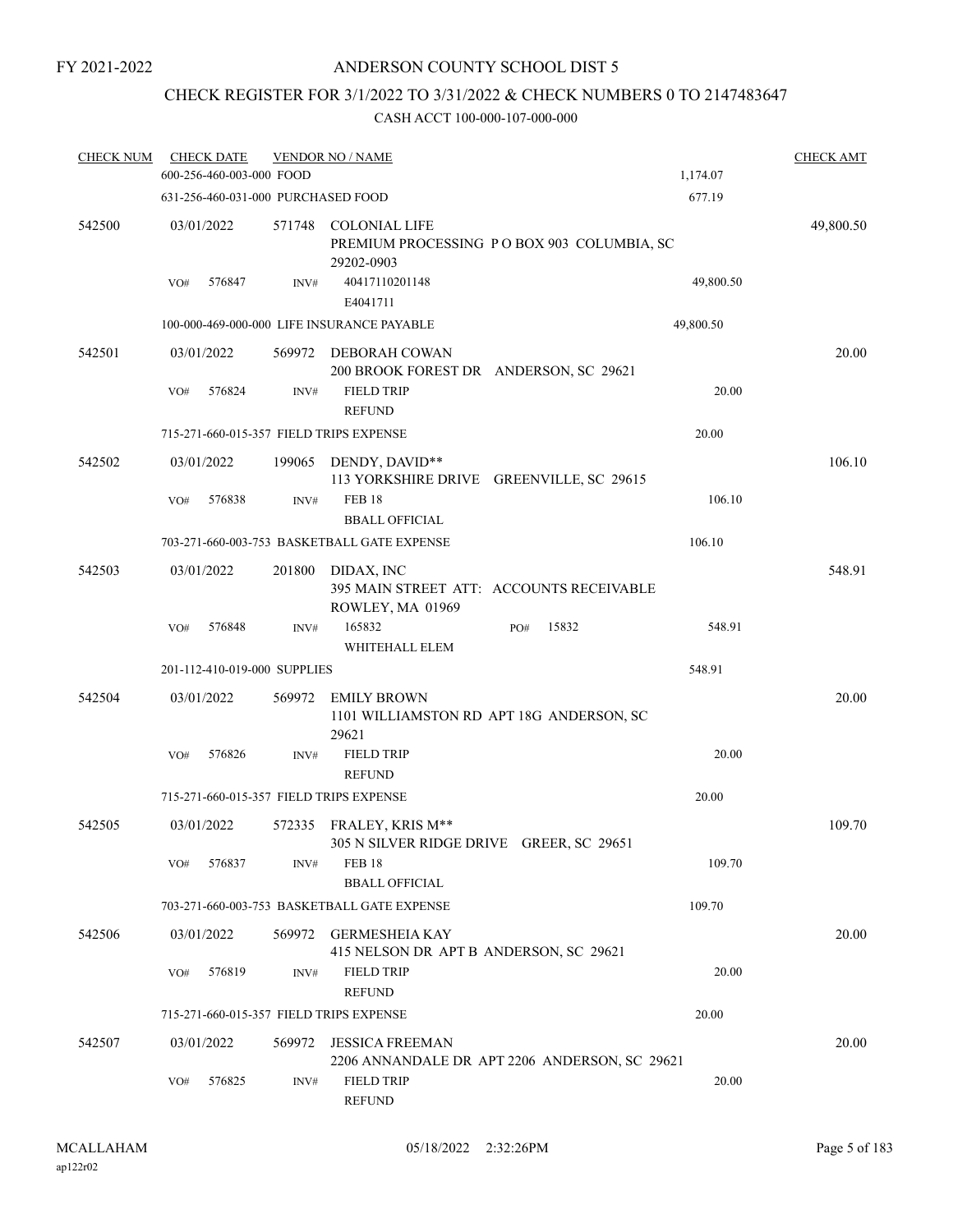## CHECK REGISTER FOR 3/1/2022 TO 3/31/2022 & CHECK NUMBERS 0 TO 2147483647

| <b>CHECK NUM</b> |            | <b>CHECK DATE</b><br>600-256-460-003-000 FOOD |                              | <b>VENDOR NO / NAME</b>                                             |                                               | 1,174.07  | <b>CHECK AMT</b> |
|------------------|------------|-----------------------------------------------|------------------------------|---------------------------------------------------------------------|-----------------------------------------------|-----------|------------------|
|                  |            |                                               |                              | 631-256-460-031-000 PURCHASED FOOD                                  |                                               | 677.19    |                  |
| 542500           | 03/01/2022 |                                               | 571748                       | <b>COLONIAL LIFE</b><br>29202-0903                                  | PREMIUM PROCESSING PO BOX 903 COLUMBIA, SC    |           | 49,800.50        |
|                  | VO#        | 576847                                        | INV#                         | 40417110201148<br>E4041711                                          |                                               | 49,800.50 |                  |
|                  |            |                                               |                              | 100-000-469-000-000 LIFE INSURANCE PAYABLE                          |                                               | 49,800.50 |                  |
| 542501           | 03/01/2022 |                                               | 569972                       | DEBORAH COWAN<br>200 BROOK FOREST DR ANDERSON, SC 29621             |                                               |           | 20.00            |
|                  | VO#        | 576824                                        | INV#                         | <b>FIELD TRIP</b><br><b>REFUND</b>                                  |                                               | 20.00     |                  |
|                  |            |                                               |                              | 715-271-660-015-357 FIELD TRIPS EXPENSE                             |                                               | 20.00     |                  |
| 542502           | 03/01/2022 |                                               | 199065                       | DENDY, DAVID**                                                      | 113 YORKSHIRE DRIVE GREENVILLE, SC 29615      |           | 106.10           |
|                  | VO#        | 576838                                        | INV#                         | <b>FEB 18</b><br><b>BBALL OFFICIAL</b>                              |                                               | 106.10    |                  |
|                  |            |                                               |                              | 703-271-660-003-753 BASKETBALL GATE EXPENSE                         |                                               | 106.10    |                  |
| 542503           | 03/01/2022 |                                               | 201800                       | DIDAX, INC<br>ROWLEY, MA 01969                                      | 395 MAIN STREET ATT: ACCOUNTS RECEIVABLE      |           | 548.91           |
|                  | VO#        | 576848                                        | INV#                         | 165832<br>WHITEHALL ELEM                                            | 15832<br>PO#                                  | 548.91    |                  |
|                  |            |                                               | 201-112-410-019-000 SUPPLIES |                                                                     |                                               | 548.91    |                  |
| 542504           | 03/01/2022 |                                               | 569972                       | <b>EMILY BROWN</b><br>29621                                         | 1101 WILLIAMSTON RD APT 18G ANDERSON, SC      |           | 20.00            |
|                  | VO#        | 576826                                        | INV#                         | <b>FIELD TRIP</b><br><b>REFUND</b>                                  |                                               | 20.00     |                  |
|                  |            |                                               |                              | 715-271-660-015-357 FIELD TRIPS EXPENSE                             |                                               | 20.00     |                  |
| 542505           | 03/01/2022 |                                               |                              | 572335 FRALEY, KRIS M**<br>305 N SILVER RIDGE DRIVE GREER, SC 29651 |                                               |           | 109.70           |
|                  | VO#        | 576837                                        | INV#                         | <b>FEB 18</b><br><b>BBALL OFFICIAL</b>                              |                                               | 109.70    |                  |
|                  |            |                                               |                              | 703-271-660-003-753 BASKETBALL GATE EXPENSE                         |                                               | 109.70    |                  |
| 542506           | 03/01/2022 |                                               |                              | 569972 GERMESHEIA KAY<br>415 NELSON DR APT B ANDERSON, SC 29621     |                                               |           | 20.00            |
|                  | VO#        | 576819                                        | INV#                         | <b>FIELD TRIP</b><br><b>REFUND</b>                                  |                                               | 20.00     |                  |
|                  |            |                                               |                              | 715-271-660-015-357 FIELD TRIPS EXPENSE                             |                                               | 20.00     |                  |
| 542507           | 03/01/2022 |                                               | 569972                       | <b>JESSICA FREEMAN</b>                                              | 2206 ANNANDALE DR APT 2206 ANDERSON, SC 29621 |           | 20.00            |
|                  | VO#        | 576825                                        | INV#                         | <b>FIELD TRIP</b><br><b>REFUND</b>                                  |                                               | 20.00     |                  |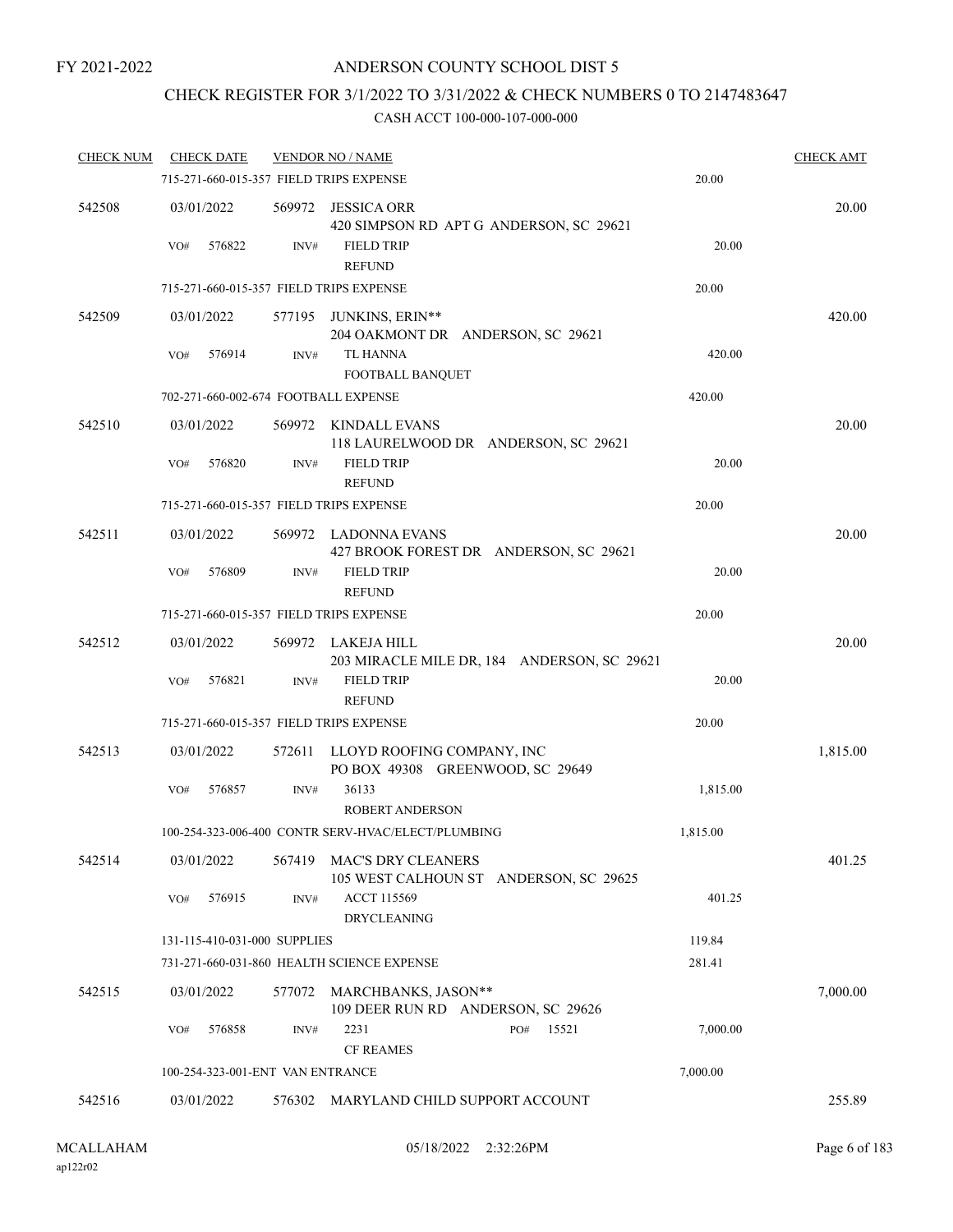## ANDERSON COUNTY SCHOOL DIST 5

## CHECK REGISTER FOR 3/1/2022 TO 3/31/2022 & CHECK NUMBERS 0 TO 2147483647

| <b>CHECK NUM</b> | <b>CHECK DATE</b>                       |        | <b>VENDOR NO / NAME</b>                                           |          | <b>CHECK AMT</b> |
|------------------|-----------------------------------------|--------|-------------------------------------------------------------------|----------|------------------|
|                  | 715-271-660-015-357 FIELD TRIPS EXPENSE |        |                                                                   | 20.00    |                  |
| 542508           | 03/01/2022                              |        | 569972 JESSICA ORR<br>420 SIMPSON RD APT G ANDERSON, SC 29621     |          | 20.00            |
|                  | 576822<br>VO#                           | INV#   | <b>FIELD TRIP</b><br><b>REFUND</b>                                | 20.00    |                  |
|                  | 715-271-660-015-357 FIELD TRIPS EXPENSE |        |                                                                   | 20.00    |                  |
| 542509           | 03/01/2022                              |        | 577195 JUNKINS, ERIN**<br>204 OAKMONT DR ANDERSON, SC 29621       |          | 420.00           |
|                  | 576914<br>VO#                           | INV#   | <b>TL HANNA</b><br>FOOTBALL BANQUET                               | 420.00   |                  |
|                  | 702-271-660-002-674 FOOTBALL EXPENSE    |        |                                                                   | 420.00   |                  |
| 542510           | 03/01/2022                              |        | 569972 KINDALL EVANS<br>118 LAURELWOOD DR ANDERSON, SC 29621      |          | 20.00            |
|                  | 576820<br>VO#                           | INV#   | <b>FIELD TRIP</b><br><b>REFUND</b>                                | 20.00    |                  |
|                  | 715-271-660-015-357 FIELD TRIPS EXPENSE |        |                                                                   | 20.00    |                  |
| 542511           | 03/01/2022                              |        | 569972 LADONNA EVANS<br>427 BROOK FOREST DR ANDERSON, SC 29621    |          | 20.00            |
|                  | 576809<br>VO#                           | INV#   | <b>FIELD TRIP</b><br><b>REFUND</b>                                | 20.00    |                  |
|                  | 715-271-660-015-357 FIELD TRIPS EXPENSE |        |                                                                   | 20.00    |                  |
| 542512           | 03/01/2022                              |        | 569972 LAKEJA HILL<br>203 MIRACLE MILE DR, 184 ANDERSON, SC 29621 |          | 20.00            |
|                  | 576821<br>VO#                           | INV#   | <b>FIELD TRIP</b><br><b>REFUND</b>                                | 20.00    |                  |
|                  | 715-271-660-015-357 FIELD TRIPS EXPENSE |        |                                                                   | 20.00    |                  |
| 542513           | 03/01/2022                              | 572611 | LLOYD ROOFING COMPANY, INC<br>PO BOX 49308 GREENWOOD, SC 29649    |          | 1,815.00         |
|                  | VO#<br>576857                           | INV#   | 36133<br><b>ROBERT ANDERSON</b>                                   | 1,815.00 |                  |
|                  |                                         |        | 100-254-323-006-400 CONTR SERV-HVAC/ELECT/PLUMBING                | 1,815.00 |                  |
| 542514           | 03/01/2022                              | 567419 | MAC'S DRY CLEANERS<br>105 WEST CALHOUN ST ANDERSON, SC 29625      |          | 401.25           |
|                  | 576915<br>VO#                           | INV#   | <b>ACCT 115569</b><br><b>DRYCLEANING</b>                          | 401.25   |                  |
|                  | 131-115-410-031-000 SUPPLIES            |        |                                                                   | 119.84   |                  |
|                  |                                         |        | 731-271-660-031-860 HEALTH SCIENCE EXPENSE                        | 281.41   |                  |
| 542515           | 03/01/2022                              |        | 577072 MARCHBANKS, JASON**<br>109 DEER RUN RD ANDERSON, SC 29626  |          | 7,000.00         |
|                  | 576858<br>VO#                           | INV#   | 2231<br>15521<br>PO#<br><b>CF REAMES</b>                          | 7,000.00 |                  |
|                  | 100-254-323-001-ENT VAN ENTRANCE        |        |                                                                   | 7,000.00 |                  |
| 542516           | 03/01/2022                              |        | 576302 MARYLAND CHILD SUPPORT ACCOUNT                             |          | 255.89           |
|                  |                                         |        |                                                                   |          |                  |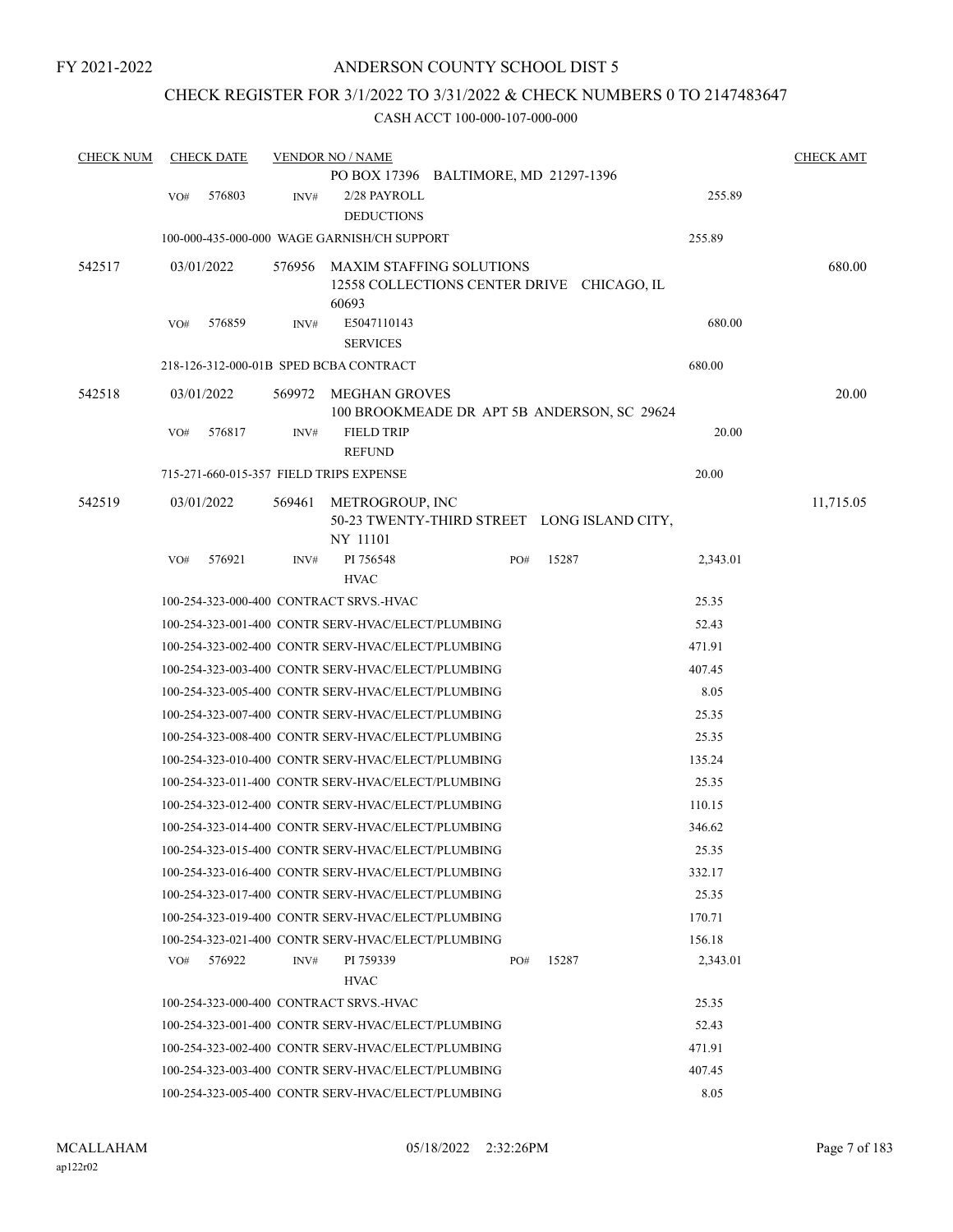## CHECK REGISTER FOR 3/1/2022 TO 3/31/2022 & CHECK NUMBERS 0 TO 2147483647

| <b>CHECK NUM</b> |     | <b>CHECK DATE</b> |        | <b>VENDOR NO / NAME</b>                            |     |                                             |          | <b>CHECK AMT</b> |
|------------------|-----|-------------------|--------|----------------------------------------------------|-----|---------------------------------------------|----------|------------------|
|                  |     |                   |        | PO BOX 17396 BALTIMORE, MD 21297-1396              |     |                                             |          |                  |
|                  | VO# | 576803            | INV#   | 2/28 PAYROLL                                       |     |                                             | 255.89   |                  |
|                  |     |                   |        | <b>DEDUCTIONS</b>                                  |     |                                             |          |                  |
|                  |     |                   |        | 100-000-435-000-000 WAGE GARNISH/CH SUPPORT        |     |                                             | 255.89   |                  |
| 542517           |     | 03/01/2022        |        | 576956 MAXIM STAFFING SOLUTIONS                    |     |                                             |          | 680.00           |
|                  |     |                   |        |                                                    |     | 12558 COLLECTIONS CENTER DRIVE CHICAGO, IL  |          |                  |
|                  |     |                   |        | 60693                                              |     |                                             |          |                  |
|                  | VO# | 576859            | INV#   | E5047110143<br><b>SERVICES</b>                     |     |                                             | 680.00   |                  |
|                  |     |                   |        | 218-126-312-000-01B SPED BCBA CONTRACT             |     |                                             | 680.00   |                  |
|                  |     |                   |        |                                                    |     |                                             |          |                  |
| 542518           |     | 03/01/2022        | 569972 | MEGHAN GROVES                                      |     | 100 BROOKMEADE DR APT 5B ANDERSON, SC 29624 |          | 20.00            |
|                  | VO# | 576817            | INV#   | <b>FIELD TRIP</b>                                  |     |                                             | 20.00    |                  |
|                  |     |                   |        | <b>REFUND</b>                                      |     |                                             |          |                  |
|                  |     |                   |        | 715-271-660-015-357 FIELD TRIPS EXPENSE            |     |                                             | 20.00    |                  |
| 542519           |     | 03/01/2022        | 569461 | METROGROUP, INC                                    |     |                                             |          | 11,715.05        |
|                  |     |                   |        |                                                    |     | 50-23 TWENTY-THIRD STREET LONG ISLAND CITY, |          |                  |
|                  |     |                   |        | NY 11101                                           |     |                                             |          |                  |
|                  | VO# | 576921            | INV#   | PI 756548<br><b>HVAC</b>                           | PO# | 15287                                       | 2,343.01 |                  |
|                  |     |                   |        | 100-254-323-000-400 CONTRACT SRVS.-HVAC            |     |                                             | 25.35    |                  |
|                  |     |                   |        | 100-254-323-001-400 CONTR SERV-HVAC/ELECT/PLUMBING |     |                                             | 52.43    |                  |
|                  |     |                   |        | 100-254-323-002-400 CONTR SERV-HVAC/ELECT/PLUMBING |     |                                             | 471.91   |                  |
|                  |     |                   |        | 100-254-323-003-400 CONTR SERV-HVAC/ELECT/PLUMBING |     |                                             | 407.45   |                  |
|                  |     |                   |        | 100-254-323-005-400 CONTR SERV-HVAC/ELECT/PLUMBING |     |                                             | 8.05     |                  |
|                  |     |                   |        | 100-254-323-007-400 CONTR SERV-HVAC/ELECT/PLUMBING |     |                                             | 25.35    |                  |
|                  |     |                   |        | 100-254-323-008-400 CONTR SERV-HVAC/ELECT/PLUMBING |     |                                             | 25.35    |                  |
|                  |     |                   |        | 100-254-323-010-400 CONTR SERV-HVAC/ELECT/PLUMBING |     |                                             | 135.24   |                  |
|                  |     |                   |        | 100-254-323-011-400 CONTR SERV-HVAC/ELECT/PLUMBING |     |                                             | 25.35    |                  |
|                  |     |                   |        | 100-254-323-012-400 CONTR SERV-HVAC/ELECT/PLUMBING |     |                                             | 110.15   |                  |
|                  |     |                   |        | 100-254-323-014-400 CONTR SERV-HVAC/ELECT/PLUMBING |     |                                             | 346.62   |                  |
|                  |     |                   |        | 100-254-323-015-400 CONTR SERV-HVAC/ELECT/PLUMBING |     |                                             | 25.35    |                  |
|                  |     |                   |        | 100-254-323-016-400 CONTR SERV-HVAC/ELECT/PLUMBING |     |                                             | 332.17   |                  |
|                  |     |                   |        | 100-254-323-017-400 CONTR SERV-HVAC/ELECT/PLUMBING |     |                                             | 25.35    |                  |
|                  |     |                   |        | 100-254-323-019-400 CONTR SERV-HVAC/ELECT/PLUMBING |     |                                             | 170.71   |                  |
|                  |     |                   |        | 100-254-323-021-400 CONTR SERV-HVAC/ELECT/PLUMBING |     |                                             | 156.18   |                  |
|                  | VO# | 576922            | INV#   | PI 759339                                          | PO# | 15287                                       | 2,343.01 |                  |
|                  |     |                   |        | <b>HVAC</b>                                        |     |                                             |          |                  |
|                  |     |                   |        | 100-254-323-000-400 CONTRACT SRVS.-HVAC            |     |                                             | 25.35    |                  |
|                  |     |                   |        | 100-254-323-001-400 CONTR SERV-HVAC/ELECT/PLUMBING |     |                                             | 52.43    |                  |
|                  |     |                   |        | 100-254-323-002-400 CONTR SERV-HVAC/ELECT/PLUMBING |     |                                             | 471.91   |                  |
|                  |     |                   |        | 100-254-323-003-400 CONTR SERV-HVAC/ELECT/PLUMBING |     |                                             | 407.45   |                  |
|                  |     |                   |        | 100-254-323-005-400 CONTR SERV-HVAC/ELECT/PLUMBING |     |                                             | 8.05     |                  |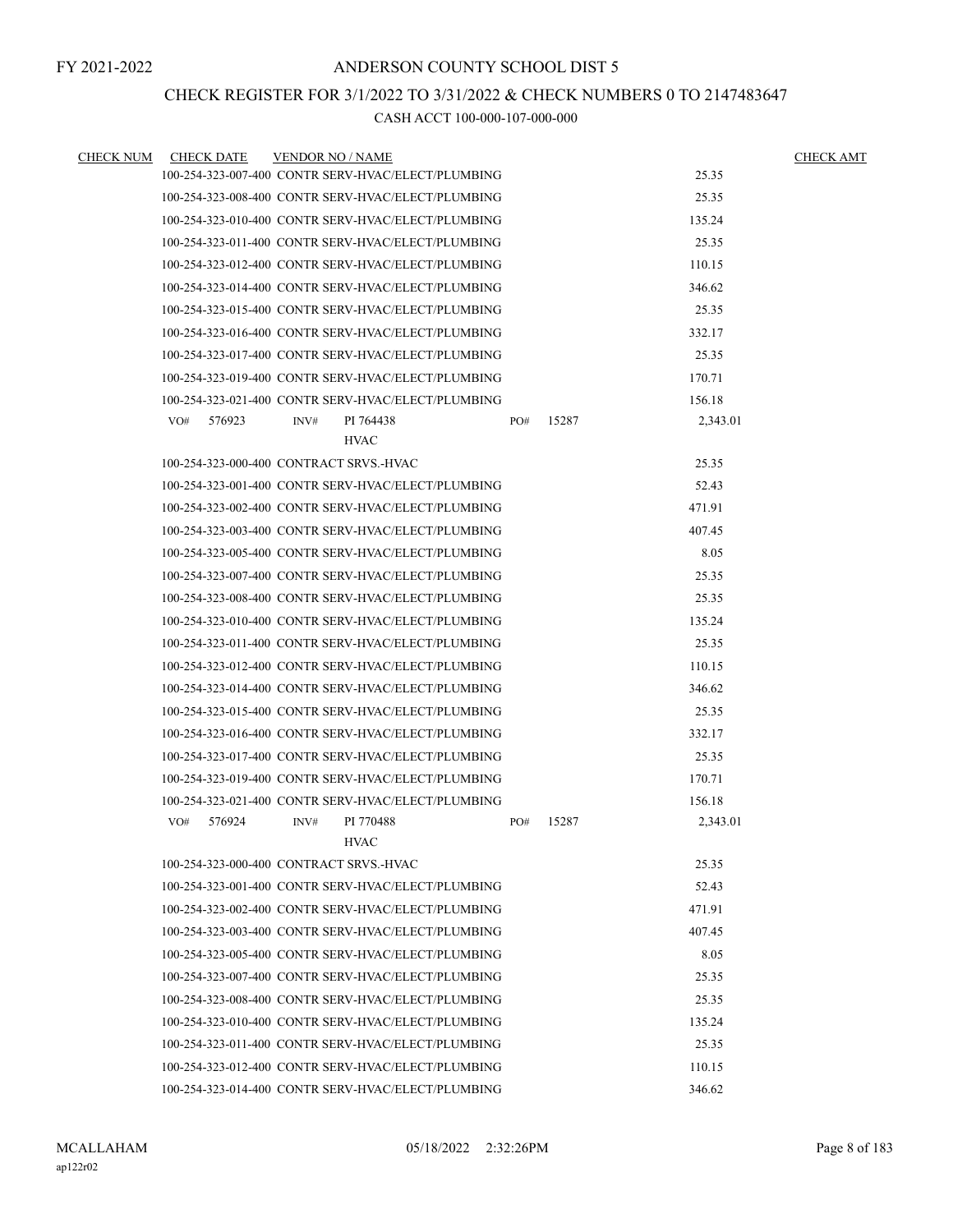## CHECK REGISTER FOR 3/1/2022 TO 3/31/2022 & CHECK NUMBERS 0 TO 2147483647

| <b>CHECK NUM</b> | <b>CHECK DATE</b> | <b>VENDOR NO / NAME</b>                            |     |       | <b>CHECK AMT</b> |  |
|------------------|-------------------|----------------------------------------------------|-----|-------|------------------|--|
|                  |                   | 100-254-323-007-400 CONTR SERV-HVAC/ELECT/PLUMBING |     |       | 25.35            |  |
|                  |                   | 100-254-323-008-400 CONTR SERV-HVAC/ELECT/PLUMBING |     |       | 25.35            |  |
|                  |                   | 100-254-323-010-400 CONTR SERV-HVAC/ELECT/PLUMBING |     |       | 135.24           |  |
|                  |                   | 100-254-323-011-400 CONTR SERV-HVAC/ELECT/PLUMBING |     |       | 25.35            |  |
|                  |                   | 100-254-323-012-400 CONTR SERV-HVAC/ELECT/PLUMBING |     |       | 110.15           |  |
|                  |                   | 100-254-323-014-400 CONTR SERV-HVAC/ELECT/PLUMBING |     |       | 346.62           |  |
|                  |                   | 100-254-323-015-400 CONTR SERV-HVAC/ELECT/PLUMBING |     |       | 25.35            |  |
|                  |                   | 100-254-323-016-400 CONTR SERV-HVAC/ELECT/PLUMBING |     |       | 332.17           |  |
|                  |                   | 100-254-323-017-400 CONTR SERV-HVAC/ELECT/PLUMBING |     |       | 25.35            |  |
|                  |                   | 100-254-323-019-400 CONTR SERV-HVAC/ELECT/PLUMBING |     |       | 170.71           |  |
|                  |                   | 100-254-323-021-400 CONTR SERV-HVAC/ELECT/PLUMBING |     |       | 156.18           |  |
|                  | 576923<br>VO#     | PI 764438<br>INV#                                  | PO# | 15287 | 2,343.01         |  |
|                  |                   | <b>HVAC</b>                                        |     |       |                  |  |
|                  |                   | 100-254-323-000-400 CONTRACT SRVS.-HVAC            |     |       | 25.35            |  |
|                  |                   | 100-254-323-001-400 CONTR SERV-HVAC/ELECT/PLUMBING |     |       | 52.43            |  |
|                  |                   | 100-254-323-002-400 CONTR SERV-HVAC/ELECT/PLUMBING |     |       | 471.91           |  |
|                  |                   | 100-254-323-003-400 CONTR SERV-HVAC/ELECT/PLUMBING |     |       | 407.45           |  |
|                  |                   | 100-254-323-005-400 CONTR SERV-HVAC/ELECT/PLUMBING |     |       | 8.05             |  |
|                  |                   | 100-254-323-007-400 CONTR SERV-HVAC/ELECT/PLUMBING |     |       | 25.35            |  |
|                  |                   | 100-254-323-008-400 CONTR SERV-HVAC/ELECT/PLUMBING |     |       | 25.35            |  |
|                  |                   | 100-254-323-010-400 CONTR SERV-HVAC/ELECT/PLUMBING |     |       | 135.24           |  |
|                  |                   | 100-254-323-011-400 CONTR SERV-HVAC/ELECT/PLUMBING |     |       | 25.35            |  |
|                  |                   | 100-254-323-012-400 CONTR SERV-HVAC/ELECT/PLUMBING |     |       | 110.15           |  |
|                  |                   | 100-254-323-014-400 CONTR SERV-HVAC/ELECT/PLUMBING |     |       | 346.62           |  |
|                  |                   | 100-254-323-015-400 CONTR SERV-HVAC/ELECT/PLUMBING |     |       | 25.35            |  |
|                  |                   | 100-254-323-016-400 CONTR SERV-HVAC/ELECT/PLUMBING |     |       | 332.17           |  |
|                  |                   | 100-254-323-017-400 CONTR SERV-HVAC/ELECT/PLUMBING |     |       | 25.35            |  |
|                  |                   | 100-254-323-019-400 CONTR SERV-HVAC/ELECT/PLUMBING |     |       | 170.71           |  |
|                  |                   | 100-254-323-021-400 CONTR SERV-HVAC/ELECT/PLUMBING |     |       | 156.18           |  |
|                  | VO#<br>576924     | PI 770488<br>INV#                                  | PO# | 15287 | 2,343.01         |  |
|                  |                   | <b>HVAC</b>                                        |     |       |                  |  |
|                  |                   | 100-254-323-000-400 CONTRACT SRVS.-HVAC            |     |       | 25.35            |  |
|                  |                   | 100-254-323-001-400 CONTR SERV-HVAC/ELECT/PLUMBING |     |       | 52.43            |  |
|                  |                   | 100-254-323-002-400 CONTR SERV-HVAC/ELECT/PLUMBING |     |       | 471.91           |  |
|                  |                   | 100-254-323-003-400 CONTR SERV-HVAC/ELECT/PLUMBING |     |       | 407.45           |  |
|                  |                   | 100-254-323-005-400 CONTR SERV-HVAC/ELECT/PLUMBING |     |       | 8.05             |  |
|                  |                   | 100-254-323-007-400 CONTR SERV-HVAC/ELECT/PLUMBING |     |       | 25.35            |  |
|                  |                   | 100-254-323-008-400 CONTR SERV-HVAC/ELECT/PLUMBING |     |       | 25.35            |  |
|                  |                   | 100-254-323-010-400 CONTR SERV-HVAC/ELECT/PLUMBING |     |       | 135.24           |  |
|                  |                   | 100-254-323-011-400 CONTR SERV-HVAC/ELECT/PLUMBING |     |       | 25.35            |  |
|                  |                   | 100-254-323-012-400 CONTR SERV-HVAC/ELECT/PLUMBING |     |       | 110.15           |  |
|                  |                   | 100-254-323-014-400 CONTR SERV-HVAC/ELECT/PLUMBING |     |       | 346.62           |  |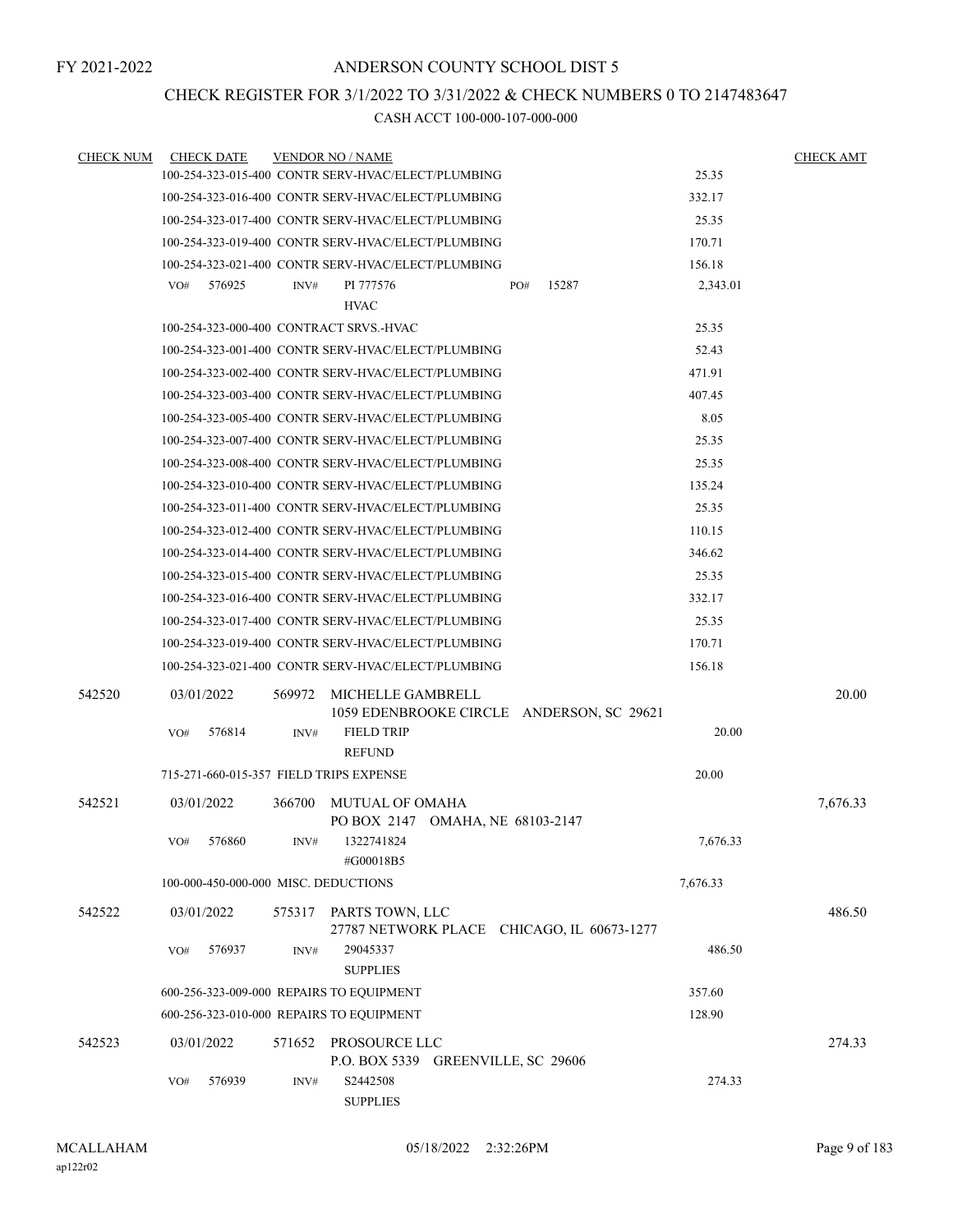## CHECK REGISTER FOR 3/1/2022 TO 3/31/2022 & CHECK NUMBERS 0 TO 2147483647

| <b>CHECK NUM</b> |            | <b>CHECK DATE</b> |        | <b>VENDOR NO / NAME</b>                                                   |     |       |          | <b>CHECK AMT</b> |
|------------------|------------|-------------------|--------|---------------------------------------------------------------------------|-----|-------|----------|------------------|
|                  |            |                   |        | 100-254-323-015-400 CONTR SERV-HVAC/ELECT/PLUMBING                        |     |       | 25.35    |                  |
|                  |            |                   |        | 100-254-323-016-400 CONTR SERV-HVAC/ELECT/PLUMBING                        |     |       | 332.17   |                  |
|                  |            |                   |        | 100-254-323-017-400 CONTR SERV-HVAC/ELECT/PLUMBING                        |     |       | 25.35    |                  |
|                  |            |                   |        | 100-254-323-019-400 CONTR SERV-HVAC/ELECT/PLUMBING                        |     |       | 170.71   |                  |
|                  |            |                   |        | 100-254-323-021-400 CONTR SERV-HVAC/ELECT/PLUMBING                        |     |       | 156.18   |                  |
|                  | VO#        | 576925            | INV#   | PI 777576                                                                 | PO# | 15287 | 2,343.01 |                  |
|                  |            |                   |        | <b>HVAC</b>                                                               |     |       |          |                  |
|                  |            |                   |        | 100-254-323-000-400 CONTRACT SRVS.-HVAC                                   |     |       | 25.35    |                  |
|                  |            |                   |        | 100-254-323-001-400 CONTR SERV-HVAC/ELECT/PLUMBING                        |     |       | 52.43    |                  |
|                  |            |                   |        | 100-254-323-002-400 CONTR SERV-HVAC/ELECT/PLUMBING                        |     |       | 471.91   |                  |
|                  |            |                   |        | 100-254-323-003-400 CONTR SERV-HVAC/ELECT/PLUMBING                        |     |       | 407.45   |                  |
|                  |            |                   |        | 100-254-323-005-400 CONTR SERV-HVAC/ELECT/PLUMBING                        |     |       | 8.05     |                  |
|                  |            |                   |        | 100-254-323-007-400 CONTR SERV-HVAC/ELECT/PLUMBING                        |     |       | 25.35    |                  |
|                  |            |                   |        | 100-254-323-008-400 CONTR SERV-HVAC/ELECT/PLUMBING                        |     |       | 25.35    |                  |
|                  |            |                   |        | 100-254-323-010-400 CONTR SERV-HVAC/ELECT/PLUMBING                        |     |       | 135.24   |                  |
|                  |            |                   |        | 100-254-323-011-400 CONTR SERV-HVAC/ELECT/PLUMBING                        |     |       | 25.35    |                  |
|                  |            |                   |        | 100-254-323-012-400 CONTR SERV-HVAC/ELECT/PLUMBING                        |     |       | 110.15   |                  |
|                  |            |                   |        | 100-254-323-014-400 CONTR SERV-HVAC/ELECT/PLUMBING                        |     |       | 346.62   |                  |
|                  |            |                   |        | 100-254-323-015-400 CONTR SERV-HVAC/ELECT/PLUMBING                        |     |       | 25.35    |                  |
|                  |            |                   |        | 100-254-323-016-400 CONTR SERV-HVAC/ELECT/PLUMBING                        |     |       | 332.17   |                  |
|                  |            |                   |        | 100-254-323-017-400 CONTR SERV-HVAC/ELECT/PLUMBING                        |     |       | 25.35    |                  |
|                  |            |                   |        | 100-254-323-019-400 CONTR SERV-HVAC/ELECT/PLUMBING                        |     |       | 170.71   |                  |
|                  |            |                   |        | 100-254-323-021-400 CONTR SERV-HVAC/ELECT/PLUMBING                        |     |       | 156.18   |                  |
| 542520           | 03/01/2022 |                   | 569972 | MICHELLE GAMBRELL                                                         |     |       |          | 20.00            |
|                  |            |                   |        | 1059 EDENBROOKE CIRCLE ANDERSON, SC 29621                                 |     |       |          |                  |
|                  | VO#        | 576814            | INV#   | <b>FIELD TRIP</b>                                                         |     |       | 20.00    |                  |
|                  |            |                   |        | <b>REFUND</b>                                                             |     |       |          |                  |
|                  |            |                   |        | 715-271-660-015-357 FIELD TRIPS EXPENSE                                   |     |       | 20.00    |                  |
| 542521           | 03/01/2022 |                   | 366700 | MUTUAL OF OMAHA<br>PO BOX 2147 OMAHA, NE 68103-2147                       |     |       |          | 7,676.33         |
|                  | VO#        | 576860            | INV#   | 1322741824<br>#G00018B5                                                   |     |       | 7,676.33 |                  |
|                  |            |                   |        | 100-000-450-000-000 MISC. DEDUCTIONS                                      |     |       | 7,676.33 |                  |
| 542522           | 03/01/2022 |                   |        | 575317 PARTS TOWN, LLC                                                    |     |       |          | 486.50           |
|                  | VO#        | 576937            | INV#   | 27787 NETWORK PLACE CHICAGO, IL 60673-1277<br>29045337<br><b>SUPPLIES</b> |     |       | 486.50   |                  |
|                  |            |                   |        | 600-256-323-009-000 REPAIRS TO EQUIPMENT                                  |     |       | 357.60   |                  |
|                  |            |                   |        | 600-256-323-010-000 REPAIRS TO EQUIPMENT                                  |     |       | 128.90   |                  |
| 542523           | 03/01/2022 |                   | 571652 | PROSOURCE LLC                                                             |     |       |          | 274.33           |
|                  | VO#        | 576939            | INV#   | P.O. BOX 5339 GREENVILLE, SC 29606<br>S2442508<br><b>SUPPLIES</b>         |     |       | 274.33   |                  |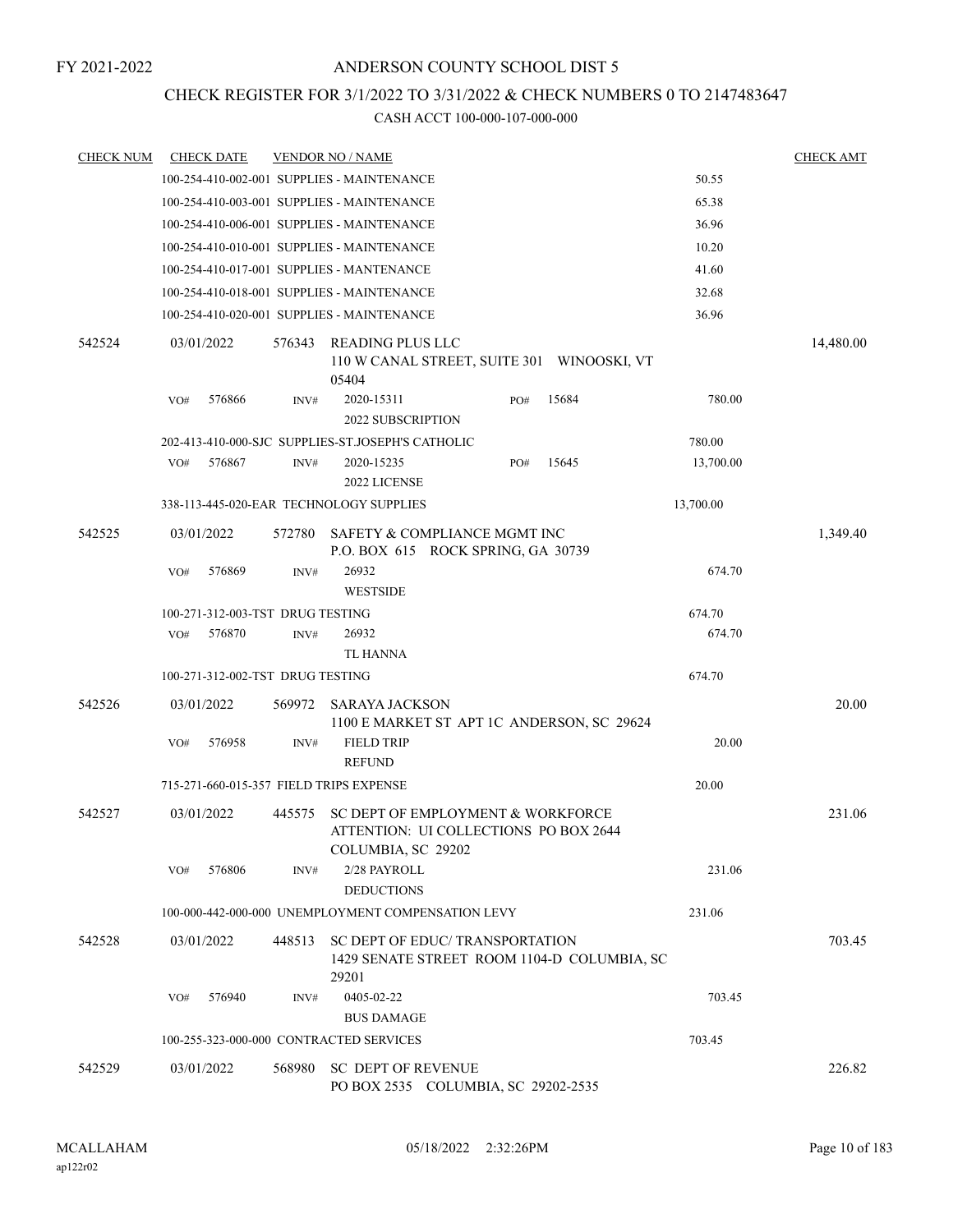## CHECK REGISTER FOR 3/1/2022 TO 3/31/2022 & CHECK NUMBERS 0 TO 2147483647

| <b>CHECK NUM</b> |     | <b>CHECK DATE</b>                |        | <b>VENDOR NO / NAME</b>                                                                          |     |       |           | <b>CHECK AMT</b> |
|------------------|-----|----------------------------------|--------|--------------------------------------------------------------------------------------------------|-----|-------|-----------|------------------|
|                  |     |                                  |        | 100-254-410-002-001 SUPPLIES - MAINTENANCE                                                       |     |       | 50.55     |                  |
|                  |     |                                  |        | 100-254-410-003-001 SUPPLIES - MAINTENANCE                                                       |     |       | 65.38     |                  |
|                  |     |                                  |        | 100-254-410-006-001 SUPPLIES - MAINTENANCE                                                       |     |       | 36.96     |                  |
|                  |     |                                  |        | 100-254-410-010-001 SUPPLIES - MAINTENANCE                                                       |     |       | 10.20     |                  |
|                  |     |                                  |        | 100-254-410-017-001 SUPPLIES - MANTENANCE                                                        |     |       | 41.60     |                  |
|                  |     |                                  |        | 100-254-410-018-001 SUPPLIES - MAINTENANCE                                                       |     |       | 32.68     |                  |
|                  |     |                                  |        | 100-254-410-020-001 SUPPLIES - MAINTENANCE                                                       |     |       | 36.96     |                  |
| 542524           |     | 03/01/2022                       | 576343 | READING PLUS LLC<br>110 W CANAL STREET, SUITE 301 WINOOSKI, VT<br>05404                          |     |       |           | 14,480.00        |
|                  | VO# | 576866                           | INV#   | 2020-15311<br><b>2022 SUBSCRIPTION</b>                                                           | PO# | 15684 | 780.00    |                  |
|                  |     |                                  |        | 202-413-410-000-SJC SUPPLIES-ST.JOSEPH'S CATHOLIC                                                |     |       | 780.00    |                  |
|                  | VO# | 576867                           | INV#   | 2020-15235<br>2022 LICENSE                                                                       | PO# | 15645 | 13,700.00 |                  |
|                  |     |                                  |        | 338-113-445-020-EAR TECHNOLOGY SUPPLIES                                                          |     |       | 13,700.00 |                  |
| 542525           |     | 03/01/2022                       | 572780 | SAFETY & COMPLIANCE MGMT INC                                                                     |     |       |           | 1,349.40         |
|                  |     |                                  |        | P.O. BOX 615 ROCK SPRING, GA 30739                                                               |     |       |           |                  |
|                  | VO# | 576869                           | INV#   | 26932<br><b>WESTSIDE</b>                                                                         |     |       | 674.70    |                  |
|                  |     | 100-271-312-003-TST DRUG TESTING |        |                                                                                                  |     |       | 674.70    |                  |
|                  | VO# | 576870                           | INV#   | 26932                                                                                            |     |       | 674.70    |                  |
|                  |     |                                  |        | <b>TL HANNA</b>                                                                                  |     |       |           |                  |
|                  |     | 100-271-312-002-TST DRUG TESTING |        |                                                                                                  |     |       | 674.70    |                  |
| 542526           |     | 03/01/2022                       | 569972 | <b>SARAYA JACKSON</b><br>1100 E MARKET ST APT 1C ANDERSON, SC 29624                              |     |       |           | 20.00            |
|                  | VO# | 576958                           | INV#   | <b>FIELD TRIP</b><br><b>REFUND</b>                                                               |     |       | 20.00     |                  |
|                  |     |                                  |        | 715-271-660-015-357 FIELD TRIPS EXPENSE                                                          |     |       | 20.00     |                  |
| 542527           |     | 03/01/2022                       | 445575 | SC DEPT OF EMPLOYMENT & WORKFORCE<br>ATTENTION: UI COLLECTIONS PO BOX 2644<br>COLUMBIA, SC 29202 |     |       |           | 231.06           |
|                  | VO# | 576806                           | INV#   | 2/28 PAYROLL<br><b>DEDUCTIONS</b>                                                                |     |       | 231.06    |                  |
|                  |     |                                  |        | 100-000-442-000-000 UNEMPLOYMENT COMPENSATION LEVY                                               |     |       | 231.06    |                  |
| 542528           |     | 03/01/2022                       | 448513 | SC DEPT OF EDUC/TRANSPORTATION<br>1429 SENATE STREET ROOM 1104-D COLUMBIA, SC                    |     |       |           | 703.45           |
|                  | VO# | 576940                           | INV#   | 29201<br>0405-02-22                                                                              |     |       | 703.45    |                  |
|                  |     |                                  |        | <b>BUS DAMAGE</b>                                                                                |     |       |           |                  |
|                  |     |                                  |        | 100-255-323-000-000 CONTRACTED SERVICES                                                          |     |       | 703.45    |                  |
| 542529           |     | 03/01/2022                       | 568980 | <b>SC DEPT OF REVENUE</b>                                                                        |     |       |           | 226.82           |
|                  |     |                                  |        | PO BOX 2535 COLUMBIA, SC 29202-2535                                                              |     |       |           |                  |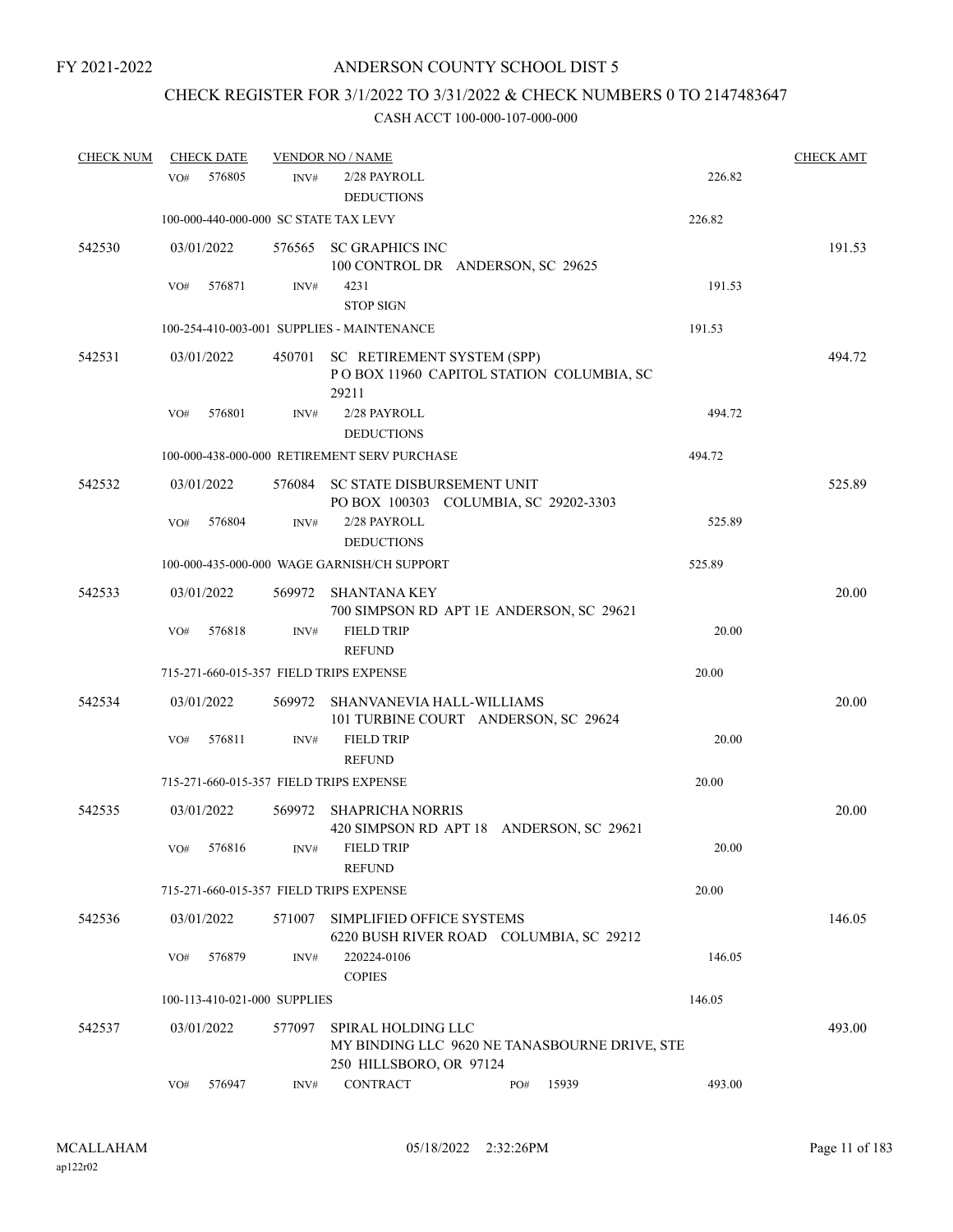## CHECK REGISTER FOR 3/1/2022 TO 3/31/2022 & CHECK NUMBERS 0 TO 2147483647

| <b>CHECK NUM</b> |            | <b>CHECK DATE</b> |                              | <b>VENDOR NO / NAME</b>                                                                        |     |       |        | <b>CHECK AMT</b> |
|------------------|------------|-------------------|------------------------------|------------------------------------------------------------------------------------------------|-----|-------|--------|------------------|
|                  | VO#        | 576805            | INV#                         | 2/28 PAYROLL<br><b>DEDUCTIONS</b>                                                              |     |       | 226.82 |                  |
|                  |            |                   |                              | 100-000-440-000-000 SC STATE TAX LEVY                                                          |     |       | 226.82 |                  |
| 542530           | 03/01/2022 |                   |                              | 576565 SC GRAPHICS INC<br>100 CONTROL DR ANDERSON, SC 29625                                    |     |       |        | 191.53           |
|                  | VO#        | 576871            | INV#                         | 4231<br><b>STOP SIGN</b>                                                                       |     |       | 191.53 |                  |
|                  |            |                   |                              | 100-254-410-003-001 SUPPLIES - MAINTENANCE                                                     |     |       | 191.53 |                  |
| 542531           | 03/01/2022 |                   | 450701                       | SC RETIREMENT SYSTEM (SPP)<br>POBOX 11960 CAPITOL STATION COLUMBIA, SC<br>29211                |     |       |        | 494.72           |
|                  | VO#        | 576801            | INV#                         | 2/28 PAYROLL<br><b>DEDUCTIONS</b>                                                              |     |       | 494.72 |                  |
|                  |            |                   |                              | 100-000-438-000-000 RETIREMENT SERV PURCHASE                                                   |     |       | 494.72 |                  |
| 542532           | 03/01/2022 |                   | 576084                       | SC STATE DISBURSEMENT UNIT<br>PO BOX 100303 COLUMBIA, SC 29202-3303                            |     |       |        | 525.89           |
|                  | VO#        | 576804            | INV#                         | 2/28 PAYROLL<br><b>DEDUCTIONS</b>                                                              |     |       | 525.89 |                  |
|                  |            |                   |                              | 100-000-435-000-000 WAGE GARNISH/CH SUPPORT                                                    |     |       | 525.89 |                  |
| 542533           | 03/01/2022 |                   | 569972                       | SHANTANA KEY<br>700 SIMPSON RD APT 1E ANDERSON, SC 29621                                       |     |       |        | 20.00            |
|                  | VO#        | 576818            | INV#                         | <b>FIELD TRIP</b><br><b>REFUND</b>                                                             |     |       | 20.00  |                  |
|                  |            |                   |                              | 715-271-660-015-357 FIELD TRIPS EXPENSE                                                        |     |       | 20.00  |                  |
| 542534           | 03/01/2022 |                   | 569972                       | SHANVANEVIA HALL-WILLIAMS<br>101 TURBINE COURT ANDERSON, SC 29624                              |     |       |        | 20.00            |
|                  | VO#        | 576811            | INV#                         | <b>FIELD TRIP</b><br><b>REFUND</b>                                                             |     |       | 20.00  |                  |
|                  |            |                   |                              | 715-271-660-015-357 FIELD TRIPS EXPENSE                                                        |     |       | 20.00  |                  |
| 542535           | 03/01/2022 |                   | 569972                       | <b>SHAPRICHA NORRIS</b><br>420 SIMPSON RD APT 18 ANDERSON, SC 29621                            |     |       |        | 20.00            |
|                  | VO#        | 576816            | INV#                         | <b>FIELD TRIP</b><br><b>REFUND</b>                                                             |     |       | 20.00  |                  |
|                  |            |                   |                              | 715-271-660-015-357 FIELD TRIPS EXPENSE                                                        |     |       | 20.00  |                  |
| 542536           | 03/01/2022 |                   | 571007                       | SIMPLIFIED OFFICE SYSTEMS<br>6220 BUSH RIVER ROAD COLUMBIA, SC 29212                           |     |       |        | 146.05           |
|                  | VO#        | 576879            | INV#                         | 220224-0106<br><b>COPIES</b>                                                                   |     |       | 146.05 |                  |
|                  |            |                   | 100-113-410-021-000 SUPPLIES |                                                                                                |     |       | 146.05 |                  |
| 542537           | 03/01/2022 |                   | 577097                       | SPIRAL HOLDING LLC<br>MY BINDING LLC 9620 NE TANASBOURNE DRIVE, STE<br>250 HILLSBORO, OR 97124 |     |       |        | 493.00           |
|                  | VO#        | 576947            | INV#                         | <b>CONTRACT</b>                                                                                | PO# | 15939 | 493.00 |                  |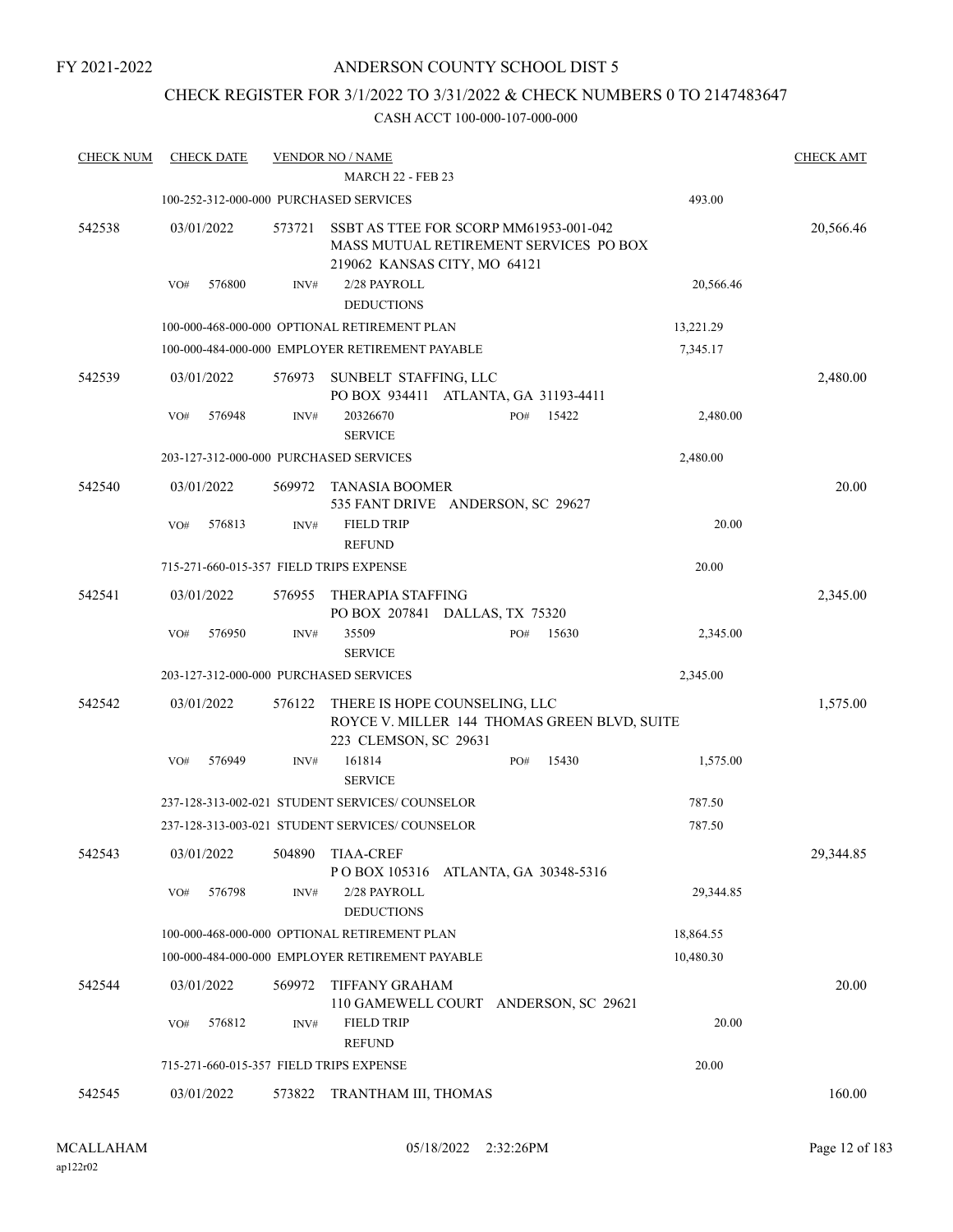## CHECK REGISTER FOR 3/1/2022 TO 3/31/2022 & CHECK NUMBERS 0 TO 2147483647

| <b>CHECK NUM</b> | <b>CHECK DATE</b>                       |        | <b>VENDOR NO / NAME</b>                                                                                          |     |                        |           | <b>CHECK AMT</b> |
|------------------|-----------------------------------------|--------|------------------------------------------------------------------------------------------------------------------|-----|------------------------|-----------|------------------|
|                  |                                         |        | <b>MARCH 22 - FEB 23</b>                                                                                         |     |                        |           |                  |
|                  | 100-252-312-000-000 PURCHASED SERVICES  |        |                                                                                                                  |     |                        | 493.00    |                  |
| 542538           | 03/01/2022                              | 573721 | SSBT AS TTEE FOR SCORP MM61953-001-042<br>MASS MUTUAL RETIREMENT SERVICES PO BOX<br>219062 KANSAS CITY, MO 64121 |     |                        |           | 20,566.46        |
|                  | 576800<br>VO#                           | INV#   | 2/28 PAYROLL                                                                                                     |     |                        | 20,566.46 |                  |
|                  |                                         |        | <b>DEDUCTIONS</b>                                                                                                |     |                        |           |                  |
|                  |                                         |        | 100-000-468-000-000 OPTIONAL RETIREMENT PLAN                                                                     |     |                        | 13,221.29 |                  |
|                  |                                         |        | 100-000-484-000-000 EMPLOYER RETIREMENT PAYABLE                                                                  |     |                        | 7,345.17  |                  |
| 542539           | 03/01/2022                              | 576973 | SUNBELT STAFFING, LLC<br>PO BOX 934411 ATLANTA, GA 31193-4411                                                    |     |                        |           | 2,480.00         |
|                  | 576948<br>VO#                           | INV#   | 20326670<br><b>SERVICE</b>                                                                                       | PO# | 15422                  | 2,480.00  |                  |
|                  | 203-127-312-000-000 PURCHASED SERVICES  |        |                                                                                                                  |     |                        | 2,480.00  |                  |
| 542540           | 03/01/2022                              | 569972 | TANASIA BOOMER<br>535 FANT DRIVE ANDERSON, SC 29627                                                              |     |                        |           | 20.00            |
|                  | 576813<br>VO#                           | INV#   | <b>FIELD TRIP</b><br><b>REFUND</b>                                                                               |     |                        | 20.00     |                  |
|                  | 715-271-660-015-357 FIELD TRIPS EXPENSE |        |                                                                                                                  |     |                        | 20.00     |                  |
| 542541           | 03/01/2022                              | 576955 | THERAPIA STAFFING<br>PO BOX 207841 DALLAS, TX 75320                                                              |     |                        |           | 2,345.00         |
|                  | VO#<br>576950                           | INV#   | 35509<br><b>SERVICE</b>                                                                                          | PO# | 15630                  | 2,345.00  |                  |
|                  | 203-127-312-000-000 PURCHASED SERVICES  |        |                                                                                                                  |     |                        | 2,345.00  |                  |
| 542542           | 03/01/2022                              | 576122 | THERE IS HOPE COUNSELING, LLC<br>ROYCE V. MILLER 144 THOMAS GREEN BLVD, SUITE<br>223 CLEMSON, SC 29631           |     |                        |           | 1,575.00         |
|                  | 576949<br>VO#                           | INV#   | 161814<br><b>SERVICE</b>                                                                                         | PO# | 15430                  | 1,575.00  |                  |
|                  |                                         |        | 237-128-313-002-021 STUDENT SERVICES/ COUNSELOR                                                                  |     |                        | 787.50    |                  |
|                  |                                         |        | 237-128-313-003-021 STUDENT SERVICES/COUNSELOR                                                                   |     |                        | 787.50    |                  |
| 542543           | 03/01/2022                              | 504890 | <b>TIAA-CREF</b><br>PO BOX 105316                                                                                |     | ATLANTA, GA 30348-5316 |           | 29,344.85        |
|                  | 576798<br>VO#                           | INV#   | 2/28 PAYROLL<br><b>DEDUCTIONS</b>                                                                                |     |                        | 29,344.85 |                  |
|                  |                                         |        | 100-000-468-000-000 OPTIONAL RETIREMENT PLAN                                                                     |     |                        | 18,864.55 |                  |
|                  |                                         |        | 100-000-484-000-000 EMPLOYER RETIREMENT PAYABLE                                                                  |     |                        | 10,480.30 |                  |
| 542544           | 03/01/2022                              | 569972 | <b>TIFFANY GRAHAM</b><br>110 GAMEWELL COURT ANDERSON, SC 29621                                                   |     |                        |           | 20.00            |
|                  | 576812<br>VO#                           | INV#   | <b>FIELD TRIP</b><br><b>REFUND</b>                                                                               |     |                        | 20.00     |                  |
|                  | 715-271-660-015-357 FIELD TRIPS EXPENSE |        |                                                                                                                  |     |                        | 20.00     |                  |
| 542545           | 03/01/2022                              | 573822 | TRANTHAM III, THOMAS                                                                                             |     |                        |           | 160.00           |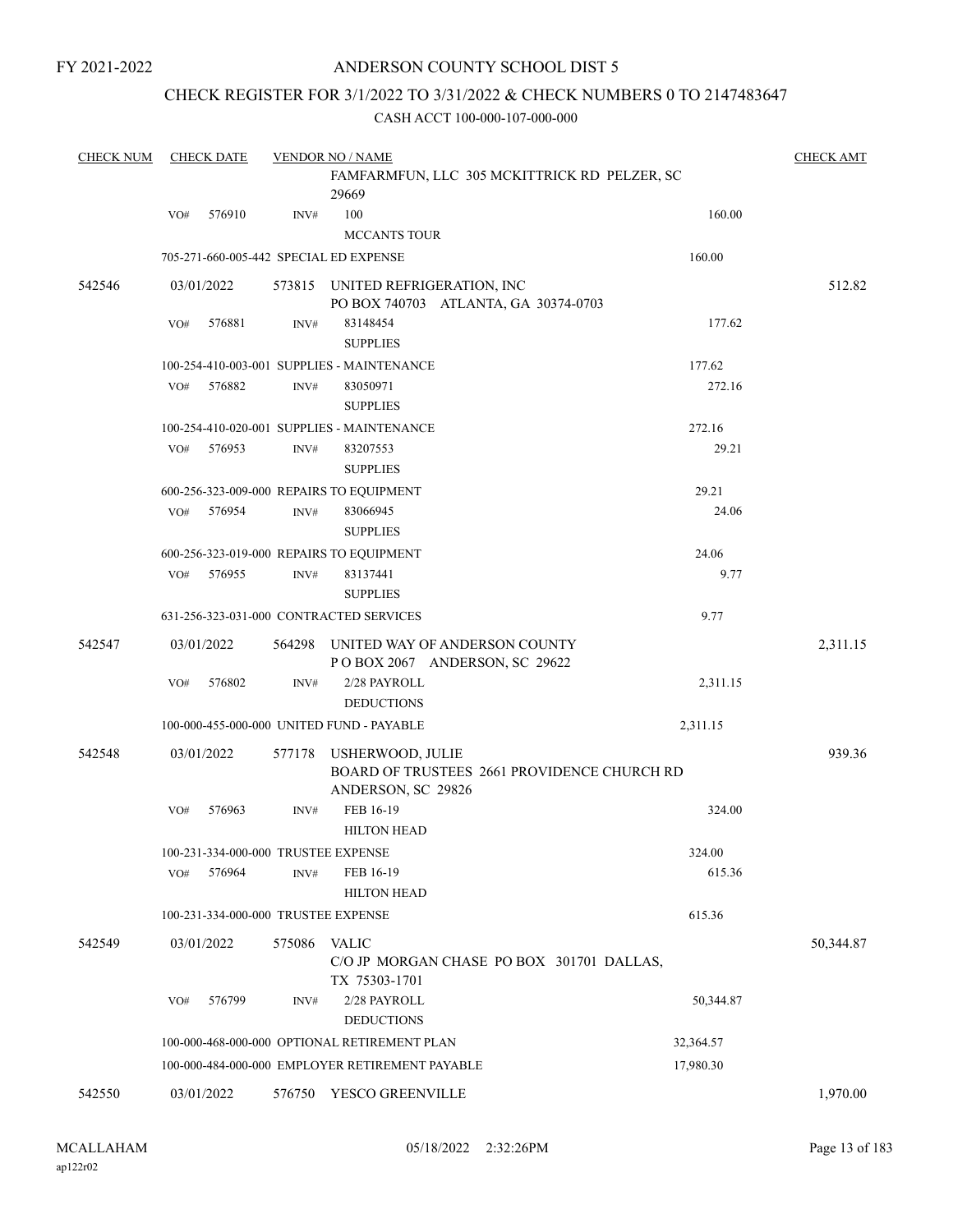## ANDERSON COUNTY SCHOOL DIST 5

## CHECK REGISTER FOR 3/1/2022 TO 3/31/2022 & CHECK NUMBERS 0 TO 2147483647

| <b>CHECK NUM</b> |     | <b>CHECK DATE</b> |                | <b>VENDOR NO / NAME</b>                                        |           | <b>CHECK AMT</b> |
|------------------|-----|-------------------|----------------|----------------------------------------------------------------|-----------|------------------|
|                  |     |                   |                | FAMFARMFUN, LLC 305 MCKITTRICK RD PELZER, SC                   |           |                  |
|                  |     |                   |                | 29669                                                          |           |                  |
|                  | VO# | 576910            | INV#           | 100                                                            | 160.00    |                  |
|                  |     |                   |                | <b>MCCANTS TOUR</b>                                            |           |                  |
|                  |     |                   |                | 705-271-660-005-442 SPECIAL ED EXPENSE                         | 160.00    |                  |
| 542546           |     | 03/01/2022        |                | 573815 UNITED REFRIGERATION, INC                               |           | 512.82           |
|                  |     |                   |                | PO BOX 740703 ATLANTA, GA 30374-0703                           |           |                  |
|                  | VO# | 576881            | $\text{INV}\#$ | 83148454                                                       | 177.62    |                  |
|                  |     |                   |                | <b>SUPPLIES</b>                                                |           |                  |
|                  |     |                   |                | 100-254-410-003-001 SUPPLIES - MAINTENANCE                     | 177.62    |                  |
|                  | VO# | 576882            | INV#           | 83050971                                                       | 272.16    |                  |
|                  |     |                   |                | <b>SUPPLIES</b>                                                |           |                  |
|                  |     |                   |                | 100-254-410-020-001 SUPPLIES - MAINTENANCE                     | 272.16    |                  |
|                  | VO# | 576953            | INV#           | 83207553                                                       | 29.21     |                  |
|                  |     |                   |                | <b>SUPPLIES</b>                                                |           |                  |
|                  |     |                   |                | 600-256-323-009-000 REPAIRS TO EQUIPMENT                       | 29.21     |                  |
|                  | VO# | 576954            | INV#           | 83066945                                                       | 24.06     |                  |
|                  |     |                   |                |                                                                |           |                  |
|                  |     |                   |                | <b>SUPPLIES</b>                                                |           |                  |
|                  |     |                   |                | 600-256-323-019-000 REPAIRS TO EQUIPMENT                       | 24.06     |                  |
|                  | VO# | 576955            | $\text{INV}\#$ | 83137441                                                       | 9.77      |                  |
|                  |     |                   |                | <b>SUPPLIES</b>                                                |           |                  |
|                  |     |                   |                | 631-256-323-031-000 CONTRACTED SERVICES                        | 9.77      |                  |
| 542547           |     | 03/01/2022        | 564298         | UNITED WAY OF ANDERSON COUNTY<br>POBOX 2067 ANDERSON, SC 29622 |           | 2,311.15         |
|                  | VO# | 576802            | INV#           | 2/28 PAYROLL                                                   | 2,311.15  |                  |
|                  |     |                   |                | <b>DEDUCTIONS</b>                                              |           |                  |
|                  |     |                   |                | 100-000-455-000-000 UNITED FUND - PAYABLE                      | 2,311.15  |                  |
| 542548           |     | 03/01/2022        | 577178         | <b>USHERWOOD, JULIE</b>                                        |           | 939.36           |
|                  |     |                   |                | BOARD OF TRUSTEES 2661 PROVIDENCE CHURCH RD                    |           |                  |
|                  |     |                   |                | ANDERSON, SC 29826                                             |           |                  |
|                  | VO# | 576963            | INV#           | FEB 16-19                                                      | 324.00    |                  |
|                  |     |                   |                | <b>HILTON HEAD</b>                                             |           |                  |
|                  |     |                   |                | 100-231-334-000-000 TRUSTEE EXPENSE                            | 324.00    |                  |
|                  | VO# | 576964            | INV#           | FEB 16-19                                                      | 615.36    |                  |
|                  |     |                   |                | <b>HILTON HEAD</b>                                             |           |                  |
|                  |     |                   |                | 100-231-334-000-000 TRUSTEE EXPENSE                            | 615.36    |                  |
| 542549           |     | 03/01/2022        | 575086         | <b>VALIC</b>                                                   |           | 50,344.87        |
|                  |     |                   |                | C/O JP MORGAN CHASE PO BOX 301701 DALLAS,<br>TX 75303-1701     |           |                  |
|                  | VO# | 576799            | INV#           | 2/28 PAYROLL<br><b>DEDUCTIONS</b>                              | 50,344.87 |                  |
|                  |     |                   |                | 100-000-468-000-000 OPTIONAL RETIREMENT PLAN                   | 32,364.57 |                  |
|                  |     |                   |                | 100-000-484-000-000 EMPLOYER RETIREMENT PAYABLE                | 17,980.30 |                  |
| 542550           |     | 03/01/2022        | 576750         | YESCO GREENVILLE                                               |           | 1,970.00         |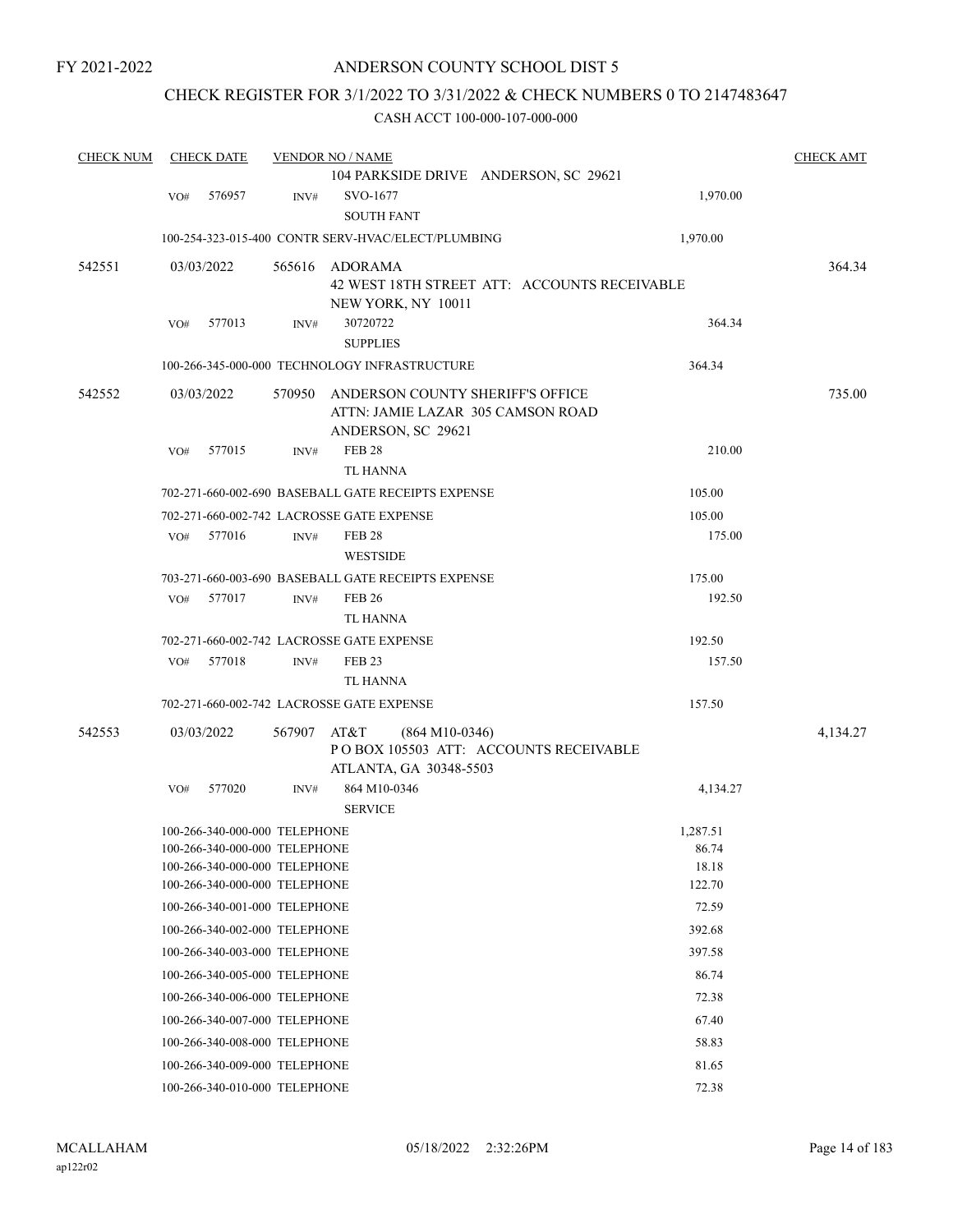## CHECK REGISTER FOR 3/1/2022 TO 3/31/2022 & CHECK NUMBERS 0 TO 2147483647

| <b>CHECK NUM</b> |     | <b>CHECK DATE</b>             |        | <b>VENDOR NO / NAME</b>                                                                     |                                              | <b>CHECK AMT</b> |
|------------------|-----|-------------------------------|--------|---------------------------------------------------------------------------------------------|----------------------------------------------|------------------|
|                  |     |                               |        | 104 PARKSIDE DRIVE ANDERSON, SC 29621                                                       |                                              |                  |
|                  | VO# | 576957                        | INV#   | SVO-1677                                                                                    | 1,970.00                                     |                  |
|                  |     |                               |        | <b>SOUTH FANT</b>                                                                           |                                              |                  |
|                  |     |                               |        | 100-254-323-015-400 CONTR SERV-HVAC/ELECT/PLUMBING                                          | 1,970.00                                     |                  |
| 542551           |     | 03/03/2022                    | 565616 | ADORAMA                                                                                     |                                              | 364.34           |
|                  |     |                               |        |                                                                                             | 42 WEST 18TH STREET ATT: ACCOUNTS RECEIVABLE |                  |
|                  |     |                               |        | NEW YORK, NY 10011                                                                          |                                              |                  |
|                  | VO# | 577013                        | INV#   | 30720722                                                                                    | 364.34                                       |                  |
|                  |     |                               |        | <b>SUPPLIES</b>                                                                             |                                              |                  |
|                  |     |                               |        | 100-266-345-000-000 TECHNOLOGY INFRASTRUCTURE                                               | 364.34                                       |                  |
| 542552           |     | 03/03/2022                    | 570950 | ANDERSON COUNTY SHERIFF'S OFFICE<br>ATTN: JAMIE LAZAR 305 CAMSON ROAD                       |                                              | 735.00           |
|                  |     |                               |        | ANDERSON, SC 29621                                                                          |                                              |                  |
|                  | VO# | 577015                        | INV#   | <b>FEB 28</b><br><b>TL HANNA</b>                                                            | 210.00                                       |                  |
|                  |     |                               |        | 702-271-660-002-690 BASEBALL GATE RECEIPTS EXPENSE                                          | 105.00                                       |                  |
|                  |     |                               |        | 702-271-660-002-742 LACROSSE GATE EXPENSE                                                   | 105.00                                       |                  |
|                  | VO# | 577016                        | INV#   | <b>FEB 28</b>                                                                               | 175.00                                       |                  |
|                  |     |                               |        | <b>WESTSIDE</b>                                                                             |                                              |                  |
|                  |     |                               |        | 703-271-660-003-690 BASEBALL GATE RECEIPTS EXPENSE                                          | 175.00                                       |                  |
|                  | VO# | 577017                        | INV#   | <b>FEB 26</b>                                                                               | 192.50                                       |                  |
|                  |     |                               |        | <b>TL HANNA</b>                                                                             |                                              |                  |
|                  |     |                               |        | 702-271-660-002-742 LACROSSE GATE EXPENSE                                                   | 192.50                                       |                  |
|                  | VO# | 577018                        | INV#   | <b>FEB 23</b>                                                                               | 157.50                                       |                  |
|                  |     |                               |        | <b>TL HANNA</b>                                                                             |                                              |                  |
|                  |     |                               |        | 702-271-660-002-742 LACROSSE GATE EXPENSE                                                   | 157.50                                       |                  |
| 542553           |     | 03/03/2022                    | 567907 | AT&T<br>$(864 M10-0346)$<br>POBOX 105503 ATT: ACCOUNTS RECEIVABLE<br>ATLANTA, GA 30348-5503 |                                              | 4,134.27         |
|                  | VO# | 577020                        | INV#   | 864 M10-0346                                                                                | 4,134.27                                     |                  |
|                  |     |                               |        | <b>SERVICE</b>                                                                              |                                              |                  |
|                  |     | 100-266-340-000-000 TELEPHONE |        |                                                                                             | 1,287.51                                     |                  |
|                  |     | 100-266-340-000-000 TELEPHONE |        |                                                                                             | 86.74                                        |                  |
|                  |     | 100-266-340-000-000 TELEPHONE |        |                                                                                             | 18.18                                        |                  |
|                  |     | 100-266-340-000-000 TELEPHONE |        |                                                                                             | 122.70                                       |                  |
|                  |     | 100-266-340-001-000 TELEPHONE |        |                                                                                             | 72.59                                        |                  |
|                  |     | 100-266-340-002-000 TELEPHONE |        |                                                                                             | 392.68                                       |                  |
|                  |     | 100-266-340-003-000 TELEPHONE |        |                                                                                             | 397.58                                       |                  |
|                  |     | 100-266-340-005-000 TELEPHONE |        |                                                                                             | 86.74                                        |                  |
|                  |     | 100-266-340-006-000 TELEPHONE |        |                                                                                             | 72.38                                        |                  |
|                  |     | 100-266-340-007-000 TELEPHONE |        |                                                                                             | 67.40                                        |                  |
|                  |     | 100-266-340-008-000 TELEPHONE |        |                                                                                             | 58.83                                        |                  |
|                  |     | 100-266-340-009-000 TELEPHONE |        |                                                                                             | 81.65                                        |                  |
|                  |     | 100-266-340-010-000 TELEPHONE |        |                                                                                             | 72.38                                        |                  |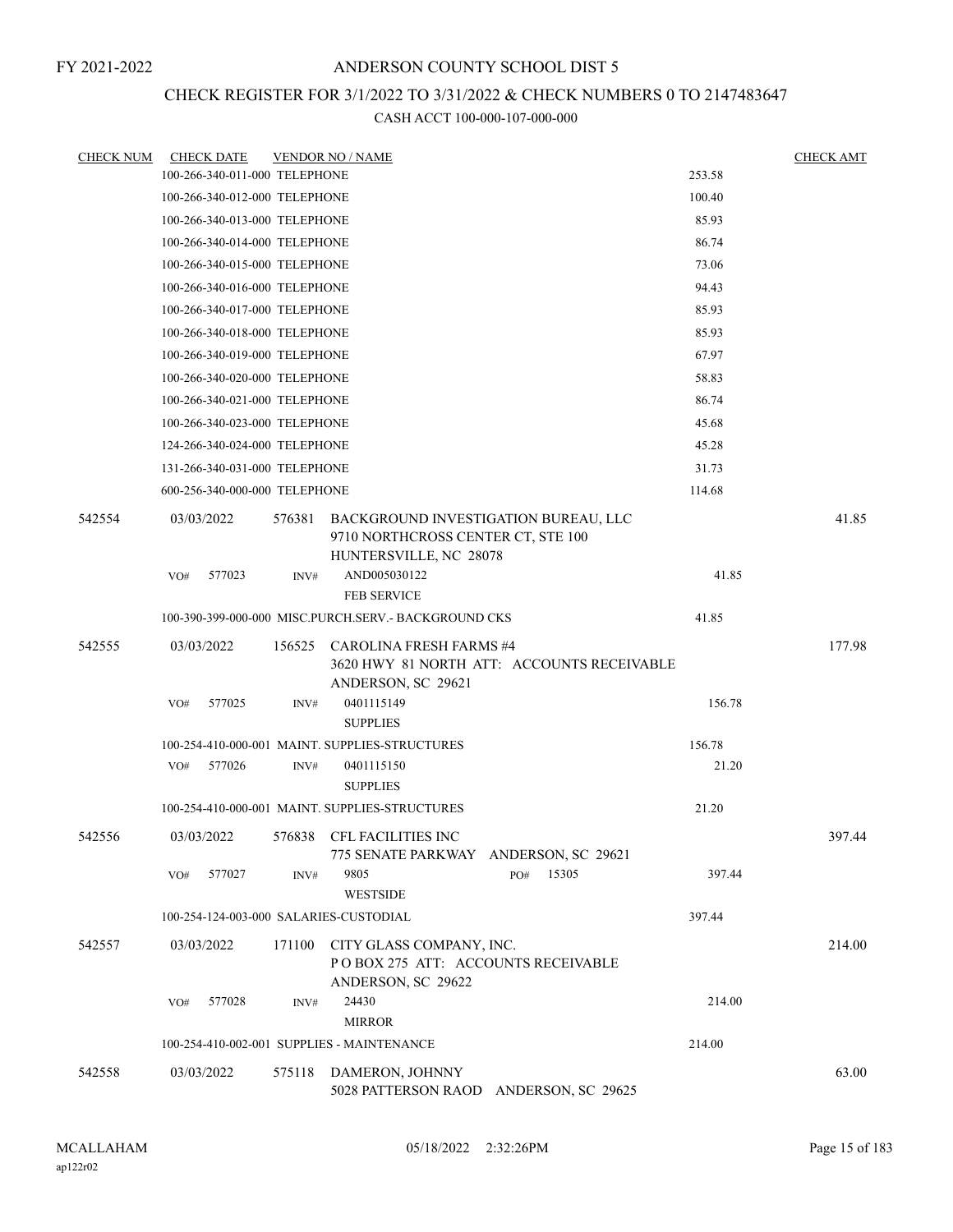## CHECK REGISTER FOR 3/1/2022 TO 3/31/2022 & CHECK NUMBERS 0 TO 2147483647

| <b>CHECK NUM</b> | <b>CHECK DATE</b>                      |        | <b>VENDOR NO / NAME</b>                                                                              |                                            |        | <b>CHECK AMT</b> |
|------------------|----------------------------------------|--------|------------------------------------------------------------------------------------------------------|--------------------------------------------|--------|------------------|
|                  | 100-266-340-011-000 TELEPHONE          |        |                                                                                                      |                                            | 253.58 |                  |
|                  | 100-266-340-012-000 TELEPHONE          |        |                                                                                                      |                                            | 100.40 |                  |
|                  | 100-266-340-013-000 TELEPHONE          |        |                                                                                                      |                                            | 85.93  |                  |
|                  | 100-266-340-014-000 TELEPHONE          |        |                                                                                                      |                                            | 86.74  |                  |
|                  | 100-266-340-015-000 TELEPHONE          |        |                                                                                                      |                                            | 73.06  |                  |
|                  | 100-266-340-016-000 TELEPHONE          |        |                                                                                                      |                                            | 94.43  |                  |
|                  | 100-266-340-017-000 TELEPHONE          |        |                                                                                                      |                                            | 85.93  |                  |
|                  | 100-266-340-018-000 TELEPHONE          |        |                                                                                                      |                                            | 85.93  |                  |
|                  | 100-266-340-019-000 TELEPHONE          |        |                                                                                                      |                                            | 67.97  |                  |
|                  | 100-266-340-020-000 TELEPHONE          |        |                                                                                                      |                                            | 58.83  |                  |
|                  | 100-266-340-021-000 TELEPHONE          |        |                                                                                                      |                                            | 86.74  |                  |
|                  | 100-266-340-023-000 TELEPHONE          |        |                                                                                                      |                                            | 45.68  |                  |
|                  | 124-266-340-024-000 TELEPHONE          |        |                                                                                                      |                                            | 45.28  |                  |
|                  | 131-266-340-031-000 TELEPHONE          |        |                                                                                                      |                                            | 31.73  |                  |
|                  | 600-256-340-000-000 TELEPHONE          |        |                                                                                                      |                                            | 114.68 |                  |
| 542554           | 03/03/2022                             | 576381 | BACKGROUND INVESTIGATION BUREAU, LLC<br>9710 NORTHCROSS CENTER CT, STE 100<br>HUNTERSVILLE, NC 28078 |                                            |        | 41.85            |
|                  | 577023<br>VO#                          | INV#   | AND005030122<br><b>FEB SERVICE</b>                                                                   |                                            | 41.85  |                  |
|                  |                                        |        | 100-390-399-000-000 MISC.PURCH.SERV. - BACKGROUND CKS                                                |                                            | 41.85  |                  |
| 542555           | 03/03/2022                             | 156525 | CAROLINA FRESH FARMS #4<br>ANDERSON, SC 29621                                                        | 3620 HWY 81 NORTH ATT: ACCOUNTS RECEIVABLE |        | 177.98           |
|                  | 577025<br>VO#                          | INV#   | 0401115149<br><b>SUPPLIES</b>                                                                        |                                            | 156.78 |                  |
|                  |                                        |        | 100-254-410-000-001 MAINT. SUPPLIES-STRUCTURES                                                       |                                            | 156.78 |                  |
|                  | 577026<br>VO#                          | INV#   | 0401115150<br><b>SUPPLIES</b>                                                                        |                                            | 21.20  |                  |
|                  |                                        |        | 100-254-410-000-001 MAINT. SUPPLIES-STRUCTURES                                                       |                                            | 21.20  |                  |
| 542556           | 03/03/2022                             | 576838 | CFL FACILITIES INC<br>775 SENATE PARKWAY ANDERSON, SC 29621                                          |                                            |        | 397.44           |
|                  | 577027<br>VO#                          | INV#   | 9805<br><b>WESTSIDE</b>                                                                              | 15305<br>PO#                               | 397.44 |                  |
|                  | 100-254-124-003-000 SALARIES-CUSTODIAL |        |                                                                                                      |                                            | 397.44 |                  |
| 542557           | 03/03/2022                             | 171100 | CITY GLASS COMPANY, INC.<br>POBOX 275 ATT: ACCOUNTS RECEIVABLE<br>ANDERSON, SC 29622                 |                                            |        | 214.00           |
|                  | 577028<br>VO#                          | INV#   | 24430<br><b>MIRROR</b>                                                                               |                                            | 214.00 |                  |
|                  |                                        |        | 100-254-410-002-001 SUPPLIES - MAINTENANCE                                                           |                                            | 214.00 |                  |
| 542558           | 03/03/2022                             | 575118 | DAMERON, JOHNNY                                                                                      | 5028 PATTERSON RAOD ANDERSON, SC 29625     |        | 63.00            |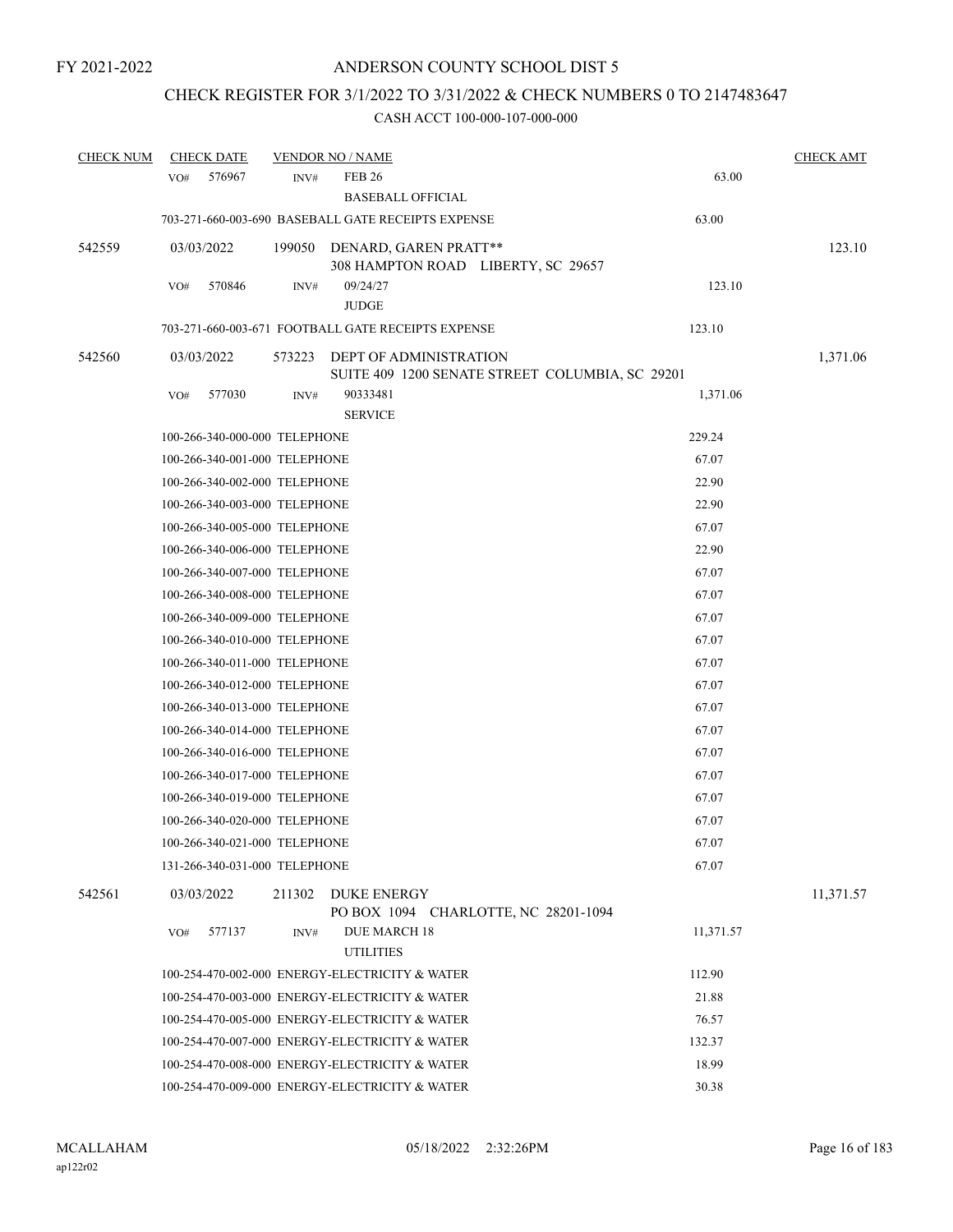# CHECK REGISTER FOR 3/1/2022 TO 3/31/2022 & CHECK NUMBERS 0 TO 2147483647

| <b>CHECK NUM</b> | <b>CHECK DATE</b> |                               | <b>VENDOR NO / NAME</b>                            |                                                 |           | <b>CHECK AMT</b> |
|------------------|-------------------|-------------------------------|----------------------------------------------------|-------------------------------------------------|-----------|------------------|
|                  | 576967<br>VO#     | INV#                          | <b>FEB 26</b>                                      |                                                 | 63.00     |                  |
|                  |                   |                               | <b>BASEBALL OFFICIAL</b>                           |                                                 |           |                  |
|                  |                   |                               | 703-271-660-003-690 BASEBALL GATE RECEIPTS EXPENSE |                                                 | 63.00     |                  |
| 542559           | 03/03/2022        |                               | 199050 DENARD, GAREN PRATT**                       | 308 HAMPTON ROAD LIBERTY, SC 29657              |           | 123.10           |
|                  | 570846<br>VO#     | INV#                          | 09/24/27                                           |                                                 | 123.10    |                  |
|                  |                   |                               | <b>JUDGE</b>                                       |                                                 |           |                  |
|                  |                   |                               | 703-271-660-003-671 FOOTBALL GATE RECEIPTS EXPENSE |                                                 | 123.10    |                  |
| 542560           | 03/03/2022        | 573223                        | DEPT OF ADMINISTRATION                             | SUITE 409 1200 SENATE STREET COLUMBIA, SC 29201 |           | 1,371.06         |
|                  | VO#<br>577030     | INV#                          | 90333481<br><b>SERVICE</b>                         |                                                 | 1,371.06  |                  |
|                  |                   | 100-266-340-000-000 TELEPHONE |                                                    |                                                 | 229.24    |                  |
|                  |                   | 100-266-340-001-000 TELEPHONE |                                                    |                                                 | 67.07     |                  |
|                  |                   | 100-266-340-002-000 TELEPHONE |                                                    |                                                 | 22.90     |                  |
|                  |                   | 100-266-340-003-000 TELEPHONE |                                                    |                                                 | 22.90     |                  |
|                  |                   | 100-266-340-005-000 TELEPHONE |                                                    |                                                 | 67.07     |                  |
|                  |                   | 100-266-340-006-000 TELEPHONE |                                                    |                                                 | 22.90     |                  |
|                  |                   | 100-266-340-007-000 TELEPHONE |                                                    |                                                 | 67.07     |                  |
|                  |                   | 100-266-340-008-000 TELEPHONE |                                                    |                                                 | 67.07     |                  |
|                  |                   | 100-266-340-009-000 TELEPHONE |                                                    |                                                 | 67.07     |                  |
|                  |                   | 100-266-340-010-000 TELEPHONE |                                                    |                                                 | 67.07     |                  |
|                  |                   | 100-266-340-011-000 TELEPHONE |                                                    |                                                 | 67.07     |                  |
|                  |                   | 100-266-340-012-000 TELEPHONE |                                                    |                                                 | 67.07     |                  |
|                  |                   | 100-266-340-013-000 TELEPHONE |                                                    |                                                 | 67.07     |                  |
|                  |                   | 100-266-340-014-000 TELEPHONE |                                                    |                                                 | 67.07     |                  |
|                  |                   | 100-266-340-016-000 TELEPHONE |                                                    |                                                 | 67.07     |                  |
|                  |                   | 100-266-340-017-000 TELEPHONE |                                                    |                                                 | 67.07     |                  |
|                  |                   | 100-266-340-019-000 TELEPHONE |                                                    |                                                 | 67.07     |                  |
|                  |                   | 100-266-340-020-000 TELEPHONE |                                                    |                                                 | 67.07     |                  |
|                  |                   | 100-266-340-021-000 TELEPHONE |                                                    |                                                 | 67.07     |                  |
|                  |                   | 131-266-340-031-000 TELEPHONE |                                                    |                                                 | 67.07     |                  |
| 542561           | 03/03/2022        |                               | 211302 DUKE ENERGY                                 | PO BOX 1094 CHARLOTTE, NC 28201-1094            |           | 11,371.57        |
|                  | VO#<br>577137     | INV#                          | <b>DUE MARCH 18</b><br><b>UTILITIES</b>            |                                                 | 11,371.57 |                  |
|                  |                   |                               | 100-254-470-002-000 ENERGY-ELECTRICITY & WATER     |                                                 | 112.90    |                  |
|                  |                   |                               | 100-254-470-003-000 ENERGY-ELECTRICITY & WATER     |                                                 | 21.88     |                  |
|                  |                   |                               | 100-254-470-005-000 ENERGY-ELECTRICITY & WATER     |                                                 | 76.57     |                  |
|                  |                   |                               | 100-254-470-007-000 ENERGY-ELECTRICITY & WATER     |                                                 | 132.37    |                  |
|                  |                   |                               | 100-254-470-008-000 ENERGY-ELECTRICITY & WATER     |                                                 | 18.99     |                  |
|                  |                   |                               | 100-254-470-009-000 ENERGY-ELECTRICITY & WATER     |                                                 | 30.38     |                  |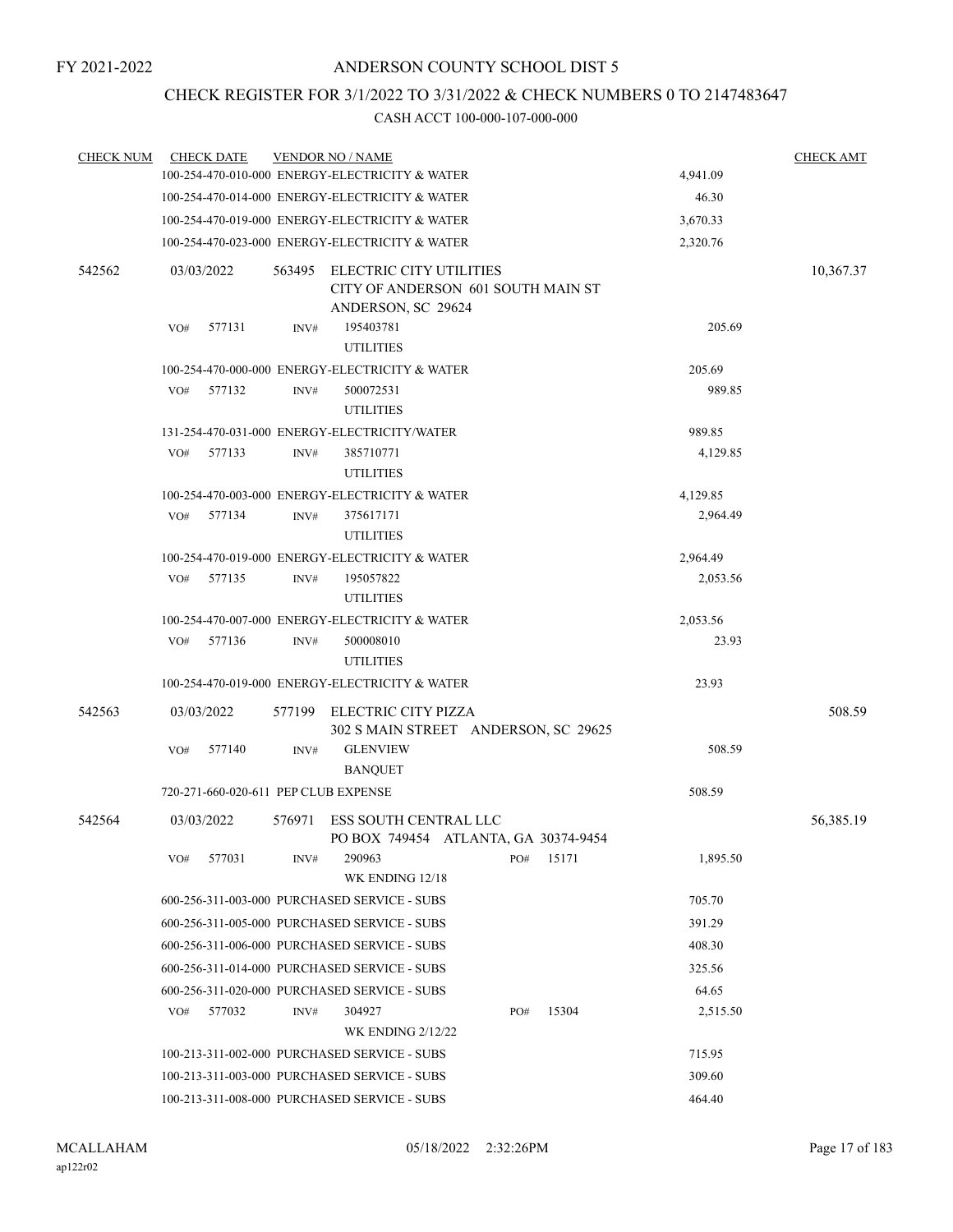## CHECK REGISTER FOR 3/1/2022 TO 3/31/2022 & CHECK NUMBERS 0 TO 2147483647

| <b>CHECK NUM</b> |                                                | <b>CHECK DATE</b>                              |        | <b>VENDOR NO / NAME</b>                                                             |        |          |          |          | <b>CHECK AMT</b> |
|------------------|------------------------------------------------|------------------------------------------------|--------|-------------------------------------------------------------------------------------|--------|----------|----------|----------|------------------|
|                  |                                                | 100-254-470-010-000 ENERGY-ELECTRICITY & WATER |        | 4,941.09                                                                            |        |          |          |          |                  |
|                  |                                                | 100-254-470-014-000 ENERGY-ELECTRICITY & WATER |        | 46.30                                                                               |        |          |          |          |                  |
|                  |                                                | 100-254-470-019-000 ENERGY-ELECTRICITY & WATER |        | 3,670.33                                                                            |        |          |          |          |                  |
|                  |                                                |                                                |        | 100-254-470-023-000 ENERGY-ELECTRICITY & WATER                                      |        |          |          | 2,320.76 |                  |
| 542562           |                                                | 03/03/2022                                     | 563495 | ELECTRIC CITY UTILITIES<br>CITY OF ANDERSON 601 SOUTH MAIN ST<br>ANDERSON, SC 29624 |        |          |          |          | 10,367.37        |
|                  | VO#                                            | 577131                                         | INV#   | 195403781                                                                           | 205.69 |          |          |          |                  |
|                  |                                                |                                                |        | <b>UTILITIES</b>                                                                    |        |          |          |          |                  |
|                  |                                                |                                                |        | 100-254-470-000-000 ENERGY-ELECTRICITY & WATER                                      |        |          |          | 205.69   |                  |
|                  | VO#                                            | 577132                                         | INV#   | 500072531                                                                           |        |          |          | 989.85   |                  |
|                  |                                                |                                                |        | <b>UTILITIES</b>                                                                    |        |          |          |          |                  |
|                  |                                                |                                                |        | 131-254-470-031-000 ENERGY-ELECTRICITY/WATER                                        |        |          |          | 989.85   |                  |
|                  | VO#                                            | 577133                                         | INV#   | 385710771<br><b>UTILITIES</b>                                                       |        |          | 4,129.85 |          |                  |
|                  |                                                | 100-254-470-003-000 ENERGY-ELECTRICITY & WATER |        | 4,129.85                                                                            |        |          |          |          |                  |
|                  | VO#                                            | 577134                                         | INV#   | 375617171                                                                           |        |          |          | 2,964.49 |                  |
|                  |                                                |                                                |        | <b>UTILITIES</b>                                                                    |        |          |          |          |                  |
|                  |                                                |                                                |        | 100-254-470-019-000 ENERGY-ELECTRICITY & WATER                                      |        | 2,964.49 |          |          |                  |
|                  | VO#                                            | 577135                                         | INV#   | 195057822                                                                           |        |          |          | 2,053.56 |                  |
|                  |                                                |                                                |        | <b>UTILITIES</b>                                                                    |        |          |          |          |                  |
|                  | 100-254-470-007-000 ENERGY-ELECTRICITY & WATER |                                                |        |                                                                                     |        |          |          |          |                  |
|                  |                                                | VO# 577136                                     | INV#   | 500008010                                                                           |        |          |          | 23.93    |                  |
|                  |                                                |                                                |        | <b>UTILITIES</b>                                                                    |        |          |          |          |                  |
|                  |                                                |                                                |        | 100-254-470-019-000 ENERGY-ELECTRICITY & WATER                                      |        |          |          | 23.93    |                  |
| 542563           |                                                | 03/03/2022                                     |        | 577199 ELECTRIC CITY PIZZA<br>302 S MAIN STREET ANDERSON, SC 29625                  |        |          |          |          | 508.59           |
|                  | VO#                                            | 577140                                         | INV#   | <b>GLENVIEW</b><br><b>BANQUET</b>                                                   |        |          |          | 508.59   |                  |
|                  |                                                |                                                |        | 720-271-660-020-611 PEP CLUB EXPENSE                                                |        |          |          | 508.59   |                  |
| 542564           |                                                | 03/03/2022                                     | 576971 | <b>ESS SOUTH CENTRAL LLC</b><br>PO BOX 749454 ATLANTA, GA 30374-9454                |        |          |          |          | 56,385.19        |
|                  | VO#                                            | 577031                                         | INV#   | 290963<br>WK ENDING 12/18                                                           |        | PO#      | 15171    | 1,895.50 |                  |
|                  |                                                |                                                |        | 600-256-311-003-000 PURCHASED SERVICE - SUBS                                        |        |          |          | 705.70   |                  |
|                  |                                                |                                                |        | 600-256-311-005-000 PURCHASED SERVICE - SUBS                                        |        |          |          | 391.29   |                  |
|                  |                                                |                                                |        | 600-256-311-006-000 PURCHASED SERVICE - SUBS                                        |        |          |          | 408.30   |                  |
|                  |                                                |                                                |        | 600-256-311-014-000 PURCHASED SERVICE - SUBS                                        |        |          |          | 325.56   |                  |
|                  |                                                |                                                |        | 600-256-311-020-000 PURCHASED SERVICE - SUBS                                        |        |          |          | 64.65    |                  |
|                  | VO#                                            | 577032                                         | INV#   | 304927                                                                              |        | PO#      | 15304    | 2,515.50 |                  |
|                  |                                                |                                                |        | <b>WK ENDING 2/12/22</b>                                                            |        |          |          |          |                  |
|                  |                                                |                                                |        | 100-213-311-002-000 PURCHASED SERVICE - SUBS                                        |        |          |          | 715.95   |                  |
|                  |                                                |                                                |        | 100-213-311-003-000 PURCHASED SERVICE - SUBS                                        |        |          |          | 309.60   |                  |
|                  |                                                | 100-213-311-008-000 PURCHASED SERVICE - SUBS   |        | 464.40                                                                              |        |          |          |          |                  |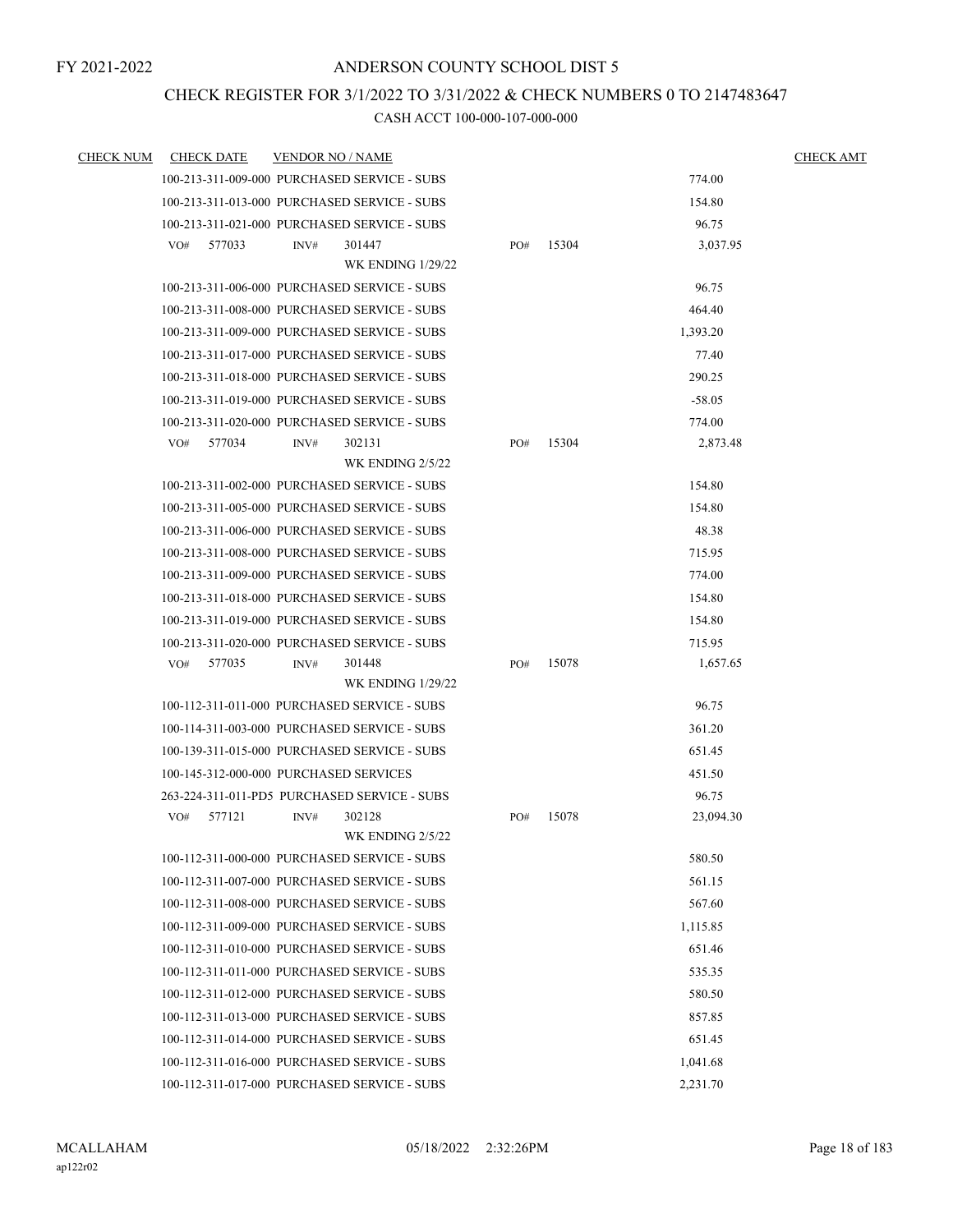## CHECK REGISTER FOR 3/1/2022 TO 3/31/2022 & CHECK NUMBERS 0 TO 2147483647

| <b>CHECK NUM</b> | <b>CHECK DATE</b>                      | <b>VENDOR NO / NAME</b> |                                              |     |       |           | <b>CHECK AMT</b> |
|------------------|----------------------------------------|-------------------------|----------------------------------------------|-----|-------|-----------|------------------|
|                  |                                        |                         | 100-213-311-009-000 PURCHASED SERVICE - SUBS |     |       | 774.00    |                  |
|                  |                                        |                         | 100-213-311-013-000 PURCHASED SERVICE - SUBS |     |       | 154.80    |                  |
|                  |                                        |                         | 100-213-311-021-000 PURCHASED SERVICE - SUBS |     |       | 96.75     |                  |
|                  | 577033<br>VO#                          | INV#                    | 301447                                       | PO# | 15304 | 3,037.95  |                  |
|                  |                                        |                         | <b>WK ENDING 1/29/22</b>                     |     |       |           |                  |
|                  |                                        |                         | 100-213-311-006-000 PURCHASED SERVICE - SUBS |     |       | 96.75     |                  |
|                  |                                        |                         | 100-213-311-008-000 PURCHASED SERVICE - SUBS |     |       | 464.40    |                  |
|                  |                                        |                         | 100-213-311-009-000 PURCHASED SERVICE - SUBS |     |       | 1,393.20  |                  |
|                  |                                        |                         | 100-213-311-017-000 PURCHASED SERVICE - SUBS |     |       | 77.40     |                  |
|                  |                                        |                         | 100-213-311-018-000 PURCHASED SERVICE - SUBS |     |       | 290.25    |                  |
|                  |                                        |                         | 100-213-311-019-000 PURCHASED SERVICE - SUBS |     |       | $-58.05$  |                  |
|                  |                                        |                         | 100-213-311-020-000 PURCHASED SERVICE - SUBS |     |       | 774.00    |                  |
|                  | 577034<br>VO#                          | INV#                    | 302131<br>WK ENDING 2/5/22                   | PO# | 15304 | 2,873.48  |                  |
|                  |                                        |                         | 100-213-311-002-000 PURCHASED SERVICE - SUBS |     |       | 154.80    |                  |
|                  |                                        |                         | 100-213-311-005-000 PURCHASED SERVICE - SUBS |     |       | 154.80    |                  |
|                  |                                        |                         | 100-213-311-006-000 PURCHASED SERVICE - SUBS |     |       | 48.38     |                  |
|                  |                                        |                         | 100-213-311-008-000 PURCHASED SERVICE - SUBS |     |       | 715.95    |                  |
|                  |                                        |                         | 100-213-311-009-000 PURCHASED SERVICE - SUBS |     |       | 774.00    |                  |
|                  |                                        |                         | 100-213-311-018-000 PURCHASED SERVICE - SUBS |     |       | 154.80    |                  |
|                  |                                        |                         | 100-213-311-019-000 PURCHASED SERVICE - SUBS |     |       | 154.80    |                  |
|                  |                                        |                         | 100-213-311-020-000 PURCHASED SERVICE - SUBS |     |       | 715.95    |                  |
|                  | 577035<br>VO#                          | INV#                    | 301448                                       | PO# | 15078 | 1,657.65  |                  |
|                  |                                        |                         | <b>WK ENDING 1/29/22</b>                     |     |       |           |                  |
|                  |                                        |                         | 100-112-311-011-000 PURCHASED SERVICE - SUBS |     |       | 96.75     |                  |
|                  |                                        |                         | 100-114-311-003-000 PURCHASED SERVICE - SUBS |     |       | 361.20    |                  |
|                  |                                        |                         | 100-139-311-015-000 PURCHASED SERVICE - SUBS |     |       | 651.45    |                  |
|                  | 100-145-312-000-000 PURCHASED SERVICES |                         |                                              |     |       | 451.50    |                  |
|                  |                                        |                         | 263-224-311-011-PD5 PURCHASED SERVICE - SUBS |     |       | 96.75     |                  |
|                  | 577121<br>VO#                          | INV#                    | 302128                                       | PO# | 15078 | 23,094.30 |                  |
|                  |                                        |                         | <b>WK ENDING 2/5/22</b>                      |     |       |           |                  |
|                  |                                        |                         | 100-112-311-000-000 PURCHASED SERVICE - SUBS |     |       | 580.50    |                  |
|                  |                                        |                         | 100-112-311-007-000 PURCHASED SERVICE - SUBS |     |       | 561.15    |                  |
|                  |                                        |                         | 100-112-311-008-000 PURCHASED SERVICE - SUBS |     |       | 567.60    |                  |
|                  |                                        |                         | 100-112-311-009-000 PURCHASED SERVICE - SUBS |     |       | 1,115.85  |                  |
|                  |                                        |                         | 100-112-311-010-000 PURCHASED SERVICE - SUBS |     |       | 651.46    |                  |
|                  |                                        |                         | 100-112-311-011-000 PURCHASED SERVICE - SUBS |     |       | 535.35    |                  |
|                  |                                        |                         | 100-112-311-012-000 PURCHASED SERVICE - SUBS |     |       | 580.50    |                  |
|                  |                                        |                         | 100-112-311-013-000 PURCHASED SERVICE - SUBS |     |       | 857.85    |                  |
|                  |                                        |                         | 100-112-311-014-000 PURCHASED SERVICE - SUBS |     |       | 651.45    |                  |
|                  |                                        |                         | 100-112-311-016-000 PURCHASED SERVICE - SUBS |     |       | 1,041.68  |                  |
|                  |                                        |                         | 100-112-311-017-000 PURCHASED SERVICE - SUBS |     |       | 2,231.70  |                  |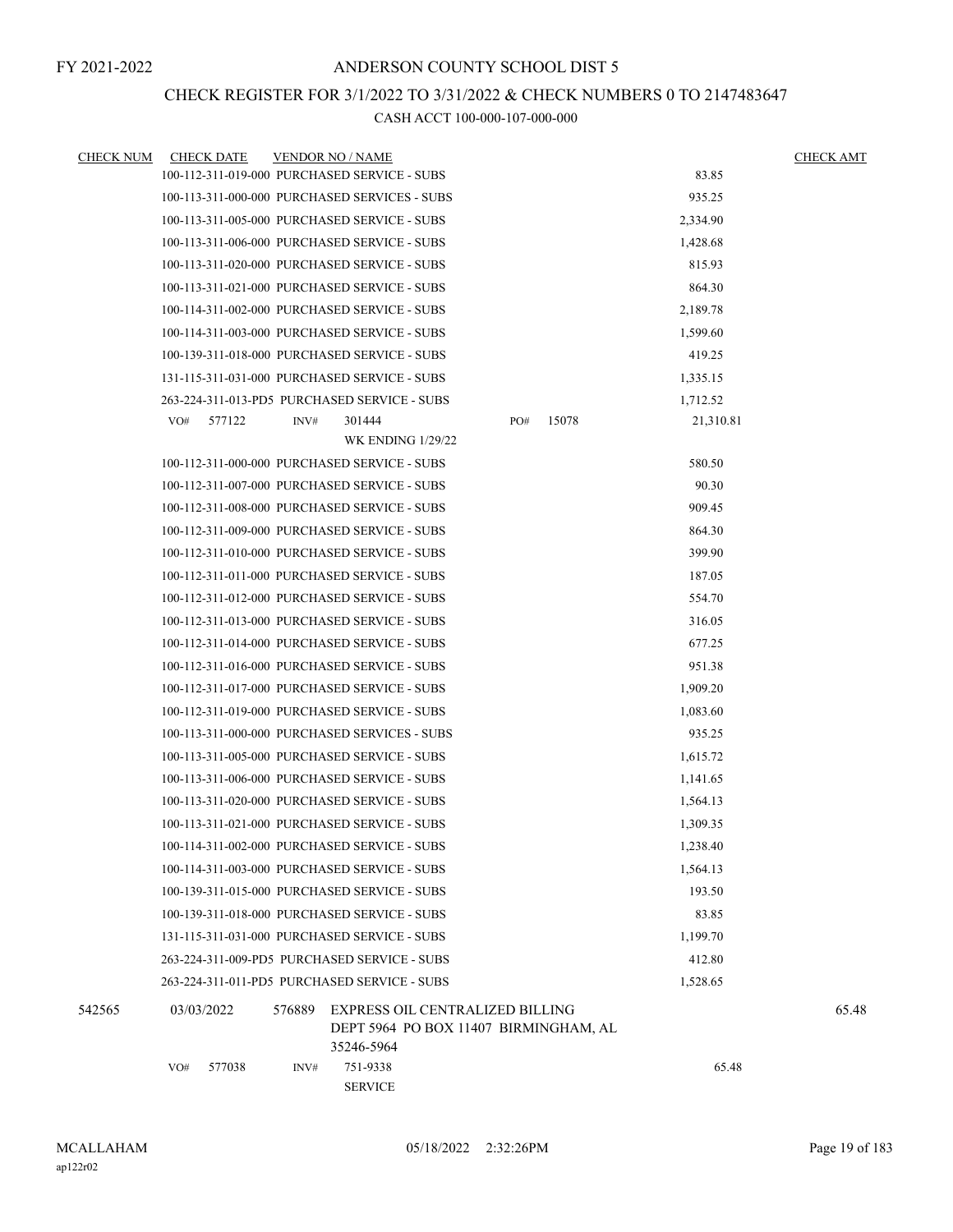## CHECK REGISTER FOR 3/1/2022 TO 3/31/2022 & CHECK NUMBERS 0 TO 2147483647

| <b>CHECK NUM</b> | <b>CHECK DATE</b> |        | <b>VENDOR NO / NAME</b>                       |                                       |       |           | <b>CHECK AMT</b> |
|------------------|-------------------|--------|-----------------------------------------------|---------------------------------------|-------|-----------|------------------|
|                  |                   |        | 100-112-311-019-000 PURCHASED SERVICE - SUBS  |                                       |       | 83.85     |                  |
|                  |                   |        | 100-113-311-000-000 PURCHASED SERVICES - SUBS |                                       |       | 935.25    |                  |
|                  |                   |        | 100-113-311-005-000 PURCHASED SERVICE - SUBS  |                                       |       | 2,334.90  |                  |
|                  |                   |        | 100-113-311-006-000 PURCHASED SERVICE - SUBS  |                                       |       | 1,428.68  |                  |
|                  |                   |        | 100-113-311-020-000 PURCHASED SERVICE - SUBS  |                                       |       | 815.93    |                  |
|                  |                   |        | 100-113-311-021-000 PURCHASED SERVICE - SUBS  |                                       |       | 864.30    |                  |
|                  |                   |        | 100-114-311-002-000 PURCHASED SERVICE - SUBS  |                                       |       | 2,189.78  |                  |
|                  |                   |        | 100-114-311-003-000 PURCHASED SERVICE - SUBS  |                                       |       | 1,599.60  |                  |
|                  |                   |        | 100-139-311-018-000 PURCHASED SERVICE - SUBS  |                                       |       | 419.25    |                  |
|                  |                   |        | 131-115-311-031-000 PURCHASED SERVICE - SUBS  |                                       |       | 1,335.15  |                  |
|                  |                   |        | 263-224-311-013-PD5 PURCHASED SERVICE - SUBS  |                                       |       | 1,712.52  |                  |
|                  | 577122<br>VO#     | INV#   | 301444                                        | PO#                                   | 15078 | 21,310.81 |                  |
|                  |                   |        | <b>WK ENDING 1/29/22</b>                      |                                       |       |           |                  |
|                  |                   |        | 100-112-311-000-000 PURCHASED SERVICE - SUBS  |                                       |       | 580.50    |                  |
|                  |                   |        | 100-112-311-007-000 PURCHASED SERVICE - SUBS  |                                       |       | 90.30     |                  |
|                  |                   |        | 100-112-311-008-000 PURCHASED SERVICE - SUBS  |                                       |       | 909.45    |                  |
|                  |                   |        | 100-112-311-009-000 PURCHASED SERVICE - SUBS  |                                       |       | 864.30    |                  |
|                  |                   |        | 100-112-311-010-000 PURCHASED SERVICE - SUBS  |                                       |       | 399.90    |                  |
|                  |                   |        | 100-112-311-011-000 PURCHASED SERVICE - SUBS  |                                       |       | 187.05    |                  |
|                  |                   |        | 100-112-311-012-000 PURCHASED SERVICE - SUBS  |                                       |       | 554.70    |                  |
|                  |                   |        | 100-112-311-013-000 PURCHASED SERVICE - SUBS  |                                       |       | 316.05    |                  |
|                  |                   |        | 100-112-311-014-000 PURCHASED SERVICE - SUBS  |                                       |       | 677.25    |                  |
|                  |                   |        | 100-112-311-016-000 PURCHASED SERVICE - SUBS  |                                       |       | 951.38    |                  |
|                  |                   |        | 100-112-311-017-000 PURCHASED SERVICE - SUBS  |                                       |       | 1,909.20  |                  |
|                  |                   |        | 100-112-311-019-000 PURCHASED SERVICE - SUBS  |                                       |       | 1,083.60  |                  |
|                  |                   |        | 100-113-311-000-000 PURCHASED SERVICES - SUBS |                                       |       | 935.25    |                  |
|                  |                   |        | 100-113-311-005-000 PURCHASED SERVICE - SUBS  |                                       |       | 1,615.72  |                  |
|                  |                   |        | 100-113-311-006-000 PURCHASED SERVICE - SUBS  |                                       |       | 1,141.65  |                  |
|                  |                   |        | 100-113-311-020-000 PURCHASED SERVICE - SUBS  |                                       |       | 1,564.13  |                  |
|                  |                   |        | 100-113-311-021-000 PURCHASED SERVICE - SUBS  |                                       |       | 1,309.35  |                  |
|                  |                   |        | 100-114-311-002-000 PURCHASED SERVICE - SUBS  |                                       |       | 1,238.40  |                  |
|                  |                   |        | 100-114-311-003-000 PURCHASED SERVICE - SUBS  |                                       |       | 1,564.13  |                  |
|                  |                   |        | 100-139-311-015-000 PURCHASED SERVICE - SUBS  |                                       |       | 193.50    |                  |
|                  |                   |        | 100-139-311-018-000 PURCHASED SERVICE - SUBS  |                                       |       | 83.85     |                  |
|                  |                   |        | 131-115-311-031-000 PURCHASED SERVICE - SUBS  |                                       |       | 1,199.70  |                  |
|                  |                   |        | 263-224-311-009-PD5 PURCHASED SERVICE - SUBS  |                                       |       | 412.80    |                  |
|                  |                   |        | 263-224-311-011-PD5 PURCHASED SERVICE - SUBS  |                                       |       | 1,528.65  |                  |
| 542565           | 03/03/2022        | 576889 | EXPRESS OIL CENTRALIZED BILLING               |                                       |       |           | 65.48            |
|                  |                   |        | 35246-5964                                    | DEPT 5964 PO BOX 11407 BIRMINGHAM, AL |       |           |                  |
|                  | 577038<br>VO#     | INV#   | 751-9338                                      |                                       |       | 65.48     |                  |
|                  |                   |        | <b>SERVICE</b>                                |                                       |       |           |                  |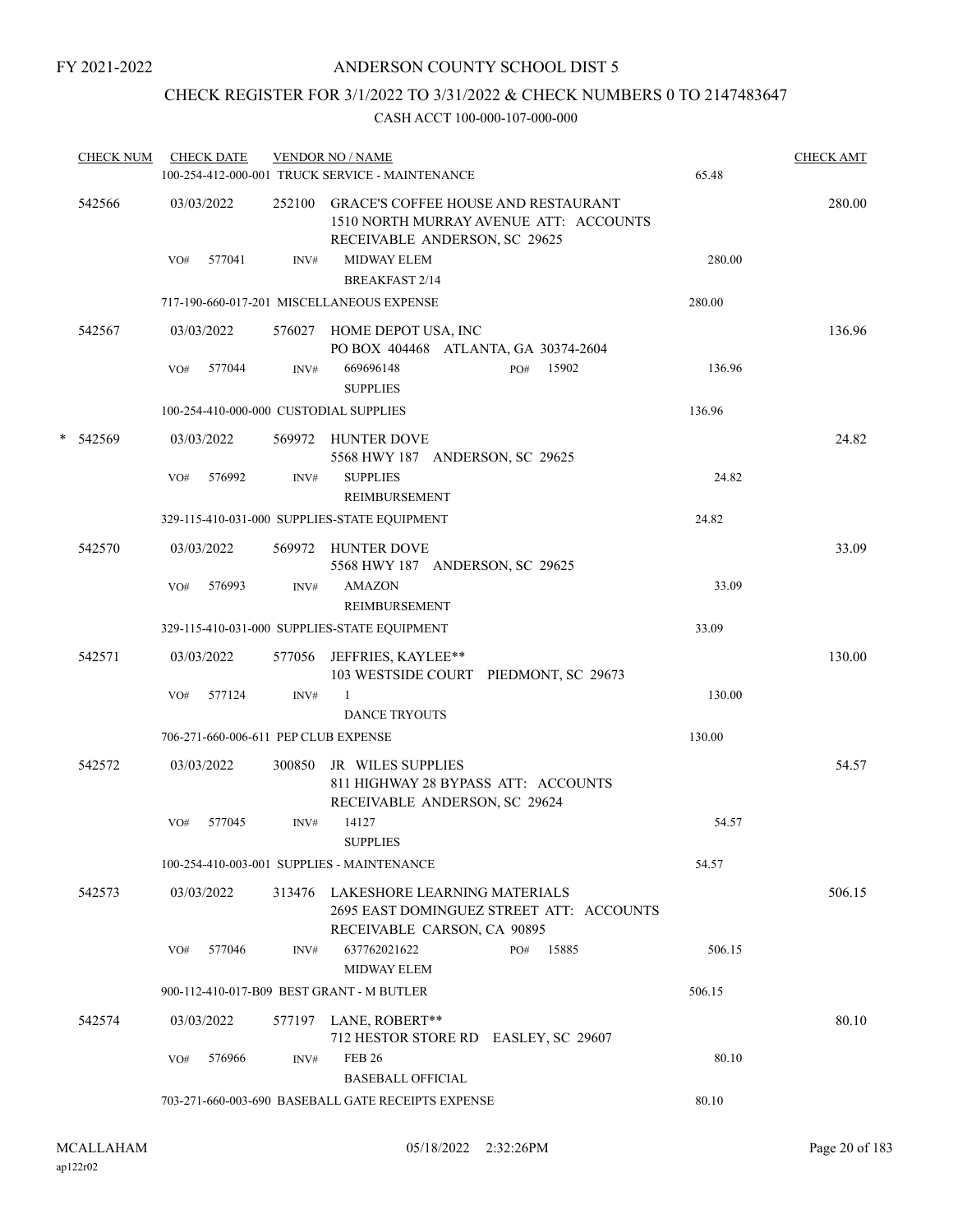## CHECK REGISTER FOR 3/1/2022 TO 3/31/2022 & CHECK NUMBERS 0 TO 2147483647

| <b>CHECK NUM</b> | <b>CHECK DATE</b> |        |        | <b>VENDOR NO / NAME</b><br>100-254-412-000-001 TRUCK SERVICE - MAINTENANCE                                            | 65.48  | <b>CHECK AMT</b> |
|------------------|-------------------|--------|--------|-----------------------------------------------------------------------------------------------------------------------|--------|------------------|
| 542566           | 03/03/2022        |        |        | 252100 GRACE'S COFFEE HOUSE AND RESTAURANT<br>1510 NORTH MURRAY AVENUE ATT: ACCOUNTS<br>RECEIVABLE ANDERSON, SC 29625 |        | 280.00           |
|                  | VO#               | 577041 | INV#   | <b>MIDWAY ELEM</b><br><b>BREAKFAST 2/14</b>                                                                           | 280.00 |                  |
|                  |                   |        |        | 717-190-660-017-201 MISCELLANEOUS EXPENSE                                                                             | 280.00 |                  |
| 542567           | 03/03/2022        |        |        | 576027 HOME DEPOT USA, INC<br>PO BOX 404468 ATLANTA, GA 30374-2604                                                    |        | 136.96           |
|                  | VO#               | 577044 | INV#   | 669696148<br>PO# 15902<br><b>SUPPLIES</b>                                                                             | 136.96 |                  |
|                  |                   |        |        | 100-254-410-000-000 CUSTODIAL SUPPLIES                                                                                | 136.96 |                  |
| * 542569         | 03/03/2022        |        |        | 569972 HUNTER DOVE<br>5568 HWY 187 ANDERSON, SC 29625                                                                 |        | 24.82            |
|                  | VO#               | 576992 | INV#   | <b>SUPPLIES</b><br><b>REIMBURSEMENT</b>                                                                               | 24.82  |                  |
|                  |                   |        |        | 329-115-410-031-000 SUPPLIES-STATE EQUIPMENT                                                                          | 24.82  |                  |
| 542570           | 03/03/2022        |        |        | 569972 HUNTER DOVE<br>5568 HWY 187 ANDERSON, SC 29625                                                                 |        | 33.09            |
|                  | VO#               | 576993 | INV#   | <b>AMAZON</b><br>REIMBURSEMENT                                                                                        | 33.09  |                  |
|                  |                   |        |        | 329-115-410-031-000 SUPPLIES-STATE EQUIPMENT                                                                          | 33.09  |                  |
| 542571           | 03/03/2022        |        |        | 577056 JEFFRIES, KAYLEE**<br>103 WESTSIDE COURT PIEDMONT, SC 29673                                                    |        | 130.00           |
|                  | VO#               | 577124 | INV#   | 1<br><b>DANCE TRYOUTS</b>                                                                                             | 130.00 |                  |
|                  |                   |        |        | 706-271-660-006-611 PEP CLUB EXPENSE                                                                                  | 130.00 |                  |
| 542572           | 03/03/2022        |        | 300850 | JR WILES SUPPLIES<br>811 HIGHWAY 28 BYPASS ATT: ACCOUNTS<br>RECEIVABLE ANDERSON, SC 29624                             |        | 54.57            |
|                  | VO#               | 577045 | INV#   | 14127<br><b>SUPPLIES</b>                                                                                              | 54.57  |                  |
|                  |                   |        |        | 100-254-410-003-001 SUPPLIES - MAINTENANCE                                                                            | 54.57  |                  |
| 542573           | 03/03/2022        |        |        | 313476 LAKESHORE LEARNING MATERIALS<br>2695 EAST DOMINGUEZ STREET ATT: ACCOUNTS<br>RECEIVABLE CARSON, CA 90895        |        | 506.15           |
|                  | VO#               | 577046 | INV#   | 637762021622<br>15885<br>PO#<br><b>MIDWAY ELEM</b>                                                                    | 506.15 |                  |
|                  |                   |        |        | 900-112-410-017-B09 BEST GRANT - M BUTLER                                                                             | 506.15 |                  |
| 542574           | 03/03/2022        |        |        | 577197 LANE, ROBERT**<br>712 HESTOR STORE RD EASLEY, SC 29607                                                         |        | 80.10            |
|                  | VO#               | 576966 | INV#   | <b>FEB 26</b><br><b>BASEBALL OFFICIAL</b>                                                                             | 80.10  |                  |
|                  |                   |        |        | 703-271-660-003-690 BASEBALL GATE RECEIPTS EXPENSE                                                                    | 80.10  |                  |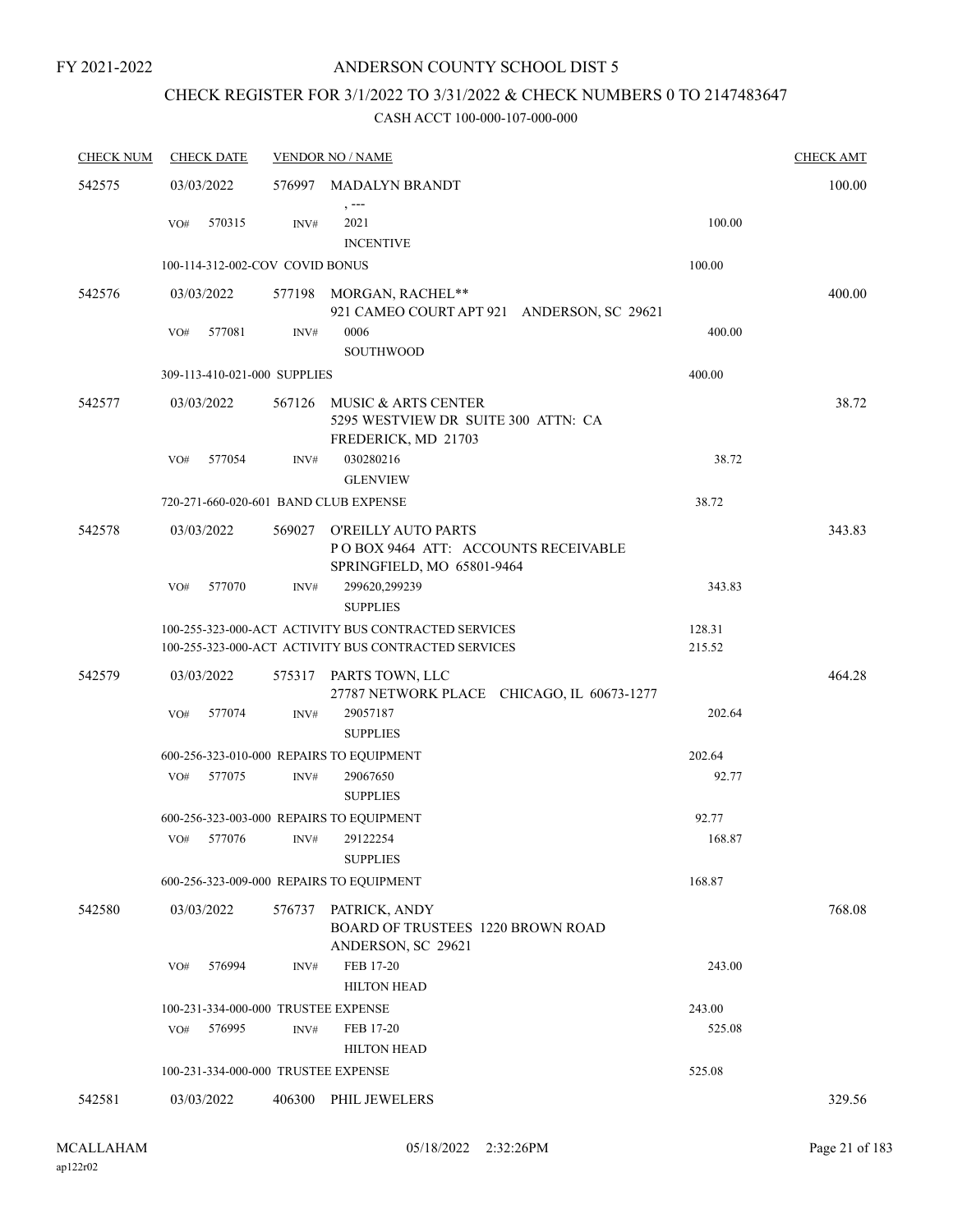## ANDERSON COUNTY SCHOOL DIST 5

## CHECK REGISTER FOR 3/1/2022 TO 3/31/2022 & CHECK NUMBERS 0 TO 2147483647

| <b>CHECK NUM</b> |     | <b>CHECK DATE</b>               |                | <b>VENDOR NO / NAME</b>                                                                                      |                  | <b>CHECK AMT</b> |
|------------------|-----|---------------------------------|----------------|--------------------------------------------------------------------------------------------------------------|------------------|------------------|
| 542575           |     | 03/03/2022                      |                | 576997 MADALYN BRANDT                                                                                        |                  | 100.00           |
|                  | VO# | 570315                          | INV#           | $, -- -$<br>2021<br><b>INCENTIVE</b>                                                                         | 100.00           |                  |
|                  |     | 100-114-312-002-COV COVID BONUS |                |                                                                                                              | 100.00           |                  |
| 542576           |     | 03/03/2022                      |                | 577198 MORGAN, RACHEL**<br>921 CAMEO COURT APT 921 ANDERSON, SC 29621                                        |                  | 400.00           |
|                  | VO# | 577081                          | $\text{INV}\#$ | 0006<br><b>SOUTHWOOD</b>                                                                                     | 400.00           |                  |
|                  |     | 309-113-410-021-000 SUPPLIES    |                |                                                                                                              | 400.00           |                  |
| 542577           |     | 03/03/2022                      |                | 567126 MUSIC & ARTS CENTER<br>5295 WESTVIEW DR SUITE 300 ATTN: CA<br>FREDERICK, MD 21703                     |                  | 38.72            |
|                  | VO# | 577054                          | INV#           | 030280216<br><b>GLENVIEW</b>                                                                                 | 38.72            |                  |
|                  |     |                                 |                | 720-271-660-020-601 BAND CLUB EXPENSE                                                                        | 38.72            |                  |
| 542578           |     | 03/03/2022                      | 569027         | O'REILLY AUTO PARTS<br>POBOX 9464 ATT: ACCOUNTS RECEIVABLE<br>SPRINGFIELD, MO 65801-9464                     |                  | 343.83           |
|                  | VO# | 577070                          | INV#           | 299620,299239<br><b>SUPPLIES</b>                                                                             | 343.83           |                  |
|                  |     |                                 |                | 100-255-323-000-ACT ACTIVITY BUS CONTRACTED SERVICES<br>100-255-323-000-ACT ACTIVITY BUS CONTRACTED SERVICES | 128.31<br>215.52 |                  |
| 542579           |     | 03/03/2022                      |                | 575317 PARTS TOWN, LLC<br>27787 NETWORK PLACE CHICAGO, IL 60673-1277                                         |                  | 464.28           |
|                  | VO# | 577074                          | $\text{INV}\#$ | 29057187<br><b>SUPPLIES</b>                                                                                  | 202.64           |                  |
|                  |     |                                 |                | 600-256-323-010-000 REPAIRS TO EQUIPMENT                                                                     | 202.64           |                  |
|                  | VO# | 577075                          | INV#           | 29067650<br><b>SUPPLIES</b>                                                                                  | 92.77            |                  |
|                  |     |                                 |                | 600-256-323-003-000 REPAIRS TO EQUIPMENT                                                                     | 92.77            |                  |
|                  | VO# | 577076                          | INV#           | 29122254<br><b>SUPPLIES</b>                                                                                  | 168.87           |                  |
|                  |     |                                 |                | 600-256-323-009-000 REPAIRS TO EQUIPMENT                                                                     | 168.87           |                  |
| 542580           |     | 03/03/2022                      | 576737         | PATRICK, ANDY<br><b>BOARD OF TRUSTEES 1220 BROWN ROAD</b><br>ANDERSON, SC 29621                              |                  | 768.08           |
|                  | VO# | 576994                          | INV#           | FEB 17-20<br><b>HILTON HEAD</b>                                                                              | 243.00           |                  |
|                  |     |                                 |                | 100-231-334-000-000 TRUSTEE EXPENSE                                                                          | 243.00           |                  |
|                  | VO# | 576995                          | INV#           | FEB 17-20<br><b>HILTON HEAD</b>                                                                              | 525.08           |                  |
|                  |     |                                 |                | 100-231-334-000-000 TRUSTEE EXPENSE                                                                          | 525.08           |                  |
| 542581           |     | 03/03/2022                      | 406300         | PHIL JEWELERS                                                                                                |                  | 329.56           |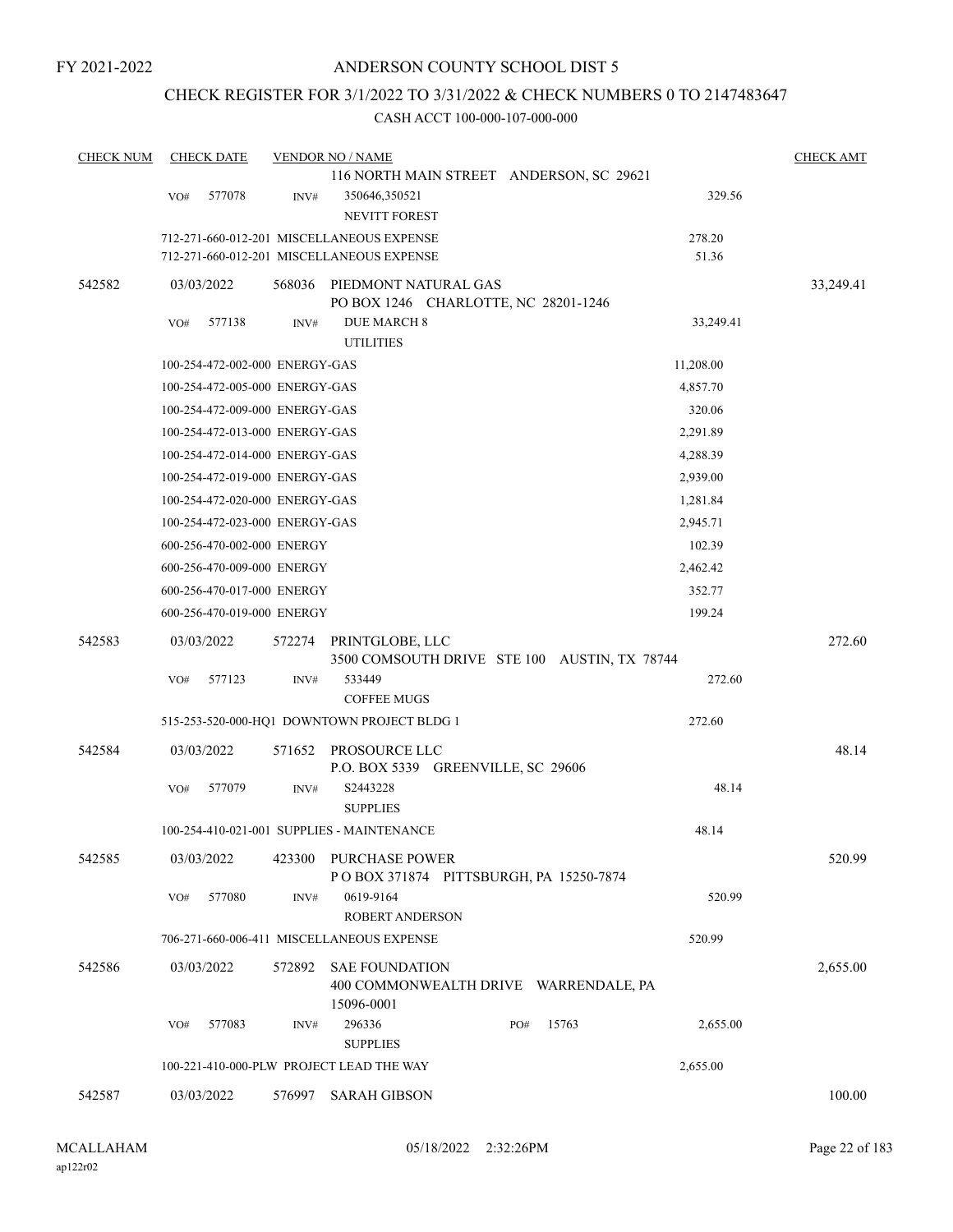## CHECK REGISTER FOR 3/1/2022 TO 3/31/2022 & CHECK NUMBERS 0 TO 2147483647

| <b>CHECK NUM</b> | <b>CHECK DATE</b> |                                |        | <b>VENDOR NO / NAME</b>                                                      |           | <b>CHECK AMT</b> |
|------------------|-------------------|--------------------------------|--------|------------------------------------------------------------------------------|-----------|------------------|
|                  |                   |                                |        | 116 NORTH MAIN STREET ANDERSON, SC 29621                                     |           |                  |
|                  | VO#               | 577078                         | INV#   | 350646,350521                                                                | 329.56    |                  |
|                  |                   |                                |        | <b>NEVITT FOREST</b>                                                         |           |                  |
|                  |                   |                                |        | 712-271-660-012-201 MISCELLANEOUS EXPENSE                                    | 278.20    |                  |
|                  |                   |                                |        | 712-271-660-012-201 MISCELLANEOUS EXPENSE                                    | 51.36     |                  |
| 542582           | 03/03/2022        |                                | 568036 | PIEDMONT NATURAL GAS<br>PO BOX 1246 CHARLOTTE, NC 28201-1246                 |           | 33,249.41        |
|                  | VO#               | 577138                         | INV#   | <b>DUE MARCH 8</b><br><b>UTILITIES</b>                                       | 33,249.41 |                  |
|                  |                   | 100-254-472-002-000 ENERGY-GAS |        |                                                                              | 11,208.00 |                  |
|                  |                   | 100-254-472-005-000 ENERGY-GAS |        |                                                                              | 4,857.70  |                  |
|                  |                   | 100-254-472-009-000 ENERGY-GAS |        |                                                                              | 320.06    |                  |
|                  |                   | 100-254-472-013-000 ENERGY-GAS |        |                                                                              | 2,291.89  |                  |
|                  |                   | 100-254-472-014-000 ENERGY-GAS |        |                                                                              | 4,288.39  |                  |
|                  |                   | 100-254-472-019-000 ENERGY-GAS |        |                                                                              | 2,939.00  |                  |
|                  |                   | 100-254-472-020-000 ENERGY-GAS |        |                                                                              | 1,281.84  |                  |
|                  |                   | 100-254-472-023-000 ENERGY-GAS |        |                                                                              | 2,945.71  |                  |
|                  |                   | 600-256-470-002-000 ENERGY     |        |                                                                              | 102.39    |                  |
|                  |                   | 600-256-470-009-000 ENERGY     |        |                                                                              | 2,462.42  |                  |
|                  |                   | 600-256-470-017-000 ENERGY     |        |                                                                              | 352.77    |                  |
|                  |                   | 600-256-470-019-000 ENERGY     |        |                                                                              | 199.24    |                  |
|                  |                   |                                |        |                                                                              |           |                  |
| 542583           | 03/03/2022        |                                | 572274 | PRINTGLOBE, LLC                                                              |           | 272.60           |
|                  | VO#               | 577123                         | INV#   | 3500 COMSOUTH DRIVE STE 100 AUSTIN, TX 78744<br>533449                       | 272.60    |                  |
|                  |                   |                                |        | <b>COFFEE MUGS</b>                                                           |           |                  |
|                  |                   |                                |        | 515-253-520-000-HQ1 DOWNTOWN PROJECT BLDG 1                                  | 272.60    |                  |
|                  |                   |                                |        |                                                                              |           |                  |
| 542584           | 03/03/2022        |                                | 571652 | PROSOURCE LLC<br>P.O. BOX 5339 GREENVILLE, SC 29606                          |           | 48.14            |
|                  | VO#               | 577079                         | INV#   | S2443228<br><b>SUPPLIES</b>                                                  | 48.14     |                  |
|                  |                   |                                |        | 100-254-410-021-001 SUPPLIES - MAINTENANCE                                   | 48.14     |                  |
| 542585           | 03/03/2022        |                                | 423300 | PURCHASE POWER<br>POBOX 371874 PITTSBURGH, PA 15250-7874                     |           | 520.99           |
|                  | VO#               | 577080                         | INV#   | 0619-9164                                                                    | 520.99    |                  |
|                  |                   |                                |        | ROBERT ANDERSON                                                              |           |                  |
|                  |                   |                                |        | 706-271-660-006-411 MISCELLANEOUS EXPENSE                                    | 520.99    |                  |
| 542586           | 03/03/2022        |                                | 572892 | <b>SAE FOUNDATION</b><br>400 COMMONWEALTH DRIVE WARRENDALE, PA<br>15096-0001 |           | 2,655.00         |
|                  | VO#               | 577083                         | INV#   | 15763<br>296336<br>PO#                                                       | 2,655.00  |                  |
|                  |                   |                                |        | <b>SUPPLIES</b>                                                              |           |                  |
|                  |                   |                                |        | 100-221-410-000-PLW PROJECT LEAD THE WAY                                     | 2,655.00  |                  |
| 542587           | 03/03/2022        |                                | 576997 | <b>SARAH GIBSON</b>                                                          |           | 100.00           |
|                  |                   |                                |        |                                                                              |           |                  |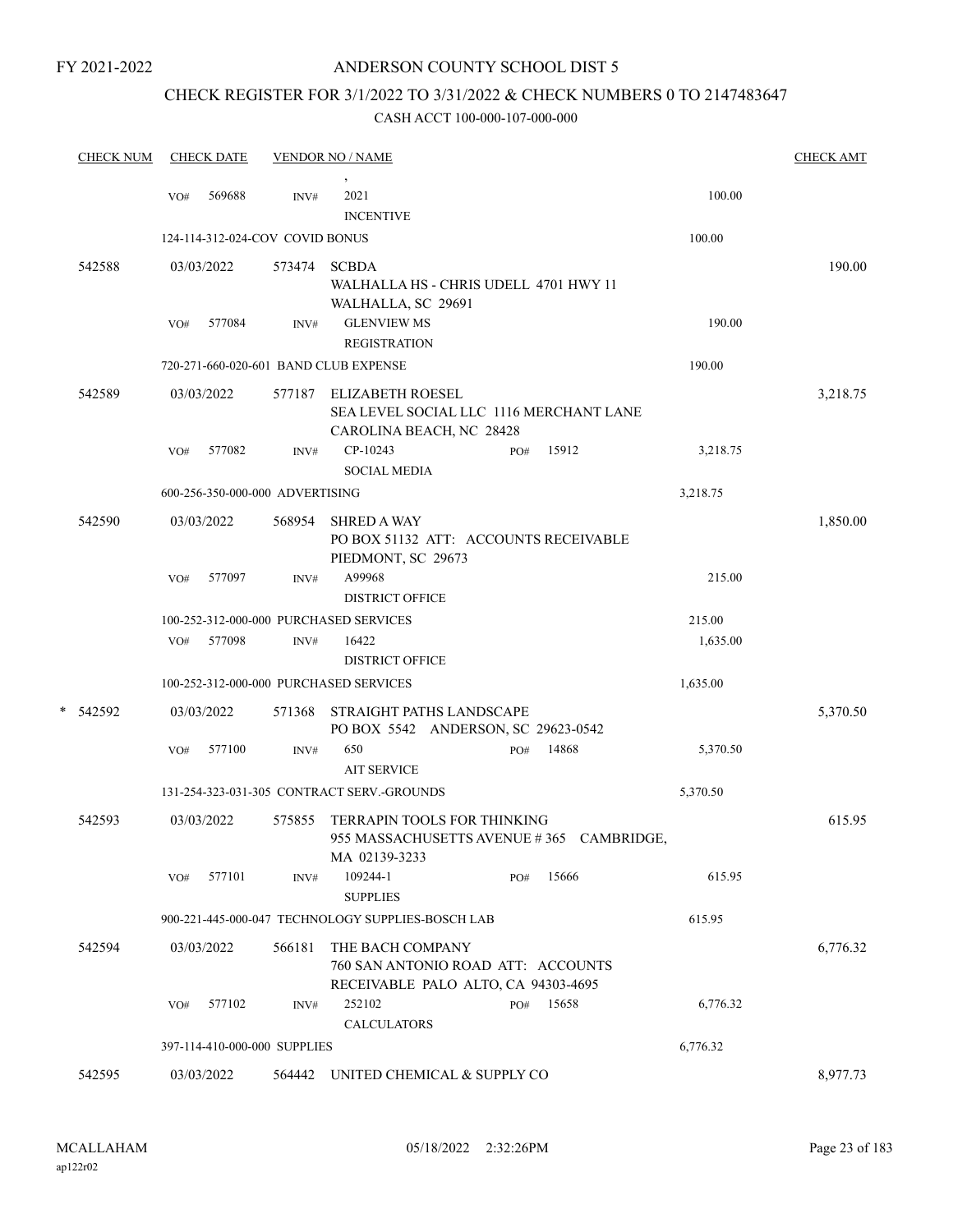## ANDERSON COUNTY SCHOOL DIST 5

# CHECK REGISTER FOR 3/1/2022 TO 3/31/2022 & CHECK NUMBERS 0 TO 2147483647

|   | <b>CHECK NUM</b> |     | <b>CHECK DATE</b> |                                 | <b>VENDOR NO / NAME</b>                                                                        |     |            |          | <b>CHECK AMT</b> |
|---|------------------|-----|-------------------|---------------------------------|------------------------------------------------------------------------------------------------|-----|------------|----------|------------------|
|   |                  | VO# | 569688            | INV#                            | 2021<br><b>INCENTIVE</b>                                                                       |     |            | 100.00   |                  |
|   |                  |     |                   | 124-114-312-024-COV COVID BONUS |                                                                                                |     |            | 100.00   |                  |
|   | 542588           |     | 03/03/2022        | 573474                          | <b>SCBDA</b><br>WALHALLA HS - CHRIS UDELL 4701 HWY 11<br>WALHALLA, SC 29691                    |     |            |          | 190.00           |
|   |                  | VO# | 577084            | INV#                            | <b>GLENVIEW MS</b><br><b>REGISTRATION</b>                                                      |     |            | 190.00   |                  |
|   |                  |     |                   |                                 | 720-271-660-020-601 BAND CLUB EXPENSE                                                          |     |            | 190.00   |                  |
|   | 542589           |     | 03/03/2022        | 577187                          | <b>ELIZABETH ROESEL</b><br>SEA LEVEL SOCIAL LLC 1116 MERCHANT LANE<br>CAROLINA BEACH, NC 28428 |     |            |          | 3,218.75         |
|   |                  | VO# | 577082            | INV#                            | CP-10243<br><b>SOCIAL MEDIA</b>                                                                | PO# | 15912      | 3,218.75 |                  |
|   |                  |     |                   | 600-256-350-000-000 ADVERTISING |                                                                                                |     |            | 3,218.75 |                  |
|   | 542590           |     | 03/03/2022        | 568954                          | <b>SHRED A WAY</b><br>PO BOX 51132 ATT: ACCOUNTS RECEIVABLE<br>PIEDMONT, SC 29673              |     |            |          | 1,850.00         |
|   |                  | VO# | 577097            | INV#                            | A99968<br><b>DISTRICT OFFICE</b>                                                               |     |            | 215.00   |                  |
|   |                  |     |                   |                                 | 100-252-312-000-000 PURCHASED SERVICES                                                         |     |            | 215.00   |                  |
|   |                  |     | VO# 577098        | INV#                            | 16422<br><b>DISTRICT OFFICE</b>                                                                |     |            | 1,635.00 |                  |
|   |                  |     |                   |                                 | 100-252-312-000-000 PURCHASED SERVICES                                                         |     |            | 1,635.00 |                  |
| * | 542592           |     | 03/03/2022        | 571368                          | STRAIGHT PATHS LANDSCAPE<br>PO BOX 5542 ANDERSON, SC 29623-0542                                |     |            |          | 5,370.50         |
|   |                  | VO# | 577100            | INV#                            | 650<br><b>AIT SERVICE</b>                                                                      | PO# | 14868      | 5,370.50 |                  |
|   |                  |     |                   |                                 | 131-254-323-031-305 CONTRACT SERV.-GROUNDS                                                     |     |            | 5,370.50 |                  |
|   | 542593           |     | 03/03/2022        | 575855                          | <b>TERRAPIN TOOLS FOR THINKING</b><br>955 MASSACHUSETTS AVENUE #365<br>MA 02139-3233           |     | CAMBRIDGE, |          | 615.95           |
|   |                  | VO# | 577101            | INV#                            | 109244-1<br><b>SUPPLIES</b>                                                                    | PO# | 15666      | 615.95   |                  |
|   |                  |     |                   |                                 | 900-221-445-000-047 TECHNOLOGY SUPPLIES-BOSCH LAB                                              |     |            | 615.95   |                  |
|   | 542594           |     | 03/03/2022        | 566181                          | THE BACH COMPANY<br>760 SAN ANTONIO ROAD ATT: ACCOUNTS<br>RECEIVABLE PALO ALTO, CA 94303-4695  |     |            |          | 6,776.32         |
|   |                  | VO# | 577102            | INV#                            | 252102<br><b>CALCULATORS</b>                                                                   | PO# | 15658      | 6,776.32 |                  |
|   |                  |     |                   | 397-114-410-000-000 SUPPLIES    |                                                                                                |     |            | 6,776.32 |                  |
|   | 542595           |     | 03/03/2022        | 564442                          | UNITED CHEMICAL & SUPPLY CO                                                                    |     |            |          | 8,977.73         |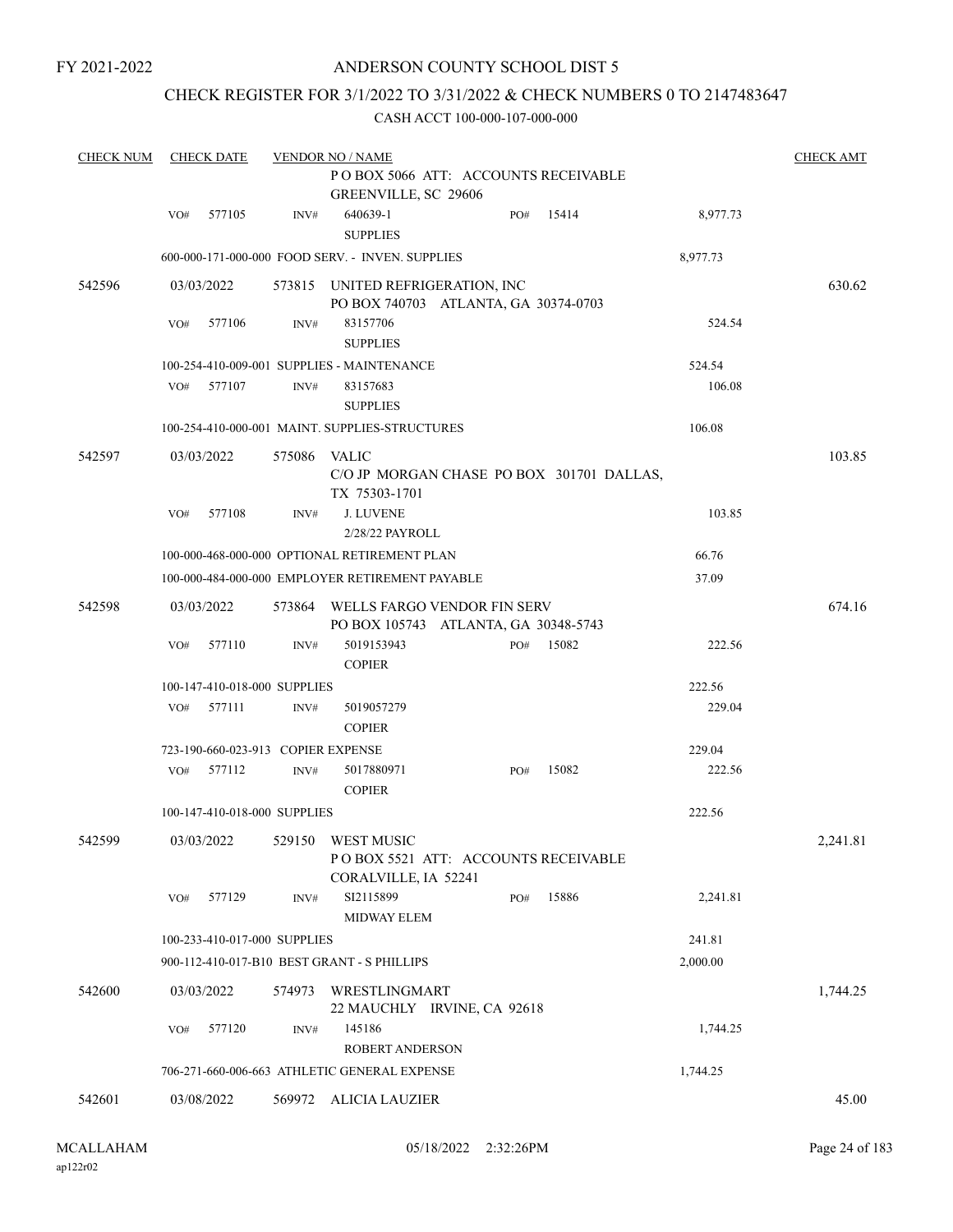## ANDERSON COUNTY SCHOOL DIST 5

## CHECK REGISTER FOR 3/1/2022 TO 3/31/2022 & CHECK NUMBERS 0 TO 2147483647

| <b>CHECK NUM</b> |     | <b>CHECK DATE</b>                  |        | <b>VENDOR NO / NAME</b>                                                          |     |       |          | <b>CHECK AMT</b> |
|------------------|-----|------------------------------------|--------|----------------------------------------------------------------------------------|-----|-------|----------|------------------|
|                  |     |                                    |        | PO BOX 5066 ATT: ACCOUNTS RECEIVABLE<br>GREENVILLE, SC 29606                     |     |       |          |                  |
|                  | VO# | 577105                             | INV#   | 640639-1<br><b>SUPPLIES</b>                                                      | PO# | 15414 | 8,977.73 |                  |
|                  |     |                                    |        | 600-000-171-000-000 FOOD SERV. - INVEN. SUPPLIES                                 |     |       | 8,977.73 |                  |
| 542596           |     | 03/03/2022                         |        | 573815 UNITED REFRIGERATION, INC<br>PO BOX 740703 ATLANTA, GA 30374-0703         |     |       |          | 630.62           |
|                  | VO# | 577106                             | INV#   | 83157706<br><b>SUPPLIES</b>                                                      |     |       | 524.54   |                  |
|                  |     |                                    |        | 100-254-410-009-001 SUPPLIES - MAINTENANCE                                       |     |       | 524.54   |                  |
|                  | VO# | 577107                             | INV#   | 83157683<br><b>SUPPLIES</b>                                                      |     |       | 106.08   |                  |
|                  |     |                                    |        | 100-254-410-000-001 MAINT. SUPPLIES-STRUCTURES                                   |     |       | 106.08   |                  |
| 542597           |     | 03/03/2022                         | 575086 | VALIC<br>C/O JP MORGAN CHASE PO BOX 301701 DALLAS,<br>TX 75303-1701              |     |       |          | 103.85           |
|                  | VO# | 577108                             | INV#   | <b>J. LUVENE</b><br>2/28/22 PAYROLL                                              |     |       | 103.85   |                  |
|                  |     |                                    |        | 100-000-468-000-000 OPTIONAL RETIREMENT PLAN                                     |     |       | 66.76    |                  |
|                  |     |                                    |        | 100-000-484-000-000 EMPLOYER RETIREMENT PAYABLE                                  |     |       | 37.09    |                  |
| 542598           |     | 03/03/2022                         | 573864 | WELLS FARGO VENDOR FIN SERV<br>PO BOX 105743 ATLANTA, GA 30348-5743              |     |       |          | 674.16           |
|                  | VO# | 577110                             | INV#   | 5019153943<br><b>COPIER</b>                                                      | PO# | 15082 | 222.56   |                  |
|                  |     | 100-147-410-018-000 SUPPLIES       |        |                                                                                  |     |       | 222.56   |                  |
|                  | VO# | 577111                             | INV#   | 5019057279<br><b>COPIER</b>                                                      |     |       | 229.04   |                  |
|                  |     | 723-190-660-023-913 COPIER EXPENSE |        |                                                                                  |     |       | 229.04   |                  |
|                  | VO# | 577112                             | INV#   | 5017880971<br><b>COPIER</b>                                                      | PO# | 15082 | 222.56   |                  |
|                  |     | 100-147-410-018-000 SUPPLIES       |        |                                                                                  |     |       | 222.56   |                  |
| 542599           |     | 03/03/2022                         |        | 529150 WEST MUSIC<br>POBOX 5521 ATT: ACCOUNTS RECEIVABLE<br>CORALVILLE, IA 52241 |     |       |          | 2,241.81         |
|                  | VO# | 577129                             | INV#   | SI2115899<br><b>MIDWAY ELEM</b>                                                  | PO# | 15886 | 2,241.81 |                  |
|                  |     | 100-233-410-017-000 SUPPLIES       |        |                                                                                  |     |       | 241.81   |                  |
|                  |     |                                    |        | 900-112-410-017-B10 BEST GRANT - S PHILLIPS                                      |     |       | 2,000.00 |                  |
| 542600           |     | 03/03/2022                         | 574973 | WRESTLINGMART<br>22 MAUCHLY IRVINE, CA 92618                                     |     |       |          | 1,744.25         |
|                  | VO# | 577120                             | INV#   | 145186<br><b>ROBERT ANDERSON</b>                                                 |     |       | 1,744.25 |                  |
|                  |     |                                    |        | 706-271-660-006-663 ATHLETIC GENERAL EXPENSE                                     |     |       | 1,744.25 |                  |
| 542601           |     | 03/08/2022                         |        | 569972 ALICIA LAUZIER                                                            |     |       |          | 45.00            |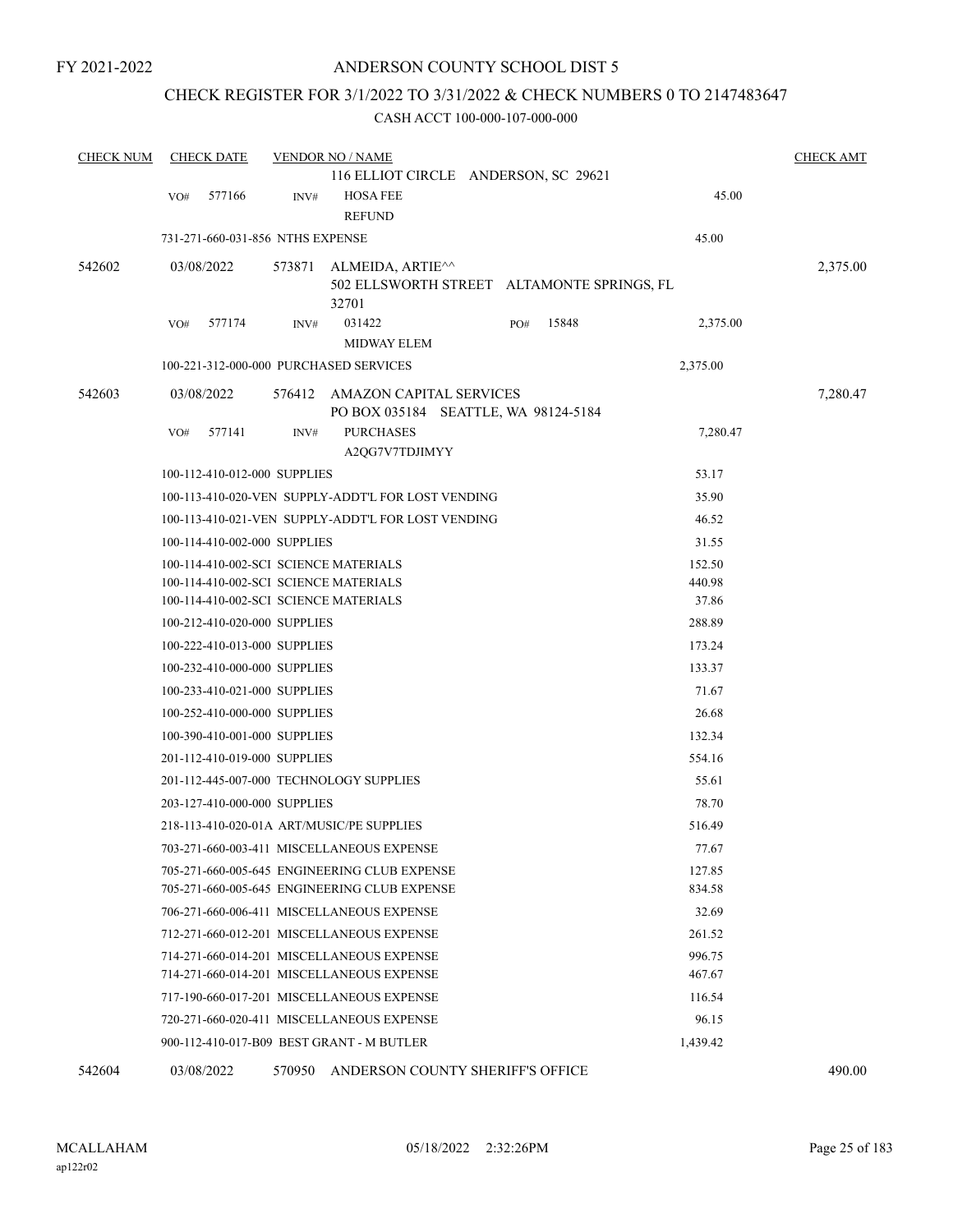## CHECK REGISTER FOR 3/1/2022 TO 3/31/2022 & CHECK NUMBERS 0 TO 2147483647

### CASH ACCT 100-000-107-000-000

| <b>CHECK NUM</b> |     | <b>CHECK DATE</b>                     |        | <b>VENDOR NO / NAME</b>                                         |     |       |          | <b>CHECK AMT</b> |
|------------------|-----|---------------------------------------|--------|-----------------------------------------------------------------|-----|-------|----------|------------------|
|                  |     |                                       |        | 116 ELLIOT CIRCLE ANDERSON, SC 29621                            |     |       |          |                  |
|                  | VO# | 577166                                | INV#   | <b>HOSA FEE</b>                                                 |     |       | 45.00    |                  |
|                  |     |                                       |        | <b>REFUND</b>                                                   |     |       |          |                  |
|                  |     | 731-271-660-031-856 NTHS EXPENSE      |        |                                                                 |     |       | 45.00    |                  |
| 542602           |     | 03/08/2022                            | 573871 | ALMEIDA, ARTIE^^                                                |     |       |          | 2,375.00         |
|                  |     |                                       |        | 502 ELLSWORTH STREET ALTAMONTE SPRINGS, FL                      |     |       |          |                  |
|                  |     |                                       |        | 32701                                                           |     |       |          |                  |
|                  | VO# | 577174                                | INV#   | 031422                                                          | PO# | 15848 | 2,375.00 |                  |
|                  |     |                                       |        | <b>MIDWAY ELEM</b>                                              |     |       |          |                  |
|                  |     |                                       |        | 100-221-312-000-000 PURCHASED SERVICES                          |     |       | 2,375.00 |                  |
| 542603           |     | 03/08/2022                            | 576412 | AMAZON CAPITAL SERVICES<br>PO BOX 035184 SEATTLE, WA 98124-5184 |     |       |          | 7,280.47         |
|                  | VO# | 577141                                | INV#   | <b>PURCHASES</b>                                                |     |       | 7,280.47 |                  |
|                  |     |                                       |        | A2QG7V7TDJIMYY                                                  |     |       |          |                  |
|                  |     | 100-112-410-012-000 SUPPLIES          |        |                                                                 |     |       | 53.17    |                  |
|                  |     |                                       |        | 100-113-410-020-VEN SUPPLY-ADDT'L FOR LOST VENDING              |     |       | 35.90    |                  |
|                  |     |                                       |        | 100-113-410-021-VEN SUPPLY-ADDT'L FOR LOST VENDING              |     |       | 46.52    |                  |
|                  |     | 100-114-410-002-000 SUPPLIES          |        |                                                                 |     |       | 31.55    |                  |
|                  |     | 100-114-410-002-SCI SCIENCE MATERIALS |        | 152.50                                                          |     |       |          |                  |
|                  |     | 100-114-410-002-SCI SCIENCE MATERIALS |        | 440.98                                                          |     |       |          |                  |
|                  |     |                                       |        | 100-114-410-002-SCI SCIENCE MATERIALS                           |     |       | 37.86    |                  |
|                  |     | 100-212-410-020-000 SUPPLIES          |        |                                                                 |     |       | 288.89   |                  |
|                  |     | 100-222-410-013-000 SUPPLIES          |        |                                                                 |     |       | 173.24   |                  |
|                  |     | 100-232-410-000-000 SUPPLIES          |        |                                                                 |     |       | 133.37   |                  |
|                  |     | 100-233-410-021-000 SUPPLIES          |        |                                                                 |     |       | 71.67    |                  |
|                  |     | 100-252-410-000-000 SUPPLIES          |        |                                                                 |     |       | 26.68    |                  |
|                  |     | 100-390-410-001-000 SUPPLIES          |        |                                                                 |     |       | 132.34   |                  |
|                  |     | 201-112-410-019-000 SUPPLIES          |        |                                                                 |     |       | 554.16   |                  |
|                  |     |                                       |        | 201-112-445-007-000 TECHNOLOGY SUPPLIES                         |     |       | 55.61    |                  |
|                  |     | 203-127-410-000-000 SUPPLIES          |        |                                                                 |     |       | 78.70    |                  |
|                  |     |                                       |        | 218-113-410-020-01A ART/MUSIC/PE SUPPLIES                       |     |       | 516.49   |                  |
|                  |     |                                       |        | 703-271-660-003-411 MISCELLANEOUS EXPENSE                       |     |       | 77.67    |                  |
|                  |     |                                       |        | 705-271-660-005-645 ENGINEERING CLUB EXPENSE                    |     |       | 127.85   |                  |
|                  |     |                                       |        | 705-271-660-005-645 ENGINEERING CLUB EXPENSE                    |     |       | 834.58   |                  |
|                  |     |                                       |        | 706-271-660-006-411 MISCELLANEOUS EXPENSE                       |     |       | 32.69    |                  |
|                  |     |                                       |        | 712-271-660-012-201 MISCELLANEOUS EXPENSE                       |     |       | 261.52   |                  |
|                  |     |                                       |        | 714-271-660-014-201 MISCELLANEOUS EXPENSE                       |     |       | 996.75   |                  |
|                  |     |                                       |        | 714-271-660-014-201 MISCELLANEOUS EXPENSE                       |     |       | 467.67   |                  |
|                  |     |                                       |        | 717-190-660-017-201 MISCELLANEOUS EXPENSE                       |     |       | 116.54   |                  |
|                  |     |                                       |        | 720-271-660-020-411 MISCELLANEOUS EXPENSE                       |     |       | 96.15    |                  |
|                  |     |                                       |        | 900-112-410-017-B09 BEST GRANT - M BUTLER                       |     |       | 1,439.42 |                  |
|                  |     |                                       |        |                                                                 |     |       |          |                  |

542604 03/08/2022 570950 ANDERSON COUNTY SHERIFF'S OFFICE 490.00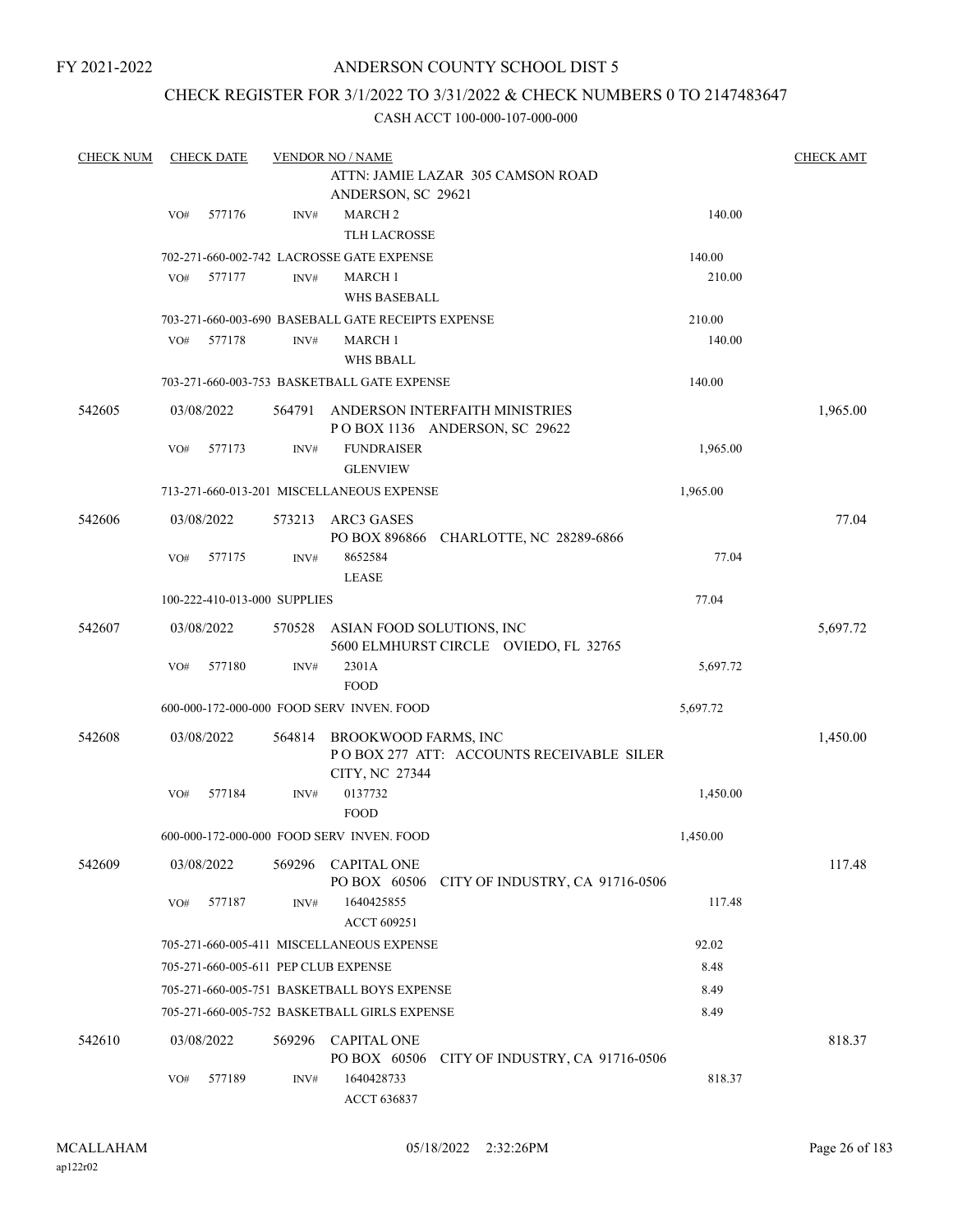## ANDERSON COUNTY SCHOOL DIST 5

## CHECK REGISTER FOR 3/1/2022 TO 3/31/2022 & CHECK NUMBERS 0 TO 2147483647

| <b>CHECK NUM</b> |     | <b>CHECK DATE</b> |                              | <b>VENDOR NO / NAME</b>                            |                                                                 |          | <b>CHECK AMT</b> |
|------------------|-----|-------------------|------------------------------|----------------------------------------------------|-----------------------------------------------------------------|----------|------------------|
|                  |     |                   |                              | ANDERSON, SC 29621                                 | ATTN: JAMIE LAZAR 305 CAMSON ROAD                               |          |                  |
|                  | VO# | 577176            | INV#                         | <b>MARCH2</b>                                      |                                                                 | 140.00   |                  |
|                  |     |                   |                              | <b>TLH LACROSSE</b>                                |                                                                 |          |                  |
|                  |     |                   |                              | 702-271-660-002-742 LACROSSE GATE EXPENSE          |                                                                 | 140.00   |                  |
|                  | VO# | 577177            | INV#                         | <b>MARCH 1</b>                                     |                                                                 | 210.00   |                  |
|                  |     |                   |                              | <b>WHS BASEBALL</b>                                |                                                                 |          |                  |
|                  |     |                   |                              | 703-271-660-003-690 BASEBALL GATE RECEIPTS EXPENSE |                                                                 | 210.00   |                  |
|                  | VO# | 577178            | INV#                         | <b>MARCH 1</b>                                     |                                                                 | 140.00   |                  |
|                  |     |                   |                              | <b>WHS BBALL</b>                                   |                                                                 |          |                  |
|                  |     |                   |                              | 703-271-660-003-753 BASKETBALL GATE EXPENSE        |                                                                 | 140.00   |                  |
| 542605           |     | 03/08/2022        | 564791                       |                                                    | ANDERSON INTERFAITH MINISTRIES<br>POBOX 1136 ANDERSON, SC 29622 |          | 1,965.00         |
|                  | VO# | 577173            | INV#                         | <b>FUNDRAISER</b>                                  |                                                                 | 1,965.00 |                  |
|                  |     |                   |                              | <b>GLENVIEW</b>                                    |                                                                 |          |                  |
|                  |     |                   |                              | 713-271-660-013-201 MISCELLANEOUS EXPENSE          |                                                                 | 1,965.00 |                  |
| 542606           |     | 03/08/2022        | 573213                       | ARC3 GASES                                         | PO BOX 896866 CHARLOTTE, NC 28289-6866                          |          | 77.04            |
|                  | VO# | 577175            | INV#                         | 8652584<br><b>LEASE</b>                            |                                                                 | 77.04    |                  |
|                  |     |                   | 100-222-410-013-000 SUPPLIES |                                                    |                                                                 | 77.04    |                  |
| 542607           |     | 03/08/2022        | 570528                       | ASIAN FOOD SOLUTIONS, INC                          |                                                                 |          | 5,697.72         |
|                  |     |                   |                              |                                                    | 5600 ELMHURST CIRCLE OVIEDO, FL 32765                           |          |                  |
|                  | VO# | 577180            | INV#                         | 2301A                                              |                                                                 | 5,697.72 |                  |
|                  |     |                   |                              | <b>FOOD</b>                                        |                                                                 |          |                  |
|                  |     |                   |                              | 600-000-172-000-000 FOOD SERV INVEN. FOOD          |                                                                 | 5,697.72 |                  |
| 542608           |     | 03/08/2022        | 564814                       | BROOKWOOD FARMS, INC<br>CITY, NC 27344             | POBOX 277 ATT: ACCOUNTS RECEIVABLE SILER                        |          | 1,450.00         |
|                  | VO# | 577184            | INV#                         | 0137732                                            |                                                                 | 1,450.00 |                  |
|                  |     |                   |                              | <b>FOOD</b>                                        |                                                                 |          |                  |
|                  |     |                   |                              | 600-000-172-000-000 FOOD SERV INVEN. FOOD          |                                                                 | 1,450.00 |                  |
| 542609           |     | 03/08/2022        | 569296                       | <b>CAPITAL ONE</b>                                 | PO BOX 60506 CITY OF INDUSTRY, CA 91716-0506                    |          | 117.48           |
|                  | VO# | 577187            | INV#                         | 1640425855<br>ACCT 609251                          |                                                                 | 117.48   |                  |
|                  |     |                   |                              | 705-271-660-005-411 MISCELLANEOUS EXPENSE          |                                                                 | 92.02    |                  |
|                  |     |                   |                              | 705-271-660-005-611 PEP CLUB EXPENSE               |                                                                 | 8.48     |                  |
|                  |     |                   |                              | 705-271-660-005-751 BASKETBALL BOYS EXPENSE        |                                                                 | 8.49     |                  |
|                  |     |                   |                              | 705-271-660-005-752 BASKETBALL GIRLS EXPENSE       |                                                                 | 8.49     |                  |
|                  |     |                   | 569296                       | <b>CAPITAL ONE</b>                                 |                                                                 |          | 818.37           |
| 542610           |     | 03/08/2022        |                              | PO BOX 60506                                       | CITY OF INDUSTRY, CA 91716-0506                                 |          |                  |
|                  | VO# | 577189            | INV#                         | 1640428733<br>ACCT 636837                          |                                                                 | 818.37   |                  |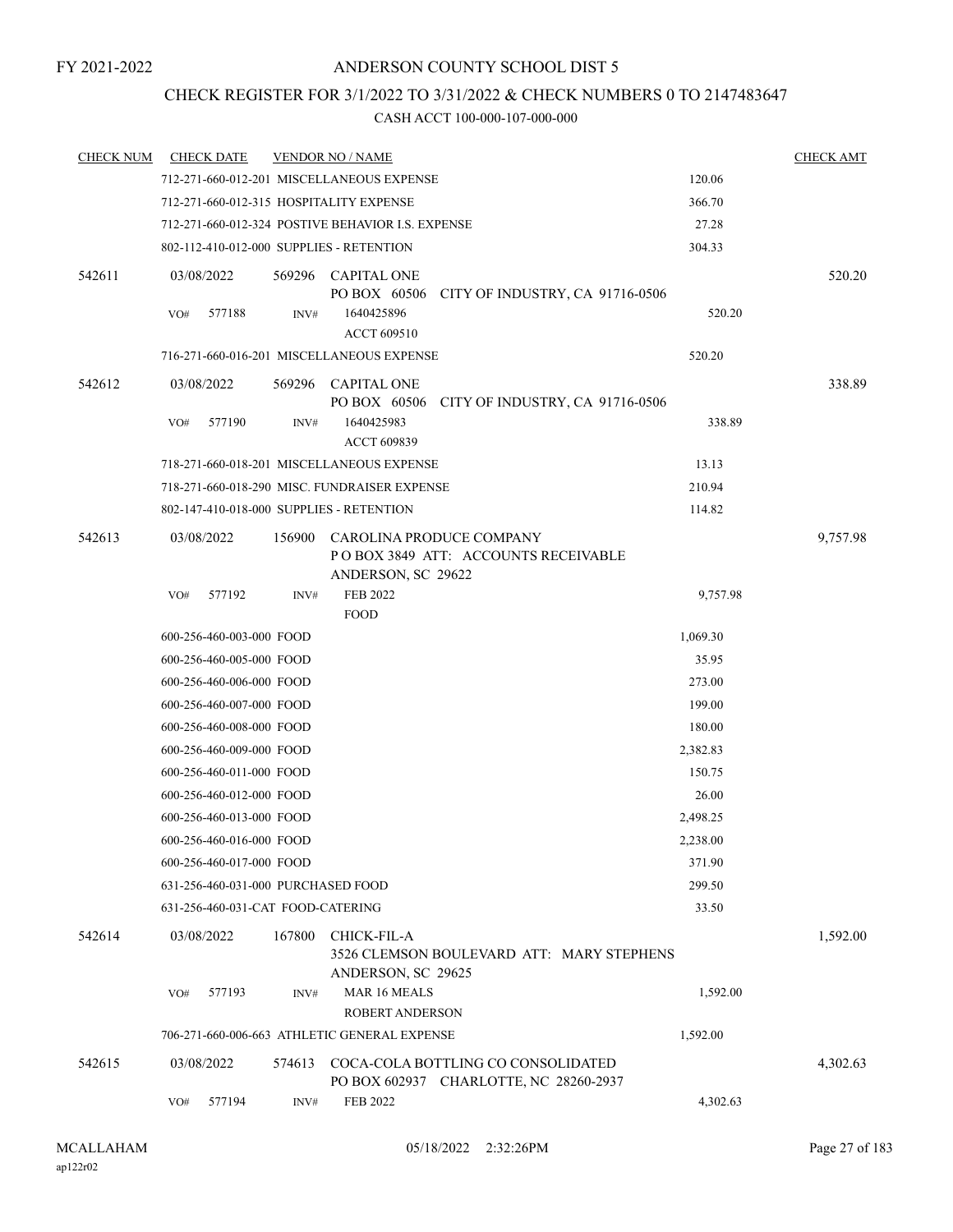## CHECK REGISTER FOR 3/1/2022 TO 3/31/2022 & CHECK NUMBERS 0 TO 2147483647

| <b>CHECK NUM</b> | <b>CHECK DATE</b>                        |        | <b>VENDOR NO / NAME</b>                                                               |          | <b>CHECK AMT</b> |
|------------------|------------------------------------------|--------|---------------------------------------------------------------------------------------|----------|------------------|
|                  |                                          |        | 712-271-660-012-201 MISCELLANEOUS EXPENSE                                             | 120.06   |                  |
|                  | 712-271-660-012-315 HOSPITALITY EXPENSE  |        |                                                                                       | 366.70   |                  |
|                  |                                          |        | 712-271-660-012-324 POSTIVE BEHAVIOR I.S. EXPENSE                                     | 27.28    |                  |
|                  | 802-112-410-012-000 SUPPLIES - RETENTION |        |                                                                                       | 304.33   |                  |
| 542611           | 03/08/2022                               | 569296 | <b>CAPITAL ONE</b><br>PO BOX 60506 CITY OF INDUSTRY, CA 91716-0506                    |          | 520.20           |
|                  | 577188<br>VO#                            | INV#   | 1640425896<br>ACCT 609510                                                             | 520.20   |                  |
|                  |                                          |        | 716-271-660-016-201 MISCELLANEOUS EXPENSE                                             | 520.20   |                  |
| 542612           | 03/08/2022                               |        | 569296 CAPITAL ONE<br>PO BOX 60506 CITY OF INDUSTRY, CA 91716-0506                    |          | 338.89           |
|                  | 577190<br>VO#                            | INV#   | 1640425983<br>ACCT 609839                                                             | 338.89   |                  |
|                  |                                          |        | 718-271-660-018-201 MISCELLANEOUS EXPENSE                                             | 13.13    |                  |
|                  |                                          |        | 718-271-660-018-290 MISC. FUNDRAISER EXPENSE                                          | 210.94   |                  |
|                  | 802-147-410-018-000 SUPPLIES - RETENTION |        |                                                                                       | 114.82   |                  |
| 542613           | 03/08/2022                               | 156900 | CAROLINA PRODUCE COMPANY<br>POBOX 3849 ATT: ACCOUNTS RECEIVABLE<br>ANDERSON, SC 29622 |          | 9,757.98         |
|                  | 577192<br>VO#                            | INV#   | <b>FEB 2022</b><br><b>FOOD</b>                                                        | 9,757.98 |                  |
|                  | 600-256-460-003-000 FOOD                 |        |                                                                                       | 1,069.30 |                  |
|                  | 600-256-460-005-000 FOOD                 |        |                                                                                       | 35.95    |                  |
|                  | 600-256-460-006-000 FOOD                 |        |                                                                                       | 273.00   |                  |
|                  | 600-256-460-007-000 FOOD                 |        |                                                                                       | 199.00   |                  |
|                  | 600-256-460-008-000 FOOD                 |        |                                                                                       | 180.00   |                  |
|                  | 600-256-460-009-000 FOOD                 |        |                                                                                       | 2,382.83 |                  |
|                  | 600-256-460-011-000 FOOD                 |        |                                                                                       | 150.75   |                  |
|                  | 600-256-460-012-000 FOOD                 |        |                                                                                       | 26.00    |                  |
|                  | 600-256-460-013-000 FOOD                 |        |                                                                                       | 2,498.25 |                  |
|                  | 600-256-460-016-000 FOOD                 |        |                                                                                       | 2,238.00 |                  |
|                  | 600-256-460-017-000 FOOD                 |        |                                                                                       | 371.90   |                  |
|                  | 631-256-460-031-000 PURCHASED FOOD       |        |                                                                                       | 299.50   |                  |
|                  | 631-256-460-031-CAT FOOD-CATERING        |        |                                                                                       | 33.50    |                  |
| 542614           | 03/08/2022                               | 167800 | CHICK-FIL-A<br>3526 CLEMSON BOULEVARD ATT: MARY STEPHENS<br>ANDERSON, SC 29625        |          | 1,592.00         |
|                  | 577193<br>VO#                            | INV#   | MAR 16 MEALS<br><b>ROBERT ANDERSON</b>                                                | 1,592.00 |                  |
|                  |                                          |        | 706-271-660-006-663 ATHLETIC GENERAL EXPENSE                                          | 1,592.00 |                  |
| 542615           | 03/08/2022                               | 574613 | COCA-COLA BOTTLING CO CONSOLIDATED<br>PO BOX 602937 CHARLOTTE, NC 28260-2937          |          | 4,302.63         |
|                  | VO#<br>577194                            | INV#   | FEB 2022                                                                              | 4,302.63 |                  |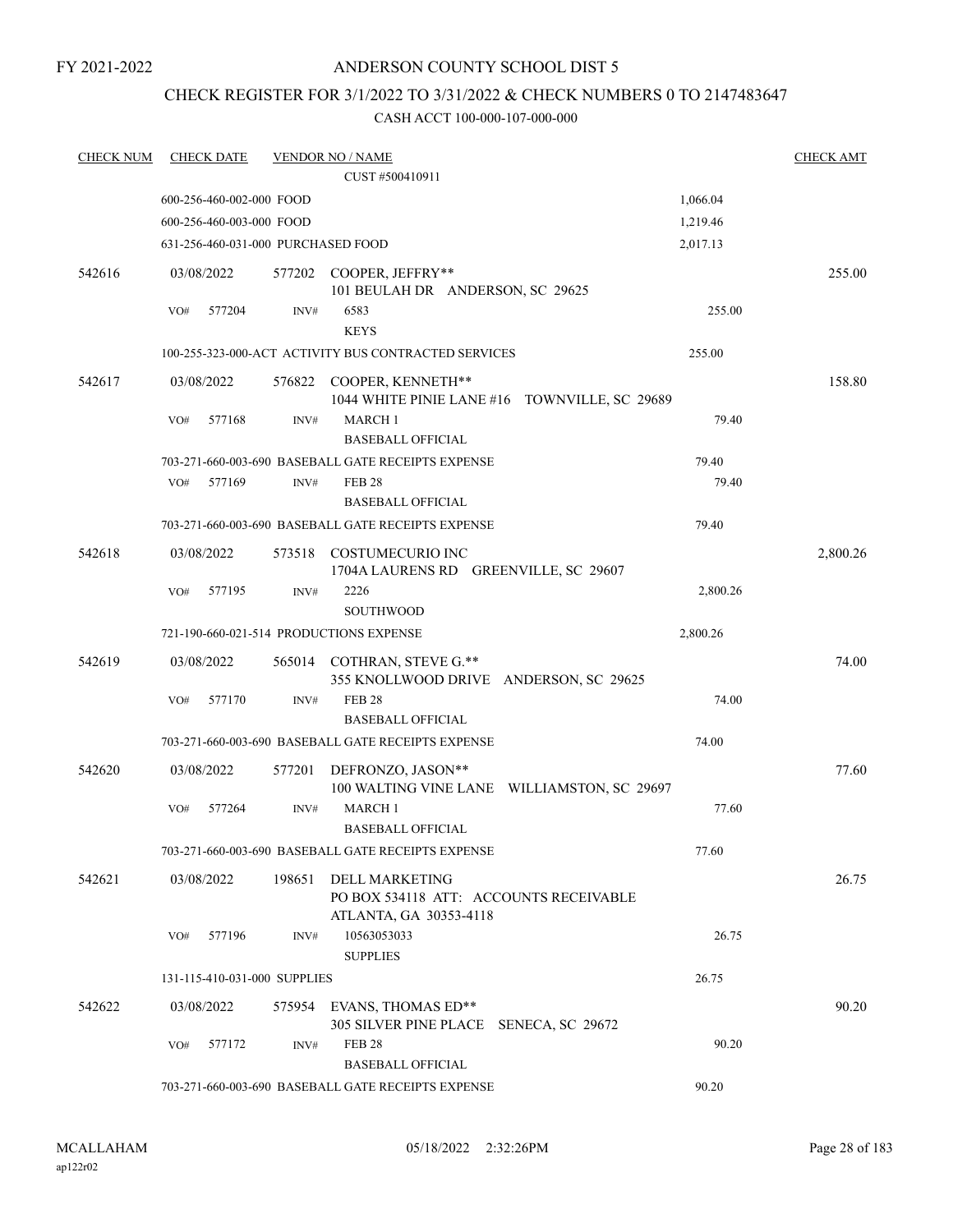## CHECK REGISTER FOR 3/1/2022 TO 3/31/2022 & CHECK NUMBERS 0 TO 2147483647

| <b>CHECK NUM</b> | <b>CHECK DATE</b>                                           |                | <b>VENDOR NO / NAME</b>                                              |                                               | <b>CHECK AMT</b> |  |  |
|------------------|-------------------------------------------------------------|----------------|----------------------------------------------------------------------|-----------------------------------------------|------------------|--|--|
|                  |                                                             |                | CUST #500410911                                                      |                                               |                  |  |  |
|                  | 600-256-460-002-000 FOOD                                    |                |                                                                      | 1,066.04                                      |                  |  |  |
|                  | 600-256-460-003-000 FOOD                                    |                |                                                                      | 1,219.46                                      |                  |  |  |
|                  | 631-256-460-031-000 PURCHASED FOOD                          |                |                                                                      | 2,017.13                                      |                  |  |  |
| 542616           | 03/08/2022                                                  |                | 577202 COOPER, JEFFRY**<br>101 BEULAH DR ANDERSON, SC 29625          |                                               | 255.00           |  |  |
|                  | 577204<br>VO#                                               | $\text{INV}\#$ | 6583<br><b>KEYS</b>                                                  | 255.00                                        |                  |  |  |
|                  |                                                             |                | 100-255-323-000-ACT ACTIVITY BUS CONTRACTED SERVICES                 | 255.00                                        |                  |  |  |
| 542617           | 03/08/2022                                                  |                | 576822 COOPER, KENNETH**                                             | 1044 WHITE PINIE LANE #16 TOWNVILLE, SC 29689 | 158.80           |  |  |
|                  | 577168<br>VO#                                               | INV#           | <b>MARCH 1</b><br><b>BASEBALL OFFICIAL</b>                           | 79.40                                         |                  |  |  |
|                  |                                                             |                | 703-271-660-003-690 BASEBALL GATE RECEIPTS EXPENSE                   | 79.40                                         |                  |  |  |
|                  | 577169<br>VO#                                               | INV#           | <b>FEB 28</b>                                                        | 79.40                                         |                  |  |  |
|                  |                                                             |                | <b>BASEBALL OFFICIAL</b>                                             |                                               |                  |  |  |
|                  |                                                             |                | 703-271-660-003-690 BASEBALL GATE RECEIPTS EXPENSE                   | 79.40                                         |                  |  |  |
| 542618           | 03/08/2022                                                  | 573518         | COSTUMECURIO INC<br>1704A LAURENS RD GREENVILLE, SC 29607            |                                               | 2,800.26         |  |  |
|                  | 577195<br>VO#                                               | $\text{INV}\#$ | 2226<br><b>SOUTHWOOD</b>                                             | 2,800.26                                      |                  |  |  |
|                  |                                                             |                | 721-190-660-021-514 PRODUCTIONS EXPENSE                              | 2,800.26                                      |                  |  |  |
| 542619           | 03/08/2022                                                  |                | 565014 COTHRAN, STEVE G.**<br>355 KNOLLWOOD DRIVE ANDERSON, SC 29625 |                                               | 74.00            |  |  |
|                  | 577170<br>VO#                                               | INV#           | <b>FEB 28</b><br><b>BASEBALL OFFICIAL</b>                            | 74.00                                         |                  |  |  |
|                  |                                                             |                | 703-271-660-003-690 BASEBALL GATE RECEIPTS EXPENSE                   | 74.00                                         |                  |  |  |
| 542620           | 03/08/2022                                                  | 577201         | DEFRONZO, JASON**                                                    | 100 WALTING VINE LANE WILLIAMSTON, SC 29697   | 77.60            |  |  |
|                  | 577264<br>VO#                                               | INV#           | MARCH 1<br><b>BASEBALL OFFICIAL</b>                                  | 77.60                                         |                  |  |  |
|                  |                                                             |                | 703-271-660-003-690  BASEBALL GATE RECEIPTS EXPENSE                  | 77.60                                         |                  |  |  |
| 542621           | 03/08/2022                                                  | 198651         | DELL MARKETING<br>PO BOX 534118 ATT: ACCOUNTS RECEIVABLE             |                                               | 26.75            |  |  |
|                  | 577196<br>VO#                                               | INV#           | ATLANTA, GA 30353-4118<br>10563053033<br><b>SUPPLIES</b>             | 26.75                                         |                  |  |  |
|                  | 131-115-410-031-000 SUPPLIES                                |                |                                                                      | 26.75                                         |                  |  |  |
| 542622           | 03/08/2022                                                  |                | 575954 EVANS, THOMAS ED**<br>305 SILVER PINE PLACE SENECA, SC 29672  |                                               | 90.20            |  |  |
|                  | 577172<br>VO#                                               | INV#           | <b>FEB 28</b><br><b>BASEBALL OFFICIAL</b>                            | 90.20                                         |                  |  |  |
|                  | 703-271-660-003-690 BASEBALL GATE RECEIPTS EXPENSE<br>90.20 |                |                                                                      |                                               |                  |  |  |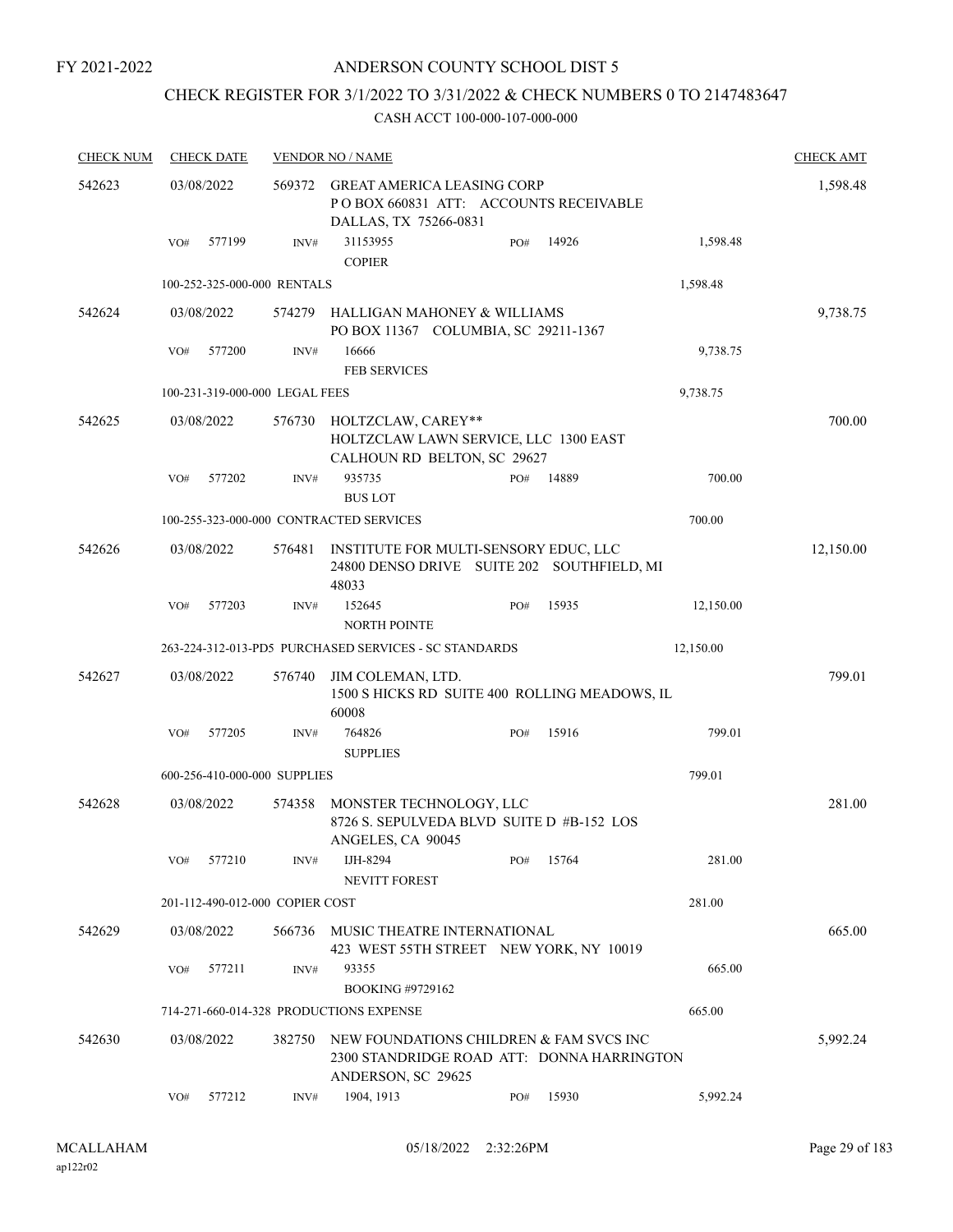## ANDERSON COUNTY SCHOOL DIST 5

## CHECK REGISTER FOR 3/1/2022 TO 3/31/2022 & CHECK NUMBERS 0 TO 2147483647

| <b>CHECK NUM</b> |     | <b>CHECK DATE</b>               |                | <b>VENDOR NO / NAME</b>                                                                                     |     |       |           | <b>CHECK AMT</b> |
|------------------|-----|---------------------------------|----------------|-------------------------------------------------------------------------------------------------------------|-----|-------|-----------|------------------|
| 542623           |     | 03/08/2022                      | 569372         | <b>GREAT AMERICA LEASING CORP</b><br>POBOX 660831 ATT: ACCOUNTS RECEIVABLE<br>DALLAS, TX 75266-0831         |     |       |           | 1,598.48         |
|                  | VO# | 577199                          | INV#           | 31153955<br><b>COPIER</b>                                                                                   | PO# | 14926 | 1,598.48  |                  |
|                  |     | 100-252-325-000-000 RENTALS     |                |                                                                                                             |     |       | 1,598.48  |                  |
| 542624           |     | 03/08/2022                      | 574279         | HALLIGAN MAHONEY & WILLIAMS<br>PO BOX 11367 COLUMBIA, SC 29211-1367                                         |     |       |           | 9,738.75         |
|                  | VO# | 577200                          | $\text{INV}\#$ | 16666<br><b>FEB SERVICES</b>                                                                                |     |       | 9,738.75  |                  |
|                  |     | 100-231-319-000-000 LEGAL FEES  |                |                                                                                                             |     |       | 9,738.75  |                  |
| 542625           |     | 03/08/2022                      | 576730         | HOLTZCLAW, CAREY**<br>HOLTZCLAW LAWN SERVICE, LLC 1300 EAST<br>CALHOUN RD BELTON, SC 29627                  |     |       |           | 700.00           |
|                  | VO# | 577202                          | INV#           | 935735<br><b>BUS LOT</b>                                                                                    | PO# | 14889 | 700.00    |                  |
|                  |     |                                 |                | 100-255-323-000-000 CONTRACTED SERVICES                                                                     |     |       | 700.00    |                  |
| 542626           |     | 03/08/2022                      | 576481         | INSTITUTE FOR MULTI-SENSORY EDUC, LLC<br>24800 DENSO DRIVE SUITE 202 SOUTHFIELD, MI<br>48033                |     |       |           | 12,150.00        |
|                  | VO# | 577203                          | INV#           | 152645<br><b>NORTH POINTE</b>                                                                               | PO# | 15935 | 12,150.00 |                  |
|                  |     |                                 |                | 263-224-312-013-PD5 PURCHASED SERVICES - SC STANDARDS                                                       |     |       | 12,150.00 |                  |
| 542627           |     | 03/08/2022                      | 576740         | JIM COLEMAN, LTD.<br>1500 S HICKS RD SUITE 400 ROLLING MEADOWS, IL<br>60008                                 |     |       |           | 799.01           |
|                  | VO# | 577205                          | INV#           | 764826<br><b>SUPPLIES</b>                                                                                   | PO# | 15916 | 799.01    |                  |
|                  |     | 600-256-410-000-000 SUPPLIES    |                |                                                                                                             |     |       | 799.01    |                  |
| 542628           |     | 03/08/2022                      | 574358         | MONSTER TECHNOLOGY, LLC<br>8726 S. SEPULVEDA BLVD SUITE D #B-152 LOS<br>ANGELES, CA 90045                   |     |       |           | 281.00           |
|                  | VO# | 577210                          | INV#           | IJH-8294<br><b>NEVITT FOREST</b>                                                                            | PO# | 15764 | 281.00    |                  |
|                  |     | 201-112-490-012-000 COPIER COST |                |                                                                                                             |     |       | 281.00    |                  |
| 542629           |     | 03/08/2022                      | 566736         | MUSIC THEATRE INTERNATIONAL<br>423 WEST 55TH STREET NEW YORK, NY 10019                                      |     |       |           | 665.00           |
|                  | VO# | 577211                          | INV#           | 93355<br><b>BOOKING #9729162</b>                                                                            |     |       | 665.00    |                  |
|                  |     |                                 |                | 714-271-660-014-328 PRODUCTIONS EXPENSE                                                                     |     |       | 665.00    |                  |
| 542630           |     | 03/08/2022                      | 382750         | NEW FOUNDATIONS CHILDREN & FAM SVCS INC<br>2300 STANDRIDGE ROAD ATT: DONNA HARRINGTON<br>ANDERSON, SC 29625 |     |       |           | 5,992.24         |
|                  | VO# | 577212                          | INV#           | 1904, 1913                                                                                                  | PO# | 15930 | 5,992.24  |                  |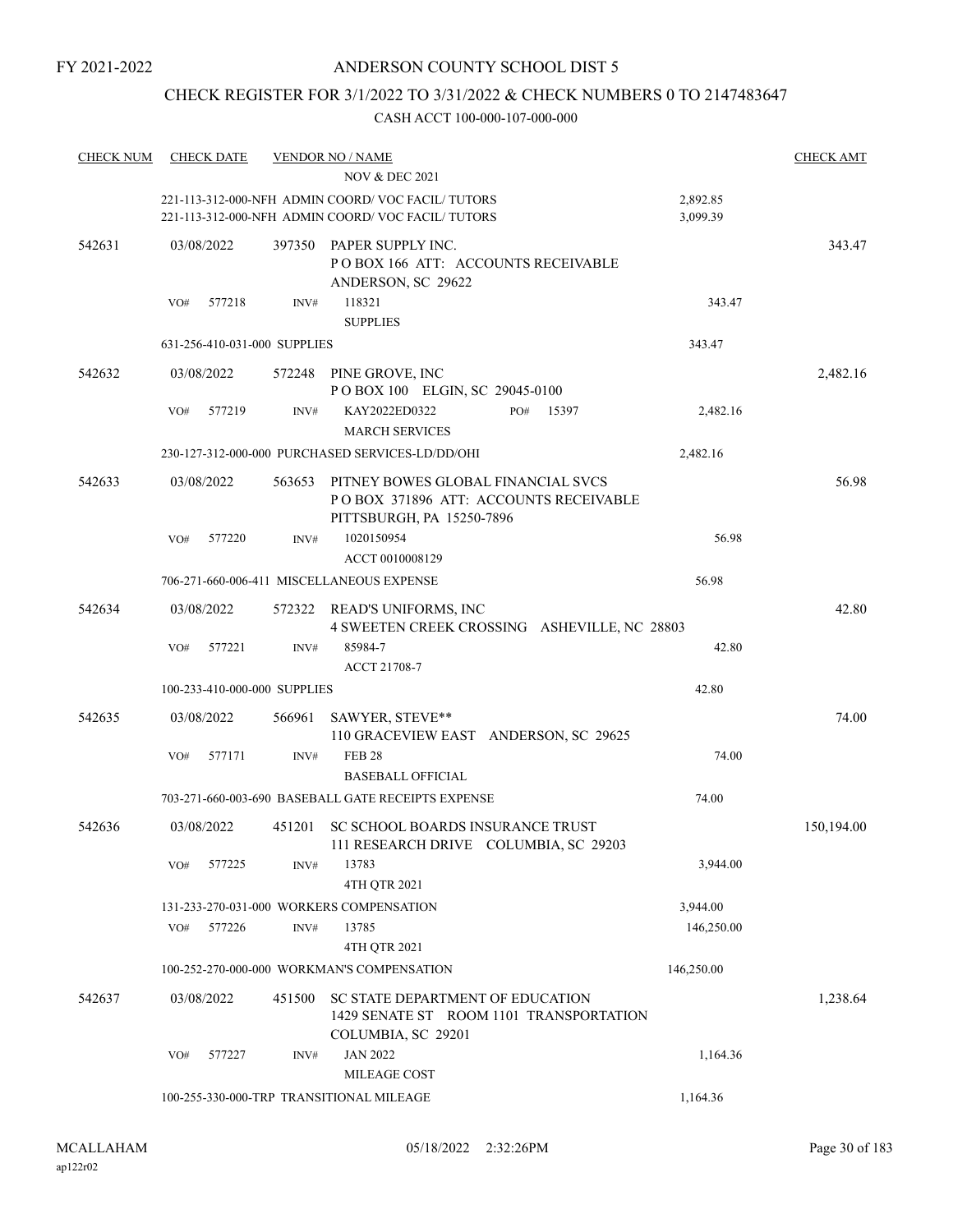## CHECK REGISTER FOR 3/1/2022 TO 3/31/2022 & CHECK NUMBERS 0 TO 2147483647

| <b>CHECK NUM</b> | <b>CHECK DATE</b>            |        | <b>VENDOR NO / NAME</b>                                                                                  |                      | <b>CHECK AMT</b> |
|------------------|------------------------------|--------|----------------------------------------------------------------------------------------------------------|----------------------|------------------|
|                  |                              |        | <b>NOV &amp; DEC 2021</b>                                                                                |                      |                  |
|                  |                              |        | 221-113-312-000-NFH ADMIN COORD/VOC FACIL/TUTORS<br>221-113-312-000-NFH ADMIN COORD/VOC FACIL/TUTORS     | 2,892.85<br>3,099.39 |                  |
| 542631           | 03/08/2022                   | 397350 | PAPER SUPPLY INC.<br>POBOX 166 ATT: ACCOUNTS RECEIVABLE<br>ANDERSON, SC 29622                            |                      | 343.47           |
|                  | 577218<br>VO#                | INV#   | 118321<br><b>SUPPLIES</b>                                                                                | 343.47               |                  |
|                  | 631-256-410-031-000 SUPPLIES |        |                                                                                                          | 343.47               |                  |
| 542632           | 03/08/2022                   |        | 572248 PINE GROVE, INC<br>POBOX 100 ELGIN, SC 29045-0100                                                 |                      | 2,482.16         |
|                  | VO#<br>577219                | INV#   | KAY2022ED0322<br>PO#<br>15397<br><b>MARCH SERVICES</b>                                                   | 2,482.16             |                  |
|                  |                              |        | 230-127-312-000-000 PURCHASED SERVICES-LD/DD/OHI                                                         | 2,482.16             |                  |
| 542633           | 03/08/2022                   | 563653 | PITNEY BOWES GLOBAL FINANCIAL SVCS<br>POBOX 371896 ATT: ACCOUNTS RECEIVABLE<br>PITTSBURGH, PA 15250-7896 |                      | 56.98            |
|                  | 577220<br>VO#                | INV#   | 1020150954<br>ACCT 0010008129                                                                            | 56.98                |                  |
|                  |                              |        | 706-271-660-006-411 MISCELLANEOUS EXPENSE                                                                | 56.98                |                  |
| 542634           | 03/08/2022                   | 572322 | READ'S UNIFORMS, INC<br>4 SWEETEN CREEK CROSSING ASHEVILLE, NC 28803                                     |                      | 42.80            |
|                  | VO#<br>577221                | INV#   | 85984-7<br>ACCT 21708-7                                                                                  | 42.80                |                  |
|                  | 100-233-410-000-000 SUPPLIES |        |                                                                                                          | 42.80                |                  |
| 542635           | 03/08/2022                   | 566961 | SAWYER, STEVE**<br>110 GRACEVIEW EAST ANDERSON, SC 29625                                                 |                      | 74.00            |
|                  | 577171<br>VO#                | INV#   | <b>FEB 28</b><br><b>BASEBALL OFFICIAL</b>                                                                | 74.00                |                  |
|                  |                              |        | 703-271-660-003-690 BASEBALL GATE RECEIPTS EXPENSE                                                       | 74.00                |                  |
| 542636           | 03/08/2022                   |        | 451201 SC SCHOOL BOARDS INSURANCE TRUST<br>111 RESEARCH DRIVE COLUMBIA, SC 29203                         |                      | 150,194.00       |
|                  | 577225<br>VO#                | INV#   | 13783<br>4TH QTR 2021                                                                                    | 3,944.00             |                  |
|                  |                              |        | 131-233-270-031-000 WORKERS COMPENSATION                                                                 | 3,944.00             |                  |
|                  | 577226<br>VO#                | INV#   | 13785                                                                                                    | 146,250.00           |                  |
|                  |                              |        | 4TH QTR 2021                                                                                             |                      |                  |
|                  |                              |        | 100-252-270-000-000 WORKMAN'S COMPENSATION                                                               | 146,250.00           |                  |
| 542637           | 03/08/2022                   | 451500 | SC STATE DEPARTMENT OF EDUCATION<br>1429 SENATE ST ROOM 1101 TRANSPORTATION<br>COLUMBIA, SC 29201        |                      | 1,238.64         |
|                  | 577227<br>VO#                | INV#   | <b>JAN 2022</b>                                                                                          | 1,164.36             |                  |
|                  |                              |        | MILEAGE COST                                                                                             |                      |                  |
|                  |                              |        | 100-255-330-000-TRP TRANSITIONAL MILEAGE                                                                 | 1,164.36             |                  |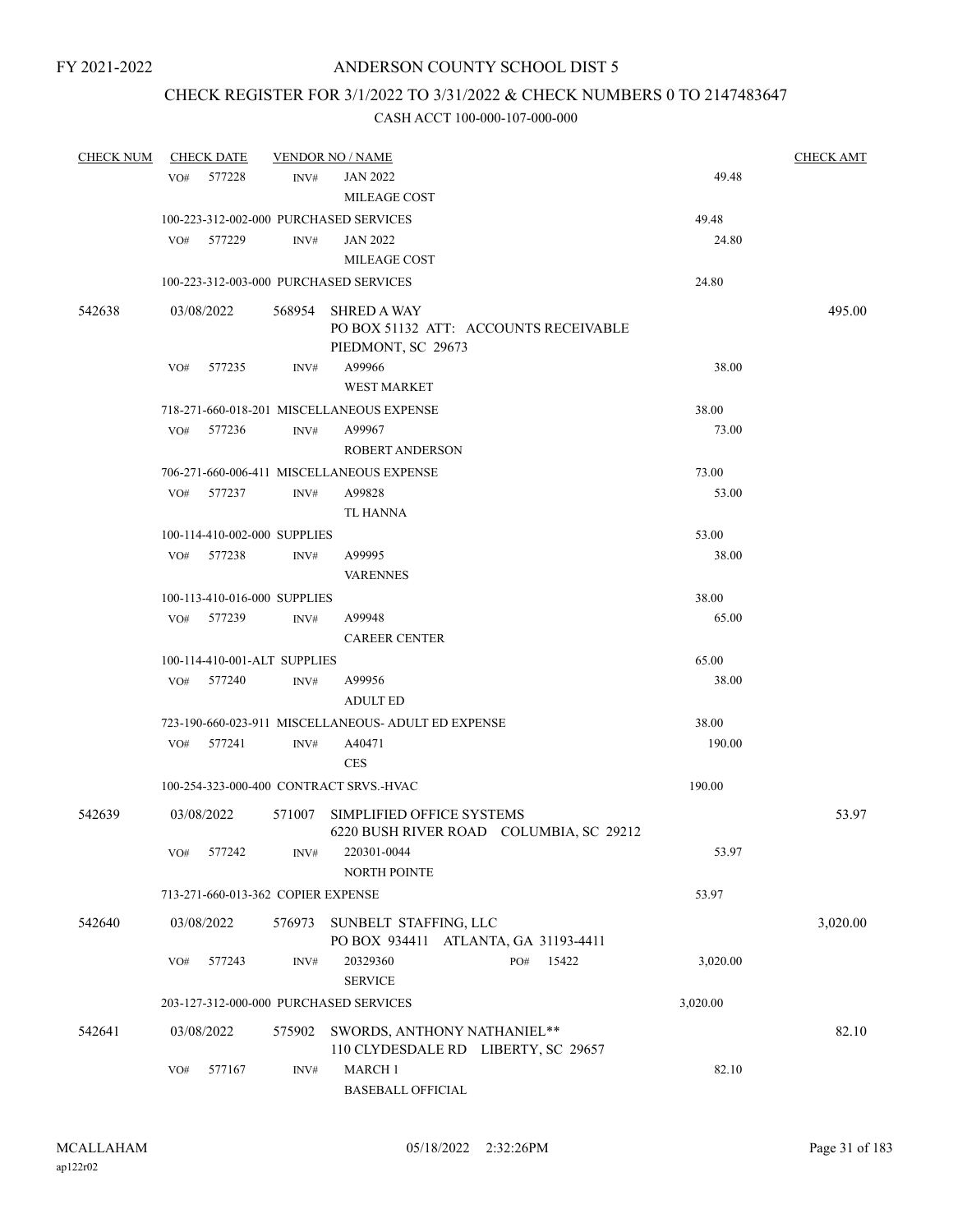## CHECK REGISTER FOR 3/1/2022 TO 3/31/2022 & CHECK NUMBERS 0 TO 2147483647

| <b>CHECK NUM</b> |     | <b>CHECK DATE</b>                  |        | <b>VENDOR NO / NAME</b>                                                     |          | <b>CHECK AMT</b> |
|------------------|-----|------------------------------------|--------|-----------------------------------------------------------------------------|----------|------------------|
|                  | VO# | 577228                             | INV#   | <b>JAN 2022</b>                                                             | 49.48    |                  |
|                  |     |                                    |        | MILEAGE COST                                                                |          |                  |
|                  |     |                                    |        | 100-223-312-002-000 PURCHASED SERVICES                                      | 49.48    |                  |
|                  |     | VO# 577229                         | INV#   | <b>JAN 2022</b>                                                             | 24.80    |                  |
|                  |     |                                    |        | <b>MILEAGE COST</b>                                                         |          |                  |
|                  |     |                                    |        | 100-223-312-003-000 PURCHASED SERVICES                                      | 24.80    |                  |
| 542638           |     | 03/08/2022                         |        | 568954 SHRED A WAY                                                          |          | 495.00           |
|                  |     |                                    |        | PO BOX 51132 ATT: ACCOUNTS RECEIVABLE                                       |          |                  |
|                  |     |                                    |        | PIEDMONT, SC 29673                                                          |          |                  |
|                  |     | VO# 577235                         | INV#   | A99966                                                                      | 38.00    |                  |
|                  |     |                                    |        | <b>WEST MARKET</b>                                                          |          |                  |
|                  |     |                                    |        | 718-271-660-018-201 MISCELLANEOUS EXPENSE                                   | 38.00    |                  |
|                  | VO# | 577236                             | INV#   | A99967                                                                      | 73.00    |                  |
|                  |     |                                    |        | <b>ROBERT ANDERSON</b>                                                      |          |                  |
|                  |     |                                    |        | 706-271-660-006-411 MISCELLANEOUS EXPENSE                                   | 73.00    |                  |
|                  | VO# | 577237                             | INV#   | A99828                                                                      | 53.00    |                  |
|                  |     |                                    |        | TL HANNA                                                                    |          |                  |
|                  |     | 100-114-410-002-000 SUPPLIES       |        |                                                                             | 53.00    |                  |
|                  |     | VO# 577238                         | INV#   | A99995                                                                      | 38.00    |                  |
|                  |     |                                    |        | <b>VARENNES</b>                                                             |          |                  |
|                  |     | 100-113-410-016-000 SUPPLIES       |        |                                                                             | 38.00    |                  |
|                  |     | VO# 577239                         | INV#   | A99948                                                                      | 65.00    |                  |
|                  |     |                                    |        | <b>CAREER CENTER</b>                                                        |          |                  |
|                  |     | 100-114-410-001-ALT SUPPLIES       |        |                                                                             | 65.00    |                  |
|                  | VO# | 577240                             | INV#   | A99956                                                                      | 38.00    |                  |
|                  |     |                                    |        | <b>ADULT ED</b>                                                             |          |                  |
|                  |     |                                    |        | 723-190-660-023-911 MISCELLANEOUS- ADULT ED EXPENSE                         | 38.00    |                  |
|                  | VO# | 577241                             | INV#   | A40471                                                                      | 190.00   |                  |
|                  |     |                                    |        | <b>CES</b>                                                                  |          |                  |
|                  |     |                                    |        | 100-254-323-000-400 CONTRACT SRVS.-HVAC                                     | 190.00   |                  |
| 542639           |     | 03/08/2022                         |        | 571007 SIMPLIFIED OFFICE SYSTEMS<br>6220 BUSH RIVER ROAD COLUMBIA, SC 29212 |          | 53.97            |
|                  | VO# | 577242                             | INV#   | 220301-0044<br><b>NORTH POINTE</b>                                          | 53.97    |                  |
|                  |     | 713-271-660-013-362 COPIER EXPENSE |        |                                                                             | 53.97    |                  |
| 542640           |     | 03/08/2022                         | 576973 | SUNBELT STAFFING, LLC                                                       |          | 3,020.00         |
|                  |     |                                    |        | PO BOX 934411 ATLANTA, GA 31193-4411                                        |          |                  |
|                  | VO# | 577243                             | INV#   | 20329360<br>15422<br>PO#<br><b>SERVICE</b>                                  | 3,020.00 |                  |
|                  |     |                                    |        | 203-127-312-000-000 PURCHASED SERVICES                                      | 3,020.00 |                  |
| 542641           |     | 03/08/2022                         | 575902 | SWORDS, ANTHONY NATHANIEL**<br>110 CLYDESDALE RD LIBERTY, SC 29657          |          | 82.10            |
|                  | VO# | 577167                             | INV#   | <b>MARCH 1</b><br><b>BASEBALL OFFICIAL</b>                                  | 82.10    |                  |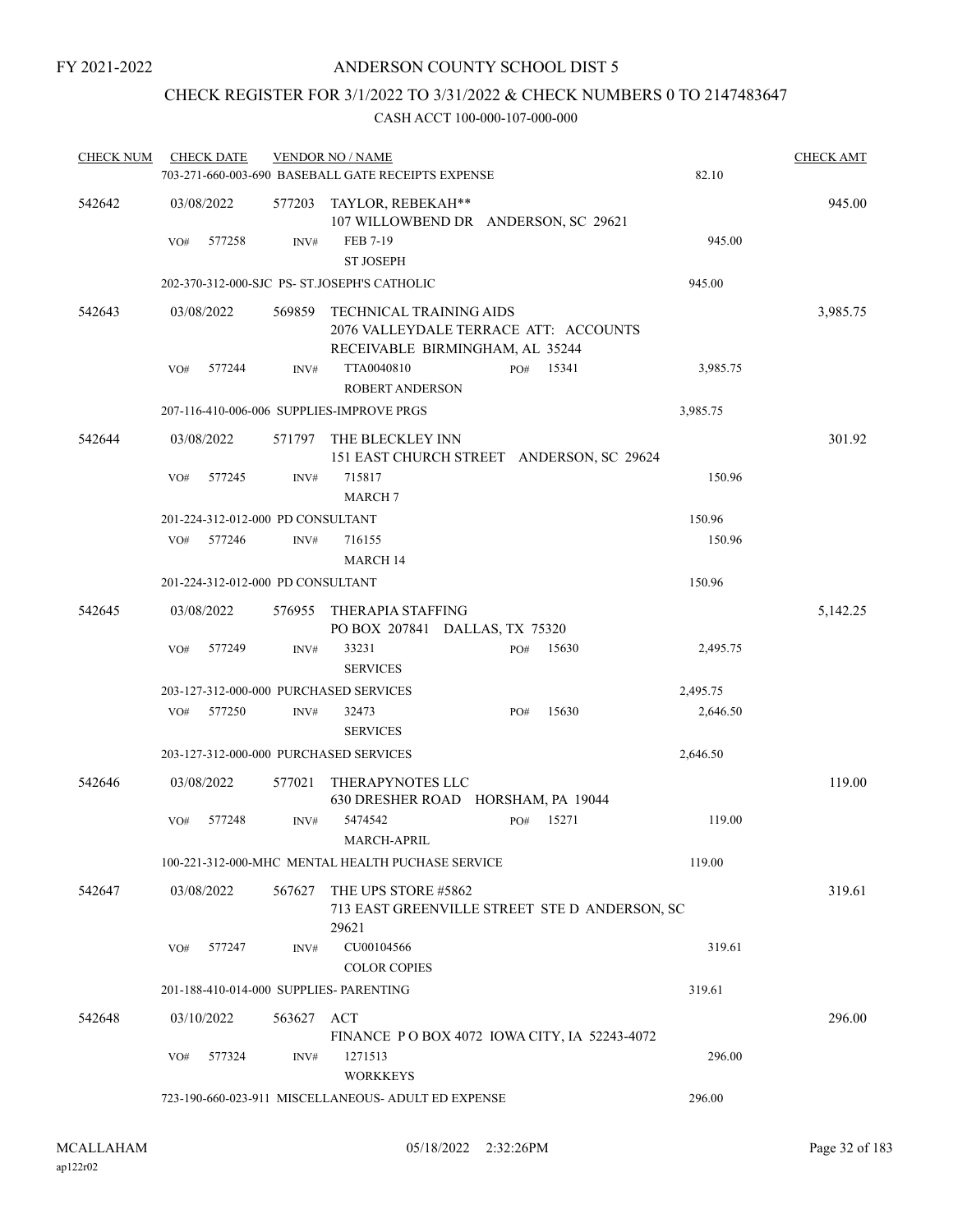## CHECK REGISTER FOR 3/1/2022 TO 3/31/2022 & CHECK NUMBERS 0 TO 2147483647

| <b>CHECK NUM</b> |     | <b>CHECK DATE</b>                 |            | <b>VENDOR NO / NAME</b><br>703-271-660-003-690 BASEBALL GATE RECEIPTS EXPENSE                              |     |       | 82.10    | <b>CHECK AMT</b> |
|------------------|-----|-----------------------------------|------------|------------------------------------------------------------------------------------------------------------|-----|-------|----------|------------------|
| 542642           |     | 03/08/2022                        | 577203     | TAYLOR, REBEKAH**<br>107 WILLOWBEND DR ANDERSON, SC 29621                                                  |     |       |          | 945.00           |
|                  | VO# | 577258                            | INV#       | FEB 7-19<br><b>ST JOSEPH</b>                                                                               |     |       | 945.00   |                  |
|                  |     |                                   |            | 202-370-312-000-SJC PS- ST.JOSEPH'S CATHOLIC                                                               |     |       | 945.00   |                  |
| 542643           |     | 03/08/2022                        | 569859     | <b>TECHNICAL TRAINING AIDS</b><br>2076 VALLEYDALE TERRACE ATT: ACCOUNTS<br>RECEIVABLE BIRMINGHAM, AL 35244 |     |       |          | 3,985.75         |
|                  | VO# | 577244                            | INV#       | TTA0040810                                                                                                 | PO# | 15341 | 3,985.75 |                  |
|                  |     |                                   |            | <b>ROBERT ANDERSON</b>                                                                                     |     |       |          |                  |
|                  |     |                                   |            | 207-116-410-006-006 SUPPLIES-IMPROVE PRGS                                                                  |     |       | 3,985.75 |                  |
| 542644           |     | 03/08/2022                        | 571797     | THE BLECKLEY INN<br>151 EAST CHURCH STREET ANDERSON, SC 29624                                              |     |       |          | 301.92           |
|                  | VO# | 577245                            | INV#       | 715817<br><b>MARCH 7</b>                                                                                   |     |       | 150.96   |                  |
|                  |     | 201-224-312-012-000 PD CONSULTANT |            |                                                                                                            |     |       | 150.96   |                  |
|                  | VO# | 577246                            | INV#       | 716155<br><b>MARCH 14</b>                                                                                  |     |       | 150.96   |                  |
|                  |     | 201-224-312-012-000 PD CONSULTANT |            |                                                                                                            |     |       | 150.96   |                  |
| 542645           |     | 03/08/2022                        | 576955     | THERAPIA STAFFING<br>PO BOX 207841 DALLAS, TX 75320                                                        |     |       |          | 5,142.25         |
|                  | VO# | 577249                            | INV#       | 33231<br><b>SERVICES</b>                                                                                   | PO# | 15630 | 2,495.75 |                  |
|                  |     |                                   |            | 203-127-312-000-000 PURCHASED SERVICES                                                                     |     |       | 2,495.75 |                  |
|                  | VO# | 577250                            | INV#       | 32473<br><b>SERVICES</b>                                                                                   | PO# | 15630 | 2,646.50 |                  |
|                  |     |                                   |            | 203-127-312-000-000 PURCHASED SERVICES                                                                     |     |       | 2,646.50 |                  |
| 542646           |     | 03/08/2022                        | 577021     | THERAPYNOTES LLC<br>630 DRESHER ROAD HORSHAM, PA 19044                                                     |     |       |          | 119.00           |
|                  | VO# | 577248                            | INV#       | 5474542<br><b>MARCH-APRIL</b>                                                                              | PO# | 15271 | 119.00   |                  |
|                  |     |                                   |            | 100-221-312-000-MHC MENTAL HEALTH PUCHASE SERVICE                                                          |     |       | 119.00   |                  |
| 542647           |     | 03/08/2022                        | 567627     | THE UPS STORE #5862<br>713 EAST GREENVILLE STREET STE D ANDERSON, SC<br>29621                              |     |       |          | 319.61           |
|                  | VO# | 577247                            | INV#       | CU00104566<br><b>COLOR COPIES</b>                                                                          |     |       | 319.61   |                  |
|                  |     |                                   |            | 201-188-410-014-000 SUPPLIES- PARENTING                                                                    |     |       | 319.61   |                  |
| 542648           |     | 03/10/2022                        | 563627 ACT | FINANCE PO BOX 4072 IOWA CITY, IA 52243-4072                                                               |     |       |          | 296.00           |
|                  | VO# | 577324                            | INV#       | 1271513<br><b>WORKKEYS</b>                                                                                 |     |       | 296.00   |                  |
|                  |     |                                   |            | 723-190-660-023-911 MISCELLANEOUS- ADULT ED EXPENSE                                                        |     |       | 296.00   |                  |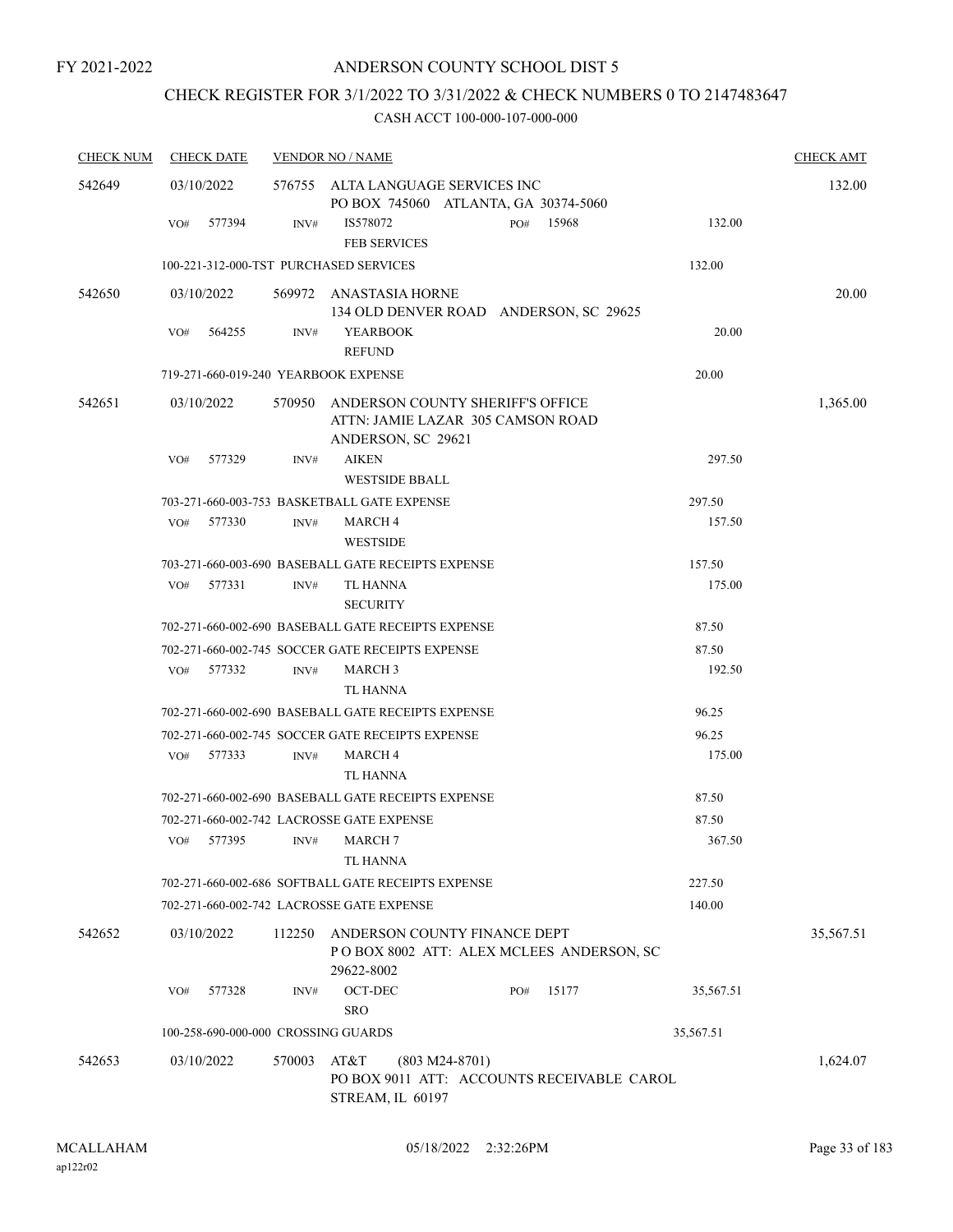## CHECK REGISTER FOR 3/1/2022 TO 3/31/2022 & CHECK NUMBERS 0 TO 2147483647

| <b>CHECK NUM</b> | <b>CHECK DATE</b>                      |        | <b>VENDOR NO / NAME</b>                                                                     |              |           | <b>CHECK AMT</b> |
|------------------|----------------------------------------|--------|---------------------------------------------------------------------------------------------|--------------|-----------|------------------|
| 542649           | 03/10/2022                             |        | 576755 ALTA LANGUAGE SERVICES INC<br>PO BOX 745060 ATLANTA, GA 30374-5060                   |              |           | 132.00           |
|                  | 577394<br>VO#                          | INV#   | IS578072<br><b>FEB SERVICES</b>                                                             | PO#<br>15968 | 132.00    |                  |
|                  | 100-221-312-000-TST PURCHASED SERVICES |        |                                                                                             |              | 132.00    |                  |
| 542650           | 03/10/2022                             |        | 569972 ANASTASIA HORNE<br>134 OLD DENVER ROAD ANDERSON, SC 29625                            |              |           | 20.00            |
|                  | 564255<br>VO#                          | INV#   | <b>YEARBOOK</b><br><b>REFUND</b>                                                            |              | 20.00     |                  |
|                  | 719-271-660-019-240 YEARBOOK EXPENSE   |        |                                                                                             |              | 20.00     |                  |
| 542651           | 03/10/2022                             | 570950 | ANDERSON COUNTY SHERIFF'S OFFICE<br>ATTN: JAMIE LAZAR 305 CAMSON ROAD<br>ANDERSON, SC 29621 |              |           | 1,365.00         |
|                  | 577329<br>VO#                          | INV#   | <b>AIKEN</b><br><b>WESTSIDE BBALL</b>                                                       |              | 297.50    |                  |
|                  |                                        |        | 703-271-660-003-753 BASKETBALL GATE EXPENSE                                                 |              | 297.50    |                  |
|                  | 577330<br>VO#                          | INV#   | MARCH 4<br><b>WESTSIDE</b>                                                                  |              | 157.50    |                  |
|                  |                                        |        | 703-271-660-003-690 BASEBALL GATE RECEIPTS EXPENSE                                          |              | 157.50    |                  |
|                  | 577331<br>VO#                          | INV#   | TL HANNA<br><b>SECURITY</b>                                                                 |              | 175.00    |                  |
|                  |                                        |        | 702-271-660-002-690 BASEBALL GATE RECEIPTS EXPENSE                                          |              | 87.50     |                  |
|                  |                                        |        | 702-271-660-002-745 SOCCER GATE RECEIPTS EXPENSE                                            |              | 87.50     |                  |
|                  | VO#<br>577332                          | INV#   | <b>MARCH 3</b>                                                                              |              | 192.50    |                  |
|                  |                                        |        | TL HANNA                                                                                    |              |           |                  |
|                  |                                        |        | 702-271-660-002-690 BASEBALL GATE RECEIPTS EXPENSE                                          |              | 96.25     |                  |
|                  |                                        |        | 702-271-660-002-745 SOCCER GATE RECEIPTS EXPENSE                                            |              | 96.25     |                  |
|                  | 577333<br>VO#                          | INV#   | MARCH 4<br><b>TL HANNA</b>                                                                  |              | 175.00    |                  |
|                  |                                        |        | 702-271-660-002-690 BASEBALL GATE RECEIPTS EXPENSE                                          |              | 87.50     |                  |
|                  |                                        |        | 702-271-660-002-742 LACROSSE GATE EXPENSE                                                   |              | 87.50     |                  |
|                  | 577395<br>VO#                          | INV#   | <b>MARCH 7</b><br><b>TL HANNA</b>                                                           |              | 367.50    |                  |
|                  |                                        |        | 702-271-660-002-686 SOFTBALL GATE RECEIPTS EXPENSE                                          |              | 227.50    |                  |
|                  |                                        |        | 702-271-660-002-742 LACROSSE GATE EXPENSE                                                   |              | 140.00    |                  |
| 542652           | 03/10/2022                             | 112250 | ANDERSON COUNTY FINANCE DEPT<br>POBOX 8002 ATT: ALEX MCLEES ANDERSON, SC<br>29622-8002      |              |           | 35,567.51        |
|                  | 577328<br>VO#                          | INV#   | OCT-DEC<br><b>SRO</b>                                                                       | 15177<br>PO# | 35,567.51 |                  |
|                  | 100-258-690-000-000 CROSSING GUARDS    |        |                                                                                             |              | 35,567.51 |                  |
| 542653           | 03/10/2022                             | 570003 | AT&T<br>$(803 M24-8701)$<br>PO BOX 9011 ATT: ACCOUNTS RECEIVABLE CAROL<br>STREAM, IL 60197  |              |           | 1,624.07         |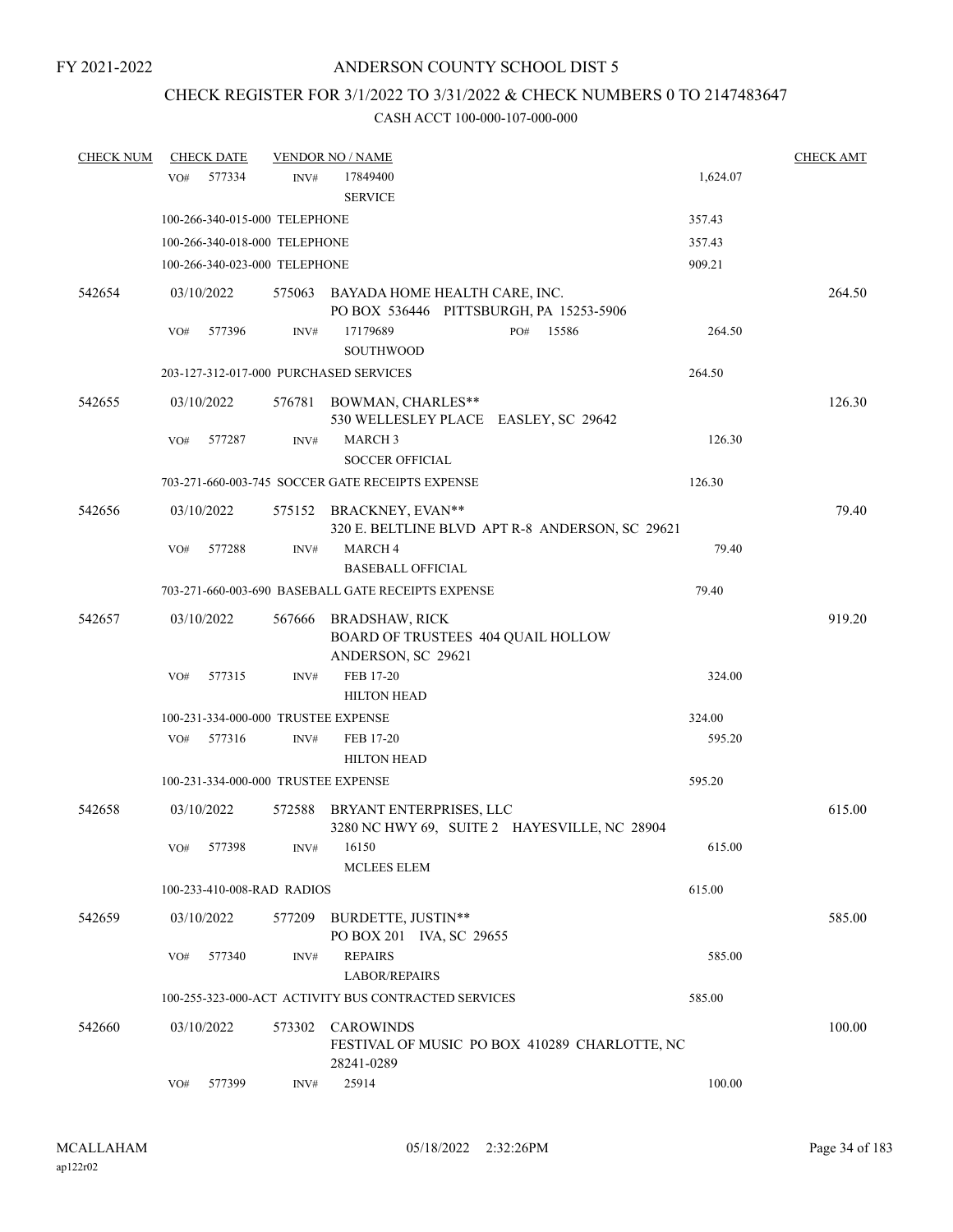# CHECK REGISTER FOR 3/1/2022 TO 3/31/2022 & CHECK NUMBERS 0 TO 2147483647

| <b>CHECK NUM</b> | <b>CHECK DATE</b>                      |        | <b>VENDOR NO / NAME</b>                                                           |           |          | <b>CHECK AMT</b> |
|------------------|----------------------------------------|--------|-----------------------------------------------------------------------------------|-----------|----------|------------------|
|                  | 577334<br>VO#                          | INV#   | 17849400                                                                          |           | 1,624.07 |                  |
|                  |                                        |        | <b>SERVICE</b>                                                                    |           |          |                  |
|                  | 100-266-340-015-000 TELEPHONE          |        |                                                                                   |           | 357.43   |                  |
|                  | 100-266-340-018-000 TELEPHONE          |        |                                                                                   |           | 357.43   |                  |
|                  | 100-266-340-023-000 TELEPHONE          |        |                                                                                   |           | 909.21   |                  |
| 542654           | 03/10/2022                             |        | 575063 BAYADA HOME HEALTH CARE, INC.                                              |           |          | 264.50           |
|                  |                                        |        | PO BOX 536446 PITTSBURGH, PA 15253-5906                                           |           |          |                  |
|                  | VO#<br>577396                          | INV#   | 17179689<br><b>SOUTHWOOD</b>                                                      | PO# 15586 | 264.50   |                  |
|                  | 203-127-312-017-000 PURCHASED SERVICES |        |                                                                                   |           | 264.50   |                  |
| 542655           | 03/10/2022                             |        | 576781 BOWMAN, CHARLES**<br>530 WELLESLEY PLACE EASLEY, SC 29642                  |           |          | 126.30           |
|                  | 577287<br>VO#                          | INV#   | <b>MARCH3</b>                                                                     |           | 126.30   |                  |
|                  |                                        |        | <b>SOCCER OFFICIAL</b>                                                            |           |          |                  |
|                  |                                        |        | 703-271-660-003-745 SOCCER GATE RECEIPTS EXPENSE                                  |           | 126.30   |                  |
| 542656           | 03/10/2022                             |        | 575152 BRACKNEY, EVAN**<br>320 E. BELTLINE BLVD APT R-8 ANDERSON, SC 29621        |           |          | 79.40            |
|                  | 577288<br>VO#                          | INV#   | <b>MARCH4</b>                                                                     |           | 79.40    |                  |
|                  |                                        |        | <b>BASEBALL OFFICIAL</b>                                                          |           |          |                  |
|                  |                                        |        | 703-271-660-003-690 BASEBALL GATE RECEIPTS EXPENSE                                |           | 79.40    |                  |
| 542657           | 03/10/2022                             | 567666 | <b>BRADSHAW, RICK</b><br>BOARD OF TRUSTEES 404 QUAIL HOLLOW<br>ANDERSON, SC 29621 |           |          | 919.20           |
|                  | 577315<br>VO#                          | INV#   | FEB 17-20<br><b>HILTON HEAD</b>                                                   |           | 324.00   |                  |
|                  | 100-231-334-000-000 TRUSTEE EXPENSE    |        |                                                                                   |           | 324.00   |                  |
|                  | 577316<br>VO#                          | INV#   | FEB 17-20                                                                         |           | 595.20   |                  |
|                  |                                        |        | <b>HILTON HEAD</b>                                                                |           |          |                  |
|                  | 100-231-334-000-000 TRUSTEE EXPENSE    |        |                                                                                   |           | 595.20   |                  |
| 542658           | 03/10/2022                             | 572588 | BRYANT ENTERPRISES, LLC<br>3280 NC HWY 69, SUITE 2 HAYESVILLE, NC 28904           |           |          | 615.00           |
|                  | 577398<br>VO#                          | INV#   | 16150<br>MCLEES ELEM                                                              |           | 615.00   |                  |
|                  | 100-233-410-008-RAD RADIOS             |        |                                                                                   |           | 615.00   |                  |
| 542659           | 03/10/2022                             | 577209 | BURDETTE, JUSTIN**<br>PO BOX 201 IVA, SC 29655                                    |           |          | 585.00           |
|                  | 577340<br>VO#                          | INV#   | <b>REPAIRS</b><br><b>LABOR/REPAIRS</b>                                            |           | 585.00   |                  |
|                  |                                        |        | 100-255-323-000-ACT ACTIVITY BUS CONTRACTED SERVICES                              |           | 585.00   |                  |
| 542660           | 03/10/2022                             | 573302 | CAROWINDS<br>FESTIVAL OF MUSIC PO BOX 410289 CHARLOTTE, NC<br>28241-0289          |           |          | 100.00           |
|                  | 577399<br>VO#                          | INV#   | 25914                                                                             |           | 100.00   |                  |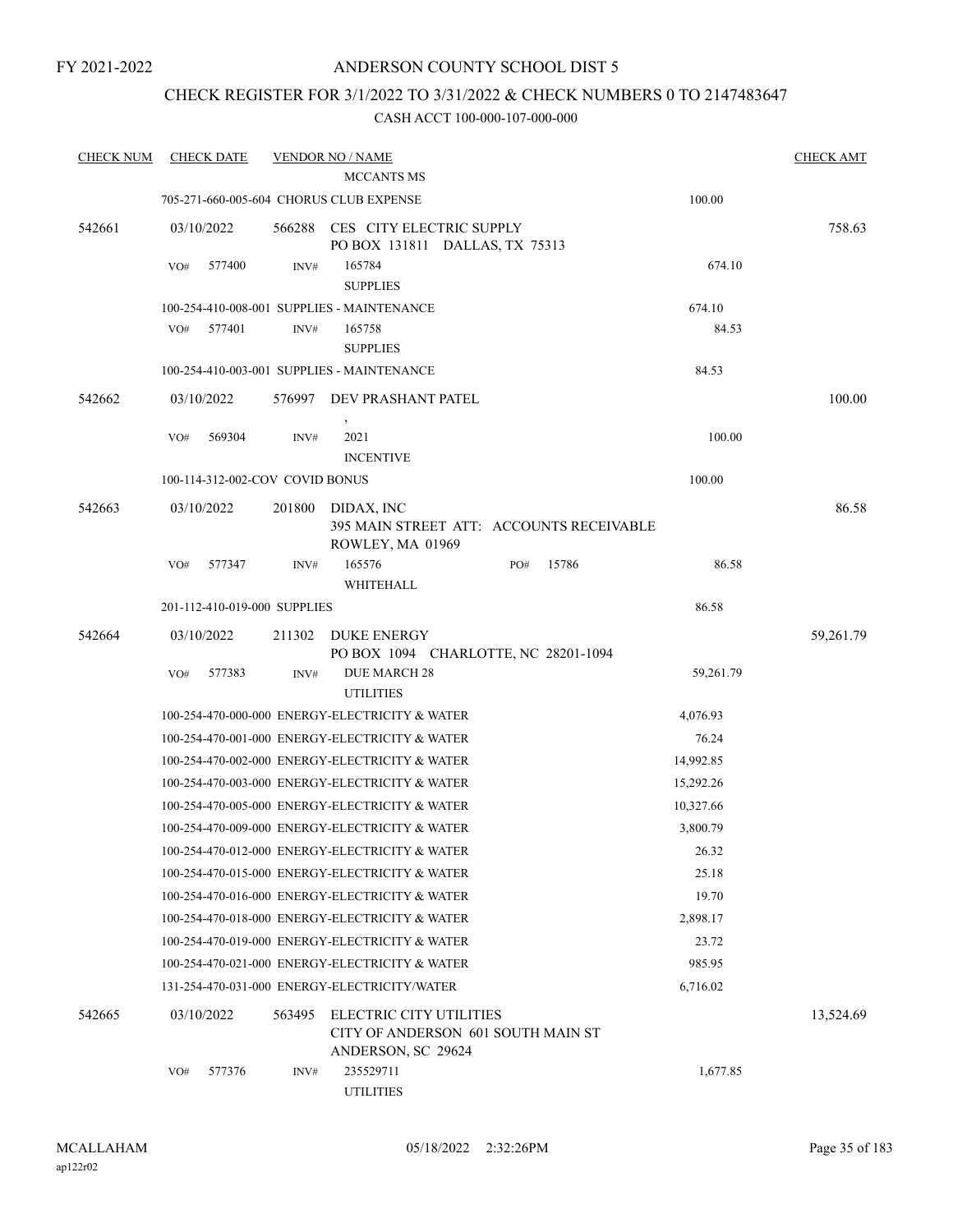## ANDERSON COUNTY SCHOOL DIST 5

## CHECK REGISTER FOR 3/1/2022 TO 3/31/2022 & CHECK NUMBERS 0 TO 2147483647

| <b>CHECK NUM</b> | <b>CHECK DATE</b>                              |        | <b>VENDOR NO / NAME</b>                                                             |     |       |           | <b>CHECK AMT</b> |
|------------------|------------------------------------------------|--------|-------------------------------------------------------------------------------------|-----|-------|-----------|------------------|
|                  |                                                |        | <b>MCCANTS MS</b>                                                                   |     |       |           |                  |
|                  | 705-271-660-005-604 CHORUS CLUB EXPENSE        |        |                                                                                     |     |       | 100.00    |                  |
| 542661           | 03/10/2022                                     | 566288 | CES CITY ELECTRIC SUPPLY<br>PO BOX 131811 DALLAS, TX 75313                          |     |       |           | 758.63           |
|                  | VO#<br>577400                                  | INV#   | 165784<br><b>SUPPLIES</b>                                                           |     |       | 674.10    |                  |
|                  | 100-254-410-008-001 SUPPLIES - MAINTENANCE     |        |                                                                                     |     |       | 674.10    |                  |
|                  | 577401<br>VO#                                  | INV#   | 165758                                                                              |     |       | 84.53     |                  |
|                  |                                                |        | <b>SUPPLIES</b>                                                                     |     |       |           |                  |
|                  |                                                |        | 100-254-410-003-001 SUPPLIES - MAINTENANCE                                          |     |       | 84.53     |                  |
| 542662           | 03/10/2022                                     |        | 576997 DEV PRASHANT PATEL                                                           |     |       |           | 100.00           |
|                  | 569304<br>VO#                                  | INV#   | 2021<br><b>INCENTIVE</b>                                                            |     |       | 100.00    |                  |
|                  | 100-114-312-002-COV COVID BONUS                |        |                                                                                     |     |       | 100.00    |                  |
| 542663           | 03/10/2022                                     | 201800 | DIDAX, INC<br>395 MAIN STREET ATT: ACCOUNTS RECEIVABLE<br>ROWLEY, MA 01969          |     |       |           | 86.58            |
|                  | 577347<br>VO#                                  | INV#   | 165576<br>WHITEHALL                                                                 | PO# | 15786 | 86.58     |                  |
|                  | 201-112-410-019-000 SUPPLIES                   |        |                                                                                     |     |       | 86.58     |                  |
| 542664           | 03/10/2022                                     | 211302 | DUKE ENERGY<br>PO BOX 1094 CHARLOTTE, NC 28201-1094                                 |     |       |           | 59,261.79        |
|                  | 577383<br>VO#                                  | INV#   | <b>DUE MARCH 28</b><br><b>UTILITIES</b>                                             |     |       | 59,261.79 |                  |
|                  |                                                |        | 100-254-470-000-000 ENERGY-ELECTRICITY & WATER                                      |     |       | 4,076.93  |                  |
|                  |                                                |        | 100-254-470-001-000 ENERGY-ELECTRICITY & WATER                                      |     |       | 76.24     |                  |
|                  |                                                |        | 100-254-470-002-000 ENERGY-ELECTRICITY & WATER                                      |     |       | 14,992.85 |                  |
|                  |                                                |        | 100-254-470-003-000 ENERGY-ELECTRICITY & WATER                                      |     |       | 15,292.26 |                  |
|                  |                                                |        | 100-254-470-005-000 ENERGY-ELECTRICITY & WATER                                      |     |       | 10,327.66 |                  |
|                  |                                                |        | 100-254-470-009-000 ENERGY-ELECTRICITY & WATER                                      |     |       | 3,800.79  |                  |
|                  |                                                |        | 100-254-470-012-000 ENERGY-ELECTRICITY & WATER                                      |     |       | 26.32     |                  |
|                  |                                                |        | 100-254-470-015-000 ENERGY-ELECTRICITY & WATER                                      |     |       | 25.18     |                  |
|                  | 100-254-470-016-000 ENERGY-ELECTRICITY & WATER |        |                                                                                     |     |       | 19.70     |                  |
|                  | 100-254-470-018-000 ENERGY-ELECTRICITY & WATER |        |                                                                                     |     |       | 2,898.17  |                  |
|                  | 100-254-470-019-000 ENERGY-ELECTRICITY & WATER |        |                                                                                     |     |       | 23.72     |                  |
|                  | 100-254-470-021-000 ENERGY-ELECTRICITY & WATER |        |                                                                                     |     |       | 985.95    |                  |
|                  | 131-254-470-031-000 ENERGY-ELECTRICITY/WATER   |        |                                                                                     |     |       | 6,716.02  |                  |
| 542665           | 03/10/2022                                     | 563495 | ELECTRIC CITY UTILITIES<br>CITY OF ANDERSON 601 SOUTH MAIN ST<br>ANDERSON, SC 29624 |     |       |           | 13,524.69        |
|                  | 577376<br>VO#                                  | INV#   | 235529711<br><b>UTILITIES</b>                                                       |     |       | 1,677.85  |                  |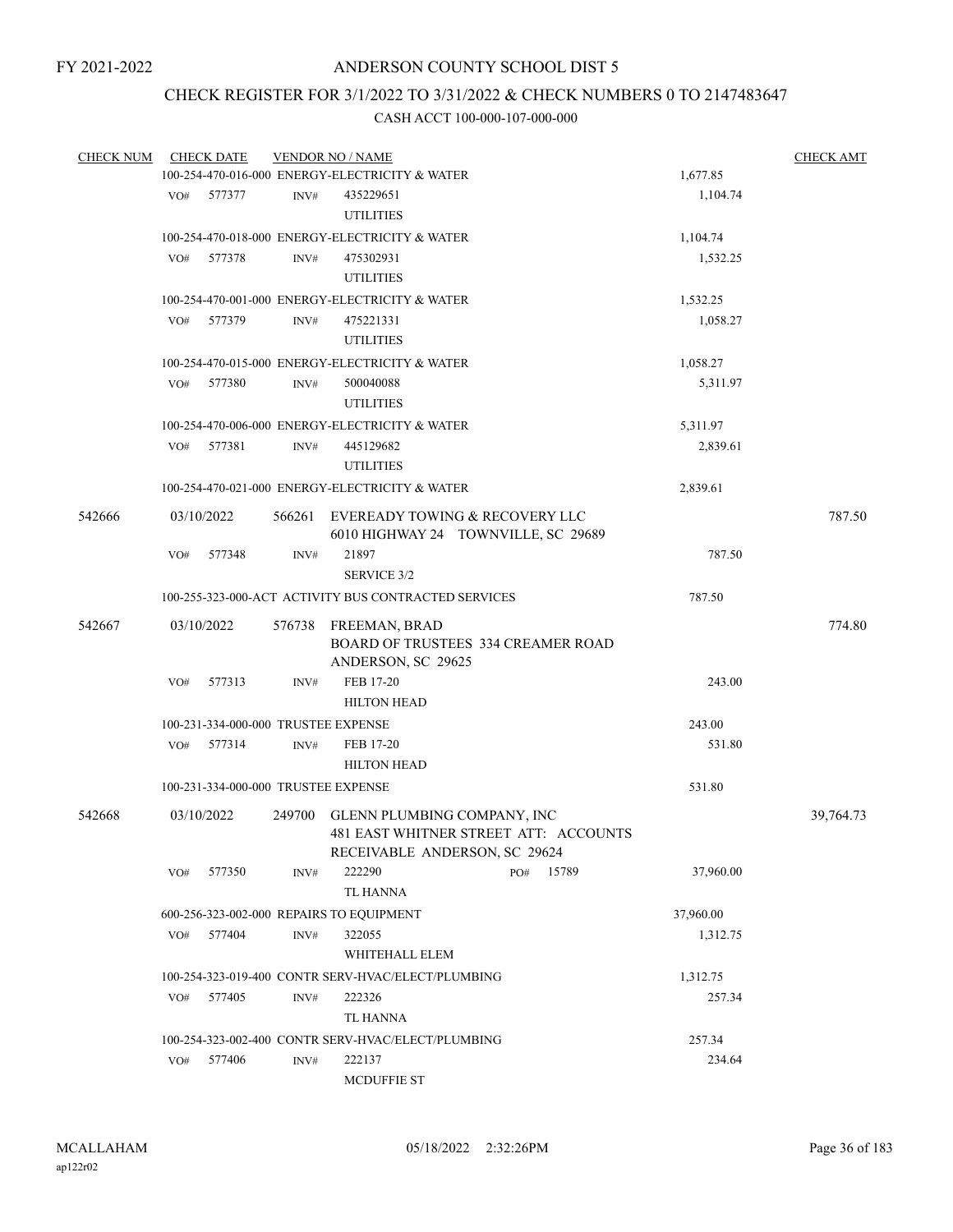## CHECK REGISTER FOR 3/1/2022 TO 3/31/2022 & CHECK NUMBERS 0 TO 2147483647

| <b>CHECK NUM</b> |                 | <b>CHECK DATE</b> | <b>VENDOR NO / NAME</b> | <b>CHECK AMT</b>                                     |                                                                       |           |           |
|------------------|-----------------|-------------------|-------------------------|------------------------------------------------------|-----------------------------------------------------------------------|-----------|-----------|
|                  |                 |                   |                         | 100-254-470-016-000 ENERGY-ELECTRICITY & WATER       |                                                                       | 1,677.85  |           |
|                  | VO#             | 577377            | INV#                    | 435229651<br><b>UTILITIES</b>                        |                                                                       | 1,104.74  |           |
|                  |                 |                   |                         | 100-254-470-018-000 ENERGY-ELECTRICITY & WATER       |                                                                       |           |           |
|                  |                 | 577378            |                         | 475302931                                            |                                                                       | 1,104.74  |           |
|                  | VO#             |                   | INV#                    | <b>UTILITIES</b>                                     |                                                                       | 1,532.25  |           |
|                  |                 |                   |                         | 100-254-470-001-000 ENERGY-ELECTRICITY & WATER       |                                                                       | 1,532.25  |           |
|                  | VO#             | 577379            | INV#                    | 475221331                                            |                                                                       | 1,058.27  |           |
|                  |                 |                   |                         | <b>UTILITIES</b>                                     |                                                                       |           |           |
|                  |                 |                   |                         | 100-254-470-015-000 ENERGY-ELECTRICITY & WATER       |                                                                       | 1,058.27  |           |
|                  | VO <sub>#</sub> | 577380            | INV#                    | 500040088                                            |                                                                       | 5,311.97  |           |
|                  |                 |                   |                         | <b>UTILITIES</b>                                     |                                                                       |           |           |
|                  |                 |                   |                         | 100-254-470-006-000 ENERGY-ELECTRICITY & WATER       |                                                                       | 5,311.97  |           |
|                  | VO#             | 577381            | INV#                    | 445129682                                            |                                                                       | 2,839.61  |           |
|                  |                 |                   |                         | <b>UTILITIES</b>                                     |                                                                       |           |           |
|                  |                 |                   |                         | 100-254-470-021-000 ENERGY-ELECTRICITY & WATER       |                                                                       | 2,839.61  |           |
|                  |                 |                   |                         |                                                      |                                                                       |           |           |
| 542666           |                 | 03/10/2022        | 566261                  |                                                      | EVEREADY TOWING & RECOVERY LLC<br>6010 HIGHWAY 24 TOWNVILLE, SC 29689 |           | 787.50    |
|                  | VO#             | 577348            | INV#                    | 21897                                                |                                                                       | 787.50    |           |
|                  |                 |                   |                         | <b>SERVICE 3/2</b>                                   |                                                                       |           |           |
|                  |                 |                   |                         | 100-255-323-000-ACT ACTIVITY BUS CONTRACTED SERVICES |                                                                       | 787.50    |           |
| 542667           |                 | 03/10/2022        | 576738                  | FREEMAN, BRAD                                        |                                                                       |           | 774.80    |
|                  |                 |                   |                         |                                                      | BOARD OF TRUSTEES 334 CREAMER ROAD                                    |           |           |
|                  |                 |                   |                         | ANDERSON, SC 29625                                   |                                                                       |           |           |
|                  | VO#             | 577313            | INV#                    | FEB 17-20                                            |                                                                       | 243.00    |           |
|                  |                 |                   |                         | <b>HILTON HEAD</b>                                   |                                                                       |           |           |
|                  |                 |                   |                         | 100-231-334-000-000 TRUSTEE EXPENSE                  |                                                                       | 243.00    |           |
|                  | VO#             | 577314            | INV#                    | FEB 17-20                                            |                                                                       | 531.80    |           |
|                  |                 |                   |                         | <b>HILTON HEAD</b>                                   |                                                                       |           |           |
|                  |                 |                   |                         | 100-231-334-000-000 TRUSTEE EXPENSE                  |                                                                       | 531.80    |           |
|                  |                 |                   |                         |                                                      |                                                                       |           |           |
| 542668           |                 | 03/10/2022        |                         | 249700 GLENN PLUMBING COMPANY, INC                   | 481 EAST WHITNER STREET ATT: ACCOUNTS                                 |           | 39,764.73 |
|                  |                 |                   |                         |                                                      | RECEIVABLE ANDERSON, SC 29624                                         |           |           |
|                  | VO#             | 577350            | INV#                    | 222290                                               | 15789<br>PO#                                                          | 37,960.00 |           |
|                  |                 |                   |                         | TL HANNA                                             |                                                                       |           |           |
|                  |                 |                   |                         |                                                      |                                                                       |           |           |
|                  |                 |                   |                         | 600-256-323-002-000 REPAIRS TO EQUIPMENT             |                                                                       | 37,960.00 |           |
|                  | VO#             | 577404            | $\text{INV}\#$          | 322055                                               |                                                                       | 1,312.75  |           |
|                  |                 |                   |                         | WHITEHALL ELEM                                       |                                                                       |           |           |
|                  |                 |                   |                         | 100-254-323-019-400 CONTR SERV-HVAC/ELECT/PLUMBING   |                                                                       | 1,312.75  |           |
|                  | VO#             | 577405            | INV#                    | 222326                                               |                                                                       | 257.34    |           |
|                  |                 |                   |                         | TL HANNA                                             |                                                                       |           |           |
|                  |                 |                   |                         | 100-254-323-002-400 CONTR SERV-HVAC/ELECT/PLUMBING   |                                                                       | 257.34    |           |
|                  | VO#             | 577406            | INV#                    | 222137                                               |                                                                       | 234.64    |           |
|                  |                 |                   |                         | <b>MCDUFFIE ST</b>                                   |                                                                       |           |           |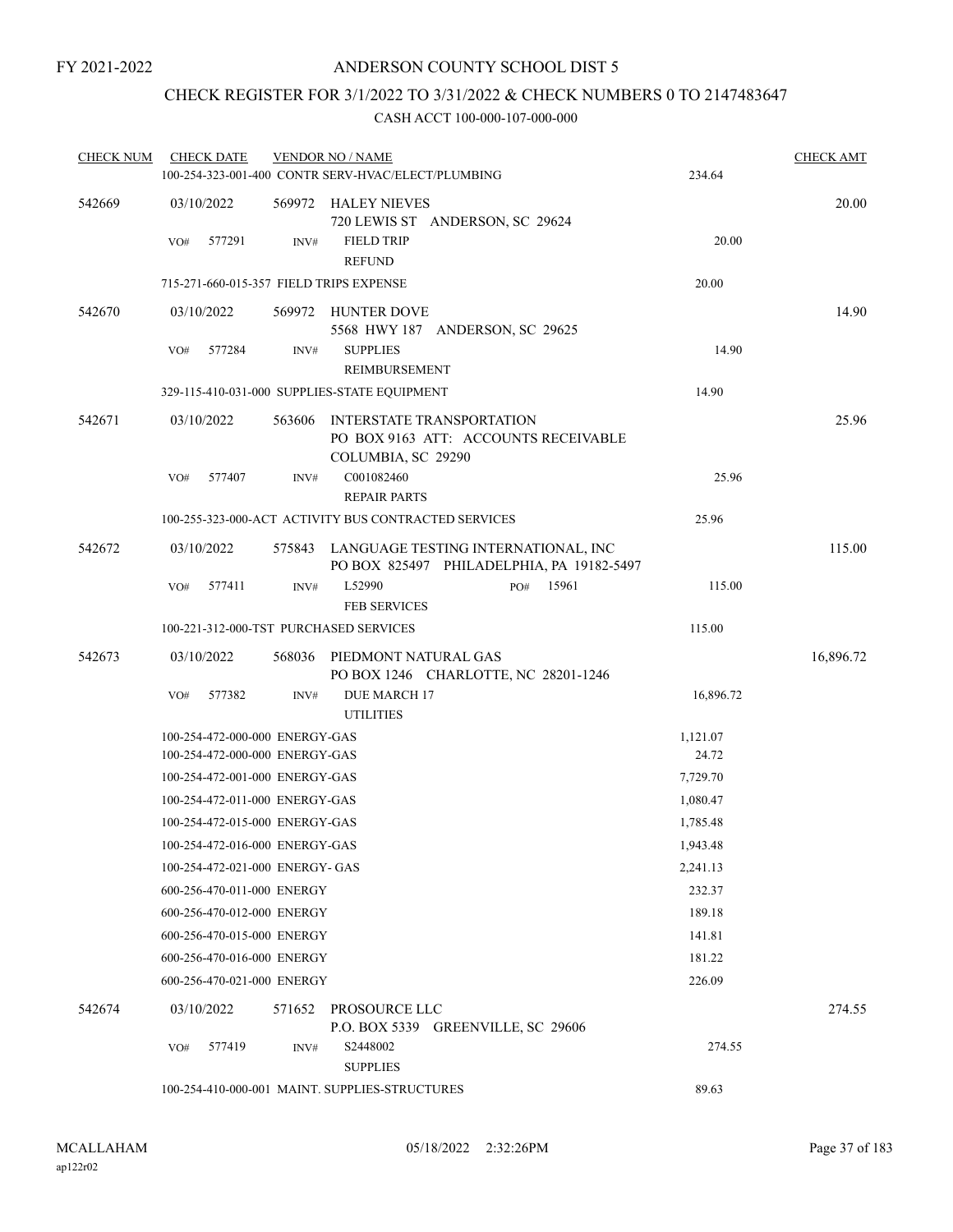## CHECK REGISTER FOR 3/1/2022 TO 3/31/2022 & CHECK NUMBERS 0 TO 2147483647

| <b>CHECK NUM</b> | <b>CHECK DATE</b><br>100-254-323-001-400 CONTR SERV-HVAC/ELECT/PLUMBING |        | <b>VENDOR NO / NAME</b>                                                                 |     |       | 234.64    | <b>CHECK AMT</b> |
|------------------|-------------------------------------------------------------------------|--------|-----------------------------------------------------------------------------------------|-----|-------|-----------|------------------|
| 542669           | 03/10/2022                                                              |        | 569972 HALEY NIEVES<br>720 LEWIS ST ANDERSON, SC 29624                                  |     |       |           | 20.00            |
|                  | VO#<br>577291                                                           | INV#   | <b>FIELD TRIP</b><br><b>REFUND</b>                                                      |     |       | 20.00     |                  |
|                  | 715-271-660-015-357 FIELD TRIPS EXPENSE                                 |        |                                                                                         |     |       | 20.00     |                  |
| 542670           | 03/10/2022                                                              |        | 569972 HUNTER DOVE<br>5568 HWY 187 ANDERSON, SC 29625                                   |     |       |           | 14.90            |
|                  | 577284<br>VO#                                                           | INV#   | <b>SUPPLIES</b><br>REIMBURSEMENT                                                        |     |       | 14.90     |                  |
|                  | 329-115-410-031-000 SUPPLIES-STATE EQUIPMENT                            |        |                                                                                         |     |       | 14.90     |                  |
| 542671           | 03/10/2022                                                              | 563606 | INTERSTATE TRANSPORTATION<br>PO BOX 9163 ATT: ACCOUNTS RECEIVABLE<br>COLUMBIA, SC 29290 |     |       |           | 25.96            |
|                  | 577407<br>VO#                                                           | INV#   | C001082460<br><b>REPAIR PARTS</b>                                                       |     |       | 25.96     |                  |
|                  | 100-255-323-000-ACT ACTIVITY BUS CONTRACTED SERVICES                    |        |                                                                                         |     |       | 25.96     |                  |
| 542672           | 03/10/2022                                                              |        | 575843 LANGUAGE TESTING INTERNATIONAL, INC<br>PO BOX 825497 PHILADELPHIA, PA 19182-5497 |     |       |           | 115.00           |
|                  | VO#<br>577411                                                           | INV#   | L52990<br><b>FEB SERVICES</b>                                                           | PO# | 15961 | 115.00    |                  |
|                  | 100-221-312-000-TST PURCHASED SERVICES                                  |        |                                                                                         |     |       | 115.00    |                  |
| 542673           | 03/10/2022                                                              | 568036 | PIEDMONT NATURAL GAS<br>PO BOX 1246 CHARLOTTE, NC 28201-1246                            |     |       |           | 16,896.72        |
|                  | 577382<br>VO#                                                           | INV#   | <b>DUE MARCH 17</b><br><b>UTILITIES</b>                                                 |     |       | 16,896.72 |                  |
|                  | 100-254-472-000-000 ENERGY-GAS                                          |        |                                                                                         |     |       | 1,121.07  |                  |
|                  | 100-254-472-000-000 ENERGY-GAS                                          |        |                                                                                         |     |       | 24.72     |                  |
|                  | 100-254-472-001-000 ENERGY-GAS                                          |        |                                                                                         |     |       | 7,729.70  |                  |
|                  | 100-254-472-011-000 ENERGY-GAS                                          |        |                                                                                         |     |       | 1,080.47  |                  |
|                  | 100-254-472-015-000 ENERGY-GAS                                          |        |                                                                                         |     |       | 1,785.48  |                  |
|                  | 100-254-472-016-000 ENERGY-GAS                                          |        |                                                                                         |     |       | 1,943.48  |                  |
|                  | 100-254-472-021-000 ENERGY- GAS                                         |        |                                                                                         |     |       | 2,241.13  |                  |
|                  | 600-256-470-011-000 ENERGY                                              |        |                                                                                         |     |       | 232.37    |                  |
|                  | 600-256-470-012-000 ENERGY                                              |        |                                                                                         |     |       | 189.18    |                  |
|                  | 600-256-470-015-000 ENERGY                                              |        |                                                                                         |     |       | 141.81    |                  |
|                  | 600-256-470-016-000 ENERGY                                              |        |                                                                                         |     |       | 181.22    |                  |
|                  | 600-256-470-021-000 ENERGY                                              |        |                                                                                         |     |       | 226.09    |                  |
| 542674           | 03/10/2022                                                              |        | 571652 PROSOURCE LLC<br>P.O. BOX 5339 GREENVILLE, SC 29606                              |     |       |           | 274.55           |
|                  | 577419<br>VO#                                                           | INV#   | S2448002<br><b>SUPPLIES</b>                                                             |     |       | 274.55    |                  |
|                  | 100-254-410-000-001 MAINT. SUPPLIES-STRUCTURES                          |        |                                                                                         |     |       | 89.63     |                  |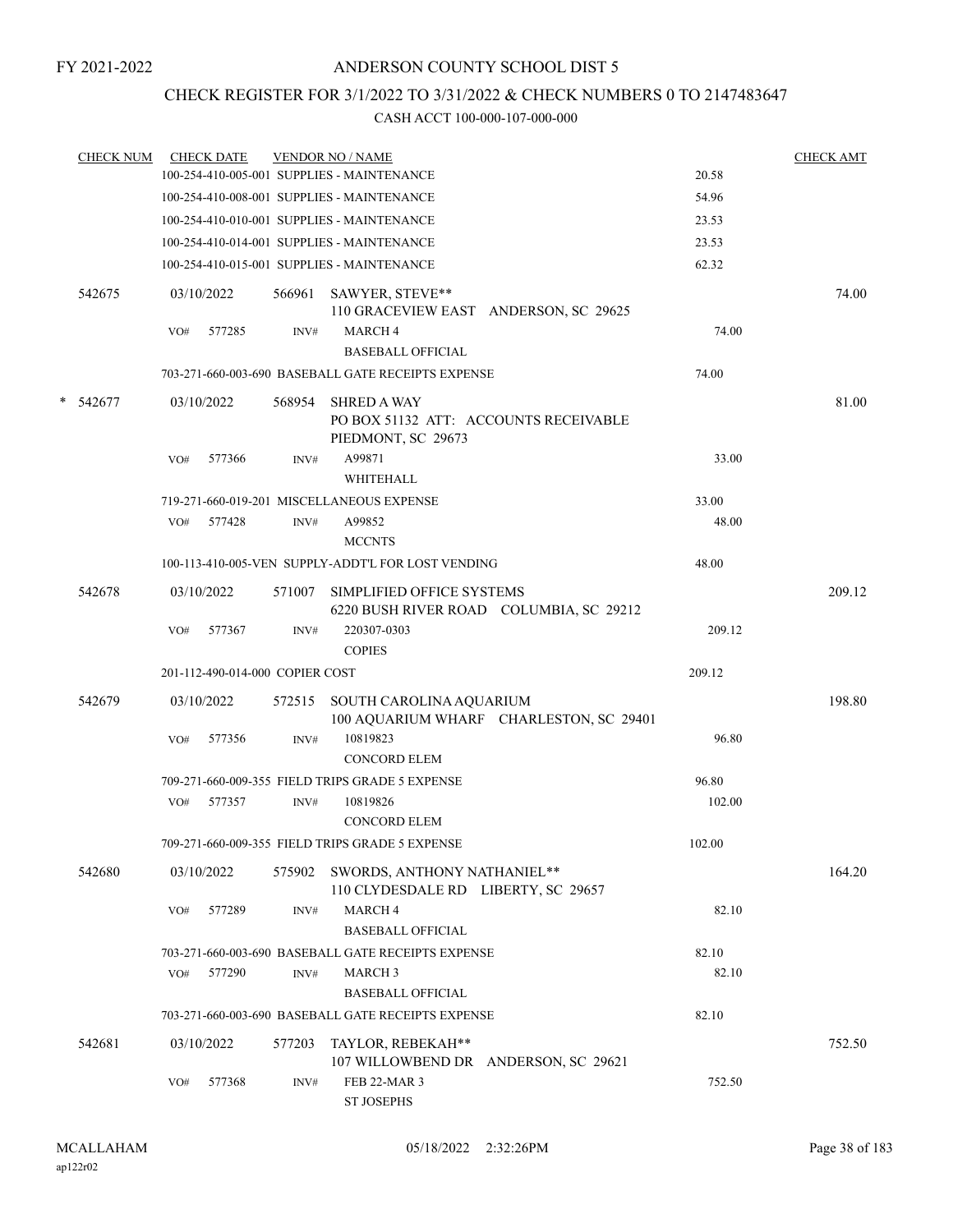### CHECK REGISTER FOR 3/1/2022 TO 3/31/2022 & CHECK NUMBERS 0 TO 2147483647

| CHECK NUM |     | <b>CHECK DATE</b>               |        | <b>VENDOR NO / NAME</b>                                                           |        | <b>CHECK AMT</b> |
|-----------|-----|---------------------------------|--------|-----------------------------------------------------------------------------------|--------|------------------|
|           |     |                                 |        | 100-254-410-005-001 SUPPLIES - MAINTENANCE                                        | 20.58  |                  |
|           |     |                                 |        | 100-254-410-008-001 SUPPLIES - MAINTENANCE                                        | 54.96  |                  |
|           |     |                                 |        | 100-254-410-010-001 SUPPLIES - MAINTENANCE                                        | 23.53  |                  |
|           |     |                                 |        | 100-254-410-014-001 SUPPLIES - MAINTENANCE                                        | 23.53  |                  |
|           |     |                                 |        | 100-254-410-015-001 SUPPLIES - MAINTENANCE                                        | 62.32  |                  |
| 542675    |     | 03/10/2022                      |        | 566961 SAWYER, STEVE**<br>110 GRACEVIEW EAST ANDERSON, SC 29625                   |        | 74.00            |
|           | VO# | 577285                          | INV#   | <b>MARCH4</b><br><b>BASEBALL OFFICIAL</b>                                         | 74.00  |                  |
|           |     |                                 |        | 703-271-660-003-690 BASEBALL GATE RECEIPTS EXPENSE                                | 74.00  |                  |
| * 542677  |     | 03/10/2022                      | 568954 | <b>SHRED A WAY</b><br>PO BOX 51132 ATT: ACCOUNTS RECEIVABLE<br>PIEDMONT, SC 29673 |        | 81.00            |
|           | VO# | 577366                          | INV#   | A99871<br>WHITEHALL                                                               | 33.00  |                  |
|           |     |                                 |        | 719-271-660-019-201 MISCELLANEOUS EXPENSE                                         | 33.00  |                  |
|           |     | VO# 577428                      | INV#   | A99852<br><b>MCCNTS</b>                                                           | 48.00  |                  |
|           |     |                                 |        | 100-113-410-005-VEN SUPPLY-ADDT'L FOR LOST VENDING                                | 48.00  |                  |
| 542678    |     | 03/10/2022                      | 571007 | SIMPLIFIED OFFICE SYSTEMS<br>6220 BUSH RIVER ROAD COLUMBIA, SC 29212              |        | 209.12           |
|           | VO# | 577367                          | INV#   | 220307-0303<br><b>COPIES</b>                                                      | 209.12 |                  |
|           |     | 201-112-490-014-000 COPIER COST |        |                                                                                   | 209.12 |                  |
| 542679    |     | 03/10/2022                      |        | 572515 SOUTH CAROLINA AQUARIUM<br>100 AQUARIUM WHARF CHARLESTON, SC 29401         |        | 198.80           |
|           | VO# | 577356                          | INV#   | 10819823<br><b>CONCORD ELEM</b>                                                   | 96.80  |                  |
|           |     |                                 |        | 709-271-660-009-355 FIELD TRIPS GRADE 5 EXPENSE                                   | 96.80  |                  |
|           |     | VO# 577357                      | INV#   | 10819826<br><b>CONCORD ELEM</b>                                                   | 102.00 |                  |
|           |     |                                 |        | 709-271-660-009-355 FIELD TRIPS GRADE 5 EXPENSE                                   | 102.00 |                  |
| 542680    |     | 03/10/2022                      | 575902 | SWORDS, ANTHONY NATHANIEL**<br>110 CLYDESDALE RD LIBERTY, SC 29657                |        | 164.20           |
|           | VO# | 577289                          | INV#   | MARCH 4<br><b>BASEBALL OFFICIAL</b>                                               | 82.10  |                  |
|           |     |                                 |        | 703-271-660-003-690 BASEBALL GATE RECEIPTS EXPENSE                                | 82.10  |                  |
|           | VO# | 577290                          | INV#   | <b>MARCH 3</b>                                                                    | 82.10  |                  |
|           |     |                                 |        | <b>BASEBALL OFFICIAL</b>                                                          |        |                  |
|           |     |                                 |        | 703-271-660-003-690 BASEBALL GATE RECEIPTS EXPENSE                                | 82.10  |                  |
| 542681    |     | 03/10/2022                      | 577203 | TAYLOR, REBEKAH**<br>107 WILLOWBEND DR ANDERSON, SC 29621                         |        | 752.50           |
|           | VO# | 577368                          | INV#   | FEB 22-MAR 3<br><b>ST JOSEPHS</b>                                                 | 752.50 |                  |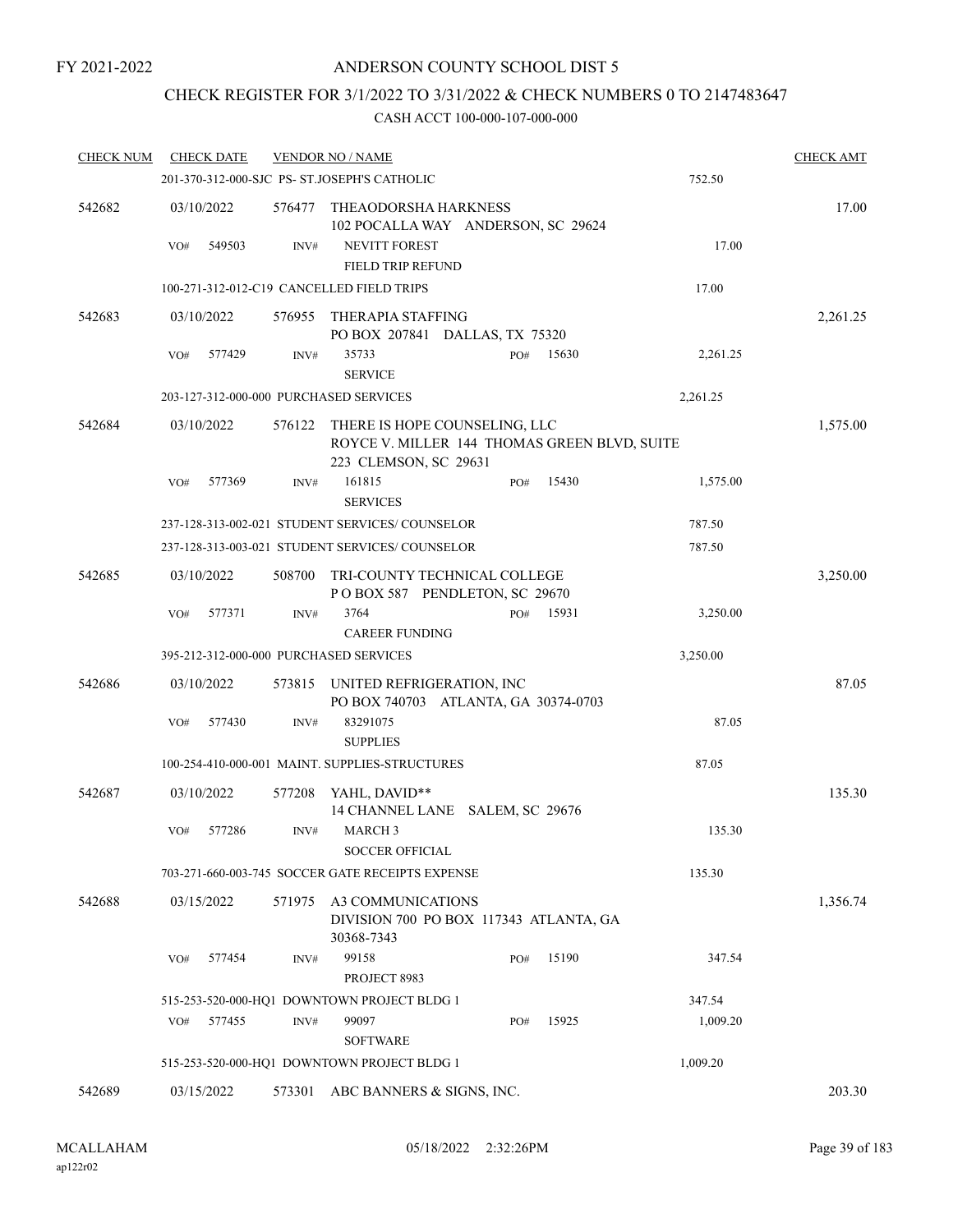## CHECK REGISTER FOR 3/1/2022 TO 3/31/2022 & CHECK NUMBERS 0 TO 2147483647

| <b>CHECK NUM</b> | <b>CHECK DATE</b> |        | <b>VENDOR NO / NAME</b>                                                                                |     |       |          | <b>CHECK AMT</b> |
|------------------|-------------------|--------|--------------------------------------------------------------------------------------------------------|-----|-------|----------|------------------|
|                  |                   |        | 201-370-312-000-SJC PS- ST.JOSEPH'S CATHOLIC                                                           |     |       | 752.50   |                  |
| 542682           | 03/10/2022        | 576477 | THEAODORSHA HARKNESS<br>102 POCALLA WAY ANDERSON, SC 29624                                             |     |       |          | 17.00            |
|                  | 549503<br>VO#     | INV#   | NEVITT FOREST<br>FIELD TRIP REFUND                                                                     |     |       | 17.00    |                  |
|                  |                   |        | 100-271-312-012-C19 CANCELLED FIELD TRIPS                                                              |     |       | 17.00    |                  |
| 542683           | 03/10/2022        | 576955 | THERAPIA STAFFING<br>PO BOX 207841 DALLAS, TX 75320                                                    |     |       |          | 2,261.25         |
|                  | VO#<br>577429     | INV#   | 35733<br><b>SERVICE</b>                                                                                | PO# | 15630 | 2,261.25 |                  |
|                  |                   |        | 203-127-312-000-000 PURCHASED SERVICES                                                                 |     |       | 2,261.25 |                  |
| 542684           | 03/10/2022        | 576122 | THERE IS HOPE COUNSELING, LLC<br>ROYCE V. MILLER 144 THOMAS GREEN BLVD, SUITE<br>223 CLEMSON, SC 29631 |     |       |          | 1,575.00         |
|                  | 577369<br>VO#     | INV#   | 161815<br><b>SERVICES</b>                                                                              | PO# | 15430 | 1,575.00 |                  |
|                  |                   |        | 237-128-313-002-021 STUDENT SERVICES/COUNSELOR                                                         |     |       | 787.50   |                  |
|                  |                   |        | 237-128-313-003-021 STUDENT SERVICES/ COUNSELOR                                                        |     |       | 787.50   |                  |
| 542685           | 03/10/2022        | 508700 | TRI-COUNTY TECHNICAL COLLEGE<br>POBOX 587 PENDLETON, SC 29670                                          |     |       |          | 3,250.00         |
|                  | 577371<br>VO#     | INV#   | 3764<br><b>CAREER FUNDING</b>                                                                          | PO# | 15931 | 3,250.00 |                  |
|                  |                   |        | 395-212-312-000-000 PURCHASED SERVICES                                                                 |     |       | 3,250.00 |                  |
| 542686           | 03/10/2022        | 573815 | UNITED REFRIGERATION, INC<br>PO BOX 740703 ATLANTA, GA 30374-0703                                      |     |       |          | 87.05            |
|                  | VO#<br>577430     | INV#   | 83291075<br><b>SUPPLIES</b>                                                                            |     |       | 87.05    |                  |
|                  |                   |        | 100-254-410-000-001 MAINT. SUPPLIES-STRUCTURES                                                         |     |       | 87.05    |                  |
| 542687           | 03/10/2022        | 577208 | YAHL, DAVID**<br>14 CHANNEL LANE SALEM, SC 29676                                                       |     |       |          | 135.30           |
|                  | 577286<br>VO#     | INV#   | <b>MARCH 3</b><br><b>SOCCER OFFICIAL</b>                                                               |     |       | 135.30   |                  |
|                  |                   |        | 703-271-660-003-745 SOCCER GATE RECEIPTS EXPENSE                                                       |     |       | 135.30   |                  |
| 542688           | 03/15/2022        | 571975 | A3 COMMUNICATIONS<br>DIVISION 700 PO BOX 117343 ATLANTA, GA<br>30368-7343                              |     |       |          | 1,356.74         |
|                  | 577454<br>VO#     | INV#   | 99158<br>PROJECT 8983                                                                                  | PO# | 15190 | 347.54   |                  |
|                  |                   |        | 515-253-520-000-HQ1 DOWNTOWN PROJECT BLDG 1                                                            |     |       | 347.54   |                  |
|                  | 577455<br>VO#     | INV#   | 99097<br><b>SOFTWARE</b>                                                                               | PO# | 15925 | 1,009.20 |                  |
|                  |                   |        | 515-253-520-000-HQ1 DOWNTOWN PROJECT BLDG 1                                                            |     |       | 1,009.20 |                  |
| 542689           | 03/15/2022        | 573301 | ABC BANNERS & SIGNS, INC.                                                                              |     |       |          | 203.30           |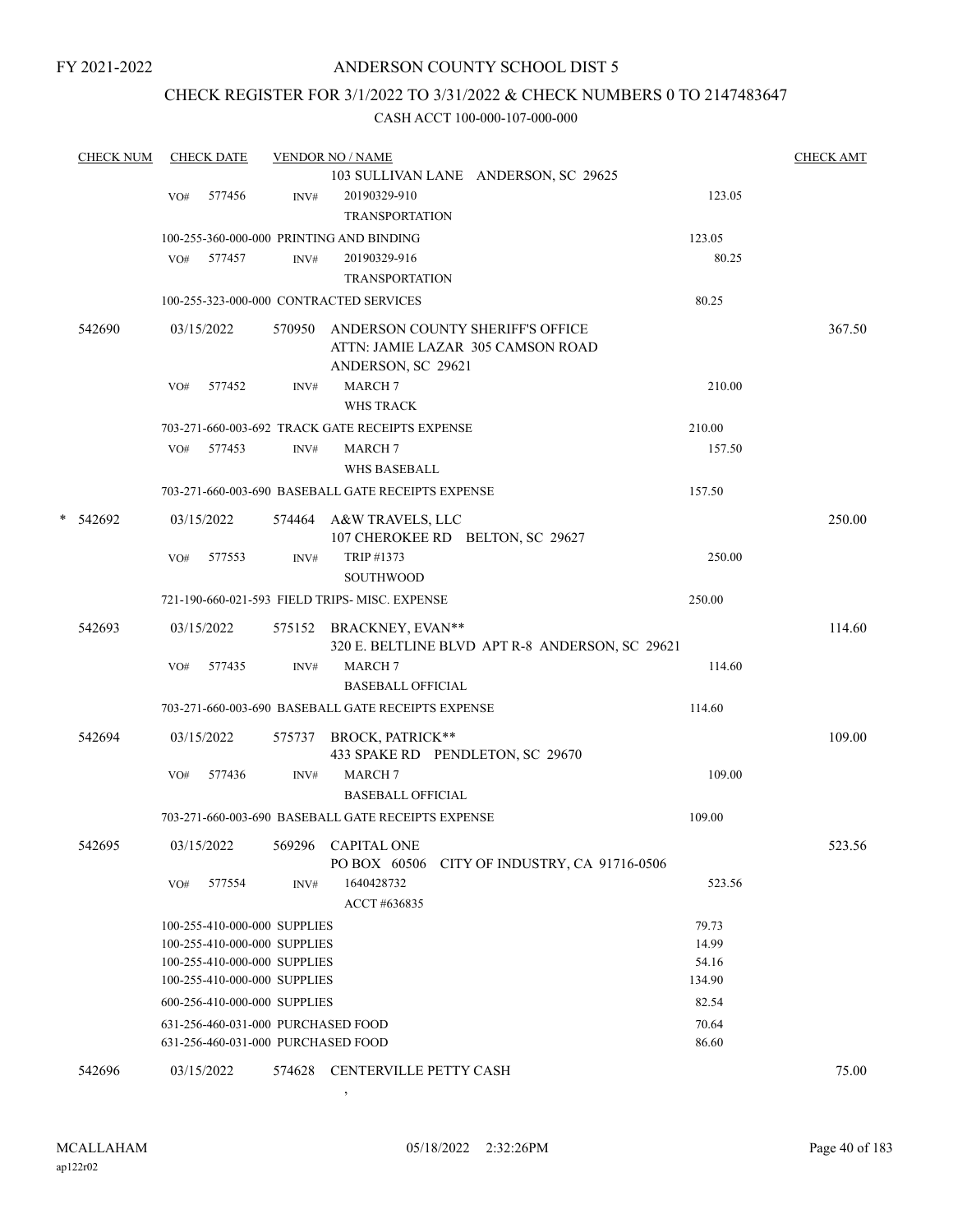FY 2021-2022

### ANDERSON COUNTY SCHOOL DIST 5

### CHECK REGISTER FOR 3/1/2022 TO 3/31/2022 & CHECK NUMBERS 0 TO 2147483647

#### CASH ACCT 100-000-107-000-000

| <b>CHECK NUM</b> |     | <b>CHECK DATE</b>                  |      | <b>VENDOR NO / NAME</b>                            |                | <b>CHECK AMT</b> |
|------------------|-----|------------------------------------|------|----------------------------------------------------|----------------|------------------|
|                  |     |                                    |      | 103 SULLIVAN LANE ANDERSON, SC 29625               |                |                  |
|                  | VO# | 577456                             | INV# | 20190329-910                                       | 123.05         |                  |
|                  |     |                                    |      | <b>TRANSPORTATION</b>                              |                |                  |
|                  |     |                                    |      | 100-255-360-000-000 PRINTING AND BINDING           | 123.05         |                  |
|                  |     | VO# 577457                         | INV# | 20190329-916                                       | 80.25          |                  |
|                  |     |                                    |      | <b>TRANSPORTATION</b>                              |                |                  |
|                  |     |                                    |      | 100-255-323-000-000 CONTRACTED SERVICES            | 80.25          |                  |
| 542690           |     | 03/15/2022                         |      | 570950 ANDERSON COUNTY SHERIFF'S OFFICE            |                | 367.50           |
|                  |     |                                    |      | ATTN: JAMIE LAZAR 305 CAMSON ROAD                  |                |                  |
|                  |     |                                    |      | ANDERSON, SC 29621                                 |                |                  |
|                  | VO# | 577452                             | INV# | <b>MARCH7</b>                                      | 210.00         |                  |
|                  |     |                                    |      | <b>WHS TRACK</b>                                   |                |                  |
|                  |     |                                    |      | 703-271-660-003-692 TRACK GATE RECEIPTS EXPENSE    | 210.00         |                  |
|                  |     | VO# 577453                         | INV# | <b>MARCH7</b>                                      | 157.50         |                  |
|                  |     |                                    |      | <b>WHS BASEBALL</b>                                |                |                  |
|                  |     |                                    |      | 703-271-660-003-690 BASEBALL GATE RECEIPTS EXPENSE | 157.50         |                  |
| * 542692         |     | 03/15/2022                         |      | 574464 A&W TRAVELS, LLC                            |                | 250.00           |
|                  |     |                                    |      | 107 CHEROKEE RD BELTON, SC 29627                   |                |                  |
|                  | VO# | 577553                             | INV# | TRIP #1373                                         | 250.00         |                  |
|                  |     |                                    |      | <b>SOUTHWOOD</b>                                   |                |                  |
|                  |     |                                    |      | 721-190-660-021-593 FIELD TRIPS- MISC, EXPENSE     | 250.00         |                  |
| 542693           |     | 03/15/2022                         |      | 575152 BRACKNEY, EVAN**                            |                | 114.60           |
|                  |     |                                    |      | 320 E. BELTLINE BLVD APT R-8 ANDERSON, SC 29621    |                |                  |
|                  | VO# | 577435                             | INV# | <b>MARCH 7</b>                                     | 114.60         |                  |
|                  |     |                                    |      | <b>BASEBALL OFFICIAL</b>                           |                |                  |
|                  |     |                                    |      | 703-271-660-003-690 BASEBALL GATE RECEIPTS EXPENSE | 114.60         |                  |
| 542694           |     | 03/15/2022                         |      | 575737 BROCK, PATRICK**                            |                | 109.00           |
|                  |     |                                    |      | 433 SPAKE RD PENDLETON, SC 29670                   |                |                  |
|                  | VO# | 577436                             | INV# | <b>MARCH7</b>                                      | 109.00         |                  |
|                  |     |                                    |      | <b>BASEBALL OFFICIAL</b>                           |                |                  |
|                  |     |                                    |      | 703-271-660-003-690 BASEBALL GATE RECEIPTS EXPENSE | 109.00         |                  |
| 542695           |     | 03/15/2022                         |      | 569296 CAPITAL ONE                                 |                | 523.56           |
|                  |     |                                    |      | CITY OF INDUSTRY, CA 91716-0506<br>PO BOX 60506    |                |                  |
|                  | VO# | 577554                             | INV# | 1640428732                                         | 523.56         |                  |
|                  |     |                                    |      | ACCT #636835                                       |                |                  |
|                  |     | 100-255-410-000-000 SUPPLIES       |      |                                                    | 79.73          |                  |
|                  |     | 100-255-410-000-000 SUPPLIES       |      |                                                    | 14.99          |                  |
|                  |     | 100-255-410-000-000 SUPPLIES       |      |                                                    | 54.16          |                  |
|                  |     | 100-255-410-000-000 SUPPLIES       |      |                                                    | 134.90         |                  |
|                  |     | 600-256-410-000-000 SUPPLIES       |      |                                                    | 82.54          |                  |
|                  |     | 631-256-460-031-000 PURCHASED FOOD |      |                                                    | 70.64<br>86.60 |                  |
|                  |     | 631-256-460-031-000 PURCHASED FOOD |      |                                                    |                |                  |
| 542696           |     | 03/15/2022                         |      | 574628 CENTERVILLE PETTY CASH                      |                | 75.00            |

ap122r02

,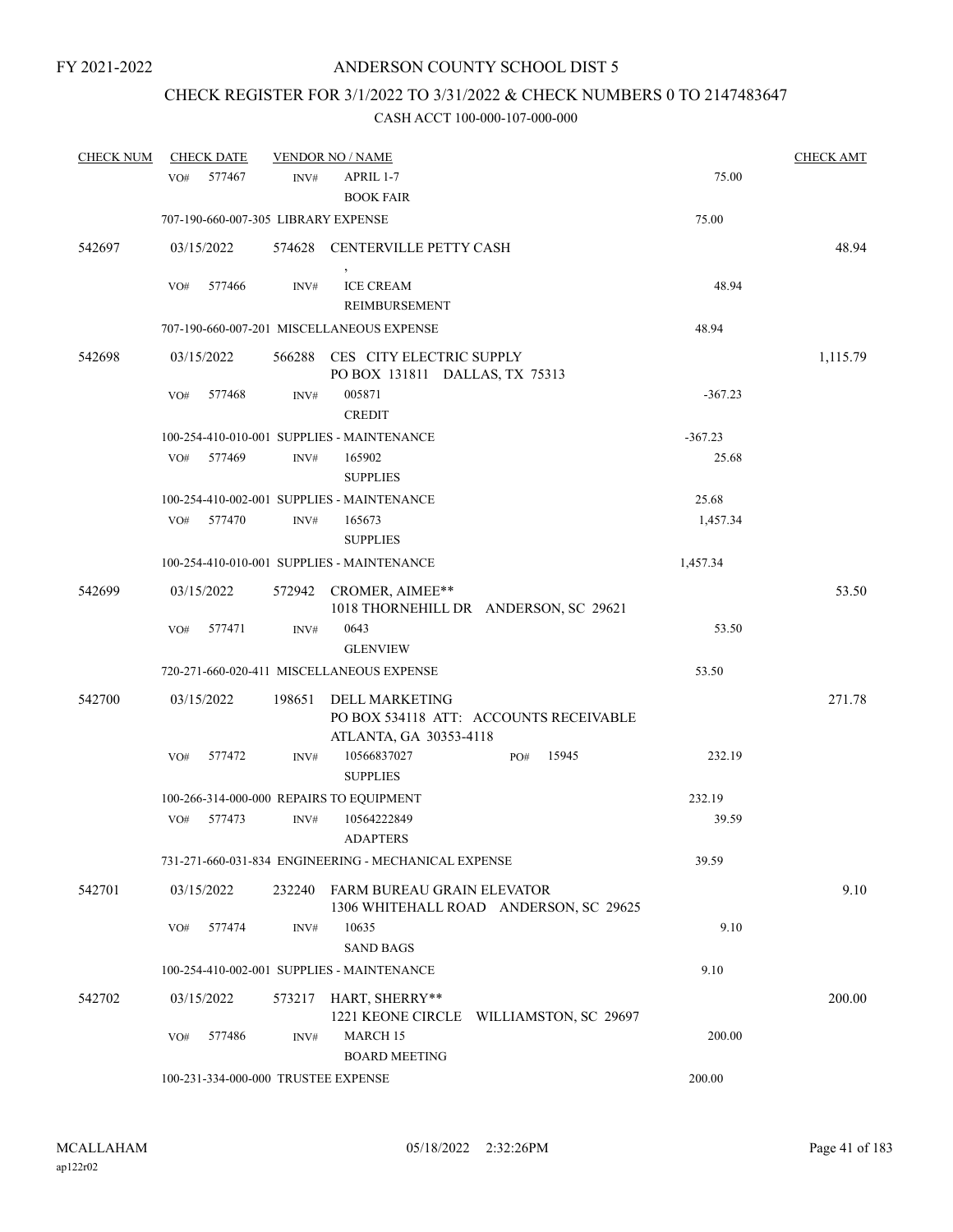# CHECK REGISTER FOR 3/1/2022 TO 3/31/2022 & CHECK NUMBERS 0 TO 2147483647

| <b>CHECK NUM</b> |                 | <b>CHECK DATE</b> |                | <b>VENDOR NO / NAME</b>                                                            |     |       |           | <b>CHECK AMT</b> |
|------------------|-----------------|-------------------|----------------|------------------------------------------------------------------------------------|-----|-------|-----------|------------------|
|                  | VO <sub>#</sub> | 577467            | INV#           | APRIL 1-7<br><b>BOOK FAIR</b>                                                      |     |       | 75.00     |                  |
|                  |                 |                   |                | 707-190-660-007-305 LIBRARY EXPENSE                                                |     |       | 75.00     |                  |
| 542697           |                 | 03/15/2022        |                | 574628 CENTERVILLE PETTY CASH                                                      |     |       |           | 48.94            |
|                  | VO#             | 577466            | INV#           | <b>ICE CREAM</b><br>REIMBURSEMENT                                                  |     |       | 48.94     |                  |
|                  |                 |                   |                | 707-190-660-007-201 MISCELLANEOUS EXPENSE                                          |     |       | 48.94     |                  |
| 542698           |                 | 03/15/2022        |                | 566288 CES CITY ELECTRIC SUPPLY<br>PO BOX 131811 DALLAS, TX 75313                  |     |       |           | 1,115.79         |
|                  | VO#             | 577468            | INV#           | 005871<br><b>CREDIT</b>                                                            |     |       | $-367.23$ |                  |
|                  |                 |                   |                | 100-254-410-010-001 SUPPLIES - MAINTENANCE                                         |     |       | $-367.23$ |                  |
|                  | VO#             | 577469            | INV#           | 165902<br><b>SUPPLIES</b>                                                          |     |       | 25.68     |                  |
|                  |                 |                   |                | 100-254-410-002-001 SUPPLIES - MAINTENANCE                                         |     |       | 25.68     |                  |
|                  | VO#             | 577470            | INV#           | 165673<br><b>SUPPLIES</b>                                                          |     |       | 1,457.34  |                  |
|                  |                 |                   |                | 100-254-410-010-001 SUPPLIES - MAINTENANCE                                         |     |       | 1,457.34  |                  |
| 542699           |                 | 03/15/2022        |                | 572942 CROMER, AIMEE**<br>1018 THORNEHILL DR ANDERSON, SC 29621                    |     |       |           | 53.50            |
|                  | VO#             | 577471            | $\text{INV}\#$ | 0643<br><b>GLENVIEW</b>                                                            |     |       | 53.50     |                  |
|                  |                 |                   |                | 720-271-660-020-411 MISCELLANEOUS EXPENSE                                          |     |       | 53.50     |                  |
| 542700           |                 | 03/15/2022        | 198651         | DELL MARKETING<br>PO BOX 534118 ATT: ACCOUNTS RECEIVABLE<br>ATLANTA, GA 30353-4118 |     |       |           | 271.78           |
|                  | VO#             | 577472            | INV#           | 10566837027<br><b>SUPPLIES</b>                                                     | PO# | 15945 | 232.19    |                  |
|                  |                 |                   |                | 100-266-314-000-000 REPAIRS TO EQUIPMENT                                           |     |       | 232.19    |                  |
|                  | VO#             | 577473            | INV#           | 10564222849<br><b>ADAPTERS</b>                                                     |     |       | 39.59     |                  |
|                  |                 |                   |                | 731-271-660-031-834 ENGINEERING - MECHANICAL EXPENSE                               |     |       | 39.59     |                  |
| 542701           |                 | 03/15/2022        | 232240         | FARM BUREAU GRAIN ELEVATOR<br>1306 WHITEHALL ROAD ANDERSON, SC 29625               |     |       |           | 9.10             |
|                  | VO#             | 577474            | INV#           | 10635<br><b>SAND BAGS</b>                                                          |     |       | 9.10      |                  |
|                  |                 |                   |                | 100-254-410-002-001 SUPPLIES - MAINTENANCE                                         |     |       | 9.10      |                  |
| 542702           |                 | 03/15/2022        | 573217         | HART, SHERRY**<br>1221 KEONE CIRCLE WILLIAMSTON, SC 29697                          |     |       |           | 200.00           |
|                  | VO#             | 577486            | INV#           | MARCH 15<br><b>BOARD MEETING</b>                                                   |     |       | 200.00    |                  |
|                  |                 |                   |                | 100-231-334-000-000 TRUSTEE EXPENSE                                                |     |       | 200.00    |                  |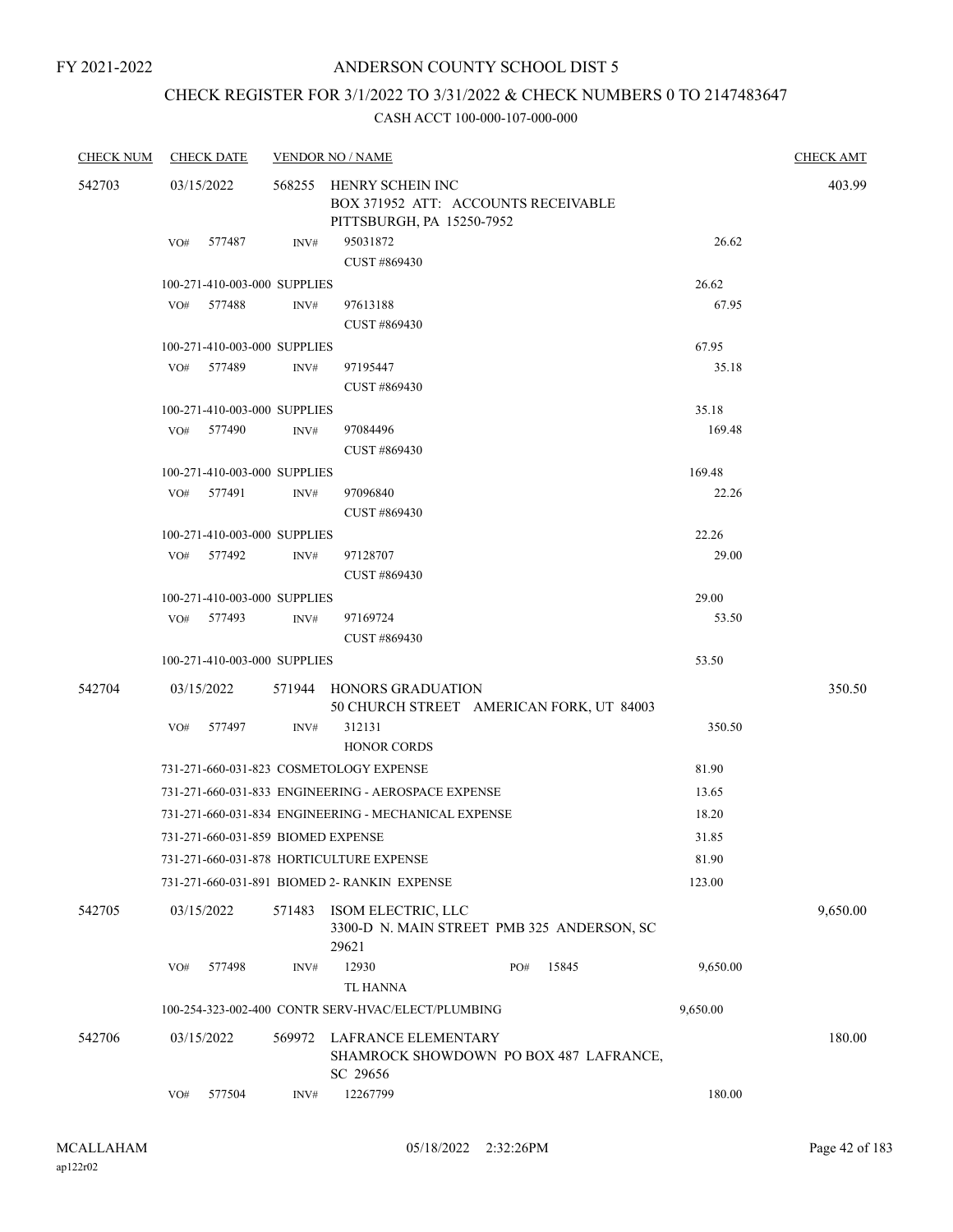## CHECK REGISTER FOR 3/1/2022 TO 3/31/2022 & CHECK NUMBERS 0 TO 2147483647

| <b>CHECK NUM</b> |            | <b>CHECK DATE</b>                  |        | <b>VENDOR NO / NAME</b>                                                   |     |       |          | <b>CHECK AMT</b> |
|------------------|------------|------------------------------------|--------|---------------------------------------------------------------------------|-----|-------|----------|------------------|
| 542703           | 03/15/2022 |                                    |        | 568255 HENRY SCHEIN INC                                                   |     |       |          | 403.99           |
|                  |            |                                    |        | BOX 371952 ATT: ACCOUNTS RECEIVABLE                                       |     |       |          |                  |
|                  |            |                                    |        | PITTSBURGH, PA 15250-7952                                                 |     |       |          |                  |
|                  |            | VO# 577487                         | INV#   | 95031872                                                                  |     |       | 26.62    |                  |
|                  |            |                                    |        | CUST #869430                                                              |     |       |          |                  |
|                  |            | 100-271-410-003-000 SUPPLIES       |        |                                                                           |     |       | 26.62    |                  |
|                  | VO#        | 577488                             | INV#   | 97613188                                                                  |     |       | 67.95    |                  |
|                  |            |                                    |        | CUST #869430                                                              |     |       |          |                  |
|                  |            | 100-271-410-003-000 SUPPLIES       |        |                                                                           |     |       | 67.95    |                  |
|                  | VO#        | 577489                             | INV#   | 97195447                                                                  |     |       | 35.18    |                  |
|                  |            |                                    |        | CUST #869430                                                              |     |       |          |                  |
|                  |            | 100-271-410-003-000 SUPPLIES       |        |                                                                           |     |       | 35.18    |                  |
|                  | VO#        | 577490                             | INV#   | 97084496                                                                  |     |       | 169.48   |                  |
|                  |            |                                    |        | CUST #869430                                                              |     |       |          |                  |
|                  |            | 100-271-410-003-000 SUPPLIES       |        |                                                                           |     |       | 169.48   |                  |
|                  |            | VO# 577491                         | INV#   | 97096840                                                                  |     |       | 22.26    |                  |
|                  |            |                                    |        | CUST #869430                                                              |     |       |          |                  |
|                  |            | 100-271-410-003-000 SUPPLIES       |        |                                                                           |     |       | 22.26    |                  |
|                  |            | VO# 577492                         | INV#   | 97128707                                                                  |     |       | 29.00    |                  |
|                  |            |                                    |        | CUST #869430                                                              |     |       |          |                  |
|                  |            | 100-271-410-003-000 SUPPLIES       |        |                                                                           |     |       | 29.00    |                  |
|                  |            | VO# 577493                         | INV#   | 97169724                                                                  |     |       | 53.50    |                  |
|                  |            |                                    |        | CUST #869430                                                              |     |       |          |                  |
|                  |            | 100-271-410-003-000 SUPPLIES       |        |                                                                           |     |       | 53.50    |                  |
| 542704           | 03/15/2022 |                                    |        | 571944 HONORS GRADUATION                                                  |     |       |          | 350.50           |
|                  |            |                                    |        | 50 CHURCH STREET AMERICAN FORK, UT 84003                                  |     |       |          |                  |
|                  | VO#        | 577497                             | INV#   | 312131                                                                    |     |       | 350.50   |                  |
|                  |            |                                    |        | <b>HONOR CORDS</b>                                                        |     |       |          |                  |
|                  |            |                                    |        | 731-271-660-031-823 COSMETOLOGY EXPENSE                                   |     |       | 81.90    |                  |
|                  |            |                                    |        | 731-271-660-031-833 ENGINEERING - AEROSPACE EXPENSE                       |     |       | 13.65    |                  |
|                  |            |                                    |        | 731-271-660-031-834 ENGINEERING - MECHANICAL EXPENSE                      |     |       | 18.20    |                  |
|                  |            | 731-271-660-031-859 BIOMED EXPENSE |        |                                                                           |     |       | 31.85    |                  |
|                  |            |                                    |        | 731-271-660-031-878 HORTICULTURE EXPENSE                                  |     |       | 81.90    |                  |
|                  |            |                                    |        | 731-271-660-031-891 BIOMED 2- RANKIN EXPENSE                              |     |       | 123.00   |                  |
|                  |            |                                    |        |                                                                           |     |       |          |                  |
| 542705           | 03/15/2022 |                                    | 571483 | ISOM ELECTRIC, LLC<br>3300-D N. MAIN STREET PMB 325 ANDERSON, SC<br>29621 |     |       |          | 9,650.00         |
|                  | VO#        | 577498                             | INV#   | 12930                                                                     | PO# | 15845 | 9,650.00 |                  |
|                  |            |                                    |        | <b>TL HANNA</b>                                                           |     |       |          |                  |
|                  |            |                                    |        | 100-254-323-002-400 CONTR SERV-HVAC/ELECT/PLUMBING                        |     |       | 9,650.00 |                  |
|                  |            |                                    |        |                                                                           |     |       |          |                  |
| 542706           | 03/15/2022 |                                    | 569972 | LAFRANCE ELEMENTARY                                                       |     |       |          | 180.00           |
|                  |            |                                    |        | SHAMROCK SHOWDOWN PO BOX 487 LAFRANCE,<br>SC 29656                        |     |       |          |                  |
|                  | VO#        | 577504                             | INV#   | 12267799                                                                  |     |       | 180.00   |                  |
|                  |            |                                    |        |                                                                           |     |       |          |                  |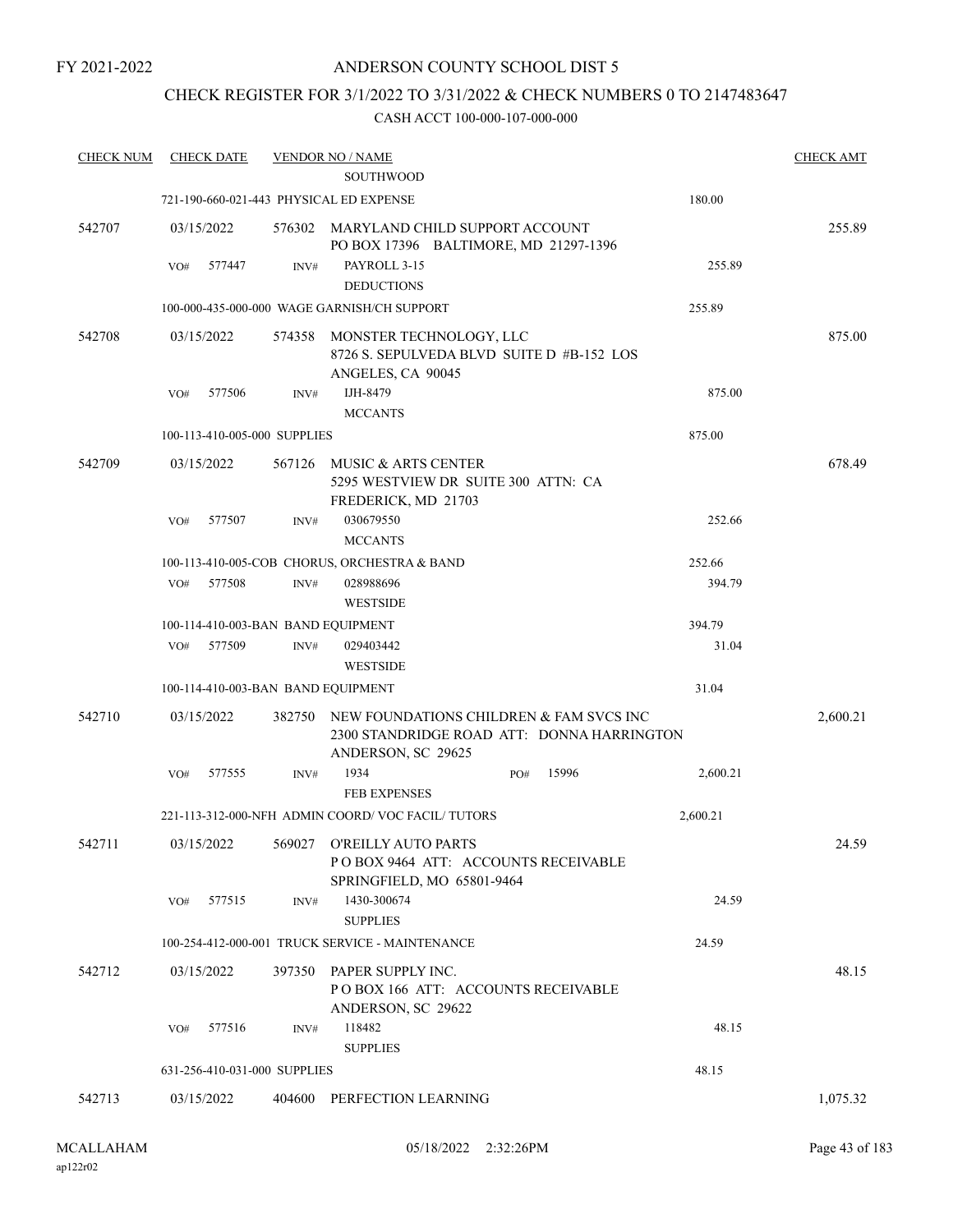FY 2021-2022

### ANDERSON COUNTY SCHOOL DIST 5

### CHECK REGISTER FOR 3/1/2022 TO 3/31/2022 & CHECK NUMBERS 0 TO 2147483647

| <b>CHECK NUM</b> | <b>CHECK DATE</b>                       |        | <b>VENDOR NO / NAME</b><br><b>SOUTHWOOD</b>                                                                 |     |       |          | <b>CHECK AMT</b> |
|------------------|-----------------------------------------|--------|-------------------------------------------------------------------------------------------------------------|-----|-------|----------|------------------|
|                  | 721-190-660-021-443 PHYSICAL ED EXPENSE |        |                                                                                                             |     |       | 180.00   |                  |
| 542707           | 03/15/2022                              | 576302 | MARYLAND CHILD SUPPORT ACCOUNT<br>PO BOX 17396 BALTIMORE, MD 21297-1396                                     |     |       |          | 255.89           |
|                  | VO#<br>577447                           | INV#   | PAYROLL 3-15<br><b>DEDUCTIONS</b>                                                                           |     |       | 255.89   |                  |
|                  |                                         |        | 100-000-435-000-000 WAGE GARNISH/CH SUPPORT                                                                 |     |       | 255.89   |                  |
| 542708           | 03/15/2022                              | 574358 | MONSTER TECHNOLOGY, LLC<br>8726 S. SEPULVEDA BLVD SUITE D #B-152 LOS<br>ANGELES, CA 90045                   |     |       |          | 875.00           |
|                  | 577506<br>VO#                           | INV#   | IJH-8479<br><b>MCCANTS</b>                                                                                  |     |       | 875.00   |                  |
|                  | 100-113-410-005-000 SUPPLIES            |        |                                                                                                             |     |       | 875.00   |                  |
| 542709           | 03/15/2022                              | 567126 | MUSIC & ARTS CENTER<br>5295 WESTVIEW DR SUITE 300 ATTN: CA<br>FREDERICK, MD 21703                           |     |       |          | 678.49           |
|                  | 577507<br>VO#                           | INV#   | 030679550<br><b>MCCANTS</b>                                                                                 |     |       | 252.66   |                  |
|                  |                                         |        | 100-113-410-005-COB CHORUS, ORCHESTRA & BAND                                                                |     |       | 252.66   |                  |
|                  | 577508<br>VO#                           | INV#   | 028988696<br><b>WESTSIDE</b>                                                                                |     |       | 394.79   |                  |
|                  | 100-114-410-003-BAN BAND EQUIPMENT      |        |                                                                                                             |     |       | 394.79   |                  |
|                  | VO#<br>577509                           | INV#   | 029403442<br><b>WESTSIDE</b>                                                                                |     |       | 31.04    |                  |
|                  | 100-114-410-003-BAN BAND EQUIPMENT      |        |                                                                                                             |     |       | 31.04    |                  |
| 542710           | 03/15/2022                              | 382750 | NEW FOUNDATIONS CHILDREN & FAM SVCS INC<br>2300 STANDRIDGE ROAD ATT: DONNA HARRINGTON<br>ANDERSON, SC 29625 |     |       |          | 2,600.21         |
|                  | VO#<br>577555                           | INV#   | 1934<br><b>FEB EXPENSES</b>                                                                                 | PO# | 15996 | 2,600.21 |                  |
|                  |                                         |        | 221-113-312-000-NFH ADMIN COORD/VOC FACIL/TUTORS                                                            |     |       | 2,600.21 |                  |
| 542711           | 03/15/2022                              |        | 569027 O'REILLY AUTO PARTS<br>POBOX 9464 ATT: ACCOUNTS RECEIVABLE<br>SPRINGFIELD, MO 65801-9464             |     |       |          | 24.59            |
|                  | 577515<br>VO#                           | INV#   | 1430-300674<br><b>SUPPLIES</b>                                                                              |     |       | 24.59    |                  |
|                  |                                         |        | 100-254-412-000-001 TRUCK SERVICE - MAINTENANCE                                                             |     |       | 24.59    |                  |
| 542712           | 03/15/2022                              |        | 397350 PAPER SUPPLY INC.<br>POBOX 166 ATT: ACCOUNTS RECEIVABLE<br>ANDERSON, SC 29622                        |     |       |          | 48.15            |
|                  | VO# 577516                              | INV#   | 118482<br><b>SUPPLIES</b>                                                                                   |     |       | 48.15    |                  |
|                  | 631-256-410-031-000 SUPPLIES            |        |                                                                                                             |     |       | 48.15    |                  |
| 542713           | 03/15/2022                              |        | 404600 PERFECTION LEARNING                                                                                  |     |       |          | 1,075.32         |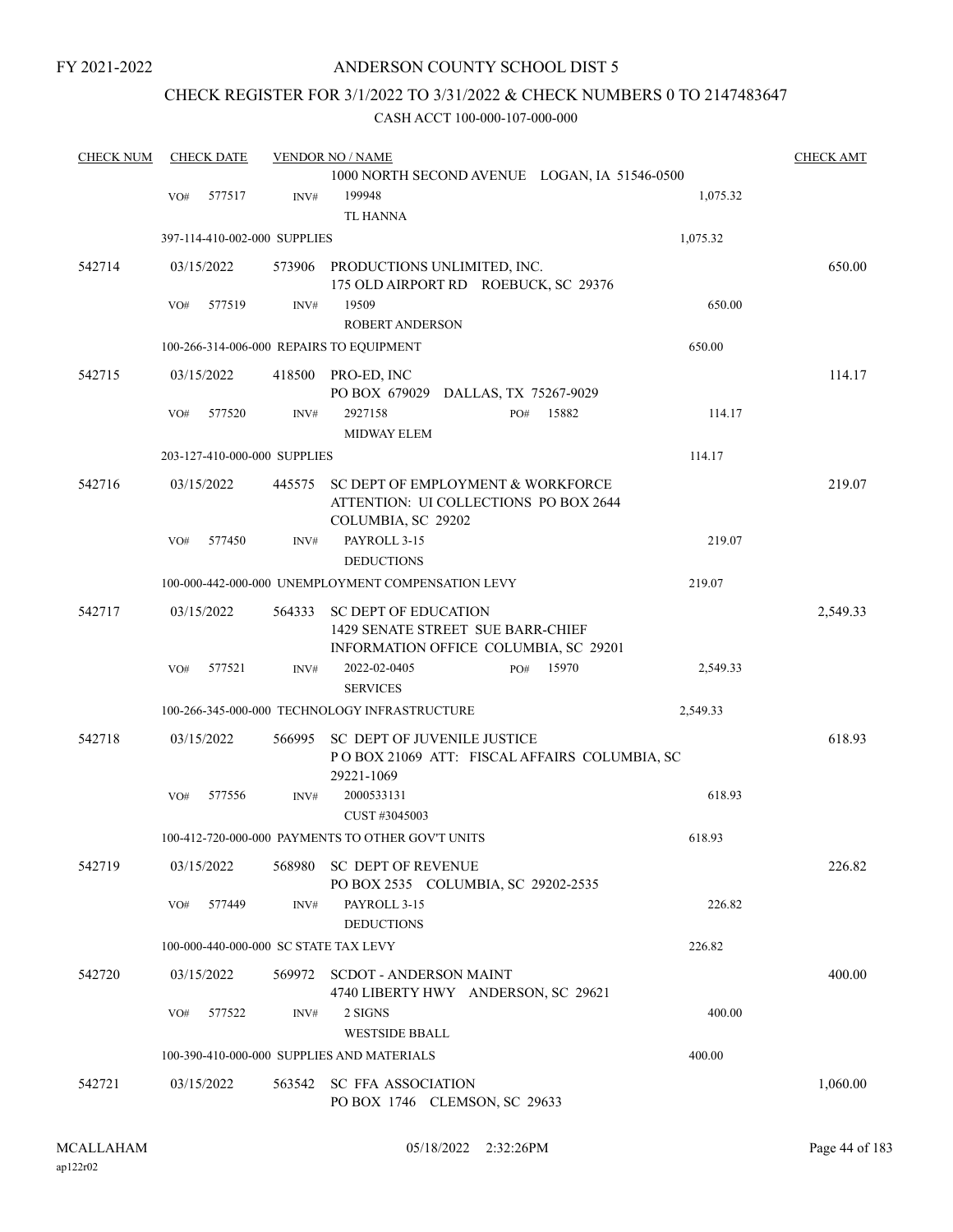FY 2021-2022

### ANDERSON COUNTY SCHOOL DIST 5

### CHECK REGISTER FOR 3/1/2022 TO 3/31/2022 & CHECK NUMBERS 0 TO 2147483647

| <b>CHECK NUM</b> |     | <b>CHECK DATE</b> |                              | <b>VENDOR NO / NAME</b>                                                            | <b>CHECK AMT</b> |
|------------------|-----|-------------------|------------------------------|------------------------------------------------------------------------------------|------------------|
|                  |     |                   |                              | 1000 NORTH SECOND AVENUE LOGAN, IA 51546-0500                                      |                  |
|                  | VO# | 577517            | INV#                         | 199948<br>1,075.32                                                                 |                  |
|                  |     |                   |                              | <b>TL HANNA</b>                                                                    |                  |
|                  |     |                   | 397-114-410-002-000 SUPPLIES | 1,075.32                                                                           |                  |
| 542714           |     | 03/15/2022        |                              | 573906 PRODUCTIONS UNLIMITED, INC.                                                 | 650.00           |
|                  |     |                   |                              | 175 OLD AIRPORT RD ROEBUCK, SC 29376                                               |                  |
|                  | VO# | 577519            | INV#                         | 19509<br><b>ROBERT ANDERSON</b>                                                    | 650.00           |
|                  |     |                   |                              |                                                                                    |                  |
|                  |     |                   |                              | 650.00<br>100-266-314-006-000 REPAIRS TO EQUIPMENT                                 |                  |
| 542715           |     | 03/15/2022        |                              | 418500 PRO-ED, INC<br>PO BOX 679029 DALLAS, TX 75267-9029                          | 114.17           |
|                  | VO# | 577520            | INV#                         | 2927158<br>PO#<br>15882                                                            | 114.17           |
|                  |     |                   |                              | <b>MIDWAY ELEM</b>                                                                 |                  |
|                  |     |                   | 203-127-410-000-000 SUPPLIES | 114.17                                                                             |                  |
| 542716           |     | 03/15/2022        | 445575                       | SC DEPT OF EMPLOYMENT & WORKFORCE                                                  | 219.07           |
|                  |     |                   |                              | ATTENTION: UI COLLECTIONS PO BOX 2644                                              |                  |
|                  |     |                   |                              | COLUMBIA, SC 29202                                                                 |                  |
|                  | VO# | 577450            | INV#                         | PAYROLL 3-15<br><b>DEDUCTIONS</b>                                                  | 219.07           |
|                  |     |                   |                              | 100-000-442-000-000 UNEMPLOYMENT COMPENSATION LEVY<br>219.07                       |                  |
|                  |     |                   |                              |                                                                                    |                  |
| 542717           |     | 03/15/2022        | 564333                       | <b>SC DEPT OF EDUCATION</b>                                                        | 2,549.33         |
|                  |     |                   |                              | 1429 SENATE STREET SUE BARR-CHIEF<br>INFORMATION OFFICE COLUMBIA, SC 29201         |                  |
|                  | VO# | 577521            | INV#                         | 2022-02-0405<br>15970<br>PO#<br>2,549.33                                           |                  |
|                  |     |                   |                              | <b>SERVICES</b>                                                                    |                  |
|                  |     |                   |                              | 100-266-345-000-000 TECHNOLOGY INFRASTRUCTURE<br>2,549.33                          |                  |
|                  |     |                   |                              |                                                                                    |                  |
| 542718           |     | 03/15/2022        | 566995                       | <b>SC DEPT OF JUVENILE JUSTICE</b><br>POBOX 21069 ATT: FISCAL AFFAIRS COLUMBIA, SC | 618.93           |
|                  |     |                   |                              | 29221-1069                                                                         |                  |
|                  | VO# | 577556            | INV#                         | 2000533131                                                                         | 618.93           |
|                  |     |                   |                              | CUST #3045003                                                                      |                  |
|                  |     |                   |                              | 100-412-720-000-000 PAYMENTS TO OTHER GOV'T UNITS<br>618.93                        |                  |
| 542719           |     | 03/15/2022        |                              | 568980 SC DEPT OF REVENUE                                                          | 226.82           |
|                  |     |                   |                              | PO BOX 2535 COLUMBIA, SC 29202-2535                                                |                  |
|                  | VO# | 577449            | INV#                         | PAYROLL 3-15                                                                       | 226.82           |
|                  |     |                   |                              | <b>DEDUCTIONS</b>                                                                  |                  |
|                  |     |                   |                              | 226.82<br>100-000-440-000-000 SC STATE TAX LEVY                                    |                  |
| 542720           |     | 03/15/2022        |                              | 569972 SCDOT - ANDERSON MAINT                                                      | 400.00           |
|                  |     |                   |                              | 4740 LIBERTY HWY ANDERSON, SC 29621                                                |                  |
|                  | VO# | 577522            | INV#                         | 2 SIGNS<br><b>WESTSIDE BBALL</b>                                                   | 400.00           |
|                  |     |                   |                              | 100-390-410-000-000 SUPPLIES AND MATERIALS<br>400.00                               |                  |
| 542721           |     | 03/15/2022        | 563542                       | <b>SC FFA ASSOCIATION</b>                                                          | 1,060.00         |
|                  |     |                   |                              | PO BOX 1746 CLEMSON, SC 29633                                                      |                  |
|                  |     |                   |                              |                                                                                    |                  |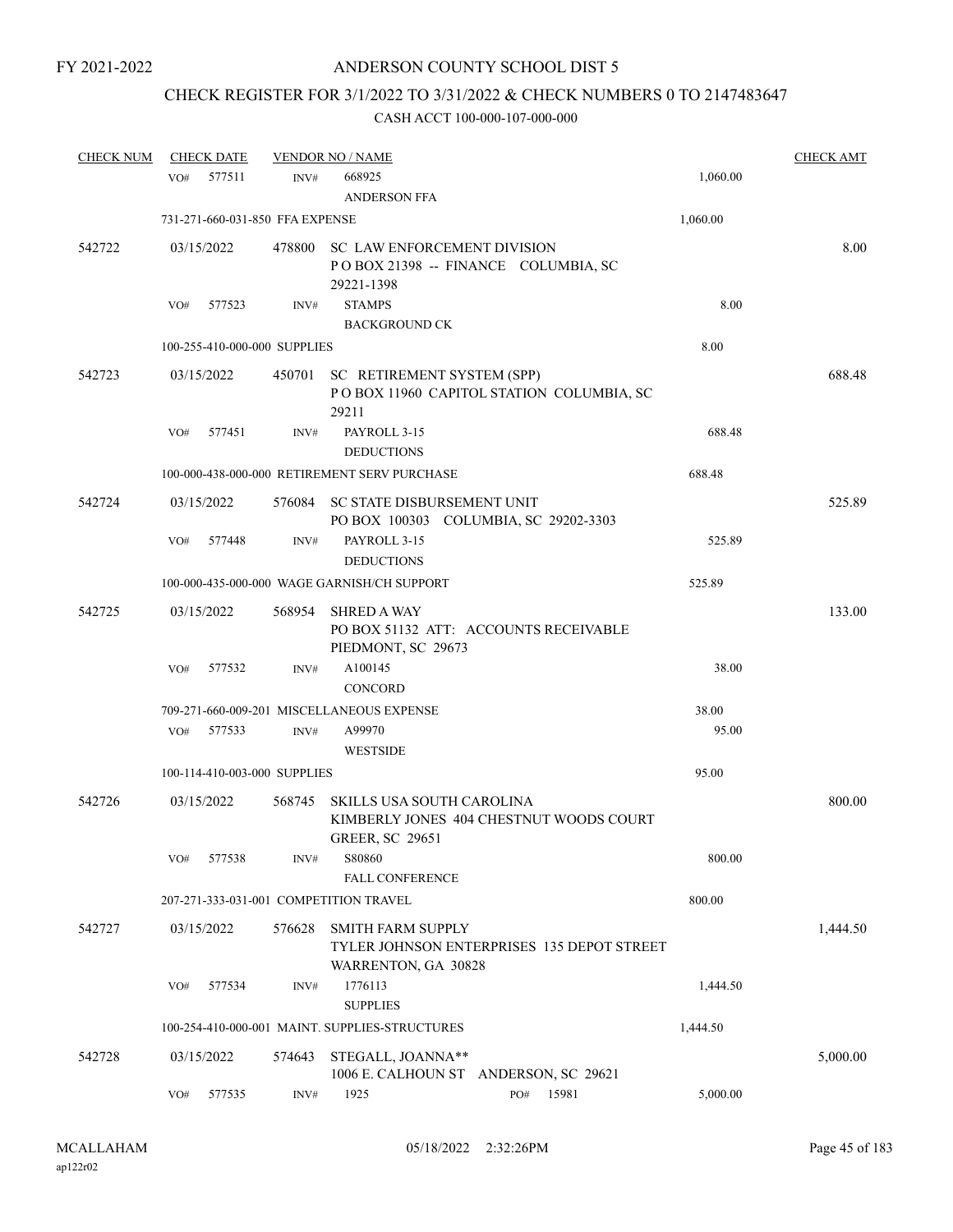# CHECK REGISTER FOR 3/1/2022 TO 3/31/2022 & CHECK NUMBERS 0 TO 2147483647

| <b>CHECK NUM</b> | <b>CHECK DATE</b>                      |        | <b>VENDOR NO / NAME</b>                             |                                            |          | <b>CHECK AMT</b> |
|------------------|----------------------------------------|--------|-----------------------------------------------------|--------------------------------------------|----------|------------------|
|                  | 577511<br>VO#                          | INV#   | 668925<br><b>ANDERSON FFA</b>                       |                                            | 1,060.00 |                  |
|                  | 731-271-660-031-850 FFA EXPENSE        |        |                                                     |                                            | 1,060.00 |                  |
| 542722           | 03/15/2022                             | 478800 | SC LAW ENFORCEMENT DIVISION<br>29221-1398           | POBOX 21398 -- FINANCE COLUMBIA, SC        |          | 8.00             |
|                  | 577523<br>VO#                          | INV#   | <b>STAMPS</b><br><b>BACKGROUND CK</b>               |                                            | 8.00     |                  |
|                  | 100-255-410-000-000 SUPPLIES           |        |                                                     |                                            | 8.00     |                  |
| 542723           | 03/15/2022                             |        | 450701 SC RETIREMENT SYSTEM (SPP)<br>29211          | POBOX 11960 CAPITOL STATION COLUMBIA, SC   |          | 688.48           |
|                  | 577451<br>VO#                          | INV#   | PAYROLL 3-15<br><b>DEDUCTIONS</b>                   |                                            | 688.48   |                  |
|                  |                                        |        | 100-000-438-000-000 RETIREMENT SERV PURCHASE        |                                            | 688.48   |                  |
| 542724           | 03/15/2022                             | 576084 | SC STATE DISBURSEMENT UNIT                          | PO BOX 100303 COLUMBIA, SC 29202-3303      |          | 525.89           |
|                  | 577448<br>VO#                          | INV#   | PAYROLL 3-15<br><b>DEDUCTIONS</b>                   |                                            | 525.89   |                  |
|                  |                                        |        | 100-000-435-000-000 WAGE GARNISH/CH SUPPORT         |                                            | 525.89   |                  |
| 542725           | 03/15/2022                             | 568954 | <b>SHRED A WAY</b><br>PIEDMONT, SC 29673            | PO BOX 51132 ATT: ACCOUNTS RECEIVABLE      |          | 133.00           |
|                  | VO#<br>577532                          | INV#   | A100145<br><b>CONCORD</b>                           |                                            | 38.00    |                  |
|                  |                                        |        | 709-271-660-009-201 MISCELLANEOUS EXPENSE           |                                            | 38.00    |                  |
|                  | 577533<br>VO#                          | INV#   | A99970                                              |                                            | 95.00    |                  |
|                  |                                        |        | <b>WESTSIDE</b>                                     |                                            |          |                  |
|                  | 100-114-410-003-000 SUPPLIES           |        |                                                     |                                            | 95.00    |                  |
| 542726           | 03/15/2022                             | 568745 | SKILLS USA SOUTH CAROLINA<br><b>GREER, SC 29651</b> | KIMBERLY JONES 404 CHESTNUT WOODS COURT    |          | 800.00           |
|                  | 577538<br>VO#                          | INV#   | S80860<br><b>FALL CONFERENCE</b>                    |                                            | 800.00   |                  |
|                  | 207-271-333-031-001 COMPETITION TRAVEL |        |                                                     |                                            | 800.00   |                  |
| 542727           | 03/15/2022                             | 576628 | <b>SMITH FARM SUPPLY</b><br>WARRENTON, GA 30828     | TYLER JOHNSON ENTERPRISES 135 DEPOT STREET |          | 1,444.50         |
|                  | VO#<br>577534                          | INV#   | 1776113<br><b>SUPPLIES</b>                          |                                            | 1,444.50 |                  |
|                  |                                        |        | 100-254-410-000-001 MAINT. SUPPLIES-STRUCTURES      |                                            | 1,444.50 |                  |
| 542728           | 03/15/2022                             | 574643 | STEGALL, JOANNA**                                   | 1006 E. CALHOUN ST ANDERSON, SC 29621      |          | 5,000.00         |
|                  | 577535<br>VO#                          | INV#   | 1925                                                | 15981<br>PO#                               | 5,000.00 |                  |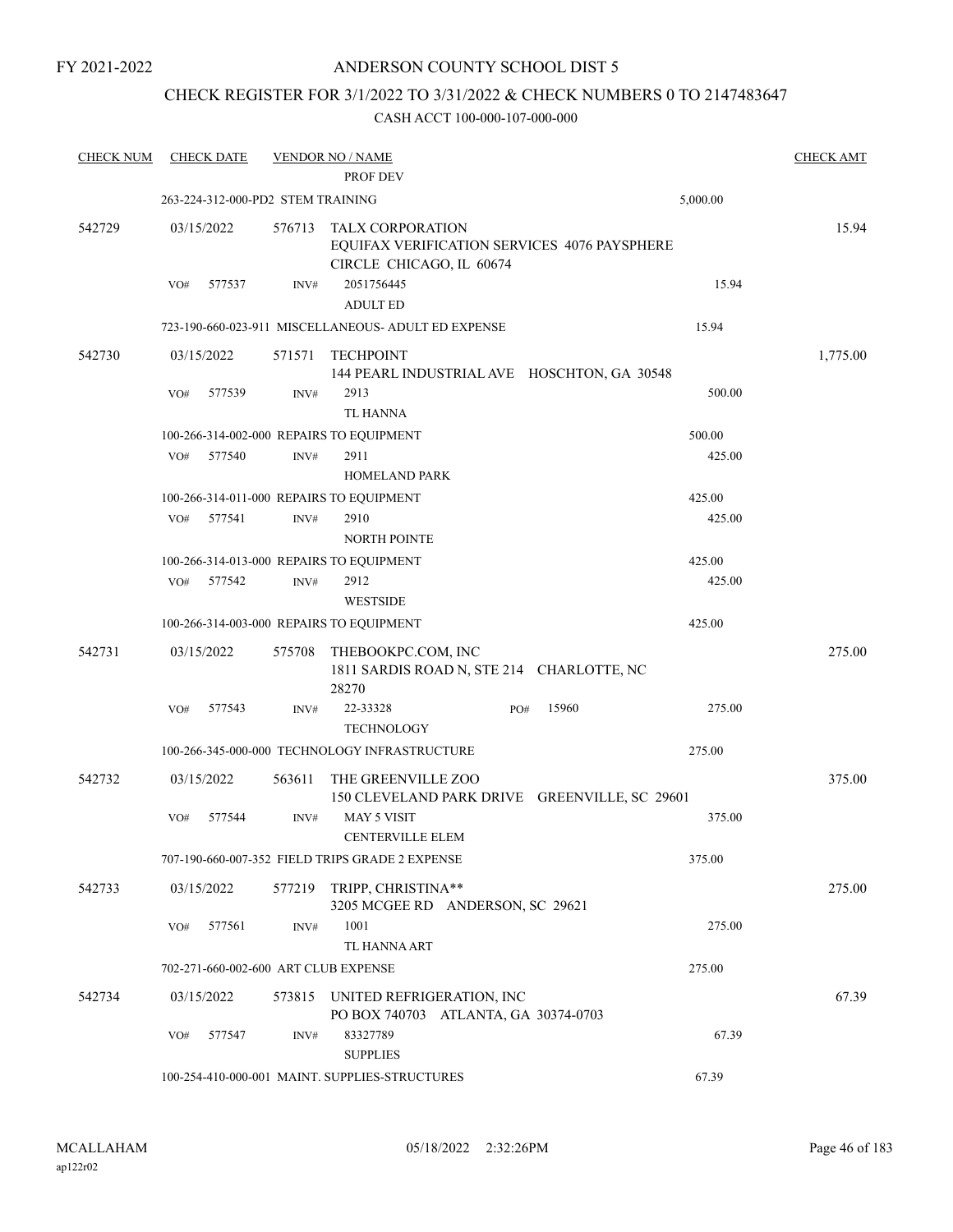FY 2021-2022

### ANDERSON COUNTY SCHOOL DIST 5

## CHECK REGISTER FOR 3/1/2022 TO 3/31/2022 & CHECK NUMBERS 0 TO 2147483647

| <b>CHECK NUM</b> | <b>CHECK DATE</b>                    |                | <b>VENDOR NO / NAME</b><br>PROF DEV                                                                 |              |          | <b>CHECK AMT</b> |
|------------------|--------------------------------------|----------------|-----------------------------------------------------------------------------------------------------|--------------|----------|------------------|
|                  | 263-224-312-000-PD2 STEM TRAINING    |                |                                                                                                     |              | 5,000.00 |                  |
| 542729           | 03/15/2022                           | 576713         | <b>TALX CORPORATION</b><br>EQUIFAX VERIFICATION SERVICES 4076 PAYSPHERE<br>CIRCLE CHICAGO, IL 60674 |              |          | 15.94            |
|                  | VO#<br>577537                        | INV#           | 2051756445<br><b>ADULT ED</b>                                                                       |              | 15.94    |                  |
|                  |                                      |                | 723-190-660-023-911 MISCELLANEOUS- ADULT ED EXPENSE                                                 |              | 15.94    |                  |
| 542730           | 03/15/2022                           | 571571         | <b>TECHPOINT</b><br>144 PEARL INDUSTRIAL AVE HOSCHTON, GA 30548                                     |              |          | 1,775.00         |
|                  | 577539<br>VO#                        | INV#           | 2913<br>TL HANNA                                                                                    |              | 500.00   |                  |
|                  |                                      |                | 100-266-314-002-000 REPAIRS TO EQUIPMENT                                                            |              | 500.00   |                  |
|                  | 577540<br>VO#                        | $\text{INV}\#$ | 2911                                                                                                |              | 425.00   |                  |
|                  |                                      |                | <b>HOMELAND PARK</b>                                                                                |              |          |                  |
|                  |                                      |                | 100-266-314-011-000 REPAIRS TO EQUIPMENT                                                            |              | 425.00   |                  |
|                  | 577541<br>VO#                        | INV#           | 2910<br><b>NORTH POINTE</b>                                                                         |              | 425.00   |                  |
|                  |                                      |                | 100-266-314-013-000 REPAIRS TO EQUIPMENT                                                            |              | 425.00   |                  |
|                  | 577542<br>VO#                        | INV#           | 2912<br><b>WESTSIDE</b>                                                                             |              | 425.00   |                  |
|                  |                                      |                | 100-266-314-003-000 REPAIRS TO EQUIPMENT                                                            |              | 425.00   |                  |
| 542731           | 03/15/2022                           | 575708         | THEBOOKPC.COM, INC<br>1811 SARDIS ROAD N, STE 214 CHARLOTTE, NC<br>28270                            |              |          | 275.00           |
|                  | 577543<br>VO#                        | INV#           | 22-33328<br><b>TECHNOLOGY</b>                                                                       | 15960<br>PO# | 275.00   |                  |
|                  |                                      |                | 100-266-345-000-000 TECHNOLOGY INFRASTRUCTURE                                                       |              | 275.00   |                  |
| 542732           | 03/15/2022                           | 563611         | THE GREENVILLE ZOO<br>150 CLEVELAND PARK DRIVE GREENVILLE, SC 29601                                 |              |          | 375.00           |
|                  | 577544<br>VO#                        | INV#           | <b>MAY 5 VISIT</b><br><b>CENTERVILLE ELEM</b>                                                       |              | 375.00   |                  |
|                  |                                      |                | 707-190-660-007-352 FIELD TRIPS GRADE 2 EXPENSE                                                     |              | 375.00   |                  |
| 542733           | 03/15/2022                           | 577219         | TRIPP, CHRISTINA**<br>3205 MCGEE RD ANDERSON, SC 29621                                              |              |          | 275.00           |
|                  | 577561<br>VO#                        | INV#           | 1001<br>TL HANNA ART                                                                                |              | 275.00   |                  |
|                  | 702-271-660-002-600 ART CLUB EXPENSE |                |                                                                                                     |              | 275.00   |                  |
| 542734           | 03/15/2022                           | 573815         | UNITED REFRIGERATION, INC<br>PO BOX 740703 ATLANTA, GA 30374-0703                                   |              |          | 67.39            |
|                  | 577547<br>VO#                        | INV#           | 83327789<br><b>SUPPLIES</b>                                                                         |              | 67.39    |                  |
|                  |                                      |                | 100-254-410-000-001 MAINT. SUPPLIES-STRUCTURES                                                      |              | 67.39    |                  |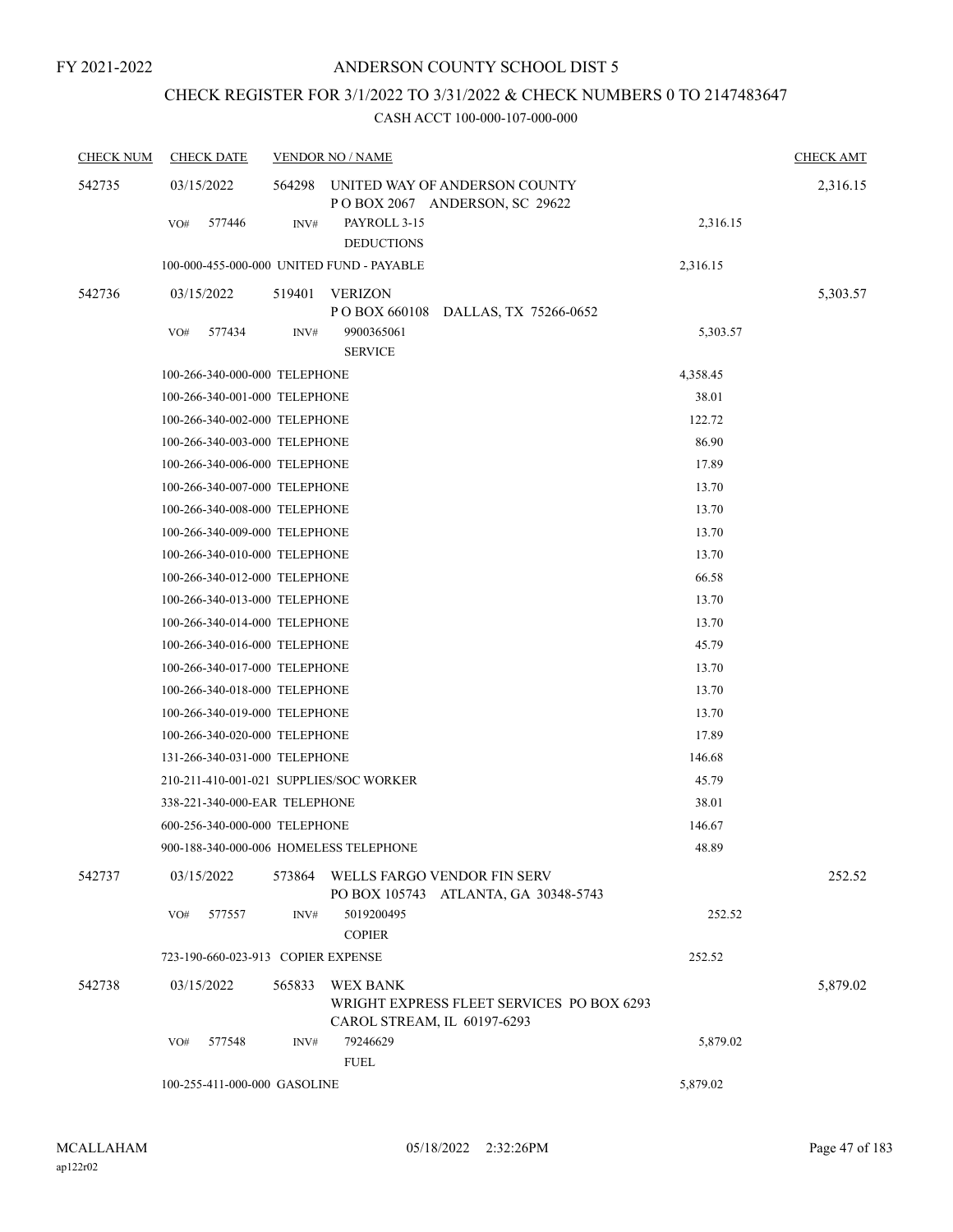## CHECK REGISTER FOR 3/1/2022 TO 3/31/2022 & CHECK NUMBERS 0 TO 2147483647

| <b>CHECK NUM</b> | <b>CHECK DATE</b>                         |        | <b>VENDOR NO / NAME</b>                                                              |          | <b>CHECK AMT</b> |
|------------------|-------------------------------------------|--------|--------------------------------------------------------------------------------------|----------|------------------|
| 542735           | 03/15/2022                                | 564298 | UNITED WAY OF ANDERSON COUNTY<br>POBOX 2067 ANDERSON, SC 29622                       |          | 2,316.15         |
|                  | 577446<br>VO#                             | INV#   | PAYROLL 3-15<br><b>DEDUCTIONS</b>                                                    | 2,316.15 |                  |
|                  | 100-000-455-000-000 UNITED FUND - PAYABLE |        |                                                                                      | 2,316.15 |                  |
| 542736           | 03/15/2022                                | 519401 | VERIZON<br>P O BOX 660108<br>DALLAS, TX 75266-0652                                   |          | 5,303.57         |
|                  | 577434<br>VO#                             | INV#   | 9900365061<br><b>SERVICE</b>                                                         | 5,303.57 |                  |
|                  | 100-266-340-000-000 TELEPHONE             |        |                                                                                      | 4,358.45 |                  |
|                  | 100-266-340-001-000 TELEPHONE             |        |                                                                                      | 38.01    |                  |
|                  | 100-266-340-002-000 TELEPHONE             |        |                                                                                      | 122.72   |                  |
|                  | 100-266-340-003-000 TELEPHONE             |        |                                                                                      | 86.90    |                  |
|                  | 100-266-340-006-000 TELEPHONE             |        |                                                                                      | 17.89    |                  |
|                  | 100-266-340-007-000 TELEPHONE             |        |                                                                                      | 13.70    |                  |
|                  | 100-266-340-008-000 TELEPHONE             |        |                                                                                      | 13.70    |                  |
|                  | 100-266-340-009-000 TELEPHONE             |        |                                                                                      | 13.70    |                  |
|                  | 100-266-340-010-000 TELEPHONE             |        |                                                                                      | 13.70    |                  |
|                  | 100-266-340-012-000 TELEPHONE             |        |                                                                                      | 66.58    |                  |
|                  | 100-266-340-013-000 TELEPHONE             |        |                                                                                      | 13.70    |                  |
|                  | 100-266-340-014-000 TELEPHONE             |        |                                                                                      | 13.70    |                  |
|                  | 100-266-340-016-000 TELEPHONE             |        |                                                                                      | 45.79    |                  |
|                  | 100-266-340-017-000 TELEPHONE             |        |                                                                                      | 13.70    |                  |
|                  | 100-266-340-018-000 TELEPHONE             |        |                                                                                      | 13.70    |                  |
|                  | 100-266-340-019-000 TELEPHONE             |        |                                                                                      | 13.70    |                  |
|                  | 100-266-340-020-000 TELEPHONE             |        |                                                                                      | 17.89    |                  |
|                  | 131-266-340-031-000 TELEPHONE             |        |                                                                                      | 146.68   |                  |
|                  | 210-211-410-001-021 SUPPLIES/SOC WORKER   |        |                                                                                      | 45.79    |                  |
|                  | 338-221-340-000-EAR TELEPHONE             |        |                                                                                      | 38.01    |                  |
|                  | 600-256-340-000-000 TELEPHONE             |        |                                                                                      | 146.67   |                  |
|                  | 900-188-340-000-006 HOMELESS TELEPHONE    |        |                                                                                      | 48.89    |                  |
| 542737           | 03/15/2022                                | 573864 | WELLS FARGO VENDOR FIN SERV<br>PO BOX 105743 ATLANTA, GA 30348-5743                  |          | 252.52           |
|                  | 577557<br>VO#                             | INV#   | 5019200495<br><b>COPIER</b>                                                          | 252.52   |                  |
|                  | 723-190-660-023-913 COPIER EXPENSE        |        |                                                                                      | 252.52   |                  |
| 542738           | 03/15/2022                                | 565833 | WEX BANK<br>WRIGHT EXPRESS FLEET SERVICES PO BOX 6293<br>CAROL STREAM, IL 60197-6293 |          | 5,879.02         |
|                  | 577548<br>VO#                             | INV#   | 79246629<br><b>FUEL</b>                                                              | 5,879.02 |                  |
|                  | 100-255-411-000-000 GASOLINE              |        |                                                                                      | 5,879.02 |                  |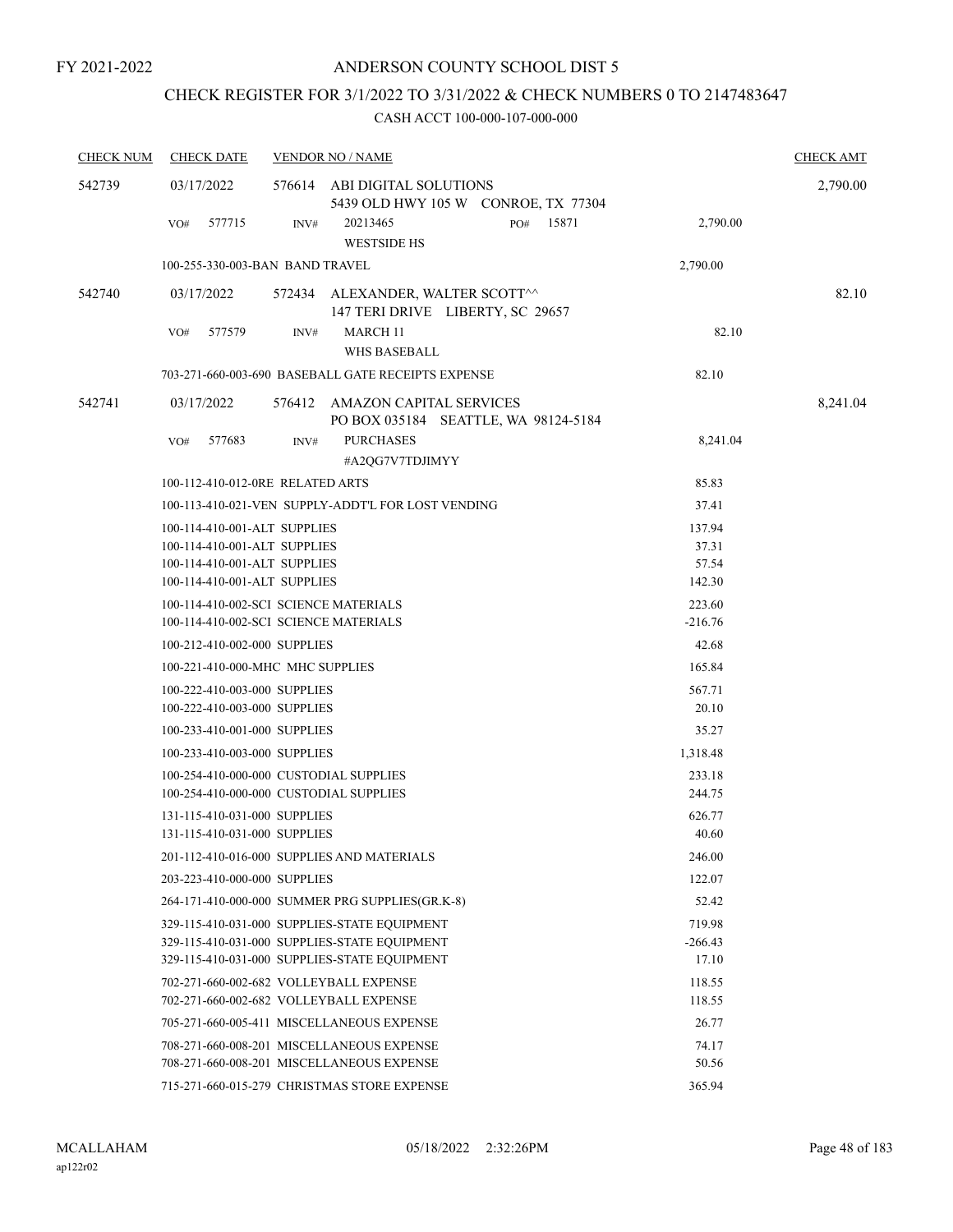## CHECK REGISTER FOR 3/1/2022 TO 3/31/2022 & CHECK NUMBERS 0 TO 2147483647

| <b>CHECK NUM</b> | <b>CHECK DATE</b>                                                                                                            |      | <b>VENDOR NO / NAME</b>                                                                |           |                                    | <b>CHECK AMT</b> |
|------------------|------------------------------------------------------------------------------------------------------------------------------|------|----------------------------------------------------------------------------------------|-----------|------------------------------------|------------------|
| 542739           | 03/17/2022                                                                                                                   |      | 576614 ABI DIGITAL SOLUTIONS                                                           |           |                                    | 2,790.00         |
|                  | 577715<br>VO#                                                                                                                | INV# | 5439 OLD HWY 105 W CONROE, TX 77304<br>20213465<br><b>WESTSIDE HS</b>                  | PO# 15871 | 2,790.00                           |                  |
|                  | 100-255-330-003-BAN BAND TRAVEL                                                                                              |      |                                                                                        |           | 2,790.00                           |                  |
| 542740           | 03/17/2022                                                                                                                   |      | 572434 ALEXANDER, WALTER SCOTT^^<br>147 TERI DRIVE LIBERTY, SC 29657                   |           |                                    | 82.10            |
|                  | 577579<br>VO#                                                                                                                | INV# | <b>MARCH 11</b><br><b>WHS BASEBALL</b>                                                 |           | 82.10                              |                  |
|                  |                                                                                                                              |      | 703-271-660-003-690 BASEBALL GATE RECEIPTS EXPENSE                                     |           | 82.10                              |                  |
| 542741           | 03/17/2022                                                                                                                   |      | 576412 AMAZON CAPITAL SERVICES<br>PO BOX 035184 SEATTLE, WA 98124-5184                 |           |                                    | 8,241.04         |
|                  | VO#<br>577683                                                                                                                | INV# | <b>PURCHASES</b><br>#A2QG7V7TDJIMYY                                                    |           | 8,241.04                           |                  |
|                  | 100-112-410-012-0RE RELATED ARTS                                                                                             |      |                                                                                        |           | 85.83                              |                  |
|                  |                                                                                                                              |      | 100-113-410-021-VEN SUPPLY-ADDT'L FOR LOST VENDING                                     |           | 37.41                              |                  |
|                  | 100-114-410-001-ALT SUPPLIES<br>100-114-410-001-ALT SUPPLIES<br>100-114-410-001-ALT SUPPLIES<br>100-114-410-001-ALT SUPPLIES |      |                                                                                        |           | 137.94<br>37.31<br>57.54<br>142.30 |                  |
|                  | 100-114-410-002-SCI SCIENCE MATERIALS<br>100-114-410-002-SCI SCIENCE MATERIALS                                               |      |                                                                                        |           | 223.60<br>$-216.76$                |                  |
|                  | 100-212-410-002-000 SUPPLIES                                                                                                 |      |                                                                                        |           | 42.68                              |                  |
|                  | 100-221-410-000-MHC MHC SUPPLIES                                                                                             |      |                                                                                        |           | 165.84                             |                  |
|                  | 100-222-410-003-000 SUPPLIES                                                                                                 |      |                                                                                        |           | 567.71                             |                  |
|                  | 100-222-410-003-000 SUPPLIES                                                                                                 |      |                                                                                        |           | 20.10                              |                  |
|                  | 100-233-410-001-000 SUPPLIES                                                                                                 |      |                                                                                        |           | 35.27                              |                  |
|                  | 100-233-410-003-000 SUPPLIES                                                                                                 |      |                                                                                        |           | 1,318.48                           |                  |
|                  | 100-254-410-000-000 CUSTODIAL SUPPLIES                                                                                       |      |                                                                                        |           | 233.18                             |                  |
|                  | 100-254-410-000-000 CUSTODIAL SUPPLIES<br>131-115-410-031-000 SUPPLIES                                                       |      |                                                                                        |           | 244.75<br>626.77                   |                  |
|                  | 131-115-410-031-000 SUPPLIES                                                                                                 |      |                                                                                        |           | 40.60                              |                  |
|                  |                                                                                                                              |      | 201-112-410-016-000 SUPPLIES AND MATERIALS                                             |           | 246.00                             |                  |
|                  | 203-223-410-000-000 SUPPLIES                                                                                                 |      |                                                                                        |           | 122.07                             |                  |
|                  |                                                                                                                              |      | 264-171-410-000-000 SUMMER PRG SUPPLIES(GR.K-8)                                        |           | 52.42                              |                  |
|                  |                                                                                                                              |      | 329-115-410-031-000 SUPPLIES-STATE EQUIPMENT                                           |           | 719.98                             |                  |
|                  |                                                                                                                              |      | 329-115-410-031-000 SUPPLIES-STATE EQUIPMENT                                           |           | $-266.43$                          |                  |
|                  |                                                                                                                              |      | 329-115-410-031-000 SUPPLIES-STATE EQUIPMENT                                           |           | 17.10                              |                  |
|                  | 702-271-660-002-682 VOLLEYBALL EXPENSE                                                                                       |      |                                                                                        |           | 118.55                             |                  |
|                  | 702-271-660-002-682 VOLLEYBALL EXPENSE                                                                                       |      |                                                                                        |           | 118.55                             |                  |
|                  |                                                                                                                              |      | 705-271-660-005-411 MISCELLANEOUS EXPENSE                                              |           | 26.77                              |                  |
|                  |                                                                                                                              |      | 708-271-660-008-201 MISCELLANEOUS EXPENSE<br>708-271-660-008-201 MISCELLANEOUS EXPENSE |           | 74.17<br>50.56                     |                  |
|                  |                                                                                                                              |      | 715-271-660-015-279 CHRISTMAS STORE EXPENSE                                            |           | 365.94                             |                  |
|                  |                                                                                                                              |      |                                                                                        |           |                                    |                  |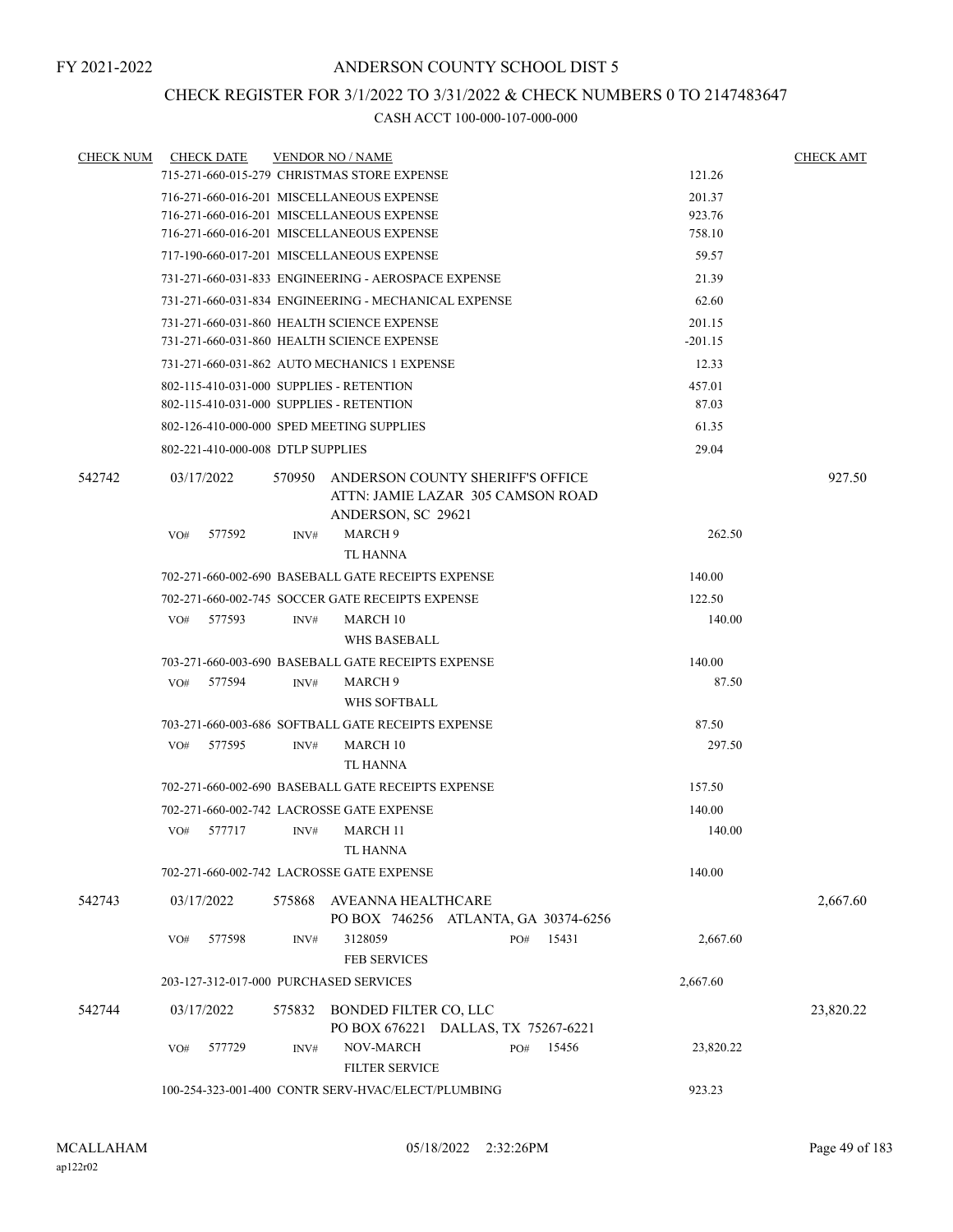## CHECK REGISTER FOR 3/1/2022 TO 3/31/2022 & CHECK NUMBERS 0 TO 2147483647

| <b>CHECK NUM</b> | <b>CHECK DATE</b>                         |        | <b>VENDOR NO / NAME</b>                                                                     |     |       |           | <b>CHECK AMT</b> |
|------------------|-------------------------------------------|--------|---------------------------------------------------------------------------------------------|-----|-------|-----------|------------------|
|                  |                                           |        | 715-271-660-015-279 CHRISTMAS STORE EXPENSE                                                 |     |       | 121.26    |                  |
|                  |                                           |        | 716-271-660-016-201 MISCELLANEOUS EXPENSE                                                   |     |       | 201.37    |                  |
|                  |                                           |        | 716-271-660-016-201 MISCELLANEOUS EXPENSE                                                   |     |       | 923.76    |                  |
|                  |                                           |        | 716-271-660-016-201 MISCELLANEOUS EXPENSE                                                   |     |       | 758.10    |                  |
|                  |                                           |        | 717-190-660-017-201 MISCELLANEOUS EXPENSE                                                   |     |       | 59.57     |                  |
|                  |                                           |        | 731-271-660-031-833 ENGINEERING - AEROSPACE EXPENSE                                         |     |       | 21.39     |                  |
|                  |                                           |        | 731-271-660-031-834 ENGINEERING - MECHANICAL EXPENSE                                        |     |       | 62.60     |                  |
|                  |                                           |        | 731-271-660-031-860 HEALTH SCIENCE EXPENSE                                                  |     |       | 201.15    |                  |
|                  |                                           |        | 731-271-660-031-860 HEALTH SCIENCE EXPENSE                                                  |     |       | $-201.15$ |                  |
|                  |                                           |        | 731-271-660-031-862 AUTO MECHANICS 1 EXPENSE                                                |     |       | 12.33     |                  |
|                  | 802-115-410-031-000 SUPPLIES - RETENTION  |        |                                                                                             |     |       | 457.01    |                  |
|                  | 802-115-410-031-000 SUPPLIES - RETENTION  |        |                                                                                             |     |       | 87.03     |                  |
|                  | 802-126-410-000-000 SPED MEETING SUPPLIES |        |                                                                                             |     |       | 61.35     |                  |
|                  | 802-221-410-000-008 DTLP SUPPLIES         |        |                                                                                             |     |       | 29.04     |                  |
| 542742           | 03/17/2022                                | 570950 | ANDERSON COUNTY SHERIFF'S OFFICE<br>ATTN: JAMIE LAZAR 305 CAMSON ROAD<br>ANDERSON, SC 29621 |     |       |           | 927.50           |
|                  | 577592<br>VO#                             | INV#   | MARCH 9                                                                                     |     |       | 262.50    |                  |
|                  |                                           |        | <b>TL HANNA</b>                                                                             |     |       |           |                  |
|                  |                                           |        | 702-271-660-002-690 BASEBALL GATE RECEIPTS EXPENSE                                          |     |       | 140.00    |                  |
|                  |                                           |        | 702-271-660-002-745 SOCCER GATE RECEIPTS EXPENSE                                            |     |       | 122.50    |                  |
|                  | 577593<br>VO#                             | INV#   | <b>MARCH 10</b>                                                                             |     |       | 140.00    |                  |
|                  |                                           |        | WHS BASEBALL                                                                                |     |       |           |                  |
|                  |                                           |        | 703-271-660-003-690 BASEBALL GATE RECEIPTS EXPENSE                                          |     |       | 140.00    |                  |
|                  | VO#<br>577594                             | INV#   | MARCH 9                                                                                     |     |       | 87.50     |                  |
|                  |                                           |        | WHS SOFTBALL                                                                                |     |       |           |                  |
|                  |                                           |        | 703-271-660-003-686 SOFTBALL GATE RECEIPTS EXPENSE                                          |     |       | 87.50     |                  |
|                  | 577595<br>VO#                             | INV#   | <b>MARCH 10</b><br><b>TL HANNA</b>                                                          |     |       | 297.50    |                  |
|                  |                                           |        | 702-271-660-002-690 BASEBALL GATE RECEIPTS EXPENSE                                          |     |       | 157.50    |                  |
|                  |                                           |        | 702-271-660-002-742 LACROSSE GATE EXPENSE                                                   |     |       | 140.00    |                  |
|                  | VO#<br>577717                             | INV#   | MARCH 11<br><b>TL HANNA</b>                                                                 |     |       | 140.00    |                  |
|                  |                                           |        | 702-271-660-002-742 LACROSSE GATE EXPENSE                                                   |     |       | 140.00    |                  |
| 542743           | 03/17/2022                                | 575868 | AVEANNA HEALTHCARE<br>PO BOX 746256 ATLANTA, GA 30374-6256                                  |     |       |           | 2,667.60         |
|                  | 577598<br>VO#                             | INV#   | 3128059<br><b>FEB SERVICES</b>                                                              | PO# | 15431 | 2,667.60  |                  |
|                  | 203-127-312-017-000 PURCHASED SERVICES    |        |                                                                                             |     |       | 2,667.60  |                  |
|                  |                                           |        |                                                                                             |     |       |           |                  |
| 542744           | 03/17/2022                                | 575832 | BONDED FILTER CO, LLC<br>PO BOX 676221 DALLAS, TX 75267-6221                                |     |       |           | 23,820.22        |
|                  | VO#<br>577729                             | INV#   | NOV-MARCH<br><b>FILTER SERVICE</b>                                                          | PO# | 15456 | 23,820.22 |                  |
|                  |                                           |        | 100-254-323-001-400 CONTR SERV-HVAC/ELECT/PLUMBING                                          |     |       | 923.23    |                  |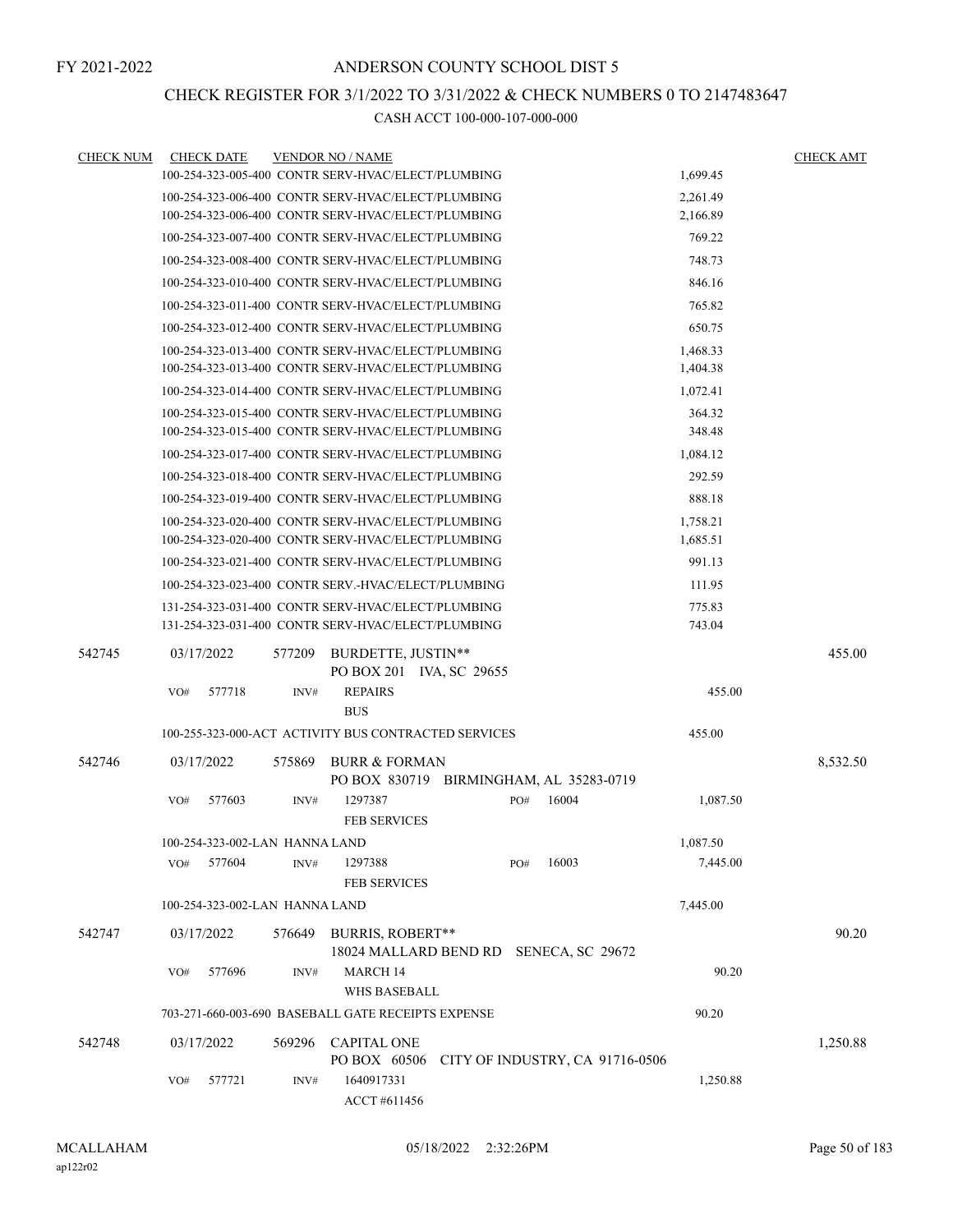### CHECK REGISTER FOR 3/1/2022 TO 3/31/2022 & CHECK NUMBERS 0 TO 2147483647

| <b>CHECK NUM</b> | <b>CHECK DATE</b>                                    |        | <b>VENDOR NO / NAME</b>                                             |                                 |     |       |          | <b>CHECK AMT</b> |
|------------------|------------------------------------------------------|--------|---------------------------------------------------------------------|---------------------------------|-----|-------|----------|------------------|
|                  | 100-254-323-005-400 CONTR SERV-HVAC/ELECT/PLUMBING   |        |                                                                     |                                 |     |       | 1,699.45 |                  |
|                  | 100-254-323-006-400 CONTR SERV-HVAC/ELECT/PLUMBING   |        |                                                                     |                                 |     |       | 2,261.49 |                  |
|                  | 100-254-323-006-400 CONTR SERV-HVAC/ELECT/PLUMBING   |        |                                                                     |                                 |     |       | 2,166.89 |                  |
|                  | 100-254-323-007-400 CONTR SERV-HVAC/ELECT/PLUMBING   |        |                                                                     |                                 |     |       | 769.22   |                  |
|                  | 100-254-323-008-400 CONTR SERV-HVAC/ELECT/PLUMBING   |        |                                                                     |                                 |     |       | 748.73   |                  |
|                  | 100-254-323-010-400 CONTR SERV-HVAC/ELECT/PLUMBING   |        |                                                                     |                                 |     |       | 846.16   |                  |
|                  | 100-254-323-011-400 CONTR SERV-HVAC/ELECT/PLUMBING   |        |                                                                     |                                 |     |       | 765.82   |                  |
|                  | 100-254-323-012-400 CONTR SERV-HVAC/ELECT/PLUMBING   |        |                                                                     |                                 |     |       | 650.75   |                  |
|                  | 100-254-323-013-400 CONTR SERV-HVAC/ELECT/PLUMBING   |        |                                                                     |                                 |     |       | 1,468.33 |                  |
|                  | 100-254-323-013-400 CONTR SERV-HVAC/ELECT/PLUMBING   |        |                                                                     |                                 |     |       | 1,404.38 |                  |
|                  | 100-254-323-014-400 CONTR SERV-HVAC/ELECT/PLUMBING   |        |                                                                     |                                 |     |       | 1,072.41 |                  |
|                  | 100-254-323-015-400 CONTR SERV-HVAC/ELECT/PLUMBING   |        |                                                                     |                                 |     |       | 364.32   |                  |
|                  | 100-254-323-015-400 CONTR SERV-HVAC/ELECT/PLUMBING   |        |                                                                     |                                 |     |       | 348.48   |                  |
|                  | 100-254-323-017-400 CONTR SERV-HVAC/ELECT/PLUMBING   |        |                                                                     |                                 |     |       | 1,084.12 |                  |
|                  | 100-254-323-018-400 CONTR SERV-HVAC/ELECT/PLUMBING   |        |                                                                     |                                 |     |       | 292.59   |                  |
|                  | 100-254-323-019-400 CONTR SERV-HVAC/ELECT/PLUMBING   |        |                                                                     |                                 |     |       | 888.18   |                  |
|                  | 100-254-323-020-400 CONTR SERV-HVAC/ELECT/PLUMBING   |        |                                                                     |                                 |     |       | 1,758.21 |                  |
|                  | 100-254-323-020-400 CONTR SERV-HVAC/ELECT/PLUMBING   |        |                                                                     |                                 |     |       | 1,685.51 |                  |
|                  | 100-254-323-021-400 CONTR SERV-HVAC/ELECT/PLUMBING   |        |                                                                     |                                 |     |       | 991.13   |                  |
|                  | 100-254-323-023-400 CONTR SERV.-HVAC/ELECT/PLUMBING  |        |                                                                     |                                 |     |       | 111.95   |                  |
|                  | 131-254-323-031-400 CONTR SERV-HVAC/ELECT/PLUMBING   |        |                                                                     |                                 |     |       | 775.83   |                  |
|                  | 131-254-323-031-400 CONTR SERV-HVAC/ELECT/PLUMBING   |        |                                                                     |                                 |     |       | 743.04   |                  |
| 542745           | 03/17/2022                                           | 577209 | BURDETTE, JUSTIN**<br>PO BOX 201 IVA, SC 29655                      |                                 |     |       |          | 455.00           |
|                  | VO#<br>577718                                        | INV#   | <b>REPAIRS</b>                                                      |                                 |     |       | 455.00   |                  |
|                  |                                                      |        | <b>BUS</b>                                                          |                                 |     |       |          |                  |
|                  | 100-255-323-000-ACT ACTIVITY BUS CONTRACTED SERVICES |        |                                                                     |                                 |     |       | 455.00   |                  |
| 542746           | 03/17/2022                                           | 575869 | <b>BURR &amp; FORMAN</b><br>PO BOX 830719 BIRMINGHAM, AL 35283-0719 |                                 |     |       |          | 8,532.50         |
|                  | 577603<br>VO#                                        | INV#   | 1297387<br><b>FEB SERVICES</b>                                      |                                 | PO# | 16004 | 1,087.50 |                  |
|                  | 100-254-323-002-LAN HANNA LAND                       |        |                                                                     |                                 |     |       | 1,087.50 |                  |
|                  | 577604<br>VO#                                        | INV#   | 1297388<br><b>FEB SERVICES</b>                                      |                                 | PO# | 16003 | 7,445.00 |                  |
|                  | 100-254-323-002-LAN HANNA LAND                       |        |                                                                     |                                 |     |       | 7,445.00 |                  |
| 542747           | 03/17/2022                                           | 576649 | <b>BURRIS, ROBERT**</b><br>18024 MALLARD BEND RD SENECA, SC 29672   |                                 |     |       |          | 90.20            |
|                  | 577696<br>VO#                                        | INV#   | MARCH 14<br>WHS BASEBALL                                            |                                 |     |       | 90.20    |                  |
|                  | 703-271-660-003-690 BASEBALL GATE RECEIPTS EXPENSE   |        |                                                                     |                                 |     |       | 90.20    |                  |
| 542748           | 03/17/2022                                           | 569296 | <b>CAPITAL ONE</b>                                                  |                                 |     |       |          | 1,250.88         |
|                  | 577721<br>VO#                                        | INV#   | PO BOX 60506<br>1640917331<br>ACCT #611456                          | CITY OF INDUSTRY, CA 91716-0506 |     |       | 1,250.88 |                  |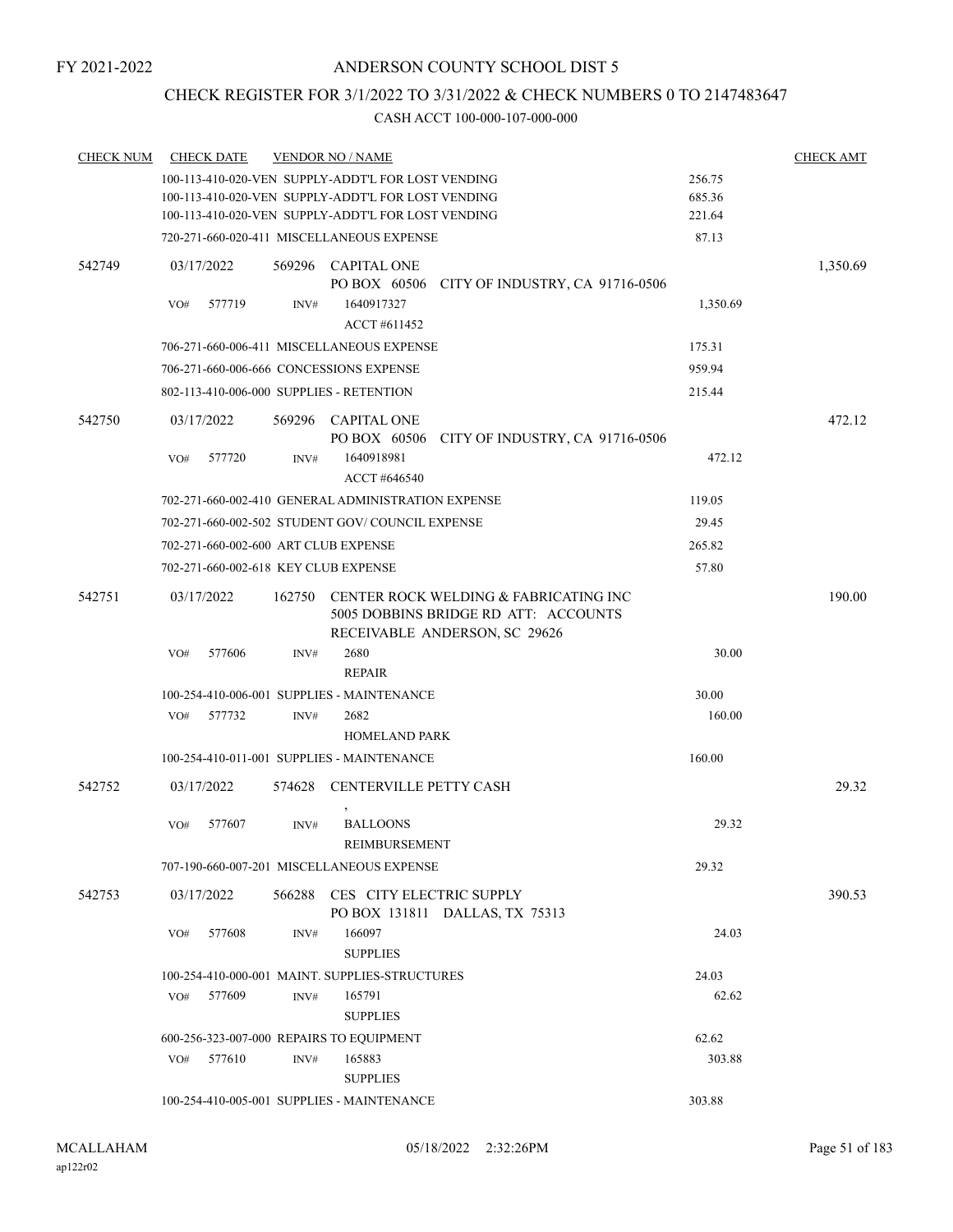## CHECK REGISTER FOR 3/1/2022 TO 3/31/2022 & CHECK NUMBERS 0 TO 2147483647

| <b>CHECK NUM</b> | <b>CHECK DATE</b>                        |        | <b>VENDOR NO / NAME</b>                                                                                        |          | <b>CHECK AMT</b> |
|------------------|------------------------------------------|--------|----------------------------------------------------------------------------------------------------------------|----------|------------------|
|                  |                                          |        | 100-113-410-020-VEN SUPPLY-ADDT'L FOR LOST VENDING                                                             | 256.75   |                  |
|                  |                                          |        | 100-113-410-020-VEN SUPPLY-ADDT'L FOR LOST VENDING                                                             | 685.36   |                  |
|                  |                                          |        | 100-113-410-020-VEN SUPPLY-ADDT'L FOR LOST VENDING                                                             | 221.64   |                  |
|                  |                                          |        | 720-271-660-020-411 MISCELLANEOUS EXPENSE                                                                      | 87.13    |                  |
| 542749           | 03/17/2022                               |        | 569296 CAPITAL ONE<br>PO BOX 60506 CITY OF INDUSTRY, CA 91716-0506                                             |          | 1,350.69         |
|                  | VO#<br>577719                            | INV#   | 1640917327<br>ACCT #611452                                                                                     | 1,350.69 |                  |
|                  |                                          |        | 706-271-660-006-411 MISCELLANEOUS EXPENSE                                                                      | 175.31   |                  |
|                  | 706-271-660-006-666 CONCESSIONS EXPENSE  |        |                                                                                                                | 959.94   |                  |
|                  | 802-113-410-006-000 SUPPLIES - RETENTION |        |                                                                                                                | 215.44   |                  |
| 542750           | 03/17/2022                               |        | 569296 CAPITAL ONE<br>PO BOX 60506<br>CITY OF INDUSTRY, CA 91716-0506                                          |          | 472.12           |
|                  | 577720<br>VO#                            | INV#   | 1640918981<br>ACCT #646540                                                                                     | 472.12   |                  |
|                  |                                          |        | 702-271-660-002-410 GENERAL ADMINISTRATION EXPENSE                                                             | 119.05   |                  |
|                  |                                          |        | 702-271-660-002-502 STUDENT GOV/COUNCIL EXPENSE                                                                | 29.45    |                  |
|                  | 702-271-660-002-600 ART CLUB EXPENSE     |        |                                                                                                                | 265.82   |                  |
|                  | 702-271-660-002-618 KEY CLUB EXPENSE     |        |                                                                                                                | 57.80    |                  |
|                  |                                          |        |                                                                                                                |          |                  |
| 542751           | 03/17/2022                               | 162750 | CENTER ROCK WELDING & FABRICATING INC<br>5005 DOBBINS BRIDGE RD ATT: ACCOUNTS<br>RECEIVABLE ANDERSON, SC 29626 |          | 190.00           |
|                  | 577606<br>VO#                            | INV#   | 2680                                                                                                           | 30.00    |                  |
|                  |                                          |        | <b>REPAIR</b>                                                                                                  |          |                  |
|                  |                                          |        | 100-254-410-006-001 SUPPLIES - MAINTENANCE                                                                     | 30.00    |                  |
|                  | 577732<br>VO#                            | INV#   | 2682                                                                                                           | 160.00   |                  |
|                  |                                          |        | <b>HOMELAND PARK</b>                                                                                           |          |                  |
|                  |                                          |        | 100-254-410-011-001 SUPPLIES - MAINTENANCE                                                                     | 160.00   |                  |
| 542752           | 03/17/2022                               |        | 574628 CENTERVILLE PETTY CASH                                                                                  |          | 29.32            |
|                  | 577607<br>VO#                            | INV#   | <b>BALLOONS</b><br><b>REIMBURSEMENT</b>                                                                        | 29.32    |                  |
|                  |                                          |        | 707-190-660-007-201 MISCELLANEOUS EXPENSE                                                                      | 29.32    |                  |
| 542753           | 03/17/2022                               |        | 566288 CES CITY ELECTRIC SUPPLY<br>PO BOX 131811 DALLAS, TX 75313                                              |          | 390.53           |
|                  | 577608<br>VO#                            | INV#   | 166097                                                                                                         | 24.03    |                  |
|                  |                                          |        | <b>SUPPLIES</b>                                                                                                |          |                  |
|                  |                                          |        | 100-254-410-000-001 MAINT. SUPPLIES-STRUCTURES                                                                 | 24.03    |                  |
|                  | 577609<br>VO#                            | INV#   | 165791                                                                                                         | 62.62    |                  |
|                  |                                          |        | <b>SUPPLIES</b>                                                                                                |          |                  |
|                  | 600-256-323-007-000 REPAIRS TO EQUIPMENT |        |                                                                                                                | 62.62    |                  |
|                  | 577610<br>VO#                            | INV#   | 165883                                                                                                         | 303.88   |                  |
|                  |                                          |        | <b>SUPPLIES</b>                                                                                                |          |                  |
|                  |                                          |        | 100-254-410-005-001 SUPPLIES - MAINTENANCE                                                                     | 303.88   |                  |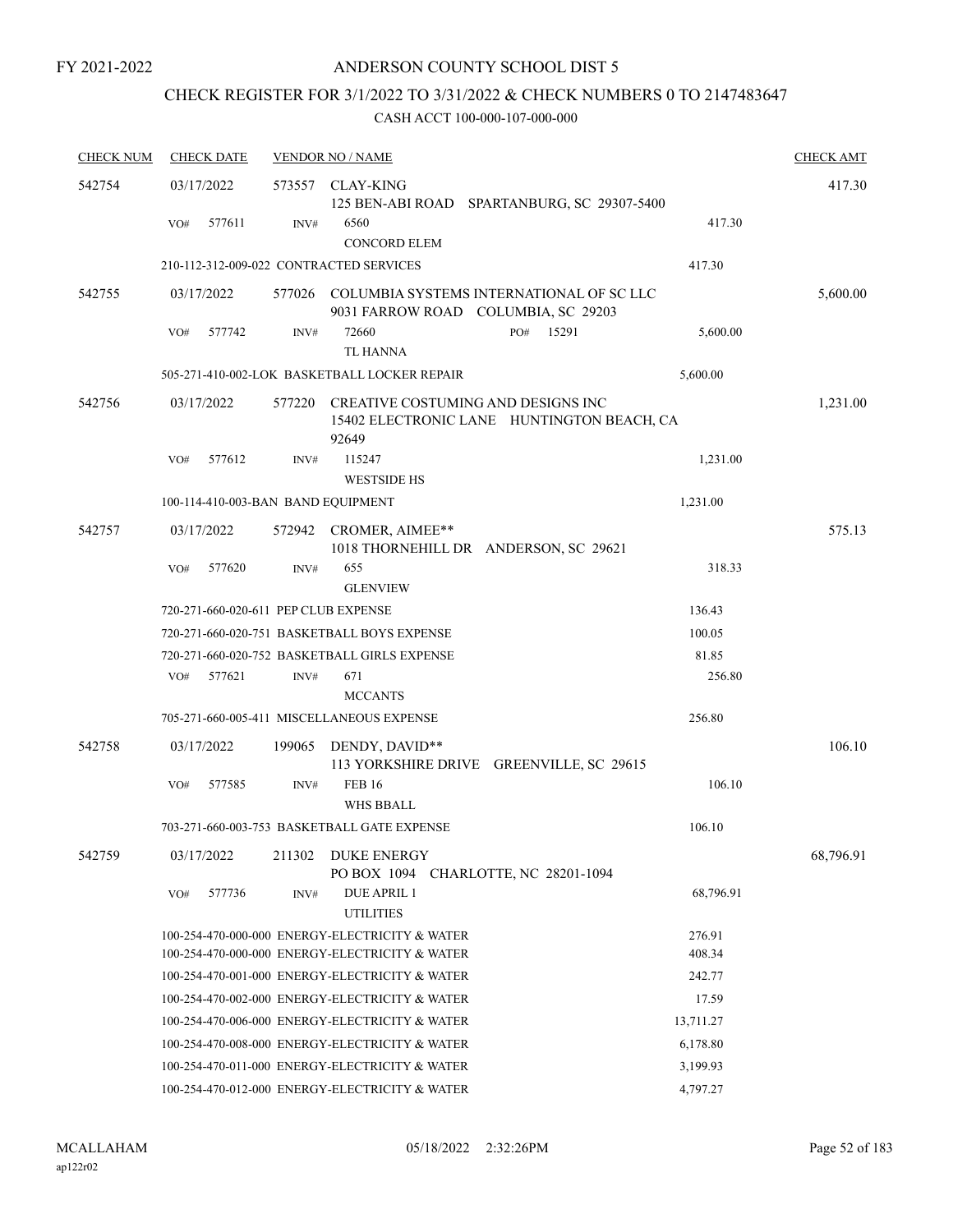## CHECK REGISTER FOR 3/1/2022 TO 3/31/2022 & CHECK NUMBERS 0 TO 2147483647

| <b>CHECK NUM</b> | <b>CHECK DATE</b>                       |        | <b>VENDOR NO / NAME</b>                                                                   |                          |       |           | <b>CHECK AMT</b> |
|------------------|-----------------------------------------|--------|-------------------------------------------------------------------------------------------|--------------------------|-------|-----------|------------------|
| 542754           | 03/17/2022                              |        | 573557 CLAY-KING<br>125 BEN-ABI ROAD SPARTANBURG, SC 29307-5400                           |                          |       |           | 417.30           |
|                  | 577611<br>VO#                           | INV#   | 6560<br><b>CONCORD ELEM</b>                                                               |                          |       | 417.30    |                  |
|                  | 210-112-312-009-022 CONTRACTED SERVICES |        |                                                                                           |                          |       | 417.30    |                  |
| 542755           | 03/17/2022                              | 577026 | COLUMBIA SYSTEMS INTERNATIONAL OF SC LLC<br>9031 FARROW ROAD COLUMBIA, SC 29203           |                          |       |           | 5,600.00         |
|                  | 577742<br>VO#                           | INV#   | 72660<br><b>TL HANNA</b>                                                                  | PO#                      | 15291 | 5,600.00  |                  |
|                  |                                         |        | 505-271-410-002-LOK BASKETBALL LOCKER REPAIR                                              |                          |       | 5,600.00  |                  |
| 542756           | 03/17/2022                              | 577220 | CREATIVE COSTUMING AND DESIGNS INC<br>15402 ELECTRONIC LANE HUNTINGTON BEACH, CA<br>92649 |                          |       |           | 1,231.00         |
|                  | VO#<br>577612                           | INV#   | 115247<br><b>WESTSIDE HS</b>                                                              |                          |       | 1,231.00  |                  |
|                  | 100-114-410-003-BAN BAND EQUIPMENT      |        |                                                                                           |                          |       | 1,231.00  |                  |
| 542757           | 03/17/2022                              |        | 572942 CROMER, AIMEE**<br>1018 THORNEHILL DR ANDERSON, SC 29621                           |                          |       |           | 575.13           |
|                  | 577620<br>VO#                           | INV#   | 655<br><b>GLENVIEW</b>                                                                    |                          |       | 318.33    |                  |
|                  | 720-271-660-020-611 PEP CLUB EXPENSE    |        |                                                                                           |                          |       | 136.43    |                  |
|                  |                                         |        | 720-271-660-020-751 BASKETBALL BOYS EXPENSE                                               |                          |       | 100.05    |                  |
|                  |                                         |        | 720-271-660-020-752 BASKETBALL GIRLS EXPENSE                                              |                          |       | 81.85     |                  |
|                  | 577621<br>VO#                           | INV#   | 671<br><b>MCCANTS</b>                                                                     |                          |       | 256.80    |                  |
|                  |                                         |        | 705-271-660-005-411 MISCELLANEOUS EXPENSE                                                 |                          |       | 256.80    |                  |
| 542758           | 03/17/2022                              | 199065 | DENDY, DAVID**<br>113 YORKSHIRE DRIVE GREENVILLE, SC 29615                                |                          |       |           | 106.10           |
|                  | 577585<br>VO#                           | INV#   | <b>FEB 16</b><br><b>WHS BBALL</b>                                                         |                          |       | 106.10    |                  |
|                  |                                         |        | 703-271-660-003-753 BASKETBALL GATE EXPENSE                                               |                          |       | 106.10    |                  |
| 542759           | 03/17/2022                              | 211302 | <b>DUKE ENERGY</b><br>PO BOX 1094                                                         | CHARLOTTE, NC 28201-1094 |       |           | 68,796.91        |
|                  | 577736<br>VO#                           | INV#   | <b>DUE APRIL 1</b><br><b>UTILITIES</b>                                                    |                          |       | 68,796.91 |                  |
|                  |                                         |        | 100-254-470-000-000 ENERGY-ELECTRICITY & WATER                                            |                          |       | 276.91    |                  |
|                  |                                         |        | 100-254-470-000-000 ENERGY-ELECTRICITY & WATER                                            |                          |       | 408.34    |                  |
|                  |                                         |        | 100-254-470-001-000 ENERGY-ELECTRICITY & WATER                                            |                          |       | 242.77    |                  |
|                  |                                         |        | 100-254-470-002-000 ENERGY-ELECTRICITY & WATER                                            |                          |       | 17.59     |                  |
|                  |                                         |        | 100-254-470-006-000 ENERGY-ELECTRICITY & WATER                                            |                          |       | 13,711.27 |                  |
|                  |                                         |        | 100-254-470-008-000 ENERGY-ELECTRICITY & WATER                                            |                          |       | 6,178.80  |                  |
|                  |                                         |        | 100-254-470-011-000 ENERGY-ELECTRICITY & WATER                                            |                          |       | 3,199.93  |                  |
|                  |                                         |        | 100-254-470-012-000 ENERGY-ELECTRICITY & WATER                                            |                          |       | 4,797.27  |                  |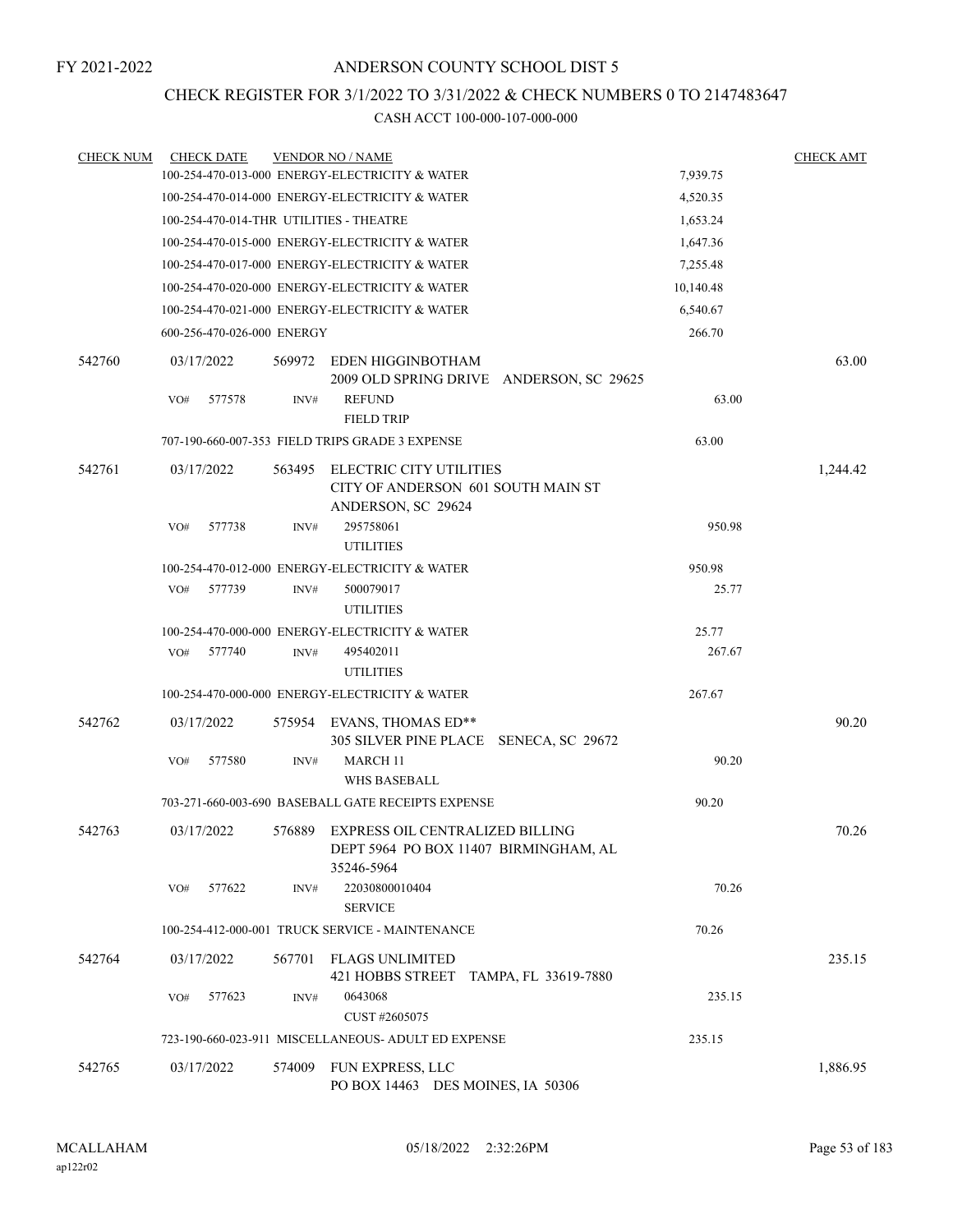### CHECK REGISTER FOR 3/1/2022 TO 3/31/2022 & CHECK NUMBERS 0 TO 2147483647

| <b>CHECK NUM</b> | <b>CHECK DATE</b>                       |        | <b>VENDOR NO / NAME</b>                                                                       |           | <b>CHECK AMT</b> |
|------------------|-----------------------------------------|--------|-----------------------------------------------------------------------------------------------|-----------|------------------|
|                  |                                         |        | 100-254-470-013-000 ENERGY-ELECTRICITY & WATER                                                | 7,939.75  |                  |
|                  |                                         |        | 100-254-470-014-000 ENERGY-ELECTRICITY & WATER                                                | 4,520.35  |                  |
|                  | 100-254-470-014-THR UTILITIES - THEATRE |        |                                                                                               | 1,653.24  |                  |
|                  |                                         |        | 100-254-470-015-000 ENERGY-ELECTRICITY & WATER                                                | 1,647.36  |                  |
|                  |                                         |        | 100-254-470-017-000 ENERGY-ELECTRICITY & WATER                                                | 7,255.48  |                  |
|                  |                                         |        | 100-254-470-020-000 ENERGY-ELECTRICITY & WATER                                                | 10,140.48 |                  |
|                  |                                         |        | 100-254-470-021-000 ENERGY-ELECTRICITY & WATER                                                | 6,540.67  |                  |
|                  | 600-256-470-026-000 ENERGY              |        |                                                                                               | 266.70    |                  |
| 542760           | 03/17/2022                              | 569972 | EDEN HIGGINBOTHAM<br>2009 OLD SPRING DRIVE ANDERSON, SC 29625                                 |           | 63.00            |
|                  | 577578<br>VO#                           | INV#   | <b>REFUND</b><br><b>FIELD TRIP</b>                                                            | 63.00     |                  |
|                  |                                         |        | 707-190-660-007-353 FIELD TRIPS GRADE 3 EXPENSE                                               | 63.00     |                  |
| 542761           | 03/17/2022                              | 563495 | ELECTRIC CITY UTILITIES<br>CITY OF ANDERSON 601 SOUTH MAIN ST<br>ANDERSON, SC 29624           |           | 1,244.42         |
|                  | VO#<br>577738                           | INV#   | 295758061<br><b>UTILITIES</b>                                                                 | 950.98    |                  |
|                  |                                         |        | 100-254-470-012-000 ENERGY-ELECTRICITY & WATER                                                | 950.98    |                  |
|                  | 577739<br>VO#                           | INV#   | 500079017<br><b>UTILITIES</b>                                                                 | 25.77     |                  |
|                  |                                         |        | 100-254-470-000-000 ENERGY-ELECTRICITY & WATER                                                | 25.77     |                  |
|                  | 577740<br>VO#                           | INV#   | 495402011<br><b>UTILITIES</b>                                                                 | 267.67    |                  |
|                  |                                         |        | 100-254-470-000-000 ENERGY-ELECTRICITY & WATER                                                | 267.67    |                  |
| 542762           | 03/17/2022                              | 575954 | EVANS, THOMAS ED**<br>305 SILVER PINE PLACE SENECA, SC 29672                                  |           | 90.20            |
|                  | 577580<br>VO#                           | INV#   | <b>MARCH 11</b><br><b>WHS BASEBALL</b>                                                        | 90.20     |                  |
|                  |                                         |        | 703-271-660-003-690 BASEBALL GATE RECEIPTS EXPENSE                                            | 90.20     |                  |
| 542763           | 03/17/2022                              |        | 576889 EXPRESS OIL CENTRALIZED BILLING<br>DEPT 5964 PO BOX 11407 BIRMINGHAM, AL<br>35246-5964 |           | 70.26            |
|                  | 577622<br>VO#                           | INV#   | 22030800010404<br><b>SERVICE</b>                                                              | 70.26     |                  |
|                  |                                         |        | 100-254-412-000-001 TRUCK SERVICE - MAINTENANCE                                               | 70.26     |                  |
| 542764           | 03/17/2022                              | 567701 | FLAGS UNLIMITED<br>421 HOBBS STREET TAMPA, FL 33619-7880                                      |           | 235.15           |
|                  | 577623<br>VO#                           | INV#   | 0643068<br>CUST #2605075                                                                      | 235.15    |                  |
|                  |                                         |        | 723-190-660-023-911 MISCELLANEOUS- ADULT ED EXPENSE                                           | 235.15    |                  |
| 542765           | 03/17/2022                              | 574009 | FUN EXPRESS, LLC                                                                              |           | 1,886.95         |
|                  |                                         |        | PO BOX 14463 DES MOINES, IA 50306                                                             |           |                  |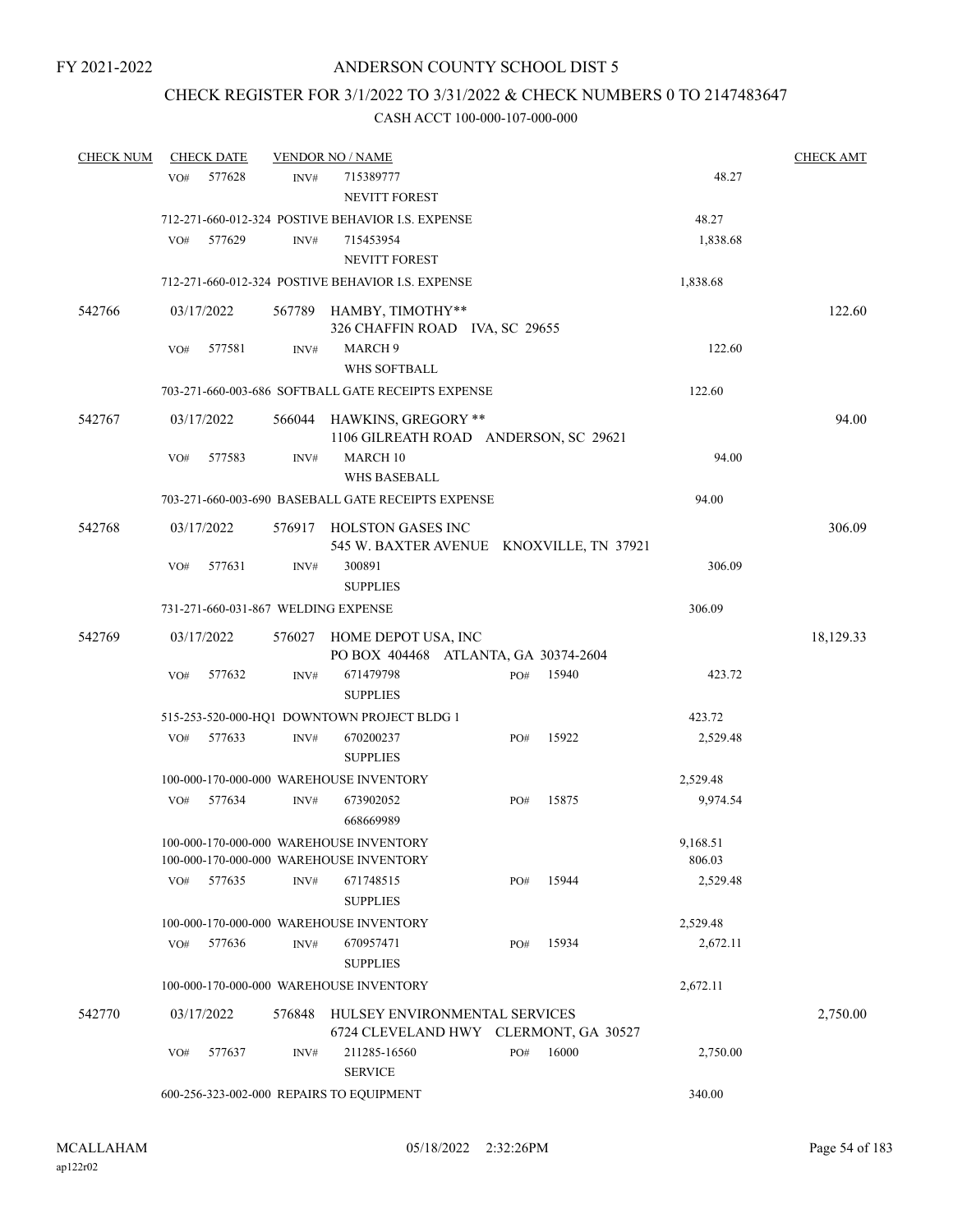### CHECK REGISTER FOR 3/1/2022 TO 3/31/2022 & CHECK NUMBERS 0 TO 2147483647

| <b>CHECK NUM</b> |     | <b>CHECK DATE</b> |                | <b>VENDOR NO / NAME</b>                                                            |     |       |                    | <b>CHECK AMT</b> |
|------------------|-----|-------------------|----------------|------------------------------------------------------------------------------------|-----|-------|--------------------|------------------|
|                  | VO# | 577628            | INV#           | 715389777<br>NEVITT FOREST                                                         |     |       | 48.27              |                  |
|                  |     |                   |                | 712-271-660-012-324 POSTIVE BEHAVIOR I.S. EXPENSE                                  |     |       | 48.27              |                  |
|                  | VO# | 577629            | INV#           | 715453954<br><b>NEVITT FOREST</b>                                                  |     |       | 1,838.68           |                  |
|                  |     |                   |                | 712-271-660-012-324 POSTIVE BEHAVIOR I.S. EXPENSE                                  |     |       | 1,838.68           |                  |
| 542766           |     | 03/17/2022        |                | 567789 HAMBY, TIMOTHY**                                                            |     |       |                    | 122.60           |
|                  |     |                   |                | 326 CHAFFIN ROAD IVA, SC 29655                                                     |     |       |                    |                  |
|                  | VO# | 577581            | INV#           | MARCH <sub>9</sub>                                                                 |     |       | 122.60             |                  |
|                  |     |                   |                | WHS SOFTBALL                                                                       |     |       |                    |                  |
|                  |     |                   |                | 703-271-660-003-686 SOFTBALL GATE RECEIPTS EXPENSE                                 |     |       | 122.60             |                  |
| 542767           |     | 03/17/2022        | 566044         | HAWKINS, GREGORY **<br>1106 GILREATH ROAD ANDERSON, SC 29621                       |     |       |                    | 94.00            |
|                  | VO# | 577583            | INV#           | MARCH 10<br><b>WHS BASEBALL</b>                                                    |     |       | 94.00              |                  |
|                  |     |                   |                | 703-271-660-003-690 BASEBALL GATE RECEIPTS EXPENSE                                 |     |       | 94.00              |                  |
| 542768           |     | 03/17/2022        |                | 576917 HOLSTON GASES INC<br>545 W. BAXTER AVENUE KNOXVILLE, TN 37921               |     |       |                    | 306.09           |
|                  | VO# | 577631            | INV#           | 300891<br><b>SUPPLIES</b>                                                          |     |       | 306.09             |                  |
|                  |     |                   |                | 731-271-660-031-867 WELDING EXPENSE                                                |     |       | 306.09             |                  |
| 542769           |     | 03/17/2022        |                | 576027 HOME DEPOT USA, INC<br>PO BOX 404468 ATLANTA, GA 30374-2604                 |     |       |                    | 18,129.33        |
|                  | VO# | 577632            | INV#           | 671479798<br><b>SUPPLIES</b>                                                       | PO# | 15940 | 423.72             |                  |
|                  |     |                   |                | 515-253-520-000-HQ1 DOWNTOWN PROJECT BLDG 1                                        |     |       | 423.72             |                  |
|                  | VO# | 577633            | INV#           | 670200237<br><b>SUPPLIES</b>                                                       | PO# | 15922 | 2,529.48           |                  |
|                  |     |                   |                | 100-000-170-000-000 WAREHOUSE INVENTORY                                            |     |       | 2,529.48           |                  |
|                  | VO# | 577634            | INV#           | 673902052<br>668669989                                                             | PO# | 15875 | 9,974.54           |                  |
|                  |     |                   |                | 100-000-170-000-000 WAREHOUSE INVENTORY<br>100-000-170-000-000 WAREHOUSE INVENTORY |     |       | 9,168.51<br>806.03 |                  |
|                  | VO# | 577635            | $\text{INV}\#$ | 671748515<br><b>SUPPLIES</b>                                                       | PO# | 15944 | 2,529.48           |                  |
|                  |     |                   |                | 100-000-170-000-000 WAREHOUSE INVENTORY                                            |     |       | 2,529.48           |                  |
|                  | VO# | 577636            | INV#           | 670957471<br><b>SUPPLIES</b>                                                       | PO# | 15934 | 2,672.11           |                  |
|                  |     |                   |                | 100-000-170-000-000 WAREHOUSE INVENTORY                                            |     |       | 2,672.11           |                  |
| 542770           |     | 03/17/2022        | 576848         | HULSEY ENVIRONMENTAL SERVICES<br>6724 CLEVELAND HWY CLERMONT, GA 30527             |     |       |                    | 2,750.00         |
|                  | VO# | 577637            | INV#           | 211285-16560<br><b>SERVICE</b>                                                     | PO# | 16000 | 2,750.00           |                  |
|                  |     |                   |                | 600-256-323-002-000 REPAIRS TO EQUIPMENT                                           |     |       | 340.00             |                  |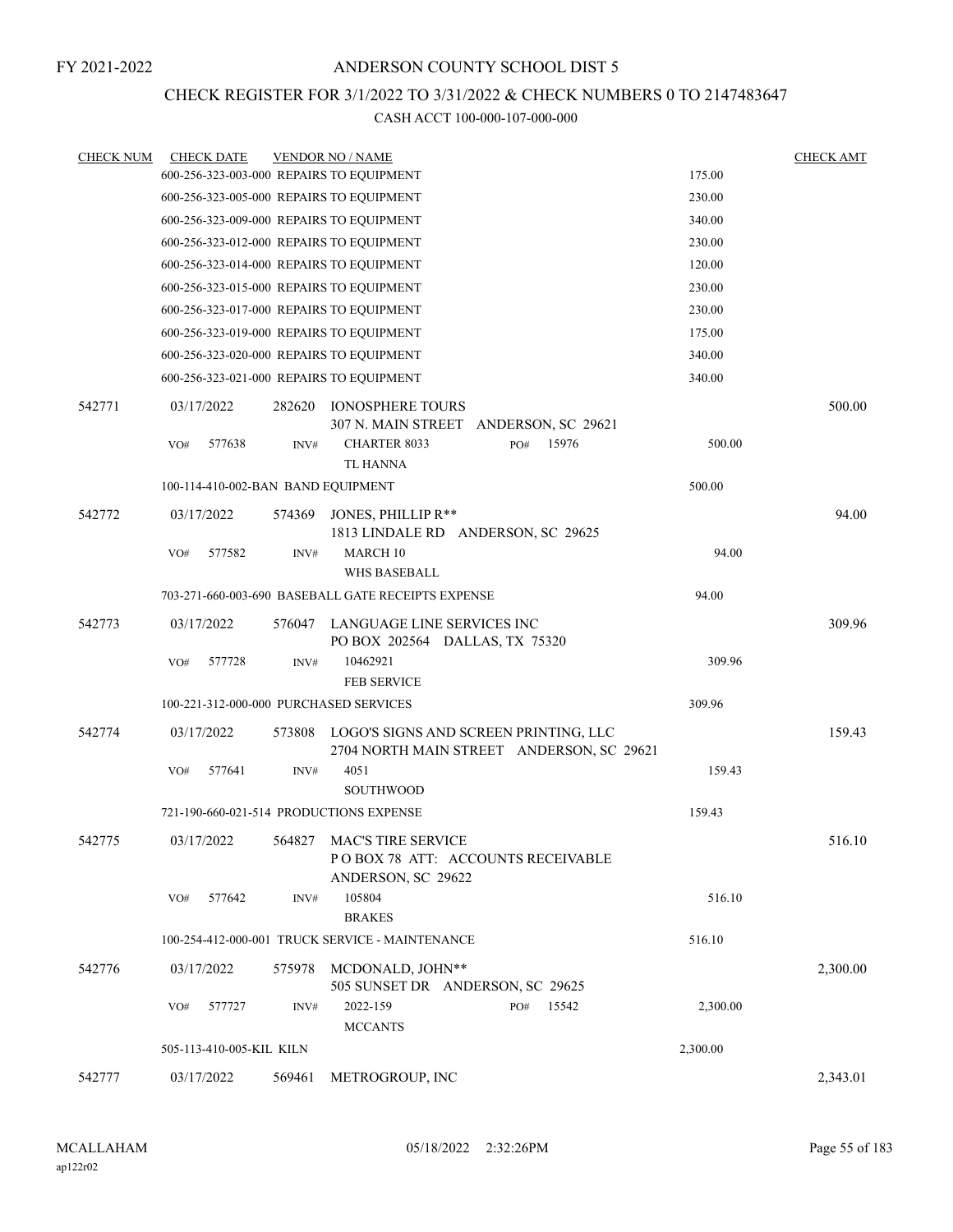### CHECK REGISTER FOR 3/1/2022 TO 3/31/2022 & CHECK NUMBERS 0 TO 2147483647

| <b>CHECK NUM</b> | <b>CHECK DATE</b>                        |        | <b>VENDOR NO / NAME</b>                                                            |          | <b>CHECK AMT</b> |
|------------------|------------------------------------------|--------|------------------------------------------------------------------------------------|----------|------------------|
|                  |                                          |        | 600-256-323-003-000 REPAIRS TO EQUIPMENT                                           | 175.00   |                  |
|                  |                                          |        | 600-256-323-005-000 REPAIRS TO EQUIPMENT                                           | 230.00   |                  |
|                  | 600-256-323-009-000 REPAIRS TO EQUIPMENT |        |                                                                                    | 340.00   |                  |
|                  |                                          |        | 600-256-323-012-000 REPAIRS TO EQUIPMENT                                           | 230.00   |                  |
|                  |                                          |        | 600-256-323-014-000 REPAIRS TO EQUIPMENT                                           | 120.00   |                  |
|                  |                                          |        | 600-256-323-015-000 REPAIRS TO EQUIPMENT                                           | 230.00   |                  |
|                  |                                          |        | 600-256-323-017-000 REPAIRS TO EQUIPMENT                                           | 230.00   |                  |
|                  | 600-256-323-019-000 REPAIRS TO EQUIPMENT |        |                                                                                    | 175.00   |                  |
|                  | 600-256-323-020-000 REPAIRS TO EQUIPMENT |        |                                                                                    | 340.00   |                  |
|                  |                                          |        | 600-256-323-021-000 REPAIRS TO EQUIPMENT                                           | 340.00   |                  |
| 542771           | 03/17/2022                               | 282620 | <b>IONOSPHERE TOURS</b><br>307 N. MAIN STREET ANDERSON, SC 29621                   |          | 500.00           |
|                  | VO#<br>577638                            | INV#   | <b>CHARTER 8033</b><br>15976<br>PO#<br><b>TL HANNA</b>                             | 500.00   |                  |
|                  | 100-114-410-002-BAN BAND EQUIPMENT       |        |                                                                                    | 500.00   |                  |
| 542772           | 03/17/2022                               | 574369 | JONES, PHILLIP R**<br>1813 LINDALE RD ANDERSON, SC 29625                           |          | 94.00            |
|                  | 577582<br>VO#                            | INV#   | <b>MARCH 10</b><br><b>WHS BASEBALL</b>                                             | 94.00    |                  |
|                  |                                          |        | 703-271-660-003-690 BASEBALL GATE RECEIPTS EXPENSE                                 | 94.00    |                  |
| 542773           | 03/17/2022                               |        | 576047 LANGUAGE LINE SERVICES INC<br>PO BOX 202564 DALLAS, TX 75320                |          | 309.96           |
|                  | 577728<br>VO#                            | INV#   | 10462921<br><b>FEB SERVICE</b>                                                     | 309.96   |                  |
|                  | 100-221-312-000-000 PURCHASED SERVICES   |        |                                                                                    | 309.96   |                  |
| 542774           | 03/17/2022                               | 573808 | LOGO'S SIGNS AND SCREEN PRINTING, LLC<br>2704 NORTH MAIN STREET ANDERSON, SC 29621 |          | 159.43           |
|                  | 577641<br>VO#                            | INV#   | 4051<br><b>SOUTHWOOD</b>                                                           | 159.43   |                  |
|                  |                                          |        | 721-190-660-021-514 PRODUCTIONS EXPENSE                                            | 159.43   |                  |
| 542775           | 03/17/2022                               | 564827 | MAC'S TIRE SERVICE<br>POBOX 78 ATT: ACCOUNTS RECEIVABLE<br>ANDERSON, SC 29622      |          | 516.10           |
|                  | 577642<br>VO#                            | INV#   | 105804<br><b>BRAKES</b>                                                            | 516.10   |                  |
|                  |                                          |        | 100-254-412-000-001 TRUCK SERVICE - MAINTENANCE                                    | 516.10   |                  |
| 542776           | 03/17/2022                               | 575978 | MCDONALD, JOHN**<br>505 SUNSET DR ANDERSON, SC 29625                               |          | 2,300.00         |
|                  | 577727<br>VO#                            | INV#   | 2022-159<br>15542<br>PO#<br><b>MCCANTS</b>                                         | 2,300.00 |                  |
|                  | 505-113-410-005-KIL KILN                 |        |                                                                                    | 2,300.00 |                  |
| 542777           | 03/17/2022                               | 569461 | METROGROUP, INC                                                                    |          | 2,343.01         |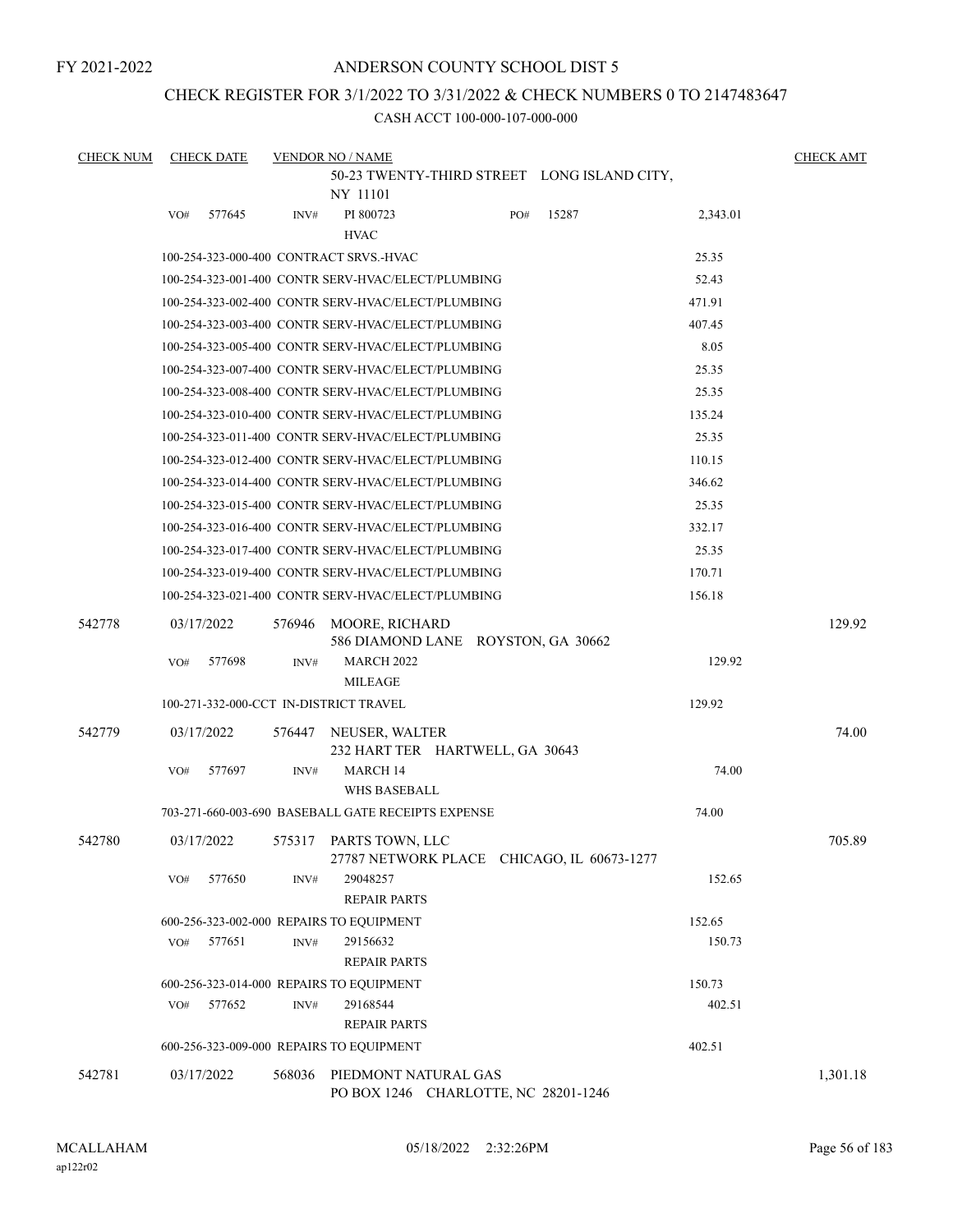FY 2021-2022

### ANDERSON COUNTY SCHOOL DIST 5

### CHECK REGISTER FOR 3/1/2022 TO 3/31/2022 & CHECK NUMBERS 0 TO 2147483647

| <b>CHECK NUM</b> | <b>CHECK DATE</b>                        |        | <b>VENDOR NO / NAME</b>                                              |     |       |          | <b>CHECK AMT</b> |
|------------------|------------------------------------------|--------|----------------------------------------------------------------------|-----|-------|----------|------------------|
|                  |                                          |        | 50-23 TWENTY-THIRD STREET LONG ISLAND CITY,<br>NY 11101              |     |       |          |                  |
|                  | 577645<br>VO#                            | INV#   | PI 800723<br><b>HVAC</b>                                             | PO# | 15287 | 2,343.01 |                  |
|                  | 100-254-323-000-400 CONTRACT SRVS.-HVAC  |        |                                                                      |     |       | 25.35    |                  |
|                  |                                          |        | 100-254-323-001-400 CONTR SERV-HVAC/ELECT/PLUMBING                   |     |       | 52.43    |                  |
|                  |                                          |        | 100-254-323-002-400 CONTR SERV-HVAC/ELECT/PLUMBING                   |     |       | 471.91   |                  |
|                  |                                          |        | 100-254-323-003-400 CONTR SERV-HVAC/ELECT/PLUMBING                   |     |       | 407.45   |                  |
|                  |                                          |        | 100-254-323-005-400 CONTR SERV-HVAC/ELECT/PLUMBING                   |     |       | 8.05     |                  |
|                  |                                          |        | 100-254-323-007-400 CONTR SERV-HVAC/ELECT/PLUMBING                   |     |       | 25.35    |                  |
|                  |                                          |        | 100-254-323-008-400 CONTR SERV-HVAC/ELECT/PLUMBING                   |     |       | 25.35    |                  |
|                  |                                          |        | 100-254-323-010-400 CONTR SERV-HVAC/ELECT/PLUMBING                   |     |       | 135.24   |                  |
|                  |                                          |        | 100-254-323-011-400 CONTR SERV-HVAC/ELECT/PLUMBING                   |     |       | 25.35    |                  |
|                  |                                          |        | 100-254-323-012-400 CONTR SERV-HVAC/ELECT/PLUMBING                   |     |       | 110.15   |                  |
|                  |                                          |        | 100-254-323-014-400 CONTR SERV-HVAC/ELECT/PLUMBING                   |     |       | 346.62   |                  |
|                  |                                          |        | 100-254-323-015-400 CONTR SERV-HVAC/ELECT/PLUMBING                   |     |       | 25.35    |                  |
|                  |                                          |        | 100-254-323-016-400 CONTR SERV-HVAC/ELECT/PLUMBING                   |     |       | 332.17   |                  |
|                  |                                          |        | 100-254-323-017-400 CONTR SERV-HVAC/ELECT/PLUMBING                   |     |       | 25.35    |                  |
|                  |                                          |        | 100-254-323-019-400 CONTR SERV-HVAC/ELECT/PLUMBING                   |     |       | 170.71   |                  |
|                  |                                          |        | 100-254-323-021-400 CONTR SERV-HVAC/ELECT/PLUMBING                   |     |       | 156.18   |                  |
| 542778           | 03/17/2022                               | 576946 | MOORE, RICHARD<br>586 DIAMOND LANE ROYSTON, GA 30662                 |     |       |          | 129.92           |
|                  | 577698<br>VO#                            | INV#   | <b>MARCH 2022</b><br><b>MILEAGE</b>                                  |     |       | 129.92   |                  |
|                  | 100-271-332-000-CCT IN-DISTRICT TRAVEL   |        |                                                                      |     |       | 129.92   |                  |
| 542779           | 03/17/2022                               | 576447 | NEUSER, WALTER<br>232 HART TER HARTWELL, GA 30643                    |     |       |          | 74.00            |
|                  | 577697<br>VO#                            | INV#   | <b>MARCH 14</b>                                                      |     |       | 74.00    |                  |
|                  |                                          |        | <b>WHS BASEBALL</b>                                                  |     |       |          |                  |
|                  |                                          |        | 703-271-660-003-690 BASEBALL GATE RECEIPTS EXPENSE                   |     |       | 74.00    |                  |
| 542780           | 03/17/2022                               |        | 575317 PARTS TOWN, LLC<br>27787 NETWORK PLACE CHICAGO, IL 60673-1277 |     |       |          | 705.89           |
|                  | 577650<br>VO#                            | INV#   | 29048257<br><b>REPAIR PARTS</b>                                      |     |       | 152.65   |                  |
|                  | 600-256-323-002-000 REPAIRS TO EQUIPMENT |        |                                                                      |     |       | 152.65   |                  |
|                  | VO#<br>577651                            | INV#   | 29156632<br><b>REPAIR PARTS</b>                                      |     |       | 150.73   |                  |
|                  | 600-256-323-014-000 REPAIRS TO EQUIPMENT |        |                                                                      |     |       | 150.73   |                  |
|                  | 577652<br>VO#                            | INV#   | 29168544<br><b>REPAIR PARTS</b>                                      |     |       | 402.51   |                  |
|                  | 600-256-323-009-000 REPAIRS TO EQUIPMENT |        |                                                                      |     |       | 402.51   |                  |
| 542781           | 03/17/2022                               | 568036 | PIEDMONT NATURAL GAS<br>PO BOX 1246 CHARLOTTE, NC 28201-1246         |     |       |          | 1,301.18         |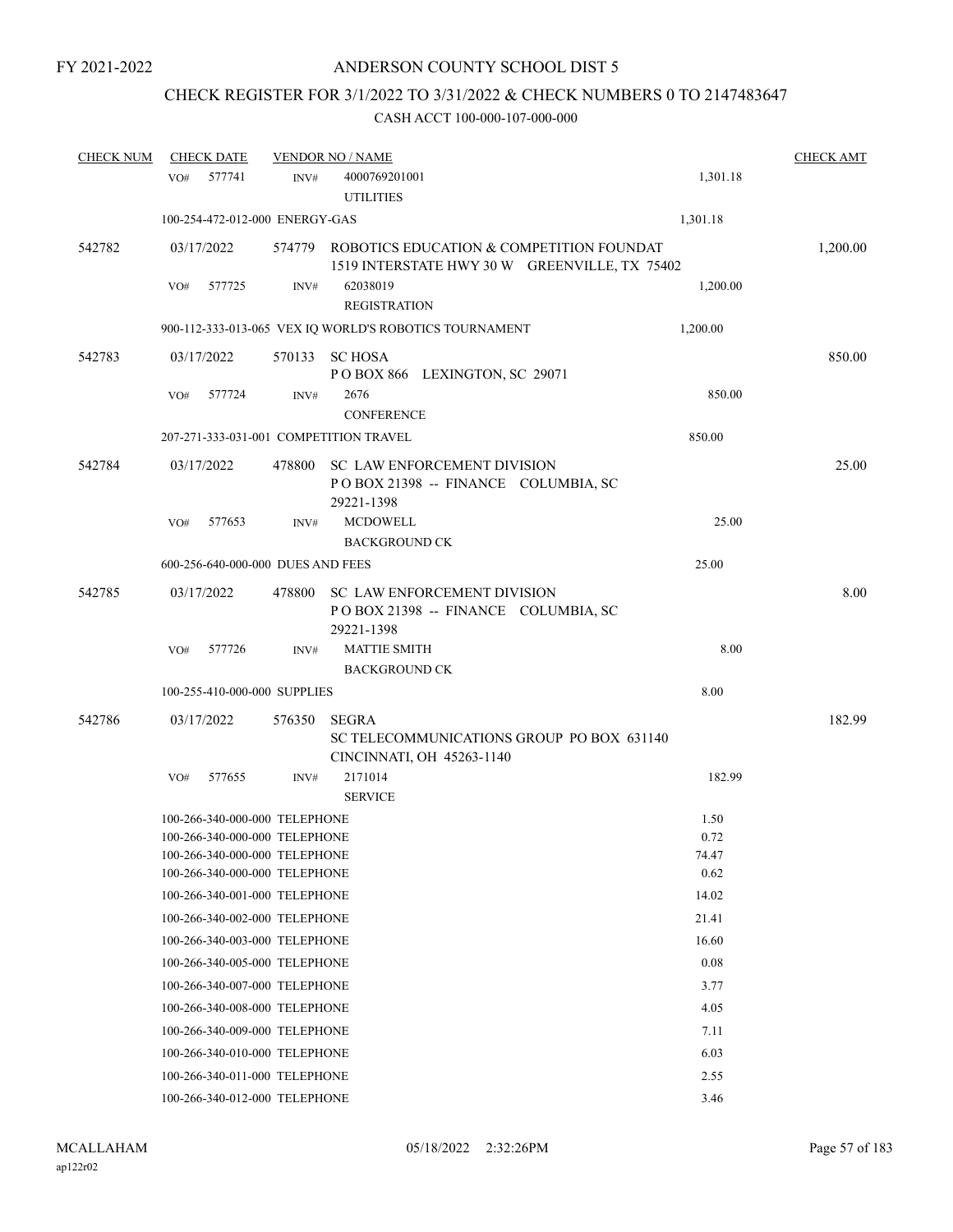# CHECK REGISTER FOR 3/1/2022 TO 3/31/2022 & CHECK NUMBERS 0 TO 2147483647

| <b>CHECK NUM</b> |     | <b>CHECK DATE</b> |                                                                | <b>VENDOR NO / NAME</b>                                |                                                                                                  | <b>CHECK AMT</b> |
|------------------|-----|-------------------|----------------------------------------------------------------|--------------------------------------------------------|--------------------------------------------------------------------------------------------------|------------------|
|                  | VO# | 577741            | INV#                                                           | 4000769201001<br><b>UTILITIES</b>                      | 1,301.18                                                                                         |                  |
|                  |     |                   | 100-254-472-012-000 ENERGY-GAS                                 |                                                        | 1,301.18                                                                                         |                  |
| 542782           |     | 03/17/2022        |                                                                |                                                        | 574779 ROBOTICS EDUCATION & COMPETITION FOUNDAT<br>1519 INTERSTATE HWY 30 W GREENVILLE, TX 75402 | 1,200.00         |
|                  | VO# | 577725            | INV#                                                           | 62038019<br><b>REGISTRATION</b>                        | 1,200.00                                                                                         |                  |
|                  |     |                   |                                                                | 900-112-333-013-065 VEX IQ WORLD'S ROBOTICS TOURNAMENT | 1,200.00                                                                                         |                  |
| 542783           |     | 03/17/2022        |                                                                | 570133 SC HOSA<br>POBOX 866 LEXINGTON, SC 29071        |                                                                                                  | 850.00           |
|                  | VO# | 577724            | INV#                                                           | 2676<br><b>CONFERENCE</b>                              | 850.00                                                                                           |                  |
|                  |     |                   |                                                                | 207-271-333-031-001 COMPETITION TRAVEL                 | 850.00                                                                                           |                  |
| 542784           |     | 03/17/2022        | 478800                                                         | SC LAW ENFORCEMENT DIVISION<br>29221-1398              | POBOX 21398 -- FINANCE COLUMBIA, SC                                                              | 25.00            |
|                  | VO# | 577653            | INV#                                                           | <b>MCDOWELL</b><br><b>BACKGROUND CK</b>                | 25.00                                                                                            |                  |
|                  |     |                   | 600-256-640-000-000 DUES AND FEES                              |                                                        | 25.00                                                                                            |                  |
| 542785           |     | 03/17/2022        | 478800                                                         | <b>SC LAW ENFORCEMENT DIVISION</b><br>29221-1398       | POBOX 21398 -- FINANCE COLUMBIA, SC                                                              | 8.00             |
|                  | VO# | 577726            | INV#                                                           | <b>MATTIE SMITH</b>                                    | 8.00                                                                                             |                  |
|                  |     |                   |                                                                | <b>BACKGROUND CK</b>                                   |                                                                                                  |                  |
|                  |     |                   | 100-255-410-000-000 SUPPLIES                                   |                                                        | 8.00                                                                                             |                  |
| 542786           |     | 03/17/2022        | 576350                                                         | <b>SEGRA</b><br>CINCINNATI, OH 45263-1140              | SC TELECOMMUNICATIONS GROUP PO BOX 631140                                                        | 182.99           |
|                  | VO# | 577655            | INV#                                                           | 2171014                                                | 182.99                                                                                           |                  |
|                  |     |                   |                                                                | <b>SERVICE</b>                                         |                                                                                                  |                  |
|                  |     |                   | 100-266-340-000-000 TELEPHONE                                  |                                                        | 1.50                                                                                             |                  |
|                  |     |                   | 100-266-340-000-000 TELEPHONE                                  |                                                        | 0.72                                                                                             |                  |
|                  |     |                   | 100-266-340-000-000 TELEPHONE<br>100-266-340-000-000 TELEPHONE |                                                        | 74.47<br>0.62                                                                                    |                  |
|                  |     |                   | 100-266-340-001-000 TELEPHONE                                  |                                                        | 14.02                                                                                            |                  |
|                  |     |                   | 100-266-340-002-000 TELEPHONE                                  |                                                        | 21.41                                                                                            |                  |
|                  |     |                   | 100-266-340-003-000 TELEPHONE                                  |                                                        | 16.60                                                                                            |                  |
|                  |     |                   | 100-266-340-005-000 TELEPHONE                                  |                                                        | 0.08                                                                                             |                  |
|                  |     |                   | 100-266-340-007-000 TELEPHONE                                  |                                                        | 3.77                                                                                             |                  |
|                  |     |                   | 100-266-340-008-000 TELEPHONE                                  |                                                        | 4.05                                                                                             |                  |
|                  |     |                   | 100-266-340-009-000 TELEPHONE                                  |                                                        | 7.11                                                                                             |                  |
|                  |     |                   | 100-266-340-010-000 TELEPHONE                                  |                                                        | 6.03                                                                                             |                  |
|                  |     |                   | 100-266-340-011-000 TELEPHONE                                  |                                                        | 2.55                                                                                             |                  |
|                  |     |                   | 100-266-340-012-000 TELEPHONE                                  |                                                        | 3.46                                                                                             |                  |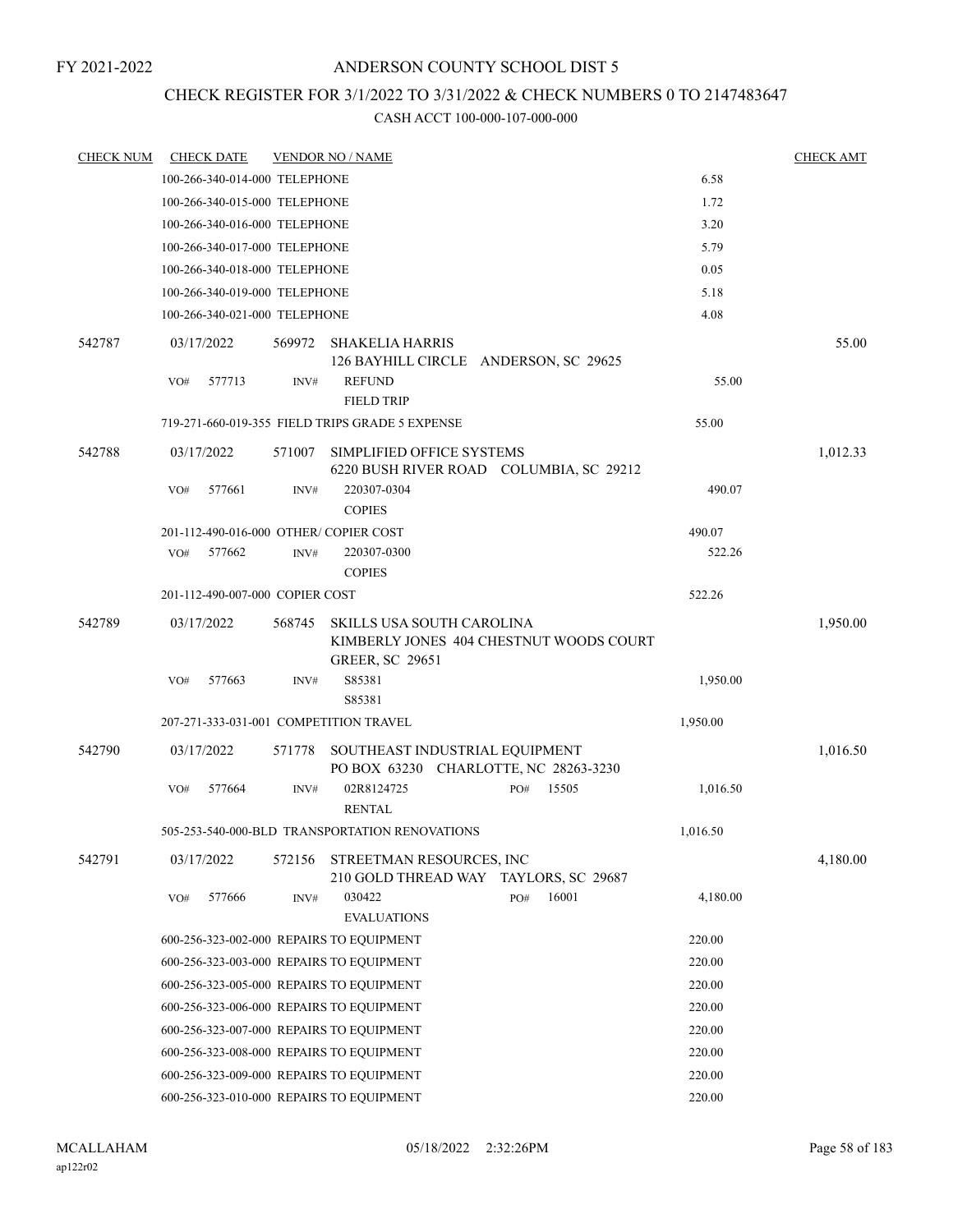### CHECK REGISTER FOR 3/1/2022 TO 3/31/2022 & CHECK NUMBERS 0 TO 2147483647

| <b>CHECK NUM</b> |            | <b>CHECK DATE</b>               |        | <b>VENDOR NO / NAME</b>                                                                        |     |       |          | <b>CHECK AMT</b> |
|------------------|------------|---------------------------------|--------|------------------------------------------------------------------------------------------------|-----|-------|----------|------------------|
|                  |            | 100-266-340-014-000 TELEPHONE   |        |                                                                                                |     |       | 6.58     |                  |
|                  |            | 100-266-340-015-000 TELEPHONE   |        |                                                                                                |     |       | 1.72     |                  |
|                  |            | 100-266-340-016-000 TELEPHONE   |        |                                                                                                |     |       | 3.20     |                  |
|                  |            | 100-266-340-017-000 TELEPHONE   |        |                                                                                                |     |       | 5.79     |                  |
|                  |            | 100-266-340-018-000 TELEPHONE   |        |                                                                                                |     |       | 0.05     |                  |
|                  |            | 100-266-340-019-000 TELEPHONE   |        |                                                                                                |     |       | 5.18     |                  |
|                  |            | 100-266-340-021-000 TELEPHONE   |        |                                                                                                |     |       | 4.08     |                  |
| 542787           | 03/17/2022 |                                 | 569972 | <b>SHAKELIA HARRIS</b><br>126 BAYHILL CIRCLE ANDERSON, SC 29625                                |     |       |          | 55.00            |
|                  | VO#        | 577713                          | INV#   | <b>REFUND</b><br><b>FIELD TRIP</b>                                                             |     |       | 55.00    |                  |
|                  |            |                                 |        | 719-271-660-019-355 FIELD TRIPS GRADE 5 EXPENSE                                                |     |       | 55.00    |                  |
| 542788           | 03/17/2022 |                                 | 571007 | SIMPLIFIED OFFICE SYSTEMS<br>6220 BUSH RIVER ROAD COLUMBIA, SC 29212                           |     |       |          | 1,012.33         |
|                  | VO#        | 577661                          | INV#   | 220307-0304<br><b>COPIES</b>                                                                   |     |       | 490.07   |                  |
|                  |            |                                 |        | 201-112-490-016-000 OTHER/ COPIER COST                                                         |     |       | 490.07   |                  |
|                  | VO#        | 577662                          | INV#   | 220307-0300<br><b>COPIES</b>                                                                   |     |       | 522.26   |                  |
|                  |            | 201-112-490-007-000 COPIER COST |        |                                                                                                |     |       | 522.26   |                  |
| 542789           | 03/17/2022 |                                 | 568745 | SKILLS USA SOUTH CAROLINA<br>KIMBERLY JONES 404 CHESTNUT WOODS COURT<br><b>GREER, SC 29651</b> |     |       |          | 1,950.00         |
|                  | VO#        | 577663                          | INV#   | S85381<br>S85381                                                                               |     |       | 1,950.00 |                  |
|                  |            |                                 |        | 207-271-333-031-001 COMPETITION TRAVEL                                                         |     |       | 1,950.00 |                  |
| 542790           | 03/17/2022 |                                 | 571778 | SOUTHEAST INDUSTRIAL EQUIPMENT<br>PO BOX 63230 CHARLOTTE, NC 28263-3230                        |     |       |          | 1,016.50         |
|                  | VO#        | 577664                          | INV#   | 02R8124725<br><b>RENTAL</b>                                                                    | PO# | 15505 | 1,016.50 |                  |
|                  |            |                                 |        | 505-253-540-000-BLD TRANSPORTATION RENOVATIONS                                                 |     |       | 1,016.50 |                  |
| 542791           | 03/17/2022 |                                 | 572156 | STREETMAN RESOURCES, INC<br>210 GOLD THREAD WAY TAYLORS, SC 29687                              |     |       |          | 4,180.00         |
|                  | VO#        | 577666                          | INV#   | 030422<br><b>EVALUATIONS</b>                                                                   | PO# | 16001 | 4,180.00 |                  |
|                  |            |                                 |        | 600-256-323-002-000 REPAIRS TO EQUIPMENT                                                       |     |       | 220.00   |                  |
|                  |            |                                 |        | 600-256-323-003-000 REPAIRS TO EQUIPMENT                                                       |     |       | 220.00   |                  |
|                  |            |                                 |        | 600-256-323-005-000 REPAIRS TO EQUIPMENT                                                       |     |       | 220.00   |                  |
|                  |            |                                 |        | 600-256-323-006-000 REPAIRS TO EQUIPMENT                                                       |     |       | 220.00   |                  |
|                  |            |                                 |        | 600-256-323-007-000 REPAIRS TO EQUIPMENT                                                       |     |       | 220.00   |                  |
|                  |            |                                 |        | 600-256-323-008-000 REPAIRS TO EQUIPMENT                                                       |     |       | 220.00   |                  |
|                  |            |                                 |        | 600-256-323-009-000 REPAIRS TO EQUIPMENT                                                       |     |       | 220.00   |                  |
|                  |            |                                 |        | 600-256-323-010-000 REPAIRS TO EQUIPMENT                                                       |     |       | 220.00   |                  |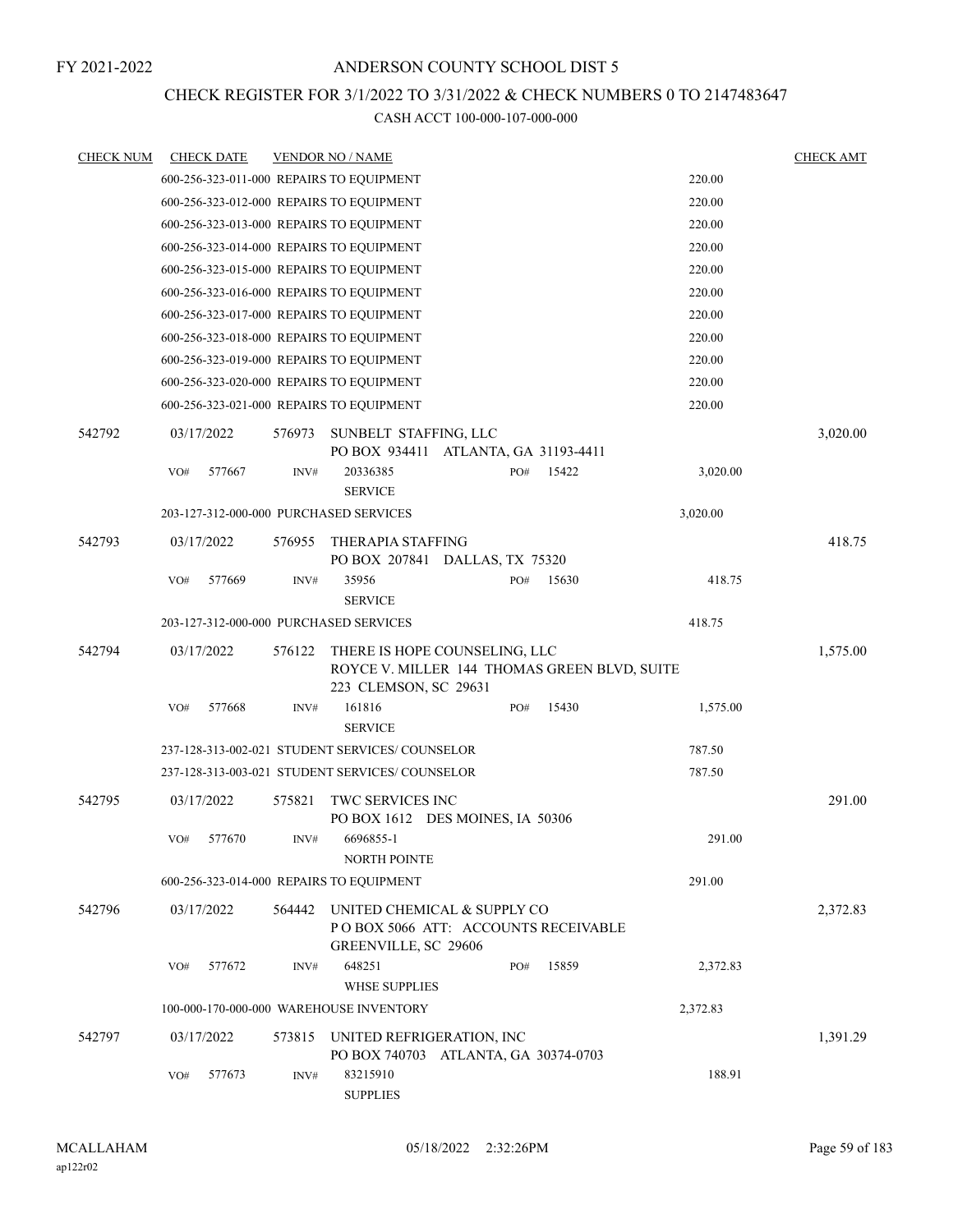### CHECK REGISTER FOR 3/1/2022 TO 3/31/2022 & CHECK NUMBERS 0 TO 2147483647

| <b>CHECK NUM</b> | <b>CHECK DATE</b> |        |        | <b>VENDOR NO / NAME</b>                                                                                |     |       |          | <b>CHECK AMT</b> |
|------------------|-------------------|--------|--------|--------------------------------------------------------------------------------------------------------|-----|-------|----------|------------------|
|                  |                   |        |        | 600-256-323-011-000 REPAIRS TO EQUIPMENT                                                               |     |       | 220.00   |                  |
|                  |                   |        |        | 600-256-323-012-000 REPAIRS TO EOUIPMENT                                                               |     |       | 220.00   |                  |
|                  |                   |        |        | 600-256-323-013-000 REPAIRS TO EQUIPMENT                                                               |     |       | 220.00   |                  |
|                  |                   |        |        | 600-256-323-014-000 REPAIRS TO EQUIPMENT                                                               |     |       | 220.00   |                  |
|                  |                   |        |        | 600-256-323-015-000 REPAIRS TO EQUIPMENT                                                               |     |       | 220.00   |                  |
|                  |                   |        |        | 600-256-323-016-000 REPAIRS TO EQUIPMENT                                                               |     |       | 220.00   |                  |
|                  |                   |        |        | 600-256-323-017-000 REPAIRS TO EQUIPMENT                                                               |     |       | 220.00   |                  |
|                  |                   |        |        | 600-256-323-018-000 REPAIRS TO EQUIPMENT                                                               |     |       | 220.00   |                  |
|                  |                   |        |        | 600-256-323-019-000 REPAIRS TO EQUIPMENT                                                               |     |       | 220.00   |                  |
|                  |                   |        |        | 600-256-323-020-000 REPAIRS TO EQUIPMENT                                                               |     |       | 220.00   |                  |
|                  |                   |        |        | 600-256-323-021-000 REPAIRS TO EQUIPMENT                                                               |     |       | 220.00   |                  |
| 542792           | 03/17/2022        |        | 576973 | SUNBELT STAFFING, LLC<br>PO BOX 934411 ATLANTA, GA 31193-4411                                          |     |       |          | 3,020.00         |
|                  | VO#               | 577667 | INV#   | 20336385<br><b>SERVICE</b>                                                                             | PO# | 15422 | 3,020.00 |                  |
|                  |                   |        |        | 203-127-312-000-000 PURCHASED SERVICES                                                                 |     |       | 3,020.00 |                  |
| 542793           | 03/17/2022        |        | 576955 | <b>THERAPIA STAFFING</b><br>PO BOX 207841 DALLAS, TX 75320                                             |     |       |          | 418.75           |
|                  | VO#               | 577669 | INV#   | 35956<br><b>SERVICE</b>                                                                                | PO# | 15630 | 418.75   |                  |
|                  |                   |        |        | 203-127-312-000-000 PURCHASED SERVICES                                                                 |     |       | 418.75   |                  |
| 542794           | 03/17/2022        |        | 576122 | THERE IS HOPE COUNSELING, LLC<br>ROYCE V. MILLER 144 THOMAS GREEN BLVD, SUITE<br>223 CLEMSON, SC 29631 |     |       |          | 1,575.00         |
|                  | VO#               | 577668 | INV#   | 161816<br><b>SERVICE</b>                                                                               | PO# | 15430 | 1,575.00 |                  |
|                  |                   |        |        | 237-128-313-002-021 STUDENT SERVICES/COUNSELOR                                                         |     |       | 787.50   |                  |
|                  |                   |        |        | 237-128-313-003-021 STUDENT SERVICES/COUNSELOR                                                         |     |       | 787.50   |                  |
| 542795           | 03/17/2022        |        | 575821 | TWC SERVICES INC<br>PO BOX 1612 DES MOINES, IA 50306                                                   |     |       |          | 291.00           |
|                  | VO#               | 577670 | INV#   | 6696855-1<br><b>NORTH POINTE</b>                                                                       |     |       | 291.00   |                  |
|                  |                   |        |        | 600-256-323-014-000 REPAIRS TO EQUIPMENT                                                               |     |       | 291.00   |                  |
| 542796           | 03/17/2022        |        | 564442 | UNITED CHEMICAL & SUPPLY CO<br>PO BOX 5066 ATT: ACCOUNTS RECEIVABLE<br>GREENVILLE, SC 29606            |     |       |          | 2,372.83         |
|                  | VO#               | 577672 | INV#   | 648251<br><b>WHSE SUPPLIES</b>                                                                         | PO# | 15859 | 2,372.83 |                  |
|                  |                   |        |        | 100-000-170-000-000 WAREHOUSE INVENTORY                                                                |     |       | 2,372.83 |                  |
| 542797           | 03/17/2022        |        | 573815 | UNITED REFRIGERATION, INC<br>PO BOX 740703 ATLANTA, GA 30374-0703                                      |     |       |          | 1,391.29         |
|                  | VO#               | 577673 | INV#   | 83215910<br><b>SUPPLIES</b>                                                                            |     |       | 188.91   |                  |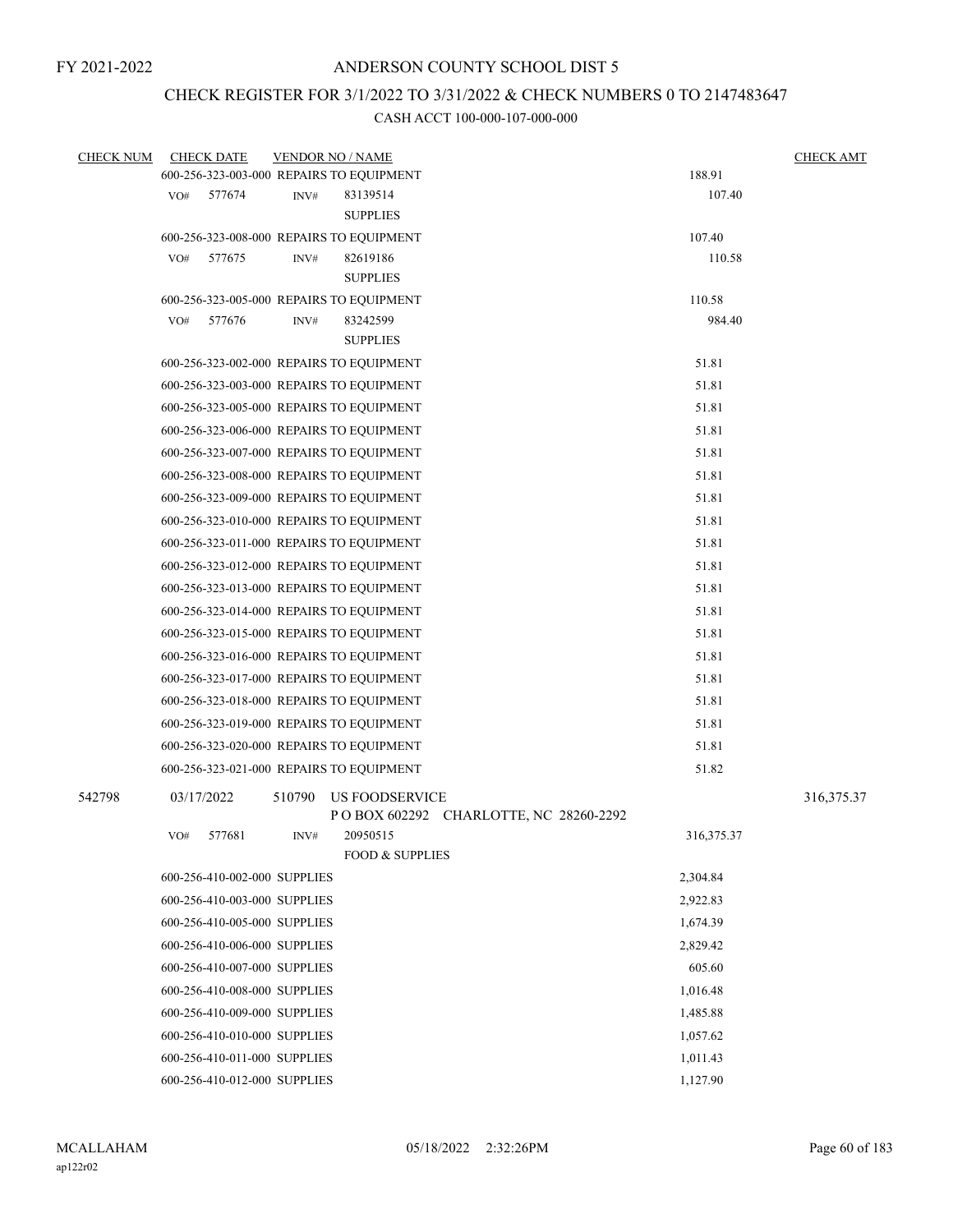## CHECK REGISTER FOR 3/1/2022 TO 3/31/2022 & CHECK NUMBERS 0 TO 2147483647

| <b>CHECK NUM</b> |     | <b>CHECK DATE</b>            |        | <b>VENDOR NO / NAME</b>                  |                                         |                      | <b>CHECK AMT</b> |
|------------------|-----|------------------------------|--------|------------------------------------------|-----------------------------------------|----------------------|------------------|
|                  |     |                              |        | 600-256-323-003-000 REPAIRS TO EQUIPMENT |                                         | 188.91               |                  |
|                  | VO# | 577674                       | INV#   | 83139514                                 |                                         | 107.40               |                  |
|                  |     |                              |        | <b>SUPPLIES</b>                          |                                         |                      |                  |
|                  |     |                              |        | 600-256-323-008-000 REPAIRS TO EQUIPMENT |                                         | 107.40               |                  |
|                  | VO# | 577675                       | INV#   | 82619186                                 |                                         | 110.58               |                  |
|                  |     |                              |        | <b>SUPPLIES</b>                          |                                         |                      |                  |
|                  |     |                              |        | 600-256-323-005-000 REPAIRS TO EQUIPMENT |                                         | 110.58               |                  |
|                  | VO# | 577676                       | INV#   | 83242599                                 |                                         | 984.40               |                  |
|                  |     |                              |        | <b>SUPPLIES</b>                          |                                         |                      |                  |
|                  |     |                              |        | 600-256-323-002-000 REPAIRS TO EQUIPMENT |                                         | 51.81                |                  |
|                  |     |                              |        | 600-256-323-003-000 REPAIRS TO EQUIPMENT |                                         | 51.81                |                  |
|                  |     |                              |        | 600-256-323-005-000 REPAIRS TO EQUIPMENT |                                         | 51.81                |                  |
|                  |     |                              |        | 600-256-323-006-000 REPAIRS TO EQUIPMENT |                                         | 51.81                |                  |
|                  |     |                              |        | 600-256-323-007-000 REPAIRS TO EQUIPMENT |                                         | 51.81                |                  |
|                  |     |                              |        | 600-256-323-008-000 REPAIRS TO EQUIPMENT |                                         | 51.81                |                  |
|                  |     |                              |        | 600-256-323-009-000 REPAIRS TO EQUIPMENT |                                         | 51.81                |                  |
|                  |     |                              |        | 600-256-323-010-000 REPAIRS TO EQUIPMENT |                                         | 51.81                |                  |
|                  |     |                              |        | 600-256-323-011-000 REPAIRS TO EQUIPMENT |                                         | 51.81                |                  |
|                  |     |                              |        | 600-256-323-012-000 REPAIRS TO EQUIPMENT |                                         | 51.81                |                  |
|                  |     |                              |        | 600-256-323-013-000 REPAIRS TO EQUIPMENT |                                         | 51.81                |                  |
|                  |     |                              |        | 600-256-323-014-000 REPAIRS TO EQUIPMENT |                                         | 51.81                |                  |
|                  |     |                              |        | 600-256-323-015-000 REPAIRS TO EQUIPMENT |                                         | 51.81                |                  |
|                  |     |                              |        | 600-256-323-016-000 REPAIRS TO EQUIPMENT |                                         | 51.81                |                  |
|                  |     |                              |        | 600-256-323-017-000 REPAIRS TO EQUIPMENT |                                         | 51.81                |                  |
|                  |     |                              |        | 600-256-323-018-000 REPAIRS TO EQUIPMENT |                                         | 51.81                |                  |
|                  |     |                              |        |                                          |                                         | 51.81                |                  |
|                  |     |                              |        | 600-256-323-019-000 REPAIRS TO EQUIPMENT |                                         |                      |                  |
|                  |     |                              |        | 600-256-323-020-000 REPAIRS TO EQUIPMENT |                                         | 51.81                |                  |
|                  |     |                              |        | 600-256-323-021-000 REPAIRS TO EQUIPMENT |                                         | 51.82                |                  |
| 542798           |     | 03/17/2022                   | 510790 | US FOODSERVICE                           | P O BOX 602292 CHARLOTTE, NC 28260-2292 |                      | 316, 375. 37     |
|                  | VO# | 577681                       | INV#   | 20950515                                 |                                         | 316, 375. 37         |                  |
|                  |     |                              |        | <b>FOOD &amp; SUPPLIES</b>               |                                         |                      |                  |
|                  |     | 600-256-410-002-000 SUPPLIES |        |                                          |                                         | 2,304.84             |                  |
|                  |     | 600-256-410-003-000 SUPPLIES |        |                                          |                                         | 2,922.83             |                  |
|                  |     | 600-256-410-005-000 SUPPLIES |        |                                          |                                         | 1,674.39             |                  |
|                  |     | 600-256-410-006-000 SUPPLIES |        |                                          |                                         | 2,829.42             |                  |
|                  |     | 600-256-410-007-000 SUPPLIES |        |                                          |                                         | 605.60               |                  |
|                  |     | 600-256-410-008-000 SUPPLIES |        |                                          |                                         | 1,016.48             |                  |
|                  |     | 600-256-410-009-000 SUPPLIES |        |                                          |                                         | 1,485.88             |                  |
|                  |     | 600-256-410-010-000 SUPPLIES |        |                                          |                                         | 1,057.62             |                  |
|                  |     |                              |        |                                          |                                         |                      |                  |
|                  |     | 600-256-410-011-000 SUPPLIES |        |                                          |                                         | 1,011.43<br>1,127.90 |                  |
|                  |     | 600-256-410-012-000 SUPPLIES |        |                                          |                                         |                      |                  |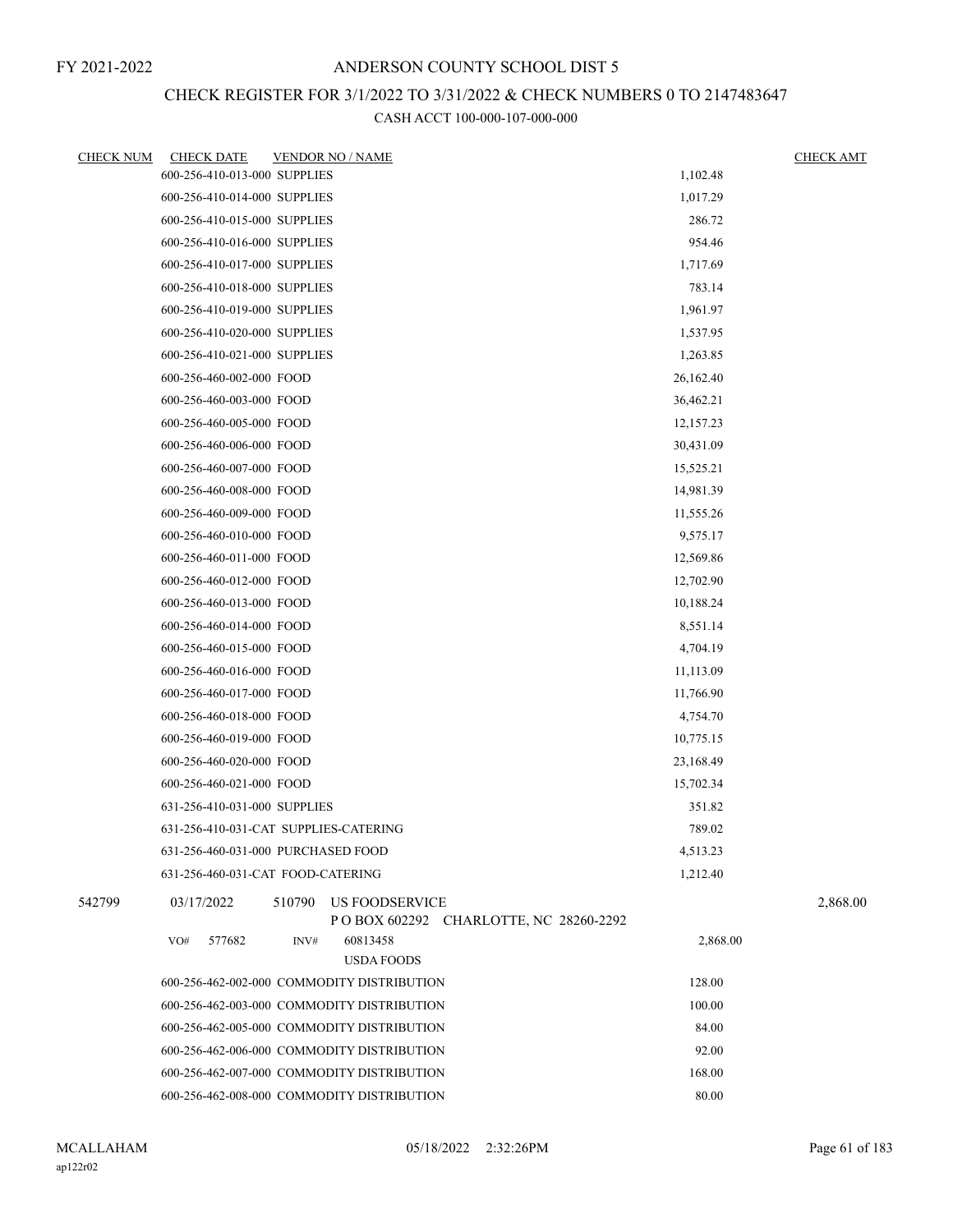## CHECK REGISTER FOR 3/1/2022 TO 3/31/2022 & CHECK NUMBERS 0 TO 2147483647

| <b>CHECK NUM</b> | <b>CHECK DATE</b><br><b>VENDOR NO / NAME</b>                                           |           | <b>CHECK AMT</b> |
|------------------|----------------------------------------------------------------------------------------|-----------|------------------|
|                  | 600-256-410-013-000 SUPPLIES                                                           | 1,102.48  |                  |
|                  | 600-256-410-014-000 SUPPLIES                                                           | 1,017.29  |                  |
|                  | 600-256-410-015-000 SUPPLIES                                                           | 286.72    |                  |
|                  | 600-256-410-016-000 SUPPLIES                                                           | 954.46    |                  |
|                  | 600-256-410-017-000 SUPPLIES                                                           | 1,717.69  |                  |
|                  | 600-256-410-018-000 SUPPLIES                                                           | 783.14    |                  |
|                  | 600-256-410-019-000 SUPPLIES                                                           | 1,961.97  |                  |
|                  | 600-256-410-020-000 SUPPLIES                                                           | 1,537.95  |                  |
|                  | 600-256-410-021-000 SUPPLIES                                                           | 1,263.85  |                  |
|                  | 600-256-460-002-000 FOOD                                                               | 26,162.40 |                  |
|                  | 600-256-460-003-000 FOOD                                                               | 36,462.21 |                  |
|                  | 600-256-460-005-000 FOOD                                                               | 12,157.23 |                  |
|                  | 600-256-460-006-000 FOOD                                                               | 30,431.09 |                  |
|                  | 600-256-460-007-000 FOOD                                                               | 15,525.21 |                  |
|                  | 600-256-460-008-000 FOOD                                                               | 14,981.39 |                  |
|                  | 600-256-460-009-000 FOOD                                                               | 11,555.26 |                  |
|                  | 600-256-460-010-000 FOOD                                                               | 9,575.17  |                  |
|                  | 600-256-460-011-000 FOOD                                                               | 12,569.86 |                  |
|                  | 600-256-460-012-000 FOOD                                                               | 12,702.90 |                  |
|                  | 600-256-460-013-000 FOOD                                                               | 10,188.24 |                  |
|                  | 600-256-460-014-000 FOOD                                                               | 8,551.14  |                  |
|                  | 600-256-460-015-000 FOOD                                                               | 4,704.19  |                  |
|                  | 600-256-460-016-000 FOOD                                                               | 11,113.09 |                  |
|                  | 600-256-460-017-000 FOOD                                                               | 11,766.90 |                  |
|                  | 600-256-460-018-000 FOOD                                                               | 4,754.70  |                  |
|                  | 600-256-460-019-000 FOOD                                                               | 10,775.15 |                  |
|                  | 600-256-460-020-000 FOOD                                                               | 23,168.49 |                  |
|                  | 600-256-460-021-000 FOOD                                                               | 15,702.34 |                  |
|                  | 631-256-410-031-000 SUPPLIES                                                           | 351.82    |                  |
|                  | 631-256-410-031-CAT SUPPLIES-CATERING                                                  | 789.02    |                  |
|                  | 631-256-460-031-000 PURCHASED FOOD                                                     | 4,513.23  |                  |
|                  | 631-256-460-031-CAT FOOD-CATERING                                                      | 1,212.40  |                  |
| 542799           | <b>US FOODSERVICE</b><br>03/17/2022<br>510790<br>POBOX 602292 CHARLOTTE, NC 28260-2292 |           | 2,868.00         |
|                  | 577682<br>60813458<br>VO#<br>INV#                                                      | 2,868.00  |                  |
|                  | <b>USDA FOODS</b>                                                                      |           |                  |
|                  | 600-256-462-002-000 COMMODITY DISTRIBUTION                                             | 128.00    |                  |
|                  | 600-256-462-003-000 COMMODITY DISTRIBUTION                                             | 100.00    |                  |
|                  | 600-256-462-005-000 COMMODITY DISTRIBUTION                                             | 84.00     |                  |
|                  | 600-256-462-006-000 COMMODITY DISTRIBUTION                                             | 92.00     |                  |
|                  | 600-256-462-007-000 COMMODITY DISTRIBUTION                                             | 168.00    |                  |
|                  | 600-256-462-008-000 COMMODITY DISTRIBUTION                                             | 80.00     |                  |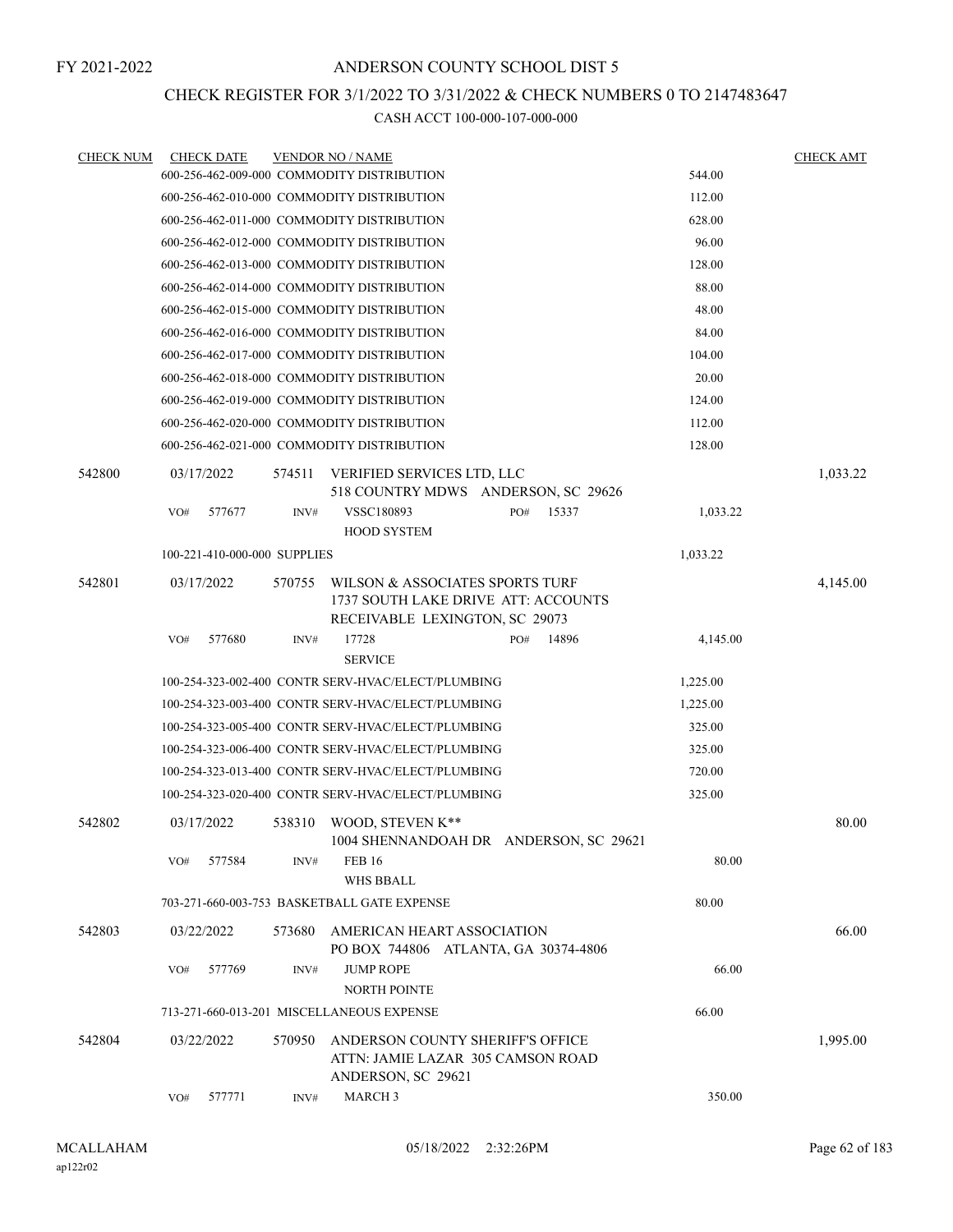### CHECK REGISTER FOR 3/1/2022 TO 3/31/2022 & CHECK NUMBERS 0 TO 2147483647

| <b>CHECK NUM</b> |     | <b>CHECK DATE</b>            |        | <b>VENDOR NO / NAME</b>                                                                                  |     |       |          | <b>CHECK AMT</b> |
|------------------|-----|------------------------------|--------|----------------------------------------------------------------------------------------------------------|-----|-------|----------|------------------|
|                  |     |                              |        | 600-256-462-009-000 COMMODITY DISTRIBUTION                                                               |     |       | 544.00   |                  |
|                  |     |                              |        | 600-256-462-010-000 COMMODITY DISTRIBUTION                                                               |     |       | 112.00   |                  |
|                  |     |                              |        | 600-256-462-011-000 COMMODITY DISTRIBUTION                                                               |     |       | 628.00   |                  |
|                  |     |                              |        | 600-256-462-012-000 COMMODITY DISTRIBUTION                                                               |     |       | 96.00    |                  |
|                  |     |                              |        | 600-256-462-013-000 COMMODITY DISTRIBUTION                                                               |     |       | 128.00   |                  |
|                  |     |                              |        | 600-256-462-014-000 COMMODITY DISTRIBUTION                                                               |     |       | 88.00    |                  |
|                  |     |                              |        | 600-256-462-015-000 COMMODITY DISTRIBUTION                                                               |     |       | 48.00    |                  |
|                  |     |                              |        | 600-256-462-016-000 COMMODITY DISTRIBUTION                                                               |     |       | 84.00    |                  |
|                  |     |                              |        | 600-256-462-017-000 COMMODITY DISTRIBUTION                                                               |     |       | 104.00   |                  |
|                  |     |                              |        | 600-256-462-018-000 COMMODITY DISTRIBUTION                                                               |     |       | 20.00    |                  |
|                  |     |                              |        | 600-256-462-019-000 COMMODITY DISTRIBUTION                                                               |     |       | 124.00   |                  |
|                  |     |                              |        | 600-256-462-020-000 COMMODITY DISTRIBUTION                                                               |     |       | 112.00   |                  |
|                  |     |                              |        | 600-256-462-021-000 COMMODITY DISTRIBUTION                                                               |     |       | 128.00   |                  |
| 542800           |     | 03/17/2022                   | 574511 | VERIFIED SERVICES LTD, LLC<br>518 COUNTRY MDWS ANDERSON, SC 29626                                        |     |       |          | 1,033.22         |
|                  | VO# | 577677                       | INV#   | VSSC180893                                                                                               | PO# | 15337 | 1,033.22 |                  |
|                  |     |                              |        | <b>HOOD SYSTEM</b>                                                                                       |     |       |          |                  |
|                  |     | 100-221-410-000-000 SUPPLIES |        |                                                                                                          |     |       | 1,033.22 |                  |
| 542801           |     | 03/17/2022                   | 570755 | WILSON & ASSOCIATES SPORTS TURF<br>1737 SOUTH LAKE DRIVE ATT: ACCOUNTS<br>RECEIVABLE LEXINGTON, SC 29073 |     |       |          | 4,145.00         |
|                  | VO# | 577680                       | INV#   | 17728<br><b>SERVICE</b>                                                                                  | PO# | 14896 | 4,145.00 |                  |
|                  |     |                              |        | 100-254-323-002-400 CONTR SERV-HVAC/ELECT/PLUMBING                                                       |     |       | 1,225.00 |                  |
|                  |     |                              |        | 100-254-323-003-400 CONTR SERV-HVAC/ELECT/PLUMBING                                                       |     |       | 1,225.00 |                  |
|                  |     |                              |        | 100-254-323-005-400 CONTR SERV-HVAC/ELECT/PLUMBING                                                       |     |       | 325.00   |                  |
|                  |     |                              |        | 100-254-323-006-400 CONTR SERV-HVAC/ELECT/PLUMBING                                                       |     |       | 325.00   |                  |
|                  |     |                              |        | 100-254-323-013-400 CONTR SERV-HVAC/ELECT/PLUMBING                                                       |     |       | 720.00   |                  |
|                  |     |                              |        | 100-254-323-020-400 CONTR SERV-HVAC/ELECT/PLUMBING                                                       |     |       | 325.00   |                  |
| 542802           |     | 03/17/2022                   | 538310 | WOOD, STEVEN K**<br>1004 SHENNANDOAH DR ANDERSON, SC 29621                                               |     |       |          | 80.00            |
|                  | VO# | 577584                       | INV#   | <b>FEB 16</b><br><b>WHS BBALL</b>                                                                        |     |       | 80.00    |                  |
|                  |     |                              |        | 703-271-660-003-753 BASKETBALL GATE EXPENSE                                                              |     |       | 80.00    |                  |
| 542803           |     | 03/22/2022                   | 573680 | AMERICAN HEART ASSOCIATION<br>PO BOX 744806 ATLANTA, GA 30374-4806                                       |     |       |          | 66.00            |
|                  | VO# | 577769                       | INV#   | <b>JUMP ROPE</b><br>NORTH POINTE                                                                         |     |       | 66.00    |                  |
|                  |     |                              |        | 713-271-660-013-201 MISCELLANEOUS EXPENSE                                                                |     |       | 66.00    |                  |
| 542804           |     | 03/22/2022                   | 570950 | ANDERSON COUNTY SHERIFF'S OFFICE<br>ATTN: JAMIE LAZAR 305 CAMSON ROAD<br>ANDERSON, SC 29621              |     |       |          | 1,995.00         |
|                  | VO# | 577771                       | INV#   | <b>MARCH 3</b>                                                                                           |     |       | 350.00   |                  |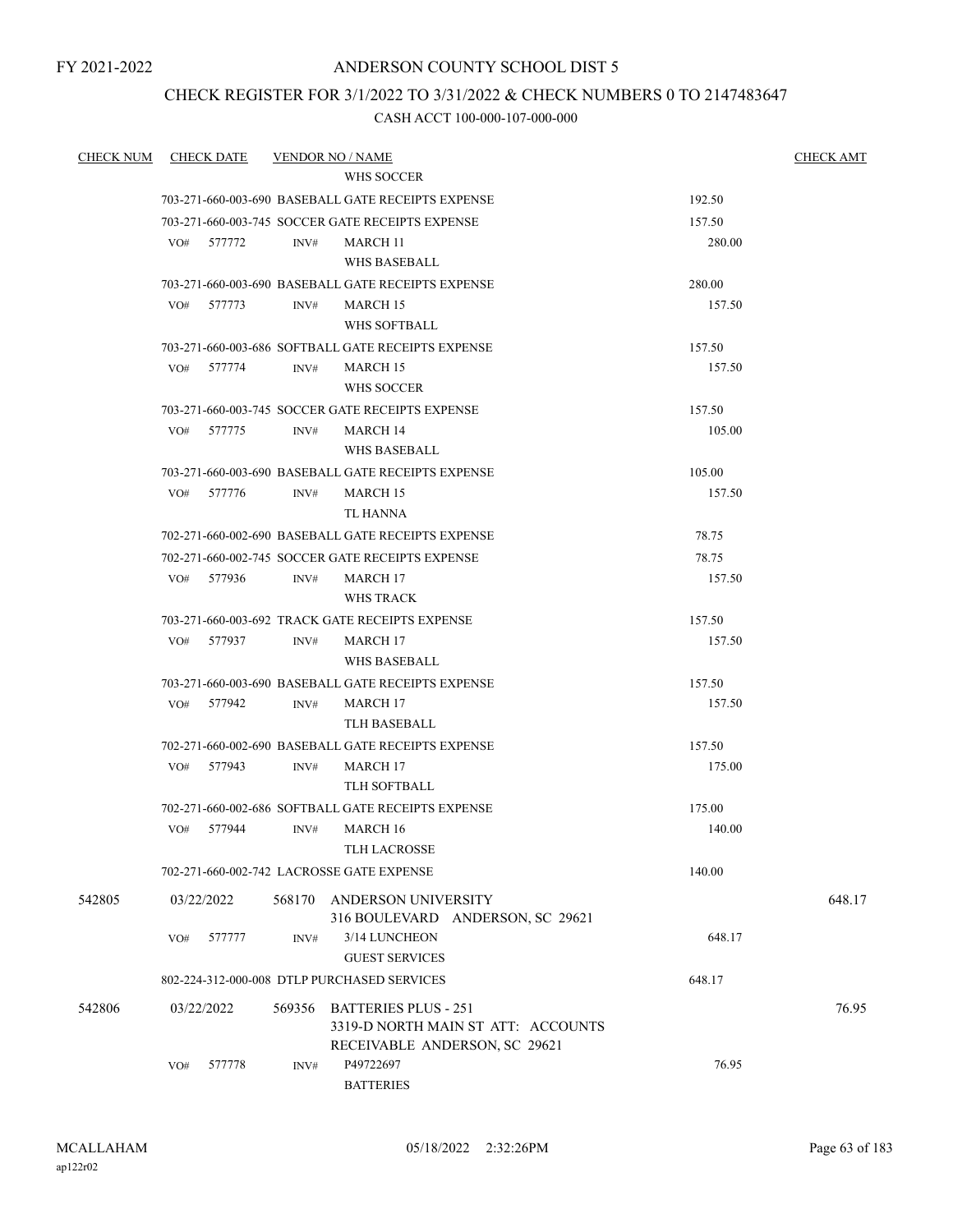FY 2021-2022

### ANDERSON COUNTY SCHOOL DIST 5

### CHECK REGISTER FOR 3/1/2022 TO 3/31/2022 & CHECK NUMBERS 0 TO 2147483647

| <b>CHECK NUM</b> |     | <b>CHECK DATE</b> |        | <b>VENDOR NO / NAME</b>                                             |        | <b>CHECK AMT</b> |
|------------------|-----|-------------------|--------|---------------------------------------------------------------------|--------|------------------|
|                  |     |                   |        | WHS SOCCER                                                          |        |                  |
|                  |     |                   |        | 703-271-660-003-690 BASEBALL GATE RECEIPTS EXPENSE                  | 192.50 |                  |
|                  |     |                   |        | 703-271-660-003-745 SOCCER GATE RECEIPTS EXPENSE                    | 157.50 |                  |
|                  |     | VO# 577772        | INV#   | MARCH 11                                                            | 280.00 |                  |
|                  |     |                   |        | WHS BASEBALL                                                        |        |                  |
|                  |     |                   |        | 703-271-660-003-690 BASEBALL GATE RECEIPTS EXPENSE                  | 280.00 |                  |
|                  |     | VO# 577773        | INV#   | <b>MARCH 15</b>                                                     | 157.50 |                  |
|                  |     |                   |        | WHS SOFTBALL                                                        |        |                  |
|                  |     |                   |        | 703-271-660-003-686 SOFTBALL GATE RECEIPTS EXPENSE                  | 157.50 |                  |
|                  |     | VO# 577774        | INV#   | <b>MARCH 15</b>                                                     | 157.50 |                  |
|                  |     |                   |        | WHS SOCCER                                                          |        |                  |
|                  |     |                   |        | 703-271-660-003-745 SOCCER GATE RECEIPTS EXPENSE                    | 157.50 |                  |
|                  | VO# | 577775            | INV#   | <b>MARCH 14</b>                                                     | 105.00 |                  |
|                  |     |                   |        | WHS BASEBALL                                                        |        |                  |
|                  |     |                   |        | 703-271-660-003-690 BASEBALL GATE RECEIPTS EXPENSE                  | 105.00 |                  |
|                  | VO# | 577776            | INV#   | <b>MARCH 15</b>                                                     | 157.50 |                  |
|                  |     |                   |        | TL HANNA                                                            |        |                  |
|                  |     |                   |        | 702-271-660-002-690 BASEBALL GATE RECEIPTS EXPENSE                  | 78.75  |                  |
|                  |     |                   |        | 702-271-660-002-745 SOCCER GATE RECEIPTS EXPENSE                    | 78.75  |                  |
|                  |     | VO# 577936        | INV#   | <b>MARCH 17</b>                                                     | 157.50 |                  |
|                  |     |                   |        | WHS TRACK                                                           |        |                  |
|                  |     |                   |        | 703-271-660-003-692 TRACK GATE RECEIPTS EXPENSE                     | 157.50 |                  |
|                  |     | VO# 577937        | INV#   | <b>MARCH 17</b>                                                     | 157.50 |                  |
|                  |     |                   |        | WHS BASEBALL                                                        |        |                  |
|                  |     |                   |        | 703-271-660-003-690 BASEBALL GATE RECEIPTS EXPENSE                  | 157.50 |                  |
|                  |     | VO# 577942        | INV#   | <b>MARCH 17</b>                                                     | 157.50 |                  |
|                  |     |                   |        | TLH BASEBALL                                                        |        |                  |
|                  |     |                   |        | 702-271-660-002-690 BASEBALL GATE RECEIPTS EXPENSE                  | 157.50 |                  |
|                  | VO# | 577943            | INV#   | MARCH 17                                                            | 175.00 |                  |
|                  |     |                   |        | TLH SOFTBALL                                                        |        |                  |
|                  |     |                   |        | 702-271-660-002-686 SOFTBALL GATE RECEIPTS EXPENSE                  | 175.00 |                  |
|                  | VO# | 577944            | INV#   | <b>MARCH 16</b>                                                     | 140.00 |                  |
|                  |     |                   |        | TLH LACROSSE                                                        |        |                  |
|                  |     |                   |        | 702-271-660-002-742 LACROSSE GATE EXPENSE                           | 140.00 |                  |
| 542805           |     | 03/22/2022        | 568170 | ANDERSON UNIVERSITY<br>316 BOULEVARD ANDERSON, SC 29621             |        | 648.17           |
|                  | VO# | 577777            | INV#   | 3/14 LUNCHEON<br><b>GUEST SERVICES</b>                              | 648.17 |                  |
|                  |     |                   |        | 802-224-312-000-008 DTLP PURCHASED SERVICES                         | 648.17 |                  |
| 542806           |     | 03/22/2022        | 569356 | <b>BATTERIES PLUS - 251</b>                                         |        | 76.95            |
|                  |     |                   |        | 3319-D NORTH MAIN ST ATT: ACCOUNTS<br>RECEIVABLE ANDERSON, SC 29621 |        |                  |
|                  | VO# | 577778            | INV#   | P49722697<br><b>BATTERIES</b>                                       | 76.95  |                  |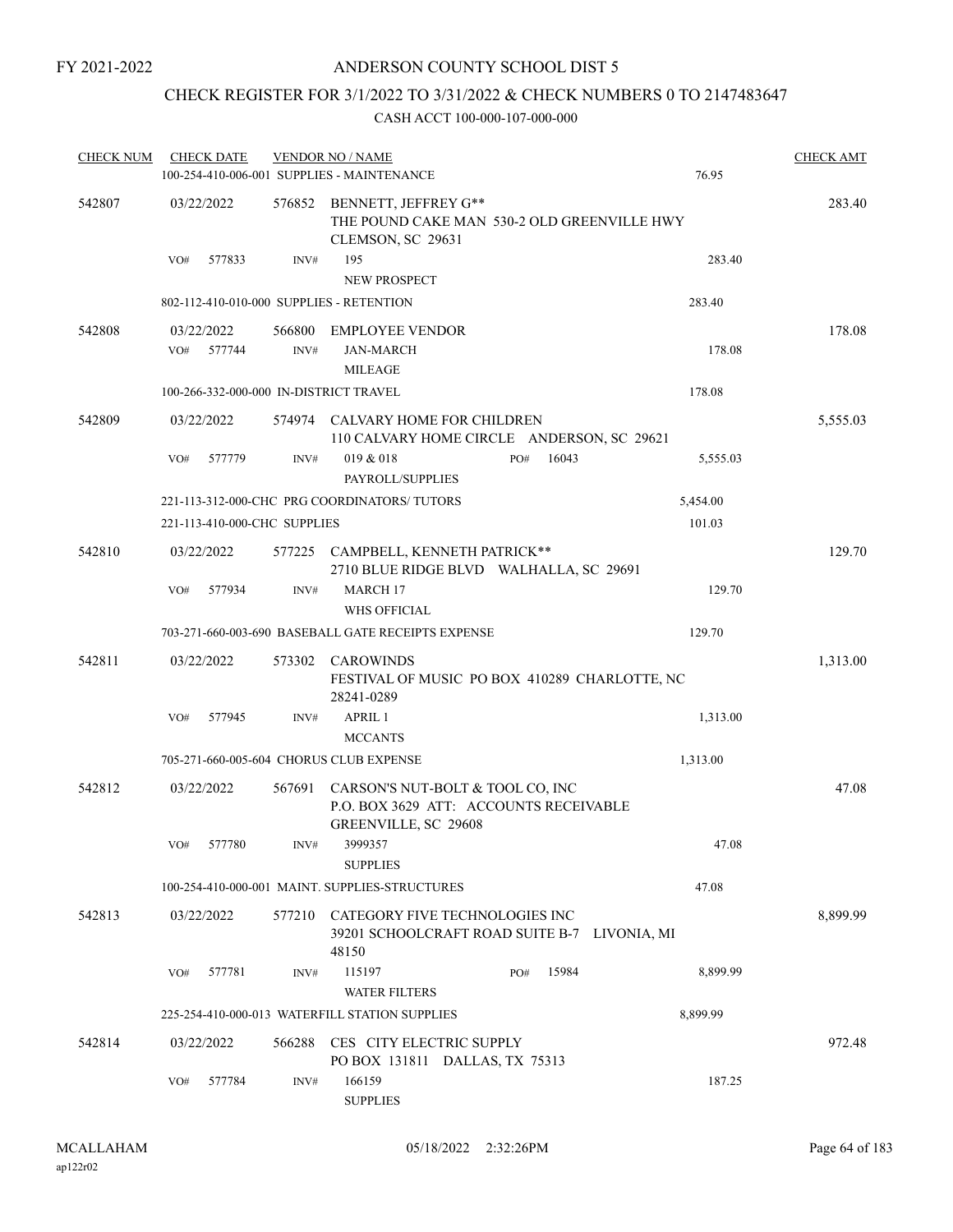### CHECK REGISTER FOR 3/1/2022 TO 3/31/2022 & CHECK NUMBERS 0 TO 2147483647

| <b>CHECK NUM</b> | <b>CHECK DATE</b>                        |        | <b>VENDOR NO / NAME</b><br>100-254-410-006-001 SUPPLIES - MAINTENANCE                              |              | 76.95    | <b>CHECK AMT</b> |
|------------------|------------------------------------------|--------|----------------------------------------------------------------------------------------------------|--------------|----------|------------------|
| 542807           | 03/22/2022                               |        | 576852 BENNETT, JEFFREY G**<br>THE POUND CAKE MAN 530-2 OLD GREENVILLE HWY<br>CLEMSON, SC 29631    |              |          | 283.40           |
|                  | 577833<br>VO#                            | INV#   | 195<br><b>NEW PROSPECT</b>                                                                         |              | 283.40   |                  |
|                  | 802-112-410-010-000 SUPPLIES - RETENTION |        |                                                                                                    |              | 283.40   |                  |
| 542808           | 03/22/2022<br>577744<br>VO#              | INV#   | 566800 EMPLOYEE VENDOR<br><b>JAN-MARCH</b><br><b>MILEAGE</b>                                       |              | 178.08   | 178.08           |
|                  | 100-266-332-000-000 IN-DISTRICT TRAVEL   |        |                                                                                                    |              | 178.08   |                  |
| 542809           | 03/22/2022                               |        | 574974 CALVARY HOME FOR CHILDREN<br>110 CALVARY HOME CIRCLE ANDERSON, SC 29621                     |              |          | 5,555.03         |
|                  | 577779<br>VO#                            | INV#   | 019 & 018<br>PAYROLL/SUPPLIES                                                                      | 16043<br>PO# | 5,555.03 |                  |
|                  |                                          |        | 221-113-312-000-CHC PRG COORDINATORS/TUTORS                                                        |              | 5,454.00 |                  |
|                  | 221-113-410-000-CHC SUPPLIES             |        |                                                                                                    |              | 101.03   |                  |
| 542810           | 03/22/2022                               |        | 577225 CAMPBELL, KENNETH PATRICK**<br>2710 BLUE RIDGE BLVD WALHALLA, SC 29691                      |              |          | 129.70           |
|                  | VO#<br>577934                            | INV#   | MARCH 17<br>WHS OFFICIAL                                                                           |              | 129.70   |                  |
|                  |                                          |        | 703-271-660-003-690 BASEBALL GATE RECEIPTS EXPENSE                                                 |              | 129.70   |                  |
| 542811           | 03/22/2022                               |        | 573302 CAROWINDS<br>FESTIVAL OF MUSIC PO BOX 410289 CHARLOTTE, NC<br>28241-0289                    |              |          | 1,313.00         |
|                  | 577945<br>VO#                            | INV#   | APRIL 1<br><b>MCCANTS</b>                                                                          |              | 1,313.00 |                  |
|                  |                                          |        | 705-271-660-005-604 CHORUS CLUB EXPENSE                                                            |              | 1,313.00 |                  |
| 542812           | 03/22/2022                               | 567691 | CARSON'S NUT-BOLT & TOOL CO, INC<br>P.O. BOX 3629 ATT: ACCOUNTS RECEIVABLE<br>GREENVILLE, SC 29608 |              |          | 47.08            |
|                  | 577780<br>VO#                            | INV#   | 3999357<br><b>SUPPLIES</b>                                                                         |              | 47.08    |                  |
|                  |                                          |        | 100-254-410-000-001 MAINT, SUPPLIES-STRUCTURES                                                     |              | 47.08    |                  |
| 542813           | 03/22/2022                               |        | 577210 CATEGORY FIVE TECHNOLOGIES INC<br>39201 SCHOOLCRAFT ROAD SUITE B-7 LIVONIA, MI<br>48150     |              |          | 8,899.99         |
|                  | VO#<br>577781                            | INV#   | 115197<br><b>WATER FILTERS</b>                                                                     | PO#<br>15984 | 8,899.99 |                  |
|                  |                                          |        | 225-254-410-000-013 WATERFILL STATION SUPPLIES                                                     |              | 8,899.99 |                  |
| 542814           | 03/22/2022                               |        | 566288 CES CITY ELECTRIC SUPPLY<br>PO BOX 131811 DALLAS, TX 75313                                  |              |          | 972.48           |
|                  | 577784<br>VO#                            | INV#   | 166159<br><b>SUPPLIES</b>                                                                          |              | 187.25   |                  |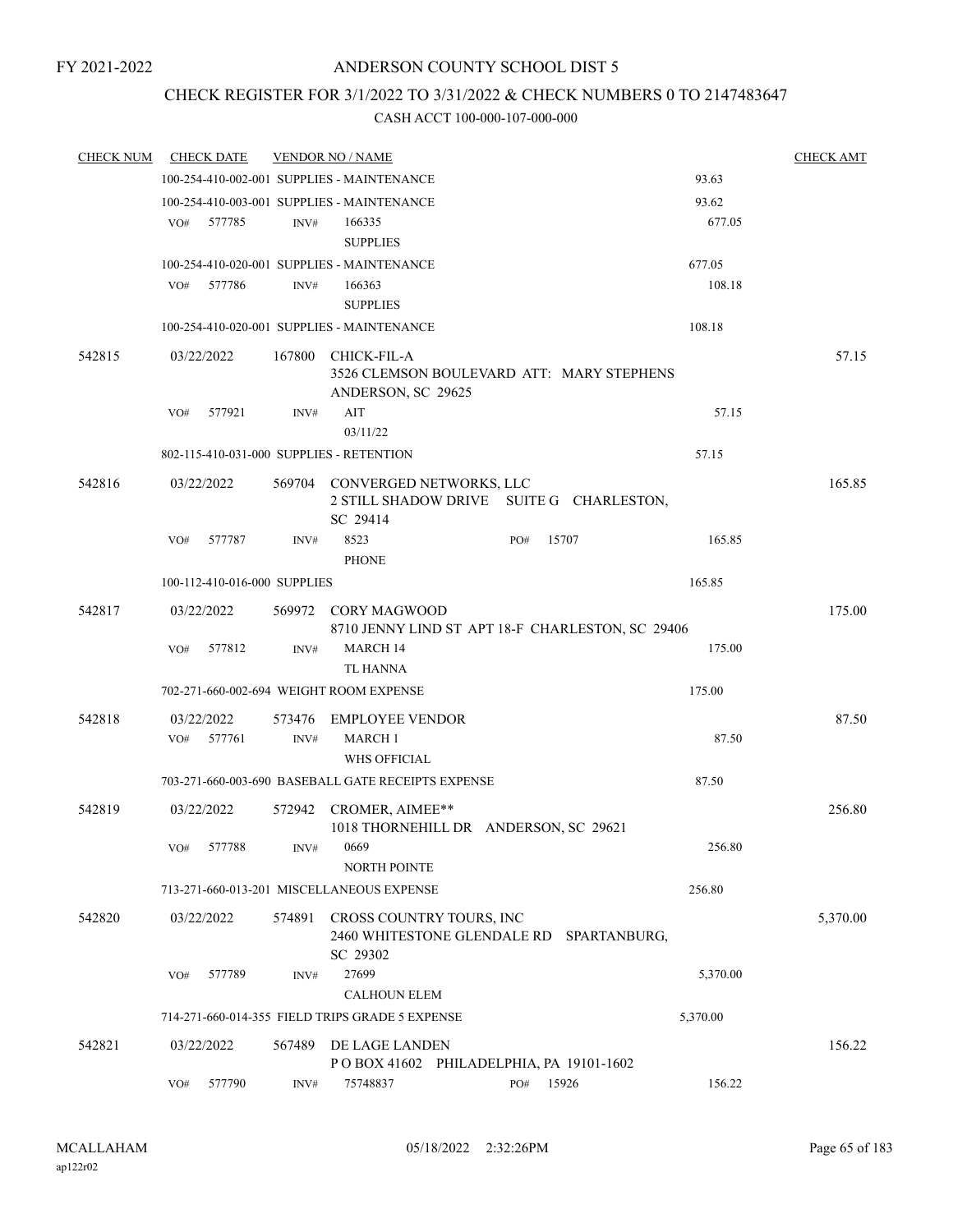## CHECK REGISTER FOR 3/1/2022 TO 3/31/2022 & CHECK NUMBERS 0 TO 2147483647

| 100-254-410-002-001 SUPPLIES - MAINTENANCE<br>93.63<br>93.62<br>100-254-410-003-001 SUPPLIES - MAINTENANCE<br>677.05<br>577785<br>166335<br>VO#<br>INV#<br><b>SUPPLIES</b><br>100-254-410-020-001 SUPPLIES - MAINTENANCE<br>677.05<br>108.18<br>VO#<br>577786<br>INV#<br>166363<br><b>SUPPLIES</b><br>108.18<br>100-254-410-020-001 SUPPLIES - MAINTENANCE<br>542815<br>03/22/2022<br>167800<br>CHICK-FIL-A<br>3526 CLEMSON BOULEVARD ATT: MARY STEPHENS<br>ANDERSON, SC 29625<br>577921<br>AIT<br>57.15<br>VO#<br>INV#<br>03/11/22<br>802-115-410-031-000 SUPPLIES - RETENTION<br>57.15<br>165.85<br>542816<br>03/22/2022<br>569704 CONVERGED NETWORKS, LLC<br>2 STILL SHADOW DRIVE SUITE G CHARLESTON,<br>SC 29414<br>577787<br>8523<br>15707<br>165.85<br>VO#<br>INV#<br>PO#<br><b>PHONE</b><br>100-112-410-016-000 SUPPLIES<br>165.85<br>542817<br>03/22/2022<br>569972 CORY MAGWOOD<br>8710 JENNY LIND ST APT 18-F CHARLESTON, SC 29406<br><b>MARCH 14</b><br>175.00<br>577812<br>INV#<br>VO#<br>TL HANNA<br>702-271-660-002-694 WEIGHT ROOM EXPENSE<br>175.00<br>542818<br>03/22/2022<br>573476 EMPLOYEE VENDOR<br>577761<br><b>MARCH 1</b><br>87.50<br>VO#<br>INV#<br><b>WHS OFFICIAL</b><br>87.50<br>703-271-660-003-690 BASEBALL GATE RECEIPTS EXPENSE<br>542819<br>03/22/2022<br>572942 CROMER, AIMEE**<br>1018 THORNEHILL DR ANDERSON, SC 29621<br>577788<br>0669<br>256.80<br>VO#<br>INV#<br><b>NORTH POINTE</b><br>713-271-660-013-201 MISCELLANEOUS EXPENSE<br>256.80<br>CROSS COUNTRY TOURS, INC<br>542820<br>03/22/2022<br>574891<br>2460 WHITESTONE GLENDALE RD SPARTANBURG,<br>SC 29302<br>27699<br>5,370.00<br>577789<br>INV#<br>VO#<br><b>CALHOUN ELEM</b><br>714-271-660-014-355 FIELD TRIPS GRADE 5 EXPENSE<br>5,370.00<br>542821<br>03/22/2022<br>567489<br>DE LAGE LANDEN<br>POBOX 41602 PHILADELPHIA, PA 19101-1602<br>577790<br>15926<br>156.22<br>VO#<br>75748837<br>PO#<br>INV# | <b>CHECK NUM</b> | <b>CHECK DATE</b> | <b>VENDOR NO / NAME</b> |  | <b>CHECK AMT</b> |
|-------------------------------------------------------------------------------------------------------------------------------------------------------------------------------------------------------------------------------------------------------------------------------------------------------------------------------------------------------------------------------------------------------------------------------------------------------------------------------------------------------------------------------------------------------------------------------------------------------------------------------------------------------------------------------------------------------------------------------------------------------------------------------------------------------------------------------------------------------------------------------------------------------------------------------------------------------------------------------------------------------------------------------------------------------------------------------------------------------------------------------------------------------------------------------------------------------------------------------------------------------------------------------------------------------------------------------------------------------------------------------------------------------------------------------------------------------------------------------------------------------------------------------------------------------------------------------------------------------------------------------------------------------------------------------------------------------------------------------------------------------------------------------------------------------------------------------------------------------------------------------------------------------------|------------------|-------------------|-------------------------|--|------------------|
|                                                                                                                                                                                                                                                                                                                                                                                                                                                                                                                                                                                                                                                                                                                                                                                                                                                                                                                                                                                                                                                                                                                                                                                                                                                                                                                                                                                                                                                                                                                                                                                                                                                                                                                                                                                                                                                                                                             |                  |                   |                         |  |                  |
|                                                                                                                                                                                                                                                                                                                                                                                                                                                                                                                                                                                                                                                                                                                                                                                                                                                                                                                                                                                                                                                                                                                                                                                                                                                                                                                                                                                                                                                                                                                                                                                                                                                                                                                                                                                                                                                                                                             |                  |                   |                         |  |                  |
|                                                                                                                                                                                                                                                                                                                                                                                                                                                                                                                                                                                                                                                                                                                                                                                                                                                                                                                                                                                                                                                                                                                                                                                                                                                                                                                                                                                                                                                                                                                                                                                                                                                                                                                                                                                                                                                                                                             |                  |                   |                         |  |                  |
|                                                                                                                                                                                                                                                                                                                                                                                                                                                                                                                                                                                                                                                                                                                                                                                                                                                                                                                                                                                                                                                                                                                                                                                                                                                                                                                                                                                                                                                                                                                                                                                                                                                                                                                                                                                                                                                                                                             |                  |                   |                         |  |                  |
|                                                                                                                                                                                                                                                                                                                                                                                                                                                                                                                                                                                                                                                                                                                                                                                                                                                                                                                                                                                                                                                                                                                                                                                                                                                                                                                                                                                                                                                                                                                                                                                                                                                                                                                                                                                                                                                                                                             |                  |                   |                         |  |                  |
|                                                                                                                                                                                                                                                                                                                                                                                                                                                                                                                                                                                                                                                                                                                                                                                                                                                                                                                                                                                                                                                                                                                                                                                                                                                                                                                                                                                                                                                                                                                                                                                                                                                                                                                                                                                                                                                                                                             |                  |                   |                         |  |                  |
|                                                                                                                                                                                                                                                                                                                                                                                                                                                                                                                                                                                                                                                                                                                                                                                                                                                                                                                                                                                                                                                                                                                                                                                                                                                                                                                                                                                                                                                                                                                                                                                                                                                                                                                                                                                                                                                                                                             |                  |                   |                         |  |                  |
|                                                                                                                                                                                                                                                                                                                                                                                                                                                                                                                                                                                                                                                                                                                                                                                                                                                                                                                                                                                                                                                                                                                                                                                                                                                                                                                                                                                                                                                                                                                                                                                                                                                                                                                                                                                                                                                                                                             |                  |                   |                         |  |                  |
|                                                                                                                                                                                                                                                                                                                                                                                                                                                                                                                                                                                                                                                                                                                                                                                                                                                                                                                                                                                                                                                                                                                                                                                                                                                                                                                                                                                                                                                                                                                                                                                                                                                                                                                                                                                                                                                                                                             |                  |                   |                         |  | 57.15            |
|                                                                                                                                                                                                                                                                                                                                                                                                                                                                                                                                                                                                                                                                                                                                                                                                                                                                                                                                                                                                                                                                                                                                                                                                                                                                                                                                                                                                                                                                                                                                                                                                                                                                                                                                                                                                                                                                                                             |                  |                   |                         |  |                  |
|                                                                                                                                                                                                                                                                                                                                                                                                                                                                                                                                                                                                                                                                                                                                                                                                                                                                                                                                                                                                                                                                                                                                                                                                                                                                                                                                                                                                                                                                                                                                                                                                                                                                                                                                                                                                                                                                                                             |                  |                   |                         |  |                  |
|                                                                                                                                                                                                                                                                                                                                                                                                                                                                                                                                                                                                                                                                                                                                                                                                                                                                                                                                                                                                                                                                                                                                                                                                                                                                                                                                                                                                                                                                                                                                                                                                                                                                                                                                                                                                                                                                                                             |                  |                   |                         |  |                  |
|                                                                                                                                                                                                                                                                                                                                                                                                                                                                                                                                                                                                                                                                                                                                                                                                                                                                                                                                                                                                                                                                                                                                                                                                                                                                                                                                                                                                                                                                                                                                                                                                                                                                                                                                                                                                                                                                                                             |                  |                   |                         |  |                  |
|                                                                                                                                                                                                                                                                                                                                                                                                                                                                                                                                                                                                                                                                                                                                                                                                                                                                                                                                                                                                                                                                                                                                                                                                                                                                                                                                                                                                                                                                                                                                                                                                                                                                                                                                                                                                                                                                                                             |                  |                   |                         |  |                  |
|                                                                                                                                                                                                                                                                                                                                                                                                                                                                                                                                                                                                                                                                                                                                                                                                                                                                                                                                                                                                                                                                                                                                                                                                                                                                                                                                                                                                                                                                                                                                                                                                                                                                                                                                                                                                                                                                                                             |                  |                   |                         |  |                  |
|                                                                                                                                                                                                                                                                                                                                                                                                                                                                                                                                                                                                                                                                                                                                                                                                                                                                                                                                                                                                                                                                                                                                                                                                                                                                                                                                                                                                                                                                                                                                                                                                                                                                                                                                                                                                                                                                                                             |                  |                   |                         |  |                  |
|                                                                                                                                                                                                                                                                                                                                                                                                                                                                                                                                                                                                                                                                                                                                                                                                                                                                                                                                                                                                                                                                                                                                                                                                                                                                                                                                                                                                                                                                                                                                                                                                                                                                                                                                                                                                                                                                                                             |                  |                   |                         |  | 175.00           |
|                                                                                                                                                                                                                                                                                                                                                                                                                                                                                                                                                                                                                                                                                                                                                                                                                                                                                                                                                                                                                                                                                                                                                                                                                                                                                                                                                                                                                                                                                                                                                                                                                                                                                                                                                                                                                                                                                                             |                  |                   |                         |  |                  |
|                                                                                                                                                                                                                                                                                                                                                                                                                                                                                                                                                                                                                                                                                                                                                                                                                                                                                                                                                                                                                                                                                                                                                                                                                                                                                                                                                                                                                                                                                                                                                                                                                                                                                                                                                                                                                                                                                                             |                  |                   |                         |  |                  |
|                                                                                                                                                                                                                                                                                                                                                                                                                                                                                                                                                                                                                                                                                                                                                                                                                                                                                                                                                                                                                                                                                                                                                                                                                                                                                                                                                                                                                                                                                                                                                                                                                                                                                                                                                                                                                                                                                                             |                  |                   |                         |  |                  |
|                                                                                                                                                                                                                                                                                                                                                                                                                                                                                                                                                                                                                                                                                                                                                                                                                                                                                                                                                                                                                                                                                                                                                                                                                                                                                                                                                                                                                                                                                                                                                                                                                                                                                                                                                                                                                                                                                                             |                  |                   |                         |  |                  |
|                                                                                                                                                                                                                                                                                                                                                                                                                                                                                                                                                                                                                                                                                                                                                                                                                                                                                                                                                                                                                                                                                                                                                                                                                                                                                                                                                                                                                                                                                                                                                                                                                                                                                                                                                                                                                                                                                                             |                  |                   |                         |  | 87.50            |
|                                                                                                                                                                                                                                                                                                                                                                                                                                                                                                                                                                                                                                                                                                                                                                                                                                                                                                                                                                                                                                                                                                                                                                                                                                                                                                                                                                                                                                                                                                                                                                                                                                                                                                                                                                                                                                                                                                             |                  |                   |                         |  |                  |
|                                                                                                                                                                                                                                                                                                                                                                                                                                                                                                                                                                                                                                                                                                                                                                                                                                                                                                                                                                                                                                                                                                                                                                                                                                                                                                                                                                                                                                                                                                                                                                                                                                                                                                                                                                                                                                                                                                             |                  |                   |                         |  |                  |
|                                                                                                                                                                                                                                                                                                                                                                                                                                                                                                                                                                                                                                                                                                                                                                                                                                                                                                                                                                                                                                                                                                                                                                                                                                                                                                                                                                                                                                                                                                                                                                                                                                                                                                                                                                                                                                                                                                             |                  |                   |                         |  |                  |
|                                                                                                                                                                                                                                                                                                                                                                                                                                                                                                                                                                                                                                                                                                                                                                                                                                                                                                                                                                                                                                                                                                                                                                                                                                                                                                                                                                                                                                                                                                                                                                                                                                                                                                                                                                                                                                                                                                             |                  |                   |                         |  | 256.80           |
|                                                                                                                                                                                                                                                                                                                                                                                                                                                                                                                                                                                                                                                                                                                                                                                                                                                                                                                                                                                                                                                                                                                                                                                                                                                                                                                                                                                                                                                                                                                                                                                                                                                                                                                                                                                                                                                                                                             |                  |                   |                         |  |                  |
|                                                                                                                                                                                                                                                                                                                                                                                                                                                                                                                                                                                                                                                                                                                                                                                                                                                                                                                                                                                                                                                                                                                                                                                                                                                                                                                                                                                                                                                                                                                                                                                                                                                                                                                                                                                                                                                                                                             |                  |                   |                         |  |                  |
|                                                                                                                                                                                                                                                                                                                                                                                                                                                                                                                                                                                                                                                                                                                                                                                                                                                                                                                                                                                                                                                                                                                                                                                                                                                                                                                                                                                                                                                                                                                                                                                                                                                                                                                                                                                                                                                                                                             |                  |                   |                         |  | 5,370.00         |
|                                                                                                                                                                                                                                                                                                                                                                                                                                                                                                                                                                                                                                                                                                                                                                                                                                                                                                                                                                                                                                                                                                                                                                                                                                                                                                                                                                                                                                                                                                                                                                                                                                                                                                                                                                                                                                                                                                             |                  |                   |                         |  |                  |
|                                                                                                                                                                                                                                                                                                                                                                                                                                                                                                                                                                                                                                                                                                                                                                                                                                                                                                                                                                                                                                                                                                                                                                                                                                                                                                                                                                                                                                                                                                                                                                                                                                                                                                                                                                                                                                                                                                             |                  |                   |                         |  |                  |
|                                                                                                                                                                                                                                                                                                                                                                                                                                                                                                                                                                                                                                                                                                                                                                                                                                                                                                                                                                                                                                                                                                                                                                                                                                                                                                                                                                                                                                                                                                                                                                                                                                                                                                                                                                                                                                                                                                             |                  |                   |                         |  |                  |
|                                                                                                                                                                                                                                                                                                                                                                                                                                                                                                                                                                                                                                                                                                                                                                                                                                                                                                                                                                                                                                                                                                                                                                                                                                                                                                                                                                                                                                                                                                                                                                                                                                                                                                                                                                                                                                                                                                             |                  |                   |                         |  | 156.22           |
|                                                                                                                                                                                                                                                                                                                                                                                                                                                                                                                                                                                                                                                                                                                                                                                                                                                                                                                                                                                                                                                                                                                                                                                                                                                                                                                                                                                                                                                                                                                                                                                                                                                                                                                                                                                                                                                                                                             |                  |                   |                         |  |                  |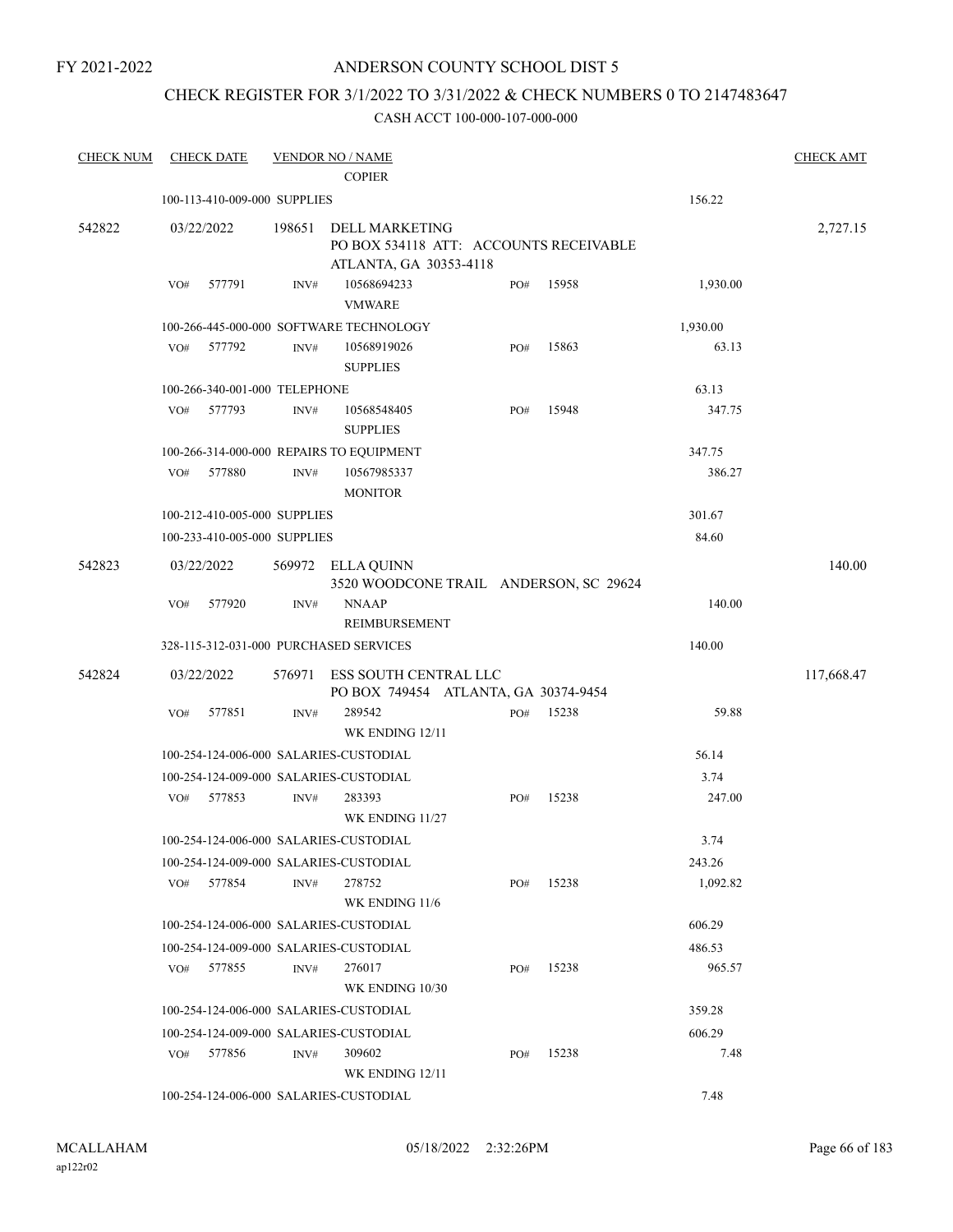FY 2021-2022

### ANDERSON COUNTY SCHOOL DIST 5

## CHECK REGISTER FOR 3/1/2022 TO 3/31/2022 & CHECK NUMBERS 0 TO 2147483647

| <b>CHECK NUM</b> |            | <b>CHECK DATE</b>             |                | <b>VENDOR NO / NAME</b>                                                            |     |       |          | <b>CHECK AMT</b> |
|------------------|------------|-------------------------------|----------------|------------------------------------------------------------------------------------|-----|-------|----------|------------------|
|                  |            |                               |                | <b>COPIER</b>                                                                      |     |       |          |                  |
|                  |            | 100-113-410-009-000 SUPPLIES  |                |                                                                                    |     |       | 156.22   |                  |
| 542822           | 03/22/2022 |                               | 198651         | DELL MARKETING<br>PO BOX 534118 ATT: ACCOUNTS RECEIVABLE<br>ATLANTA, GA 30353-4118 |     |       |          | 2,727.15         |
|                  | VO#        | 577791                        | INV#           | 10568694233<br><b>VMWARE</b>                                                       | PO# | 15958 | 1,930.00 |                  |
|                  |            |                               |                | 100-266-445-000-000 SOFTWARE TECHNOLOGY                                            |     |       | 1,930.00 |                  |
|                  | VO#        | 577792                        | INV#           | 10568919026<br><b>SUPPLIES</b>                                                     | PO# | 15863 | 63.13    |                  |
|                  |            | 100-266-340-001-000 TELEPHONE |                |                                                                                    |     |       | 63.13    |                  |
|                  | VO#        | 577793                        | INV#           | 10568548405<br><b>SUPPLIES</b>                                                     | PO# | 15948 | 347.75   |                  |
|                  |            |                               |                | 100-266-314-000-000 REPAIRS TO EQUIPMENT                                           |     |       | 347.75   |                  |
|                  | VO#        | 577880                        | $\text{INV}\#$ | 10567985337<br><b>MONITOR</b>                                                      |     |       | 386.27   |                  |
|                  |            | 100-212-410-005-000 SUPPLIES  |                |                                                                                    |     |       | 301.67   |                  |
|                  |            | 100-233-410-005-000 SUPPLIES  |                |                                                                                    |     |       | 84.60    |                  |
| 542823           | 03/22/2022 |                               |                | 569972 ELLA QUINN<br>3520 WOODCONE TRAIL ANDERSON, SC 29624                        |     |       |          | 140.00           |
|                  | VO#        | 577920                        | INV#           | <b>NNAAP</b><br>REIMBURSEMENT                                                      |     |       | 140.00   |                  |
|                  |            |                               |                | 328-115-312-031-000 PURCHASED SERVICES                                             |     |       | 140.00   |                  |
| 542824           | 03/22/2022 |                               | 576971         | ESS SOUTH CENTRAL LLC<br>PO BOX 749454 ATLANTA, GA 30374-9454                      |     |       |          | 117,668.47       |
|                  | VO#        | 577851                        | INV#           | 289542<br>WK ENDING 12/11                                                          | PO# | 15238 | 59.88    |                  |
|                  |            |                               |                | 100-254-124-006-000 SALARIES-CUSTODIAL                                             |     |       | 56.14    |                  |
|                  |            |                               |                | 100-254-124-009-000 SALARIES-CUSTODIAL                                             |     |       | 3.74     |                  |
|                  | VO#        | 577853                        | INV#           | 283393<br>WK ENDING 11/27                                                          | PO# | 15238 | 247.00   |                  |
|                  |            |                               |                | 100-254-124-006-000 SALARIES-CUSTODIAL                                             |     |       | 3.74     |                  |
|                  |            |                               |                | 100-254-124-009-000 SALARIES-CUSTODIAL                                             |     |       | 243.26   |                  |
|                  | VO#        | 577854                        | INV#           | 278752<br>WK ENDING 11/6                                                           | PO# | 15238 | 1,092.82 |                  |
|                  |            |                               |                | 100-254-124-006-000 SALARIES-CUSTODIAL                                             |     |       | 606.29   |                  |
|                  |            |                               |                | 100-254-124-009-000 SALARIES-CUSTODIAL                                             |     |       | 486.53   |                  |
|                  | VO#        | 577855                        | INV#           | 276017<br>WK ENDING 10/30                                                          | PO# | 15238 | 965.57   |                  |
|                  |            |                               |                | 100-254-124-006-000 SALARIES-CUSTODIAL                                             |     |       | 359.28   |                  |
|                  |            |                               |                | 100-254-124-009-000 SALARIES-CUSTODIAL                                             |     |       | 606.29   |                  |
|                  | VO#        | 577856                        | INV#           | 309602<br>WK ENDING 12/11                                                          | PO# | 15238 | 7.48     |                  |
|                  |            |                               |                | 100-254-124-006-000 SALARIES-CUSTODIAL                                             |     |       | 7.48     |                  |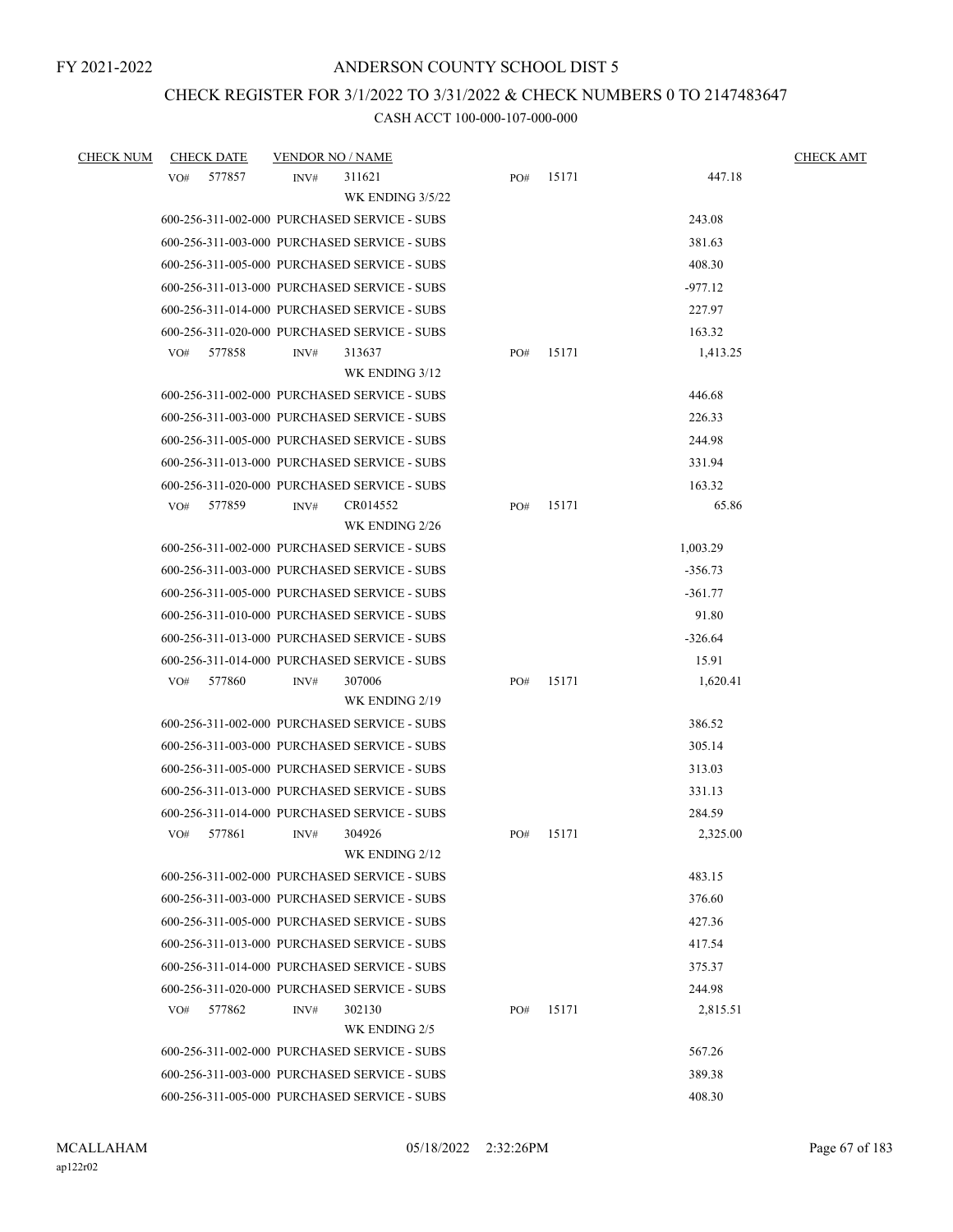## CHECK REGISTER FOR 3/1/2022 TO 3/31/2022 & CHECK NUMBERS 0 TO 2147483647

| <b>CHECK NUM</b> | <b>CHECK DATE</b> | VENDOR NO / NAME                                                                             |     |       |                    | <b>CHECK AMT</b> |
|------------------|-------------------|----------------------------------------------------------------------------------------------|-----|-------|--------------------|------------------|
|                  | 577857<br>VO#     | 311621<br>INV#                                                                               | PO# | 15171 | 447.18             |                  |
|                  |                   | WK ENDING 3/5/22                                                                             |     |       |                    |                  |
|                  |                   | 600-256-311-002-000 PURCHASED SERVICE - SUBS                                                 |     |       | 243.08             |                  |
|                  |                   | 600-256-311-003-000 PURCHASED SERVICE - SUBS                                                 |     |       | 381.63             |                  |
|                  |                   | 600-256-311-005-000 PURCHASED SERVICE - SUBS                                                 |     |       | 408.30             |                  |
|                  |                   | 600-256-311-013-000 PURCHASED SERVICE - SUBS                                                 |     |       | $-977.12$          |                  |
|                  |                   | 600-256-311-014-000 PURCHASED SERVICE - SUBS                                                 |     |       | 227.97             |                  |
|                  |                   | 600-256-311-020-000 PURCHASED SERVICE - SUBS                                                 |     |       | 163.32             |                  |
|                  | 577858<br>VO#     | INV#<br>313637                                                                               | PO# | 15171 | 1,413.25           |                  |
|                  |                   | WK ENDING 3/12                                                                               |     |       |                    |                  |
|                  |                   | 600-256-311-002-000 PURCHASED SERVICE - SUBS                                                 |     |       | 446.68             |                  |
|                  |                   | 600-256-311-003-000 PURCHASED SERVICE - SUBS                                                 |     |       | 226.33             |                  |
|                  |                   | 600-256-311-005-000 PURCHASED SERVICE - SUBS                                                 |     |       | 244.98             |                  |
|                  |                   | 600-256-311-013-000 PURCHASED SERVICE - SUBS                                                 |     |       | 331.94             |                  |
|                  |                   | 600-256-311-020-000 PURCHASED SERVICE - SUBS                                                 |     |       | 163.32             |                  |
|                  | 577859<br>VO#     | CR014552<br>INV#                                                                             | PO# | 15171 | 65.86              |                  |
|                  |                   | WK ENDING 2/26                                                                               |     |       |                    |                  |
|                  |                   | 600-256-311-002-000 PURCHASED SERVICE - SUBS                                                 |     |       | 1,003.29           |                  |
|                  |                   | 600-256-311-003-000 PURCHASED SERVICE - SUBS                                                 |     |       | $-356.73$          |                  |
|                  |                   | 600-256-311-005-000 PURCHASED SERVICE - SUBS                                                 |     |       | $-361.77$          |                  |
|                  |                   | 600-256-311-010-000 PURCHASED SERVICE - SUBS                                                 |     |       | 91.80              |                  |
|                  |                   | 600-256-311-013-000 PURCHASED SERVICE - SUBS                                                 |     |       | $-326.64$          |                  |
|                  |                   | 600-256-311-014-000 PURCHASED SERVICE - SUBS                                                 |     |       | 15.91              |                  |
|                  | 577860<br>VO#     | 307006<br>INV#                                                                               | PO# | 15171 | 1,620.41           |                  |
|                  |                   | WK ENDING 2/19                                                                               |     |       |                    |                  |
|                  |                   | 600-256-311-002-000 PURCHASED SERVICE - SUBS                                                 |     |       | 386.52             |                  |
|                  |                   | 600-256-311-003-000 PURCHASED SERVICE - SUBS                                                 |     |       | 305.14             |                  |
|                  |                   | 600-256-311-005-000 PURCHASED SERVICE - SUBS                                                 |     |       | 313.03             |                  |
|                  |                   | 600-256-311-013-000 PURCHASED SERVICE - SUBS                                                 |     |       | 331.13             |                  |
|                  |                   | 600-256-311-014-000 PURCHASED SERVICE - SUBS                                                 |     |       | 284.59             |                  |
|                  | 577861<br>VO#     | 304926<br>INV#                                                                               | PO# | 15171 | 2,325.00           |                  |
|                  |                   | WK ENDING 2/12<br>600-256-311-002-000 PURCHASED SERVICE - SUBS                               |     |       | 483.15             |                  |
|                  |                   | 600-256-311-003-000 PURCHASED SERVICE - SUBS                                                 |     |       | 376.60             |                  |
|                  |                   | 600-256-311-005-000 PURCHASED SERVICE - SUBS                                                 |     |       | 427.36             |                  |
|                  |                   |                                                                                              |     |       |                    |                  |
|                  |                   | 600-256-311-013-000 PURCHASED SERVICE - SUBS<br>600-256-311-014-000 PURCHASED SERVICE - SUBS |     |       | 417.54             |                  |
|                  |                   |                                                                                              |     |       | 375.37             |                  |
|                  | 577862<br>VO#     | 600-256-311-020-000 PURCHASED SERVICE - SUBS<br>302130<br>INV#                               | PO# | 15171 | 244.98<br>2,815.51 |                  |
|                  |                   | WK ENDING 2/5                                                                                |     |       |                    |                  |
|                  |                   | 600-256-311-002-000 PURCHASED SERVICE - SUBS                                                 |     |       | 567.26             |                  |
|                  |                   | 600-256-311-003-000 PURCHASED SERVICE - SUBS                                                 |     |       | 389.38             |                  |
|                  |                   | 600-256-311-005-000 PURCHASED SERVICE - SUBS                                                 |     |       | 408.30             |                  |
|                  |                   |                                                                                              |     |       |                    |                  |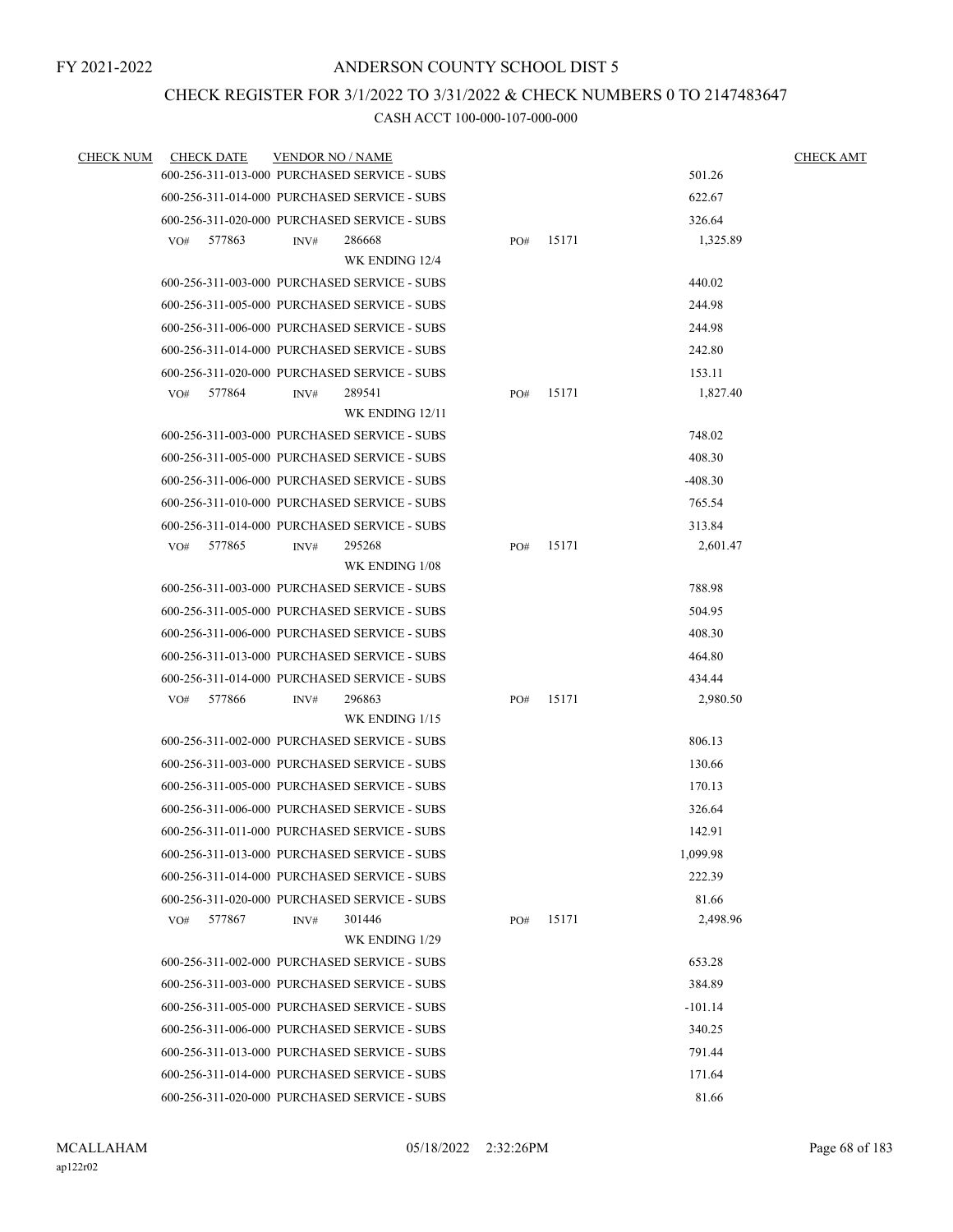### CHECK REGISTER FOR 3/1/2022 TO 3/31/2022 & CHECK NUMBERS 0 TO 2147483647

| <b>CHECK NUM</b> | <b>CHECK DATE</b> | <b>VENDOR NO / NAME</b>                      |     |       |           | <b>CHECK AMT</b> |
|------------------|-------------------|----------------------------------------------|-----|-------|-----------|------------------|
|                  |                   | 600-256-311-013-000 PURCHASED SERVICE - SUBS |     |       | 501.26    |                  |
|                  |                   | 600-256-311-014-000 PURCHASED SERVICE - SUBS |     |       | 622.67    |                  |
|                  |                   | 600-256-311-020-000 PURCHASED SERVICE - SUBS |     |       | 326.64    |                  |
|                  | 577863<br>VO#     | 286668<br>INV#                               | PO# | 15171 | 1,325.89  |                  |
|                  |                   | WK ENDING 12/4                               |     |       |           |                  |
|                  |                   | 600-256-311-003-000 PURCHASED SERVICE - SUBS |     |       | 440.02    |                  |
|                  |                   | 600-256-311-005-000 PURCHASED SERVICE - SUBS |     |       | 244.98    |                  |
|                  |                   | 600-256-311-006-000 PURCHASED SERVICE - SUBS |     |       | 244.98    |                  |
|                  |                   | 600-256-311-014-000 PURCHASED SERVICE - SUBS |     |       | 242.80    |                  |
|                  |                   | 600-256-311-020-000 PURCHASED SERVICE - SUBS |     |       | 153.11    |                  |
|                  | 577864<br>VO#     | 289541<br>INV#                               | PO# | 15171 | 1,827.40  |                  |
|                  |                   | WK ENDING 12/11                              |     |       |           |                  |
|                  |                   | 600-256-311-003-000 PURCHASED SERVICE - SUBS |     |       | 748.02    |                  |
|                  |                   | 600-256-311-005-000 PURCHASED SERVICE - SUBS |     |       | 408.30    |                  |
|                  |                   | 600-256-311-006-000 PURCHASED SERVICE - SUBS |     |       | $-408.30$ |                  |
|                  |                   | 600-256-311-010-000 PURCHASED SERVICE - SUBS |     |       | 765.54    |                  |
|                  |                   | 600-256-311-014-000 PURCHASED SERVICE - SUBS |     |       | 313.84    |                  |
|                  | 577865<br>VO#     | 295268<br>INV#                               | PO# | 15171 | 2,601.47  |                  |
|                  |                   | WK ENDING 1/08                               |     |       |           |                  |
|                  |                   | 600-256-311-003-000 PURCHASED SERVICE - SUBS |     |       | 788.98    |                  |
|                  |                   | 600-256-311-005-000 PURCHASED SERVICE - SUBS |     |       | 504.95    |                  |
|                  |                   | 600-256-311-006-000 PURCHASED SERVICE - SUBS |     |       | 408.30    |                  |
|                  |                   | 600-256-311-013-000 PURCHASED SERVICE - SUBS |     |       | 464.80    |                  |
|                  |                   | 600-256-311-014-000 PURCHASED SERVICE - SUBS |     |       | 434.44    |                  |
|                  | 577866<br>VO#     | 296863<br>INV#                               | PO# | 15171 | 2,980.50  |                  |
|                  |                   | WK ENDING 1/15                               |     |       |           |                  |
|                  |                   | 600-256-311-002-000 PURCHASED SERVICE - SUBS |     |       | 806.13    |                  |
|                  |                   | 600-256-311-003-000 PURCHASED SERVICE - SUBS |     |       | 130.66    |                  |
|                  |                   | 600-256-311-005-000 PURCHASED SERVICE - SUBS |     |       | 170.13    |                  |
|                  |                   | 600-256-311-006-000 PURCHASED SERVICE - SUBS |     |       | 326.64    |                  |
|                  |                   | 600-256-311-011-000 PURCHASED SERVICE - SUBS |     |       | 142.91    |                  |
|                  |                   | 600-256-311-013-000 PURCHASED SERVICE - SUBS |     |       | 1,099.98  |                  |
|                  |                   | 600-256-311-014-000 PURCHASED SERVICE - SUBS |     |       | 222.39    |                  |
|                  |                   | 600-256-311-020-000 PURCHASED SERVICE - SUBS |     |       | 81.66     |                  |
|                  | 577867<br>VO#     | 301446<br>INV#                               | PO# | 15171 | 2,498.96  |                  |
|                  |                   | WK ENDING 1/29                               |     |       |           |                  |
|                  |                   | 600-256-311-002-000 PURCHASED SERVICE - SUBS |     |       | 653.28    |                  |
|                  |                   | 600-256-311-003-000 PURCHASED SERVICE - SUBS |     |       | 384.89    |                  |
|                  |                   | 600-256-311-005-000 PURCHASED SERVICE - SUBS |     |       | $-101.14$ |                  |
|                  |                   | 600-256-311-006-000 PURCHASED SERVICE - SUBS |     |       | 340.25    |                  |
|                  |                   | 600-256-311-013-000 PURCHASED SERVICE - SUBS |     |       | 791.44    |                  |
|                  |                   | 600-256-311-014-000 PURCHASED SERVICE - SUBS |     |       | 171.64    |                  |
|                  |                   | 600-256-311-020-000 PURCHASED SERVICE - SUBS |     |       | 81.66     |                  |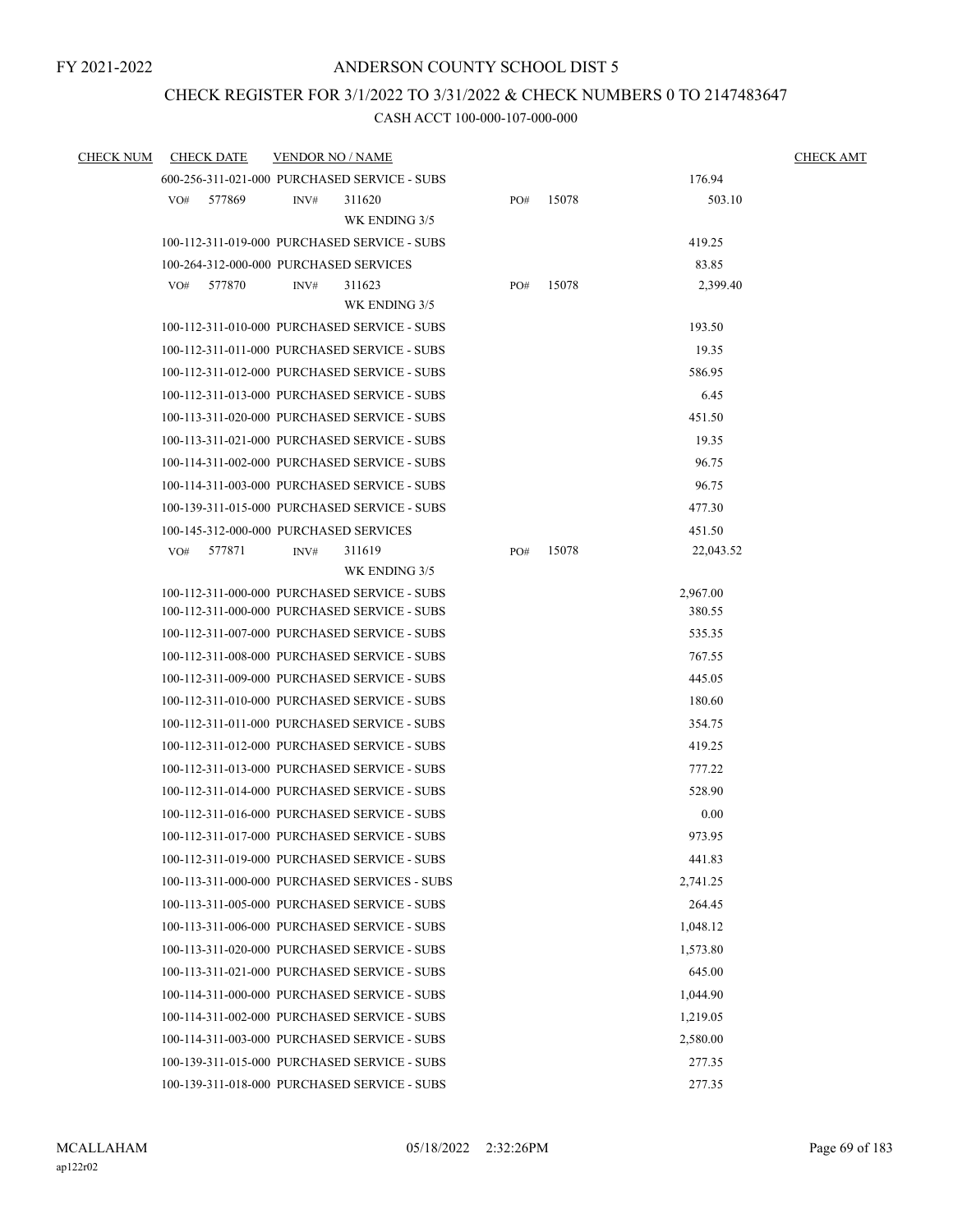### CHECK REGISTER FOR 3/1/2022 TO 3/31/2022 & CHECK NUMBERS 0 TO 2147483647

| <b>CHECK NUM</b> |     | <b>CHECK DATE</b> | <b>VENDOR NO / NAME</b> |                                               |     |       |           | <b>CHECK AMT</b> |
|------------------|-----|-------------------|-------------------------|-----------------------------------------------|-----|-------|-----------|------------------|
|                  |     |                   |                         | 600-256-311-021-000 PURCHASED SERVICE - SUBS  |     |       | 176.94    |                  |
|                  | VO# | 577869            | INV#                    | 311620<br>WK ENDING 3/5                       | PO# | 15078 | 503.10    |                  |
|                  |     |                   |                         | 100-112-311-019-000 PURCHASED SERVICE - SUBS  |     |       | 419.25    |                  |
|                  |     |                   |                         | 100-264-312-000-000 PURCHASED SERVICES        |     |       | 83.85     |                  |
|                  | VO# | 577870            | INV#                    | 311623                                        | PO# | 15078 | 2,399.40  |                  |
|                  |     |                   |                         | WK ENDING 3/5                                 |     |       |           |                  |
|                  |     |                   |                         | 100-112-311-010-000 PURCHASED SERVICE - SUBS  |     |       | 193.50    |                  |
|                  |     |                   |                         | 100-112-311-011-000 PURCHASED SERVICE - SUBS  |     |       | 19.35     |                  |
|                  |     |                   |                         | 100-112-311-012-000 PURCHASED SERVICE - SUBS  |     |       | 586.95    |                  |
|                  |     |                   |                         | 100-112-311-013-000 PURCHASED SERVICE - SUBS  |     |       | 6.45      |                  |
|                  |     |                   |                         | 100-113-311-020-000 PURCHASED SERVICE - SUBS  |     |       | 451.50    |                  |
|                  |     |                   |                         | 100-113-311-021-000 PURCHASED SERVICE - SUBS  |     |       | 19.35     |                  |
|                  |     |                   |                         | 100-114-311-002-000 PURCHASED SERVICE - SUBS  |     |       | 96.75     |                  |
|                  |     |                   |                         | 100-114-311-003-000 PURCHASED SERVICE - SUBS  |     |       | 96.75     |                  |
|                  |     |                   |                         | 100-139-311-015-000 PURCHASED SERVICE - SUBS  |     |       | 477.30    |                  |
|                  |     |                   |                         | 100-145-312-000-000 PURCHASED SERVICES        |     |       | 451.50    |                  |
|                  | VO# | 577871            | INV#                    | 311619                                        | PO# | 15078 | 22,043.52 |                  |
|                  |     |                   |                         | WK ENDING 3/5                                 |     |       |           |                  |
|                  |     |                   |                         | 100-112-311-000-000 PURCHASED SERVICE - SUBS  |     |       | 2,967.00  |                  |
|                  |     |                   |                         | 100-112-311-000-000 PURCHASED SERVICE - SUBS  |     |       | 380.55    |                  |
|                  |     |                   |                         | 100-112-311-007-000 PURCHASED SERVICE - SUBS  |     |       | 535.35    |                  |
|                  |     |                   |                         | 100-112-311-008-000 PURCHASED SERVICE - SUBS  |     |       | 767.55    |                  |
|                  |     |                   |                         | 100-112-311-009-000 PURCHASED SERVICE - SUBS  |     |       | 445.05    |                  |
|                  |     |                   |                         | 100-112-311-010-000 PURCHASED SERVICE - SUBS  |     |       | 180.60    |                  |
|                  |     |                   |                         | 100-112-311-011-000 PURCHASED SERVICE - SUBS  |     |       | 354.75    |                  |
|                  |     |                   |                         | 100-112-311-012-000 PURCHASED SERVICE - SUBS  |     |       | 419.25    |                  |
|                  |     |                   |                         | 100-112-311-013-000 PURCHASED SERVICE - SUBS  |     |       | 777.22    |                  |
|                  |     |                   |                         | 100-112-311-014-000 PURCHASED SERVICE - SUBS  |     |       | 528.90    |                  |
|                  |     |                   |                         | 100-112-311-016-000 PURCHASED SERVICE - SUBS  |     |       | 0.00      |                  |
|                  |     |                   |                         | 100-112-311-017-000 PURCHASED SERVICE - SUBS  |     |       | 973.95    |                  |
|                  |     |                   |                         | 100-112-311-019-000 PURCHASED SERVICE - SUBS  |     |       | 441.83    |                  |
|                  |     |                   |                         | 100-113-311-000-000 PURCHASED SERVICES - SUBS |     |       | 2,741.25  |                  |
|                  |     |                   |                         | 100-113-311-005-000 PURCHASED SERVICE - SUBS  |     |       | 264.45    |                  |
|                  |     |                   |                         | 100-113-311-006-000 PURCHASED SERVICE - SUBS  |     |       | 1,048.12  |                  |
|                  |     |                   |                         | 100-113-311-020-000 PURCHASED SERVICE - SUBS  |     |       | 1.573.80  |                  |
|                  |     |                   |                         | 100-113-311-021-000 PURCHASED SERVICE - SUBS  |     |       | 645.00    |                  |
|                  |     |                   |                         | 100-114-311-000-000 PURCHASED SERVICE - SUBS  |     |       | 1,044.90  |                  |
|                  |     |                   |                         | 100-114-311-002-000 PURCHASED SERVICE - SUBS  |     |       | 1,219.05  |                  |
|                  |     |                   |                         | 100-114-311-003-000 PURCHASED SERVICE - SUBS  |     |       | 2,580.00  |                  |
|                  |     |                   |                         | 100-139-311-015-000 PURCHASED SERVICE - SUBS  |     |       | 277.35    |                  |
|                  |     |                   |                         | 100-139-311-018-000 PURCHASED SERVICE - SUBS  |     |       | 277.35    |                  |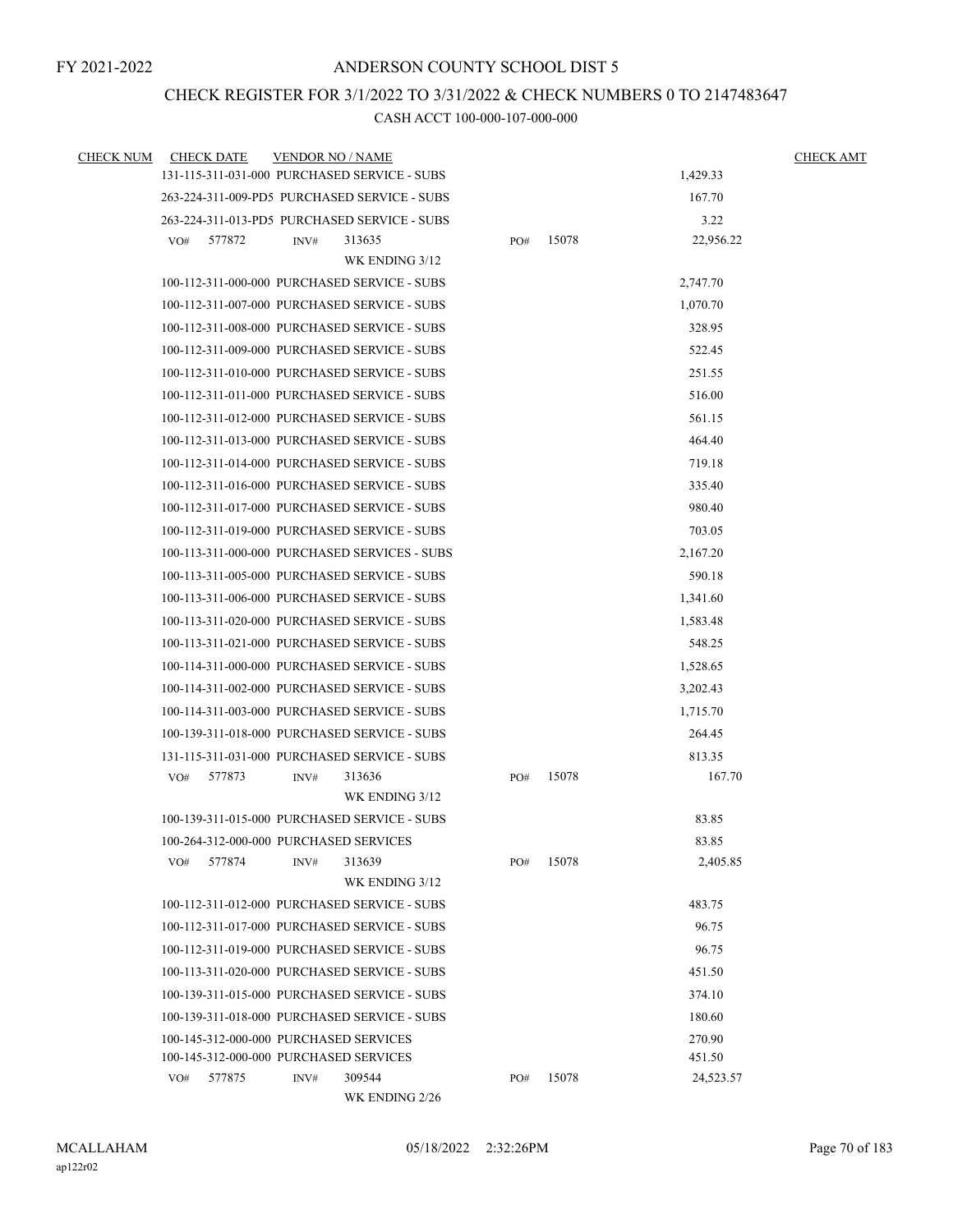## CHECK REGISTER FOR 3/1/2022 TO 3/31/2022 & CHECK NUMBERS 0 TO 2147483647

| <b>CHECK NUM</b> | <b>CHECK DATE</b> |        | <b>VENDOR NO / NAME</b> |                                               |     |       |           | <b>CHECK AMT</b> |
|------------------|-------------------|--------|-------------------------|-----------------------------------------------|-----|-------|-----------|------------------|
|                  |                   |        |                         | 131-115-311-031-000 PURCHASED SERVICE - SUBS  |     |       | 1,429.33  |                  |
|                  |                   |        |                         | 263-224-311-009-PD5 PURCHASED SERVICE - SUBS  |     |       | 167.70    |                  |
|                  |                   |        |                         | 263-224-311-013-PD5 PURCHASED SERVICE - SUBS  |     |       | 3.22      |                  |
|                  | VO#               | 577872 | INV#                    | 313635                                        | PO# | 15078 | 22,956.22 |                  |
|                  |                   |        |                         | WK ENDING 3/12                                |     |       |           |                  |
|                  |                   |        |                         | 100-112-311-000-000 PURCHASED SERVICE - SUBS  |     |       | 2,747.70  |                  |
|                  |                   |        |                         | 100-112-311-007-000 PURCHASED SERVICE - SUBS  |     |       | 1,070.70  |                  |
|                  |                   |        |                         | 100-112-311-008-000 PURCHASED SERVICE - SUBS  |     |       | 328.95    |                  |
|                  |                   |        |                         | 100-112-311-009-000 PURCHASED SERVICE - SUBS  |     |       | 522.45    |                  |
|                  |                   |        |                         | 100-112-311-010-000 PURCHASED SERVICE - SUBS  |     |       | 251.55    |                  |
|                  |                   |        |                         | 100-112-311-011-000 PURCHASED SERVICE - SUBS  |     |       | 516.00    |                  |
|                  |                   |        |                         | 100-112-311-012-000 PURCHASED SERVICE - SUBS  |     |       | 561.15    |                  |
|                  |                   |        |                         | 100-112-311-013-000 PURCHASED SERVICE - SUBS  |     |       | 464.40    |                  |
|                  |                   |        |                         | 100-112-311-014-000 PURCHASED SERVICE - SUBS  |     |       | 719.18    |                  |
|                  |                   |        |                         | 100-112-311-016-000 PURCHASED SERVICE - SUBS  |     |       | 335.40    |                  |
|                  |                   |        |                         | 100-112-311-017-000 PURCHASED SERVICE - SUBS  |     |       | 980.40    |                  |
|                  |                   |        |                         | 100-112-311-019-000 PURCHASED SERVICE - SUBS  |     |       | 703.05    |                  |
|                  |                   |        |                         | 100-113-311-000-000 PURCHASED SERVICES - SUBS |     |       | 2,167.20  |                  |
|                  |                   |        |                         | 100-113-311-005-000 PURCHASED SERVICE - SUBS  |     |       | 590.18    |                  |
|                  |                   |        |                         | 100-113-311-006-000 PURCHASED SERVICE - SUBS  |     |       | 1,341.60  |                  |
|                  |                   |        |                         | 100-113-311-020-000 PURCHASED SERVICE - SUBS  |     |       | 1,583.48  |                  |
|                  |                   |        |                         | 100-113-311-021-000 PURCHASED SERVICE - SUBS  |     |       | 548.25    |                  |
|                  |                   |        |                         | 100-114-311-000-000 PURCHASED SERVICE - SUBS  |     |       | 1,528.65  |                  |
|                  |                   |        |                         | 100-114-311-002-000 PURCHASED SERVICE - SUBS  |     |       | 3,202.43  |                  |
|                  |                   |        |                         | 100-114-311-003-000 PURCHASED SERVICE - SUBS  |     |       | 1,715.70  |                  |
|                  |                   |        |                         | 100-139-311-018-000 PURCHASED SERVICE - SUBS  |     |       | 264.45    |                  |
|                  |                   |        |                         | 131-115-311-031-000 PURCHASED SERVICE - SUBS  |     |       | 813.35    |                  |
|                  | VO#               | 577873 | INV#                    | 313636                                        | PO# | 15078 | 167.70    |                  |
|                  |                   |        |                         | WK ENDING 3/12                                |     |       |           |                  |
|                  |                   |        |                         | 100-139-311-015-000 PURCHASED SERVICE - SUBS  |     |       | 83.85     |                  |
|                  |                   |        |                         | 100-264-312-000-000 PURCHASED SERVICES        |     |       | 83.85     |                  |
|                  | VO#               | 577874 | INV#                    | 313639                                        | PO# | 15078 | 2,405.85  |                  |
|                  |                   |        |                         | WK ENDING 3/12                                |     |       |           |                  |
|                  |                   |        |                         | 100-112-311-012-000 PURCHASED SERVICE - SUBS  |     |       | 483.75    |                  |
|                  |                   |        |                         | 100-112-311-017-000 PURCHASED SERVICE - SUBS  |     |       | 96.75     |                  |
|                  |                   |        |                         | 100-112-311-019-000 PURCHASED SERVICE - SUBS  |     |       | 96.75     |                  |
|                  |                   |        |                         | 100-113-311-020-000 PURCHASED SERVICE - SUBS  |     |       | 451.50    |                  |
|                  |                   |        |                         | 100-139-311-015-000 PURCHASED SERVICE - SUBS  |     |       | 374.10    |                  |
|                  |                   |        |                         | 100-139-311-018-000 PURCHASED SERVICE - SUBS  |     |       | 180.60    |                  |
|                  |                   |        |                         | 100-145-312-000-000 PURCHASED SERVICES        |     |       | 270.90    |                  |
|                  |                   |        |                         | 100-145-312-000-000 PURCHASED SERVICES        |     |       | 451.50    |                  |
|                  | VO#               | 577875 | INV#                    | 309544<br>WK ENDING 2/26                      | PO# | 15078 | 24,523.57 |                  |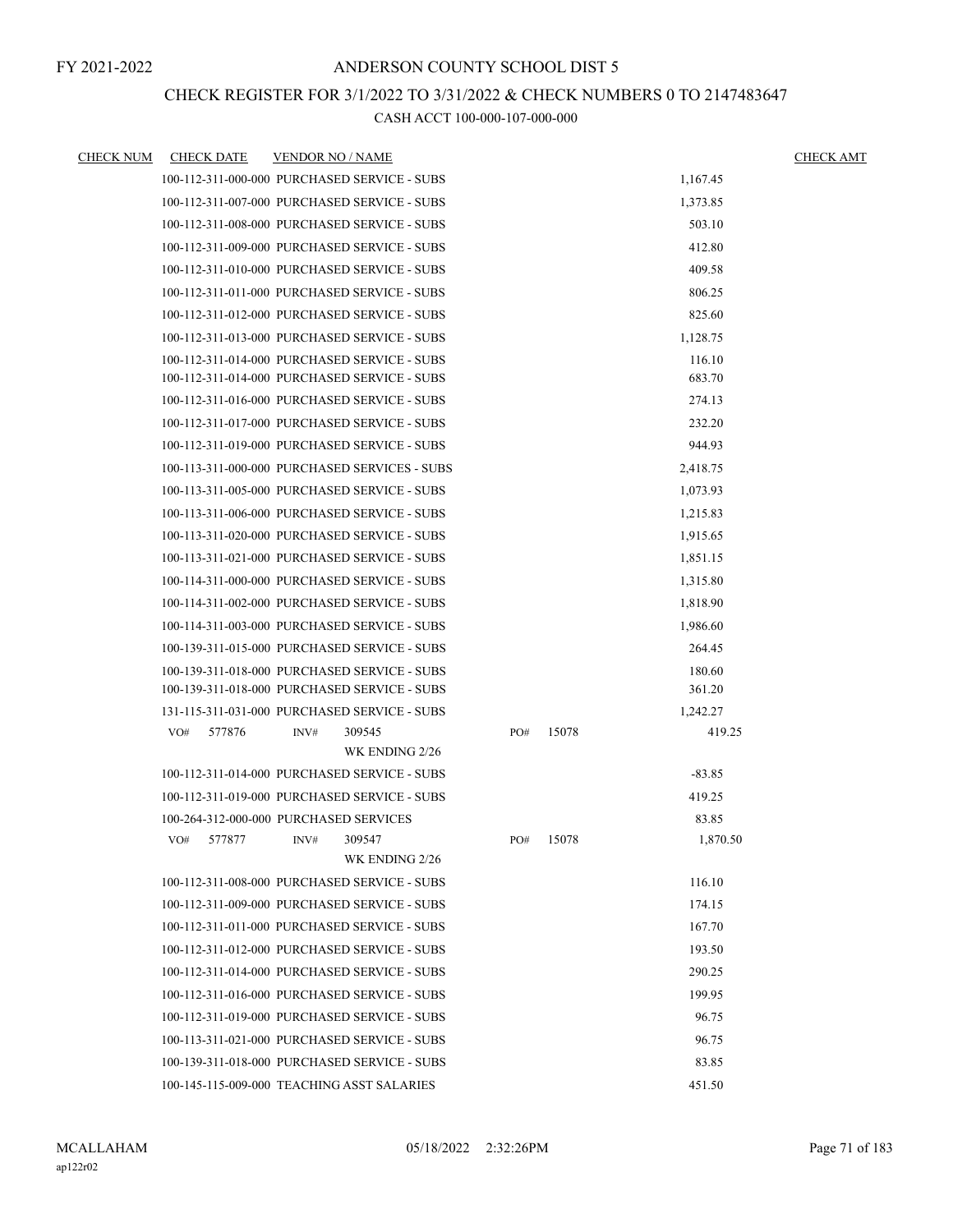### CHECK REGISTER FOR 3/1/2022 TO 3/31/2022 & CHECK NUMBERS 0 TO 2147483647

| CHECK NUM | <b>CHECK DATE</b>                            | <b>VENDOR NO / NAME</b> |                                               |     |       |          | <b>CHECK AMT</b> |
|-----------|----------------------------------------------|-------------------------|-----------------------------------------------|-----|-------|----------|------------------|
|           | 100-112-311-000-000 PURCHASED SERVICE - SUBS |                         |                                               |     |       | 1,167.45 |                  |
|           | 100-112-311-007-000 PURCHASED SERVICE - SUBS |                         |                                               |     |       | 1,373.85 |                  |
|           | 100-112-311-008-000 PURCHASED SERVICE - SUBS |                         |                                               |     |       | 503.10   |                  |
|           | 100-112-311-009-000 PURCHASED SERVICE - SUBS |                         |                                               |     |       | 412.80   |                  |
|           | 100-112-311-010-000 PURCHASED SERVICE - SUBS |                         |                                               |     |       | 409.58   |                  |
|           | 100-112-311-011-000 PURCHASED SERVICE - SUBS |                         |                                               |     |       | 806.25   |                  |
|           | 100-112-311-012-000 PURCHASED SERVICE - SUBS |                         |                                               |     |       | 825.60   |                  |
|           | 100-112-311-013-000 PURCHASED SERVICE - SUBS |                         |                                               |     |       | 1,128.75 |                  |
|           | 100-112-311-014-000 PURCHASED SERVICE - SUBS |                         |                                               |     |       | 116.10   |                  |
|           | 100-112-311-014-000 PURCHASED SERVICE - SUBS |                         |                                               |     |       | 683.70   |                  |
|           | 100-112-311-016-000 PURCHASED SERVICE - SUBS |                         |                                               |     |       | 274.13   |                  |
|           | 100-112-311-017-000 PURCHASED SERVICE - SUBS |                         |                                               |     |       | 232.20   |                  |
|           | 100-112-311-019-000 PURCHASED SERVICE - SUBS |                         |                                               |     |       | 944.93   |                  |
|           |                                              |                         | 100-113-311-000-000 PURCHASED SERVICES - SUBS |     |       | 2,418.75 |                  |
|           | 100-113-311-005-000 PURCHASED SERVICE - SUBS |                         |                                               |     |       | 1,073.93 |                  |
|           | 100-113-311-006-000 PURCHASED SERVICE - SUBS |                         |                                               |     |       | 1,215.83 |                  |
|           | 100-113-311-020-000 PURCHASED SERVICE - SUBS |                         |                                               |     |       | 1,915.65 |                  |
|           | 100-113-311-021-000 PURCHASED SERVICE - SUBS |                         |                                               |     |       | 1,851.15 |                  |
|           | 100-114-311-000-000 PURCHASED SERVICE - SUBS |                         |                                               |     |       | 1,315.80 |                  |
|           | 100-114-311-002-000 PURCHASED SERVICE - SUBS |                         |                                               |     |       | 1,818.90 |                  |
|           | 100-114-311-003-000 PURCHASED SERVICE - SUBS |                         |                                               |     |       | 1,986.60 |                  |
|           | 100-139-311-015-000 PURCHASED SERVICE - SUBS |                         |                                               |     |       | 264.45   |                  |
|           | 100-139-311-018-000 PURCHASED SERVICE - SUBS |                         |                                               |     |       | 180.60   |                  |
|           | 100-139-311-018-000 PURCHASED SERVICE - SUBS |                         |                                               |     |       | 361.20   |                  |
|           | 131-115-311-031-000 PURCHASED SERVICE - SUBS |                         |                                               |     |       | 1,242.27 |                  |
|           | VO#<br>577876                                | INV#                    | 309545                                        | PO# | 15078 | 419.25   |                  |
|           |                                              |                         | WK ENDING 2/26                                |     |       |          |                  |
|           | 100-112-311-014-000 PURCHASED SERVICE - SUBS |                         |                                               |     |       | $-83.85$ |                  |
|           | 100-112-311-019-000 PURCHASED SERVICE - SUBS |                         |                                               |     |       | 419.25   |                  |
|           | 100-264-312-000-000 PURCHASED SERVICES       |                         |                                               |     |       | 83.85    |                  |
|           | 577877<br>VO#                                | INV#                    | 309547                                        | PO# | 15078 | 1,870.50 |                  |
|           |                                              |                         | WK ENDING 2/26                                |     |       |          |                  |
|           | 100-112-311-008-000 PURCHASED SERVICE - SUBS |                         |                                               |     |       | 116.10   |                  |
|           | 100-112-311-009-000 PURCHASED SERVICE - SUBS |                         |                                               |     |       | 174.15   |                  |
|           | 100-112-311-011-000 PURCHASED SERVICE - SUBS |                         |                                               |     |       | 167.70   |                  |
|           | 100-112-311-012-000 PURCHASED SERVICE - SUBS |                         |                                               |     |       | 193.50   |                  |
|           | 100-112-311-014-000 PURCHASED SERVICE - SUBS |                         |                                               |     |       | 290.25   |                  |
|           | 100-112-311-016-000 PURCHASED SERVICE - SUBS |                         |                                               |     |       | 199.95   |                  |
|           | 100-112-311-019-000 PURCHASED SERVICE - SUBS |                         |                                               |     |       | 96.75    |                  |
|           | 100-113-311-021-000 PURCHASED SERVICE - SUBS |                         |                                               |     |       | 96.75    |                  |
|           | 100-139-311-018-000 PURCHASED SERVICE - SUBS |                         |                                               |     |       | 83.85    |                  |
|           | 100-145-115-009-000 TEACHING ASST SALARIES   |                         |                                               |     |       | 451.50   |                  |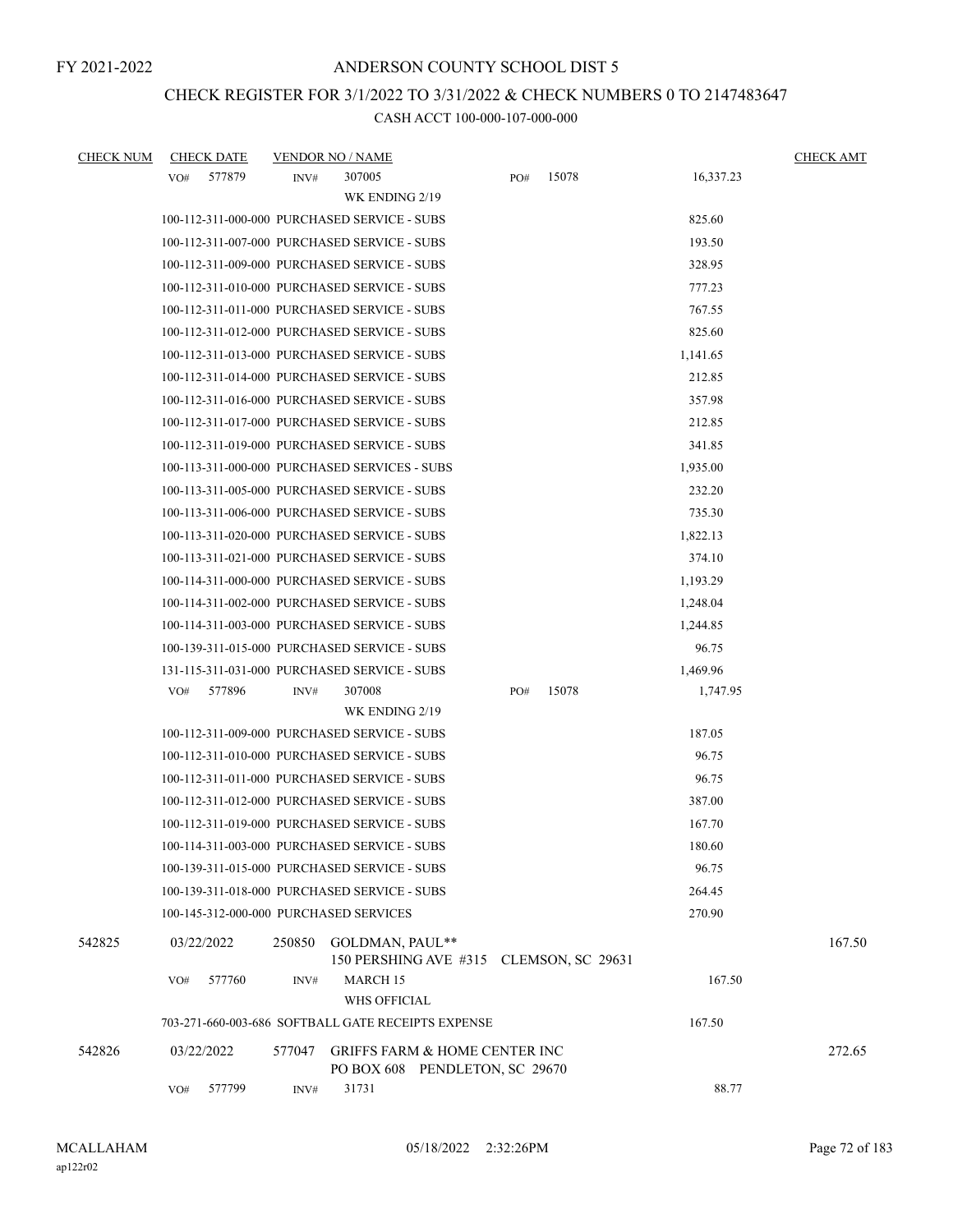### CHECK REGISTER FOR 3/1/2022 TO 3/31/2022 & CHECK NUMBERS 0 TO 2147483647

| <b>CHECK NUM</b> | <b>CHECK DATE</b> | <b>VENDOR NO / NAME</b>                                                              |                                         |           | <b>CHECK AMT</b> |
|------------------|-------------------|--------------------------------------------------------------------------------------|-----------------------------------------|-----------|------------------|
|                  | 577879<br>VO#     | 307005<br>INV#                                                                       | 15078<br>PO#                            | 16,337.23 |                  |
|                  |                   | WK ENDING 2/19                                                                       |                                         |           |                  |
|                  |                   | 100-112-311-000-000 PURCHASED SERVICE - SUBS                                         |                                         | 825.60    |                  |
|                  |                   | 100-112-311-007-000 PURCHASED SERVICE - SUBS                                         |                                         | 193.50    |                  |
|                  |                   | 100-112-311-009-000 PURCHASED SERVICE - SUBS                                         |                                         | 328.95    |                  |
|                  |                   | 100-112-311-010-000 PURCHASED SERVICE - SUBS                                         |                                         | 777.23    |                  |
|                  |                   | 100-112-311-011-000 PURCHASED SERVICE - SUBS                                         |                                         | 767.55    |                  |
|                  |                   | 100-112-311-012-000 PURCHASED SERVICE - SUBS                                         |                                         | 825.60    |                  |
|                  |                   | 100-112-311-013-000 PURCHASED SERVICE - SUBS                                         |                                         | 1,141.65  |                  |
|                  |                   | 100-112-311-014-000 PURCHASED SERVICE - SUBS                                         |                                         | 212.85    |                  |
|                  |                   | 100-112-311-016-000 PURCHASED SERVICE - SUBS                                         |                                         | 357.98    |                  |
|                  |                   | 100-112-311-017-000 PURCHASED SERVICE - SUBS                                         |                                         | 212.85    |                  |
|                  |                   | 100-112-311-019-000 PURCHASED SERVICE - SUBS                                         |                                         | 341.85    |                  |
|                  |                   | 100-113-311-000-000 PURCHASED SERVICES - SUBS                                        |                                         | 1,935.00  |                  |
|                  |                   | 100-113-311-005-000 PURCHASED SERVICE - SUBS                                         |                                         | 232.20    |                  |
|                  |                   | 100-113-311-006-000 PURCHASED SERVICE - SUBS                                         |                                         | 735.30    |                  |
|                  |                   | 100-113-311-020-000 PURCHASED SERVICE - SUBS                                         |                                         | 1,822.13  |                  |
|                  |                   | 100-113-311-021-000 PURCHASED SERVICE - SUBS                                         |                                         | 374.10    |                  |
|                  |                   | 100-114-311-000-000 PURCHASED SERVICE - SUBS                                         |                                         | 1,193.29  |                  |
|                  |                   | 100-114-311-002-000 PURCHASED SERVICE - SUBS                                         |                                         | 1,248.04  |                  |
|                  |                   | 100-114-311-003-000 PURCHASED SERVICE - SUBS                                         |                                         | 1,244.85  |                  |
|                  |                   | 100-139-311-015-000 PURCHASED SERVICE - SUBS                                         |                                         | 96.75     |                  |
|                  |                   | 131-115-311-031-000 PURCHASED SERVICE - SUBS                                         |                                         | 1,469.96  |                  |
|                  | 577896<br>VO#     | 307008<br>INV#                                                                       | 15078<br>PO#                            | 1,747.95  |                  |
|                  |                   | WK ENDING 2/19                                                                       |                                         |           |                  |
|                  |                   | 100-112-311-009-000 PURCHASED SERVICE - SUBS                                         |                                         | 187.05    |                  |
|                  |                   | 100-112-311-010-000 PURCHASED SERVICE - SUBS                                         |                                         | 96.75     |                  |
|                  |                   | 100-112-311-011-000 PURCHASED SERVICE - SUBS                                         |                                         | 96.75     |                  |
|                  |                   | 100-112-311-012-000 PURCHASED SERVICE - SUBS                                         |                                         | 387.00    |                  |
|                  |                   | 100-112-311-019-000 PURCHASED SERVICE - SUBS                                         |                                         | 167.70    |                  |
|                  |                   | 100-114-311-003-000 PURCHASED SERVICE - SUBS                                         |                                         | 180.60    |                  |
|                  |                   | 100-139-311-015-000 PURCHASED SERVICE - SUBS                                         |                                         | 96.75     |                  |
|                  |                   | 100-139-311-018-000 PURCHASED SERVICE - SUBS                                         |                                         | 264.45    |                  |
|                  |                   | 100-145-312-000-000 PURCHASED SERVICES                                               |                                         | 270.90    |                  |
| 542825           | 03/22/2022        | GOLDMAN, PAUL**<br>250850                                                            | 150 PERSHING AVE #315 CLEMSON, SC 29631 |           | 167.50           |
|                  | 577760<br>VO#     | INV#<br><b>MARCH 15</b><br>WHS OFFICIAL                                              |                                         | 167.50    |                  |
|                  |                   | 703-271-660-003-686 SOFTBALL GATE RECEIPTS EXPENSE                                   |                                         | 167.50    |                  |
| 542826           | 03/22/2022        | <b>GRIFFS FARM &amp; HOME CENTER INC</b><br>577047<br>PO BOX 608 PENDLETON, SC 29670 |                                         |           | 272.65           |
|                  | 577799<br>VO#     | 31731<br>INV#                                                                        |                                         | 88.77     |                  |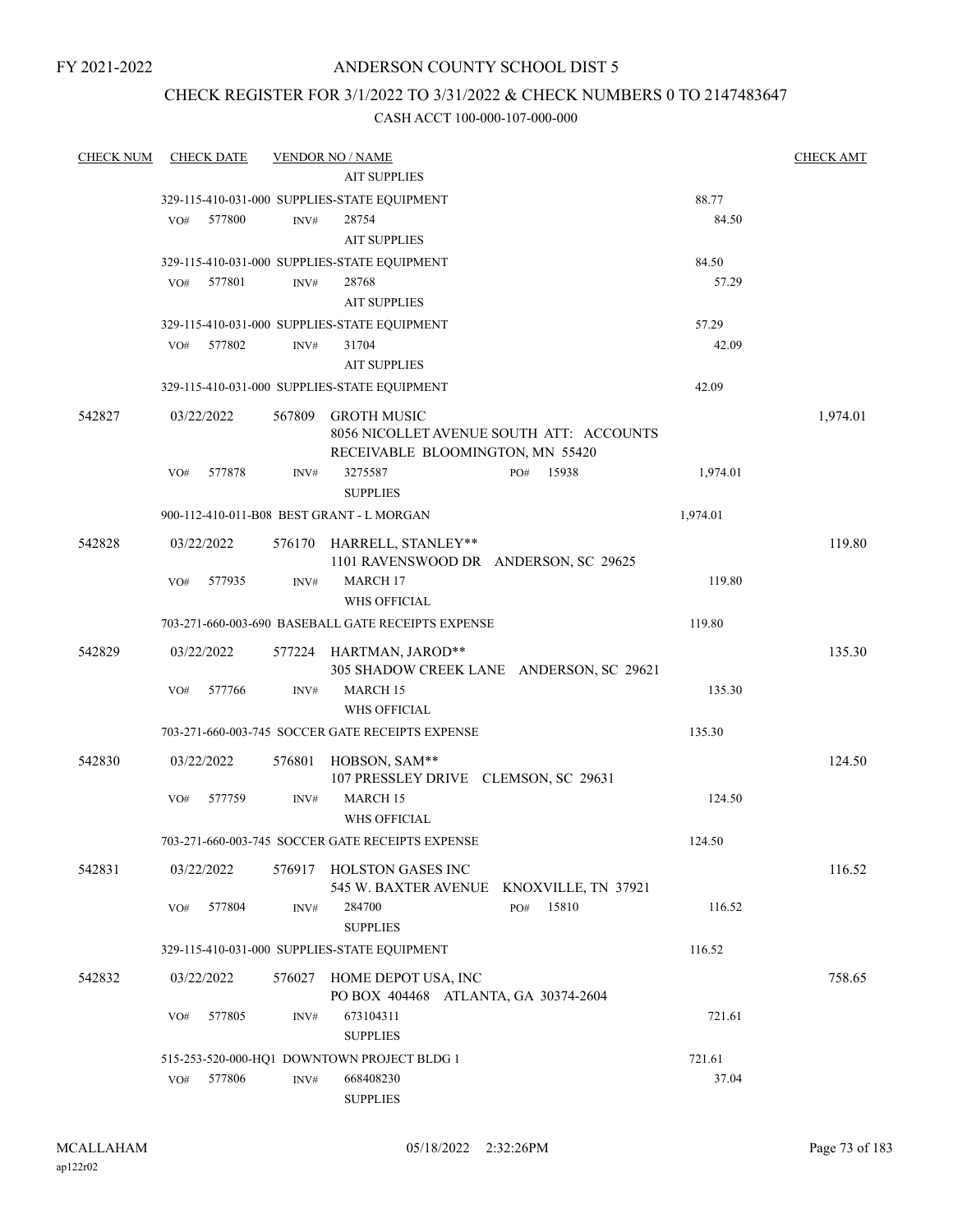# ANDERSON COUNTY SCHOOL DIST 5

# CHECK REGISTER FOR 3/1/2022 TO 3/31/2022 & CHECK NUMBERS 0 TO 2147483647

| <b>CHECK NUM</b> | <b>CHECK DATE</b> |        | <b>VENDOR NO / NAME</b>                            |                                          |          | <b>CHECK AMT</b> |
|------------------|-------------------|--------|----------------------------------------------------|------------------------------------------|----------|------------------|
|                  |                   |        | <b>AIT SUPPLIES</b>                                |                                          |          |                  |
|                  |                   |        | 329-115-410-031-000 SUPPLIES-STATE EQUIPMENT       |                                          | 88.77    |                  |
|                  | VO#<br>577800     | INV#   | 28754                                              |                                          | 84.50    |                  |
|                  |                   |        | <b>AIT SUPPLIES</b>                                |                                          |          |                  |
|                  |                   |        | 329-115-410-031-000 SUPPLIES-STATE EQUIPMENT       |                                          | 84.50    |                  |
|                  | 577801<br>VO#     | INV#   | 28768                                              |                                          | 57.29    |                  |
|                  |                   |        | <b>AIT SUPPLIES</b>                                |                                          |          |                  |
|                  |                   |        | 329-115-410-031-000 SUPPLIES-STATE EQUIPMENT       |                                          | 57.29    |                  |
|                  | 577802<br>VO#     | INV#   | 31704                                              |                                          | 42.09    |                  |
|                  |                   |        | <b>AIT SUPPLIES</b>                                |                                          |          |                  |
|                  |                   |        | 329-115-410-031-000 SUPPLIES-STATE EQUIPMENT       |                                          | 42.09    |                  |
| 542827           | 03/22/2022        | 567809 | <b>GROTH MUSIC</b>                                 |                                          |          |                  |
|                  |                   |        |                                                    | 8056 NICOLLET AVENUE SOUTH ATT: ACCOUNTS |          | 1,974.01         |
|                  |                   |        | RECEIVABLE BLOOMINGTON, MN 55420                   |                                          |          |                  |
|                  | 577878<br>VO#     | INV#   | 3275587                                            | 15938<br>PO#                             | 1,974.01 |                  |
|                  |                   |        | <b>SUPPLIES</b>                                    |                                          |          |                  |
|                  |                   |        | 900-112-410-011-B08 BEST GRANT - L MORGAN          |                                          | 1,974.01 |                  |
| 542828           | 03/22/2022        |        | 576170 HARRELL, STANLEY**                          |                                          |          | 119.80           |
|                  |                   |        | 1101 RAVENSWOOD DR ANDERSON, SC 29625              |                                          |          |                  |
|                  | 577935<br>VO#     | INV#   | MARCH <sub>17</sub>                                |                                          | 119.80   |                  |
|                  |                   |        | <b>WHS OFFICIAL</b>                                |                                          |          |                  |
|                  |                   |        | 703-271-660-003-690 BASEBALL GATE RECEIPTS EXPENSE |                                          | 119.80   |                  |
|                  |                   |        |                                                    |                                          |          |                  |
| 542829           | 03/22/2022        |        | 577224 HARTMAN, JAROD**                            |                                          |          | 135.30           |
|                  | 577766<br>VO#     | INV#   | MARCH 15                                           | 305 SHADOW CREEK LANE ANDERSON, SC 29621 | 135.30   |                  |
|                  |                   |        | <b>WHS OFFICIAL</b>                                |                                          |          |                  |
|                  |                   |        | 703-271-660-003-745 SOCCER GATE RECEIPTS EXPENSE   |                                          | 135.30   |                  |
|                  |                   |        |                                                    |                                          |          |                  |
| 542830           | 03/22/2022        | 576801 | HOBSON, SAM**                                      |                                          |          | 124.50           |
|                  |                   |        | 107 PRESSLEY DRIVE CLEMSON, SC 29631               |                                          |          |                  |
|                  | 577759<br>VO#     | INV#   | MARCH 15                                           |                                          | 124.50   |                  |
|                  |                   |        | WHS OFFICIAL                                       |                                          |          |                  |
|                  |                   |        | 703-271-660-003-745 SOCCER GATE RECEIPTS EXPENSE   |                                          | 124.50   |                  |
| 542831           | 03/22/2022        |        | 576917 HOLSTON GASES INC                           |                                          |          | 116.52           |
|                  |                   |        |                                                    | 545 W. BAXTER AVENUE KNOXVILLE, TN 37921 |          |                  |
|                  | 577804<br>VO#     | INV#   | 284700                                             | 15810<br>PO#                             | 116.52   |                  |
|                  |                   |        | <b>SUPPLIES</b>                                    |                                          |          |                  |
|                  |                   |        | 329-115-410-031-000 SUPPLIES-STATE EQUIPMENT       |                                          | 116.52   |                  |
| 542832           | 03/22/2022        |        | 576027 HOME DEPOT USA, INC                         |                                          |          | 758.65           |
|                  |                   |        | PO BOX 404468 ATLANTA, GA 30374-2604               |                                          |          |                  |
|                  | 577805<br>VO#     | INV#   | 673104311                                          |                                          | 721.61   |                  |
|                  |                   |        | <b>SUPPLIES</b>                                    |                                          |          |                  |
|                  |                   |        | 515-253-520-000-HQ1 DOWNTOWN PROJECT BLDG 1        |                                          | 721.61   |                  |
|                  | 577806<br>VO#     | INV#   | 668408230                                          |                                          | 37.04    |                  |
|                  |                   |        | <b>SUPPLIES</b>                                    |                                          |          |                  |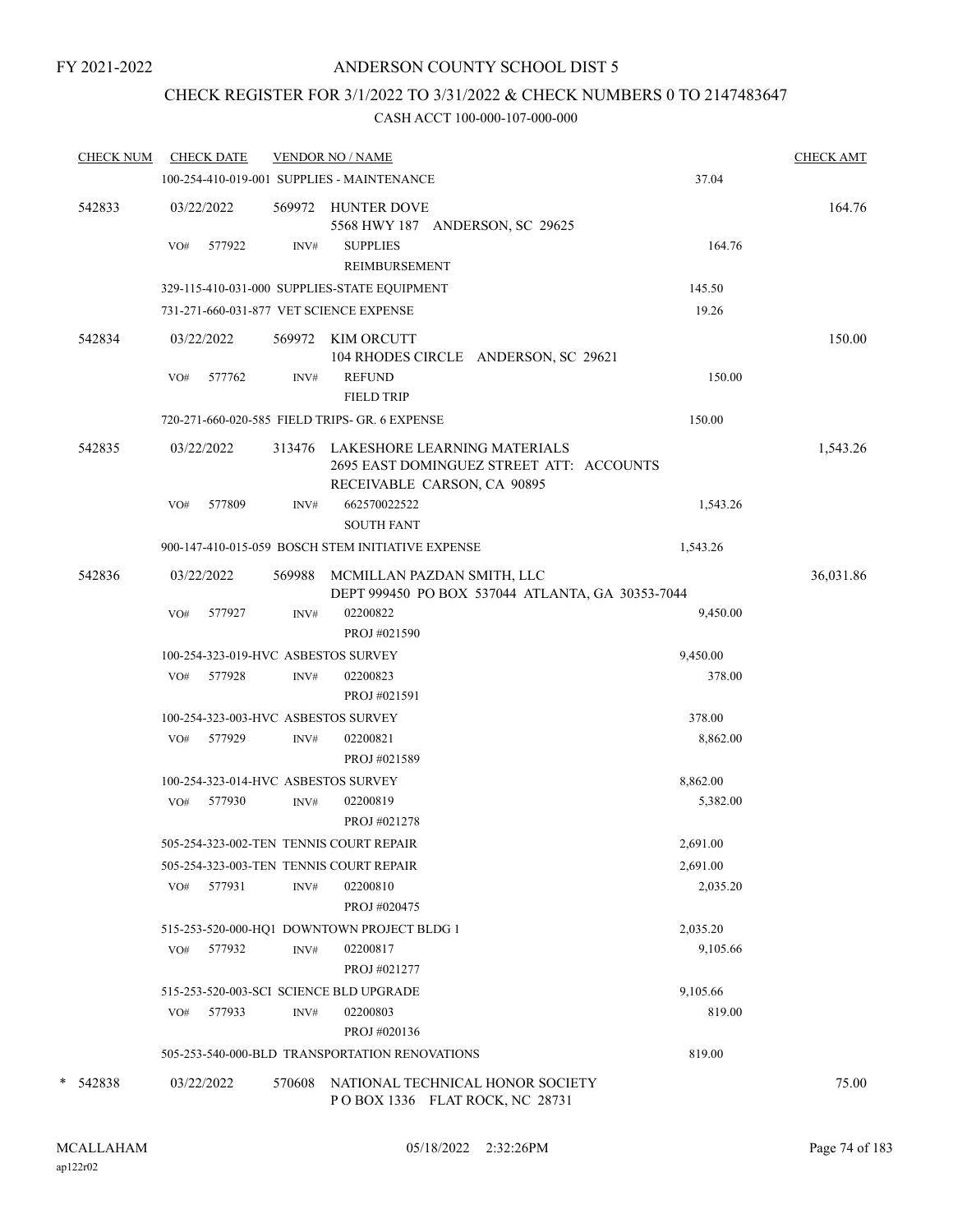# CHECK REGISTER FOR 3/1/2022 TO 3/31/2022 & CHECK NUMBERS 0 TO 2147483647

|             | <b>CHECK NUM</b> |     | <b>CHECK DATE</b> |        | <b>VENDOR NO / NAME</b>                                                                                        |          | <b>CHECK AMT</b> |
|-------------|------------------|-----|-------------------|--------|----------------------------------------------------------------------------------------------------------------|----------|------------------|
|             |                  |     |                   |        | 100-254-410-019-001 SUPPLIES - MAINTENANCE                                                                     | 37.04    |                  |
| 542833      |                  |     | 03/22/2022        |        | 569972 HUNTER DOVE<br>5568 HWY 187 ANDERSON, SC 29625                                                          |          | 164.76           |
|             |                  | VO# | 577922            | INV#   | <b>SUPPLIES</b><br>REIMBURSEMENT                                                                               | 164.76   |                  |
|             |                  |     |                   |        | 329-115-410-031-000 SUPPLIES-STATE EQUIPMENT                                                                   | 145.50   |                  |
|             |                  |     |                   |        | 731-271-660-031-877 VET SCIENCE EXPENSE                                                                        | 19.26    |                  |
| 542834      |                  |     | 03/22/2022        | 569972 | KIM ORCUTT<br>104 RHODES CIRCLE ANDERSON, SC 29621                                                             |          | 150.00           |
|             |                  | VO# | 577762            | INV#   | <b>REFUND</b><br><b>FIELD TRIP</b>                                                                             | 150.00   |                  |
|             |                  |     |                   |        | 720-271-660-020-585 FIELD TRIPS- GR. 6 EXPENSE                                                                 | 150.00   |                  |
| 542835      |                  |     | 03/22/2022        |        | 313476 LAKESHORE LEARNING MATERIALS<br>2695 EAST DOMINGUEZ STREET ATT: ACCOUNTS<br>RECEIVABLE CARSON, CA 90895 |          | 1,543.26         |
|             |                  | VO# | 577809            | INV#   | 662570022522<br><b>SOUTH FANT</b>                                                                              | 1,543.26 |                  |
|             |                  |     |                   |        | 900-147-410-015-059 BOSCH STEM INITIATIVE EXPENSE                                                              | 1,543.26 |                  |
| 542836      |                  |     | 03/22/2022        | 569988 | MCMILLAN PAZDAN SMITH, LLC<br>DEPT 999450 PO BOX 537044 ATLANTA, GA 30353-7044                                 |          | 36,031.86        |
|             |                  | VO# | 577927            | INV#   | 02200822<br>PROJ #021590                                                                                       | 9,450.00 |                  |
|             |                  |     |                   |        | 100-254-323-019-HVC ASBESTOS SURVEY                                                                            | 9,450.00 |                  |
|             |                  | VO# | 577928            | INV#   | 02200823<br>PROJ #021591                                                                                       | 378.00   |                  |
|             |                  |     |                   |        | 100-254-323-003-HVC ASBESTOS SURVEY                                                                            | 378.00   |                  |
|             |                  |     | VO# 577929        | INV#   | 02200821<br>PROJ #021589                                                                                       | 8,862.00 |                  |
|             |                  |     |                   |        | 100-254-323-014-HVC ASBESTOS SURVEY                                                                            | 8,862.00 |                  |
|             |                  | VO# | 577930            | INV#   | 02200819<br>PROJ #021278                                                                                       | 5,382.00 |                  |
|             |                  |     |                   |        | 505-254-323-002-TEN TENNIS COURT REPAIR                                                                        | 2,691.00 |                  |
|             |                  |     |                   |        | 505-254-323-003-TEN TENNIS COURT REPAIR                                                                        | 2,691.00 |                  |
|             |                  |     | VO# 577931        | INV#   | 02200810<br>PROJ #020475                                                                                       | 2,035.20 |                  |
|             |                  |     |                   |        | 515-253-520-000-HQ1 DOWNTOWN PROJECT BLDG 1                                                                    | 2,035.20 |                  |
|             |                  |     | VO# 577932        | INV#   | 02200817<br>PROJ #021277                                                                                       | 9,105.66 |                  |
|             |                  |     |                   |        | 515-253-520-003-SCI SCIENCE BLD UPGRADE                                                                        | 9,105.66 |                  |
|             |                  | VO# | 577933            | INV#   | 02200803<br>PROJ #020136                                                                                       | 819.00   |                  |
|             |                  |     |                   |        | 505-253-540-000-BLD TRANSPORTATION RENOVATIONS                                                                 | 819.00   |                  |
| 542838<br>* |                  |     | 03/22/2022        | 570608 | NATIONAL TECHNICAL HONOR SOCIETY<br>POBOX 1336 FLAT ROCK, NC 28731                                             |          | 75.00            |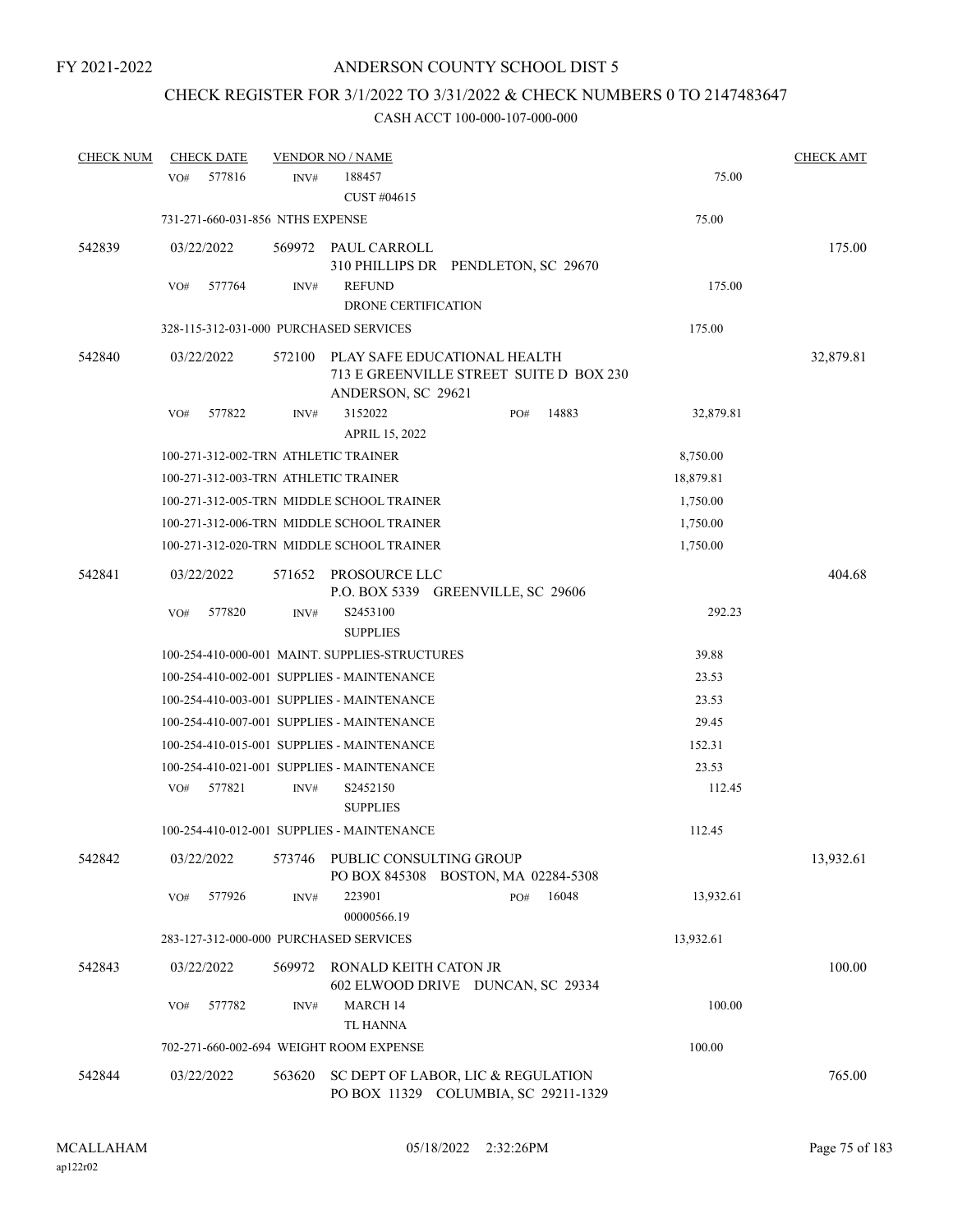# CHECK REGISTER FOR 3/1/2022 TO 3/31/2022 & CHECK NUMBERS 0 TO 2147483647

| <b>CHECK NUM</b> | <b>CHECK DATE</b>                    |        | <b>VENDOR NO / NAME</b>                        |                                                                         |           | <b>CHECK AMT</b> |
|------------------|--------------------------------------|--------|------------------------------------------------|-------------------------------------------------------------------------|-----------|------------------|
|                  | 577816<br>VO#                        | INV#   | 188457<br>CUST #04615                          |                                                                         | 75.00     |                  |
|                  | 731-271-660-031-856 NTHS EXPENSE     |        |                                                |                                                                         | 75.00     |                  |
| 542839           | 03/22/2022                           | 569972 | PAUL CARROLL                                   | 310 PHILLIPS DR PENDLETON, SC 29670                                     |           | 175.00           |
|                  | 577764<br>VO#                        | INV#   | <b>REFUND</b><br><b>DRONE CERTIFICATION</b>    |                                                                         | 175.00    |                  |
|                  |                                      |        | 328-115-312-031-000 PURCHASED SERVICES         |                                                                         | 175.00    |                  |
| 542840           | 03/22/2022                           | 572100 | ANDERSON, SC 29621                             | PLAY SAFE EDUCATIONAL HEALTH<br>713 E GREENVILLE STREET SUITE D BOX 230 |           | 32,879.81        |
|                  | 577822<br>VO#                        | INV#   | 3152022<br>APRIL 15, 2022                      | 14883<br>PO#                                                            | 32,879.81 |                  |
|                  | 100-271-312-002-TRN ATHLETIC TRAINER |        |                                                |                                                                         | 8,750.00  |                  |
|                  | 100-271-312-003-TRN ATHLETIC TRAINER |        |                                                |                                                                         | 18,879.81 |                  |
|                  |                                      |        | 100-271-312-005-TRN MIDDLE SCHOOL TRAINER      |                                                                         | 1,750.00  |                  |
|                  |                                      |        | 100-271-312-006-TRN MIDDLE SCHOOL TRAINER      |                                                                         | 1,750.00  |                  |
|                  |                                      |        | 100-271-312-020-TRN MIDDLE SCHOOL TRAINER      |                                                                         | 1,750.00  |                  |
| 542841           | 03/22/2022                           | 571652 | PROSOURCE LLC                                  | P.O. BOX 5339 GREENVILLE, SC 29606                                      |           | 404.68           |
|                  | VO#<br>577820                        | INV#   | S2453100<br><b>SUPPLIES</b>                    |                                                                         | 292.23    |                  |
|                  |                                      |        | 100-254-410-000-001 MAINT. SUPPLIES-STRUCTURES |                                                                         | 39.88     |                  |
|                  |                                      |        | 100-254-410-002-001 SUPPLIES - MAINTENANCE     |                                                                         | 23.53     |                  |
|                  |                                      |        | 100-254-410-003-001 SUPPLIES - MAINTENANCE     |                                                                         | 23.53     |                  |
|                  |                                      |        | 100-254-410-007-001 SUPPLIES - MAINTENANCE     |                                                                         | 29.45     |                  |
|                  |                                      |        | 100-254-410-015-001 SUPPLIES - MAINTENANCE     |                                                                         | 152.31    |                  |
|                  |                                      |        | 100-254-410-021-001 SUPPLIES - MAINTENANCE     |                                                                         | 23.53     |                  |
|                  | 577821<br>VO#                        | INV#   | S2452150<br><b>SUPPLIES</b>                    |                                                                         | 112.45    |                  |
|                  |                                      |        | 100-254-410-012-001 SUPPLIES - MAINTENANCE     |                                                                         | 112.45    |                  |
| 542842           | 03/22/2022                           | 573746 | PUBLIC CONSULTING GROUP                        | PO BOX 845308 BOSTON, MA 02284-5308                                     |           | 13,932.61        |
|                  | 577926<br>VO#                        | INV#   | 223901<br>00000566.19                          | 16048<br>PO#                                                            | 13,932.61 |                  |
|                  |                                      |        | 283-127-312-000-000 PURCHASED SERVICES         |                                                                         | 13,932.61 |                  |
| 542843           | 03/22/2022                           | 569972 | RONALD KEITH CATON JR                          | 602 ELWOOD DRIVE DUNCAN, SC 29334                                       |           | 100.00           |
|                  | 577782<br>VO#                        | INV#   | MARCH 14<br><b>TL HANNA</b>                    |                                                                         | 100.00    |                  |
|                  |                                      |        | 702-271-660-002-694 WEIGHT ROOM EXPENSE        |                                                                         | 100.00    |                  |
| 542844           | 03/22/2022                           | 563620 |                                                | SC DEPT OF LABOR, LIC & REGULATION                                      |           | 765.00           |
|                  |                                      |        |                                                | PO BOX 11329 COLUMBIA, SC 29211-1329                                    |           |                  |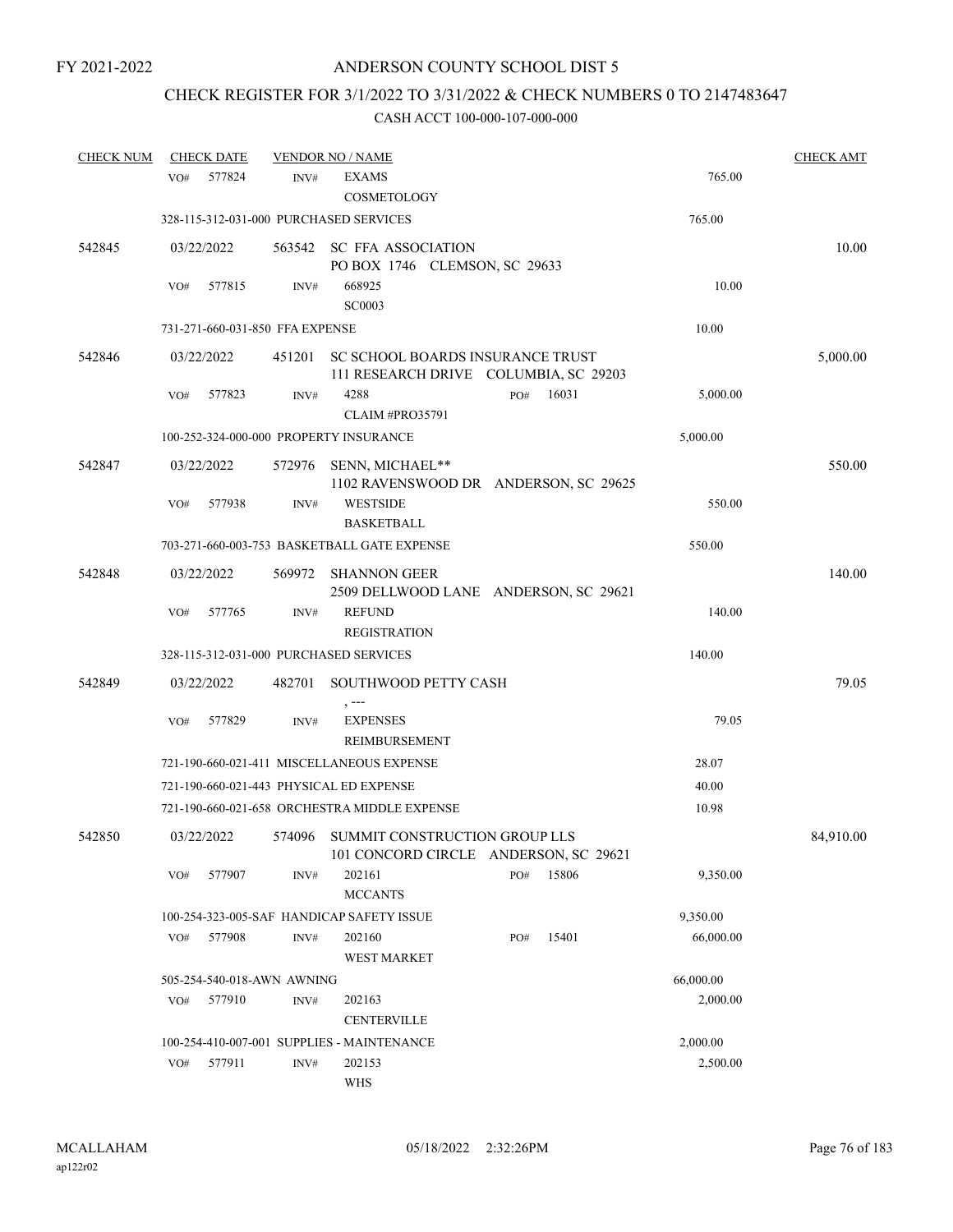# CHECK REGISTER FOR 3/1/2022 TO 3/31/2022 & CHECK NUMBERS 0 TO 2147483647

| <b>CHECK NUM</b> |     | <b>CHECK DATE</b> |                                 | <b>VENDOR NO / NAME</b>                                                          |     |       |           | <b>CHECK AMT</b> |
|------------------|-----|-------------------|---------------------------------|----------------------------------------------------------------------------------|-----|-------|-----------|------------------|
|                  | VO# | 577824            | INV#                            | <b>EXAMS</b><br>COSMETOLOGY                                                      |     |       | 765.00    |                  |
|                  |     |                   |                                 | 328-115-312-031-000 PURCHASED SERVICES                                           |     |       | 765.00    |                  |
| 542845           |     | 03/22/2022        |                                 | 563542 SC FFA ASSOCIATION<br>PO BOX 1746 CLEMSON, SC 29633                       |     |       |           | 10.00            |
|                  | VO# | 577815            | INV#                            | 668925<br><b>SC0003</b>                                                          |     |       | 10.00     |                  |
|                  |     |                   | 731-271-660-031-850 FFA EXPENSE |                                                                                  |     |       | 10.00     |                  |
| 542846           |     | 03/22/2022        |                                 | 451201 SC SCHOOL BOARDS INSURANCE TRUST<br>111 RESEARCH DRIVE COLUMBIA, SC 29203 |     |       |           | 5,000.00         |
|                  | VO# | 577823            | INV#                            | 4288<br><b>CLAIM #PRO35791</b>                                                   | PO# | 16031 | 5,000.00  |                  |
|                  |     |                   |                                 | 100-252-324-000-000 PROPERTY INSURANCE                                           |     |       | 5,000.00  |                  |
| 542847           |     | 03/22/2022        | 572976                          | SENN, MICHAEL**<br>1102 RAVENSWOOD DR ANDERSON, SC 29625                         |     |       |           | 550.00           |
|                  | VO# | 577938            | INV#                            | <b>WESTSIDE</b><br><b>BASKETBALL</b>                                             |     |       | 550.00    |                  |
|                  |     |                   |                                 | 703-271-660-003-753 BASKETBALL GATE EXPENSE                                      |     |       | 550.00    |                  |
| 542848           |     | 03/22/2022        | 569972                          | <b>SHANNON GEER</b><br>2509 DELLWOOD LANE ANDERSON, SC 29621                     |     |       |           | 140.00           |
|                  | VO# | 577765            | INV#                            | <b>REFUND</b>                                                                    |     |       | 140.00    |                  |
|                  |     |                   |                                 | <b>REGISTRATION</b>                                                              |     |       |           |                  |
|                  |     |                   |                                 | 328-115-312-031-000 PURCHASED SERVICES                                           |     |       | 140.00    |                  |
| 542849           |     | 03/22/2022        | 482701                          | SOUTHWOOD PETTY CASH<br>, ---                                                    |     |       |           | 79.05            |
|                  | VO# | 577829            | INV#                            | <b>EXPENSES</b><br><b>REIMBURSEMENT</b>                                          |     |       | 79.05     |                  |
|                  |     |                   |                                 | 721-190-660-021-411 MISCELLANEOUS EXPENSE                                        |     |       | 28.07     |                  |
|                  |     |                   |                                 | 721-190-660-021-443 PHYSICAL ED EXPENSE                                          |     |       | 40.00     |                  |
|                  |     |                   |                                 | 721-190-660-021-658 ORCHESTRA MIDDLE EXPENSE                                     |     |       | 10.98     |                  |
| 542850           |     | 03/22/2022        |                                 | 574096 SUMMIT CONSTRUCTION GROUP LLS<br>101 CONCORD CIRCLE ANDERSON, SC 29621    |     |       |           | 84,910.00        |
|                  | VO# | 577907            | INV#                            | 202161<br><b>MCCANTS</b>                                                         | PO# | 15806 | 9,350.00  |                  |
|                  |     |                   |                                 | 100-254-323-005-SAF HANDICAP SAFETY ISSUE                                        |     |       | 9,350.00  |                  |
|                  | VO# | 577908            | $\text{INV}\#$                  | 202160<br><b>WEST MARKET</b>                                                     | PO# | 15401 | 66,000.00 |                  |
|                  |     |                   | 505-254-540-018-AWN AWNING      |                                                                                  |     |       | 66,000.00 |                  |
|                  | VO# | 577910            | INV#                            | 202163<br><b>CENTERVILLE</b>                                                     |     |       | 2,000.00  |                  |
|                  |     |                   |                                 | 100-254-410-007-001 SUPPLIES - MAINTENANCE                                       |     |       | 2,000.00  |                  |
|                  | VO# | 577911            | INV#                            | 202153<br><b>WHS</b>                                                             |     |       | 2,500.00  |                  |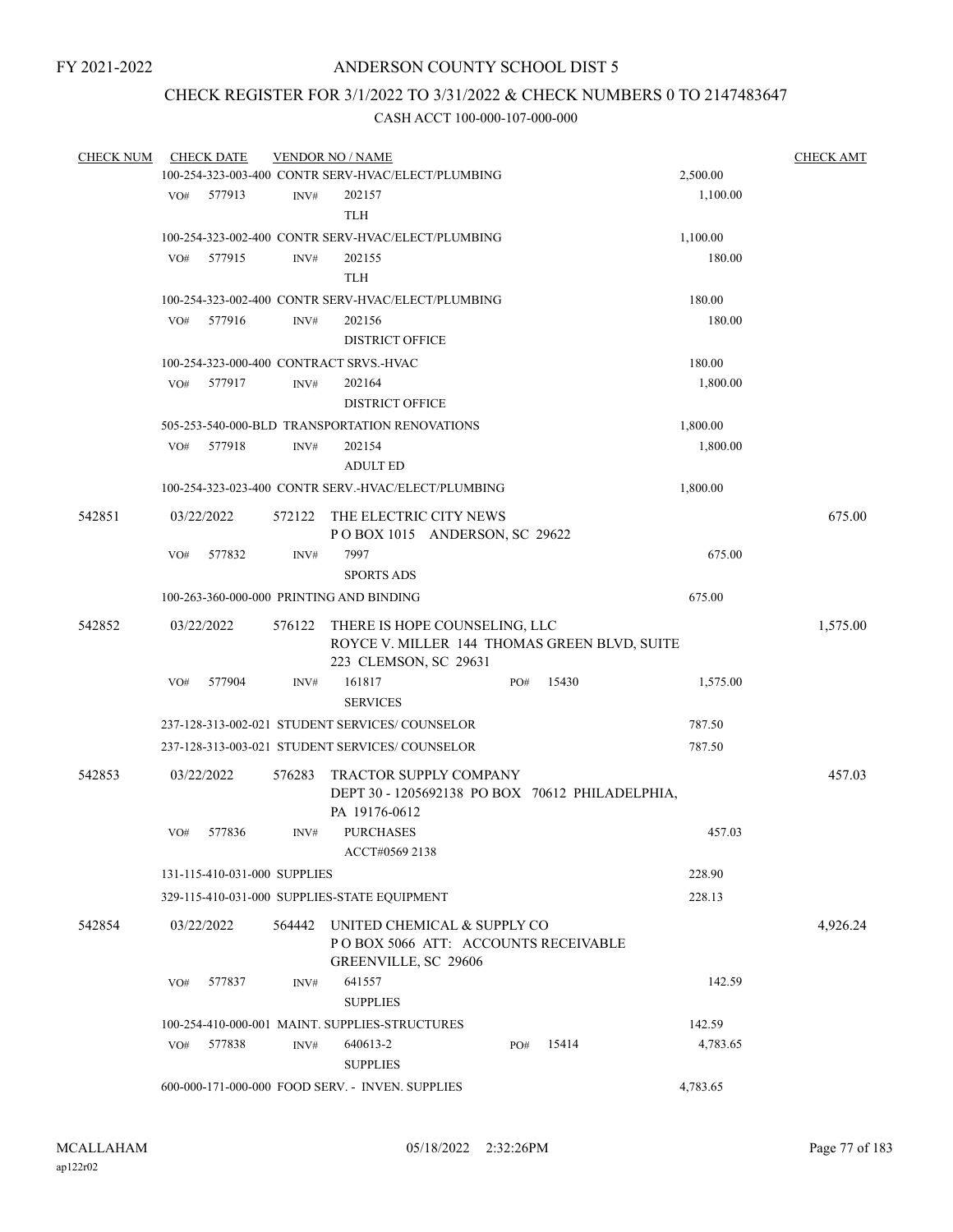# CHECK REGISTER FOR 3/1/2022 TO 3/31/2022 & CHECK NUMBERS 0 TO 2147483647

| <b>CHECK NUM</b> |     | <b>CHECK DATE</b>            |                | <b>VENDOR NO / NAME</b><br>100-254-323-003-400 CONTR SERV-HVAC/ELECT/PLUMBING                          |     |        | 2,500.00 | <b>CHECK AMT</b> |
|------------------|-----|------------------------------|----------------|--------------------------------------------------------------------------------------------------------|-----|--------|----------|------------------|
|                  |     | 577913                       |                | 202157                                                                                                 |     |        |          |                  |
|                  | VO# |                              | $\text{INV}\#$ | <b>TLH</b>                                                                                             |     |        | 1,100.00 |                  |
|                  |     |                              |                | 100-254-323-002-400 CONTR SERV-HVAC/ELECT/PLUMBING                                                     |     |        | 1,100.00 |                  |
|                  | VO# | 577915                       | INV#           | 202155                                                                                                 |     |        | 180.00   |                  |
|                  |     |                              |                | <b>TLH</b>                                                                                             |     |        |          |                  |
|                  |     |                              |                | 100-254-323-002-400 CONTR SERV-HVAC/ELECT/PLUMBING                                                     |     | 180.00 |          |                  |
|                  | VO# | 577916                       | INV#           | 202156<br><b>DISTRICT OFFICE</b>                                                                       |     |        | 180.00   |                  |
|                  |     |                              |                | 100-254-323-000-400 CONTRACT SRVS.-HVAC                                                                |     |        | 180.00   |                  |
|                  | VO# | 577917                       | INV#           | 202164                                                                                                 |     |        | 1,800.00 |                  |
|                  |     |                              |                | <b>DISTRICT OFFICE</b>                                                                                 |     |        |          |                  |
|                  |     |                              |                | 505-253-540-000-BLD TRANSPORTATION RENOVATIONS                                                         |     |        | 1,800.00 |                  |
|                  | VO# | 577918                       | INV#           | 202154                                                                                                 |     |        | 1,800.00 |                  |
|                  |     |                              |                | <b>ADULT ED</b>                                                                                        |     |        |          |                  |
|                  |     |                              |                | 100-254-323-023-400 CONTR SERV.-HVAC/ELECT/PLUMBING                                                    |     |        | 1,800.00 |                  |
| 542851           |     | 03/22/2022                   | 572122         | THE ELECTRIC CITY NEWS<br>POBOX 1015 ANDERSON, SC 29622                                                |     |        |          | 675.00           |
|                  | VO# | 577832                       | INV#           | 7997<br><b>SPORTS ADS</b>                                                                              |     |        | 675.00   |                  |
|                  |     |                              |                | 100-263-360-000-000 PRINTING AND BINDING                                                               |     |        | 675.00   |                  |
| 542852           |     | 03/22/2022                   | 576122         | THERE IS HOPE COUNSELING, LLC<br>ROYCE V. MILLER 144 THOMAS GREEN BLVD, SUITE<br>223 CLEMSON, SC 29631 |     |        |          | 1,575.00         |
|                  | VO# | 577904                       | INV#           | 161817<br><b>SERVICES</b>                                                                              | PO# | 15430  | 1,575.00 |                  |
|                  |     |                              |                | 237-128-313-002-021 STUDENT SERVICES/ COUNSELOR                                                        |     |        | 787.50   |                  |
|                  |     |                              |                | 237-128-313-003-021 STUDENT SERVICES/ COUNSELOR                                                        |     |        | 787.50   |                  |
| 542853           |     | 03/22/2022                   | 576283         | TRACTOR SUPPLY COMPANY<br>DEPT 30 - 1205692138 PO BOX 70612 PHILADELPHIA,<br>PA 19176-0612             |     |        |          | 457.03           |
|                  | VO# | 577836                       | INV#           | <b>PURCHASES</b><br>ACCT#0569 2138                                                                     |     |        | 457.03   |                  |
|                  |     | 131-115-410-031-000 SUPPLIES |                |                                                                                                        |     |        | 228.90   |                  |
|                  |     |                              |                | 329-115-410-031-000 SUPPLIES-STATE EQUIPMENT                                                           |     |        | 228.13   |                  |
| 542854           |     | 03/22/2022                   | 564442         | UNITED CHEMICAL & SUPPLY CO<br>POBOX 5066 ATT: ACCOUNTS RECEIVABLE<br>GREENVILLE, SC 29606             |     |        |          | 4,926.24         |
|                  | VO# | 577837                       | INV#           | 641557<br><b>SUPPLIES</b>                                                                              |     |        | 142.59   |                  |
|                  |     |                              |                | 100-254-410-000-001 MAINT. SUPPLIES-STRUCTURES                                                         |     |        | 142.59   |                  |
|                  | VO# | 577838                       | INV#           | 640613-2<br><b>SUPPLIES</b>                                                                            | PO# | 15414  | 4,783.65 |                  |
|                  |     |                              |                | 600-000-171-000-000 FOOD SERV. - INVEN. SUPPLIES                                                       |     |        | 4,783.65 |                  |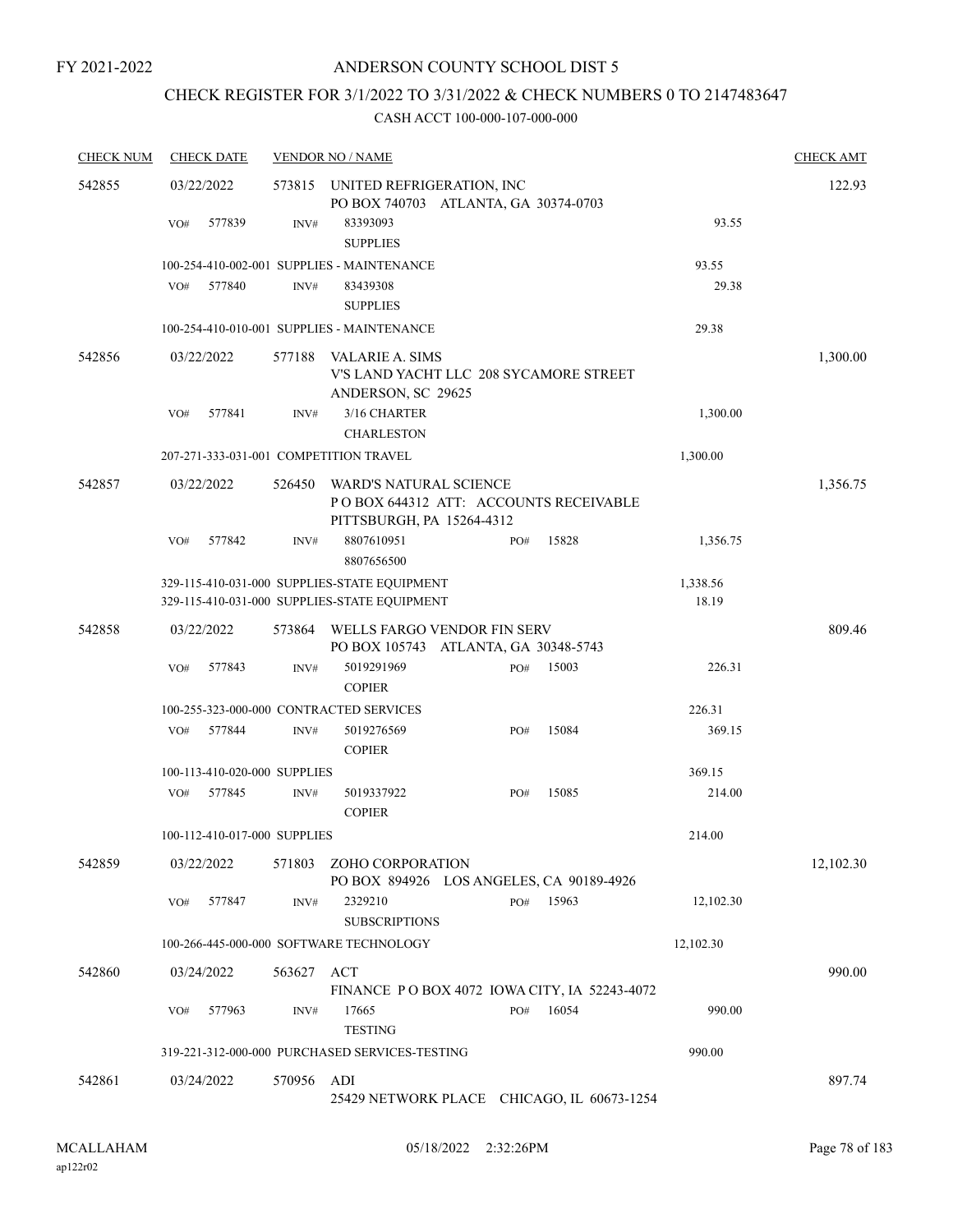# CHECK REGISTER FOR 3/1/2022 TO 3/31/2022 & CHECK NUMBERS 0 TO 2147483647

| <b>CHECK NUM</b> | <b>CHECK DATE</b>                      |            | <b>VENDOR NO / NAME</b>                                                                      |     |       |           | <b>CHECK AMT</b> |
|------------------|----------------------------------------|------------|----------------------------------------------------------------------------------------------|-----|-------|-----------|------------------|
| 542855           | 03/22/2022                             | 573815     | UNITED REFRIGERATION, INC<br>PO BOX 740703 ATLANTA, GA 30374-0703                            |     |       |           | 122.93           |
|                  | 577839<br>VO#                          | INV#       | 83393093<br><b>SUPPLIES</b>                                                                  |     |       | 93.55     |                  |
|                  |                                        |            | 100-254-410-002-001 SUPPLIES - MAINTENANCE                                                   |     |       | 93.55     |                  |
|                  | 577840<br>VO#                          | INV#       | 83439308                                                                                     |     |       | 29.38     |                  |
|                  |                                        |            | <b>SUPPLIES</b>                                                                              |     |       |           |                  |
|                  |                                        |            | 100-254-410-010-001 SUPPLIES - MAINTENANCE                                                   |     |       | 29.38     |                  |
| 542856           | 03/22/2022                             | 577188     | VALARIE A. SIMS<br>V'S LAND YACHT LLC 208 SYCAMORE STREET<br>ANDERSON, SC 29625              |     |       |           | 1,300.00         |
|                  | 577841<br>VO#                          | INV#       | 3/16 CHARTER                                                                                 |     |       | 1,300.00  |                  |
|                  |                                        |            | <b>CHARLESTON</b>                                                                            |     |       |           |                  |
|                  | 207-271-333-031-001 COMPETITION TRAVEL |            |                                                                                              |     |       | 1,300.00  |                  |
| 542857           | 03/22/2022                             | 526450     | WARD'S NATURAL SCIENCE<br>POBOX 644312 ATT: ACCOUNTS RECEIVABLE<br>PITTSBURGH, PA 15264-4312 |     |       |           | 1,356.75         |
|                  | 577842<br>VO#                          | INV#       | 8807610951<br>8807656500                                                                     | PO# | 15828 | 1,356.75  |                  |
|                  |                                        |            | 329-115-410-031-000 SUPPLIES-STATE EQUIPMENT                                                 |     |       | 1,338.56  |                  |
|                  |                                        |            | 329-115-410-031-000 SUPPLIES-STATE EQUIPMENT                                                 |     |       | 18.19     |                  |
| 542858           | 03/22/2022                             | 573864     | WELLS FARGO VENDOR FIN SERV<br>PO BOX 105743 ATLANTA, GA 30348-5743                          |     |       |           | 809.46           |
|                  | 577843<br>VO#                          | INV#       | 5019291969                                                                                   | PO# | 15003 | 226.31    |                  |
|                  |                                        |            | <b>COPIER</b>                                                                                |     |       |           |                  |
|                  |                                        |            | 100-255-323-000-000 CONTRACTED SERVICES                                                      |     |       | 226.31    |                  |
|                  | 577844<br>VO#                          | INV#       | 5019276569<br><b>COPIER</b>                                                                  | PO# | 15084 | 369.15    |                  |
|                  | 100-113-410-020-000 SUPPLIES           |            |                                                                                              |     |       | 369.15    |                  |
|                  | 577845<br>VO#                          | INV#       | 5019337922<br><b>COPIER</b>                                                                  | PO# | 15085 | 214.00    |                  |
|                  | 100-112-410-017-000 SUPPLIES           |            |                                                                                              |     |       | 214.00    |                  |
| 542859           | 03/22/2022                             | 571803     | ZOHO CORPORATION<br>PO BOX 894926 LOS ANGELES, CA 90189-4926                                 |     |       |           | 12,102.30        |
|                  | 577847<br>VO#                          | INV#       | 2329210<br><b>SUBSCRIPTIONS</b>                                                              | PO# | 15963 | 12,102.30 |                  |
|                  |                                        |            | 100-266-445-000-000 SOFTWARE TECHNOLOGY                                                      |     |       | 12,102.30 |                  |
| 542860           | 03/24/2022                             | 563627 ACT |                                                                                              |     |       |           | 990.00           |
|                  |                                        |            | FINANCE PO BOX 4072 IOWA CITY, IA 52243-4072                                                 |     |       |           |                  |
|                  | 577963<br>VO#                          | INV#       | 17665<br><b>TESTING</b>                                                                      | PO# | 16054 | 990.00    |                  |
|                  |                                        |            | 319-221-312-000-000 PURCHASED SERVICES-TESTING                                               |     |       | 990.00    |                  |
| 542861           | 03/24/2022                             | 570956     | ADI<br>25429 NETWORK PLACE CHICAGO, IL 60673-1254                                            |     |       |           | 897.74           |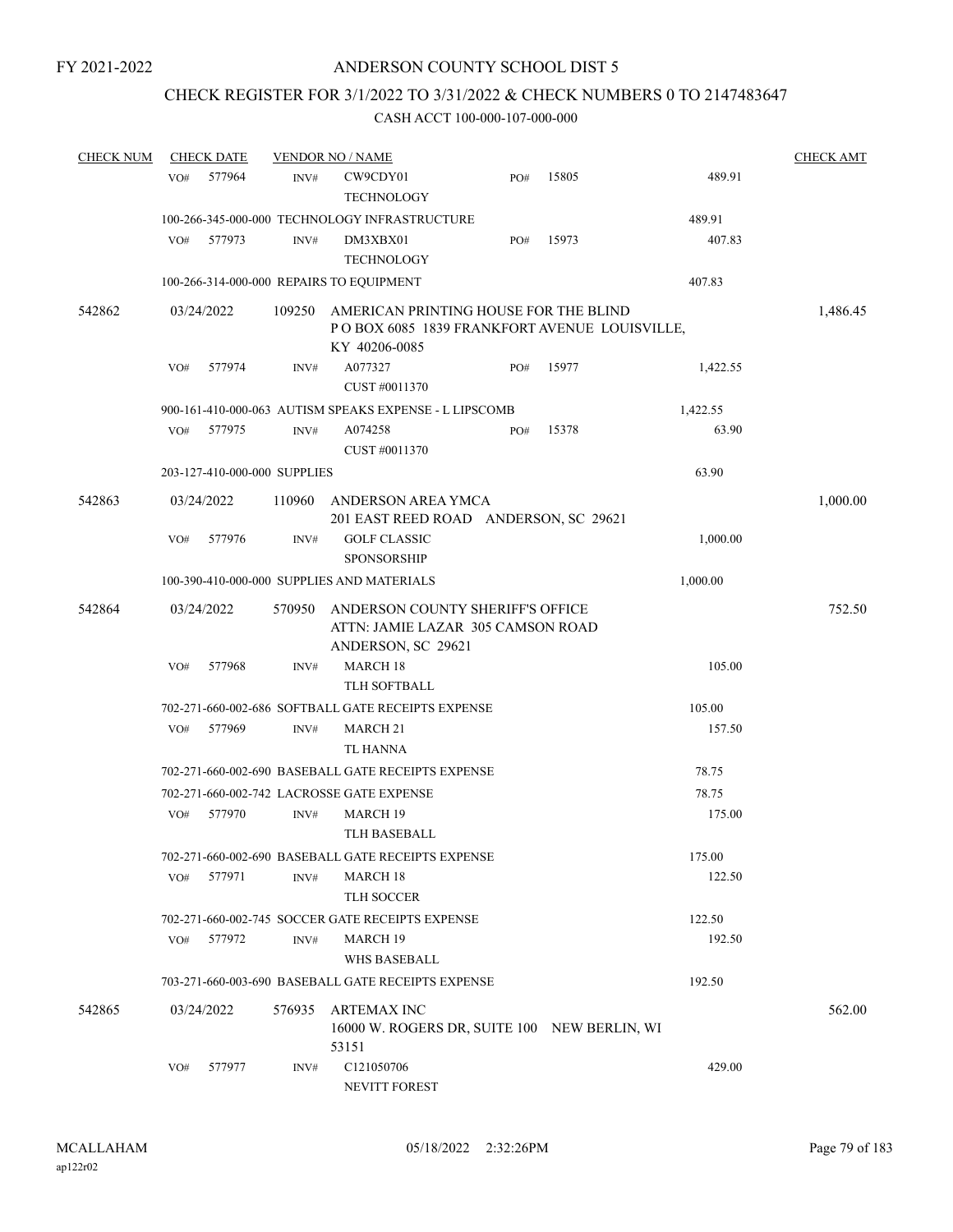# CHECK REGISTER FOR 3/1/2022 TO 3/31/2022 & CHECK NUMBERS 0 TO 2147483647

| <b>CHECK NUM</b> |     | <b>CHECK DATE</b>            |        | <b>VENDOR NO / NAME</b>                                                                                |     |       |          | <b>CHECK AMT</b> |
|------------------|-----|------------------------------|--------|--------------------------------------------------------------------------------------------------------|-----|-------|----------|------------------|
|                  | VO# | 577964                       | INV#   | CW9CDY01<br><b>TECHNOLOGY</b>                                                                          | PO# | 15805 | 489.91   |                  |
|                  |     |                              |        | 100-266-345-000-000 TECHNOLOGY INFRASTRUCTURE                                                          |     |       | 489.91   |                  |
|                  | VO# | 577973                       | INV#   | DM3XBX01<br><b>TECHNOLOGY</b>                                                                          | PO# | 15973 | 407.83   |                  |
|                  |     |                              |        | 100-266-314-000-000 REPAIRS TO EQUIPMENT                                                               |     |       | 407.83   |                  |
|                  |     |                              |        |                                                                                                        |     |       |          |                  |
| 542862           |     | 03/24/2022                   | 109250 | AMERICAN PRINTING HOUSE FOR THE BLIND<br>POBOX 6085 1839 FRANKFORT AVENUE LOUISVILLE,<br>KY 40206-0085 |     |       |          | 1,486.45         |
|                  | VO# | 577974                       | INV#   | A077327<br>CUST #0011370                                                                               | PO# | 15977 | 1,422.55 |                  |
|                  |     |                              |        | 900-161-410-000-063 AUTISM SPEAKS EXPENSE - L LIPSCOMB                                                 |     |       | 1,422.55 |                  |
|                  | VO# | 577975                       | INV#   | A074258<br>CUST #0011370                                                                               | PO# | 15378 | 63.90    |                  |
|                  |     | 203-127-410-000-000 SUPPLIES |        |                                                                                                        |     |       | 63.90    |                  |
| 542863           |     | 03/24/2022                   | 110960 | ANDERSON AREA YMCA<br>201 EAST REED ROAD ANDERSON, SC 29621                                            |     |       |          | 1,000.00         |
|                  | VO# | 577976                       | INV#   | <b>GOLF CLASSIC</b><br><b>SPONSORSHIP</b>                                                              |     |       | 1,000.00 |                  |
|                  |     |                              |        | 100-390-410-000-000 SUPPLIES AND MATERIALS                                                             |     |       | 1,000.00 |                  |
| 542864           |     | 03/24/2022                   | 570950 | ANDERSON COUNTY SHERIFF'S OFFICE<br>ATTN: JAMIE LAZAR 305 CAMSON ROAD                                  |     |       |          | 752.50           |
|                  | VO# | 577968                       | INV#   | ANDERSON, SC 29621<br><b>MARCH 18</b>                                                                  |     |       | 105.00   |                  |
|                  |     |                              |        | TLH SOFTBALL                                                                                           |     |       |          |                  |
|                  |     |                              |        | 702-271-660-002-686 SOFTBALL GATE RECEIPTS EXPENSE                                                     |     |       | 105.00   |                  |
|                  | VO# | 577969                       | INV#   | MARCH 21<br><b>TL HANNA</b>                                                                            |     |       | 157.50   |                  |
|                  |     |                              |        | 702-271-660-002-690 BASEBALL GATE RECEIPTS EXPENSE                                                     |     |       | 78.75    |                  |
|                  |     |                              |        | 702-271-660-002-742 LACROSSE GATE EXPENSE                                                              |     |       | 78.75    |                  |
|                  | VO# | 577970                       | INV#   | MARCH 19<br>TLH BASEBALL                                                                               |     |       | 175.00   |                  |
|                  |     |                              |        | 702-271-660-002-690 BASEBALL GATE RECEIPTS EXPENSE                                                     |     |       | 175.00   |                  |
|                  | VO# | 577971                       | INV#   | <b>MARCH 18</b><br><b>TLH SOCCER</b>                                                                   |     |       | 122.50   |                  |
|                  |     |                              |        | 702-271-660-002-745 SOCCER GATE RECEIPTS EXPENSE                                                       |     |       | 122.50   |                  |
|                  | VO# | 577972                       | INV#   | <b>MARCH 19</b><br>WHS BASEBALL                                                                        |     |       | 192.50   |                  |
|                  |     |                              |        | 703-271-660-003-690 BASEBALL GATE RECEIPTS EXPENSE                                                     |     |       | 192.50   |                  |
| 542865           |     | 03/24/2022                   | 576935 | ARTEMAX INC                                                                                            |     |       |          | 562.00           |
|                  |     |                              |        | 16000 W. ROGERS DR, SUITE 100 NEW BERLIN, WI<br>53151                                                  |     |       |          |                  |
|                  | VO# | 577977                       | INV#   | C121050706<br><b>NEVITT FOREST</b>                                                                     |     |       | 429.00   |                  |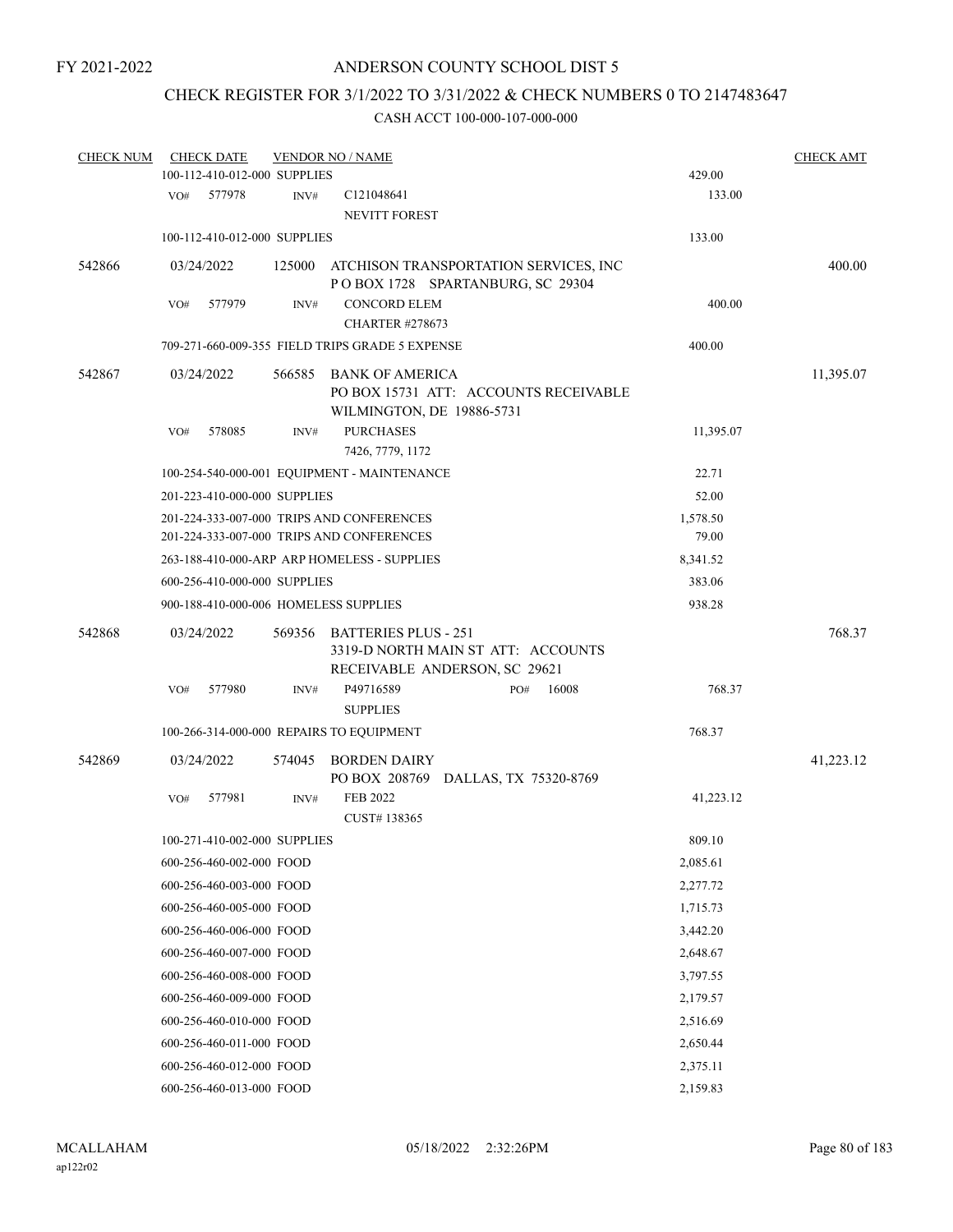# CHECK REGISTER FOR 3/1/2022 TO 3/31/2022 & CHECK NUMBERS 0 TO 2147483647

| <b>CHECK NUM</b> |     | <b>CHECK DATE</b>            |        | <b>VENDOR NO / NAME</b>                                                                            |     |                                       |           | <b>CHECK AMT</b> |
|------------------|-----|------------------------------|--------|----------------------------------------------------------------------------------------------------|-----|---------------------------------------|-----------|------------------|
|                  |     | 100-112-410-012-000 SUPPLIES |        |                                                                                                    |     |                                       | 429.00    |                  |
|                  | VO# | 577978                       | INV#   | C121048641<br><b>NEVITT FOREST</b>                                                                 |     |                                       | 133.00    |                  |
|                  |     | 100-112-410-012-000 SUPPLIES |        |                                                                                                    |     |                                       | 133.00    |                  |
| 542866           |     | 03/24/2022                   | 125000 | ATCHISON TRANSPORTATION SERVICES, INC<br>POBOX 1728 SPARTANBURG, SC 29304                          |     |                                       |           | 400.00           |
|                  | VO# | 577979                       | INV#   | <b>CONCORD ELEM</b><br><b>CHARTER #278673</b>                                                      |     |                                       | 400.00    |                  |
|                  |     |                              |        | 709-271-660-009-355 FIELD TRIPS GRADE 5 EXPENSE                                                    |     |                                       | 400.00    |                  |
| 542867           |     | 03/24/2022                   | 566585 | BANK OF AMERICA<br>WILMINGTON, DE 19886-5731                                                       |     | PO BOX 15731 ATT: ACCOUNTS RECEIVABLE |           | 11,395.07        |
|                  | VO# | 578085                       | INV#   | <b>PURCHASES</b><br>7426, 7779, 1172                                                               |     |                                       | 11,395.07 |                  |
|                  |     |                              |        | 100-254-540-000-001 EQUIPMENT - MAINTENANCE                                                        |     |                                       | 22.71     |                  |
|                  |     | 201-223-410-000-000 SUPPLIES |        |                                                                                                    |     |                                       | 52.00     |                  |
|                  |     |                              |        | 201-224-333-007-000 TRIPS AND CONFERENCES                                                          |     |                                       | 1,578.50  |                  |
|                  |     |                              |        | 201-224-333-007-000 TRIPS AND CONFERENCES                                                          |     |                                       | 79.00     |                  |
|                  |     |                              |        | 263-188-410-000-ARP ARP HOMELESS - SUPPLIES                                                        |     |                                       | 8,341.52  |                  |
|                  |     | 600-256-410-000-000 SUPPLIES |        |                                                                                                    |     |                                       | 383.06    |                  |
|                  |     |                              |        | 900-188-410-000-006 HOMELESS SUPPLIES                                                              |     |                                       | 938.28    |                  |
| 542868           |     | 03/24/2022                   | 569356 | <b>BATTERIES PLUS - 251</b><br>3319-D NORTH MAIN ST ATT: ACCOUNTS<br>RECEIVABLE ANDERSON, SC 29621 |     |                                       |           | 768.37           |
|                  | VO# | 577980                       | INV#   | P49716589<br><b>SUPPLIES</b>                                                                       | PO# | 16008                                 | 768.37    |                  |
|                  |     |                              |        | 100-266-314-000-000 REPAIRS TO EQUIPMENT                                                           |     |                                       | 768.37    |                  |
| 542869           |     | 03/24/2022                   | 574045 | <b>BORDEN DAIRY</b><br>PO BOX 208769 DALLAS, TX 75320-8769                                         |     |                                       |           | 41,223.12        |
|                  | VO# | 577981                       | INV#   | <b>FEB 2022</b><br>CUST#138365                                                                     |     |                                       | 41,223.12 |                  |
|                  |     | 100-271-410-002-000 SUPPLIES |        |                                                                                                    |     |                                       | 809.10    |                  |
|                  |     | 600-256-460-002-000 FOOD     |        |                                                                                                    |     |                                       | 2,085.61  |                  |
|                  |     | 600-256-460-003-000 FOOD     |        |                                                                                                    |     |                                       | 2,277.72  |                  |
|                  |     | 600-256-460-005-000 FOOD     |        |                                                                                                    |     |                                       | 1,715.73  |                  |
|                  |     | 600-256-460-006-000 FOOD     |        |                                                                                                    |     |                                       | 3,442.20  |                  |
|                  |     | 600-256-460-007-000 FOOD     |        |                                                                                                    |     |                                       | 2,648.67  |                  |
|                  |     | 600-256-460-008-000 FOOD     |        |                                                                                                    |     |                                       | 3,797.55  |                  |
|                  |     | 600-256-460-009-000 FOOD     |        |                                                                                                    |     |                                       | 2,179.57  |                  |
|                  |     | 600-256-460-010-000 FOOD     |        |                                                                                                    |     |                                       | 2,516.69  |                  |
|                  |     | 600-256-460-011-000 FOOD     |        |                                                                                                    |     |                                       | 2,650.44  |                  |
|                  |     |                              |        |                                                                                                    |     |                                       |           |                  |
|                  |     | 600-256-460-012-000 FOOD     |        |                                                                                                    |     |                                       | 2,375.11  |                  |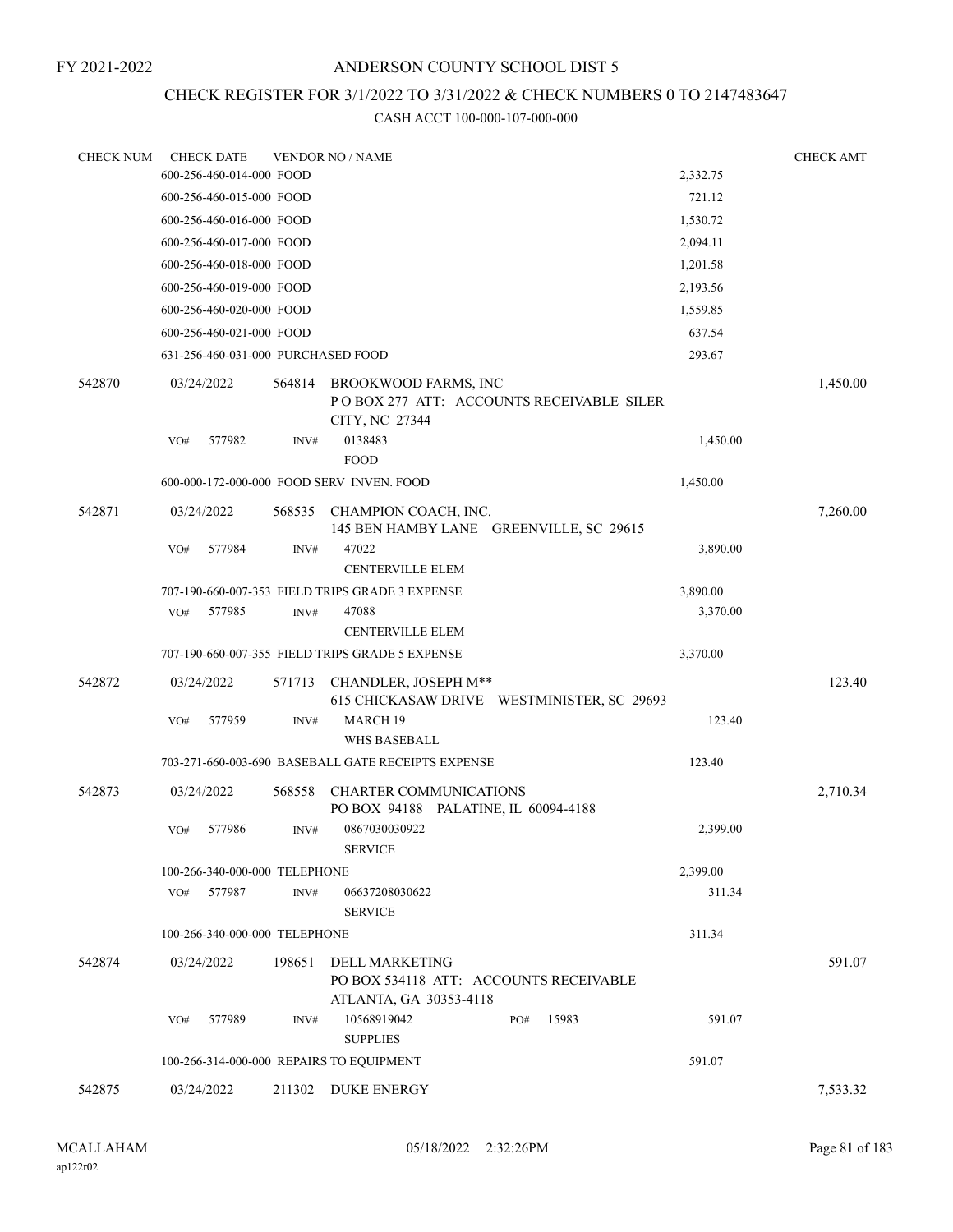# ANDERSON COUNTY SCHOOL DIST 5

# CHECK REGISTER FOR 3/1/2022 TO 3/31/2022 & CHECK NUMBERS 0 TO 2147483647

| <b>CHECK NUM</b> | <b>CHECK DATE</b>                        |        | <b>VENDOR NO / NAME</b>                                                            |          | <b>CHECK AMT</b> |
|------------------|------------------------------------------|--------|------------------------------------------------------------------------------------|----------|------------------|
|                  | 600-256-460-014-000 FOOD                 |        |                                                                                    | 2,332.75 |                  |
|                  | 600-256-460-015-000 FOOD                 |        |                                                                                    | 721.12   |                  |
|                  | 600-256-460-016-000 FOOD                 |        |                                                                                    | 1,530.72 |                  |
|                  | 600-256-460-017-000 FOOD                 |        |                                                                                    | 2,094.11 |                  |
|                  | 600-256-460-018-000 FOOD                 |        |                                                                                    | 1,201.58 |                  |
|                  | 600-256-460-019-000 FOOD                 |        |                                                                                    | 2,193.56 |                  |
|                  | 600-256-460-020-000 FOOD                 |        |                                                                                    | 1,559.85 |                  |
|                  | 600-256-460-021-000 FOOD                 |        |                                                                                    | 637.54   |                  |
|                  | 631-256-460-031-000 PURCHASED FOOD       |        |                                                                                    | 293.67   |                  |
| 542870           | 03/24/2022                               | 564814 | BROOKWOOD FARMS, INC<br>POBOX 277 ATT: ACCOUNTS RECEIVABLE SILER<br>CITY, NC 27344 |          | 1,450.00         |
|                  | 577982<br>VO#                            | INV#   | 0138483<br><b>FOOD</b>                                                             | 1,450.00 |                  |
|                  |                                          |        | 600-000-172-000-000 FOOD SERV INVEN. FOOD                                          | 1,450.00 |                  |
| 542871           | 03/24/2022                               |        | 568535 CHAMPION COACH, INC.<br>145 BEN HAMBY LANE GREENVILLE, SC 29615             |          | 7,260.00         |
|                  | 577984<br>VO#                            | INV#   | 47022<br><b>CENTERVILLE ELEM</b>                                                   | 3,890.00 |                  |
|                  |                                          |        | 707-190-660-007-353 FIELD TRIPS GRADE 3 EXPENSE                                    | 3,890.00 |                  |
|                  | 577985<br>VO#                            | INV#   | 47088<br><b>CENTERVILLE ELEM</b>                                                   | 3,370.00 |                  |
|                  |                                          |        | 707-190-660-007-355 FIELD TRIPS GRADE 5 EXPENSE                                    | 3,370.00 |                  |
| 542872           | 03/24/2022                               | 571713 | CHANDLER, JOSEPH M**<br>615 CHICKASAW DRIVE WESTMINISTER, SC 29693                 |          | 123.40           |
|                  | 577959<br>VO#                            | INV#   | MARCH 19<br><b>WHS BASEBALL</b>                                                    | 123.40   |                  |
|                  |                                          |        | 703-271-660-003-690 BASEBALL GATE RECEIPTS EXPENSE                                 | 123.40   |                  |
| 542873           | 03/24/2022                               | 568558 | <b>CHARTER COMMUNICATIONS</b><br>PO BOX 94188 PALATINE, IL 60094-4188              |          | 2,710.34         |
|                  | 577986<br>VO#                            | INV#   | 0867030030922<br><b>SERVICE</b>                                                    | 2,399.00 |                  |
|                  | 100-266-340-000-000 TELEPHONE            |        |                                                                                    | 2,399.00 |                  |
|                  | 577987<br>VO#                            | INV#   | 06637208030622<br><b>SERVICE</b>                                                   | 311.34   |                  |
|                  | 100-266-340-000-000 TELEPHONE            |        |                                                                                    | 311.34   |                  |
| 542874           | 03/24/2022                               | 198651 | DELL MARKETING<br>PO BOX 534118 ATT: ACCOUNTS RECEIVABLE<br>ATLANTA, GA 30353-4118 |          | 591.07           |
|                  | VO#<br>577989                            | INV#   | 10568919042<br>15983<br>PO#<br><b>SUPPLIES</b>                                     | 591.07   |                  |
|                  | 100-266-314-000-000 REPAIRS TO EQUIPMENT |        |                                                                                    | 591.07   |                  |
| 542875           | 03/24/2022                               |        | 211302 DUKE ENERGY                                                                 |          | 7,533.32         |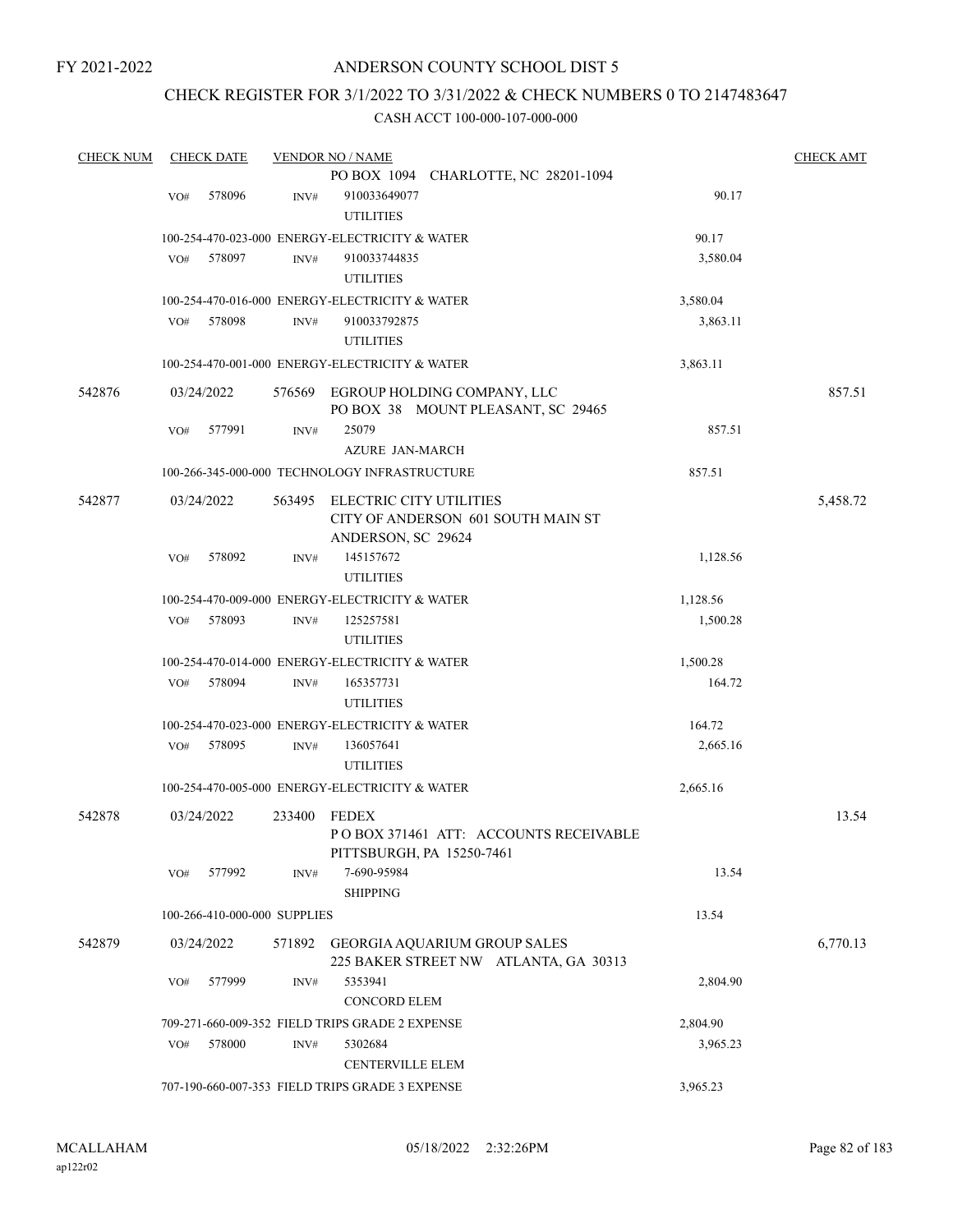# ANDERSON COUNTY SCHOOL DIST 5

# CHECK REGISTER FOR 3/1/2022 TO 3/31/2022 & CHECK NUMBERS 0 TO 2147483647

| <b>CHECK NUM</b> |            | <b>CHECK DATE</b> |                              | <b>VENDOR NO / NAME</b>                                                  |          | <b>CHECK AMT</b> |
|------------------|------------|-------------------|------------------------------|--------------------------------------------------------------------------|----------|------------------|
|                  |            |                   |                              | PO BOX 1094 CHARLOTTE, NC 28201-1094                                     |          |                  |
|                  | VO#        | 578096            | INV#                         | 910033649077                                                             | 90.17    |                  |
|                  |            |                   |                              | <b>UTILITIES</b>                                                         |          |                  |
|                  |            |                   |                              | 100-254-470-023-000 ENERGY-ELECTRICITY & WATER                           | 90.17    |                  |
|                  | VO#        | 578097            | INV#                         | 910033744835                                                             | 3,580.04 |                  |
|                  |            |                   |                              | <b>UTILITIES</b>                                                         |          |                  |
|                  |            |                   |                              | 100-254-470-016-000 ENERGY-ELECTRICITY & WATER                           | 3,580.04 |                  |
|                  | VO#        | 578098            | INV#                         | 910033792875                                                             | 3,863.11 |                  |
|                  |            |                   |                              | <b>UTILITIES</b>                                                         |          |                  |
|                  |            |                   |                              | 100-254-470-001-000 ENERGY-ELECTRICITY & WATER                           | 3,863.11 |                  |
| 542876           | 03/24/2022 |                   |                              | 576569 EGROUP HOLDING COMPANY, LLC<br>PO BOX 38 MOUNT PLEASANT, SC 29465 |          | 857.51           |
|                  | VO#        | 577991            | INV#                         | 25079                                                                    | 857.51   |                  |
|                  |            |                   |                              | <b>AZURE JAN-MARCH</b>                                                   |          |                  |
|                  |            |                   |                              | 100-266-345-000-000 TECHNOLOGY INFRASTRUCTURE                            | 857.51   |                  |
| 542877           | 03/24/2022 |                   | 563495                       | ELECTRIC CITY UTILITIES                                                  |          | 5,458.72         |
|                  |            |                   |                              | CITY OF ANDERSON 601 SOUTH MAIN ST                                       |          |                  |
|                  |            |                   |                              | ANDERSON, SC 29624                                                       |          |                  |
|                  | VO#        | 578092            | INV#                         | 145157672                                                                | 1,128.56 |                  |
|                  |            |                   |                              | <b>UTILITIES</b>                                                         |          |                  |
|                  |            |                   |                              | 100-254-470-009-000 ENERGY-ELECTRICITY & WATER                           | 1,128.56 |                  |
|                  | VO#        | 578093            | INV#                         | 125257581                                                                | 1,500.28 |                  |
|                  |            |                   |                              | <b>UTILITIES</b>                                                         |          |                  |
|                  |            |                   |                              | 100-254-470-014-000 ENERGY-ELECTRICITY & WATER                           | 1,500.28 |                  |
|                  | VO#        | 578094            | INV#                         | 165357731                                                                | 164.72   |                  |
|                  |            |                   |                              | <b>UTILITIES</b>                                                         |          |                  |
|                  |            |                   |                              | 100-254-470-023-000 ENERGY-ELECTRICITY & WATER                           | 164.72   |                  |
|                  | VO#        | 578095            | INV#                         | 136057641                                                                | 2,665.16 |                  |
|                  |            |                   |                              | <b>UTILITIES</b>                                                         |          |                  |
|                  |            |                   |                              | 100-254-470-005-000 ENERGY-ELECTRICITY & WATER                           | 2,665.16 |                  |
| 542878           | 03/24/2022 |                   | 233400                       | <b>FEDEX</b>                                                             |          | 13.54            |
|                  |            |                   |                              | PO BOX 371461 ATT: ACCOUNTS RECEIVABLE                                   |          |                  |
|                  |            |                   |                              | PITTSBURGH, PA 15250-7461                                                |          |                  |
|                  | VO#        | 577992            | INV#                         | 7-690-95984                                                              | 13.54    |                  |
|                  |            |                   |                              | <b>SHIPPING</b>                                                          |          |                  |
|                  |            |                   | 100-266-410-000-000 SUPPLIES |                                                                          | 13.54    |                  |
| 542879           | 03/24/2022 |                   | 571892                       | GEORGIA AQUARIUM GROUP SALES                                             |          | 6,770.13         |
|                  |            |                   |                              | 225 BAKER STREET NW ATLANTA, GA 30313                                    |          |                  |
|                  | VO#        | 577999            | INV#                         | 5353941                                                                  | 2,804.90 |                  |
|                  |            |                   |                              | <b>CONCORD ELEM</b>                                                      |          |                  |
|                  |            |                   |                              | 709-271-660-009-352 FIELD TRIPS GRADE 2 EXPENSE                          | 2,804.90 |                  |
|                  | VO#        | 578000            | INV#                         | 5302684                                                                  | 3,965.23 |                  |
|                  |            |                   |                              | <b>CENTERVILLE ELEM</b>                                                  |          |                  |
|                  |            |                   |                              | 707-190-660-007-353 FIELD TRIPS GRADE 3 EXPENSE                          | 3,965.23 |                  |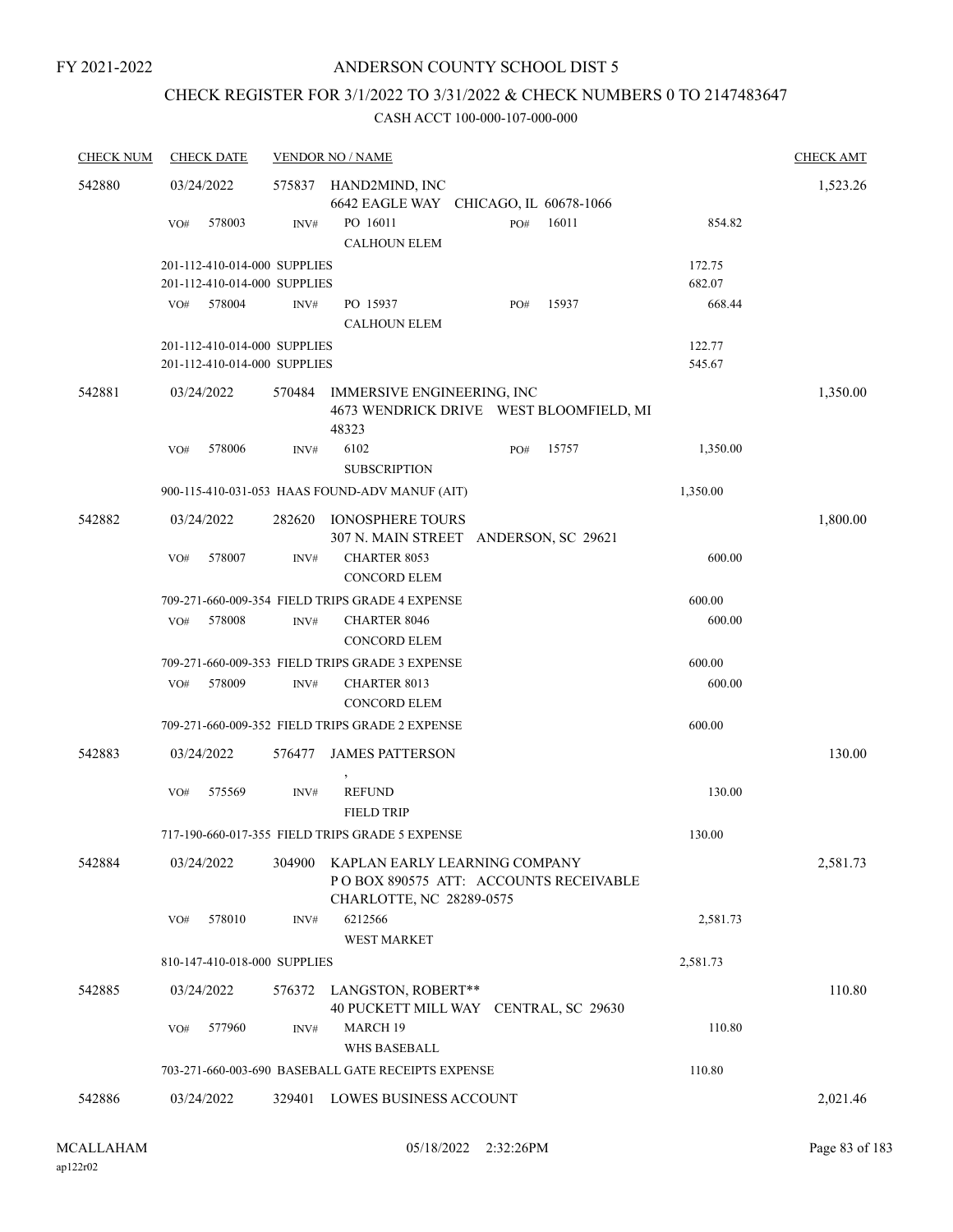# CHECK REGISTER FOR 3/1/2022 TO 3/31/2022 & CHECK NUMBERS 0 TO 2147483647

| <b>CHECK NUM</b> | <b>CHECK DATE</b>            |                  | <b>VENDOR NO / NAME</b>                                                                            |     |       |          | <b>CHECK AMT</b> |
|------------------|------------------------------|------------------|----------------------------------------------------------------------------------------------------|-----|-------|----------|------------------|
| 542880           | 03/24/2022                   | 575837           | HAND2MIND, INC                                                                                     |     |       |          | 1,523.26         |
|                  |                              |                  | 6642 EAGLE WAY CHICAGO, IL 60678-1066                                                              |     |       |          |                  |
|                  | 578003<br>VO#                | INV#             | PO 16011                                                                                           | PO# | 16011 | 854.82   |                  |
|                  |                              |                  | <b>CALHOUN ELEM</b>                                                                                |     |       |          |                  |
|                  | 201-112-410-014-000 SUPPLIES |                  |                                                                                                    |     |       | 172.75   |                  |
|                  | 201-112-410-014-000 SUPPLIES |                  |                                                                                                    |     |       | 682.07   |                  |
|                  | 578004<br>VO#                | $\mathrm{INV}\#$ | PO 15937                                                                                           | PO# | 15937 | 668.44   |                  |
|                  |                              |                  | <b>CALHOUN ELEM</b>                                                                                |     |       |          |                  |
|                  | 201-112-410-014-000 SUPPLIES |                  |                                                                                                    |     |       | 122.77   |                  |
|                  | 201-112-410-014-000 SUPPLIES |                  |                                                                                                    |     |       | 545.67   |                  |
| 542881           | 03/24/2022                   | 570484           | IMMERSIVE ENGINEERING, INC<br>4673 WENDRICK DRIVE WEST BLOOMFIELD, MI<br>48323                     |     |       |          | 1,350.00         |
|                  | 578006<br>VO#                | INV#             | 6102                                                                                               | PO# | 15757 | 1,350.00 |                  |
|                  |                              |                  | <b>SUBSCRIPTION</b>                                                                                |     |       |          |                  |
|                  |                              |                  | 900-115-410-031-053 HAAS FOUND-ADV MANUF (AIT)                                                     |     |       | 1,350.00 |                  |
| 542882           | 03/24/2022                   | 282620           | <b>IONOSPHERE TOURS</b><br>307 N. MAIN STREET ANDERSON, SC 29621                                   |     |       |          | 1,800.00         |
|                  | 578007<br>VO#                | INV#             | <b>CHARTER 8053</b>                                                                                |     |       | 600.00   |                  |
|                  |                              |                  | <b>CONCORD ELEM</b>                                                                                |     |       |          |                  |
|                  |                              |                  | 709-271-660-009-354 FIELD TRIPS GRADE 4 EXPENSE                                                    |     |       | 600.00   |                  |
|                  | 578008<br>VO#                | INV#             | <b>CHARTER 8046</b>                                                                                |     |       | 600.00   |                  |
|                  |                              |                  | <b>CONCORD ELEM</b>                                                                                |     |       |          |                  |
|                  |                              |                  | 709-271-660-009-353 FIELD TRIPS GRADE 3 EXPENSE                                                    |     |       | 600.00   |                  |
|                  | 578009<br>VO#                | INV#             | <b>CHARTER 8013</b>                                                                                |     |       | 600.00   |                  |
|                  |                              |                  | <b>CONCORD ELEM</b>                                                                                |     |       |          |                  |
|                  |                              |                  | 709-271-660-009-352 FIELD TRIPS GRADE 2 EXPENSE                                                    |     |       | 600.00   |                  |
| 542883           | 03/24/2022                   |                  |                                                                                                    |     |       |          | 130.00           |
|                  |                              | 576477           | <b>JAMES PATTERSON</b>                                                                             |     |       |          |                  |
|                  | VO#<br>575569                | INV#             | <b>REFUND</b>                                                                                      |     |       | 130.00   |                  |
|                  |                              |                  | <b>FIELD TRIP</b>                                                                                  |     |       |          |                  |
|                  |                              |                  | 717-190-660-017-355 FIELD TRIPS GRADE 5 EXPENSE                                                    |     |       | 130.00   |                  |
|                  |                              |                  |                                                                                                    |     |       |          |                  |
| 542884           | 03/24/2022                   | 304900           | KAPLAN EARLY LEARNING COMPANY<br>POBOX 890575 ATT: ACCOUNTS RECEIVABLE<br>CHARLOTTE, NC 28289-0575 |     |       |          | 2,581.73         |
|                  | 578010<br>VO#                | INV#             | 6212566                                                                                            |     |       | 2,581.73 |                  |
|                  |                              |                  | <b>WEST MARKET</b>                                                                                 |     |       |          |                  |
|                  | 810-147-410-018-000 SUPPLIES |                  |                                                                                                    |     |       | 2,581.73 |                  |
| 542885           | 03/24/2022                   | 576372           | LANGSTON, ROBERT**<br>40 PUCKETT MILL WAY CENTRAL, SC 29630                                        |     |       |          | 110.80           |
|                  | 577960<br>VO#                | INV#             | MARCH 19<br><b>WHS BASEBALL</b>                                                                    |     |       | 110.80   |                  |
|                  |                              |                  | 703-271-660-003-690 BASEBALL GATE RECEIPTS EXPENSE                                                 |     |       | 110.80   |                  |
| 542886           | 03/24/2022                   |                  | 329401 LOWES BUSINESS ACCOUNT                                                                      |     |       |          | 2,021.46         |
|                  |                              |                  |                                                                                                    |     |       |          |                  |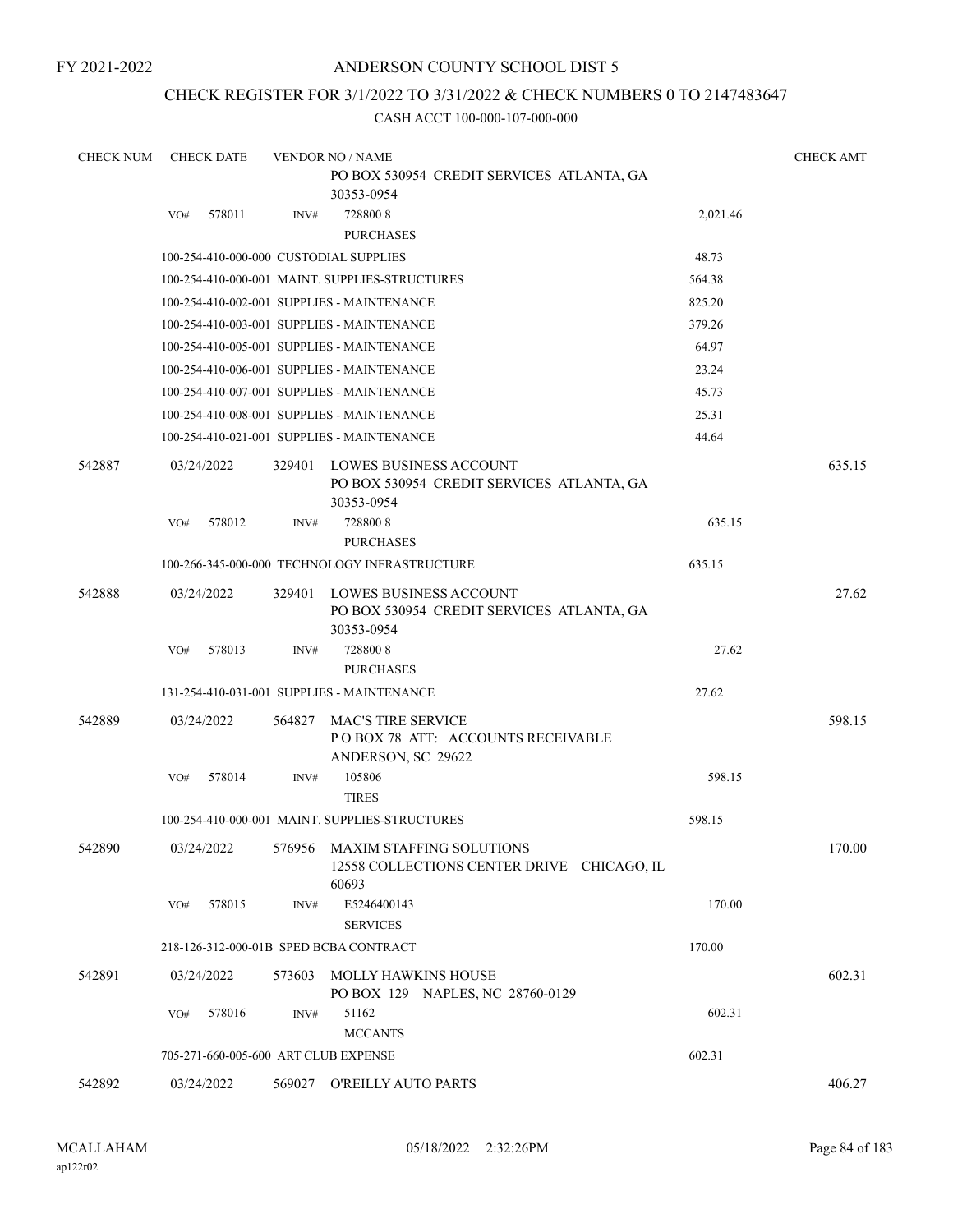# ANDERSON COUNTY SCHOOL DIST 5

# CHECK REGISTER FOR 3/1/2022 TO 3/31/2022 & CHECK NUMBERS 0 TO 2147483647

| <b>CHECK NUM</b> |     | <b>CHECK DATE</b> |        | <b>VENDOR NO / NAME</b>                                                                           |          | <b>CHECK AMT</b> |
|------------------|-----|-------------------|--------|---------------------------------------------------------------------------------------------------|----------|------------------|
|                  |     |                   |        | PO BOX 530954 CREDIT SERVICES ATLANTA, GA<br>30353-0954                                           |          |                  |
|                  | VO# | 578011            | INV#   | 7288008                                                                                           | 2,021.46 |                  |
|                  |     |                   |        | <b>PURCHASES</b>                                                                                  |          |                  |
|                  |     |                   |        | 100-254-410-000-000 CUSTODIAL SUPPLIES                                                            | 48.73    |                  |
|                  |     |                   |        | 100-254-410-000-001 MAINT. SUPPLIES-STRUCTURES                                                    | 564.38   |                  |
|                  |     |                   |        | 100-254-410-002-001 SUPPLIES - MAINTENANCE                                                        | 825.20   |                  |
|                  |     |                   |        | 100-254-410-003-001 SUPPLIES - MAINTENANCE                                                        | 379.26   |                  |
|                  |     |                   |        | 100-254-410-005-001 SUPPLIES - MAINTENANCE                                                        | 64.97    |                  |
|                  |     |                   |        | 100-254-410-006-001 SUPPLIES - MAINTENANCE                                                        | 23.24    |                  |
|                  |     |                   |        | 100-254-410-007-001 SUPPLIES - MAINTENANCE                                                        | 45.73    |                  |
|                  |     |                   |        | 100-254-410-008-001 SUPPLIES - MAINTENANCE                                                        | 25.31    |                  |
|                  |     |                   |        | 100-254-410-021-001 SUPPLIES - MAINTENANCE                                                        | 44.64    |                  |
| 542887           |     | 03/24/2022        |        | 329401 LOWES BUSINESS ACCOUNT<br>PO BOX 530954 CREDIT SERVICES ATLANTA, GA<br>30353-0954          |          | 635.15           |
|                  | VO# | 578012            | INV#   | 7288008<br><b>PURCHASES</b>                                                                       | 635.15   |                  |
|                  |     |                   |        | 100-266-345-000-000 TECHNOLOGY INFRASTRUCTURE                                                     | 635.15   |                  |
| 542888           |     | 03/24/2022        | 329401 | LOWES BUSINESS ACCOUNT<br>PO BOX 530954 CREDIT SERVICES ATLANTA, GA<br>30353-0954                 |          | 27.62            |
|                  | VO# | 578013            | INV#   | 7288008<br><b>PURCHASES</b>                                                                       | 27.62    |                  |
|                  |     |                   |        | 131-254-410-031-001 SUPPLIES - MAINTENANCE                                                        | 27.62    |                  |
| 542889           |     | 03/24/2022        | 564827 | MAC'S TIRE SERVICE<br>POBOX 78 ATT: ACCOUNTS RECEIVABLE<br>ANDERSON, SC 29622                     |          | 598.15           |
|                  | VO# | 578014            | INV#   | 105806<br><b>TIRES</b>                                                                            | 598.15   |                  |
|                  |     |                   |        | 100-254-410-000-001 MAINT. SUPPLIES-STRUCTURES                                                    | 598.15   |                  |
| 542890           |     |                   |        | 03/24/2022 576956 MAXIM STAFFING SOLUTIONS<br>12558 COLLECTIONS CENTER DRIVE CHICAGO, IL<br>60693 |          | 170.00           |
|                  | VO# | 578015            | INV#   | E5246400143<br><b>SERVICES</b>                                                                    | 170.00   |                  |
|                  |     |                   |        | 218-126-312-000-01B SPED BCBA CONTRACT                                                            | 170.00   |                  |
| 542891           |     | 03/24/2022        | 573603 | <b>MOLLY HAWKINS HOUSE</b><br>PO BOX 129 NAPLES, NC 28760-0129                                    |          | 602.31           |
|                  | VO# | 578016            | INV#   | 51162<br><b>MCCANTS</b>                                                                           | 602.31   |                  |
|                  |     |                   |        | 705-271-660-005-600 ART CLUB EXPENSE                                                              | 602.31   |                  |
| 542892           |     | 03/24/2022        |        | 569027 O'REILLY AUTO PARTS                                                                        |          | 406.27           |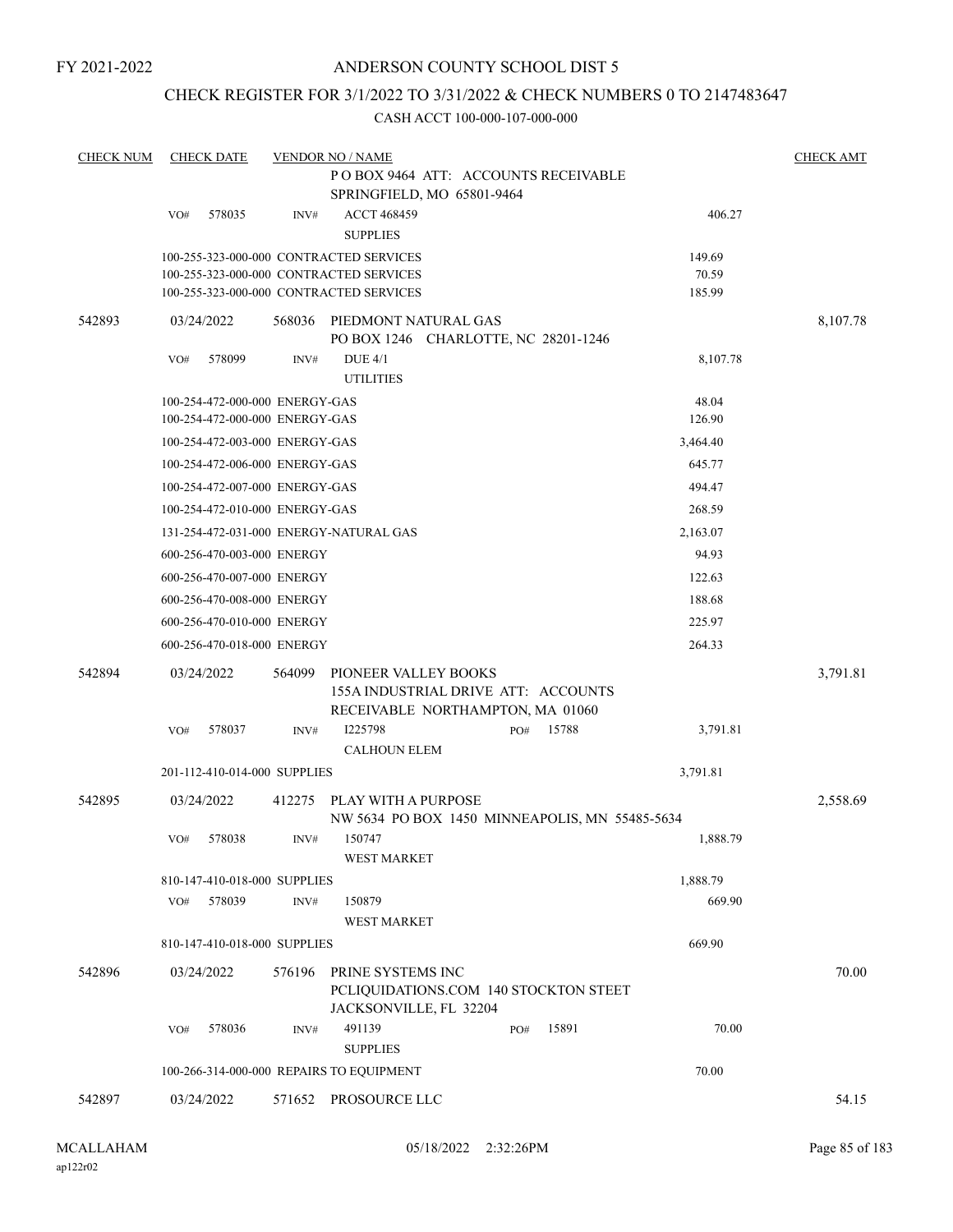# ANDERSON COUNTY SCHOOL DIST 5

# CHECK REGISTER FOR 3/1/2022 TO 3/31/2022 & CHECK NUMBERS 0 TO 2147483647

| <b>CHECK NUM</b> | <b>CHECK DATE</b> |        |                                | <b>VENDOR NO / NAME</b>                                                                         |  |     |       |          | <b>CHECK AMT</b> |
|------------------|-------------------|--------|--------------------------------|-------------------------------------------------------------------------------------------------|--|-----|-------|----------|------------------|
|                  |                   |        |                                | POBOX 9464 ATT: ACCOUNTS RECEIVABLE                                                             |  |     |       |          |                  |
|                  |                   |        |                                | SPRINGFIELD, MO 65801-9464                                                                      |  |     |       |          |                  |
|                  | VO#               | 578035 | INV#                           | <b>ACCT 468459</b><br><b>SUPPLIES</b>                                                           |  |     |       | 406.27   |                  |
|                  |                   |        |                                | 100-255-323-000-000 CONTRACTED SERVICES                                                         |  |     |       | 149.69   |                  |
|                  |                   |        |                                | 100-255-323-000-000 CONTRACTED SERVICES                                                         |  |     |       | 70.59    |                  |
|                  |                   |        |                                | 100-255-323-000-000 CONTRACTED SERVICES                                                         |  |     |       | 185.99   |                  |
| 542893           | 03/24/2022        |        | 568036                         | PIEDMONT NATURAL GAS<br>PO BOX 1246 CHARLOTTE, NC 28201-1246                                    |  |     |       |          | 8,107.78         |
|                  | VO#               | 578099 | INV#                           | <b>DUE 4/1</b>                                                                                  |  |     |       | 8,107.78 |                  |
|                  |                   |        |                                | <b>UTILITIES</b>                                                                                |  |     |       |          |                  |
|                  |                   |        | 100-254-472-000-000 ENERGY-GAS |                                                                                                 |  |     |       | 48.04    |                  |
|                  |                   |        | 100-254-472-000-000 ENERGY-GAS |                                                                                                 |  |     |       | 126.90   |                  |
|                  |                   |        | 100-254-472-003-000 ENERGY-GAS |                                                                                                 |  |     |       | 3,464.40 |                  |
|                  |                   |        | 100-254-472-006-000 ENERGY-GAS |                                                                                                 |  |     |       | 645.77   |                  |
|                  |                   |        | 100-254-472-007-000 ENERGY-GAS |                                                                                                 |  |     |       | 494.47   |                  |
|                  |                   |        | 100-254-472-010-000 ENERGY-GAS |                                                                                                 |  |     |       | 268.59   |                  |
|                  |                   |        |                                | 131-254-472-031-000 ENERGY-NATURAL GAS                                                          |  |     |       | 2,163.07 |                  |
|                  |                   |        | 600-256-470-003-000 ENERGY     |                                                                                                 |  |     |       | 94.93    |                  |
|                  |                   |        | 600-256-470-007-000 ENERGY     |                                                                                                 |  |     |       | 122.63   |                  |
|                  |                   |        | 600-256-470-008-000 ENERGY     |                                                                                                 |  |     |       | 188.68   |                  |
|                  |                   |        | 600-256-470-010-000 ENERGY     |                                                                                                 |  |     |       | 225.97   |                  |
|                  |                   |        | 600-256-470-018-000 ENERGY     |                                                                                                 |  |     |       | 264.33   |                  |
| 542894           | 03/24/2022        |        | 564099                         | PIONEER VALLEY BOOKS<br>155A INDUSTRIAL DRIVE ATT: ACCOUNTS<br>RECEIVABLE NORTHAMPTON, MA 01060 |  |     |       |          | 3,791.81         |
|                  | VO#               | 578037 | INV#                           | I225798                                                                                         |  | PO# | 15788 | 3,791.81 |                  |
|                  |                   |        |                                | <b>CALHOUN ELEM</b>                                                                             |  |     |       |          |                  |
|                  |                   |        | 201-112-410-014-000 SUPPLIES   |                                                                                                 |  |     |       | 3,791.81 |                  |
| 542895           | 03/24/2022        |        | 412275                         | PLAY WITH A PURPOSE<br>NW 5634 PO BOX 1450 MINNEAPOLIS, MN 55485-5634                           |  |     |       |          | 2,558.69         |
|                  | VO#               | 578038 | INV#                           | 150747<br><b>WEST MARKET</b>                                                                    |  |     |       | 1,888.79 |                  |
|                  |                   |        | 810-147-410-018-000 SUPPLIES   |                                                                                                 |  |     |       | 1,888.79 |                  |
|                  | VO#               | 578039 | INV#                           | 150879<br>WEST MARKET                                                                           |  |     |       | 669.90   |                  |
|                  |                   |        | 810-147-410-018-000 SUPPLIES   |                                                                                                 |  |     |       | 669.90   |                  |
| 542896           | 03/24/2022        |        | 576196                         | PRINE SYSTEMS INC<br>PCLIQUIDATIONS.COM 140 STOCKTON STEET<br>JACKSONVILLE, FL 32204            |  |     |       |          | 70.00            |
|                  | VO#               | 578036 | INV#                           | 491139<br><b>SUPPLIES</b>                                                                       |  | PO# | 15891 | 70.00    |                  |
|                  |                   |        |                                | 100-266-314-000-000 REPAIRS TO EQUIPMENT                                                        |  |     |       | 70.00    |                  |
| 542897           | 03/24/2022        |        |                                | 571652 PROSOURCE LLC                                                                            |  |     |       |          | 54.15            |
|                  |                   |        |                                |                                                                                                 |  |     |       |          |                  |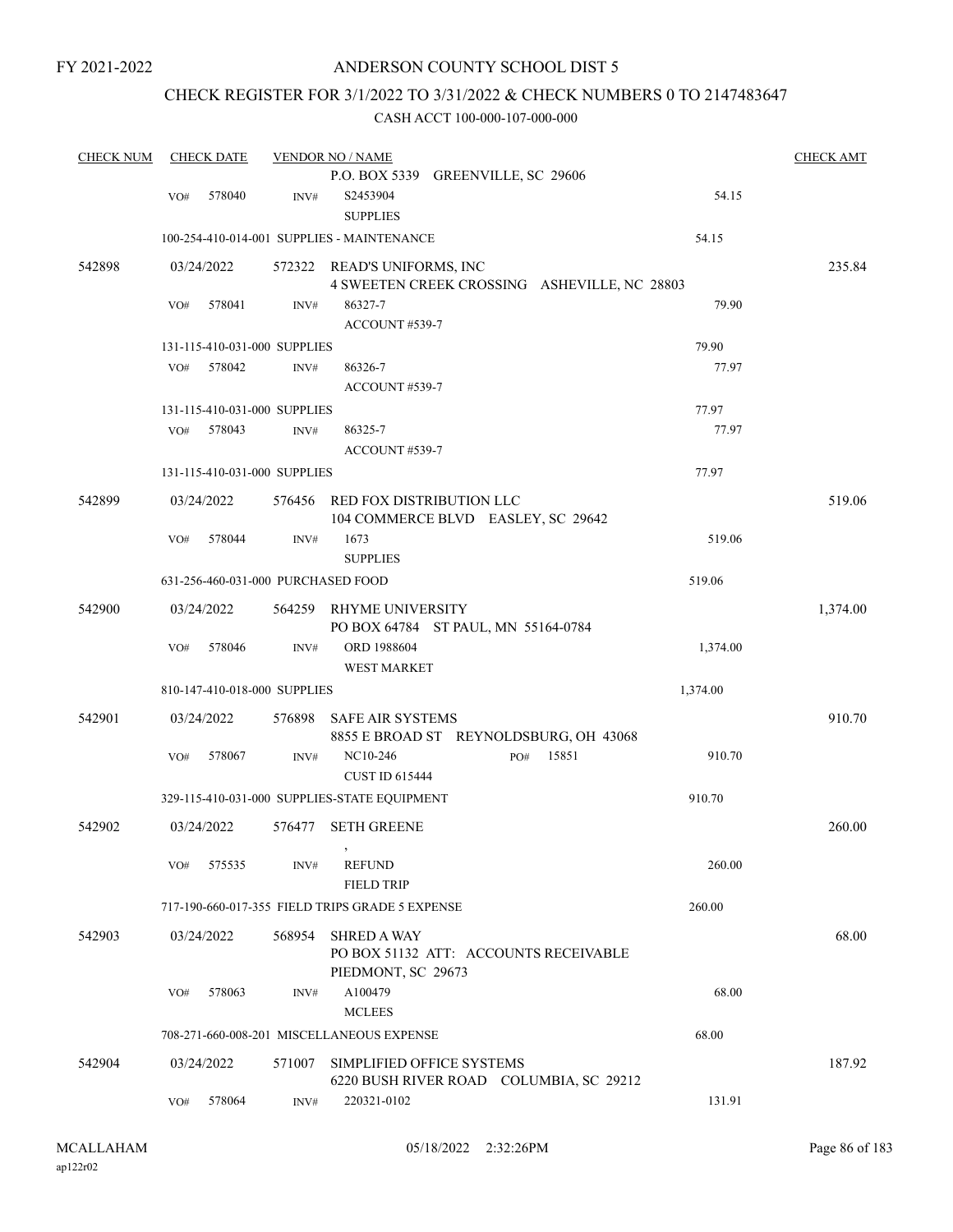# ANDERSON COUNTY SCHOOL DIST 5

# CHECK REGISTER FOR 3/1/2022 TO 3/31/2022 & CHECK NUMBERS 0 TO 2147483647

| <b>CHECK NUM</b> |     | <b>CHECK DATE</b>                  |        | <b>VENDOR NO / NAME</b>                                           |          | <b>CHECK AMT</b> |
|------------------|-----|------------------------------------|--------|-------------------------------------------------------------------|----------|------------------|
|                  |     |                                    |        | P.O. BOX 5339 GREENVILLE, SC 29606                                |          |                  |
|                  | VO# | 578040                             | INV#   | S2453904                                                          | 54.15    |                  |
|                  |     |                                    |        | <b>SUPPLIES</b>                                                   |          |                  |
|                  |     |                                    |        | 100-254-410-014-001 SUPPLIES - MAINTENANCE                        | 54.15    |                  |
| 542898           |     | 03/24/2022                         |        | 572322 READ'S UNIFORMS, INC                                       |          | 235.84           |
|                  |     |                                    |        | 4 SWEETEN CREEK CROSSING ASHEVILLE, NC 28803                      |          |                  |
|                  | VO# | 578041                             | INV#   | 86327-7                                                           | 79.90    |                  |
|                  |     |                                    |        | ACCOUNT #539-7                                                    |          |                  |
|                  |     | 131-115-410-031-000 SUPPLIES       |        |                                                                   | 79.90    |                  |
|                  | VO# | 578042                             | INV#   | 86326-7                                                           | 77.97    |                  |
|                  |     |                                    |        | ACCOUNT#539-7                                                     |          |                  |
|                  |     | 131-115-410-031-000 SUPPLIES       |        |                                                                   | 77.97    |                  |
|                  | VO# | 578043                             | INV#   | 86325-7                                                           | 77.97    |                  |
|                  |     |                                    |        | ACCOUNT#539-7                                                     |          |                  |
|                  |     | 131-115-410-031-000 SUPPLIES       |        |                                                                   | 77.97    |                  |
| 542899           |     | 03/24/2022                         | 576456 | RED FOX DISTRIBUTION LLC<br>104 COMMERCE BLVD EASLEY, SC 29642    |          | 519.06           |
|                  | VO# | 578044                             | INV#   | 1673                                                              | 519.06   |                  |
|                  |     |                                    |        | <b>SUPPLIES</b>                                                   |          |                  |
|                  |     | 631-256-460-031-000 PURCHASED FOOD |        |                                                                   | 519.06   |                  |
| 542900           |     | 03/24/2022                         | 564259 | RHYME UNIVERSITY                                                  |          | 1,374.00         |
|                  |     |                                    |        | PO BOX 64784 ST PAUL, MN 55164-0784                               |          |                  |
|                  | VO# | 578046                             | INV#   | ORD 1988604<br><b>WEST MARKET</b>                                 | 1,374.00 |                  |
|                  |     | 810-147-410-018-000 SUPPLIES       |        |                                                                   | 1,374.00 |                  |
|                  |     |                                    |        |                                                                   |          |                  |
| 542901           |     | 03/24/2022                         | 576898 | <b>SAFE AIR SYSTEMS</b><br>8855 E BROAD ST REYNOLDSBURG, OH 43068 |          | 910.70           |
|                  | VO# | 578067                             | INV#   | 15851<br>NC10-246<br>PO#<br><b>CUST ID 615444</b>                 | 910.70   |                  |
|                  |     |                                    |        | 329-115-410-031-000 SUPPLIES-STATE EQUIPMENT                      | 910.70   |                  |
|                  |     |                                    |        |                                                                   |          |                  |
| 542902           |     | 03/24/2022                         | 576477 | <b>SETH GREENE</b>                                                |          | 260.00           |
|                  | VO# | 575535                             | INV#   | <b>REFUND</b>                                                     | 260.00   |                  |
|                  |     |                                    |        | <b>FIELD TRIP</b>                                                 |          |                  |
|                  |     |                                    |        | 717-190-660-017-355 FIELD TRIPS GRADE 5 EXPENSE                   | 260.00   |                  |
| 542903           |     | 03/24/2022                         | 568954 | <b>SHRED A WAY</b>                                                |          | 68.00            |
|                  |     |                                    |        | PO BOX 51132 ATT: ACCOUNTS RECEIVABLE<br>PIEDMONT, SC 29673       |          |                  |
|                  | VO# | 578063                             | INV#   | A100479                                                           | 68.00    |                  |
|                  |     |                                    |        | <b>MCLEES</b>                                                     |          |                  |
|                  |     |                                    |        |                                                                   |          |                  |
|                  |     |                                    |        | 708-271-660-008-201 MISCELLANEOUS EXPENSE                         | 68.00    |                  |
| 542904           |     | 03/24/2022                         | 571007 | SIMPLIFIED OFFICE SYSTEMS                                         |          | 187.92           |
|                  |     |                                    |        | 6220 BUSH RIVER ROAD COLUMBIA, SC 29212                           |          |                  |
|                  | VO# | 578064                             | INV#   | 220321-0102                                                       | 131.91   |                  |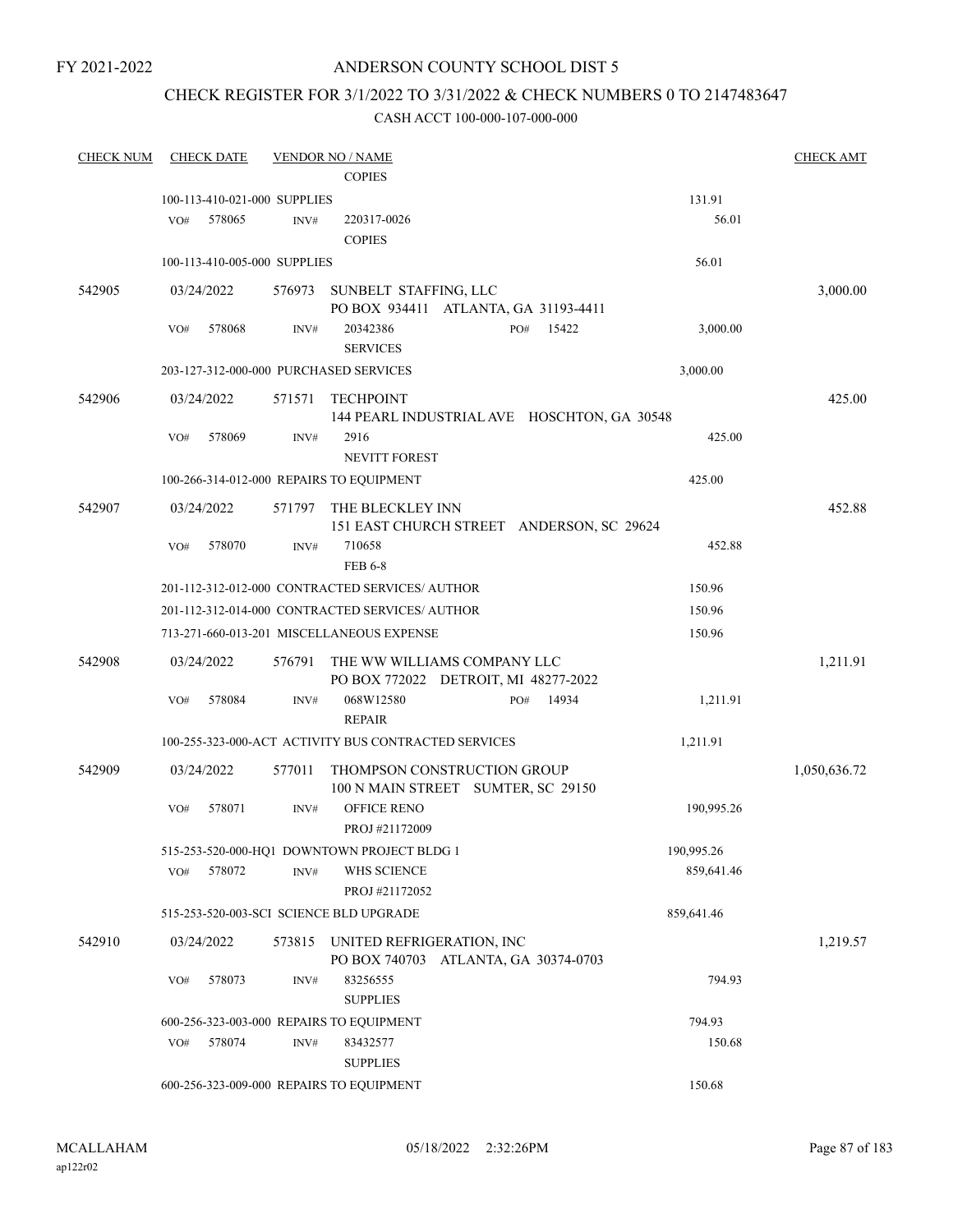# ANDERSON COUNTY SCHOOL DIST 5

# CHECK REGISTER FOR 3/1/2022 TO 3/31/2022 & CHECK NUMBERS 0 TO 2147483647

| <b>CHECK NUM</b> | <b>CHECK DATE</b>                      |        | <b>VENDOR NO / NAME</b>                                           |     |       |            | <b>CHECK AMT</b> |
|------------------|----------------------------------------|--------|-------------------------------------------------------------------|-----|-------|------------|------------------|
|                  |                                        |        | <b>COPIES</b>                                                     |     |       |            |                  |
|                  | 100-113-410-021-000 SUPPLIES           |        |                                                                   |     |       | 131.91     |                  |
|                  | 578065<br>VO#                          | INV#   | 220317-0026                                                       |     |       | 56.01      |                  |
|                  |                                        |        | <b>COPIES</b>                                                     |     |       |            |                  |
|                  | 100-113-410-005-000 SUPPLIES           |        |                                                                   |     |       | 56.01      |                  |
| 542905           | 03/24/2022                             | 576973 | SUNBELT STAFFING, LLC<br>PO BOX 934411 ATLANTA, GA 31193-4411     |     |       |            | 3,000.00         |
|                  | 578068<br>VO#                          | INV#   | 20342386<br><b>SERVICES</b>                                       | PO# | 15422 | 3,000.00   |                  |
|                  | 203-127-312-000-000 PURCHASED SERVICES |        |                                                                   |     |       | 3,000.00   |                  |
| 542906           | 03/24/2022                             | 571571 | <b>TECHPOINT</b><br>144 PEARL INDUSTRIAL AVE HOSCHTON, GA 30548   |     |       |            | 425.00           |
|                  | 578069<br>VO#                          | INV#   | 2916<br><b>NEVITT FOREST</b>                                      |     |       | 425.00     |                  |
|                  |                                        |        | 100-266-314-012-000 REPAIRS TO EQUIPMENT                          |     |       | 425.00     |                  |
|                  |                                        |        |                                                                   |     |       |            |                  |
| 542907           | 03/24/2022                             | 571797 | THE BLECKLEY INN<br>151 EAST CHURCH STREET ANDERSON, SC 29624     |     |       |            | 452.88           |
|                  | 578070<br>VO#                          | INV#   | 710658<br><b>FEB 6-8</b>                                          |     |       | 452.88     |                  |
|                  |                                        |        | 201-112-312-012-000 CONTRACTED SERVICES/AUTHOR                    |     |       | 150.96     |                  |
|                  |                                        |        | 201-112-312-014-000 CONTRACTED SERVICES/ AUTHOR                   |     |       | 150.96     |                  |
|                  |                                        |        | 713-271-660-013-201 MISCELLANEOUS EXPENSE                         |     |       | 150.96     |                  |
| 542908           | 03/24/2022                             | 576791 | THE WW WILLIAMS COMPANY LLC                                       |     |       |            | 1,211.91         |
|                  |                                        |        | PO BOX 772022 DETROIT, MI 48277-2022                              |     |       |            |                  |
|                  | 578084<br>VO#                          | INV#   | 068W12580<br><b>REPAIR</b>                                        | PO# | 14934 | 1,211.91   |                  |
|                  |                                        |        | 100-255-323-000-ACT ACTIVITY BUS CONTRACTED SERVICES              |     |       | 1,211.91   |                  |
| 542909           | 03/24/2022                             | 577011 | THOMPSON CONSTRUCTION GROUP<br>100 N MAIN STREET SUMTER, SC 29150 |     |       |            | 1,050,636.72     |
|                  | 578071<br>VO#                          | INV#   | <b>OFFICE RENO</b><br>PROJ #21172009                              |     |       | 190,995.26 |                  |
|                  |                                        |        | 515-253-520-000-HQ1 DOWNTOWN PROJECT BLDG 1                       |     |       | 190,995.26 |                  |
|                  | 578072<br>VO#                          | INV#   | WHS SCIENCE                                                       |     |       | 859,641.46 |                  |
|                  |                                        |        | PROJ #21172052                                                    |     |       |            |                  |
|                  |                                        |        | 515-253-520-003-SCI SCIENCE BLD UPGRADE                           |     |       | 859,641.46 |                  |
| 542910           | 03/24/2022                             | 573815 | UNITED REFRIGERATION, INC<br>PO BOX 740703 ATLANTA, GA 30374-0703 |     |       |            | 1,219.57         |
|                  | 578073<br>VO#                          | INV#   | 83256555<br><b>SUPPLIES</b>                                       |     |       | 794.93     |                  |
|                  |                                        |        | 600-256-323-003-000 REPAIRS TO EQUIPMENT                          |     |       | 794.93     |                  |
|                  | 578074<br>VO#                          | INV#   | 83432577<br><b>SUPPLIES</b>                                       |     |       | 150.68     |                  |
|                  |                                        |        | 600-256-323-009-000 REPAIRS TO EQUIPMENT                          |     |       | 150.68     |                  |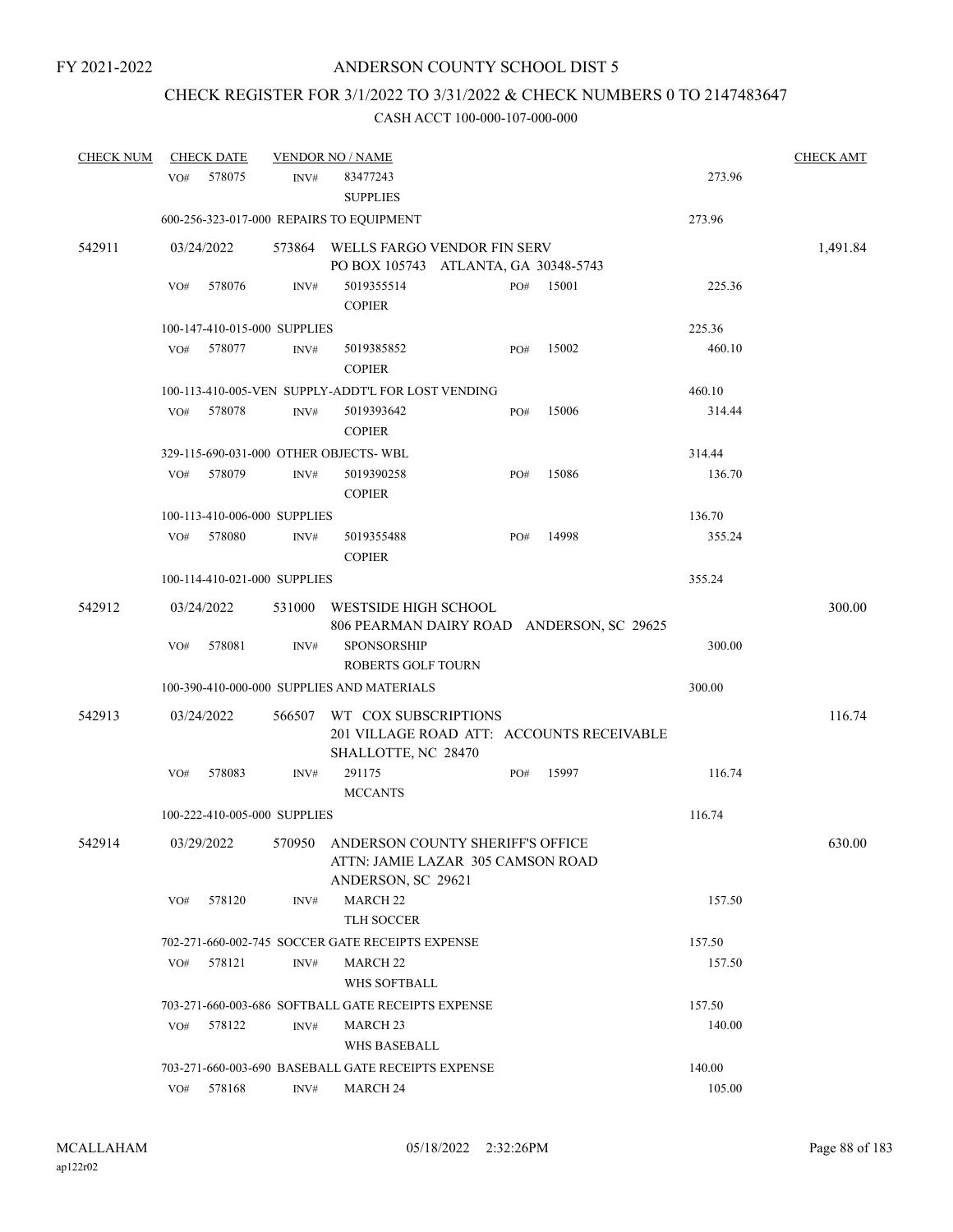# CHECK REGISTER FOR 3/1/2022 TO 3/31/2022 & CHECK NUMBERS 0 TO 2147483647

| <b>CHECK NUM</b> |     | <b>CHECK DATE</b> |                              | <b>VENDOR NO / NAME</b>                                           |     |       |        | <b>CHECK AMT</b> |
|------------------|-----|-------------------|------------------------------|-------------------------------------------------------------------|-----|-------|--------|------------------|
|                  | VO# | 578075            | INV#                         | 83477243                                                          |     |       | 273.96 |                  |
|                  |     |                   |                              | <b>SUPPLIES</b>                                                   |     |       |        |                  |
|                  |     |                   |                              | 600-256-323-017-000 REPAIRS TO EQUIPMENT                          |     |       | 273.96 |                  |
| 542911           |     | 03/24/2022        | 573864                       | WELLS FARGO VENDOR FIN SERV                                       |     |       |        | 1,491.84         |
|                  |     |                   |                              | PO BOX 105743 ATLANTA, GA 30348-5743                              |     |       |        |                  |
|                  | VO# | 578076            | INV#                         | 5019355514                                                        | PO# | 15001 | 225.36 |                  |
|                  |     |                   |                              | <b>COPIER</b>                                                     |     |       |        |                  |
|                  |     |                   | 100-147-410-015-000 SUPPLIES |                                                                   |     |       | 225.36 |                  |
|                  | VO# | 578077            | INV#                         | 5019385852<br><b>COPIER</b>                                       | PO# | 15002 | 460.10 |                  |
|                  |     |                   |                              | 100-113-410-005-VEN SUPPLY-ADDT'L FOR LOST VENDING                |     |       | 460.10 |                  |
|                  | VO# | 578078            | INV#                         | 5019393642<br><b>COPIER</b>                                       | PO# | 15006 | 314.44 |                  |
|                  |     |                   |                              | 329-115-690-031-000 OTHER OBJECTS-WBL                             |     |       | 314.44 |                  |
|                  | VO# | 578079            | INV#                         | 5019390258<br><b>COPIER</b>                                       | PO# | 15086 | 136.70 |                  |
|                  |     |                   | 100-113-410-006-000 SUPPLIES |                                                                   |     |       | 136.70 |                  |
|                  | VO# | 578080            | INV#                         | 5019355488                                                        | PO# | 14998 | 355.24 |                  |
|                  |     |                   |                              | <b>COPIER</b>                                                     |     |       |        |                  |
|                  |     |                   | 100-114-410-021-000 SUPPLIES |                                                                   |     |       | 355.24 |                  |
| 542912           |     | 03/24/2022        | 531000                       | WESTSIDE HIGH SCHOOL<br>806 PEARMAN DAIRY ROAD ANDERSON, SC 29625 |     |       |        | 300.00           |
|                  | VO# | 578081            | INV#                         | <b>SPONSORSHIP</b>                                                |     |       | 300.00 |                  |
|                  |     |                   |                              | <b>ROBERTS GOLF TOURN</b>                                         |     |       |        |                  |
|                  |     |                   |                              | 100-390-410-000-000 SUPPLIES AND MATERIALS                        |     |       | 300.00 |                  |
| 542913           |     | 03/24/2022        | 566507                       | WT COX SUBSCRIPTIONS                                              |     |       |        | 116.74           |
|                  |     |                   |                              | 201 VILLAGE ROAD ATT: ACCOUNTS RECEIVABLE<br>SHALLOTTE, NC 28470  |     |       |        |                  |
|                  | VO# | 578083            | INV#                         | 291175                                                            | PO# | 15997 | 116.74 |                  |
|                  |     |                   |                              | <b>MCCANTS</b>                                                    |     |       |        |                  |
|                  |     |                   | 100-222-410-005-000 SUPPLIES |                                                                   |     |       | 116.74 |                  |
| 542914           |     | 03/29/2022        |                              | 570950 ANDERSON COUNTY SHERIFF'S OFFICE                           |     |       |        | 630.00           |
|                  |     |                   |                              | ATTN: JAMIE LAZAR 305 CAMSON ROAD<br>ANDERSON, SC 29621           |     |       |        |                  |
|                  | VO# | 578120            | INV#                         | <b>MARCH 22</b><br>TLH SOCCER                                     |     |       | 157.50 |                  |
|                  |     |                   |                              | 702-271-660-002-745 SOCCER GATE RECEIPTS EXPENSE                  |     |       | 157.50 |                  |
|                  | VO# | 578121            | INV#                         | MARCH <sub>22</sub>                                               |     |       | 157.50 |                  |
|                  |     |                   |                              | WHS SOFTBALL                                                      |     |       |        |                  |
|                  |     |                   |                              | 703-271-660-003-686 SOFTBALL GATE RECEIPTS EXPENSE                |     |       | 157.50 |                  |
|                  | VO# | 578122            | INV#                         | MARCH <sub>23</sub>                                               |     |       | 140.00 |                  |
|                  |     |                   |                              | <b>WHS BASEBALL</b>                                               |     |       |        |                  |
|                  |     |                   |                              | 703-271-660-003-690 BASEBALL GATE RECEIPTS EXPENSE                |     |       | 140.00 |                  |
|                  | VO# | 578168            | INV#                         | <b>MARCH 24</b>                                                   |     |       | 105.00 |                  |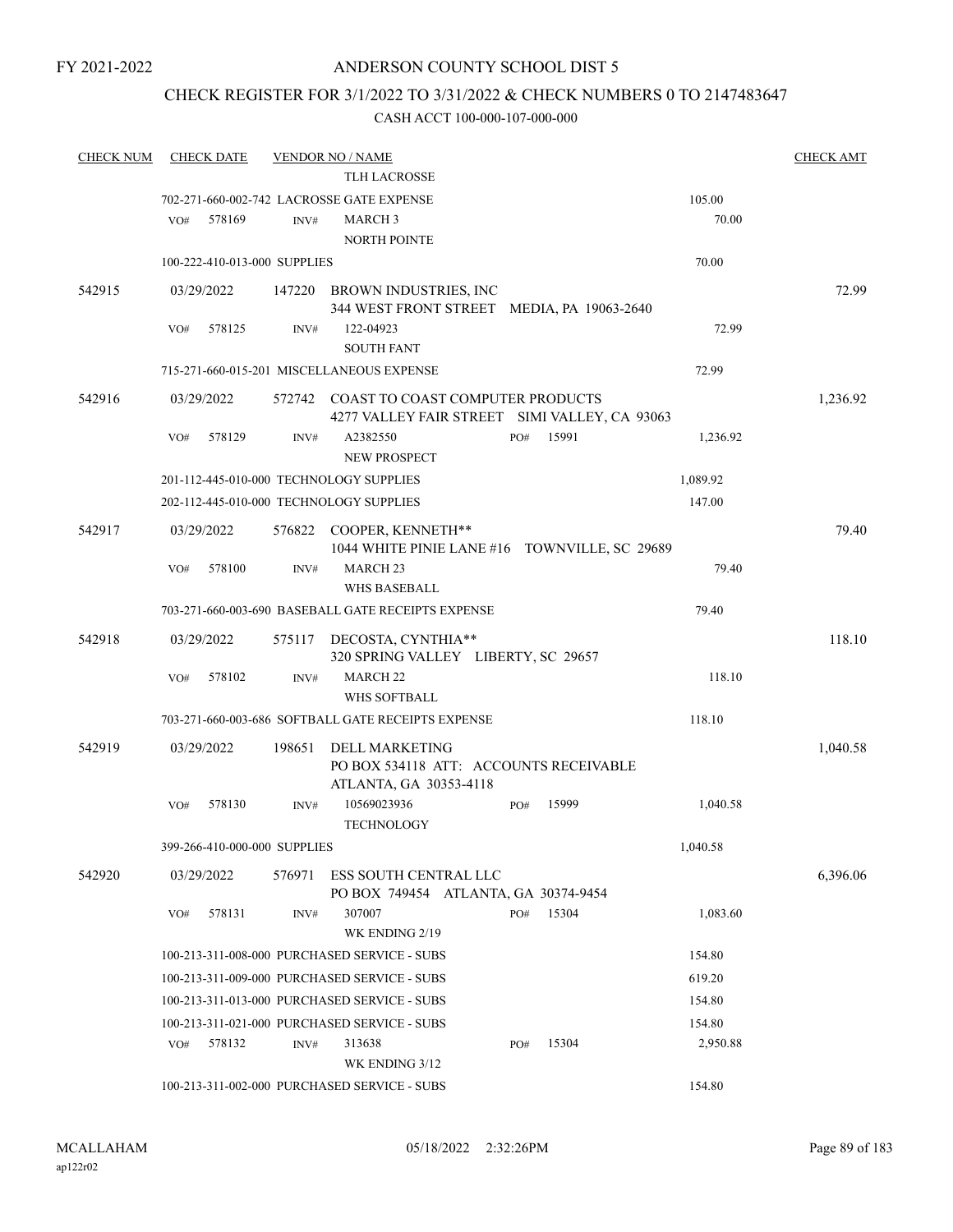# ANDERSON COUNTY SCHOOL DIST 5

# CHECK REGISTER FOR 3/1/2022 TO 3/31/2022 & CHECK NUMBERS 0 TO 2147483647

| <b>CHECK NUM</b> | <b>CHECK DATE</b>            |        | <b>VENDOR NO / NAME</b>                                                                  |     |       |          | <b>CHECK AMT</b> |
|------------------|------------------------------|--------|------------------------------------------------------------------------------------------|-----|-------|----------|------------------|
|                  |                              |        | <b>TLH LACROSSE</b>                                                                      |     |       |          |                  |
|                  |                              |        | 702-271-660-002-742 LACROSSE GATE EXPENSE                                                |     |       | 105.00   |                  |
|                  | 578169<br>VO#                | INV#   | <b>MARCH 3</b>                                                                           |     |       | 70.00    |                  |
|                  |                              |        | <b>NORTH POINTE</b>                                                                      |     |       |          |                  |
|                  | 100-222-410-013-000 SUPPLIES |        |                                                                                          |     |       | 70.00    |                  |
| 542915           | 03/29/2022                   |        | 147220 BROWN INDUSTRIES, INC                                                             |     |       |          | 72.99            |
|                  |                              |        | 344 WEST FRONT STREET MEDIA, PA 19063-2640                                               |     |       |          |                  |
|                  | 578125<br>VO#                | INV#   | 122-04923                                                                                |     |       | 72.99    |                  |
|                  |                              |        | <b>SOUTH FANT</b>                                                                        |     |       |          |                  |
|                  |                              |        | 715-271-660-015-201 MISCELLANEOUS EXPENSE                                                |     |       | 72.99    |                  |
| 542916           | 03/29/2022                   |        | 572742 COAST TO COAST COMPUTER PRODUCTS<br>4277 VALLEY FAIR STREET SIMI VALLEY, CA 93063 |     |       |          | 1,236.92         |
|                  | VO#<br>578129                | INV#   | A2382550<br><b>NEW PROSPECT</b>                                                          | PO# | 15991 | 1,236.92 |                  |
|                  |                              |        | 201-112-445-010-000 TECHNOLOGY SUPPLIES                                                  |     |       | 1,089.92 |                  |
|                  |                              |        | 202-112-445-010-000 TECHNOLOGY SUPPLIES                                                  |     |       | 147.00   |                  |
| 542917           | 03/29/2022                   |        | 576822 COOPER, KENNETH**<br>1044 WHITE PINIE LANE #16 TOWNVILLE, SC 29689                |     |       |          | 79.40            |
|                  | 578100<br>VO#                | INV#   | MARCH <sub>23</sub><br><b>WHS BASEBALL</b>                                               |     |       | 79.40    |                  |
|                  |                              |        | 703-271-660-003-690 BASEBALL GATE RECEIPTS EXPENSE                                       |     |       | 79.40    |                  |
| 542918           | 03/29/2022                   |        | 575117 DECOSTA, CYNTHIA**                                                                |     |       |          | 118.10           |
|                  |                              |        | 320 SPRING VALLEY LIBERTY, SC 29657                                                      |     |       |          |                  |
|                  | 578102<br>VO#                | INV#   | <b>MARCH 22</b>                                                                          |     |       | 118.10   |                  |
|                  |                              |        | WHS SOFTBALL                                                                             |     |       |          |                  |
|                  |                              |        | 703-271-660-003-686 SOFTBALL GATE RECEIPTS EXPENSE                                       |     |       | 118.10   |                  |
| 542919           | 03/29/2022                   | 198651 | DELL MARKETING<br>PO BOX 534118 ATT: ACCOUNTS RECEIVABLE                                 |     |       |          | 1,040.58         |
|                  |                              |        | ATLANTA, GA 30353-4118                                                                   |     |       |          |                  |
|                  | 578130<br>VO#                | INV#   | 10569023936<br><b>TECHNOLOGY</b>                                                         | PO# | 15999 | 1,040.58 |                  |
|                  | 399-266-410-000-000 SUPPLIES |        |                                                                                          |     |       | 1,040.58 |                  |
| 542920           | 03/29/2022                   | 576971 | ESS SOUTH CENTRAL LLC<br>PO BOX 749454 ATLANTA, GA 30374-9454                            |     |       |          | 6.396.06         |
|                  | 578131<br>VO#                | INV#   | 307007<br>WK ENDING 2/19                                                                 | PO# | 15304 | 1,083.60 |                  |
|                  |                              |        | 100-213-311-008-000 PURCHASED SERVICE - SUBS                                             |     |       | 154.80   |                  |
|                  |                              |        | 100-213-311-009-000 PURCHASED SERVICE - SUBS                                             |     |       | 619.20   |                  |
|                  |                              |        | 100-213-311-013-000 PURCHASED SERVICE - SUBS                                             |     |       | 154.80   |                  |
|                  |                              |        | 100-213-311-021-000 PURCHASED SERVICE - SUBS                                             |     |       | 154.80   |                  |
|                  | 578132<br>VO#                | INV#   | 313638<br>WK ENDING 3/12                                                                 | PO# | 15304 | 2,950.88 |                  |
|                  |                              |        | 100-213-311-002-000 PURCHASED SERVICE - SUBS                                             |     |       | 154.80   |                  |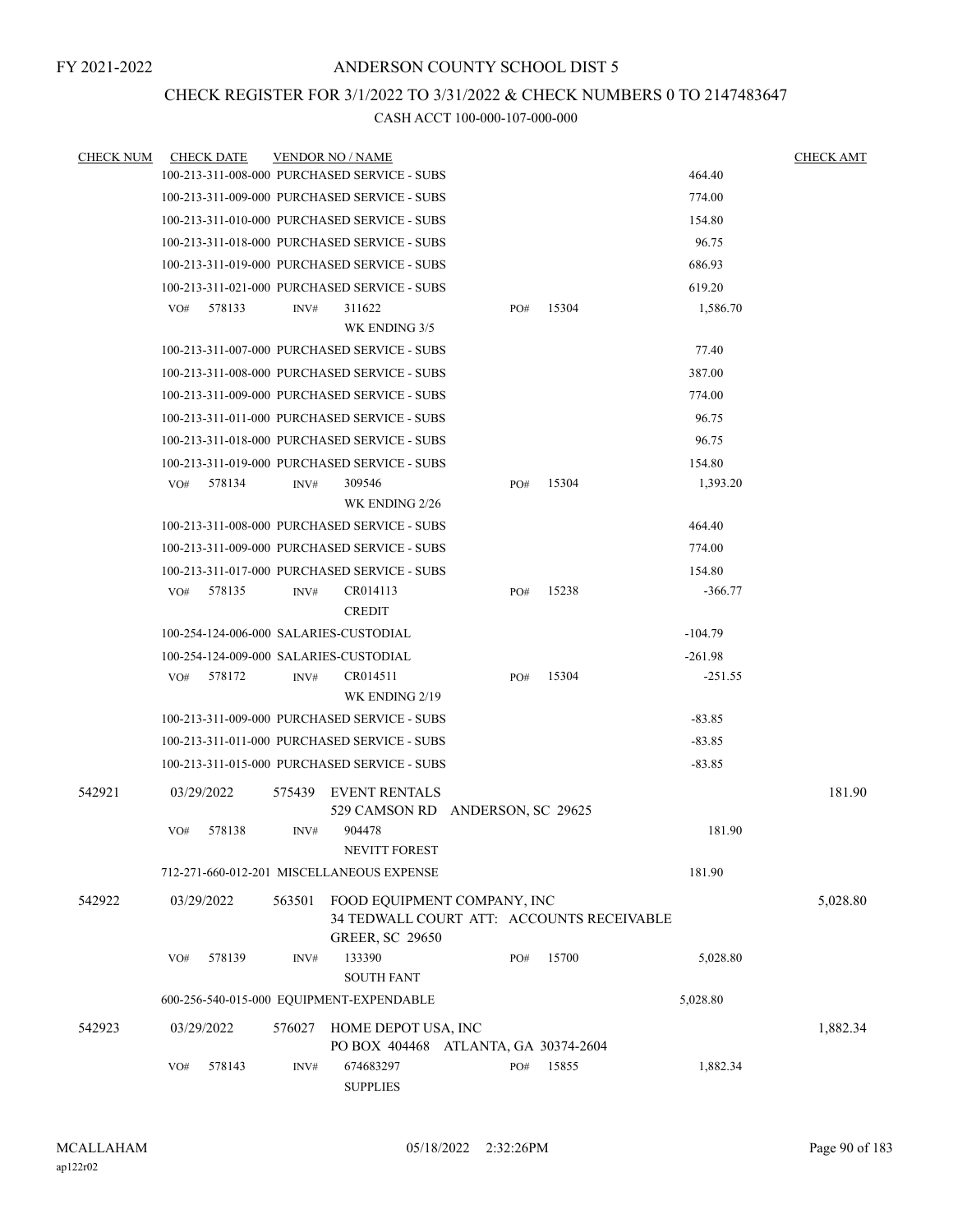# CHECK REGISTER FOR 3/1/2022 TO 3/31/2022 & CHECK NUMBERS 0 TO 2147483647

| <b>CHECK NUM</b> |     | <b>CHECK DATE</b> |        | <b>VENDOR NO / NAME</b>                                                                            |     |       |           | <b>CHECK AMT</b> |
|------------------|-----|-------------------|--------|----------------------------------------------------------------------------------------------------|-----|-------|-----------|------------------|
|                  |     |                   |        | 100-213-311-008-000 PURCHASED SERVICE - SUBS                                                       |     |       | 464.40    |                  |
|                  |     |                   |        | 100-213-311-009-000 PURCHASED SERVICE - SUBS                                                       |     |       | 774.00    |                  |
|                  |     |                   |        | 100-213-311-010-000 PURCHASED SERVICE - SUBS                                                       |     |       | 154.80    |                  |
|                  |     |                   |        | 100-213-311-018-000 PURCHASED SERVICE - SUBS                                                       |     |       | 96.75     |                  |
|                  |     |                   |        | 100-213-311-019-000 PURCHASED SERVICE - SUBS                                                       |     |       | 686.93    |                  |
|                  |     |                   |        | 100-213-311-021-000 PURCHASED SERVICE - SUBS                                                       |     |       | 619.20    |                  |
|                  | VO# | 578133            | INV#   | 311622                                                                                             | PO# | 15304 | 1,586.70  |                  |
|                  |     |                   |        | WK ENDING 3/5                                                                                      |     |       |           |                  |
|                  |     |                   |        | 100-213-311-007-000 PURCHASED SERVICE - SUBS                                                       |     |       | 77.40     |                  |
|                  |     |                   |        | 100-213-311-008-000 PURCHASED SERVICE - SUBS                                                       |     |       | 387.00    |                  |
|                  |     |                   |        | 100-213-311-009-000 PURCHASED SERVICE - SUBS                                                       |     |       | 774.00    |                  |
|                  |     |                   |        | 100-213-311-011-000 PURCHASED SERVICE - SUBS                                                       |     |       | 96.75     |                  |
|                  |     |                   |        | 100-213-311-018-000 PURCHASED SERVICE - SUBS                                                       |     |       | 96.75     |                  |
|                  |     |                   |        | 100-213-311-019-000 PURCHASED SERVICE - SUBS                                                       |     |       | 154.80    |                  |
|                  | VO# | 578134            | INV#   | 309546                                                                                             | PO# | 15304 | 1,393.20  |                  |
|                  |     |                   |        | WK ENDING 2/26                                                                                     |     |       |           |                  |
|                  |     |                   |        | 100-213-311-008-000 PURCHASED SERVICE - SUBS                                                       |     |       | 464.40    |                  |
|                  |     |                   |        | 100-213-311-009-000 PURCHASED SERVICE - SUBS                                                       |     |       | 774.00    |                  |
|                  |     |                   |        | 100-213-311-017-000 PURCHASED SERVICE - SUBS                                                       |     |       | 154.80    |                  |
|                  | VO# | 578135            | INV#   | CR014113<br><b>CREDIT</b>                                                                          | PO# | 15238 | $-366.77$ |                  |
|                  |     |                   |        | 100-254-124-006-000 SALARIES-CUSTODIAL                                                             |     |       | $-104.79$ |                  |
|                  |     |                   |        | 100-254-124-009-000 SALARIES-CUSTODIAL                                                             |     |       | $-261.98$ |                  |
|                  | VO# | 578172            | INV#   | CR014511<br>WK ENDING 2/19                                                                         | PO# | 15304 | $-251.55$ |                  |
|                  |     |                   |        | 100-213-311-009-000 PURCHASED SERVICE - SUBS                                                       |     |       | $-83.85$  |                  |
|                  |     |                   |        | 100-213-311-011-000 PURCHASED SERVICE - SUBS                                                       |     |       | $-83.85$  |                  |
|                  |     |                   |        | 100-213-311-015-000 PURCHASED SERVICE - SUBS                                                       |     |       | $-83.85$  |                  |
| 542921           |     | 03/29/2022        |        | 575439 EVENT RENTALS<br>529 CAMSON RD ANDERSON, SC 29625                                           |     |       |           | 181.90           |
|                  | VO# | 578138            | INV#   | 904478<br>NEVITT FOREST                                                                            |     |       | 181.90    |                  |
|                  |     |                   |        | 712-271-660-012-201 MISCELLANEOUS EXPENSE                                                          |     |       | 181.90    |                  |
| 542922           |     | 03/29/2022        | 563501 | FOOD EQUIPMENT COMPANY, INC<br>34 TEDWALL COURT ATT: ACCOUNTS RECEIVABLE<br><b>GREER, SC 29650</b> |     |       |           | 5,028.80         |
|                  | VO# | 578139            | INV#   | 133390                                                                                             | PO# | 15700 | 5,028.80  |                  |
|                  |     |                   |        | <b>SOUTH FANT</b><br>600-256-540-015-000 EQUIPMENT-EXPENDABLE                                      |     |       | 5,028.80  |                  |
|                  |     |                   |        |                                                                                                    |     |       |           |                  |
| 542923           |     | 03/29/2022        | 576027 | HOME DEPOT USA, INC<br>PO BOX 404468 ATLANTA, GA 30374-2604                                        |     |       |           | 1,882.34         |
|                  | VO# | 578143            | INV#   | 674683297<br><b>SUPPLIES</b>                                                                       | PO# | 15855 | 1,882.34  |                  |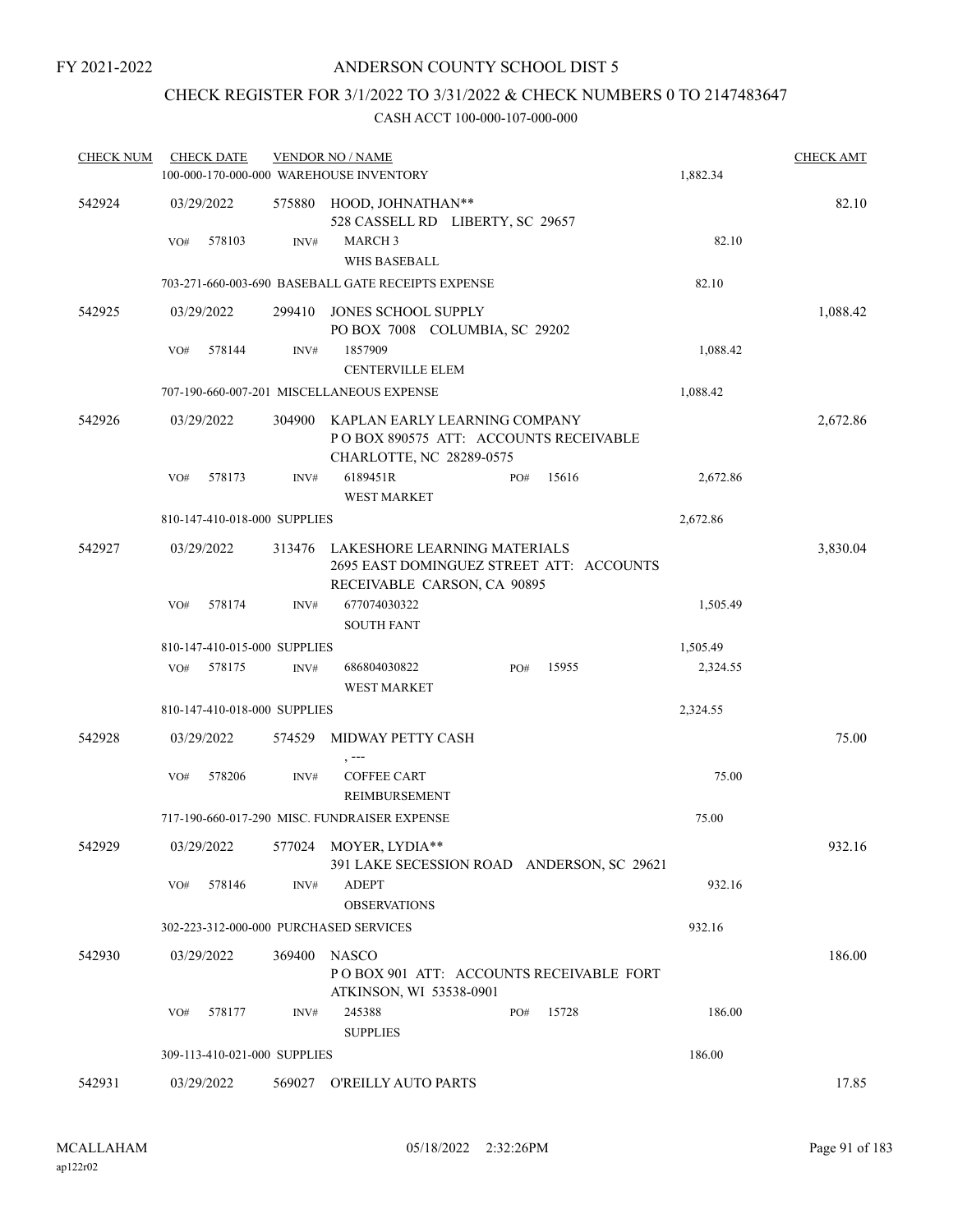# ANDERSON COUNTY SCHOOL DIST 5

# CHECK REGISTER FOR 3/1/2022 TO 3/31/2022 & CHECK NUMBERS 0 TO 2147483647

| <b>CHECK NUM</b> | <b>CHECK DATE</b> |        |                              | <b>VENDOR NO / NAME</b><br>100-000-170-000-000 WAREHOUSE INVENTORY                                      |     |       | 1,882.34 | <b>CHECK AMT</b> |
|------------------|-------------------|--------|------------------------------|---------------------------------------------------------------------------------------------------------|-----|-------|----------|------------------|
| 542924           | 03/29/2022        |        |                              | 575880 HOOD, JOHNATHAN**<br>528 CASSELL RD LIBERTY, SC 29657                                            |     |       |          | 82.10            |
|                  | VO#               | 578103 | INV#                         | <b>MARCH 3</b><br><b>WHS BASEBALL</b>                                                                   |     |       | 82.10    |                  |
|                  |                   |        |                              | 703-271-660-003-690 BASEBALL GATE RECEIPTS EXPENSE                                                      |     |       | 82.10    |                  |
| 542925           | 03/29/2022        |        | 299410                       | JONES SCHOOL SUPPLY<br>PO BOX 7008 COLUMBIA, SC 29202                                                   |     |       |          | 1,088.42         |
|                  | VO#               | 578144 | INV#                         | 1857909<br><b>CENTERVILLE ELEM</b>                                                                      |     |       | 1,088.42 |                  |
|                  |                   |        |                              | 707-190-660-007-201 MISCELLANEOUS EXPENSE                                                               |     |       | 1,088.42 |                  |
| 542926           | 03/29/2022        |        | 304900                       | KAPLAN EARLY LEARNING COMPANY<br>POBOX 890575 ATT: ACCOUNTS RECEIVABLE<br>CHARLOTTE, NC 28289-0575      |     |       |          | 2,672.86         |
|                  | VO#               | 578173 | INV#                         | 6189451R<br><b>WEST MARKET</b>                                                                          | PO# | 15616 | 2,672.86 |                  |
|                  |                   |        | 810-147-410-018-000 SUPPLIES |                                                                                                         |     |       | 2,672.86 |                  |
| 542927           | 03/29/2022        |        | 313476                       | LAKESHORE LEARNING MATERIALS<br>2695 EAST DOMINGUEZ STREET ATT: ACCOUNTS<br>RECEIVABLE CARSON, CA 90895 |     |       |          | 3,830.04         |
|                  | VO#               | 578174 | INV#                         | 677074030322<br><b>SOUTH FANT</b>                                                                       |     |       | 1,505.49 |                  |
|                  |                   |        | 810-147-410-015-000 SUPPLIES |                                                                                                         |     |       | 1,505.49 |                  |
|                  | VO#               | 578175 | INV#                         | 686804030822<br><b>WEST MARKET</b>                                                                      | PO# | 15955 | 2,324.55 |                  |
|                  |                   |        | 810-147-410-018-000 SUPPLIES |                                                                                                         |     |       | 2,324.55 |                  |
| 542928           | 03/29/2022        |        |                              | 574529 MIDWAY PETTY CASH<br>, ---                                                                       |     |       |          | 75.00            |
|                  | VO#               | 578206 | INV#                         | <b>COFFEE CART</b><br><b>REIMBURSEMENT</b>                                                              |     |       | 75.00    |                  |
|                  |                   |        |                              | 717-190-660-017-290 MISC. FUNDRAISER EXPENSE                                                            |     |       | 75.00    |                  |
| 542929           | 03/29/2022        |        |                              | 577024 MOYER, LYDIA**<br>391 LAKE SECESSION ROAD ANDERSON, SC 29621                                     |     |       |          | 932.16           |
|                  | VO#               | 578146 | INV#                         | <b>ADEPT</b><br><b>OBSERVATIONS</b>                                                                     |     |       | 932.16   |                  |
|                  |                   |        |                              | 302-223-312-000-000 PURCHASED SERVICES                                                                  |     |       | 932.16   |                  |
| 542930           | 03/29/2022        |        | 369400                       | <b>NASCO</b><br>POBOX 901 ATT: ACCOUNTS RECEIVABLE FORT<br>ATKINSON, WI 53538-0901                      |     |       |          | 186.00           |
|                  | VO#               | 578177 | INV#                         | 245388<br><b>SUPPLIES</b>                                                                               | PO# | 15728 | 186.00   |                  |
|                  |                   |        | 309-113-410-021-000 SUPPLIES |                                                                                                         |     |       | 186.00   |                  |
| 542931           | 03/29/2022        |        |                              | 569027 O'REILLY AUTO PARTS                                                                              |     |       |          | 17.85            |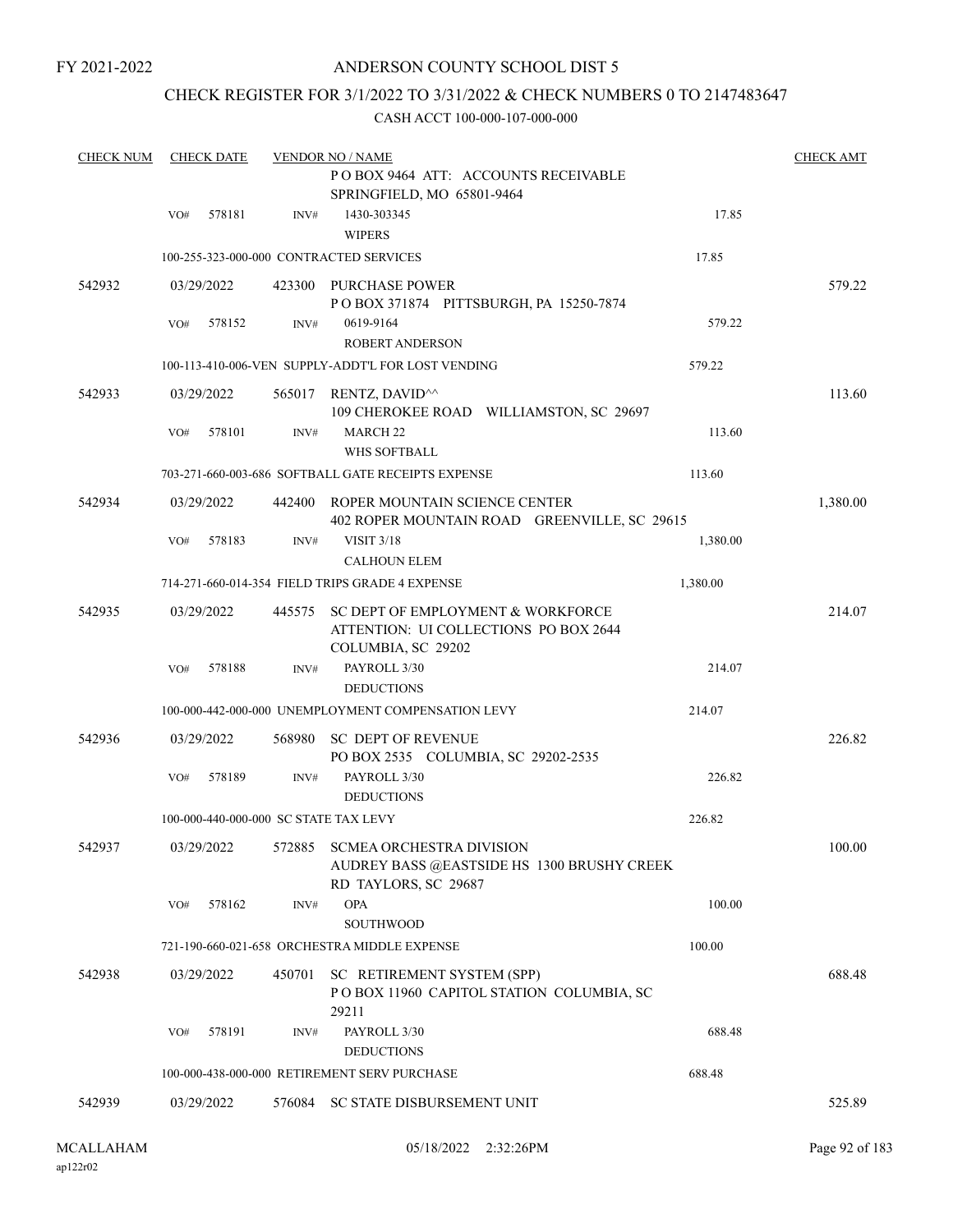# ANDERSON COUNTY SCHOOL DIST 5

# CHECK REGISTER FOR 3/1/2022 TO 3/31/2022 & CHECK NUMBERS 0 TO 2147483647

| <b>CHECK NUM</b> |     | <b>CHECK DATE</b> |        | <b>VENDOR NO / NAME</b>                                                                                          |          | <b>CHECK AMT</b> |
|------------------|-----|-------------------|--------|------------------------------------------------------------------------------------------------------------------|----------|------------------|
|                  |     |                   |        | POBOX 9464 ATT: ACCOUNTS RECEIVABLE<br>SPRINGFIELD, MO 65801-9464                                                |          |                  |
|                  | VO# | 578181            | INV#   | 1430-303345                                                                                                      | 17.85    |                  |
|                  |     |                   |        | <b>WIPERS</b><br>100-255-323-000-000 CONTRACTED SERVICES                                                         | 17.85    |                  |
| 542932           |     | 03/29/2022        |        | 423300 PURCHASE POWER                                                                                            |          | 579.22           |
|                  |     |                   |        | POBOX 371874 PITTSBURGH, PA 15250-7874                                                                           |          |                  |
|                  | VO# | 578152            | INV#   | 0619-9164<br><b>ROBERT ANDERSON</b>                                                                              | 579.22   |                  |
|                  |     |                   |        | 100-113-410-006-VEN SUPPLY-ADDT'L FOR LOST VENDING                                                               | 579.22   |                  |
| 542933           |     | 03/29/2022        |        | 565017 RENTZ, DAVID <sup><math>\land</math></sup><br>109 CHEROKEE ROAD WILLIAMSTON, SC 29697                     |          | 113.60           |
|                  | VO# | 578101            | INV#   | <b>MARCH 22</b>                                                                                                  | 113.60   |                  |
|                  |     |                   |        | WHS SOFTBALL                                                                                                     |          |                  |
|                  |     |                   |        | 703-271-660-003-686 SOFTBALL GATE RECEIPTS EXPENSE                                                               | 113.60   |                  |
| 542934           |     | 03/29/2022        | 442400 | ROPER MOUNTAIN SCIENCE CENTER<br>402 ROPER MOUNTAIN ROAD GREENVILLE, SC 29615                                    |          | 1,380.00         |
|                  | VO# | 578183            | INV#   | <b>VISIT 3/18</b>                                                                                                | 1,380.00 |                  |
|                  |     |                   |        | <b>CALHOUN ELEM</b>                                                                                              |          |                  |
|                  |     |                   |        | 714-271-660-014-354 FIELD TRIPS GRADE 4 EXPENSE                                                                  | 1,380.00 |                  |
| 542935           |     | 03/29/2022        | 445575 | SC DEPT OF EMPLOYMENT & WORKFORCE<br>ATTENTION: UI COLLECTIONS PO BOX 2644<br>COLUMBIA, SC 29202                 |          | 214.07           |
|                  | VO# | 578188            | INV#   | PAYROLL 3/30                                                                                                     | 214.07   |                  |
|                  |     |                   |        | <b>DEDUCTIONS</b>                                                                                                |          |                  |
|                  |     |                   |        | 100-000-442-000-000 UNEMPLOYMENT COMPENSATION LEVY                                                               | 214.07   |                  |
| 542936           |     | 03/29/2022        | 568980 | SC DEPT OF REVENUE<br>PO BOX 2535 COLUMBIA, SC 29202-2535                                                        |          | 226.82           |
|                  | VO# | 578189            | INV#   | PAYROLL 3/30<br><b>DEDUCTIONS</b>                                                                                | 226.82   |                  |
|                  |     |                   |        | 100-000-440-000-000 SC STATE TAX LEVY                                                                            | 226.82   |                  |
| 542937           |     |                   |        | 03/29/2022 572885 SCMEA ORCHESTRA DIVISION<br>AUDREY BASS @EASTSIDE HS 1300 BRUSHY CREEK<br>RD TAYLORS, SC 29687 |          | 100.00           |
|                  | VO# | 578162            | INV#   | <b>OPA</b><br><b>SOUTHWOOD</b>                                                                                   | 100.00   |                  |
|                  |     |                   |        | 721-190-660-021-658 ORCHESTRA MIDDLE EXPENSE                                                                     | 100.00   |                  |
| 542938           |     | 03/29/2022        | 450701 | SC RETIREMENT SYSTEM (SPP)<br>POBOX 11960 CAPITOL STATION COLUMBIA, SC<br>29211                                  |          | 688.48           |
|                  | VO# | 578191            | INV#   | PAYROLL 3/30<br><b>DEDUCTIONS</b>                                                                                | 688.48   |                  |
|                  |     |                   |        | 100-000-438-000-000 RETIREMENT SERV PURCHASE                                                                     | 688.48   |                  |
| 542939           |     | 03/29/2022        |        | 576084 SC STATE DISBURSEMENT UNIT                                                                                |          | 525.89           |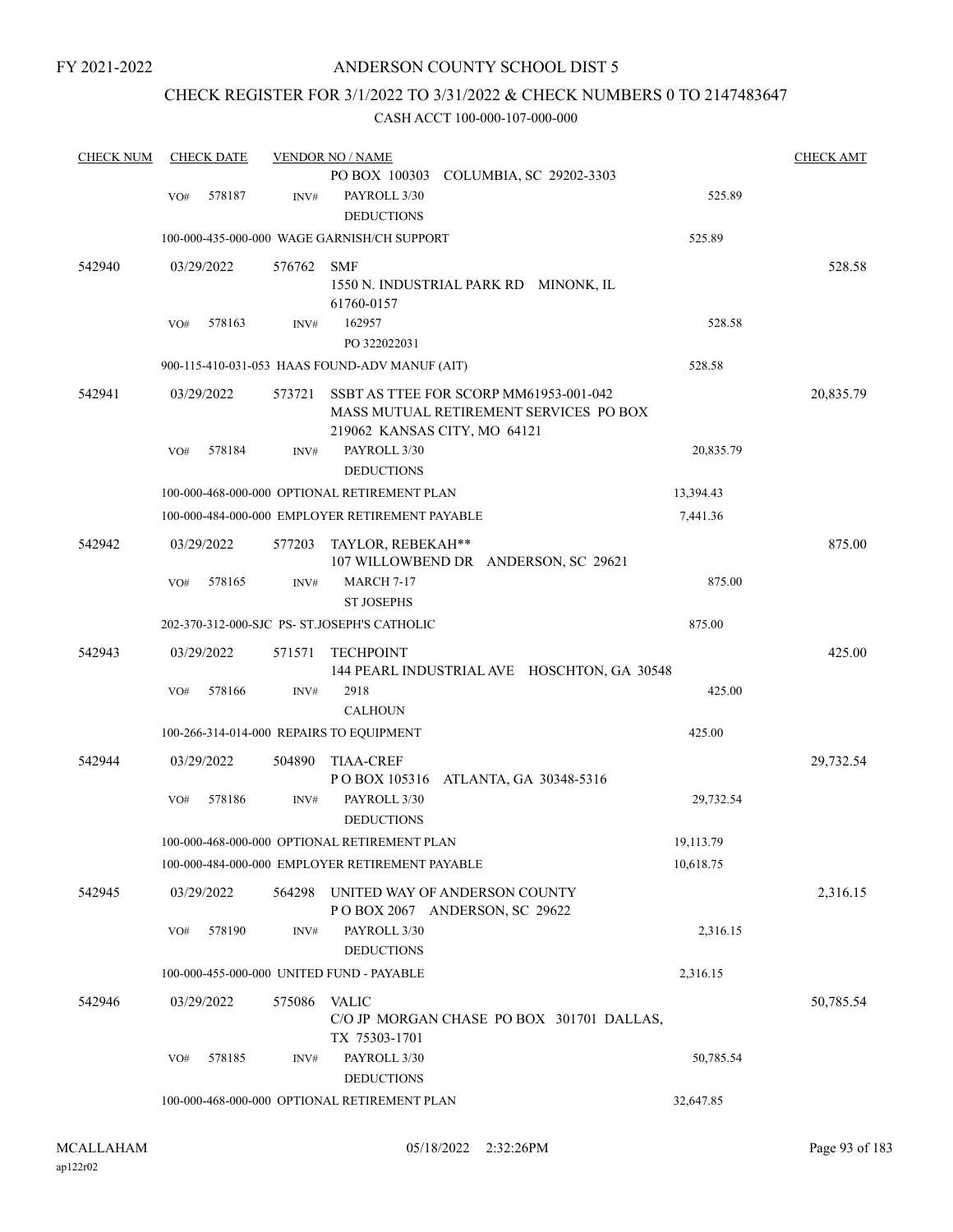# ANDERSON COUNTY SCHOOL DIST 5

# CHECK REGISTER FOR 3/1/2022 TO 3/31/2022 & CHECK NUMBERS 0 TO 2147483647

| <b>CHECK NUM</b> |     | <b>CHECK DATE</b> |        | <b>VENDOR NO / NAME</b>                                                |           | <b>CHECK AMT</b> |
|------------------|-----|-------------------|--------|------------------------------------------------------------------------|-----------|------------------|
|                  |     |                   |        | PO BOX 100303 COLUMBIA, SC 29202-3303                                  |           |                  |
|                  | VO# | 578187            | INV#   | PAYROLL 3/30                                                           | 525.89    |                  |
|                  |     |                   |        | <b>DEDUCTIONS</b>                                                      |           |                  |
|                  |     |                   |        | 100-000-435-000-000 WAGE GARNISH/CH SUPPORT                            | 525.89    |                  |
| 542940           |     | 03/29/2022        | 576762 | <b>SMF</b>                                                             |           | 528.58           |
|                  |     |                   |        | 1550 N. INDUSTRIAL PARK RD MINONK, IL                                  |           |                  |
|                  |     |                   |        | 61760-0157                                                             |           |                  |
|                  | VO# | 578163            | INV#   | 162957                                                                 | 528.58    |                  |
|                  |     |                   |        | PO 322022031                                                           |           |                  |
|                  |     |                   |        | 900-115-410-031-053 HAAS FOUND-ADV MANUF (AIT)                         | 528.58    |                  |
|                  |     |                   |        |                                                                        |           |                  |
| 542941           |     | 03/29/2022        | 573721 | SSBT AS TTEE FOR SCORP MM61953-001-042                                 |           | 20,835.79        |
|                  |     |                   |        | MASS MUTUAL RETIREMENT SERVICES PO BOX<br>219062 KANSAS CITY, MO 64121 |           |                  |
|                  |     | 578184            |        | PAYROLL 3/30                                                           | 20,835.79 |                  |
|                  | VO# |                   | INV#   |                                                                        |           |                  |
|                  |     |                   |        | <b>DEDUCTIONS</b>                                                      |           |                  |
|                  |     |                   |        | 100-000-468-000-000 OPTIONAL RETIREMENT PLAN                           | 13,394.43 |                  |
|                  |     |                   |        | 100-000-484-000-000 EMPLOYER RETIREMENT PAYABLE                        | 7,441.36  |                  |
| 542942           |     | 03/29/2022        | 577203 | TAYLOR, REBEKAH**                                                      |           | 875.00           |
|                  |     |                   |        | 107 WILLOWBEND DR ANDERSON, SC 29621                                   |           |                  |
|                  | VO# | 578165            | INV#   | <b>MARCH 7-17</b>                                                      | 875.00    |                  |
|                  |     |                   |        | <b>ST JOSEPHS</b>                                                      |           |                  |
|                  |     |                   |        | 202-370-312-000-SJC PS- ST.JOSEPH'S CATHOLIC                           | 875.00    |                  |
| 542943           |     | 03/29/2022        | 571571 | <b>TECHPOINT</b>                                                       |           | 425.00           |
|                  |     |                   |        | 144 PEARL INDUSTRIAL AVE HOSCHTON, GA 30548                            |           |                  |
|                  | VO# | 578166            | INV#   | 2918                                                                   | 425.00    |                  |
|                  |     |                   |        | <b>CALHOUN</b>                                                         |           |                  |
|                  |     |                   |        | 100-266-314-014-000 REPAIRS TO EQUIPMENT                               | 425.00    |                  |
| 542944           |     | 03/29/2022        | 504890 | <b>TIAA-CREF</b>                                                       |           | 29,732.54        |
|                  |     |                   |        | PO BOX 105316<br>ATLANTA, GA 30348-5316                                |           |                  |
|                  | VO# | 578186            | INV#   | PAYROLL 3/30                                                           | 29,732.54 |                  |
|                  |     |                   |        | <b>DEDUCTIONS</b>                                                      |           |                  |
|                  |     |                   |        | 100-000-468-000-000 OPTIONAL RETIREMENT PLAN                           | 19,113.79 |                  |
|                  |     |                   |        | 100-000-484-000-000 EMPLOYER RETIREMENT PAYABLE                        | 10,618.75 |                  |
| 542945           |     | 03/29/2022        | 564298 | UNITED WAY OF ANDERSON COUNTY                                          |           | 2,316.15         |
|                  |     |                   |        | POBOX 2067 ANDERSON, SC 29622                                          |           |                  |
|                  | VO# | 578190            | INV#   | PAYROLL 3/30                                                           | 2,316.15  |                  |
|                  |     |                   |        | <b>DEDUCTIONS</b>                                                      |           |                  |
|                  |     |                   |        | 100-000-455-000-000 UNITED FUND - PAYABLE                              | 2,316.15  |                  |
|                  |     |                   |        |                                                                        |           |                  |
| 542946           |     | 03/29/2022        | 575086 | <b>VALIC</b>                                                           |           | 50,785.54        |
|                  |     |                   |        | C/O JP MORGAN CHASE PO BOX 301701 DALLAS,                              |           |                  |
|                  |     |                   |        | TX 75303-1701                                                          |           |                  |
|                  | VO# | 578185            | INV#   | PAYROLL 3/30                                                           | 50,785.54 |                  |
|                  |     |                   |        | <b>DEDUCTIONS</b>                                                      |           |                  |
|                  |     |                   |        | 100-000-468-000-000 OPTIONAL RETIREMENT PLAN                           | 32,647.85 |                  |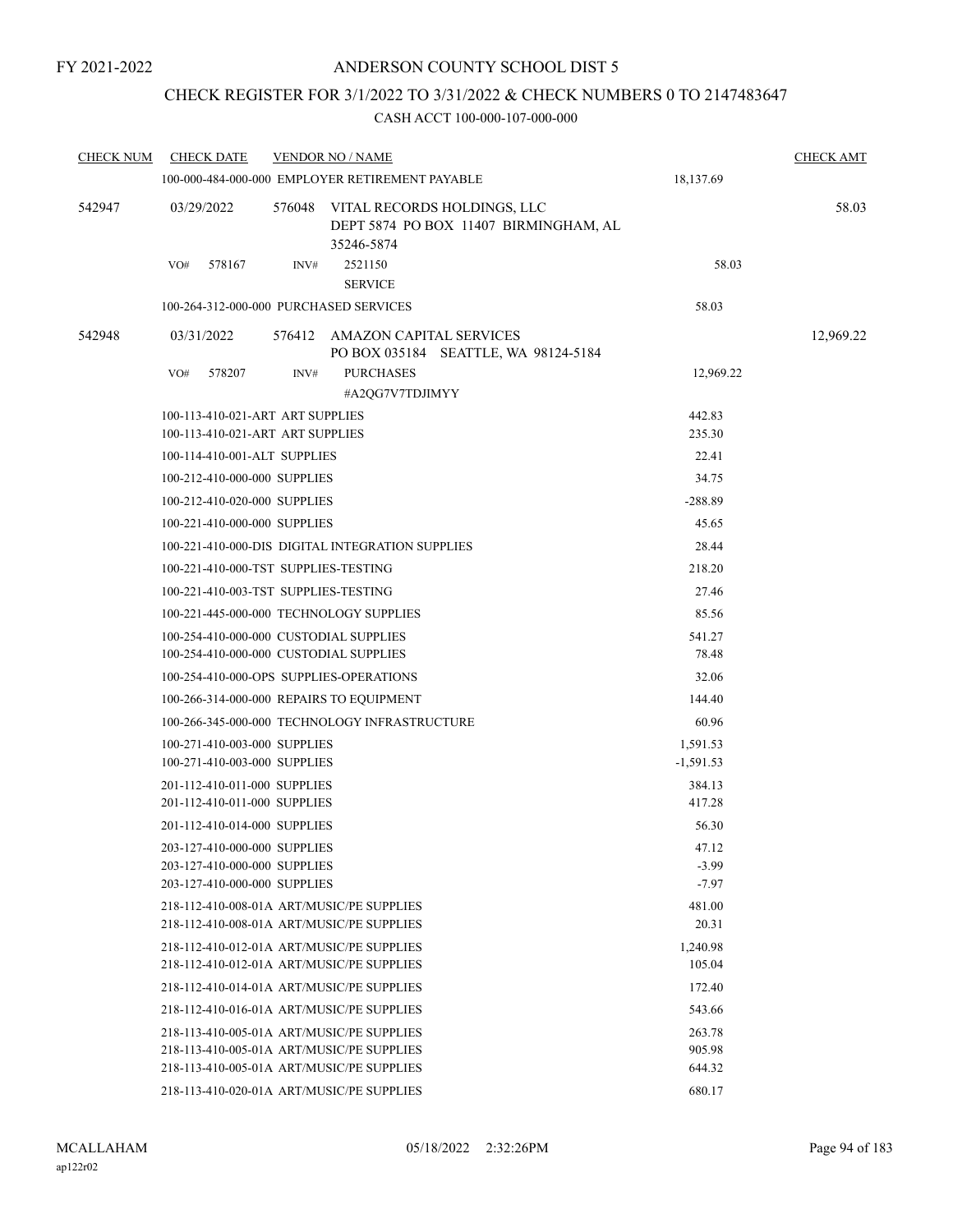# CHECK REGISTER FOR 3/1/2022 TO 3/31/2022 & CHECK NUMBERS 0 TO 2147483647

| <b>CHECK NUM</b> | <b>CHECK DATE</b>                                            | <b>VENDOR NO / NAME</b> | <b>CHECK AMT</b>                                                                   |                  |           |
|------------------|--------------------------------------------------------------|-------------------------|------------------------------------------------------------------------------------|------------------|-----------|
|                  |                                                              |                         | 100-000-484-000-000 EMPLOYER RETIREMENT PAYABLE                                    | 18,137.69        |           |
| 542947           | 03/29/2022                                                   | 576048                  | VITAL RECORDS HOLDINGS, LLC<br>DEPT 5874 PO BOX 11407 BIRMINGHAM, AL<br>35246-5874 |                  | 58.03     |
|                  | 578167<br>VO#                                                | INV#                    | 2521150<br><b>SERVICE</b>                                                          | 58.03            |           |
|                  | 100-264-312-000-000 PURCHASED SERVICES                       |                         |                                                                                    | 58.03            |           |
| 542948           | 03/31/2022                                                   | 576412                  | AMAZON CAPITAL SERVICES<br>PO BOX 035184 SEATTLE, WA 98124-5184                    |                  | 12,969.22 |
|                  | 578207<br>VO#                                                | INV#                    | <b>PURCHASES</b><br>#A2QG7V7TDJIMYY                                                | 12,969.22        |           |
|                  | 100-113-410-021-ART ART SUPPLIES                             |                         |                                                                                    | 442.83           |           |
|                  | 100-113-410-021-ART ART SUPPLIES                             |                         |                                                                                    | 235.30           |           |
|                  | 100-114-410-001-ALT SUPPLIES                                 |                         |                                                                                    | 22.41            |           |
|                  | 100-212-410-000-000 SUPPLIES                                 |                         |                                                                                    | 34.75            |           |
|                  | 100-212-410-020-000 SUPPLIES                                 |                         |                                                                                    | $-288.89$        |           |
|                  | 100-221-410-000-000 SUPPLIES                                 |                         |                                                                                    | 45.65            |           |
|                  |                                                              |                         | 100-221-410-000-DIS DIGITAL INTEGRATION SUPPLIES                                   | 28.44            |           |
|                  | 100-221-410-000-TST SUPPLIES-TESTING                         |                         | 218.20                                                                             |                  |           |
|                  | 100-221-410-003-TST SUPPLIES-TESTING                         |                         |                                                                                    | 27.46            |           |
|                  | 100-221-445-000-000 TECHNOLOGY SUPPLIES                      |                         | 85.56                                                                              |                  |           |
|                  | 100-254-410-000-000 CUSTODIAL SUPPLIES                       |                         |                                                                                    | 541.27           |           |
|                  | 100-254-410-000-000 CUSTODIAL SUPPLIES                       |                         |                                                                                    | 78.48            |           |
|                  | 100-254-410-000-OPS SUPPLIES-OPERATIONS                      |                         |                                                                                    | 32.06            |           |
|                  | 100-266-314-000-000 REPAIRS TO EQUIPMENT                     |                         |                                                                                    | 144.40           |           |
|                  |                                                              |                         | 100-266-345-000-000 TECHNOLOGY INFRASTRUCTURE                                      | 60.96            |           |
|                  | 100-271-410-003-000 SUPPLIES                                 |                         |                                                                                    | 1,591.53         |           |
|                  | 100-271-410-003-000 SUPPLIES                                 |                         |                                                                                    | $-1,591.53$      |           |
|                  | 201-112-410-011-000 SUPPLIES                                 |                         |                                                                                    | 384.13           |           |
|                  | 201-112-410-011-000 SUPPLIES                                 |                         |                                                                                    | 417.28           |           |
|                  | 201-112-410-014-000 SUPPLIES                                 |                         |                                                                                    | 56.30            |           |
|                  | 203-127-410-000-000 SUPPLIES<br>203-127-410-000-000 SUPPLIES |                         |                                                                                    | 47.12<br>$-3.99$ |           |
|                  | 203-127-410-000-000 SUPPLIES                                 |                         |                                                                                    | $-7.97$          |           |
|                  | 218-112-410-008-01A ART/MUSIC/PE SUPPLIES                    |                         |                                                                                    | 481.00           |           |
|                  | 218-112-410-008-01A ART/MUSIC/PE SUPPLIES                    |                         |                                                                                    | 20.31            |           |
|                  | 218-112-410-012-01A ART/MUSIC/PE SUPPLIES                    |                         |                                                                                    | 1,240.98         |           |
|                  | 218-112-410-012-01A ART/MUSIC/PE SUPPLIES                    |                         |                                                                                    | 105.04           |           |
|                  | 218-112-410-014-01A ART/MUSIC/PE SUPPLIES                    |                         |                                                                                    | 172.40           |           |
|                  | 218-112-410-016-01A ART/MUSIC/PE SUPPLIES                    |                         |                                                                                    | 543.66           |           |
|                  | 218-113-410-005-01A ART/MUSIC/PE SUPPLIES                    |                         |                                                                                    | 263.78           |           |
|                  | 218-113-410-005-01A ART/MUSIC/PE SUPPLIES                    |                         |                                                                                    | 905.98           |           |
|                  | 218-113-410-005-01A ART/MUSIC/PE SUPPLIES                    |                         |                                                                                    | 644.32           |           |
|                  | 218-113-410-020-01A ART/MUSIC/PE SUPPLIES                    |                         |                                                                                    | 680.17           |           |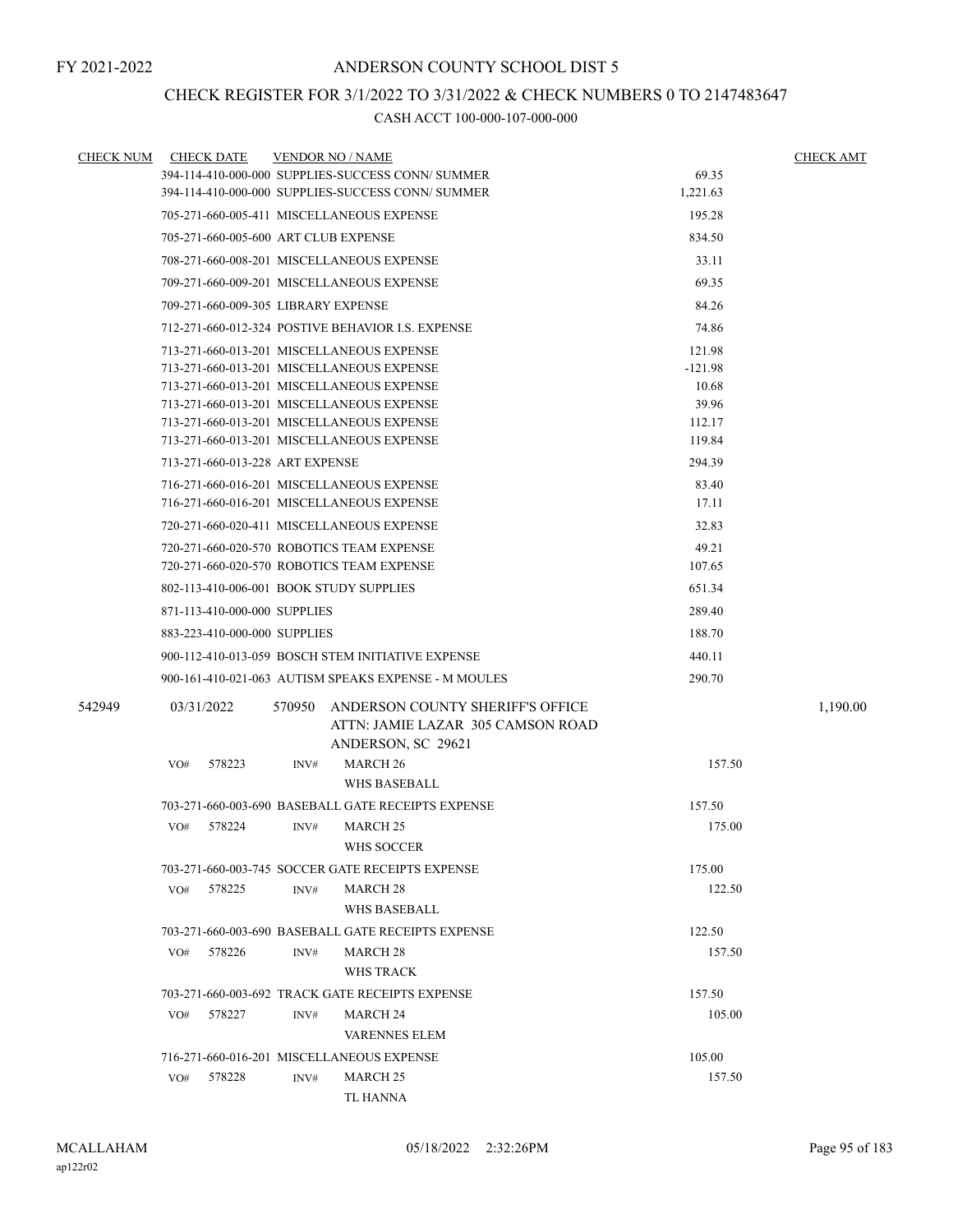# CHECK REGISTER FOR 3/1/2022 TO 3/31/2022 & CHECK NUMBERS 0 TO 2147483647

| <b>CHECK NUM</b> | <b>CHECK DATE</b>                   |        |        | <b>VENDOR NO / NAME</b>                                               |           | <b>CHECK AMT</b> |
|------------------|-------------------------------------|--------|--------|-----------------------------------------------------------------------|-----------|------------------|
|                  |                                     |        |        | 394-114-410-000-000 SUPPLIES-SUCCESS CONN/ SUMMER                     | 69.35     |                  |
|                  |                                     |        |        | 394-114-410-000-000 SUPPLIES-SUCCESS CONN/ SUMMER                     | 1,221.63  |                  |
|                  |                                     |        |        | 705-271-660-005-411 MISCELLANEOUS EXPENSE                             | 195.28    |                  |
|                  |                                     |        |        | 705-271-660-005-600 ART CLUB EXPENSE                                  | 834.50    |                  |
|                  |                                     |        |        | 708-271-660-008-201 MISCELLANEOUS EXPENSE                             | 33.11     |                  |
|                  |                                     |        |        | 709-271-660-009-201 MISCELLANEOUS EXPENSE                             | 69.35     |                  |
|                  | 709-271-660-009-305 LIBRARY EXPENSE |        |        |                                                                       | 84.26     |                  |
|                  |                                     |        |        | 712-271-660-012-324 POSTIVE BEHAVIOR I.S. EXPENSE                     | 74.86     |                  |
|                  |                                     |        |        | 713-271-660-013-201 MISCELLANEOUS EXPENSE                             | 121.98    |                  |
|                  |                                     |        |        | 713-271-660-013-201 MISCELLANEOUS EXPENSE                             | $-121.98$ |                  |
|                  |                                     |        |        | 713-271-660-013-201 MISCELLANEOUS EXPENSE                             | 10.68     |                  |
|                  |                                     |        |        | 713-271-660-013-201 MISCELLANEOUS EXPENSE                             | 39.96     |                  |
|                  |                                     |        |        | 713-271-660-013-201 MISCELLANEOUS EXPENSE                             | 112.17    |                  |
|                  |                                     |        |        | 713-271-660-013-201 MISCELLANEOUS EXPENSE                             | 119.84    |                  |
|                  | 713-271-660-013-228 ART EXPENSE     |        |        |                                                                       | 294.39    |                  |
|                  |                                     |        |        | 716-271-660-016-201 MISCELLANEOUS EXPENSE                             | 83.40     |                  |
|                  |                                     |        |        | 716-271-660-016-201 MISCELLANEOUS EXPENSE                             | 17.11     |                  |
|                  |                                     |        |        | 720-271-660-020-411 MISCELLANEOUS EXPENSE                             | 32.83     |                  |
|                  |                                     |        |        | 720-271-660-020-570 ROBOTICS TEAM EXPENSE                             | 49.21     |                  |
|                  |                                     |        |        | 720-271-660-020-570 ROBOTICS TEAM EXPENSE                             | 107.65    |                  |
|                  |                                     |        |        | 802-113-410-006-001 BOOK STUDY SUPPLIES                               | 651.34    |                  |
|                  | 871-113-410-000-000 SUPPLIES        |        |        |                                                                       | 289.40    |                  |
|                  | 883-223-410-000-000 SUPPLIES        |        |        |                                                                       | 188.70    |                  |
|                  |                                     |        |        | 900-112-410-013-059 BOSCH STEM INITIATIVE EXPENSE                     | 440.11    |                  |
|                  |                                     |        |        | 900-161-410-021-063 AUTISM SPEAKS EXPENSE - M MOULES                  | 290.70    |                  |
| 542949           | 03/31/2022                          |        | 570950 | ANDERSON COUNTY SHERIFF'S OFFICE<br>ATTN: JAMIE LAZAR 305 CAMSON ROAD |           | 1,190.00         |
|                  | VO#                                 | 578223 | INV#   | ANDERSON, SC 29621<br><b>MARCH 26</b>                                 | 157.50    |                  |
|                  |                                     |        |        | WHS BASEBALL                                                          |           |                  |
|                  |                                     |        |        | 703-271-660-003-690 BASEBALL GATE RECEIPTS EXPENSE                    | 157.50    |                  |
|                  | VO#                                 | 578224 | INV#   | <b>MARCH 25</b>                                                       | 175.00    |                  |
|                  |                                     |        |        | WHS SOCCER                                                            |           |                  |
|                  |                                     |        |        | 703-271-660-003-745 SOCCER GATE RECEIPTS EXPENSE                      | 175.00    |                  |
|                  | VO#                                 | 578225 | INV#   | <b>MARCH 28</b>                                                       | 122.50    |                  |
|                  |                                     |        |        | WHS BASEBALL                                                          |           |                  |
|                  |                                     |        |        | 703-271-660-003-690 BASEBALL GATE RECEIPTS EXPENSE                    | 122.50    |                  |
|                  | VO#                                 | 578226 | INV#   | MARCH 28                                                              | 157.50    |                  |
|                  |                                     |        |        | <b>WHS TRACK</b>                                                      |           |                  |
|                  |                                     |        |        | 703-271-660-003-692 TRACK GATE RECEIPTS EXPENSE                       | 157.50    |                  |
|                  | VO#                                 | 578227 | INV#   | <b>MARCH 24</b>                                                       | 105.00    |                  |
|                  |                                     |        |        | <b>VARENNES ELEM</b>                                                  |           |                  |
|                  |                                     |        |        | 716-271-660-016-201 MISCELLANEOUS EXPENSE                             | 105.00    |                  |
|                  | VO#                                 | 578228 | INV#   | MARCH 25                                                              | 157.50    |                  |
|                  |                                     |        |        | <b>TL HANNA</b>                                                       |           |                  |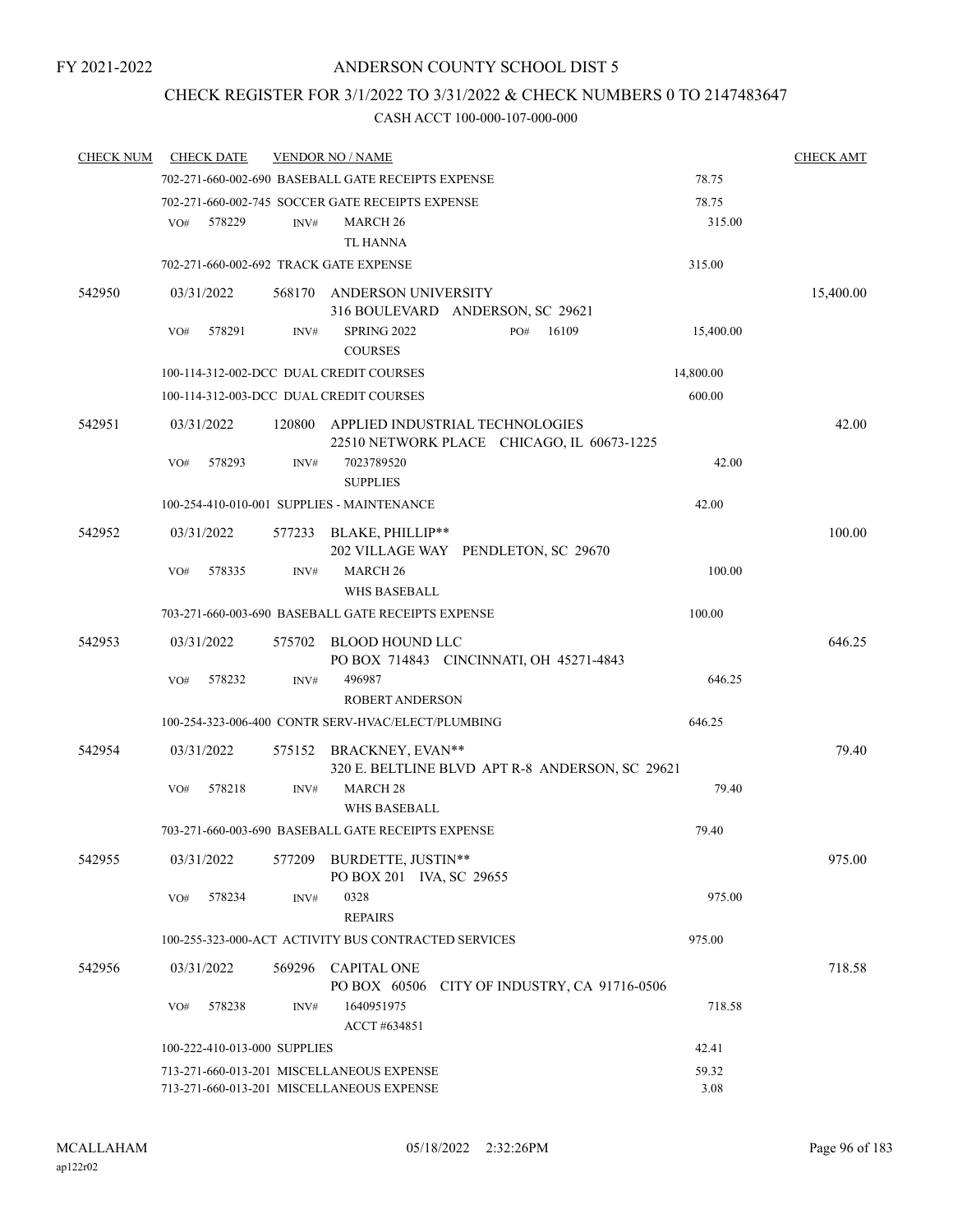# CHECK REGISTER FOR 3/1/2022 TO 3/31/2022 & CHECK NUMBERS 0 TO 2147483647

| <b>CHECK NUM</b> | <b>CHECK DATE</b>                      |        | <b>VENDOR NO / NAME</b>                                                       |              |           | <b>CHECK AMT</b> |
|------------------|----------------------------------------|--------|-------------------------------------------------------------------------------|--------------|-----------|------------------|
|                  |                                        |        | 702-271-660-002-690 BASEBALL GATE RECEIPTS EXPENSE                            |              | 78.75     |                  |
|                  |                                        |        | 702-271-660-002-745 SOCCER GATE RECEIPTS EXPENSE                              |              | 78.75     |                  |
|                  | 578229<br>VO#                          | INV#   | <b>MARCH 26</b>                                                               |              | 315.00    |                  |
|                  |                                        |        | TL HANNA                                                                      |              |           |                  |
|                  | 702-271-660-002-692 TRACK GATE EXPENSE |        |                                                                               |              | 315.00    |                  |
| 542950           | 03/31/2022                             |        | 568170 ANDERSON UNIVERSITY                                                    |              |           | 15,400.00        |
|                  |                                        |        | 316 BOULEVARD ANDERSON, SC 29621                                              |              |           |                  |
|                  | 578291<br>VO#                          | INV#   | SPRING 2022<br><b>COURSES</b>                                                 | 16109<br>PO# | 15,400.00 |                  |
|                  |                                        |        | 100-114-312-002-DCC DUAL CREDIT COURSES                                       |              | 14,800.00 |                  |
|                  |                                        |        | 100-114-312-003-DCC DUAL CREDIT COURSES                                       |              | 600.00    |                  |
| 542951           | 03/31/2022                             | 120800 | APPLIED INDUSTRIAL TECHNOLOGIES<br>22510 NETWORK PLACE CHICAGO, IL 60673-1225 |              |           | 42.00            |
|                  | VO#<br>578293                          | INV#   | 7023789520<br><b>SUPPLIES</b>                                                 |              | 42.00     |                  |
|                  |                                        |        | 100-254-410-010-001 SUPPLIES - MAINTENANCE                                    |              | 42.00     |                  |
| 542952           | 03/31/2022                             |        | 577233 BLAKE, PHILLIP**                                                       |              |           | 100.00           |
|                  |                                        |        | 202 VILLAGE WAY PENDLETON, SC 29670                                           |              |           |                  |
|                  | 578335<br>VO#                          | INV#   | MARCH <sub>26</sub>                                                           |              | 100.00    |                  |
|                  |                                        |        | <b>WHS BASEBALL</b>                                                           |              |           |                  |
|                  |                                        |        | 703-271-660-003-690 BASEBALL GATE RECEIPTS EXPENSE                            |              | 100.00    |                  |
| 542953           | 03/31/2022                             | 575702 | BLOOD HOUND LLC<br>PO BOX 714843 CINCINNATI, OH 45271-4843                    |              |           | 646.25           |
|                  | 578232<br>VO#                          | INV#   | 496987                                                                        |              | 646.25    |                  |
|                  |                                        |        | <b>ROBERT ANDERSON</b>                                                        |              |           |                  |
|                  |                                        |        | 100-254-323-006-400 CONTR SERV-HVAC/ELECT/PLUMBING                            |              | 646.25    |                  |
| 542954           | 03/31/2022                             |        | 575152 BRACKNEY, EVAN**<br>320 E. BELTLINE BLVD APT R-8 ANDERSON, SC 29621    |              |           | 79.40            |
|                  | 578218<br>VO#                          | INV#   | <b>MARCH 28</b><br><b>WHS BASEBALL</b>                                        |              | 79.40     |                  |
|                  |                                        |        | 703-271-660-003-690 BASEBALL GATE RECEIPTS EXPENSE                            |              | 79.40     |                  |
| 542955           | 03/31/2022                             | 577209 | BURDETTE, JUSTIN**<br>PO BOX 201 IVA, SC 29655                                |              |           | 975.00           |
|                  | 578234<br>VO#                          | INV#   | 0328<br><b>REPAIRS</b>                                                        |              | 975.00    |                  |
|                  |                                        |        | 100-255-323-000-ACT ACTIVITY BUS CONTRACTED SERVICES                          |              | 975.00    |                  |
| 542956           | 03/31/2022                             |        | 569296 CAPITAL ONE<br>PO BOX 60506 CITY OF INDUSTRY, CA 91716-0506            |              |           | 718.58           |
|                  | VO#<br>578238                          | INV#   | 1640951975                                                                    |              | 718.58    |                  |
|                  |                                        |        | ACCT #634851                                                                  |              |           |                  |
|                  | 100-222-410-013-000 SUPPLIES           |        |                                                                               |              | 42.41     |                  |
|                  |                                        |        | 713-271-660-013-201 MISCELLANEOUS EXPENSE                                     |              | 59.32     |                  |
|                  |                                        |        | 713-271-660-013-201 MISCELLANEOUS EXPENSE                                     |              | 3.08      |                  |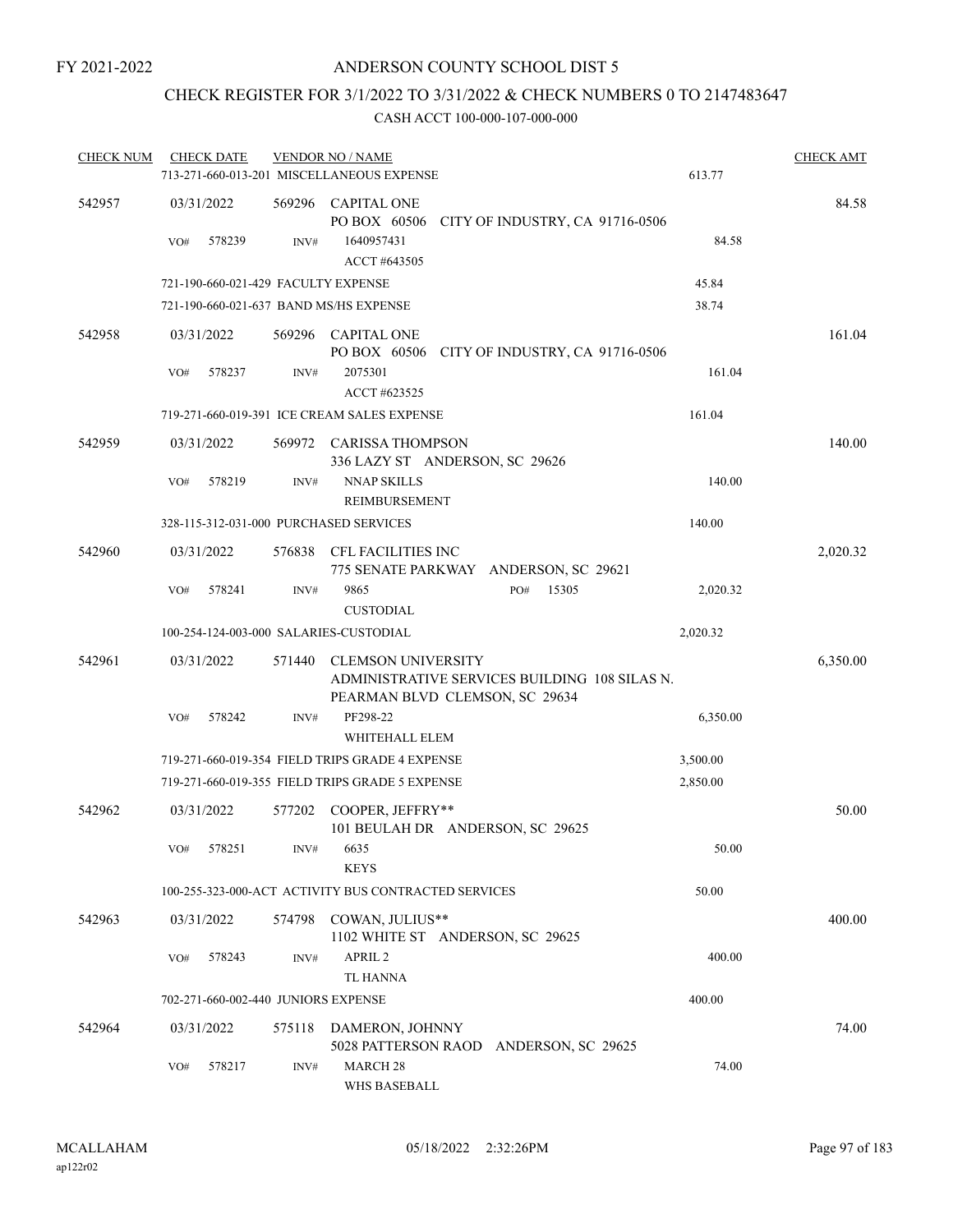# CHECK REGISTER FOR 3/1/2022 TO 3/31/2022 & CHECK NUMBERS 0 TO 2147483647

| <b>CHECK NUM</b> |     | <b>CHECK DATE</b>                   |        | <b>VENDOR NO / NAME</b>                                                                                      |     |       |          | <b>CHECK AMT</b> |
|------------------|-----|-------------------------------------|--------|--------------------------------------------------------------------------------------------------------------|-----|-------|----------|------------------|
|                  |     |                                     |        | 713-271-660-013-201 MISCELLANEOUS EXPENSE                                                                    |     |       | 613.77   |                  |
| 542957           |     | 03/31/2022                          |        | 569296 CAPITAL ONE<br>PO BOX 60506 CITY OF INDUSTRY, CA 91716-0506                                           |     |       |          | 84.58            |
|                  | VO# | 578239                              | INV#   | 1640957431<br>ACCT #643505                                                                                   |     |       | 84.58    |                  |
|                  |     |                                     |        | 721-190-660-021-429 FACULTY EXPENSE                                                                          |     |       | 45.84    |                  |
|                  |     |                                     |        | 721-190-660-021-637 BAND MS/HS EXPENSE                                                                       |     |       | 38.74    |                  |
| 542958           |     | 03/31/2022                          |        | 569296 CAPITAL ONE<br>PO BOX 60506 CITY OF INDUSTRY, CA 91716-0506                                           |     |       |          | 161.04           |
|                  | VO# | 578237                              | INV#   | 2075301<br>ACCT #623525                                                                                      |     |       | 161.04   |                  |
|                  |     |                                     |        | 719-271-660-019-391 ICE CREAM SALES EXPENSE                                                                  |     |       | 161.04   |                  |
| 542959           |     | 03/31/2022                          |        | 569972 CARISSA THOMPSON<br>336 LAZY ST ANDERSON, SC 29626                                                    |     |       |          | 140.00           |
|                  | VO# | 578219                              | INV#   | <b>NNAP SKILLS</b><br>REIMBURSEMENT                                                                          |     |       | 140.00   |                  |
|                  |     |                                     |        | 328-115-312-031-000 PURCHASED SERVICES                                                                       |     |       | 140.00   |                  |
| 542960           |     | 03/31/2022                          |        | 576838 CFL FACILITIES INC<br>775 SENATE PARKWAY ANDERSON, SC 29621                                           |     |       |          | 2,020.32         |
|                  | VO# | 578241                              | INV#   | 9865<br><b>CUSTODIAL</b>                                                                                     | PO# | 15305 | 2,020.32 |                  |
|                  |     |                                     |        | 100-254-124-003-000 SALARIES-CUSTODIAL                                                                       |     |       | 2,020.32 |                  |
| 542961           |     | 03/31/2022                          | 571440 | <b>CLEMSON UNIVERSITY</b><br>ADMINISTRATIVE SERVICES BUILDING 108 SILAS N.<br>PEARMAN BLVD CLEMSON, SC 29634 |     |       |          | 6,350.00         |
|                  | VO# | 578242                              | INV#   | PF298-22<br>WHITEHALL ELEM                                                                                   |     |       | 6,350.00 |                  |
|                  |     |                                     |        | 719-271-660-019-354 FIELD TRIPS GRADE 4 EXPENSE                                                              |     |       | 3,500.00 |                  |
|                  |     |                                     |        | 719-271-660-019-355 FIELD TRIPS GRADE 5 EXPENSE                                                              |     |       | 2,850.00 |                  |
| 542962           |     | 03/31/2022                          |        | 577202 COOPER, JEFFRY**<br>101 BEULAH DR ANDERSON, SC 29625                                                  |     |       |          | 50.00            |
|                  | VO# | 578251                              |        | INV# 6635<br><b>KEYS</b>                                                                                     |     |       | 50.00    |                  |
|                  |     |                                     |        | 100-255-323-000-ACT ACTIVITY BUS CONTRACTED SERVICES                                                         |     |       | 50.00    |                  |
| 542963           |     | 03/31/2022                          |        | 574798 COWAN, JULIUS**<br>1102 WHITE ST ANDERSON, SC 29625                                                   |     |       |          | 400.00           |
|                  | VO# | 578243                              | INV#   | APRIL 2<br><b>TL HANNA</b>                                                                                   |     |       | 400.00   |                  |
|                  |     | 702-271-660-002-440 JUNIORS EXPENSE |        |                                                                                                              |     |       | 400.00   |                  |
| 542964           |     | 03/31/2022                          | 575118 | DAMERON, JOHNNY<br>5028 PATTERSON RAOD ANDERSON, SC 29625                                                    |     |       |          | 74.00            |
|                  | VO# | 578217                              | INV#   | MARCH <sub>28</sub><br>WHS BASEBALL                                                                          |     |       | 74.00    |                  |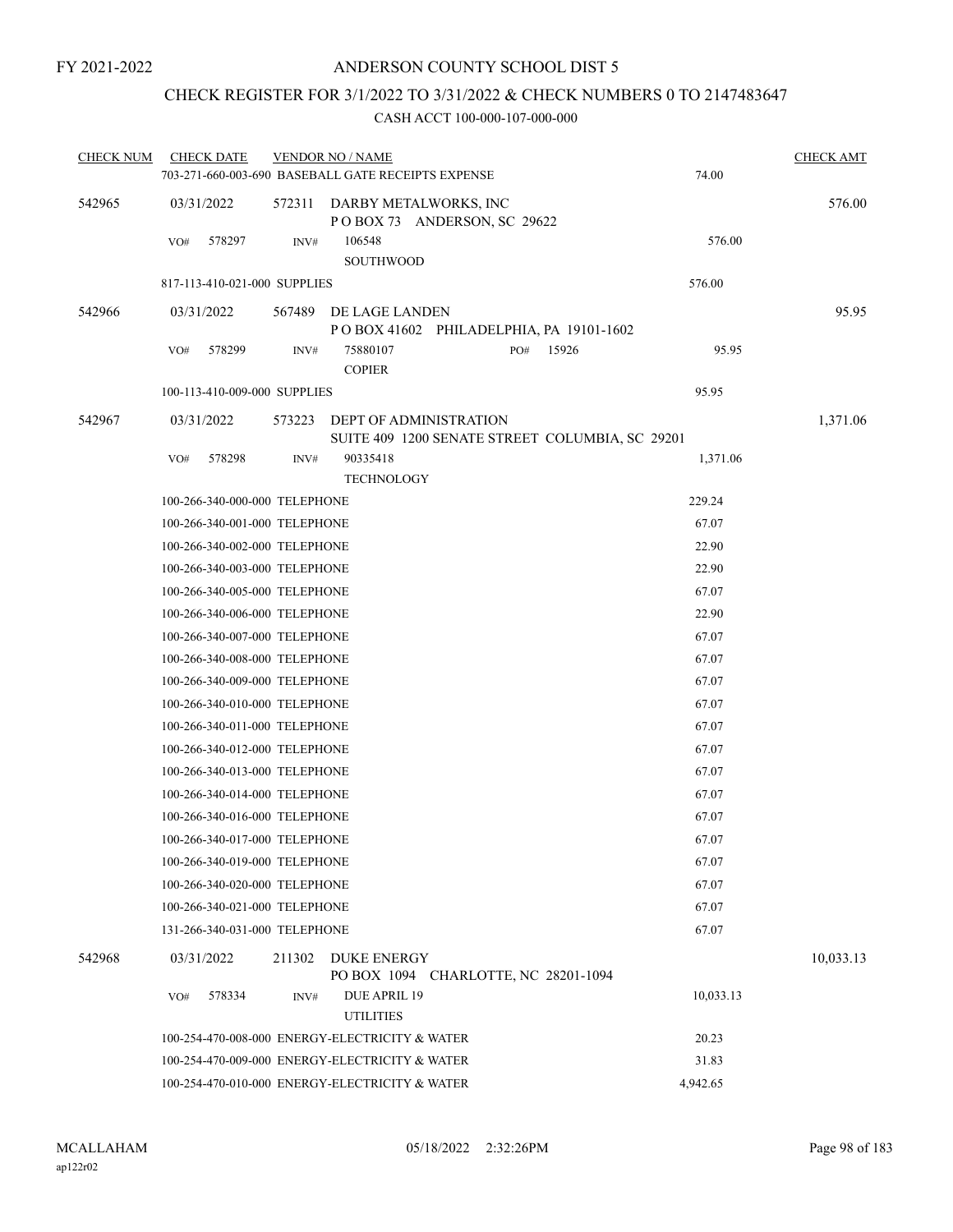# CHECK REGISTER FOR 3/1/2022 TO 3/31/2022 & CHECK NUMBERS 0 TO 2147483647

| <b>CHECK NUM</b> | <b>CHECK DATE</b>             |        | <b>VENDOR NO / NAME</b><br>703-271-660-003-690 BASEBALL GATE RECEIPTS EXPENSE |              | 74.00     | <b>CHECK AMT</b> |
|------------------|-------------------------------|--------|-------------------------------------------------------------------------------|--------------|-----------|------------------|
| 542965           | 03/31/2022                    | 572311 | DARBY METALWORKS, INC<br>POBOX 73 ANDERSON, SC 29622                          |              |           | 576.00           |
|                  | VO#<br>578297                 | INV#   | 106548<br>SOUTHWOOD                                                           |              | 576.00    |                  |
|                  | 817-113-410-021-000 SUPPLIES  |        |                                                                               |              | 576.00    |                  |
| 542966           | 03/31/2022                    | 567489 | DE LAGE LANDEN                                                                |              |           | 95.95            |
|                  |                               |        | POBOX 41602 PHILADELPHIA, PA 19101-1602                                       |              |           |                  |
|                  | 578299<br>VO#                 | INV#   | 75880107<br><b>COPIER</b>                                                     | 15926<br>PO# | 95.95     |                  |
|                  | 100-113-410-009-000 SUPPLIES  |        |                                                                               |              | 95.95     |                  |
| 542967           | 03/31/2022                    | 573223 | DEPT OF ADMINISTRATION<br>SUITE 409 1200 SENATE STREET COLUMBIA, SC 29201     |              |           | 1,371.06         |
|                  | 578298<br>VO#                 | INV#   | 90335418<br><b>TECHNOLOGY</b>                                                 |              | 1,371.06  |                  |
|                  | 100-266-340-000-000 TELEPHONE |        |                                                                               |              | 229.24    |                  |
|                  | 100-266-340-001-000 TELEPHONE |        |                                                                               |              | 67.07     |                  |
|                  | 100-266-340-002-000 TELEPHONE |        |                                                                               |              | 22.90     |                  |
|                  | 100-266-340-003-000 TELEPHONE |        |                                                                               |              | 22.90     |                  |
|                  | 100-266-340-005-000 TELEPHONE |        |                                                                               |              | 67.07     |                  |
|                  | 100-266-340-006-000 TELEPHONE |        |                                                                               |              | 22.90     |                  |
|                  | 100-266-340-007-000 TELEPHONE |        |                                                                               |              | 67.07     |                  |
|                  | 100-266-340-008-000 TELEPHONE |        |                                                                               |              | 67.07     |                  |
|                  | 100-266-340-009-000 TELEPHONE |        |                                                                               |              | 67.07     |                  |
|                  | 100-266-340-010-000 TELEPHONE |        |                                                                               |              | 67.07     |                  |
|                  | 100-266-340-011-000 TELEPHONE |        |                                                                               |              | 67.07     |                  |
|                  | 100-266-340-012-000 TELEPHONE |        |                                                                               |              | 67.07     |                  |
|                  | 100-266-340-013-000 TELEPHONE |        |                                                                               |              | 67.07     |                  |
|                  | 100-266-340-014-000 TELEPHONE |        |                                                                               |              | 67.07     |                  |
|                  | 100-266-340-016-000 TELEPHONE |        |                                                                               |              | 67.07     |                  |
|                  | 100-266-340-017-000 TELEPHONE |        |                                                                               |              | 67.07     |                  |
|                  | 100-266-340-019-000 TELEPHONE |        |                                                                               |              | 67.07     |                  |
|                  | 100-266-340-020-000 TELEPHONE |        |                                                                               |              | 67.07     |                  |
|                  | 100-266-340-021-000 TELEPHONE |        |                                                                               |              | 67.07     |                  |
|                  | 131-266-340-031-000 TELEPHONE |        |                                                                               |              | 67.07     |                  |
| 542968           | 03/31/2022                    | 211302 | DUKE ENERGY<br>PO BOX 1094 CHARLOTTE, NC 28201-1094                           |              |           | 10,033.13        |
|                  | 578334<br>VO#                 | INV#   | DUE APRIL 19<br><b>UTILITIES</b>                                              |              | 10,033.13 |                  |
|                  |                               |        | 100-254-470-008-000 ENERGY-ELECTRICITY & WATER                                |              | 20.23     |                  |
|                  |                               |        | 100-254-470-009-000 ENERGY-ELECTRICITY & WATER                                |              | 31.83     |                  |
|                  |                               |        | 100-254-470-010-000 ENERGY-ELECTRICITY & WATER                                |              | 4,942.65  |                  |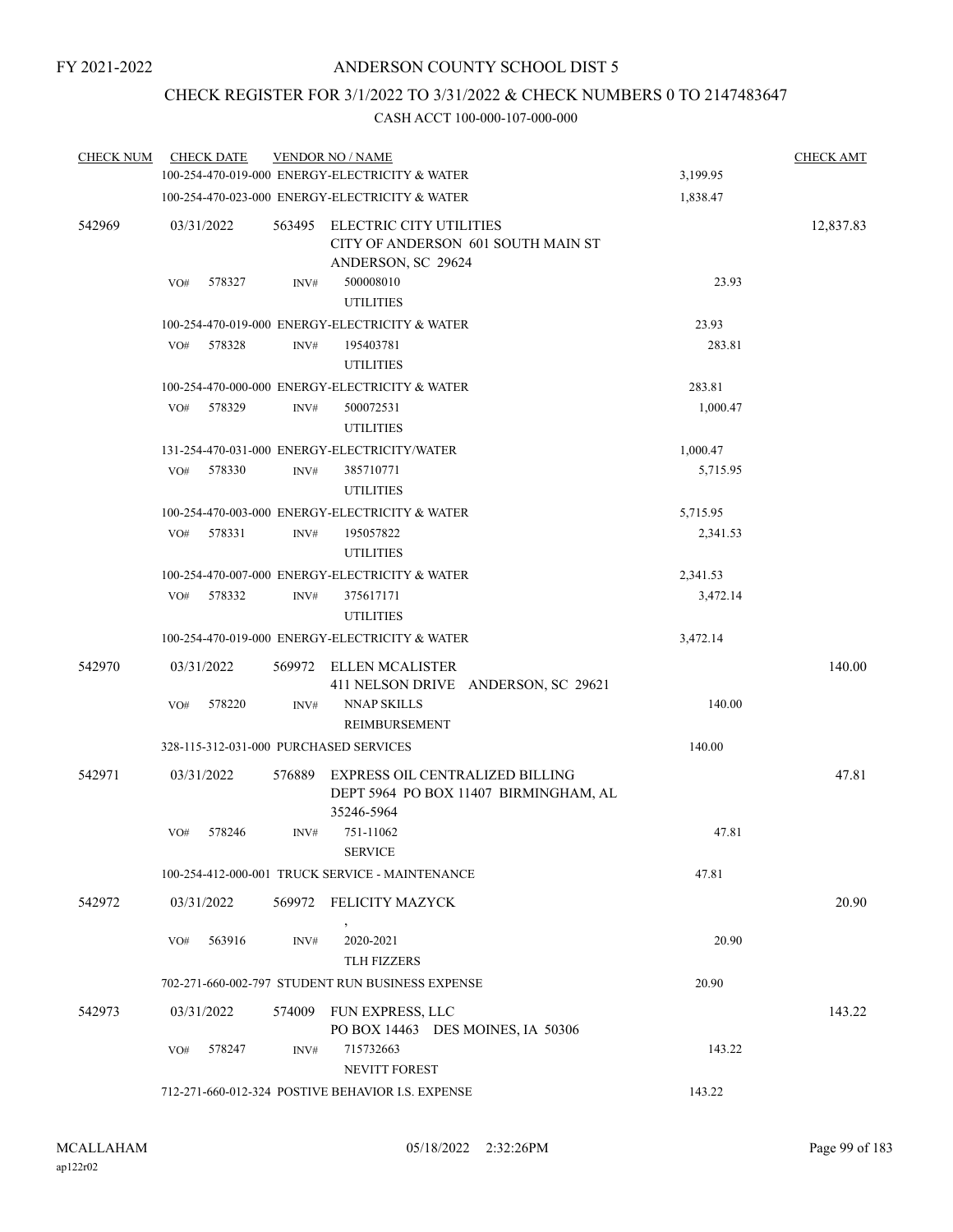# CHECK REGISTER FOR 3/1/2022 TO 3/31/2022 & CHECK NUMBERS 0 TO 2147483647

| <b>CHECK NUM</b> |            | <b>CHECK DATE</b> |        | <b>VENDOR NO / NAME</b>                                                                |          | <b>CHECK AMT</b> |
|------------------|------------|-------------------|--------|----------------------------------------------------------------------------------------|----------|------------------|
|                  |            |                   |        | 100-254-470-019-000 ENERGY-ELECTRICITY & WATER                                         | 3,199.95 |                  |
|                  |            |                   |        | 100-254-470-023-000 ENERGY-ELECTRICITY & WATER                                         | 1,838.47 |                  |
| 542969           | 03/31/2022 |                   | 563495 | ELECTRIC CITY UTILITIES<br>CITY OF ANDERSON 601 SOUTH MAIN ST<br>ANDERSON, SC 29624    |          | 12,837.83        |
|                  | VO#        | 578327            | INV#   | 500008010<br><b>UTILITIES</b>                                                          | 23.93    |                  |
|                  |            |                   |        | 100-254-470-019-000 ENERGY-ELECTRICITY & WATER                                         | 23.93    |                  |
|                  | VO#        | 578328            | INV#   | 195403781<br><b>UTILITIES</b>                                                          | 283.81   |                  |
|                  |            |                   |        | 100-254-470-000-000 ENERGY-ELECTRICITY & WATER                                         | 283.81   |                  |
|                  | VO#        | 578329            | INV#   | 500072531<br><b>UTILITIES</b>                                                          | 1,000.47 |                  |
|                  |            |                   |        | 131-254-470-031-000 ENERGY-ELECTRICITY/WATER                                           | 1,000.47 |                  |
|                  | VO#        | 578330            | INV#   | 385710771<br><b>UTILITIES</b>                                                          | 5,715.95 |                  |
|                  |            |                   |        | 100-254-470-003-000 ENERGY-ELECTRICITY & WATER                                         | 5,715.95 |                  |
|                  | VO#        | 578331            | INV#   | 195057822<br><b>UTILITIES</b>                                                          | 2,341.53 |                  |
|                  |            |                   |        | 100-254-470-007-000 ENERGY-ELECTRICITY & WATER                                         | 2,341.53 |                  |
|                  | VO#        | 578332            | INV#   | 375617171<br><b>UTILITIES</b>                                                          | 3,472.14 |                  |
|                  |            |                   |        | 100-254-470-019-000 ENERGY-ELECTRICITY & WATER                                         | 3,472.14 |                  |
| 542970           | 03/31/2022 |                   | 569972 | ELLEN MCALISTER<br>411 NELSON DRIVE ANDERSON, SC 29621                                 |          | 140.00           |
|                  | VO#        | 578220            | INV#   | <b>NNAP SKILLS</b><br><b>REIMBURSEMENT</b>                                             | 140.00   |                  |
|                  |            |                   |        | 328-115-312-031-000 PURCHASED SERVICES                                                 | 140.00   |                  |
| 542971           | 03/31/2022 |                   | 576889 | EXPRESS OIL CENTRALIZED BILLING<br>DEPT 5964 PO BOX 11407 BIRMINGHAM, AL<br>35246-5964 |          | 47.81            |
|                  | VO#        | 578246            | INV#   | 751-11062<br><b>SERVICE</b>                                                            | 47.81    |                  |
|                  |            |                   |        | 100-254-412-000-001 TRUCK SERVICE - MAINTENANCE                                        | 47.81    |                  |
| 542972           | 03/31/2022 |                   | 569972 | FELICITY MAZYCK                                                                        |          | 20.90            |
|                  | VO#        | 563916            | INV#   | 2020-2021<br><b>TLH FIZZERS</b>                                                        | 20.90    |                  |
|                  |            |                   |        | 702-271-660-002-797 STUDENT RUN BUSINESS EXPENSE                                       | 20.90    |                  |
| 542973           | 03/31/2022 |                   | 574009 | FUN EXPRESS, LLC<br>PO BOX 14463 DES MOINES, IA 50306                                  |          | 143.22           |
|                  | VO#        | 578247            | INV#   | 715732663<br>NEVITT FOREST                                                             | 143.22   |                  |
|                  |            |                   |        | 712-271-660-012-324 POSTIVE BEHAVIOR I.S. EXPENSE                                      | 143.22   |                  |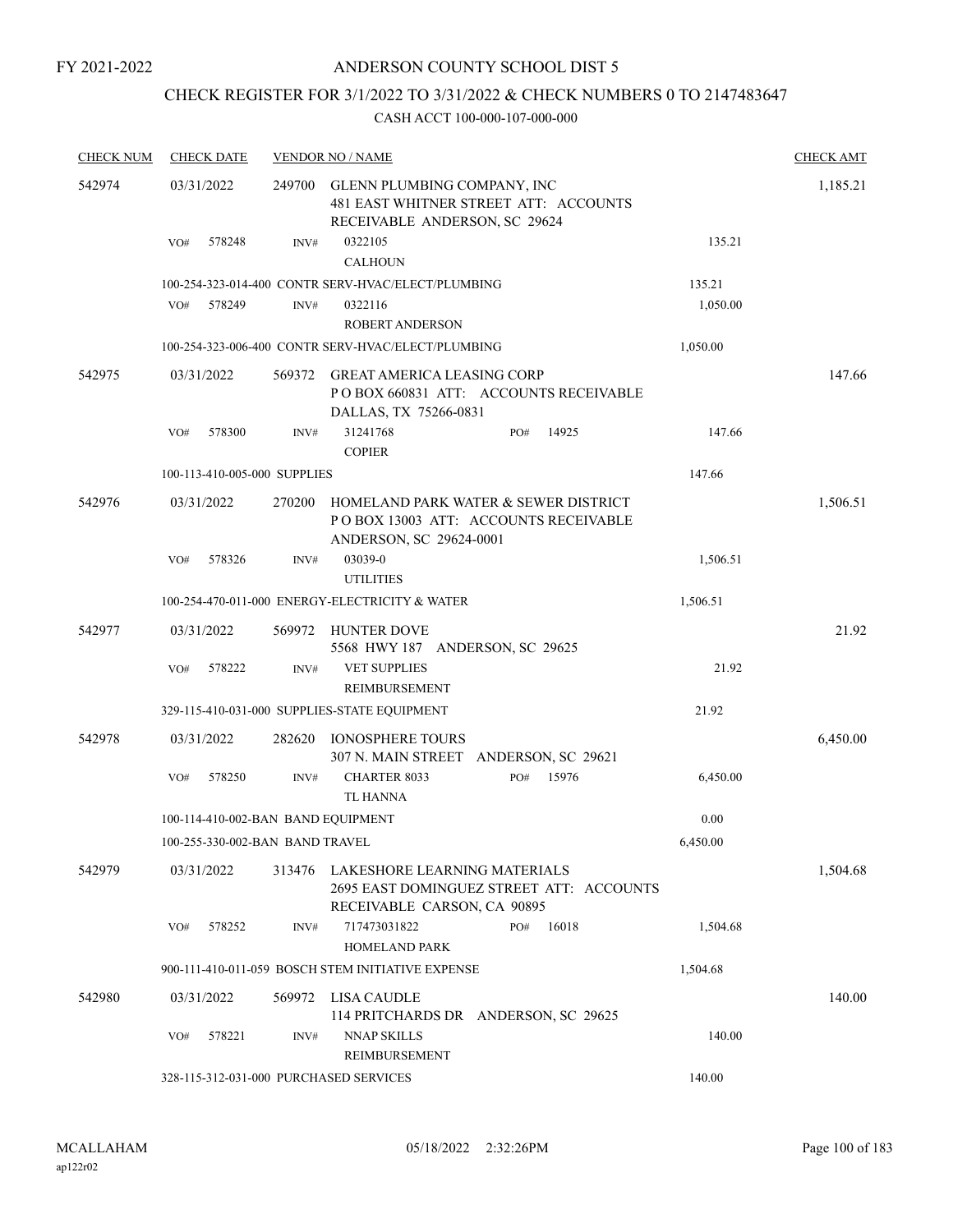# ANDERSON COUNTY SCHOOL DIST 5

# CHECK REGISTER FOR 3/1/2022 TO 3/31/2022 & CHECK NUMBERS 0 TO 2147483647

| <b>CHECK NUM</b> | <b>CHECK DATE</b>                      |        | <b>VENDOR NO / NAME</b>                                                                                  |          | <b>CHECK AMT</b> |
|------------------|----------------------------------------|--------|----------------------------------------------------------------------------------------------------------|----------|------------------|
| 542974           | 03/31/2022                             | 249700 | GLENN PLUMBING COMPANY, INC<br>481 EAST WHITNER STREET ATT: ACCOUNTS<br>RECEIVABLE ANDERSON, SC 29624    |          | 1,185.21         |
|                  | 578248<br>VO#                          | INV#   | 0322105<br><b>CALHOUN</b>                                                                                | 135.21   |                  |
|                  |                                        |        | 100-254-323-014-400 CONTR SERV-HVAC/ELECT/PLUMBING                                                       | 135.21   |                  |
|                  | 578249<br>VO#                          | INV#   | 0322116<br><b>ROBERT ANDERSON</b>                                                                        | 1,050.00 |                  |
|                  |                                        |        | 100-254-323-006-400 CONTR SERV-HVAC/ELECT/PLUMBING                                                       | 1,050.00 |                  |
| 542975           | 03/31/2022                             | 569372 | <b>GREAT AMERICA LEASING CORP</b><br>PO BOX 660831 ATT: ACCOUNTS RECEIVABLE<br>DALLAS, TX 75266-0831     |          | 147.66           |
|                  | VO#<br>578300                          | INV#   | 31241768<br>14925<br>PO#<br><b>COPIER</b>                                                                | 147.66   |                  |
|                  | 100-113-410-005-000 SUPPLIES           |        |                                                                                                          | 147.66   |                  |
| 542976           | 03/31/2022                             | 270200 | HOMELAND PARK WATER & SEWER DISTRICT<br>PO BOX 13003 ATT: ACCOUNTS RECEIVABLE<br>ANDERSON, SC 29624-0001 |          | 1,506.51         |
|                  | 578326<br>VO#                          | INV#   | 03039-0<br><b>UTILITIES</b>                                                                              | 1,506.51 |                  |
|                  |                                        |        | 100-254-470-011-000 ENERGY-ELECTRICITY & WATER                                                           | 1,506.51 |                  |
| 542977           | 03/31/2022                             | 569972 | HUNTER DOVE<br>5568 HWY 187 ANDERSON, SC 29625                                                           |          | 21.92            |
|                  | 578222<br>VO#                          | INV#   | <b>VET SUPPLIES</b><br><b>REIMBURSEMENT</b>                                                              | 21.92    |                  |
|                  |                                        |        | 329-115-410-031-000 SUPPLIES-STATE EQUIPMENT                                                             | 21.92    |                  |
| 542978           | 03/31/2022                             | 282620 | <b>IONOSPHERE TOURS</b><br>307 N. MAIN STREET ANDERSON, SC 29621                                         |          | 6,450.00         |
|                  | 578250<br>VO#                          | INV#   | <b>CHARTER 8033</b><br>15976<br>PO#<br><b>TL HANNA</b>                                                   | 6,450.00 |                  |
|                  | 100-114-410-002-BAN BAND EQUIPMENT     |        |                                                                                                          | 0.00     |                  |
|                  | 100-255-330-002-BAN BAND TRAVEL        |        |                                                                                                          | 6,450.00 |                  |
| 542979           | 03/31/2022                             | 313476 | LAKESHORE LEARNING MATERIALS<br>2695 EAST DOMINGUEZ STREET ATT: ACCOUNTS<br>RECEIVABLE CARSON, CA 90895  |          | 1,504.68         |
|                  | 578252<br>VO#                          | INV#   | 717473031822<br>16018<br>PO#<br><b>HOMELAND PARK</b>                                                     | 1,504.68 |                  |
|                  |                                        |        | 900-111-410-011-059 BOSCH STEM INITIATIVE EXPENSE                                                        | 1,504.68 |                  |
| 542980           | 03/31/2022                             | 569972 | LISA CAUDLE<br>114 PRITCHARDS DR ANDERSON, SC 29625                                                      |          | 140.00           |
|                  | 578221<br>VO#                          | INV#   | <b>NNAP SKILLS</b><br>REIMBURSEMENT                                                                      | 140.00   |                  |
|                  | 328-115-312-031-000 PURCHASED SERVICES |        |                                                                                                          | 140.00   |                  |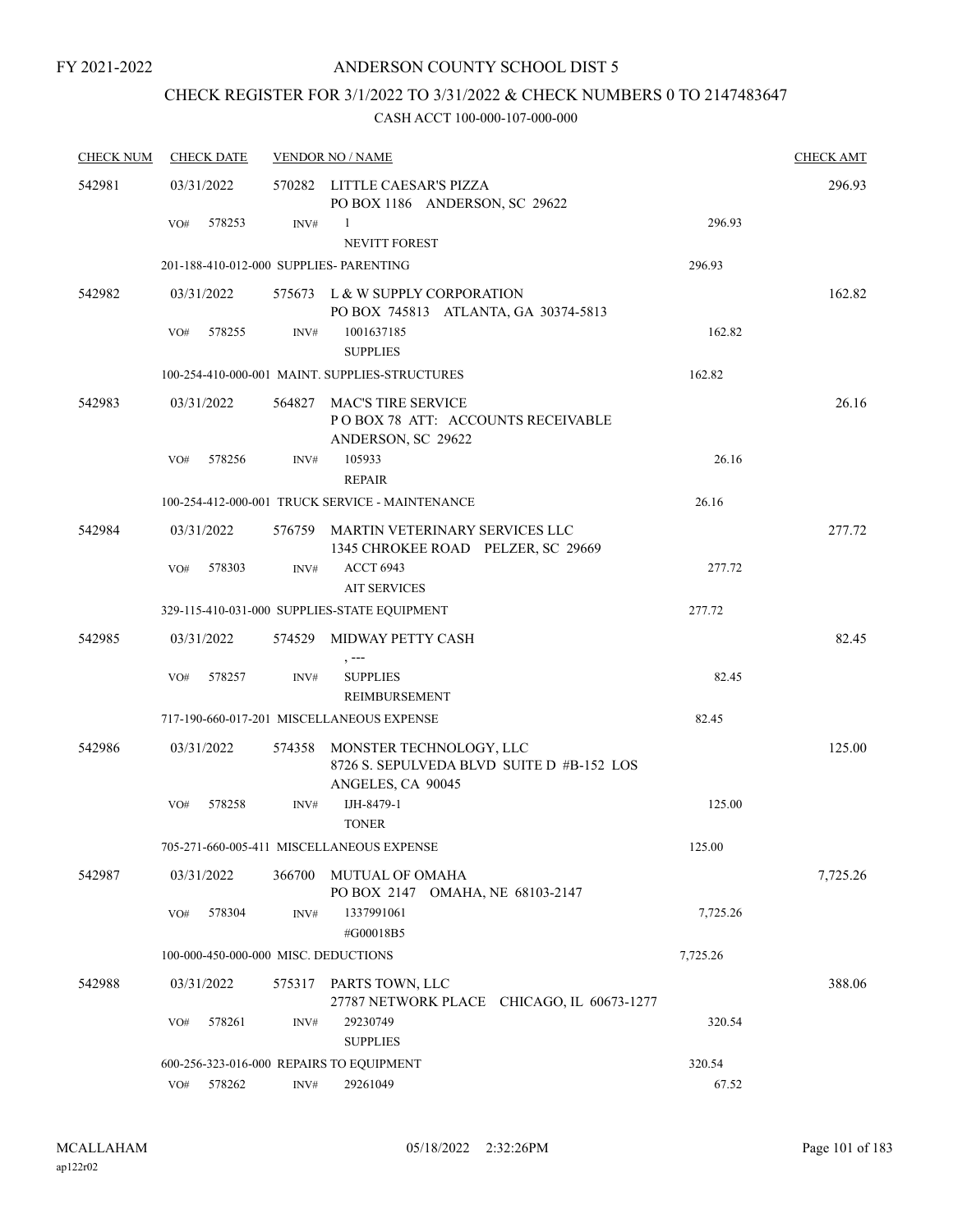# CHECK REGISTER FOR 3/1/2022 TO 3/31/2022 & CHECK NUMBERS 0 TO 2147483647

| <b>CHECK NUM</b> | <b>CHECK DATE</b>                        |        | <b>VENDOR NO / NAME</b>                                                                   |          | <b>CHECK AMT</b> |
|------------------|------------------------------------------|--------|-------------------------------------------------------------------------------------------|----------|------------------|
| 542981           | 03/31/2022                               |        | 570282 LITTLE CAESAR'S PIZZA<br>PO BOX 1186 ANDERSON, SC 29622                            |          | 296.93           |
|                  | 578253<br>VO#                            | INV#   | -1<br><b>NEVITT FOREST</b>                                                                | 296.93   |                  |
|                  | 201-188-410-012-000 SUPPLIES- PARENTING  |        |                                                                                           | 296.93   |                  |
| 542982           | 03/31/2022                               |        | 575673 L & W SUPPLY CORPORATION<br>PO BOX 745813 ATLANTA, GA 30374-5813                   |          | 162.82           |
|                  | 578255<br>VO#                            | INV#   | 1001637185<br><b>SUPPLIES</b>                                                             | 162.82   |                  |
|                  |                                          |        | 100-254-410-000-001 MAINT. SUPPLIES-STRUCTURES                                            | 162.82   |                  |
| 542983           | 03/31/2022                               | 564827 | MAC'S TIRE SERVICE<br>POBOX 78 ATT: ACCOUNTS RECEIVABLE<br>ANDERSON, SC 29622             |          | 26.16            |
|                  | 578256<br>VO#                            | INV#   | 105933<br><b>REPAIR</b>                                                                   | 26.16    |                  |
|                  |                                          |        | 100-254-412-000-001 TRUCK SERVICE - MAINTENANCE                                           | 26.16    |                  |
| 542984           | 03/31/2022                               |        | 576759 MARTIN VETERINARY SERVICES LLC<br>1345 CHROKEE ROAD PELZER, SC 29669               |          | 277.72           |
|                  | 578303<br>VO#                            | INV#   | <b>ACCT 6943</b><br><b>AIT SERVICES</b>                                                   | 277.72   |                  |
|                  |                                          |        | 329-115-410-031-000 SUPPLIES-STATE EQUIPMENT                                              | 277.72   |                  |
| 542985           | 03/31/2022                               |        | 574529 MIDWAY PETTY CASH<br>$, --$                                                        |          | 82.45            |
|                  | 578257<br>VO#                            | INV#   | <b>SUPPLIES</b><br>REIMBURSEMENT                                                          | 82.45    |                  |
|                  |                                          |        | 717-190-660-017-201 MISCELLANEOUS EXPENSE                                                 | 82.45    |                  |
| 542986           | 03/31/2022                               | 574358 | MONSTER TECHNOLOGY, LLC<br>8726 S. SEPULVEDA BLVD SUITE D #B-152 LOS<br>ANGELES, CA 90045 |          | 125.00           |
|                  | 578258<br>VO#                            | INV#   | IJH-8479-1<br><b>TONER</b>                                                                | 125.00   |                  |
|                  |                                          |        | 705-271-660-005-411 MISCELLANEOUS EXPENSE                                                 | 125.00   |                  |
| 542987           | 03/31/2022                               | 366700 | MUTUAL OF OMAHA<br>PO BOX 2147 OMAHA, NE 68103-2147                                       |          | 7,725.26         |
|                  | 578304<br>VO#                            | INV#   | 1337991061<br>#G00018B5                                                                   | 7,725.26 |                  |
|                  | 100-000-450-000-000 MISC. DEDUCTIONS     |        |                                                                                           | 7,725.26 |                  |
| 542988           | 03/31/2022                               | 575317 | PARTS TOWN, LLC<br>27787 NETWORK PLACE CHICAGO, IL 60673-1277                             |          | 388.06           |
|                  | VO#<br>578261                            | INV#   | 29230749<br><b>SUPPLIES</b>                                                               | 320.54   |                  |
|                  | 600-256-323-016-000 REPAIRS TO EQUIPMENT |        |                                                                                           | 320.54   |                  |
|                  | 578262<br>VO#                            | INV#   | 29261049                                                                                  | 67.52    |                  |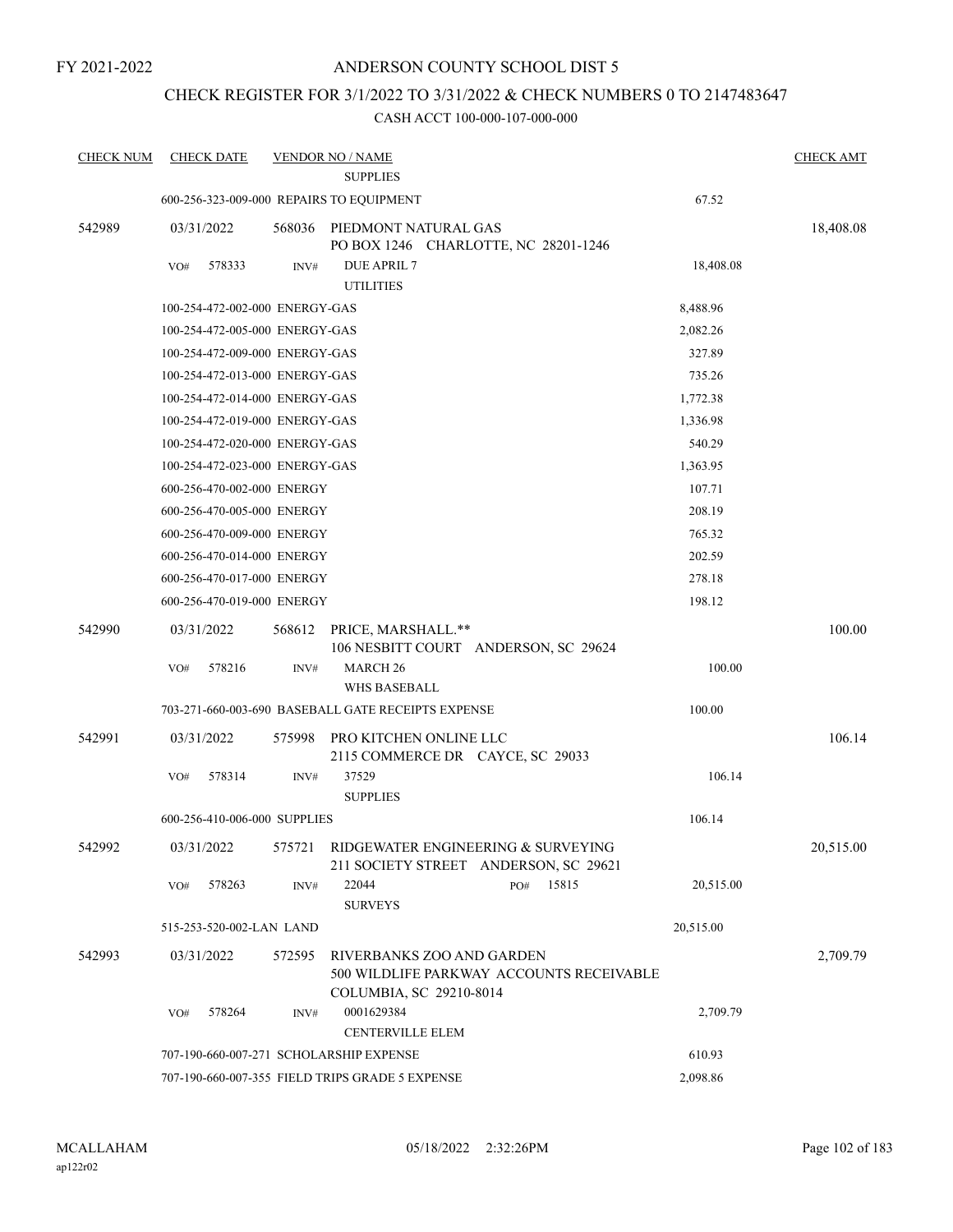# ANDERSON COUNTY SCHOOL DIST 5

# CHECK REGISTER FOR 3/1/2022 TO 3/31/2022 & CHECK NUMBERS 0 TO 2147483647

| <b>CHECK NUM</b> | <b>CHECK DATE</b>                               |        | <b>VENDOR NO / NAME</b><br><b>SUPPLIES</b>                   |                                          |           | <b>CHECK AMT</b> |
|------------------|-------------------------------------------------|--------|--------------------------------------------------------------|------------------------------------------|-----------|------------------|
|                  |                                                 |        | 600-256-323-009-000 REPAIRS TO EQUIPMENT                     |                                          | 67.52     |                  |
|                  |                                                 |        |                                                              |                                          |           |                  |
| 542989           | 03/31/2022                                      | 568036 | PIEDMONT NATURAL GAS<br>PO BOX 1246 CHARLOTTE, NC 28201-1246 |                                          |           | 18,408.08        |
|                  | 578333<br>VO#                                   | INV#   | <b>DUE APRIL 7</b><br><b>UTILITIES</b>                       |                                          | 18,408.08 |                  |
|                  | 100-254-472-002-000 ENERGY-GAS                  |        |                                                              |                                          | 8,488.96  |                  |
|                  | 100-254-472-005-000 ENERGY-GAS                  |        |                                                              |                                          | 2,082.26  |                  |
|                  | 100-254-472-009-000 ENERGY-GAS                  |        |                                                              |                                          | 327.89    |                  |
|                  | 100-254-472-013-000 ENERGY-GAS                  |        |                                                              |                                          | 735.26    |                  |
|                  | 100-254-472-014-000 ENERGY-GAS                  |        | 1,772.38                                                     |                                          |           |                  |
|                  | 100-254-472-019-000 ENERGY-GAS                  |        | 1,336.98                                                     |                                          |           |                  |
|                  | 100-254-472-020-000 ENERGY-GAS                  |        |                                                              |                                          | 540.29    |                  |
|                  | 100-254-472-023-000 ENERGY-GAS                  |        |                                                              |                                          | 1,363.95  |                  |
|                  | 600-256-470-002-000 ENERGY                      |        |                                                              |                                          | 107.71    |                  |
|                  | 600-256-470-005-000 ENERGY                      |        |                                                              |                                          | 208.19    |                  |
|                  | 600-256-470-009-000 ENERGY                      |        |                                                              |                                          | 765.32    |                  |
|                  | 600-256-470-014-000 ENERGY                      |        |                                                              |                                          | 202.59    |                  |
|                  | 600-256-470-017-000 ENERGY                      |        |                                                              |                                          | 278.18    |                  |
|                  | 600-256-470-019-000 ENERGY                      |        |                                                              |                                          | 198.12    |                  |
| 542990           | 03/31/2022                                      | 568612 | PRICE, MARSHALL.**                                           | 106 NESBITT COURT ANDERSON, SC 29624     |           | 100.00           |
|                  | VO#<br>578216                                   | INV#   | <b>MARCH 26</b><br><b>WHS BASEBALL</b>                       |                                          | 100.00    |                  |
|                  |                                                 |        | 703-271-660-003-690 BASEBALL GATE RECEIPTS EXPENSE           |                                          | 100.00    |                  |
| 542991           | 03/31/2022                                      | 575998 | PRO KITCHEN ONLINE LLC<br>2115 COMMERCE DR CAYCE, SC 29033   |                                          |           | 106.14           |
|                  | 578314<br>VO#                                   | INV#   | 37529<br><b>SUPPLIES</b>                                     |                                          | 106.14    |                  |
|                  | 600-256-410-006-000 SUPPLIES                    |        |                                                              |                                          | 106.14    |                  |
| 542992           | 03/31/2022                                      |        | 575721 RIDGEWATER ENGINEERING & SURVEYING                    | 211 SOCIETY STREET ANDERSON, SC 29621    |           | 20,515.00        |
|                  | 578263<br>VO#                                   | INV#   | 22044<br><b>SURVEYS</b>                                      | PO#<br>15815                             | 20,515.00 |                  |
|                  | 515-253-520-002-LAN LAND                        |        |                                                              |                                          | 20,515.00 |                  |
| 542993           | 03/31/2022                                      | 572595 | RIVERBANKS ZOO AND GARDEN<br>COLUMBIA, SC 29210-8014         | 500 WILDLIFE PARKWAY ACCOUNTS RECEIVABLE |           | 2,709.79         |
|                  | 578264<br>VO#                                   | INV#   | 0001629384<br><b>CENTERVILLE ELEM</b>                        |                                          | 2,709.79  |                  |
|                  |                                                 |        | 707-190-660-007-271 SCHOLARSHIP EXPENSE                      |                                          | 610.93    |                  |
|                  | 707-190-660-007-355 FIELD TRIPS GRADE 5 EXPENSE |        | 2,098.86                                                     |                                          |           |                  |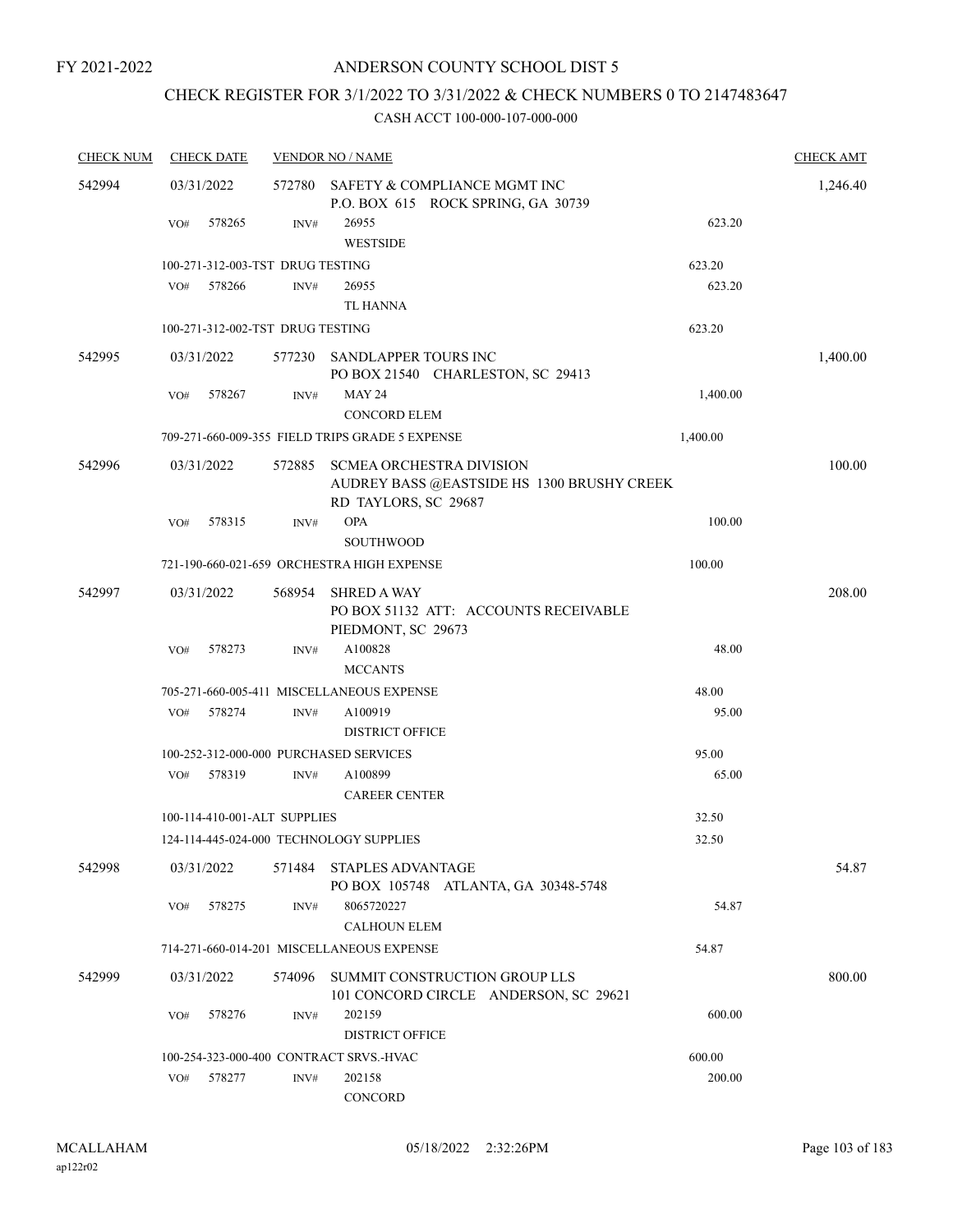# CHECK REGISTER FOR 3/1/2022 TO 3/31/2022 & CHECK NUMBERS 0 TO 2147483647

| <b>CHECK NUM</b> | <b>CHECK DATE</b> |        |                                  | <b>VENDOR NO / NAME</b>                                                                               |          | <b>CHECK AMT</b> |
|------------------|-------------------|--------|----------------------------------|-------------------------------------------------------------------------------------------------------|----------|------------------|
| 542994           | 03/31/2022        |        | 572780                           | SAFETY & COMPLIANCE MGMT INC<br>P.O. BOX 615 ROCK SPRING, GA 30739                                    |          | 1,246.40         |
|                  | VO#               | 578265 | INV#                             | 26955<br><b>WESTSIDE</b>                                                                              | 623.20   |                  |
|                  |                   |        | 100-271-312-003-TST DRUG TESTING |                                                                                                       | 623.20   |                  |
|                  | VO#               | 578266 | INV#                             | 26955                                                                                                 | 623.20   |                  |
|                  |                   |        |                                  | TL HANNA                                                                                              |          |                  |
|                  |                   |        | 100-271-312-002-TST DRUG TESTING |                                                                                                       | 623.20   |                  |
| 542995           | 03/31/2022        |        | 577230                           | SANDLAPPER TOURS INC<br>PO BOX 21540 CHARLESTON, SC 29413                                             |          | 1,400.00         |
|                  | VO#               | 578267 | INV#                             | <b>MAY 24</b><br><b>CONCORD ELEM</b>                                                                  | 1,400.00 |                  |
|                  |                   |        |                                  | 709-271-660-009-355 FIELD TRIPS GRADE 5 EXPENSE                                                       | 1,400.00 |                  |
| 542996           | 03/31/2022        |        | 572885                           | <b>SCMEA ORCHESTRA DIVISION</b><br>AUDREY BASS @EASTSIDE HS 1300 BRUSHY CREEK<br>RD TAYLORS, SC 29687 |          | 100.00           |
|                  | VO#               | 578315 | INV#                             | <b>OPA</b><br><b>SOUTHWOOD</b>                                                                        | 100.00   |                  |
|                  |                   |        |                                  | 721-190-660-021-659 ORCHESTRA HIGH EXPENSE                                                            | 100.00   |                  |
| 542997           | 03/31/2022        |        | 568954                           | <b>SHRED A WAY</b><br>PO BOX 51132 ATT: ACCOUNTS RECEIVABLE<br>PIEDMONT, SC 29673                     |          | 208.00           |
|                  | VO#               | 578273 | INV#                             | A100828<br><b>MCCANTS</b>                                                                             | 48.00    |                  |
|                  |                   |        |                                  | 705-271-660-005-411 MISCELLANEOUS EXPENSE                                                             | 48.00    |                  |
|                  | VO#               | 578274 | INV#                             | A100919<br><b>DISTRICT OFFICE</b>                                                                     | 95.00    |                  |
|                  |                   |        |                                  | 100-252-312-000-000 PURCHASED SERVICES                                                                | 95.00    |                  |
|                  | VO#               | 578319 | INV#                             | A100899<br><b>CAREER CENTER</b>                                                                       | 65.00    |                  |
|                  |                   |        | 100-114-410-001-ALT SUPPLIES     |                                                                                                       | 32.50    |                  |
|                  |                   |        |                                  | 124-114-445-024-000 TECHNOLOGY SUPPLIES                                                               | 32.50    |                  |
| 542998           | 03/31/2022        |        | 571484                           | <b>STAPLES ADVANTAGE</b><br>PO BOX 105748 ATLANTA, GA 30348-5748                                      |          | 54.87            |
|                  | VO#               | 578275 | INV#                             | 8065720227<br><b>CALHOUN ELEM</b>                                                                     | 54.87    |                  |
|                  |                   |        |                                  | 714-271-660-014-201 MISCELLANEOUS EXPENSE                                                             | 54.87    |                  |
| 542999           | 03/31/2022        |        | 574096                           | SUMMIT CONSTRUCTION GROUP LLS<br>101 CONCORD CIRCLE ANDERSON, SC 29621                                |          | 800.00           |
|                  | VO#               | 578276 | INV#                             | 202159<br><b>DISTRICT OFFICE</b>                                                                      | 600.00   |                  |
|                  |                   |        |                                  | 100-254-323-000-400 CONTRACT SRVS.-HVAC                                                               | 600.00   |                  |
|                  | VO#               | 578277 | INV#                             | 202158<br>CONCORD                                                                                     | 200.00   |                  |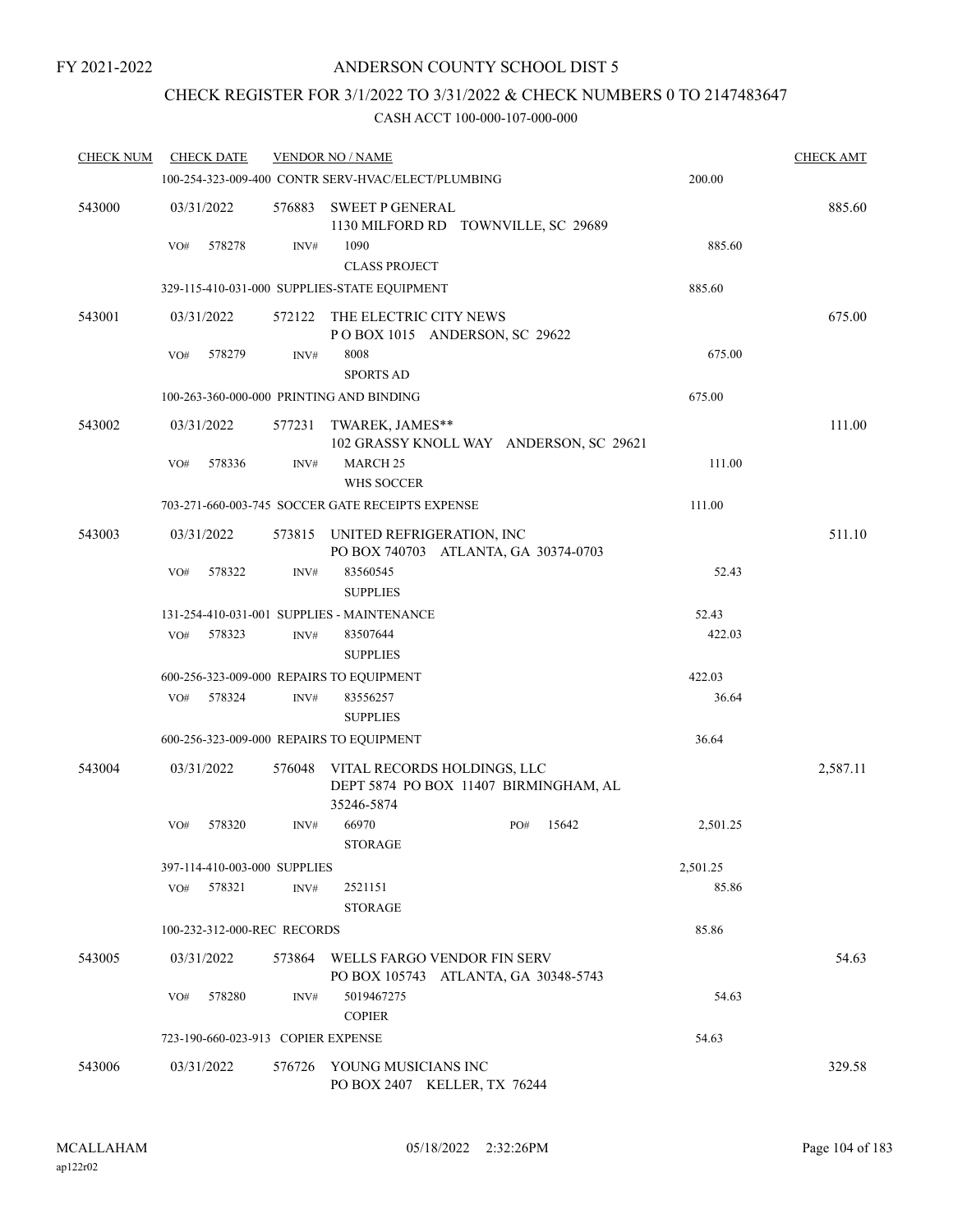# CHECK REGISTER FOR 3/1/2022 TO 3/31/2022 & CHECK NUMBERS 0 TO 2147483647

| <b>CHECK NUM</b> | <b>CHECK DATE</b> |                                    | <b>VENDOR NO / NAME</b>                                                            |     |       |          | <b>CHECK AMT</b> |
|------------------|-------------------|------------------------------------|------------------------------------------------------------------------------------|-----|-------|----------|------------------|
|                  |                   |                                    | 100-254-323-009-400 CONTR SERV-HVAC/ELECT/PLUMBING                                 |     |       | 200.00   |                  |
| 543000           | 03/31/2022        | 576883                             | <b>SWEET P GENERAL</b><br>1130 MILFORD RD TOWNVILLE, SC 29689                      |     |       |          | 885.60           |
|                  | 578278<br>VO#     | INV#                               | 1090<br><b>CLASS PROJECT</b>                                                       |     |       | 885.60   |                  |
|                  |                   |                                    | 329-115-410-031-000 SUPPLIES-STATE EQUIPMENT                                       |     |       | 885.60   |                  |
| 543001           | 03/31/2022        | 572122                             | THE ELECTRIC CITY NEWS<br>POBOX 1015 ANDERSON, SC 29622                            |     |       |          | 675.00           |
|                  | 578279<br>VO#     | INV#                               | 8008<br><b>SPORTS AD</b>                                                           |     |       | 675.00   |                  |
|                  |                   |                                    | 100-263-360-000-000 PRINTING AND BINDING                                           |     |       | 675.00   |                  |
| 543002           | 03/31/2022        | 577231                             | TWAREK, JAMES**<br>102 GRASSY KNOLL WAY ANDERSON, SC 29621                         |     |       |          | 111.00           |
|                  | 578336<br>VO#     | INV#                               | <b>MARCH 25</b><br>WHS SOCCER                                                      |     |       | 111.00   |                  |
|                  |                   |                                    | 703-271-660-003-745 SOCCER GATE RECEIPTS EXPENSE                                   |     |       | 111.00   |                  |
| 543003           | 03/31/2022        | 573815                             | UNITED REFRIGERATION, INC<br>PO BOX 740703 ATLANTA, GA 30374-0703                  |     |       |          | 511.10           |
|                  | VO#<br>578322     | $\text{INV}\#$                     | 83560545<br><b>SUPPLIES</b>                                                        |     |       | 52.43    |                  |
|                  |                   |                                    | 131-254-410-031-001 SUPPLIES - MAINTENANCE                                         |     |       | 52.43    |                  |
|                  | 578323<br>VO#     | INV#                               | 83507644<br><b>SUPPLIES</b>                                                        |     |       | 422.03   |                  |
|                  |                   |                                    | 600-256-323-009-000 REPAIRS TO EQUIPMENT                                           |     |       | 422.03   |                  |
|                  | 578324<br>VO#     | INV#                               | 83556257<br><b>SUPPLIES</b>                                                        |     |       | 36.64    |                  |
|                  |                   |                                    | 600-256-323-009-000 REPAIRS TO EQUIPMENT                                           |     |       | 36.64    |                  |
| 543004           | 03/31/2022        | 576048                             | VITAL RECORDS HOLDINGS, LLC<br>DEPT 5874 PO BOX 11407 BIRMINGHAM, AL<br>35246-5874 |     |       |          | 2,587.11         |
|                  | 578320<br>VO#     | INV#                               | 66970<br><b>STORAGE</b>                                                            | PO# | 15642 | 2,501.25 |                  |
|                  |                   | 397-114-410-003-000 SUPPLIES       |                                                                                    |     |       | 2,501.25 |                  |
|                  | VO#<br>578321     | INV#                               | 2521151<br><b>STORAGE</b>                                                          |     |       | 85.86    |                  |
|                  |                   | 100-232-312-000-REC RECORDS        |                                                                                    |     |       | 85.86    |                  |
| 543005           | 03/31/2022        |                                    | 573864 WELLS FARGO VENDOR FIN SERV<br>PO BOX 105743 ATLANTA, GA 30348-5743         |     |       |          | 54.63            |
|                  | 578280<br>VO#     | INV#                               | 5019467275<br><b>COPIER</b>                                                        |     |       | 54.63    |                  |
|                  |                   | 723-190-660-023-913 COPIER EXPENSE |                                                                                    |     |       | 54.63    |                  |
| 543006           | 03/31/2022        |                                    | 576726 YOUNG MUSICIANS INC<br>PO BOX 2407 KELLER, TX 76244                         |     |       |          | 329.58           |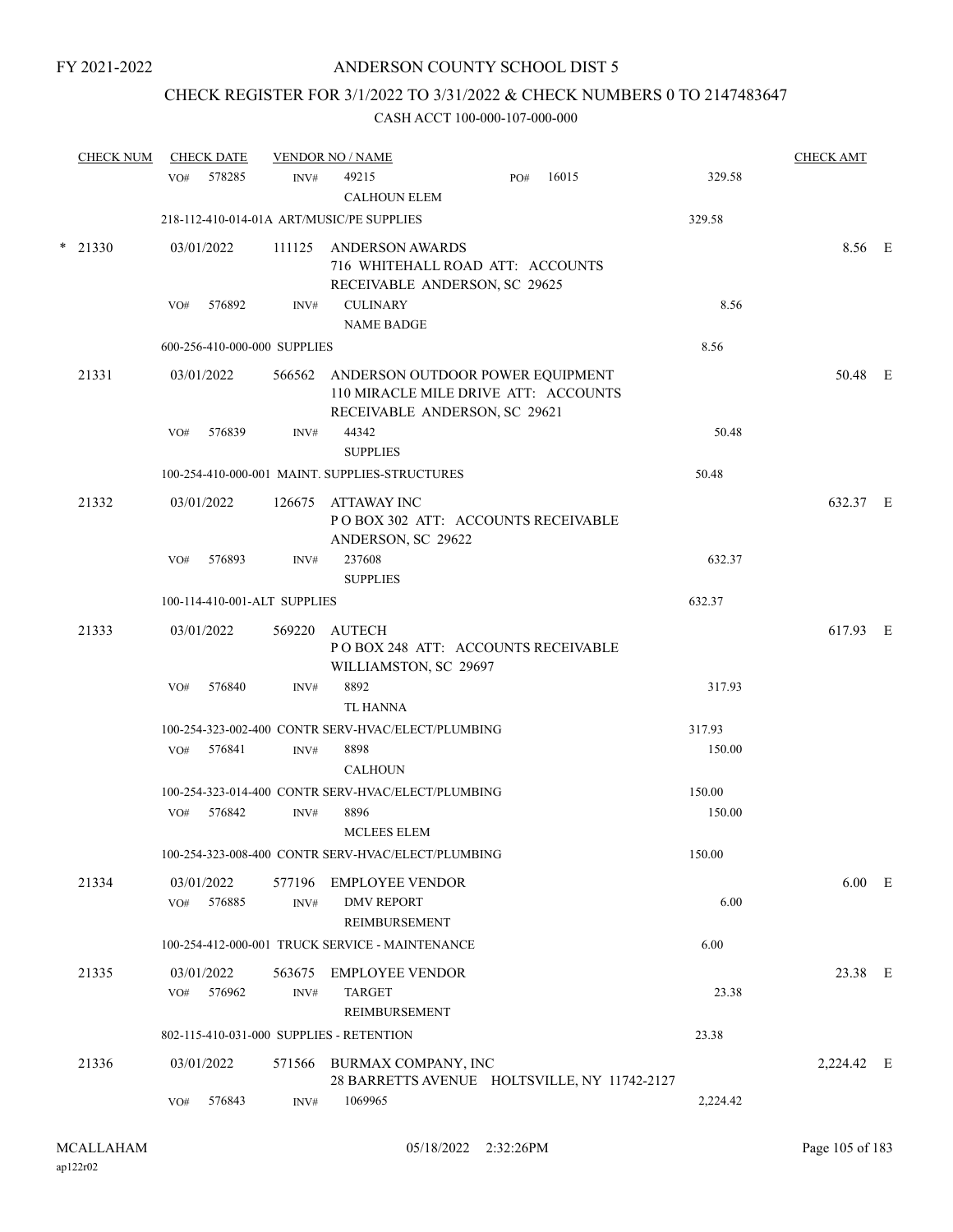# CHECK REGISTER FOR 3/1/2022 TO 3/31/2022 & CHECK NUMBERS 0 TO 2147483647

|        | <b>CHECK NUM</b> |     | <b>CHECK DATE</b>    |                              | <b>VENDOR NO / NAME</b>                                                                                          |          | <b>CHECK AMT</b> |  |
|--------|------------------|-----|----------------------|------------------------------|------------------------------------------------------------------------------------------------------------------|----------|------------------|--|
|        |                  | VO# | 578285               | INV#                         | 49215<br>16015<br>PO#<br><b>CALHOUN ELEM</b>                                                                     | 329.58   |                  |  |
|        |                  |     |                      |                              | 218-112-410-014-01A ART/MUSIC/PE SUPPLIES                                                                        | 329.58   |                  |  |
| $\ast$ | 21330            |     | 03/01/2022           | 111125                       | ANDERSON AWARDS<br>716 WHITEHALL ROAD ATT: ACCOUNTS<br>RECEIVABLE ANDERSON, SC 29625                             |          | 8.56 E           |  |
|        |                  | VO# | 576892               | INV#                         | <b>CULINARY</b><br><b>NAME BADGE</b>                                                                             | 8.56     |                  |  |
|        |                  |     |                      | 600-256-410-000-000 SUPPLIES |                                                                                                                  | 8.56     |                  |  |
|        | 21331            |     | 03/01/2022           |                              | 566562 ANDERSON OUTDOOR POWER EQUIPMENT<br>110 MIRACLE MILE DRIVE ATT: ACCOUNTS<br>RECEIVABLE ANDERSON, SC 29621 |          | 50.48 E          |  |
|        |                  | VO# | 576839               | INV#                         | 44342                                                                                                            | 50.48    |                  |  |
|        |                  |     |                      |                              | <b>SUPPLIES</b>                                                                                                  |          |                  |  |
|        |                  |     |                      |                              | 100-254-410-000-001 MAINT. SUPPLIES-STRUCTURES                                                                   | 50.48    |                  |  |
|        | 21332            |     | 03/01/2022           | 126675                       | ATTAWAY INC<br>POBOX 302 ATT: ACCOUNTS RECEIVABLE<br>ANDERSON, SC 29622                                          |          | 632.37 E         |  |
|        |                  | VO# | 576893               | INV#                         | 237608                                                                                                           | 632.37   |                  |  |
|        |                  |     |                      |                              | <b>SUPPLIES</b>                                                                                                  |          |                  |  |
|        |                  |     |                      | 100-114-410-001-ALT SUPPLIES |                                                                                                                  | 632.37   |                  |  |
|        | 21333            |     | 03/01/2022           | 569220                       | AUTECH<br>POBOX 248 ATT: ACCOUNTS RECEIVABLE<br>WILLIAMSTON, SC 29697                                            |          | 617.93 E         |  |
|        |                  | VO# | 576840               | INV#                         | 8892<br><b>TL HANNA</b>                                                                                          | 317.93   |                  |  |
|        |                  |     |                      |                              | 100-254-323-002-400 CONTR SERV-HVAC/ELECT/PLUMBING                                                               | 317.93   |                  |  |
|        |                  | VO# | 576841               | INV#                         | 8898<br><b>CALHOUN</b>                                                                                           | 150.00   |                  |  |
|        |                  |     |                      |                              | 100-254-323-014-400 CONTR SERV-HVAC/ELECT/PLUMBING                                                               | 150.00   |                  |  |
|        |                  | VO# | 576842               | INV#                         | 8896<br><b>MCLEES ELEM</b>                                                                                       | 150.00   |                  |  |
|        |                  |     |                      |                              | 100-254-323-008-400 CONTR SERV-HVAC/ELECT/PLUMBING                                                               | 150.00   |                  |  |
|        | 21334            | VO# | 03/01/2022<br>576885 | 577196<br>INV#               | <b>EMPLOYEE VENDOR</b><br><b>DMV REPORT</b><br>REIMBURSEMENT                                                     | 6.00     | $6.00$ E         |  |
|        |                  |     |                      |                              | 100-254-412-000-001 TRUCK SERVICE - MAINTENANCE                                                                  | 6.00     |                  |  |
|        | 21335            |     | 03/01/2022           | 563675                       | <b>EMPLOYEE VENDOR</b>                                                                                           |          | 23.38 E          |  |
|        |                  | VO# | 576962               | INV#                         | <b>TARGET</b><br><b>REIMBURSEMENT</b>                                                                            | 23.38    |                  |  |
|        |                  |     |                      |                              | 802-115-410-031-000 SUPPLIES - RETENTION                                                                         | 23.38    |                  |  |
|        | 21336            |     | 03/01/2022           | 571566                       | BURMAX COMPANY, INC<br>28 BARRETTS AVENUE HOLTSVILLE, NY 11742-2127                                              |          | 2,224.42 E       |  |
|        |                  | VO# | 576843               | INV#                         | 1069965                                                                                                          | 2,224.42 |                  |  |
|        |                  |     |                      |                              |                                                                                                                  |          |                  |  |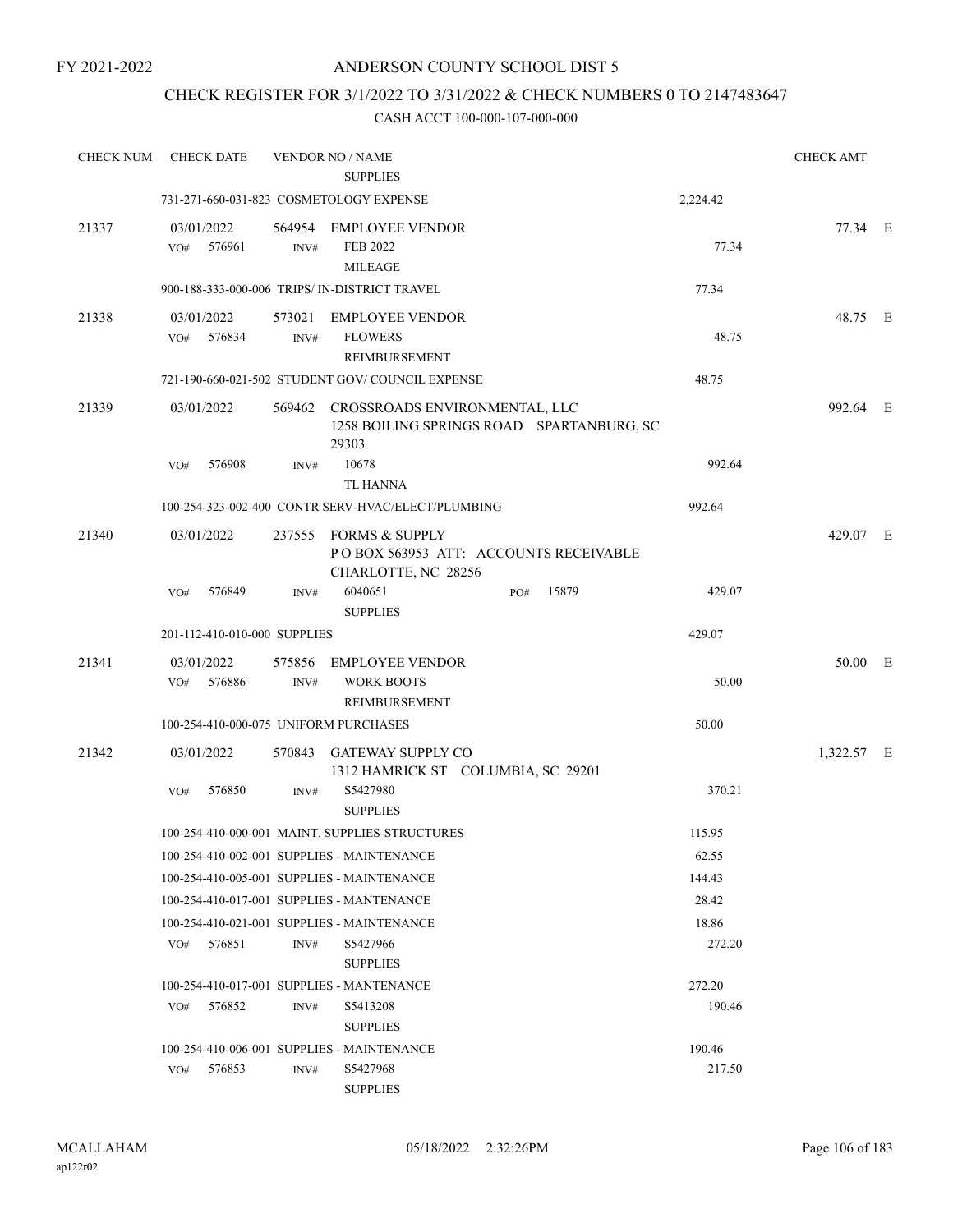### CHECK REGISTER FOR 3/1/2022 TO 3/31/2022 & CHECK NUMBERS 0 TO 2147483647

| <b>CHECK NUM</b> | <b>CHECK DATE</b>           |                                       | <b>VENDOR NO / NAME</b><br><b>SUPPLIES</b>                                                 |     |       |          | <b>CHECK AMT</b> |  |
|------------------|-----------------------------|---------------------------------------|--------------------------------------------------------------------------------------------|-----|-------|----------|------------------|--|
|                  |                             |                                       | 731-271-660-031-823 COSMETOLOGY EXPENSE                                                    |     |       | 2,224.42 |                  |  |
|                  |                             |                                       |                                                                                            |     |       |          |                  |  |
| 21337            | 03/01/2022<br>576961<br>VO# | INV#                                  | 564954 EMPLOYEE VENDOR<br>FEB 2022<br><b>MILEAGE</b>                                       |     |       | 77.34    | 77.34 E          |  |
|                  |                             |                                       | 900-188-333-000-006 TRIPS/ IN-DISTRICT TRAVEL                                              |     |       | 77.34    |                  |  |
| 21338            | 03/01/2022<br>576834<br>VO# | INV#                                  | 573021 EMPLOYEE VENDOR<br><b>FLOWERS</b><br>REIMBURSEMENT                                  |     |       | 48.75    | 48.75 E          |  |
|                  |                             |                                       | 721-190-660-021-502 STUDENT GOV/COUNCIL EXPENSE                                            |     |       | 48.75    |                  |  |
| 21339            | 03/01/2022                  |                                       | 569462 CROSSROADS ENVIRONMENTAL, LLC<br>1258 BOILING SPRINGS ROAD SPARTANBURG, SC<br>29303 |     |       |          | 992.64 E         |  |
|                  | 576908<br>VO#               | INV#                                  | 10678<br><b>TL HANNA</b>                                                                   |     |       | 992.64   |                  |  |
|                  |                             |                                       | 100-254-323-002-400 CONTR SERV-HVAC/ELECT/PLUMBING                                         |     |       | 992.64   |                  |  |
| 21340            | 03/01/2022                  |                                       | 237555 FORMS & SUPPLY<br>PO BOX 563953 ATT: ACCOUNTS RECEIVABLE<br>CHARLOTTE, NC 28256     |     |       |          | 429.07 E         |  |
|                  | 576849<br>VO#               | INV#                                  | 6040651<br><b>SUPPLIES</b>                                                                 | PO# | 15879 | 429.07   |                  |  |
|                  |                             | 201-112-410-010-000 SUPPLIES          |                                                                                            |     |       | 429.07   |                  |  |
| 21341            | 03/01/2022<br>576886<br>VO# | 575856<br>INV#                        | EMPLOYEE VENDOR<br><b>WORK BOOTS</b><br>REIMBURSEMENT                                      |     |       | 50.00    | 50.00 E          |  |
|                  |                             | 100-254-410-000-075 UNIFORM PURCHASES |                                                                                            |     |       | 50.00    |                  |  |
| 21342            | 03/01/2022                  |                                       | 570843 GATEWAY SUPPLY CO<br>1312 HAMRICK ST COLUMBIA, SC 29201                             |     |       |          | 1,322.57 E       |  |
|                  | 576850<br>VO#               | INV#                                  | S5427980<br><b>SUPPLIES</b>                                                                |     |       | 370.21   |                  |  |
|                  |                             |                                       | 100-254-410-000-001 MAINT. SUPPLIES-STRUCTURES                                             |     |       | 115.95   |                  |  |
|                  |                             |                                       | 100-254-410-002-001 SUPPLIES - MAINTENANCE                                                 |     |       | 62.55    |                  |  |
|                  |                             |                                       | 100-254-410-005-001 SUPPLIES - MAINTENANCE                                                 |     |       | 144.43   |                  |  |
|                  |                             |                                       | 100-254-410-017-001 SUPPLIES - MANTENANCE                                                  |     |       | 28.42    |                  |  |
|                  |                             |                                       | 100-254-410-021-001 SUPPLIES - MAINTENANCE                                                 |     |       | 18.86    |                  |  |
|                  | 576851<br>VO#               | INV#                                  | S5427966<br><b>SUPPLIES</b>                                                                |     |       | 272.20   |                  |  |
|                  |                             |                                       | 100-254-410-017-001 SUPPLIES - MANTENANCE                                                  |     |       | 272.20   |                  |  |
|                  | 576852<br>VO#               | INV#                                  | S5413208<br><b>SUPPLIES</b>                                                                |     |       | 190.46   |                  |  |
|                  |                             |                                       | 100-254-410-006-001 SUPPLIES - MAINTENANCE                                                 |     |       | 190.46   |                  |  |
|                  | 576853<br>VO#               | INV#                                  | S5427968<br><b>SUPPLIES</b>                                                                |     |       | 217.50   |                  |  |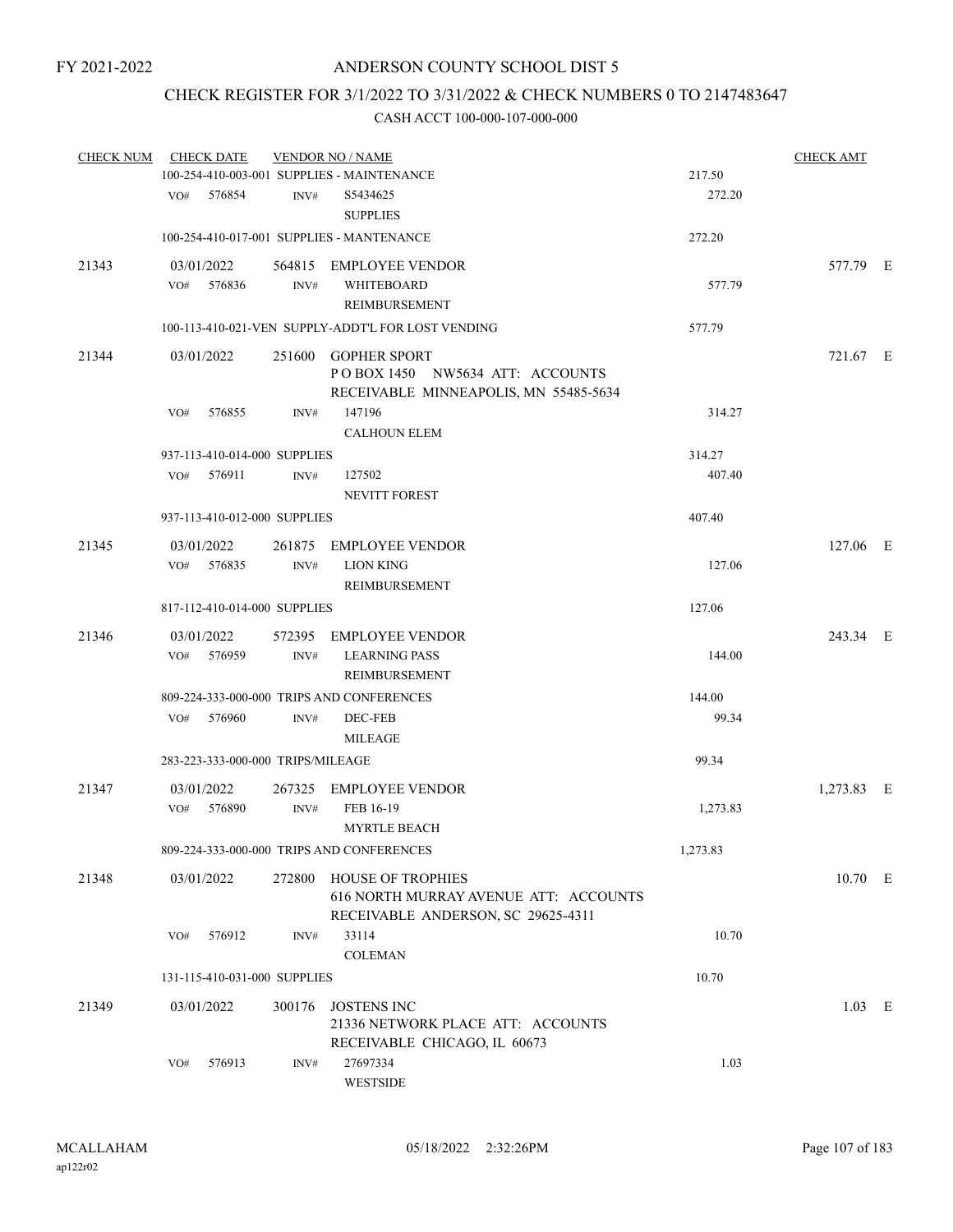# CHECK REGISTER FOR 3/1/2022 TO 3/31/2022 & CHECK NUMBERS 0 TO 2147483647

| <b>CHECK NUM</b> |     | <b>CHECK DATE</b>                 |        | <b>VENDOR NO / NAME</b>                                                                         |          | <b>CHECK AMT</b> |  |
|------------------|-----|-----------------------------------|--------|-------------------------------------------------------------------------------------------------|----------|------------------|--|
|                  |     |                                   |        | 100-254-410-003-001 SUPPLIES - MAINTENANCE                                                      | 217.50   |                  |  |
|                  |     | VO# 576854                        | INV#   | S5434625<br><b>SUPPLIES</b>                                                                     | 272.20   |                  |  |
|                  |     |                                   |        | 100-254-410-017-001 SUPPLIES - MANTENANCE                                                       | 272.20   |                  |  |
| 21343            |     | 03/01/2022                        |        | 564815 EMPLOYEE VENDOR                                                                          |          | 577.79 E         |  |
|                  |     | $VO#$ 576836                      | INV#   | WHITEBOARD                                                                                      | 577.79   |                  |  |
|                  |     |                                   |        | <b>REIMBURSEMENT</b>                                                                            |          |                  |  |
|                  |     |                                   |        | 100-113-410-021-VEN SUPPLY-ADDT'L FOR LOST VENDING                                              | 577.79   |                  |  |
| 21344            |     | 03/01/2022                        |        | 251600 GOPHER SPORT<br>POBOX 1450 NW5634 ATT: ACCOUNTS<br>RECEIVABLE MINNEAPOLIS, MN 55485-5634 |          | 721.67 E         |  |
|                  | VO# | 576855                            | INV#   | 147196                                                                                          | 314.27   |                  |  |
|                  |     |                                   |        | <b>CALHOUN ELEM</b>                                                                             |          |                  |  |
|                  |     | 937-113-410-014-000 SUPPLIES      |        |                                                                                                 | 314.27   |                  |  |
|                  | VO# | 576911                            | INV#   | 127502                                                                                          | 407.40   |                  |  |
|                  |     |                                   |        | <b>NEVITT FOREST</b>                                                                            |          |                  |  |
|                  |     | 937-113-410-012-000 SUPPLIES      |        |                                                                                                 | 407.40   |                  |  |
| 21345            |     | 03/01/2022                        | 261875 | <b>EMPLOYEE VENDOR</b>                                                                          |          | 127.06 E         |  |
|                  |     | VO# 576835                        | INV#   | <b>LION KING</b>                                                                                | 127.06   |                  |  |
|                  |     |                                   |        | REIMBURSEMENT                                                                                   |          |                  |  |
|                  |     | 817-112-410-014-000 SUPPLIES      |        |                                                                                                 | 127.06   |                  |  |
| 21346            |     | 03/01/2022                        |        | 572395 EMPLOYEE VENDOR                                                                          |          | 243.34 E         |  |
|                  | VO# | 576959                            | INV#   | <b>LEARNING PASS</b>                                                                            | 144.00   |                  |  |
|                  |     |                                   |        | REIMBURSEMENT                                                                                   |          |                  |  |
|                  |     |                                   |        | 809-224-333-000-000 TRIPS AND CONFERENCES                                                       | 144.00   |                  |  |
|                  | VO# | 576960                            | INV#   | DEC-FEB                                                                                         | 99.34    |                  |  |
|                  |     |                                   |        | <b>MILEAGE</b>                                                                                  |          |                  |  |
|                  |     | 283-223-333-000-000 TRIPS/MILEAGE |        |                                                                                                 | 99.34    |                  |  |
| 21347            |     | 03/01/2022                        |        | 267325 EMPLOYEE VENDOR                                                                          |          | 1,273.83 E       |  |
|                  | VO# | 576890                            | INV#   | FEB 16-19                                                                                       | 1,273.83 |                  |  |
|                  |     |                                   |        | <b>MYRTLE BEACH</b>                                                                             |          |                  |  |
|                  |     |                                   |        | 809-224-333-000-000 TRIPS AND CONFERENCES                                                       | 1,273.83 |                  |  |
| 21348            |     | 03/01/2022                        |        | 272800 HOUSE OF TROPHIES                                                                        |          | 10.70 E          |  |
|                  |     |                                   |        | 616 NORTH MURRAY AVENUE ATT: ACCOUNTS<br>RECEIVABLE ANDERSON, SC 29625-4311                     |          |                  |  |
|                  | VO# | 576912                            | INV#   | 33114                                                                                           | 10.70    |                  |  |
|                  |     |                                   |        | <b>COLEMAN</b>                                                                                  |          |                  |  |
|                  |     | 131-115-410-031-000 SUPPLIES      |        |                                                                                                 | 10.70    |                  |  |
|                  |     |                                   |        |                                                                                                 |          |                  |  |
| 21349            |     | 03/01/2022                        | 300176 | <b>JOSTENS INC</b><br>21336 NETWORK PLACE ATT: ACCOUNTS                                         |          | $1.03$ E         |  |
|                  |     |                                   |        | RECEIVABLE CHICAGO, IL 60673                                                                    |          |                  |  |
|                  | VO# | 576913                            | INV#   | 27697334                                                                                        | 1.03     |                  |  |
|                  |     |                                   |        | WESTSIDE                                                                                        |          |                  |  |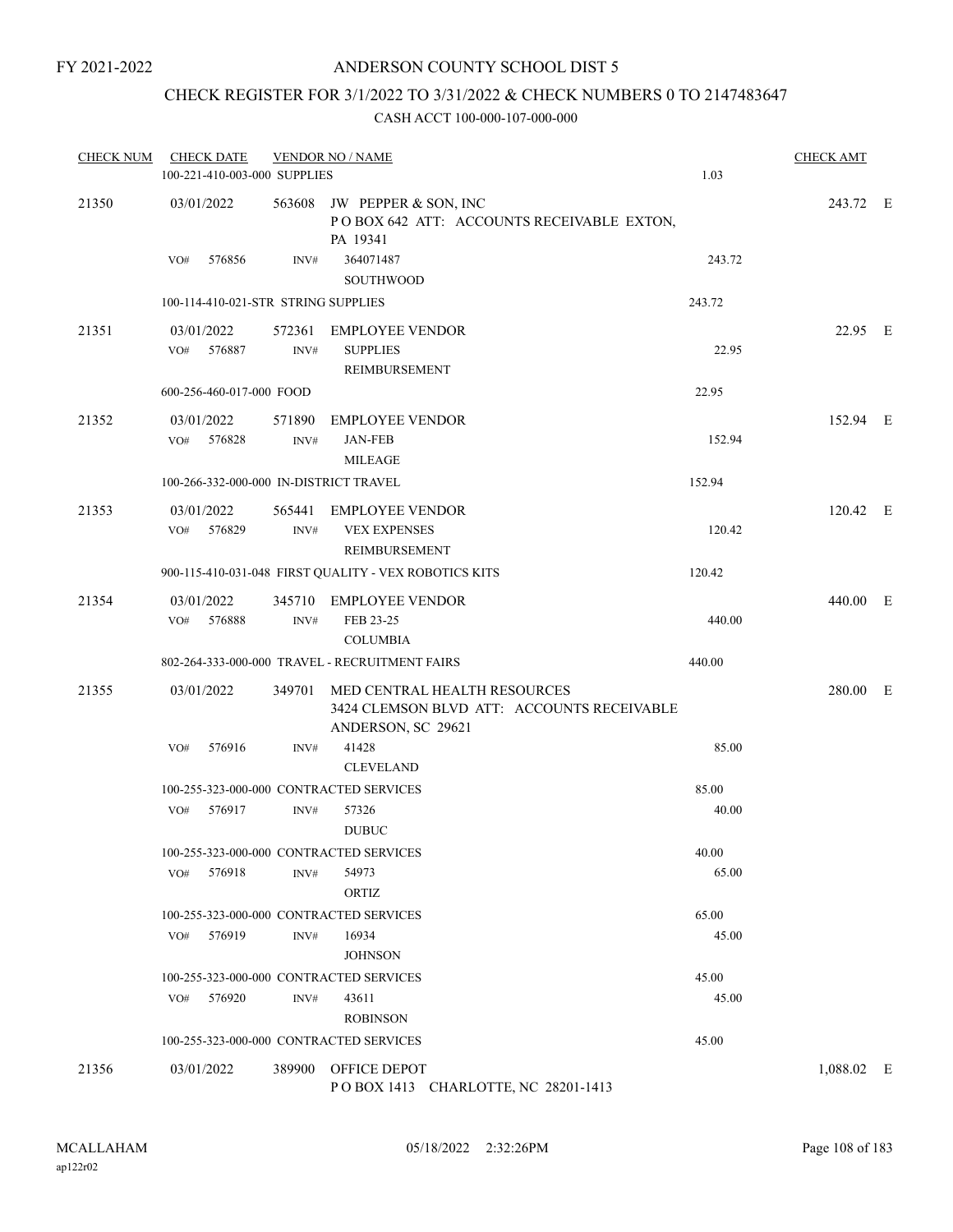# ANDERSON COUNTY SCHOOL DIST 5

# CHECK REGISTER FOR 3/1/2022 TO 3/31/2022 & CHECK NUMBERS 0 TO 2147483647

| <b>CHECK NUM</b> | <b>CHECK DATE</b><br>100-221-410-003-000 SUPPLIES | <b>VENDOR NO / NAME</b> | 1.03                                                                                                    | <b>CHECK AMT</b> |            |  |
|------------------|---------------------------------------------------|-------------------------|---------------------------------------------------------------------------------------------------------|------------------|------------|--|
| 21350            | 03/01/2022                                        |                         | 563608 JW PEPPER & SON, INC<br>POBOX 642 ATT: ACCOUNTS RECEIVABLE EXTON,<br>PA 19341                    |                  | 243.72 E   |  |
|                  | 576856<br>VO#                                     | INV#                    | 364071487<br>SOUTHWOOD                                                                                  | 243.72           |            |  |
|                  | 100-114-410-021-STR STRING SUPPLIES               |                         |                                                                                                         | 243.72           |            |  |
| 21351            | 03/01/2022<br>VO# 576887                          | INV#                    | 572361 EMPLOYEE VENDOR<br><b>SUPPLIES</b><br>REIMBURSEMENT                                              | 22.95            | 22.95 E    |  |
|                  | 600-256-460-017-000 FOOD                          |                         |                                                                                                         | 22.95            |            |  |
| 21352            | 03/01/2022<br>576828<br>VO#                       | 571890<br>INV#          | <b>EMPLOYEE VENDOR</b><br><b>JAN-FEB</b><br><b>MILEAGE</b>                                              | 152.94           | 152.94 E   |  |
|                  | 100-266-332-000-000 IN-DISTRICT TRAVEL            |                         |                                                                                                         | 152.94           |            |  |
| 21353            | 03/01/2022<br>576829<br>VO#                       | INV#                    | 565441 EMPLOYEE VENDOR<br><b>VEX EXPENSES</b><br>REIMBURSEMENT                                          | 120.42           | 120.42 E   |  |
|                  |                                                   |                         | 900-115-410-031-048 FIRST QUALITY - VEX ROBOTICS KITS                                                   | 120.42           |            |  |
| 21354            | 03/01/2022<br>576888<br>VO#                       | INV#                    | 345710 EMPLOYEE VENDOR<br>FEB 23-25<br><b>COLUMBIA</b>                                                  | 440.00           | 440.00 E   |  |
|                  |                                                   |                         | 802-264-333-000-000 TRAVEL - RECRUITMENT FAIRS                                                          | 440.00           |            |  |
| 21355            | 03/01/2022                                        |                         | 349701 MED CENTRAL HEALTH RESOURCES<br>3424 CLEMSON BLVD ATT: ACCOUNTS RECEIVABLE<br>ANDERSON, SC 29621 |                  | 280.00 E   |  |
|                  | 576916<br>VO#                                     | INV#                    | 41428<br><b>CLEVELAND</b>                                                                               | 85.00            |            |  |
|                  |                                                   |                         | 100-255-323-000-000 CONTRACTED SERVICES                                                                 | 85.00            |            |  |
|                  | 576917<br>VO#                                     | INV#                    | 57326<br><b>DUBUC</b>                                                                                   | 40.00            |            |  |
|                  |                                                   |                         | 100-255-323-000-000 CONTRACTED SERVICES                                                                 | 40.00            |            |  |
|                  | 576918<br>VO#                                     | INV#                    | 54973<br>ORTIZ                                                                                          | 65.00            |            |  |
|                  |                                                   |                         | 100-255-323-000-000 CONTRACTED SERVICES                                                                 | 65.00            |            |  |
|                  | 576919<br>VO#                                     | INV#                    | 16934<br><b>JOHNSON</b>                                                                                 | 45.00            |            |  |
|                  |                                                   |                         | 100-255-323-000-000 CONTRACTED SERVICES                                                                 | 45.00            |            |  |
|                  | 576920<br>VO#                                     | INV#                    | 43611<br><b>ROBINSON</b>                                                                                | 45.00            |            |  |
|                  |                                                   |                         | 100-255-323-000-000 CONTRACTED SERVICES                                                                 | 45.00            |            |  |
| 21356            | 03/01/2022                                        |                         | 389900 OFFICE DEPOT<br>POBOX 1413 CHARLOTTE, NC 28201-1413                                              |                  | 1,088.02 E |  |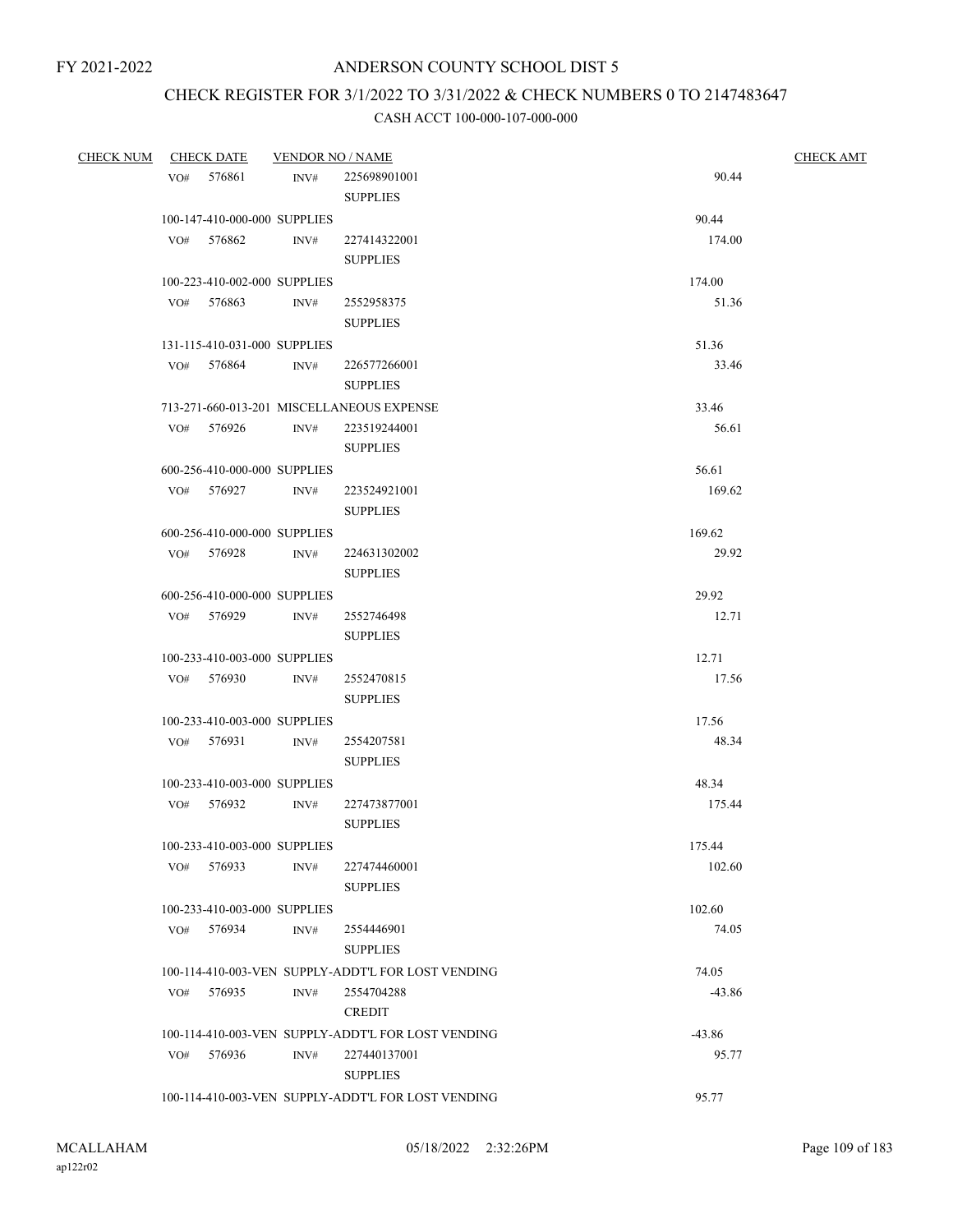# CHECK REGISTER FOR 3/1/2022 TO 3/31/2022 & CHECK NUMBERS 0 TO 2147483647

| <b>CHECK NUM</b> | <b>CHECK DATE</b> |            | <b>VENDOR NO / NAME</b>      |                                                    |                | <b>CHECK AMT</b> |
|------------------|-------------------|------------|------------------------------|----------------------------------------------------|----------------|------------------|
|                  |                   | VO# 576861 | INV#                         | 225698901001                                       | 90.44          |                  |
|                  |                   |            |                              | <b>SUPPLIES</b>                                    |                |                  |
|                  |                   |            | 100-147-410-000-000 SUPPLIES |                                                    | 90.44          |                  |
|                  |                   | VO# 576862 | INV#                         | 227414322001                                       | 174.00         |                  |
|                  |                   |            |                              | <b>SUPPLIES</b>                                    |                |                  |
|                  |                   |            | 100-223-410-002-000 SUPPLIES |                                                    | 174.00         |                  |
|                  |                   | VO# 576863 | INV#                         | 2552958375                                         | 51.36          |                  |
|                  |                   |            |                              | <b>SUPPLIES</b>                                    |                |                  |
|                  |                   |            | 131-115-410-031-000 SUPPLIES |                                                    | 51.36          |                  |
|                  |                   | VO# 576864 | INV#                         | 226577266001                                       | 33.46          |                  |
|                  |                   |            |                              | <b>SUPPLIES</b>                                    |                |                  |
|                  |                   |            |                              | 713-271-660-013-201 MISCELLANEOUS EXPENSE          | 33.46          |                  |
|                  |                   | VO# 576926 | INV#                         | 223519244001                                       | 56.61          |                  |
|                  |                   |            |                              | <b>SUPPLIES</b>                                    |                |                  |
|                  |                   |            | 600-256-410-000-000 SUPPLIES |                                                    | 56.61          |                  |
|                  |                   | VO# 576927 | INV#                         | 223524921001                                       | 169.62         |                  |
|                  |                   |            |                              | <b>SUPPLIES</b>                                    |                |                  |
|                  |                   |            | 600-256-410-000-000 SUPPLIES |                                                    | 169.62         |                  |
|                  |                   | VO# 576928 | INV#                         | 224631302002                                       | 29.92          |                  |
|                  |                   |            |                              | <b>SUPPLIES</b>                                    |                |                  |
|                  |                   |            |                              |                                                    |                |                  |
|                  |                   | VO# 576929 | 600-256-410-000-000 SUPPLIES |                                                    | 29.92<br>12.71 |                  |
|                  |                   |            | INV#                         | 2552746498                                         |                |                  |
|                  |                   |            |                              | <b>SUPPLIES</b>                                    |                |                  |
|                  |                   |            | 100-233-410-003-000 SUPPLIES |                                                    | 12.71          |                  |
|                  |                   | VO# 576930 | INV#                         | 2552470815                                         | 17.56          |                  |
|                  |                   |            |                              | <b>SUPPLIES</b>                                    |                |                  |
|                  |                   |            | 100-233-410-003-000 SUPPLIES |                                                    | 17.56          |                  |
|                  |                   | VO# 576931 | $\text{INV}\#$               | 2554207581                                         | 48.34          |                  |
|                  |                   |            |                              | <b>SUPPLIES</b>                                    |                |                  |
|                  |                   |            | 100-233-410-003-000 SUPPLIES |                                                    | 48.34          |                  |
|                  |                   | VO# 576932 | INV#                         | 227473877001                                       | 175.44         |                  |
|                  |                   |            |                              | <b>SUPPLIES</b>                                    |                |                  |
|                  |                   |            | 100-233-410-003-000 SUPPLIES |                                                    | 175.44         |                  |
|                  |                   | VO# 576933 | INV#                         | 227474460001                                       | 102.60         |                  |
|                  |                   |            |                              | <b>SUPPLIES</b>                                    |                |                  |
|                  |                   |            | 100-233-410-003-000 SUPPLIES |                                                    | 102.60         |                  |
|                  |                   | VO# 576934 | INV#                         | 2554446901                                         | 74.05          |                  |
|                  |                   |            |                              | <b>SUPPLIES</b>                                    |                |                  |
|                  |                   |            |                              | 100-114-410-003-VEN SUPPLY-ADDT'L FOR LOST VENDING | 74.05          |                  |
|                  |                   | VO# 576935 | INV#                         | 2554704288                                         | $-43.86$       |                  |
|                  |                   |            |                              | <b>CREDIT</b>                                      |                |                  |
|                  |                   |            |                              | 100-114-410-003-VEN SUPPLY-ADDT'L FOR LOST VENDING | $-43.86$       |                  |
|                  | VO#               | 576936     | INV#                         | 227440137001                                       | 95.77          |                  |
|                  |                   |            |                              | <b>SUPPLIES</b>                                    |                |                  |
|                  |                   |            |                              | 100-114-410-003-VEN SUPPLY-ADDT'L FOR LOST VENDING | 95.77          |                  |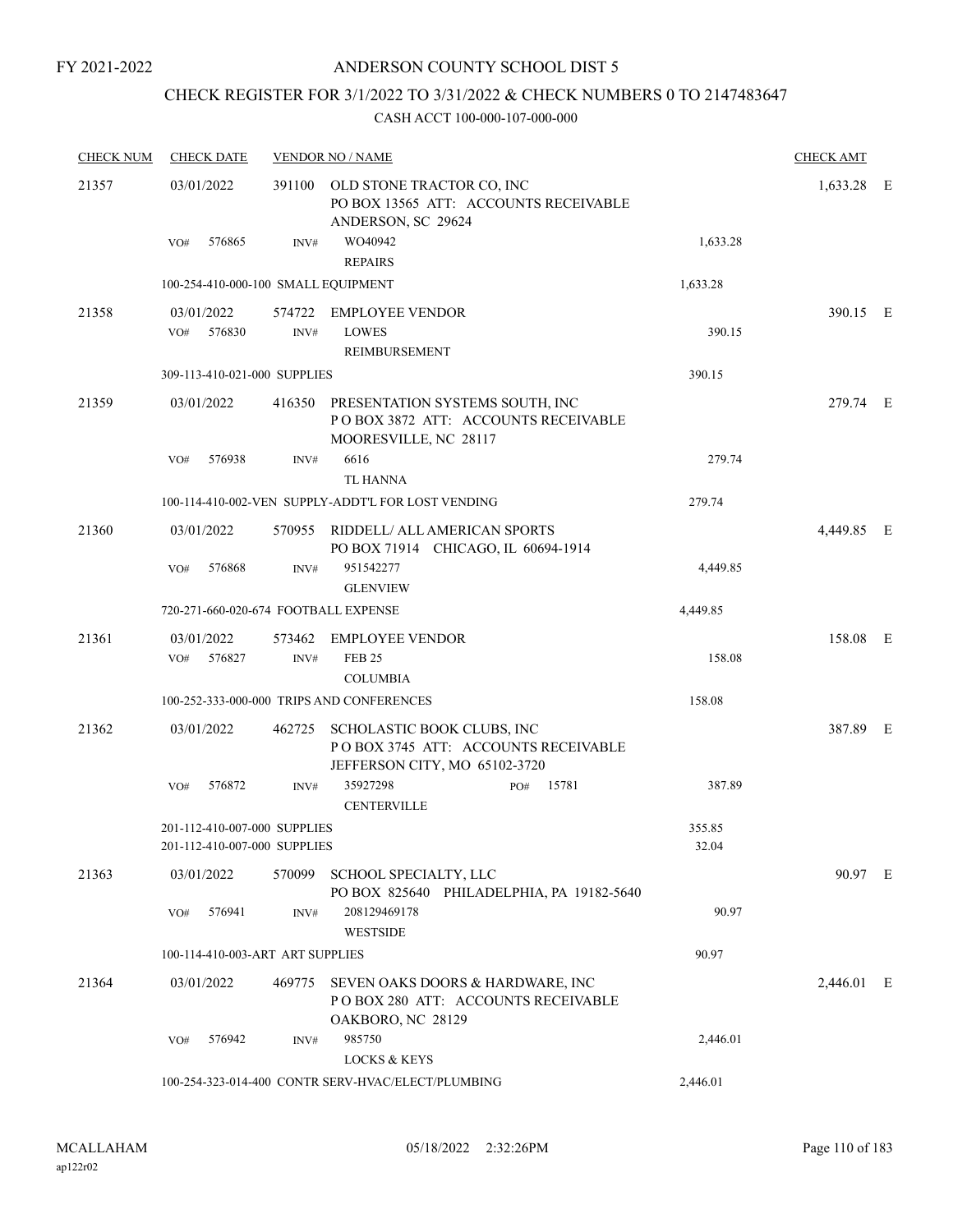# CHECK REGISTER FOR 3/1/2022 TO 3/31/2022 & CHECK NUMBERS 0 TO 2147483647

| <b>CHECK NUM</b> | <b>CHECK DATE</b>                                            | <b>VENDOR NO / NAME</b> | <b>CHECK AMT</b>                                                                                       |                 |            |  |
|------------------|--------------------------------------------------------------|-------------------------|--------------------------------------------------------------------------------------------------------|-----------------|------------|--|
| 21357            | 03/01/2022                                                   |                         | 391100 OLD STONE TRACTOR CO, INC<br>PO BOX 13565 ATT: ACCOUNTS RECEIVABLE<br>ANDERSON, SC 29624        |                 | 1,633.28 E |  |
|                  | 576865<br>VO#                                                | INV#                    | WO40942<br><b>REPAIRS</b>                                                                              | 1,633.28        |            |  |
|                  | 100-254-410-000-100 SMALL EQUIPMENT                          |                         |                                                                                                        | 1,633.28        |            |  |
| 21358            | 03/01/2022                                                   |                         | 574722 EMPLOYEE VENDOR                                                                                 |                 | 390.15 E   |  |
|                  | VO#<br>576830                                                | INV#                    | <b>LOWES</b><br><b>REIMBURSEMENT</b>                                                                   | 390.15          |            |  |
|                  | 309-113-410-021-000 SUPPLIES                                 |                         |                                                                                                        | 390.15          |            |  |
| 21359            | 03/01/2022                                                   |                         | 416350 PRESENTATION SYSTEMS SOUTH, INC<br>POBOX 3872 ATT: ACCOUNTS RECEIVABLE<br>MOORESVILLE, NC 28117 |                 | 279.74 E   |  |
|                  | 576938<br>VO#                                                | INV#                    | 6616<br><b>TL HANNA</b>                                                                                | 279.74          |            |  |
|                  |                                                              |                         | 100-114-410-002-VEN SUPPLY-ADDT'L FOR LOST VENDING                                                     | 279.74          |            |  |
| 21360            | 03/01/2022                                                   |                         | 570955 RIDDELL/ ALL AMERICAN SPORTS<br>PO BOX 71914 CHICAGO, IL 60694-1914                             |                 | 4,449.85 E |  |
|                  | 576868<br>VO#                                                | INV#                    | 951542277<br><b>GLENVIEW</b>                                                                           | 4,449.85        |            |  |
|                  | 720-271-660-020-674 FOOTBALL EXPENSE                         |                         |                                                                                                        | 4,449.85        |            |  |
| 21361            | 03/01/2022<br>576827<br>VO#                                  | INV#                    | 573462 EMPLOYEE VENDOR<br><b>FEB 25</b>                                                                | 158.08          | 158.08 E   |  |
|                  |                                                              |                         | <b>COLUMBIA</b><br>100-252-333-000-000 TRIPS AND CONFERENCES                                           | 158.08          |            |  |
| 21362            | 03/01/2022                                                   | 462725                  | SCHOLASTIC BOOK CLUBS, INC                                                                             |                 | 387.89 E   |  |
|                  |                                                              |                         | POBOX 3745 ATT: ACCOUNTS RECEIVABLE<br>JEFFERSON CITY, MO 65102-3720                                   |                 |            |  |
|                  | 576872<br>VO#                                                | INV#                    | 35927298<br>15781<br>PO#<br><b>CENTERVILLE</b>                                                         | 387.89          |            |  |
|                  | 201-112-410-007-000 SUPPLIES<br>201-112-410-007-000 SUPPLIES |                         |                                                                                                        | 355.85<br>32.04 |            |  |
| 21363            | 03/01/2022                                                   | 570099                  | SCHOOL SPECIALTY, LLC<br>PO BOX 825640 PHILADELPHIA, PA 19182-5640                                     |                 | 90.97 E    |  |
|                  | 576941<br>VO#                                                | INV#                    | 208129469178<br><b>WESTSIDE</b>                                                                        | 90.97           |            |  |
|                  | 100-114-410-003-ART ART SUPPLIES                             |                         |                                                                                                        | 90.97           |            |  |
| 21364            | 03/01/2022                                                   |                         | 469775 SEVEN OAKS DOORS & HARDWARE, INC<br>POBOX 280 ATT: ACCOUNTS RECEIVABLE<br>OAKBORO, NC 28129     |                 | 2,446.01 E |  |
|                  | 576942<br>VO#                                                | INV#                    | 985750<br><b>LOCKS &amp; KEYS</b>                                                                      | 2,446.01        |            |  |
|                  |                                                              |                         | 100-254-323-014-400 CONTR SERV-HVAC/ELECT/PLUMBING                                                     | 2,446.01        |            |  |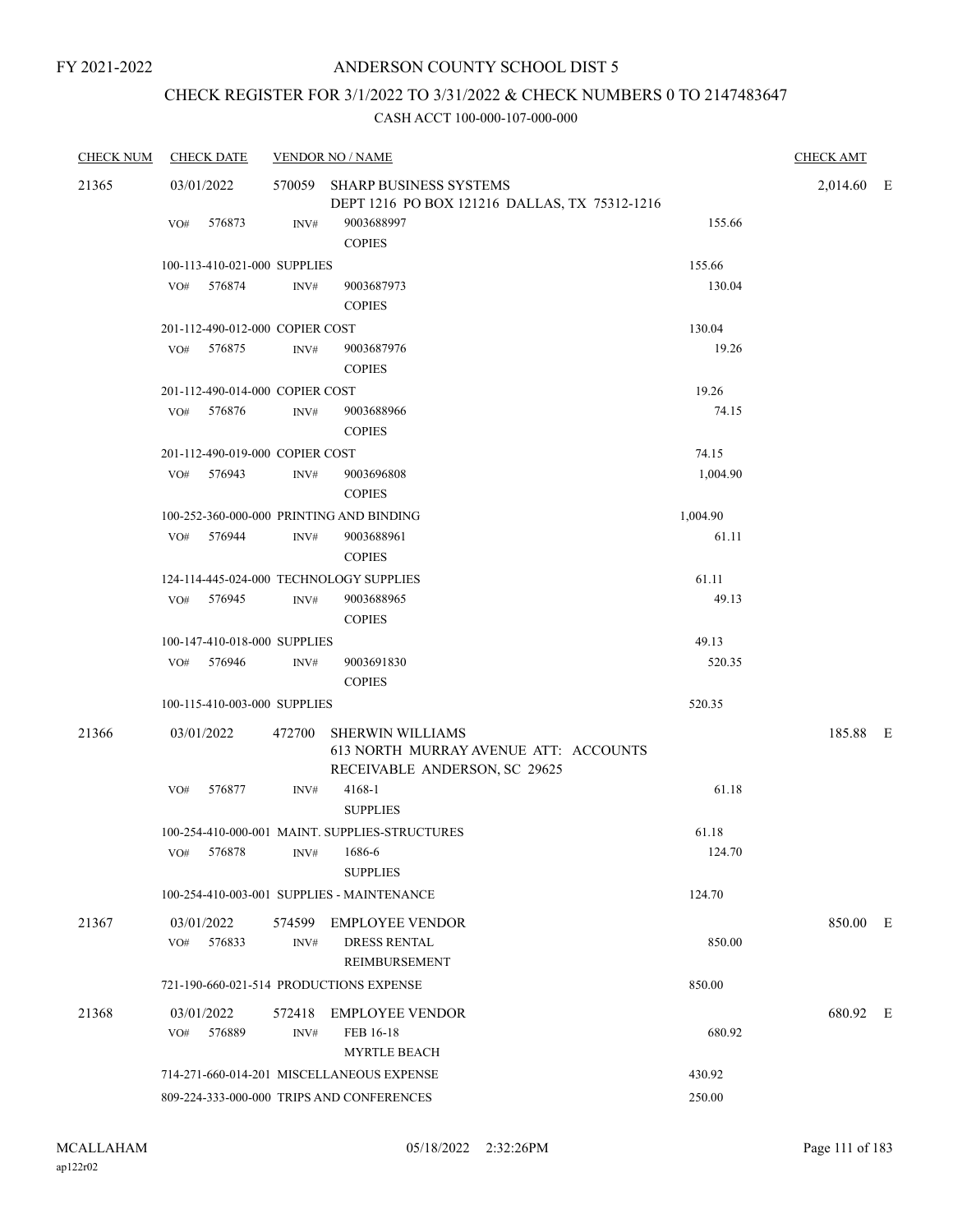# CHECK REGISTER FOR 3/1/2022 TO 3/31/2022 & CHECK NUMBERS 0 TO 2147483647

| <b>CHECK NUM</b> | <b>CHECK DATE</b>                        |                | <b>VENDOR NO / NAME</b>                                                                           |          | <b>CHECK AMT</b> |  |
|------------------|------------------------------------------|----------------|---------------------------------------------------------------------------------------------------|----------|------------------|--|
| 21365            | 03/01/2022                               | 570059         | <b>SHARP BUSINESS SYSTEMS</b><br>DEPT 1216 PO BOX 121216 DALLAS, TX 75312-1216                    |          | 2,014.60 E       |  |
|                  | 576873<br>VO#                            | INV#           | 9003688997<br><b>COPIES</b>                                                                       | 155.66   |                  |  |
|                  | 100-113-410-021-000 SUPPLIES             |                |                                                                                                   | 155.66   |                  |  |
|                  | 576874<br>VO#                            | INV#           | 9003687973<br><b>COPIES</b>                                                                       | 130.04   |                  |  |
|                  | 201-112-490-012-000 COPIER COST          |                |                                                                                                   | 130.04   |                  |  |
|                  | 576875<br>VO#                            | INV#           | 9003687976<br><b>COPIES</b>                                                                       | 19.26    |                  |  |
|                  | 201-112-490-014-000 COPIER COST          |                |                                                                                                   | 19.26    |                  |  |
|                  | 576876<br>VO#                            | INV#           | 9003688966<br><b>COPIES</b>                                                                       | 74.15    |                  |  |
|                  | 201-112-490-019-000 COPIER COST          |                |                                                                                                   | 74.15    |                  |  |
|                  | VO# 576943                               | INV#           | 9003696808<br><b>COPIES</b>                                                                       | 1,004.90 |                  |  |
|                  | 100-252-360-000-000 PRINTING AND BINDING |                |                                                                                                   | 1,004.90 |                  |  |
|                  | 576944<br>VO#                            | INV#           | 9003688961<br><b>COPIES</b>                                                                       | 61.11    |                  |  |
|                  | 124-114-445-024-000 TECHNOLOGY SUPPLIES  |                |                                                                                                   | 61.11    |                  |  |
|                  | 576945<br>VO#                            | INV#           | 9003688965<br><b>COPIES</b>                                                                       | 49.13    |                  |  |
|                  | 100-147-410-018-000 SUPPLIES             |                |                                                                                                   | 49.13    |                  |  |
|                  | VO# 576946                               | INV#           | 9003691830<br><b>COPIES</b>                                                                       | 520.35   |                  |  |
|                  | 100-115-410-003-000 SUPPLIES             |                |                                                                                                   | 520.35   |                  |  |
| 21366            | 03/01/2022                               | 472700         | <b>SHERWIN WILLIAMS</b><br>613 NORTH MURRAY AVENUE ATT: ACCOUNTS<br>RECEIVABLE ANDERSON, SC 29625 |          | 185.88 E         |  |
|                  | 576877<br>VO#                            | INV#           | 4168-1<br><b>SUPPLIES</b>                                                                         | 61.18    |                  |  |
|                  |                                          |                | 100-254-410-000-001 MAINT. SUPPLIES-STRUCTURES                                                    | 61.18    |                  |  |
|                  | VO#<br>576878                            | INV#           | 1686-6<br><b>SUPPLIES</b>                                                                         | 124.70   |                  |  |
|                  |                                          |                | 100-254-410-003-001 SUPPLIES - MAINTENANCE                                                        | 124.70   |                  |  |
| 21367            | 03/01/2022<br>576833<br>VO#              | 574599<br>INV# | <b>EMPLOYEE VENDOR</b><br><b>DRESS RENTAL</b><br>REIMBURSEMENT                                    | 850.00   | 850.00 E         |  |
|                  | 721-190-660-021-514 PRODUCTIONS EXPENSE  |                |                                                                                                   | 850.00   |                  |  |
| 21368            | 03/01/2022<br>VO#<br>576889              | 572418<br>INV# | <b>EMPLOYEE VENDOR</b><br>FEB 16-18<br><b>MYRTLE BEACH</b>                                        | 680.92   | 680.92 E         |  |
|                  |                                          |                | 714-271-660-014-201 MISCELLANEOUS EXPENSE                                                         | 430.92   |                  |  |
|                  |                                          |                | 809-224-333-000-000 TRIPS AND CONFERENCES                                                         | 250.00   |                  |  |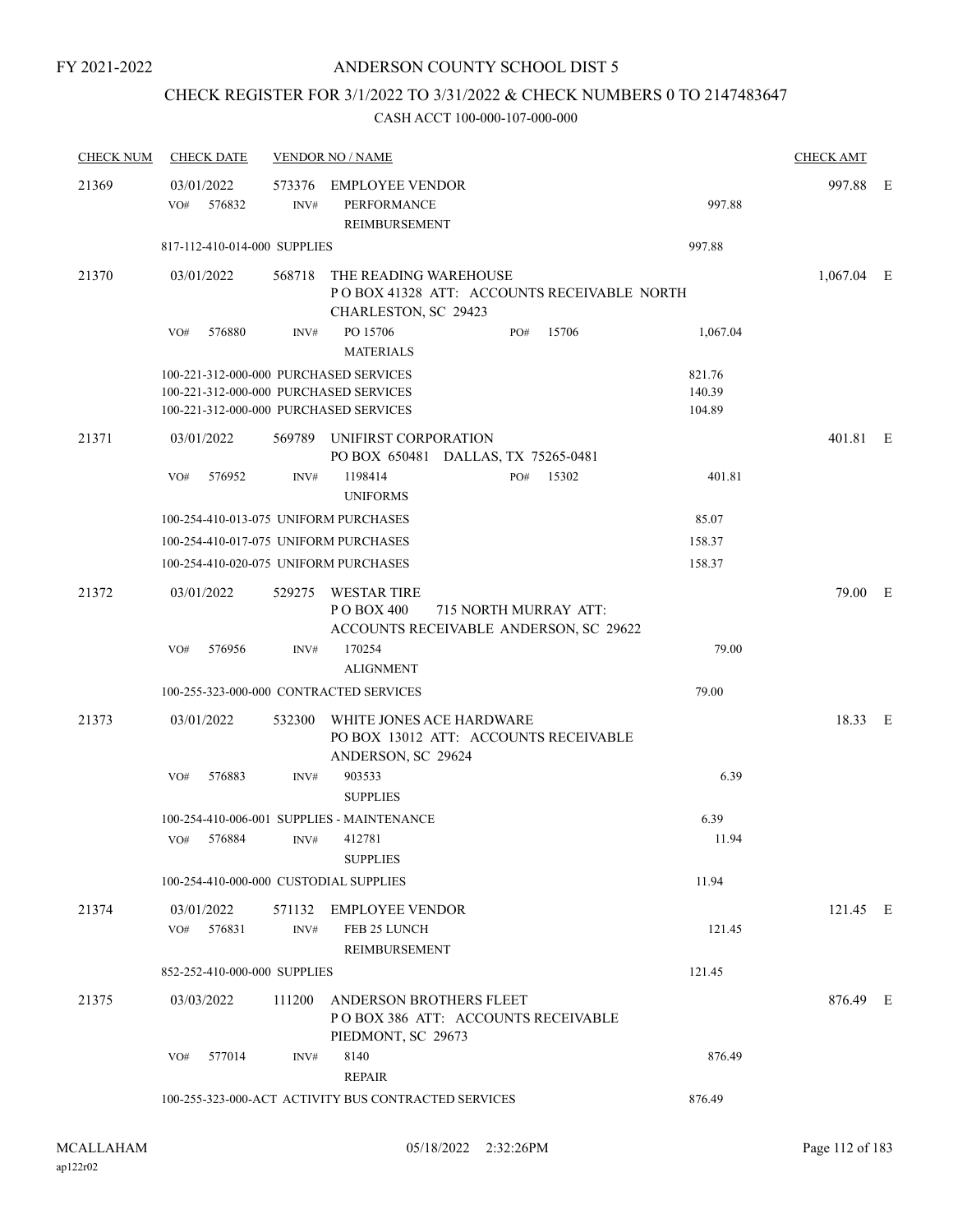# CHECK REGISTER FOR 3/1/2022 TO 3/31/2022 & CHECK NUMBERS 0 TO 2147483647

| <b>CHECK NUM</b> | <b>CHECK DATE</b>                                                                                                          |                | <b>VENDOR NO / NAME</b>                                                                              |                            | <b>CHECK AMT</b> |  |
|------------------|----------------------------------------------------------------------------------------------------------------------------|----------------|------------------------------------------------------------------------------------------------------|----------------------------|------------------|--|
| 21369            | 03/01/2022<br>576832<br>VO#                                                                                                | 573376<br>INV# | EMPLOYEE VENDOR<br>PERFORMANCE<br>REIMBURSEMENT                                                      | 997.88                     | 997.88 E         |  |
|                  | 817-112-410-014-000 SUPPLIES                                                                                               |                |                                                                                                      | 997.88                     |                  |  |
| 21370            | 03/01/2022                                                                                                                 | 568718         | THE READING WAREHOUSE<br>PO BOX 41328 ATT: ACCOUNTS RECEIVABLE NORTH<br>CHARLESTON, SC 29423         |                            | $1,067.04$ E     |  |
|                  | 576880<br>VO#                                                                                                              | INV#           | PO 15706<br>15706<br>PO#<br><b>MATERIALS</b>                                                         | 1,067.04                   |                  |  |
|                  | 100-221-312-000-000 PURCHASED SERVICES<br>100-221-312-000-000 PURCHASED SERVICES<br>100-221-312-000-000 PURCHASED SERVICES |                |                                                                                                      | 821.76<br>140.39<br>104.89 |                  |  |
| 21371            | 03/01/2022                                                                                                                 |                | 569789 UNIFIRST CORPORATION<br>PO BOX 650481 DALLAS, TX 75265-0481                                   |                            | 401.81 E         |  |
|                  | 576952<br>VO#                                                                                                              | INV#           | 1198414<br>15302<br>PO#<br><b>UNIFORMS</b>                                                           | 401.81                     |                  |  |
|                  | 100-254-410-013-075 UNIFORM PURCHASES                                                                                      |                |                                                                                                      | 85.07                      |                  |  |
|                  | 100-254-410-017-075 UNIFORM PURCHASES                                                                                      |                |                                                                                                      | 158.37                     |                  |  |
|                  | 100-254-410-020-075 UNIFORM PURCHASES                                                                                      |                |                                                                                                      | 158.37                     |                  |  |
| 21372            | 03/01/2022                                                                                                                 | 529275         | <b>WESTAR TIRE</b><br>P O BOX 400<br>715 NORTH MURRAY ATT:<br>ACCOUNTS RECEIVABLE ANDERSON, SC 29622 |                            | 79.00 E          |  |
|                  | VO#<br>576956                                                                                                              | INV#           | 170254<br><b>ALIGNMENT</b>                                                                           | 79.00                      |                  |  |
|                  | 100-255-323-000-000 CONTRACTED SERVICES                                                                                    |                |                                                                                                      | 79.00                      |                  |  |
| 21373            | 03/01/2022                                                                                                                 | 532300         | WHITE JONES ACE HARDWARE<br>PO BOX 13012 ATT: ACCOUNTS RECEIVABLE<br>ANDERSON, SC 29624              |                            | 18.33 E          |  |
|                  | 576883<br>VO#                                                                                                              | INV#           | 903533<br><b>SUPPLIES</b>                                                                            | 6.39                       |                  |  |
|                  |                                                                                                                            |                | 100-254-410-006-001 SUPPLIES - MAINTENANCE                                                           | 6.39                       |                  |  |
|                  | 576884<br>VO#                                                                                                              | INV#           | 412781<br><b>SUPPLIES</b>                                                                            | 11.94                      |                  |  |
|                  | 100-254-410-000-000 CUSTODIAL SUPPLIES                                                                                     |                |                                                                                                      | 11.94                      |                  |  |
| 21374            | 03/01/2022<br>576831<br>VO#                                                                                                | INV#           | 571132 EMPLOYEE VENDOR<br>FEB 25 LUNCH<br>REIMBURSEMENT                                              | 121.45                     | 121.45 E         |  |
|                  | 852-252-410-000-000 SUPPLIES                                                                                               |                |                                                                                                      | 121.45                     |                  |  |
| 21375            | 03/03/2022                                                                                                                 | 111200         | ANDERSON BROTHERS FLEET<br>POBOX 386 ATT: ACCOUNTS RECEIVABLE<br>PIEDMONT, SC 29673                  |                            | 876.49 E         |  |
|                  | 577014<br>VO#                                                                                                              | INV#           | 8140<br><b>REPAIR</b>                                                                                | 876.49                     |                  |  |
|                  |                                                                                                                            |                | 100-255-323-000-ACT ACTIVITY BUS CONTRACTED SERVICES                                                 | 876.49                     |                  |  |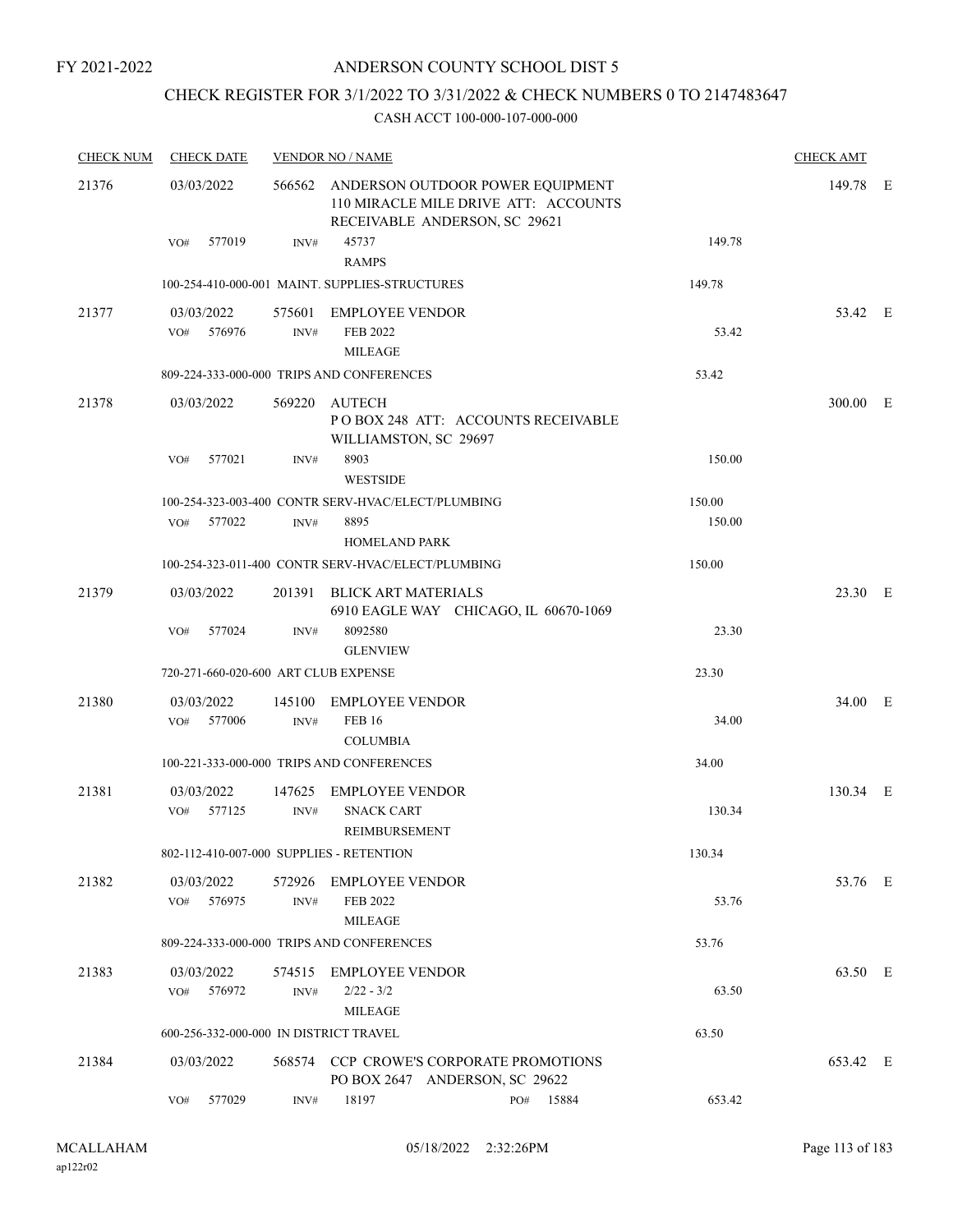FY 2021-2022

### ANDERSON COUNTY SCHOOL DIST 5

# CHECK REGISTER FOR 3/1/2022 TO 3/31/2022 & CHECK NUMBERS 0 TO 2147483647

| <b>CHECK NUM</b> | <b>CHECK DATE</b>                        |                | <b>VENDOR NO / NAME</b>                                                                                          |        | <b>CHECK AMT</b> |  |
|------------------|------------------------------------------|----------------|------------------------------------------------------------------------------------------------------------------|--------|------------------|--|
| 21376            | 03/03/2022                               |                | 566562 ANDERSON OUTDOOR POWER EQUIPMENT<br>110 MIRACLE MILE DRIVE ATT: ACCOUNTS<br>RECEIVABLE ANDERSON, SC 29621 |        | 149.78 E         |  |
|                  | 577019<br>VO#                            | INV#           | 45737<br><b>RAMPS</b>                                                                                            | 149.78 |                  |  |
|                  |                                          |                | 100-254-410-000-001 MAINT. SUPPLIES-STRUCTURES                                                                   | 149.78 |                  |  |
| 21377            | 03/03/2022<br>576976<br>VO#              | INV#           | 575601 EMPLOYEE VENDOR<br>FEB 2022<br><b>MILEAGE</b>                                                             | 53.42  | 53.42 E          |  |
|                  |                                          |                | 809-224-333-000-000 TRIPS AND CONFERENCES                                                                        | 53.42  |                  |  |
| 21378            | 03/03/2022                               |                | 569220 AUTECH<br>POBOX 248 ATT: ACCOUNTS RECEIVABLE<br>WILLIAMSTON, SC 29697                                     |        | 300.00 E         |  |
|                  | 577021<br>VO#                            | INV#           | 8903<br><b>WESTSIDE</b>                                                                                          | 150.00 |                  |  |
|                  |                                          |                | 100-254-323-003-400 CONTR SERV-HVAC/ELECT/PLUMBING                                                               | 150.00 |                  |  |
|                  | VO#<br>577022                            | INV#           | 8895<br><b>HOMELAND PARK</b>                                                                                     | 150.00 |                  |  |
|                  |                                          |                | 100-254-323-011-400 CONTR SERV-HVAC/ELECT/PLUMBING                                                               | 150.00 |                  |  |
| 21379            | 03/03/2022                               |                | 201391 BLICK ART MATERIALS<br>6910 EAGLE WAY CHICAGO, IL 60670-1069                                              |        | 23.30 E          |  |
|                  | VO#<br>577024                            | INV#           | 8092580<br><b>GLENVIEW</b>                                                                                       | 23.30  |                  |  |
|                  | 720-271-660-020-600 ART CLUB EXPENSE     |                |                                                                                                                  | 23.30  |                  |  |
| 21380            | 03/03/2022<br>577006<br>VO#              | INV#           | 145100 EMPLOYEE VENDOR<br><b>FEB 16</b><br><b>COLUMBIA</b>                                                       | 34.00  | 34.00 E          |  |
|                  |                                          |                | 100-221-333-000-000 TRIPS AND CONFERENCES                                                                        | 34.00  |                  |  |
| 21381            | 03/03/2022                               |                | 147625 EMPLOYEE VENDOR                                                                                           |        | 130.34 E         |  |
|                  | VO# 577125                               | INV#           | <b>SNACK CART</b><br>REIMBURSEMENT                                                                               | 130.34 |                  |  |
|                  | 802-112-410-007-000 SUPPLIES - RETENTION |                |                                                                                                                  | 130.34 |                  |  |
| 21382            | 03/03/2022<br>576975<br>VO#              | INV#           | 572926 EMPLOYEE VENDOR<br>FEB 2022<br><b>MILEAGE</b>                                                             | 53.76  | 53.76 E          |  |
|                  |                                          |                | 809-224-333-000-000 TRIPS AND CONFERENCES                                                                        | 53.76  |                  |  |
| 21383            | 03/03/2022<br>576972<br>VO#              | 574515<br>INV# | <b>EMPLOYEE VENDOR</b><br>$2/22 - 3/2$<br><b>MILEAGE</b>                                                         | 63.50  | 63.50 E          |  |
|                  | 600-256-332-000-000 IN DISTRICT TRAVEL   |                |                                                                                                                  | 63.50  |                  |  |
| 21384            | 03/03/2022                               |                | 568574 CCP CROWE'S CORPORATE PROMOTIONS<br>PO BOX 2647 ANDERSON, SC 29622                                        |        | 653.42 E         |  |
|                  | 577029<br>VO#                            | INV#           | 18197<br>15884<br>PO#                                                                                            | 653.42 |                  |  |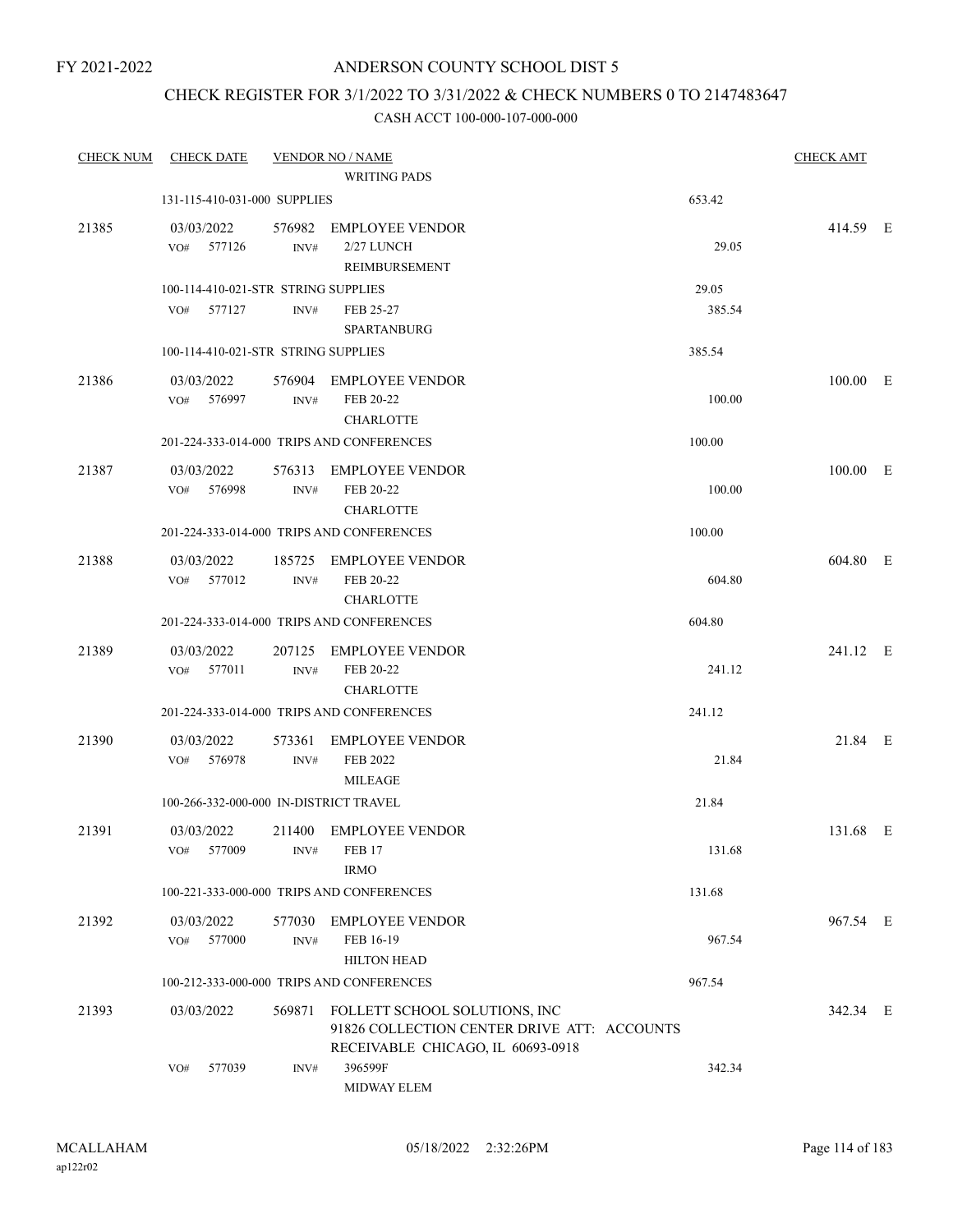### CHECK REGISTER FOR 3/1/2022 TO 3/31/2022 & CHECK NUMBERS 0 TO 2147483647

| <b>CHECK NUM</b> | <b>CHECK DATE</b>                      |                | <b>VENDOR NO / NAME</b>                                                                                           |        | <b>CHECK AMT</b> |  |
|------------------|----------------------------------------|----------------|-------------------------------------------------------------------------------------------------------------------|--------|------------------|--|
|                  |                                        |                | <b>WRITING PADS</b>                                                                                               |        |                  |  |
|                  | 131-115-410-031-000 SUPPLIES           |                |                                                                                                                   | 653.42 |                  |  |
| 21385            | 03/03/2022<br>VO# 577126               | 576982<br>INV# | <b>EMPLOYEE VENDOR</b><br>2/27 LUNCH<br>REIMBURSEMENT                                                             | 29.05  | 414.59 E         |  |
|                  | 100-114-410-021-STR STRING SUPPLIES    |                |                                                                                                                   | 29.05  |                  |  |
|                  | 577127<br>VO#                          | INV#           | FEB 25-27<br><b>SPARTANBURG</b>                                                                                   | 385.54 |                  |  |
|                  | 100-114-410-021-STR STRING SUPPLIES    |                |                                                                                                                   | 385.54 |                  |  |
| 21386            | 03/03/2022<br>576997<br>VO#            | INV#           | 576904 EMPLOYEE VENDOR<br>FEB 20-22<br><b>CHARLOTTE</b>                                                           | 100.00 | 100.00 E         |  |
|                  |                                        |                | 201-224-333-014-000 TRIPS AND CONFERENCES                                                                         | 100.00 |                  |  |
| 21387            | 03/03/2022<br>VO#<br>576998            | INV#           | 576313 EMPLOYEE VENDOR<br>FEB 20-22<br><b>CHARLOTTE</b>                                                           | 100.00 | 100.00 E         |  |
|                  |                                        |                | 201-224-333-014-000 TRIPS AND CONFERENCES                                                                         | 100.00 |                  |  |
| 21388            | 03/03/2022<br>577012<br>VO#            | INV#           | 185725 EMPLOYEE VENDOR<br>FEB 20-22<br><b>CHARLOTTE</b>                                                           | 604.80 | 604.80 E         |  |
|                  |                                        |                | 201-224-333-014-000 TRIPS AND CONFERENCES                                                                         | 604.80 |                  |  |
| 21389            | 03/03/2022<br>577011<br>VO#            | 207125<br>INV# | <b>EMPLOYEE VENDOR</b><br>FEB 20-22<br><b>CHARLOTTE</b>                                                           | 241.12 | 241.12 E         |  |
|                  |                                        |                | 201-224-333-014-000 TRIPS AND CONFERENCES                                                                         | 241.12 |                  |  |
| 21390            | 03/03/2022<br>VO# 576978               | 573361<br>INV# | <b>EMPLOYEE VENDOR</b><br>FEB 2022<br><b>MILEAGE</b>                                                              | 21.84  | 21.84 E          |  |
|                  | 100-266-332-000-000 IN-DISTRICT TRAVEL |                |                                                                                                                   | 21.84  |                  |  |
| 21391            | 03/03/2022<br>577009<br>VO#            | INV#           | 211400 EMPLOYEE VENDOR<br><b>FEB 17</b><br><b>IRMO</b>                                                            | 131.68 | 131.68 E         |  |
|                  |                                        |                | 100-221-333-000-000 TRIPS AND CONFERENCES                                                                         | 131.68 |                  |  |
| 21392            | 03/03/2022<br>577000<br>VO#            | 577030<br>INV# | <b>EMPLOYEE VENDOR</b><br>FEB 16-19<br><b>HILTON HEAD</b>                                                         | 967.54 | 967.54 E         |  |
|                  |                                        |                | 100-212-333-000-000 TRIPS AND CONFERENCES                                                                         | 967.54 |                  |  |
| 21393            | 03/03/2022                             | 569871         | FOLLETT SCHOOL SOLUTIONS, INC<br>91826 COLLECTION CENTER DRIVE ATT: ACCOUNTS<br>RECEIVABLE CHICAGO, IL 60693-0918 |        | 342.34 E         |  |
|                  | 577039<br>VO#                          | INV#           | 396599F<br>MIDWAY ELEM                                                                                            | 342.34 |                  |  |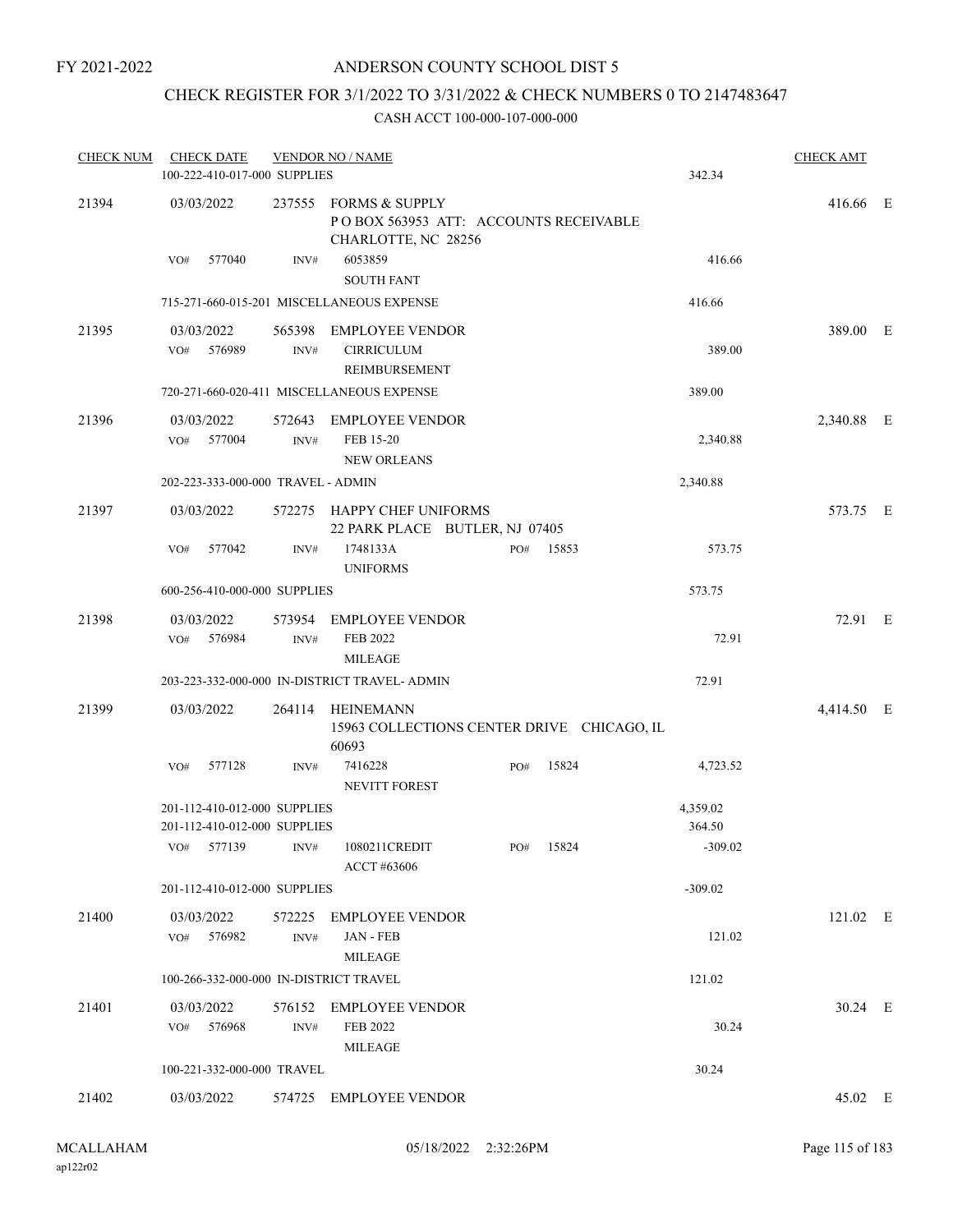FY 2021-2022

### ANDERSON COUNTY SCHOOL DIST 5

# CHECK REGISTER FOR 3/1/2022 TO 3/31/2022 & CHECK NUMBERS 0 TO 2147483647

| <b>CHECK NUM</b> | <b>CHECK DATE</b>                                            | 100-222-410-017-000 SUPPLIES | <b>VENDOR NO / NAME</b>                                                               |           |       | 342.34             | <b>CHECK AMT</b> |  |
|------------------|--------------------------------------------------------------|------------------------------|---------------------------------------------------------------------------------------|-----------|-------|--------------------|------------------|--|
| 21394            | 03/03/2022                                                   |                              | 237555 FORMS & SUPPLY<br>POBOX 563953 ATT: ACCOUNTS RECEIVABLE<br>CHARLOTTE, NC 28256 |           |       |                    | 416.66 E         |  |
|                  | 577040<br>VO#                                                | INV#                         | 6053859<br><b>SOUTH FANT</b>                                                          |           |       | 416.66             |                  |  |
|                  |                                                              |                              | 715-271-660-015-201 MISCELLANEOUS EXPENSE                                             |           |       | 416.66             |                  |  |
| 21395            | 03/03/2022<br>VO#<br>576989                                  | INV#                         | 565398 EMPLOYEE VENDOR<br><b>CIRRICULUM</b><br>REIMBURSEMENT                          |           |       | 389.00             | 389.00 E         |  |
|                  |                                                              |                              | 720-271-660-020-411 MISCELLANEOUS EXPENSE                                             |           |       | 389.00             |                  |  |
| 21396            | 03/03/2022<br>577004<br>VO#                                  | INV#                         | 572643 EMPLOYEE VENDOR<br>FEB 15-20<br><b>NEW ORLEANS</b>                             |           |       | 2,340.88           | 2,340.88 E       |  |
|                  | 202-223-333-000-000 TRAVEL - ADMIN                           |                              |                                                                                       |           |       | 2,340.88           |                  |  |
| 21397            | 03/03/2022                                                   |                              | 572275 HAPPY CHEF UNIFORMS<br>22 PARK PLACE BUTLER, NJ 07405                          |           |       |                    | 573.75 E         |  |
|                  | 577042<br>VO#                                                | INV#                         | 1748133A<br><b>UNIFORMS</b>                                                           | PO#       | 15853 | 573.75             |                  |  |
|                  | 600-256-410-000-000 SUPPLIES                                 |                              |                                                                                       |           |       | 573.75             |                  |  |
| 21398            | 03/03/2022<br>VO# 576984                                     | INV#                         | 573954 EMPLOYEE VENDOR<br>FEB 2022<br><b>MILEAGE</b>                                  |           |       | 72.91              | 72.91 E          |  |
|                  |                                                              |                              | 203-223-332-000-000 IN-DISTRICT TRAVEL- ADMIN                                         |           |       | 72.91              |                  |  |
| 21399            | 03/03/2022                                                   |                              | 264114 HEINEMANN<br>15963 COLLECTIONS CENTER DRIVE CHICAGO, IL<br>60693               |           |       |                    | 4,414.50 E       |  |
|                  | 577128<br>VO#                                                | INV#                         | 7416228<br><b>NEVITT FOREST</b>                                                       | PO#       | 15824 | 4,723.52           |                  |  |
|                  | 201-112-410-012-000 SUPPLIES<br>201-112-410-012-000 SUPPLIES |                              |                                                                                       |           |       | 4,359.02<br>364.50 |                  |  |
|                  | VO# 577139                                                   | INV#                         | 1080211CREDIT<br>ACCT #63606                                                          | PO# 15824 |       | $-309.02$          |                  |  |
|                  | 201-112-410-012-000 SUPPLIES                                 |                              |                                                                                       |           |       | $-309.02$          |                  |  |
| 21400            | 03/03/2022<br>VO# 576982                                     | INV#                         | 572225 EMPLOYEE VENDOR<br>JAN - FEB<br><b>MILEAGE</b>                                 |           |       | 121.02             | 121.02 E         |  |
|                  | 100-266-332-000-000 IN-DISTRICT TRAVEL                       |                              |                                                                                       |           |       | 121.02             |                  |  |
| 21401            | 03/03/2022<br>VO# 576968                                     | INV#                         | 576152 EMPLOYEE VENDOR<br>FEB 2022<br><b>MILEAGE</b>                                  |           |       | 30.24              | 30.24 E          |  |
|                  | 100-221-332-000-000 TRAVEL                                   |                              |                                                                                       |           |       | 30.24              |                  |  |
| 21402            | 03/03/2022                                                   |                              | 574725 EMPLOYEE VENDOR                                                                |           |       |                    | 45.02 E          |  |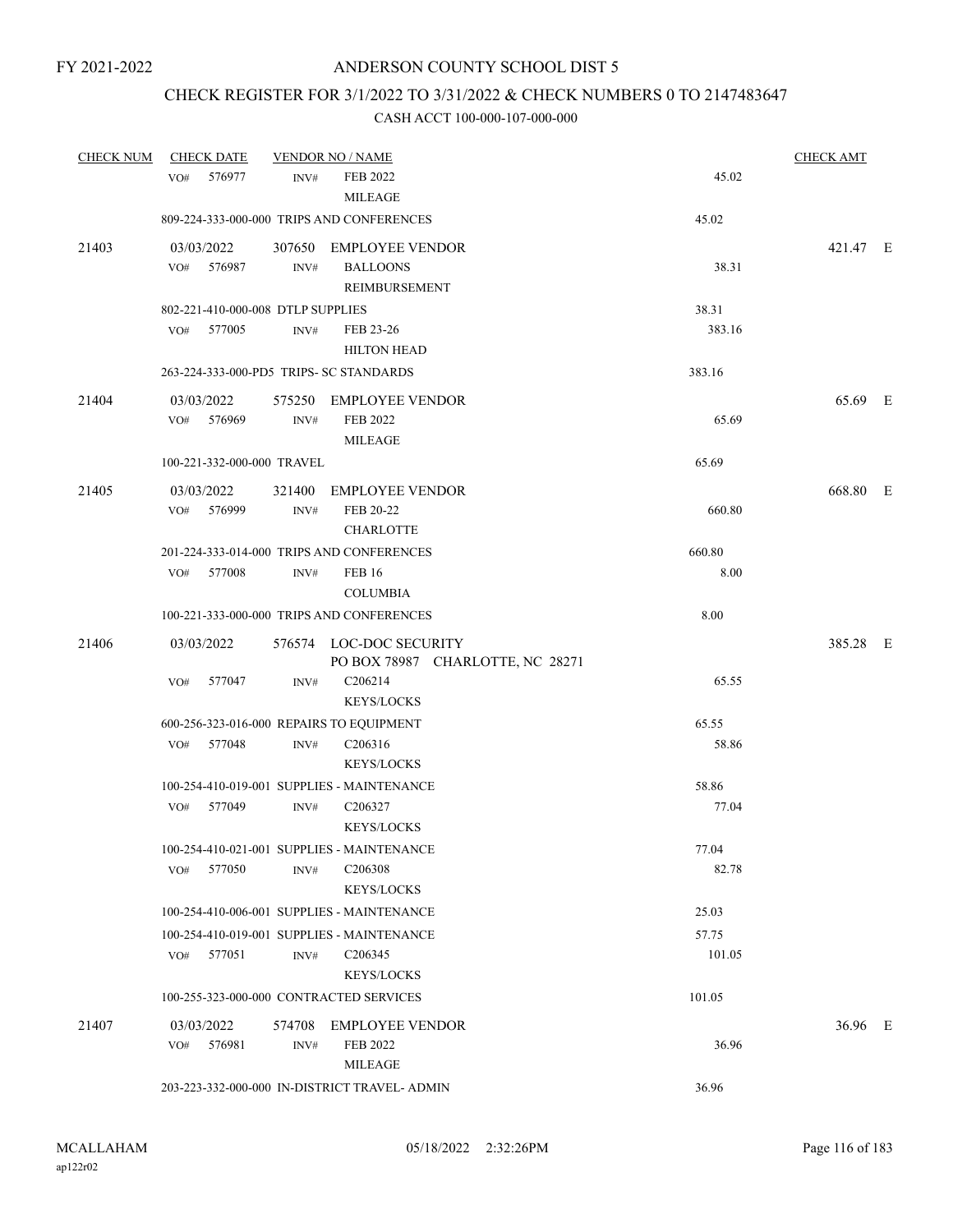## CHECK REGISTER FOR 3/1/2022 TO 3/31/2022 & CHECK NUMBERS 0 TO 2147483647

| <b>CHECK NUM</b> | <b>CHECK DATE</b>                        |        | <b>VENDOR NO / NAME</b>                       |        | <b>CHECK AMT</b> |  |
|------------------|------------------------------------------|--------|-----------------------------------------------|--------|------------------|--|
|                  | VO# 576977                               | INV#   | FEB 2022                                      | 45.02  |                  |  |
|                  |                                          |        | <b>MILEAGE</b>                                |        |                  |  |
|                  |                                          |        | 809-224-333-000-000 TRIPS AND CONFERENCES     | 45.02  |                  |  |
| 21403            | 03/03/2022                               |        | 307650 EMPLOYEE VENDOR                        |        | 421.47 E         |  |
|                  | 576987<br>VO#                            | INV#   | <b>BALLOONS</b>                               | 38.31  |                  |  |
|                  |                                          |        | REIMBURSEMENT                                 |        |                  |  |
|                  | 802-221-410-000-008 DTLP SUPPLIES        |        |                                               | 38.31  |                  |  |
|                  | 577005<br>VO#                            | INV#   | FEB 23-26                                     | 383.16 |                  |  |
|                  |                                          |        | <b>HILTON HEAD</b>                            |        |                  |  |
|                  | 263-224-333-000-PD5 TRIPS- SC STANDARDS  |        |                                               | 383.16 |                  |  |
| 21404            | 03/03/2022                               |        | 575250 EMPLOYEE VENDOR                        |        | 65.69 E          |  |
|                  | VO# 576969                               | INV#   | FEB 2022                                      | 65.69  |                  |  |
|                  |                                          |        | <b>MILEAGE</b>                                |        |                  |  |
|                  | 100-221-332-000-000 TRAVEL               |        |                                               | 65.69  |                  |  |
| 21405            | 03/03/2022                               |        | 321400 EMPLOYEE VENDOR                        |        | 668.80 E         |  |
|                  | VO# 576999                               | INV#   | FEB 20-22                                     | 660.80 |                  |  |
|                  |                                          |        | <b>CHARLOTTE</b>                              |        |                  |  |
|                  |                                          |        | 201-224-333-014-000 TRIPS AND CONFERENCES     | 660.80 |                  |  |
|                  | VO# 577008                               | INV#   | <b>FEB 16</b>                                 | 8.00   |                  |  |
|                  |                                          |        | <b>COLUMBIA</b>                               |        |                  |  |
|                  |                                          |        | 100-221-333-000-000 TRIPS AND CONFERENCES     | 8.00   |                  |  |
| 21406            | 03/03/2022                               |        | 576574 LOC-DOC SECURITY                       |        | 385.28 E         |  |
|                  |                                          |        | PO BOX 78987 CHARLOTTE, NC 28271              |        |                  |  |
|                  | VO#<br>577047                            | INV#   | C <sub>206214</sub>                           | 65.55  |                  |  |
|                  |                                          |        | <b>KEYS/LOCKS</b>                             |        |                  |  |
|                  | 600-256-323-016-000 REPAIRS TO EQUIPMENT |        |                                               | 65.55  |                  |  |
|                  | VO# 577048                               | INV#   | C <sub>206316</sub>                           | 58.86  |                  |  |
|                  |                                          |        | <b>KEYS/LOCKS</b>                             |        |                  |  |
|                  |                                          |        | 100-254-410-019-001 SUPPLIES - MAINTENANCE    | 58.86  |                  |  |
|                  | VO# 577049                               | INV#   | C206327                                       | 77.04  |                  |  |
|                  |                                          |        | <b>KEYS/LOCKS</b>                             |        |                  |  |
|                  |                                          |        | 100-254-410-021-001 SUPPLIES - MAINTENANCE    | 77.04  |                  |  |
|                  | 577050<br>VO#                            | INV#   | C <sub>206308</sub>                           | 82.78  |                  |  |
|                  |                                          |        | <b>KEYS/LOCKS</b>                             |        |                  |  |
|                  |                                          |        | 100-254-410-006-001 SUPPLIES - MAINTENANCE    | 25.03  |                  |  |
|                  |                                          |        | 100-254-410-019-001 SUPPLIES - MAINTENANCE    | 57.75  |                  |  |
|                  | 577051<br>VO#                            | INV#   | C <sub>206345</sub>                           | 101.05 |                  |  |
|                  |                                          |        | <b>KEYS/LOCKS</b>                             |        |                  |  |
|                  | 100-255-323-000-000 CONTRACTED SERVICES  |        |                                               | 101.05 |                  |  |
| 21407            | 03/03/2022                               | 574708 | <b>EMPLOYEE VENDOR</b>                        |        | 36.96 E          |  |
|                  | VO#<br>576981                            | INV#   | FEB 2022                                      | 36.96  |                  |  |
|                  |                                          |        | <b>MILEAGE</b>                                |        |                  |  |
|                  |                                          |        | 203-223-332-000-000 IN-DISTRICT TRAVEL- ADMIN | 36.96  |                  |  |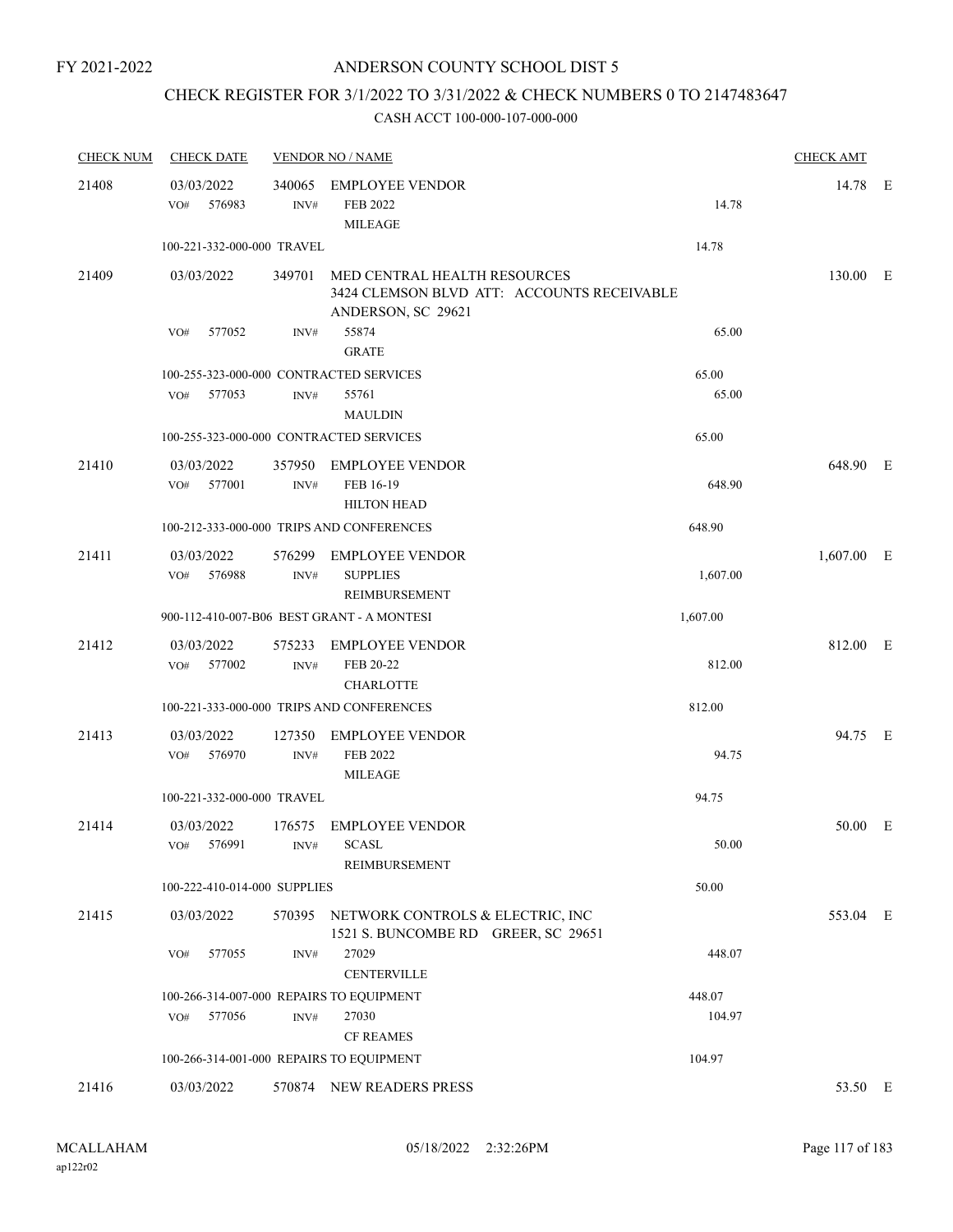# CHECK REGISTER FOR 3/1/2022 TO 3/31/2022 & CHECK NUMBERS 0 TO 2147483647

| <b>CHECK NUM</b> | <b>CHECK DATE</b>                        |                  | <b>VENDOR NO / NAME</b>                                                        |                                            | <b>CHECK AMT</b> |  |
|------------------|------------------------------------------|------------------|--------------------------------------------------------------------------------|--------------------------------------------|------------------|--|
| 21408            | 03/03/2022<br>VO#<br>576983              | INV#             | 340065 EMPLOYEE VENDOR<br>FEB 2022<br><b>MILEAGE</b>                           | 14.78                                      | 14.78 E          |  |
|                  | 100-221-332-000-000 TRAVEL               |                  |                                                                                | 14.78                                      |                  |  |
| 21409            | 03/03/2022                               |                  | 349701 MED CENTRAL HEALTH RESOURCES<br>ANDERSON, SC 29621                      | 3424 CLEMSON BLVD ATT: ACCOUNTS RECEIVABLE | 130.00 E         |  |
|                  | 577052<br>VO#                            | INV#             | 55874<br><b>GRATE</b>                                                          | 65.00                                      |                  |  |
|                  | 100-255-323-000-000 CONTRACTED SERVICES  |                  |                                                                                | 65.00                                      |                  |  |
|                  | VO#<br>577053                            | INV#             | 55761<br><b>MAULDIN</b>                                                        | 65.00                                      |                  |  |
|                  | 100-255-323-000-000 CONTRACTED SERVICES  |                  |                                                                                | 65.00                                      |                  |  |
| 21410            | 03/03/2022<br>VO#<br>577001              | INV#             | 357950 EMPLOYEE VENDOR<br>FEB 16-19<br><b>HILTON HEAD</b>                      | 648.90                                     | 648.90 E         |  |
|                  |                                          |                  | 100-212-333-000-000 TRIPS AND CONFERENCES                                      | 648.90                                     |                  |  |
| 21411            | 03/03/2022<br>VO# 576988                 | INV#             | 576299 EMPLOYEE VENDOR<br><b>SUPPLIES</b><br>REIMBURSEMENT                     | 1,607.00                                   | $1,607.00$ E     |  |
|                  |                                          |                  | 900-112-410-007-B06 BEST GRANT - A MONTESI                                     | 1,607.00                                   |                  |  |
| 21412            | 03/03/2022<br>VO# 577002                 | 575233<br>INV#   | <b>EMPLOYEE VENDOR</b><br>FEB 20-22<br><b>CHARLOTTE</b>                        | 812.00                                     | 812.00 E         |  |
|                  |                                          |                  | 100-221-333-000-000 TRIPS AND CONFERENCES                                      | 812.00                                     |                  |  |
| 21413            | 03/03/2022<br>VO#<br>576970              | INV#             | 127350 EMPLOYEE VENDOR<br>FEB 2022<br><b>MILEAGE</b>                           | 94.75                                      | 94.75 E          |  |
|                  | 100-221-332-000-000 TRAVEL               |                  |                                                                                | 94.75                                      |                  |  |
| 21414            | 03/03/2022<br>VO# 576991 INV# SCASL      |                  | 176575 EMPLOYEE VENDOR<br>REIMBURSEMENT                                        | 50.00                                      | 50.00 E          |  |
|                  | 100-222-410-014-000 SUPPLIES             |                  |                                                                                | 50.00                                      |                  |  |
| 21415            | 03/03/2022                               |                  | 570395 NETWORK CONTROLS & ELECTRIC, INC<br>1521 S. BUNCOMBE RD GREER, SC 29651 |                                            | 553.04 E         |  |
|                  | 577055<br>VO#                            | $\mathrm{INV}\#$ | 27029<br><b>CENTERVILLE</b>                                                    | 448.07                                     |                  |  |
|                  | 100-266-314-007-000 REPAIRS TO EQUIPMENT |                  |                                                                                | 448.07                                     |                  |  |
|                  | 577056<br>VO#                            | INV#             | 27030<br><b>CF REAMES</b>                                                      | 104.97                                     |                  |  |
|                  | 100-266-314-001-000 REPAIRS TO EQUIPMENT |                  |                                                                                | 104.97                                     |                  |  |
| 21416            | 03/03/2022                               |                  | 570874 NEW READERS PRESS                                                       |                                            | 53.50 E          |  |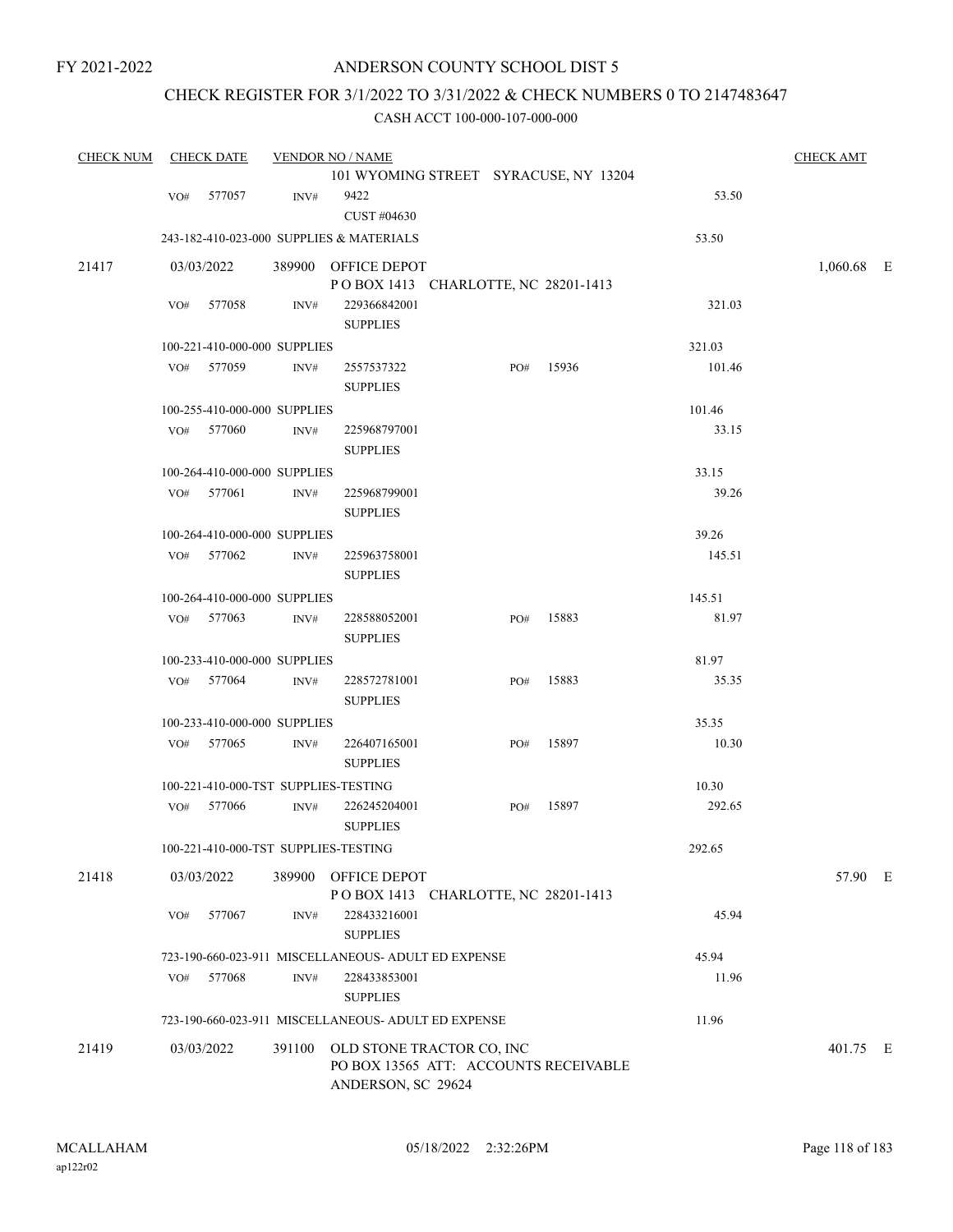### CHECK REGISTER FOR 3/1/2022 TO 3/31/2022 & CHECK NUMBERS 0 TO 2147483647

| <b>CHECK NUM</b> |            | <b>CHECK DATE</b>            |                  | <b>VENDOR NO / NAME</b>                             |     |       |        | <b>CHECK AMT</b> |  |
|------------------|------------|------------------------------|------------------|-----------------------------------------------------|-----|-------|--------|------------------|--|
|                  |            |                              |                  | 101 WYOMING STREET SYRACUSE, NY 13204               |     |       |        |                  |  |
|                  | VO#        | 577057                       | INV#             | 9422                                                |     |       | 53.50  |                  |  |
|                  |            |                              |                  | CUST #04630                                         |     |       |        |                  |  |
|                  |            |                              |                  | 243-182-410-023-000 SUPPLIES & MATERIALS            |     |       | 53.50  |                  |  |
| 21417            | 03/03/2022 |                              |                  | 389900 OFFICE DEPOT                                 |     |       |        | 1,060.68 E       |  |
|                  |            |                              |                  | POBOX 1413 CHARLOTTE, NC 28201-1413                 |     |       |        |                  |  |
|                  | VO#        | 577058                       | INV#             | 229366842001                                        |     |       | 321.03 |                  |  |
|                  |            |                              |                  | <b>SUPPLIES</b>                                     |     |       |        |                  |  |
|                  |            | 100-221-410-000-000 SUPPLIES |                  |                                                     |     |       | 321.03 |                  |  |
|                  | VO#        | 577059                       | INV#             | 2557537322                                          | PO# | 15936 | 101.46 |                  |  |
|                  |            |                              |                  | <b>SUPPLIES</b>                                     |     |       |        |                  |  |
|                  |            | 100-255-410-000-000 SUPPLIES |                  |                                                     |     |       | 101.46 |                  |  |
|                  | VO#        | 577060                       | INV#             | 225968797001                                        |     |       | 33.15  |                  |  |
|                  |            |                              |                  | <b>SUPPLIES</b>                                     |     |       |        |                  |  |
|                  |            | 100-264-410-000-000 SUPPLIES |                  |                                                     |     |       | 33.15  |                  |  |
|                  |            | VO# 577061                   | INV#             | 225968799001                                        |     |       | 39.26  |                  |  |
|                  |            |                              |                  | <b>SUPPLIES</b>                                     |     |       |        |                  |  |
|                  |            | 100-264-410-000-000 SUPPLIES |                  |                                                     |     |       | 39.26  |                  |  |
|                  |            | VO# 577062                   | $\mathrm{INV}\#$ | 225963758001                                        |     |       | 145.51 |                  |  |
|                  |            |                              |                  | <b>SUPPLIES</b>                                     |     |       |        |                  |  |
|                  |            | 100-264-410-000-000 SUPPLIES |                  |                                                     |     |       | 145.51 |                  |  |
|                  | VO#        | 577063                       | INV#             | 228588052001<br><b>SUPPLIES</b>                     | PO# | 15883 | 81.97  |                  |  |
|                  |            | 100-233-410-000-000 SUPPLIES |                  |                                                     |     |       | 81.97  |                  |  |
|                  | VO#        | 577064                       | INV#             | 228572781001                                        | PO# | 15883 | 35.35  |                  |  |
|                  |            |                              |                  | <b>SUPPLIES</b>                                     |     |       |        |                  |  |
|                  |            | 100-233-410-000-000 SUPPLIES |                  |                                                     |     |       | 35.35  |                  |  |
|                  |            | VO# 577065                   | INV#             | 226407165001                                        | PO# | 15897 | 10.30  |                  |  |
|                  |            |                              |                  | <b>SUPPLIES</b>                                     |     |       |        |                  |  |
|                  |            |                              |                  | 100-221-410-000-TST SUPPLIES-TESTING                |     |       | 10.30  |                  |  |
|                  | VO#        | 577066                       | INV#             | 226245204001                                        | PO# | 15897 | 292.65 |                  |  |
|                  |            |                              |                  | <b>SUPPLIES</b>                                     |     |       |        |                  |  |
|                  |            |                              |                  | 100-221-410-000-TST SUPPLIES-TESTING                |     |       | 292.65 |                  |  |
| 21418            | 03/03/2022 |                              |                  | 389900 OFFICE DEPOT                                 |     |       |        | 57.90 E          |  |
|                  |            |                              |                  | POBOX 1413 CHARLOTTE, NC 28201-1413                 |     |       |        |                  |  |
|                  | VO#        | 577067                       | INV#             | 228433216001                                        |     |       | 45.94  |                  |  |
|                  |            |                              |                  | <b>SUPPLIES</b>                                     |     |       |        |                  |  |
|                  |            |                              |                  | 723-190-660-023-911 MISCELLANEOUS- ADULT ED EXPENSE |     |       | 45.94  |                  |  |
|                  | VO#        | 577068                       | INV#             | 228433853001                                        |     |       | 11.96  |                  |  |
|                  |            |                              |                  | <b>SUPPLIES</b>                                     |     |       |        |                  |  |
|                  |            |                              |                  | 723-190-660-023-911 MISCELLANEOUS- ADULT ED EXPENSE |     |       | 11.96  |                  |  |
| 21419            | 03/03/2022 |                              |                  | 391100 OLD STONE TRACTOR CO, INC                    |     |       |        | 401.75 E         |  |
|                  |            |                              |                  | PO BOX 13565 ATT: ACCOUNTS RECEIVABLE               |     |       |        |                  |  |
|                  |            |                              |                  | ANDERSON, SC 29624                                  |     |       |        |                  |  |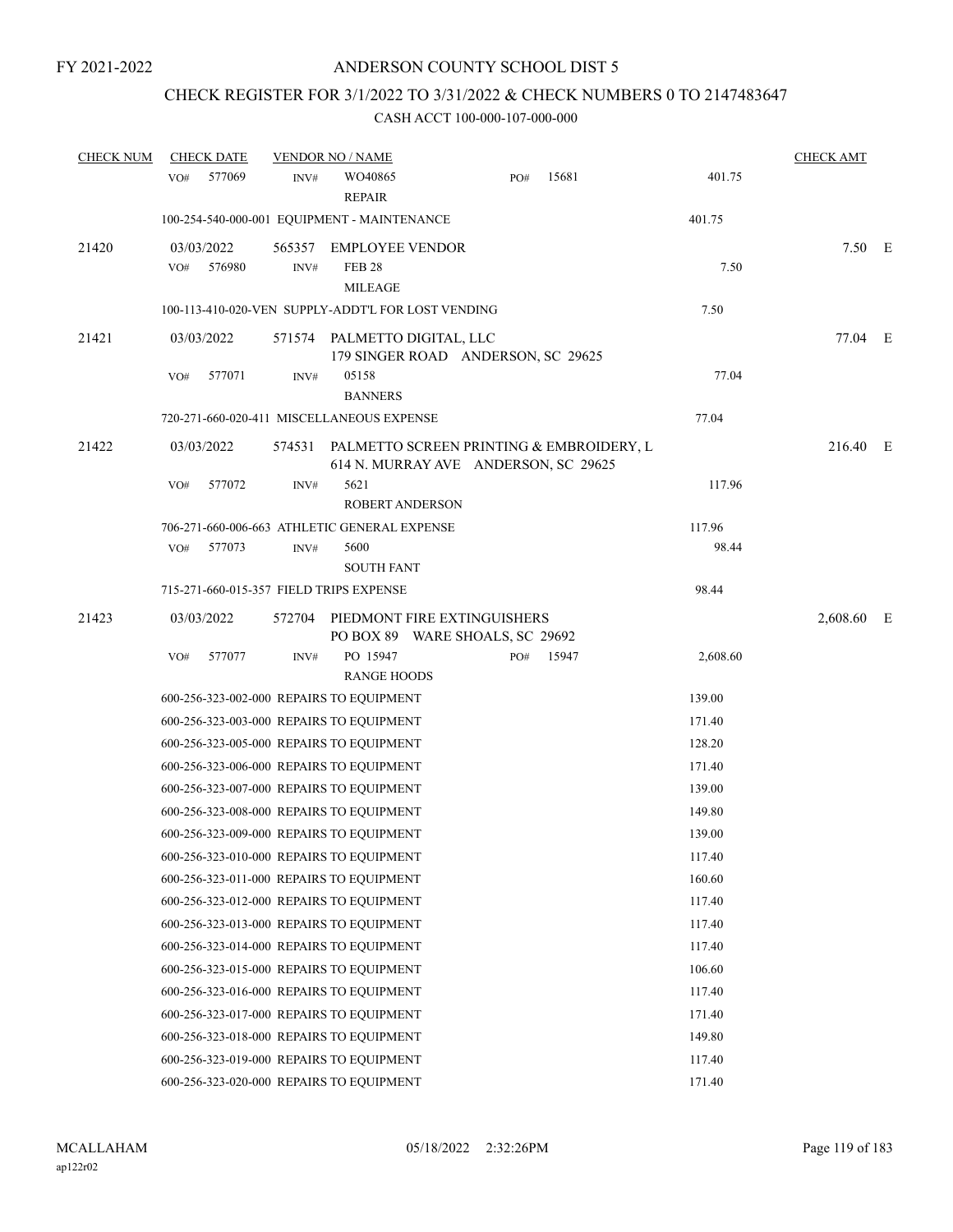# CHECK REGISTER FOR 3/1/2022 TO 3/31/2022 & CHECK NUMBERS 0 TO 2147483647

| <b>CHECK NUM</b> | <b>CHECK DATE</b>                                  |                | <b>VENDOR NO / NAME</b>                                   |                                      |     |                                          |          | <b>CHECK AMT</b> |  |
|------------------|----------------------------------------------------|----------------|-----------------------------------------------------------|--------------------------------------|-----|------------------------------------------|----------|------------------|--|
|                  | 577069<br>VO#                                      | INV#           | WO40865<br><b>REPAIR</b>                                  |                                      | PO# | 15681                                    | 401.75   |                  |  |
|                  | 100-254-540-000-001 EQUIPMENT - MAINTENANCE        |                |                                                           |                                      |     |                                          | 401.75   |                  |  |
| 21420            | 03/03/2022<br>576980<br>VO#                        | 565357<br>INV# | <b>EMPLOYEE VENDOR</b><br><b>FEB 28</b><br><b>MILEAGE</b> |                                      |     |                                          | 7.50     | $7.50$ E         |  |
|                  | 100-113-410-020-VEN SUPPLY-ADDT'L FOR LOST VENDING |                |                                                           |                                      |     |                                          | 7.50     |                  |  |
| 21421            | 03/03/2022                                         |                | 571574 PALMETTO DIGITAL, LLC                              | 179 SINGER ROAD ANDERSON, SC 29625   |     |                                          |          | 77.04 E          |  |
|                  | 577071<br>VO#                                      | INV#           | 05158<br><b>BANNERS</b>                                   |                                      |     |                                          | 77.04    |                  |  |
|                  | 720-271-660-020-411 MISCELLANEOUS EXPENSE          |                |                                                           |                                      |     |                                          | 77.04    |                  |  |
| 21422            | 03/03/2022                                         | 574531         |                                                           | 614 N. MURRAY AVE ANDERSON, SC 29625 |     | PALMETTO SCREEN PRINTING & EMBROIDERY, L |          | 216.40 E         |  |
|                  | 577072<br>VO#                                      | INV#           | 5621<br><b>ROBERT ANDERSON</b>                            |                                      |     |                                          | 117.96   |                  |  |
|                  | 706-271-660-006-663 ATHLETIC GENERAL EXPENSE       |                |                                                           |                                      |     |                                          | 117.96   |                  |  |
|                  | 577073<br>VO#                                      | INV#           | 5600<br><b>SOUTH FANT</b>                                 |                                      |     |                                          | 98.44    |                  |  |
|                  | 715-271-660-015-357 FIELD TRIPS EXPENSE            |                |                                                           |                                      |     |                                          | 98.44    |                  |  |
| 21423            | 03/03/2022                                         | 572704         | PIEDMONT FIRE EXTINGUISHERS                               | PO BOX 89 WARE SHOALS, SC 29692      |     |                                          |          | 2,608.60 E       |  |
|                  | 577077<br>VO#                                      | INV#           | PO 15947                                                  |                                      | PO# | 15947                                    | 2,608.60 |                  |  |
|                  |                                                    |                | <b>RANGE HOODS</b>                                        |                                      |     |                                          |          |                  |  |
|                  | 600-256-323-002-000 REPAIRS TO EQUIPMENT           |                |                                                           |                                      |     |                                          | 139.00   |                  |  |
|                  | 600-256-323-003-000 REPAIRS TO EQUIPMENT           |                |                                                           |                                      |     |                                          | 171.40   |                  |  |
|                  | 600-256-323-005-000 REPAIRS TO EQUIPMENT           |                |                                                           |                                      |     |                                          | 128.20   |                  |  |
|                  | 600-256-323-006-000 REPAIRS TO EQUIPMENT           |                |                                                           |                                      |     |                                          | 171.40   |                  |  |
|                  | 600-256-323-007-000 REPAIRS TO EQUIPMENT           |                |                                                           |                                      |     |                                          | 139.00   |                  |  |
|                  | 600-256-323-008-000 REPAIRS TO EQUIPMENT           |                |                                                           |                                      |     |                                          | 149.80   |                  |  |
|                  | 600-256-323-009-000 REPAIRS TO EQUIPMENT           |                |                                                           |                                      |     |                                          | 139.00   |                  |  |
|                  | 600-256-323-010-000 REPAIRS TO EQUIPMENT           |                |                                                           |                                      |     |                                          | 117.40   |                  |  |
|                  | 600-256-323-011-000 REPAIRS TO EOUIPMENT           |                |                                                           |                                      |     |                                          | 160.60   |                  |  |
|                  | 600-256-323-012-000 REPAIRS TO EQUIPMENT           |                |                                                           |                                      |     |                                          | 117.40   |                  |  |
|                  | 600-256-323-013-000 REPAIRS TO EQUIPMENT           |                |                                                           |                                      |     |                                          | 117.40   |                  |  |
|                  | 600-256-323-014-000 REPAIRS TO EQUIPMENT           |                |                                                           |                                      |     |                                          | 117.40   |                  |  |
|                  | 600-256-323-015-000 REPAIRS TO EQUIPMENT           |                |                                                           |                                      |     |                                          | 106.60   |                  |  |
|                  | 600-256-323-016-000 REPAIRS TO EQUIPMENT           |                |                                                           |                                      |     |                                          | 117.40   |                  |  |
|                  | 600-256-323-017-000 REPAIRS TO EQUIPMENT           |                |                                                           |                                      |     |                                          | 171.40   |                  |  |
|                  | 600-256-323-018-000 REPAIRS TO EQUIPMENT           |                |                                                           |                                      |     |                                          | 149.80   |                  |  |
|                  | 600-256-323-019-000 REPAIRS TO EQUIPMENT           |                |                                                           |                                      |     |                                          | 117.40   |                  |  |
|                  | 600-256-323-020-000 REPAIRS TO EQUIPMENT           |                |                                                           |                                      |     |                                          | 171.40   |                  |  |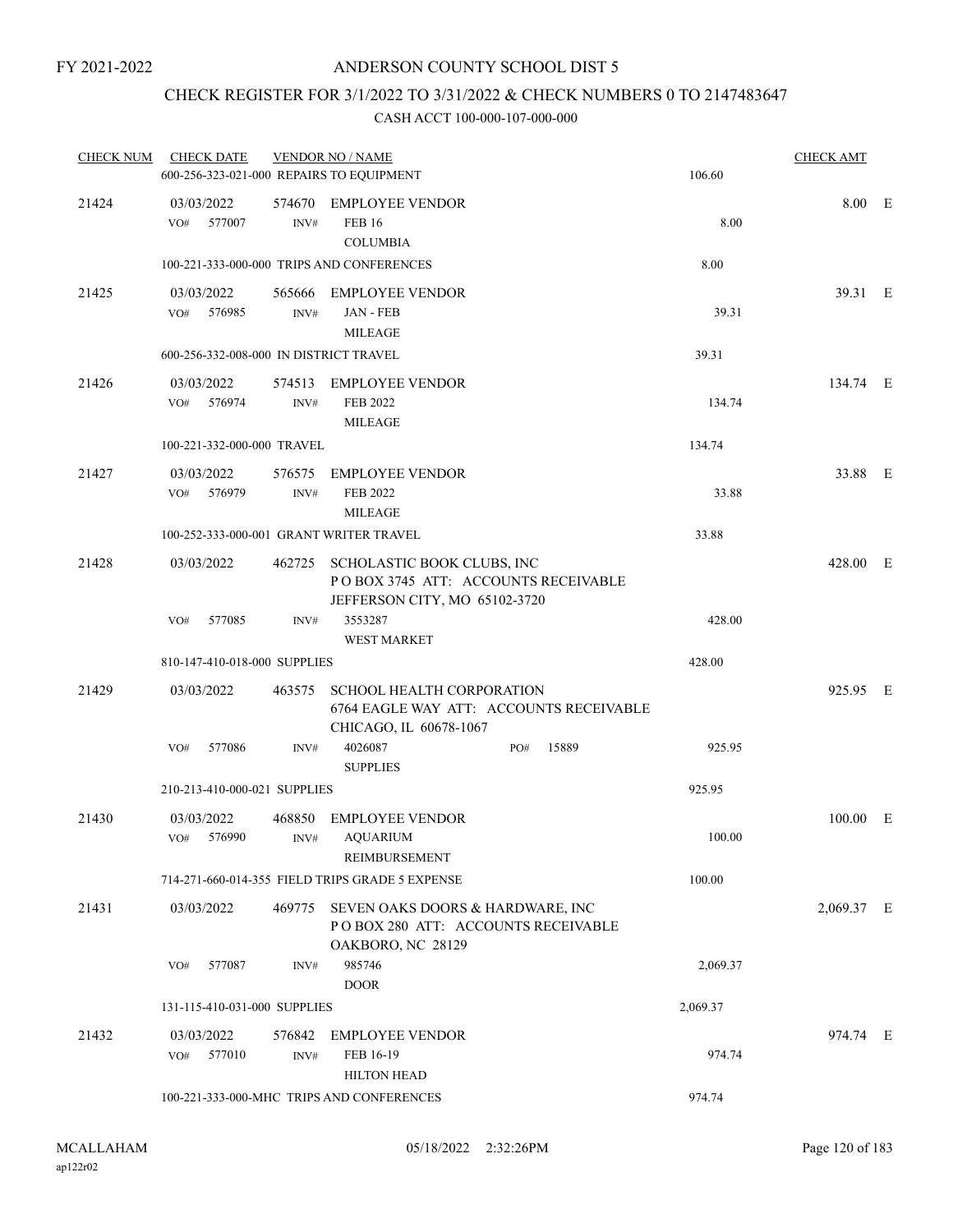### CHECK REGISTER FOR 3/1/2022 TO 3/31/2022 & CHECK NUMBERS 0 TO 2147483647

| <b>CHECK NUM</b> | <b>CHECK DATE</b><br>600-256-323-021-000 REPAIRS TO EQUIPMENT |                | <b>VENDOR NO / NAME</b>                                                                                   | 106.60   | <b>CHECK AMT</b> |  |
|------------------|---------------------------------------------------------------|----------------|-----------------------------------------------------------------------------------------------------------|----------|------------------|--|
| 21424            | 03/03/2022<br>VO#<br>577007                                   | INV#           | 574670 EMPLOYEE VENDOR<br><b>FEB 16</b><br><b>COLUMBIA</b>                                                | 8.00     | 8.00 E           |  |
|                  |                                                               |                | 100-221-333-000-000 TRIPS AND CONFERENCES                                                                 | 8.00     |                  |  |
| 21425            | 03/03/2022<br>VO# 576985                                      | INV#           | 565666 EMPLOYEE VENDOR<br>JAN - FEB<br><b>MILEAGE</b>                                                     | 39.31    | 39.31 E          |  |
|                  | 600-256-332-008-000 IN DISTRICT TRAVEL                        |                |                                                                                                           | 39.31    |                  |  |
| 21426            | 03/03/2022<br>576974<br>VO#                                   | 574513<br>INV# | <b>EMPLOYEE VENDOR</b><br>FEB 2022<br><b>MILEAGE</b>                                                      | 134.74   | 134.74 E         |  |
|                  | 100-221-332-000-000 TRAVEL                                    |                |                                                                                                           | 134.74   |                  |  |
| 21427            | 03/03/2022<br>VO# 576979                                      | 576575<br>INV# | <b>EMPLOYEE VENDOR</b><br>FEB 2022<br><b>MILEAGE</b>                                                      | 33.88    | 33.88 E          |  |
|                  | 100-252-333-000-001 GRANT WRITER TRAVEL                       |                |                                                                                                           | 33.88    |                  |  |
| 21428            | 03/03/2022                                                    |                | 462725 SCHOLASTIC BOOK CLUBS, INC<br>POBOX 3745 ATT: ACCOUNTS RECEIVABLE<br>JEFFERSON CITY, MO 65102-3720 |          | 428.00 E         |  |
|                  | 577085<br>VO#                                                 | INV#           | 3553287<br><b>WEST MARKET</b>                                                                             | 428.00   |                  |  |
|                  | 810-147-410-018-000 SUPPLIES                                  |                |                                                                                                           | 428.00   |                  |  |
| 21429            | 03/03/2022                                                    | 463575         | <b>SCHOOL HEALTH CORPORATION</b><br>6764 EAGLE WAY ATT: ACCOUNTS RECEIVABLE<br>CHICAGO, IL 60678-1067     |          | 925.95 E         |  |
|                  | 577086<br>VO#                                                 | INV#           | 4026087<br>15889<br>PO#<br><b>SUPPLIES</b>                                                                | 925.95   |                  |  |
|                  | 210-213-410-000-021 SUPPLIES                                  |                |                                                                                                           | 925.95   |                  |  |
| 21430            | 03/03/2022<br>VO# 576990                                      | 468850<br>INV# | <b>EMPLOYEE VENDOR</b><br><b>AQUARIUM</b><br>REIMBURSEMENT                                                | 100.00   | 100.00 E         |  |
|                  |                                                               |                | 714-271-660-014-355 FIELD TRIPS GRADE 5 EXPENSE                                                           | 100.00   |                  |  |
| 21431            | 03/03/2022                                                    | 469775         | SEVEN OAKS DOORS & HARDWARE, INC<br>POBOX 280 ATT: ACCOUNTS RECEIVABLE<br>OAKBORO, NC 28129               |          | 2,069.37 E       |  |
|                  | 577087<br>VO#                                                 | INV#           | 985746<br><b>DOOR</b>                                                                                     | 2,069.37 |                  |  |
|                  | 131-115-410-031-000 SUPPLIES                                  |                |                                                                                                           | 2,069.37 |                  |  |
| 21432            | 03/03/2022<br>VO#<br>577010                                   | 576842<br>INV# | <b>EMPLOYEE VENDOR</b><br>FEB 16-19<br><b>HILTON HEAD</b>                                                 | 974.74   | 974.74 E         |  |
|                  |                                                               |                | 100-221-333-000-MHC TRIPS AND CONFERENCES                                                                 | 974.74   |                  |  |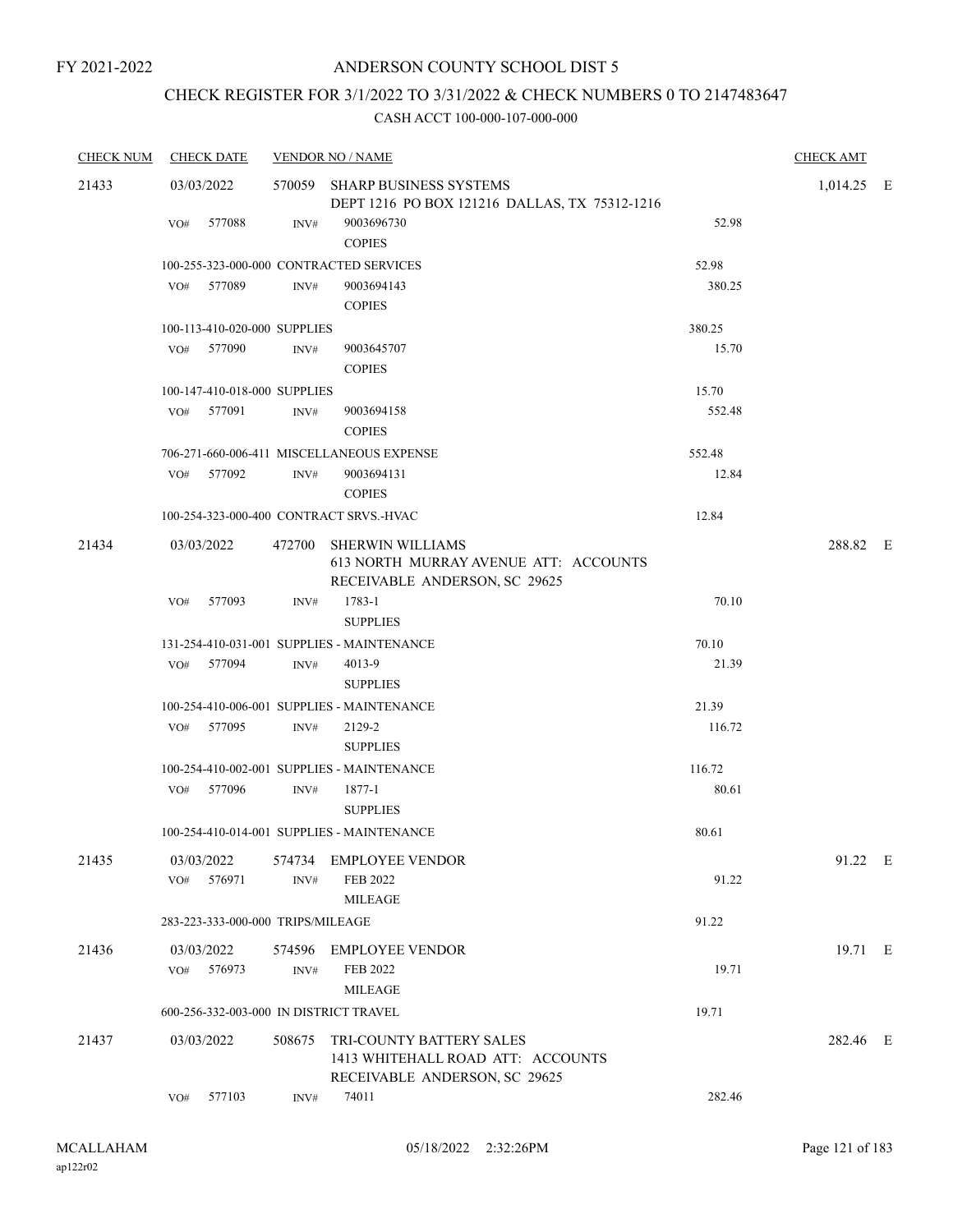# CHECK REGISTER FOR 3/1/2022 TO 3/31/2022 & CHECK NUMBERS 0 TO 2147483647

| <b>CHECK NUM</b> |                   | <b>CHECK DATE</b>                 |                | <b>VENDOR NO / NAME</b>                                                                           |        | <b>CHECK AMT</b> |  |
|------------------|-------------------|-----------------------------------|----------------|---------------------------------------------------------------------------------------------------|--------|------------------|--|
| 21433            | 03/03/2022        |                                   |                | 570059 SHARP BUSINESS SYSTEMS<br>DEPT 1216 PO BOX 121216 DALLAS, TX 75312-1216                    |        | $1,014.25$ E     |  |
|                  | VO#               | 577088                            | INV#           | 9003696730<br><b>COPIES</b>                                                                       | 52.98  |                  |  |
|                  |                   |                                   |                | 100-255-323-000-000 CONTRACTED SERVICES                                                           | 52.98  |                  |  |
|                  |                   | VO# 577089                        | INV#           | 9003694143<br><b>COPIES</b>                                                                       | 380.25 |                  |  |
|                  |                   | 100-113-410-020-000 SUPPLIES      |                |                                                                                                   | 380.25 |                  |  |
|                  |                   | VO# 577090                        | INV#           | 9003645707<br><b>COPIES</b>                                                                       | 15.70  |                  |  |
|                  |                   | 100-147-410-018-000 SUPPLIES      |                |                                                                                                   | 15.70  |                  |  |
|                  |                   | VO# 577091                        | INV#           | 9003694158<br><b>COPIES</b>                                                                       | 552.48 |                  |  |
|                  |                   |                                   |                | 706-271-660-006-411 MISCELLANEOUS EXPENSE                                                         | 552.48 |                  |  |
|                  |                   | VO# 577092                        | INV#           | 9003694131<br><b>COPIES</b>                                                                       | 12.84  |                  |  |
|                  |                   |                                   |                | 100-254-323-000-400 CONTRACT SRVS.-HVAC                                                           | 12.84  |                  |  |
| 21434            | 03/03/2022        |                                   |                | 472700 SHERWIN WILLIAMS<br>613 NORTH MURRAY AVENUE ATT: ACCOUNTS<br>RECEIVABLE ANDERSON, SC 29625 |        | 288.82 E         |  |
|                  | VO <sub>#</sub>   | 577093                            | INV#           | 1783-1<br><b>SUPPLIES</b>                                                                         | 70.10  |                  |  |
|                  |                   |                                   |                | 131-254-410-031-001 SUPPLIES - MAINTENANCE                                                        | 70.10  |                  |  |
|                  |                   | VO# 577094                        | INV#           | 4013-9<br><b>SUPPLIES</b>                                                                         | 21.39  |                  |  |
|                  |                   |                                   |                | 100-254-410-006-001 SUPPLIES - MAINTENANCE                                                        | 21.39  |                  |  |
|                  |                   | VO# 577095                        | INV#           | 2129-2<br><b>SUPPLIES</b>                                                                         | 116.72 |                  |  |
|                  |                   |                                   |                | 100-254-410-002-001 SUPPLIES - MAINTENANCE                                                        | 116.72 |                  |  |
|                  |                   | VO# 577096                        | INV#           | 1877-1<br><b>SUPPLIES</b>                                                                         | 80.61  |                  |  |
|                  |                   |                                   |                | 100-254-410-014-001 SUPPLIES - MAINTENANCE                                                        | 80.61  |                  |  |
| 21435            | 03/03/2022<br>VO# | 576971                            | 574734<br>INV# | <b>EMPLOYEE VENDOR</b><br>FEB 2022                                                                | 91.22  | 91.22 E          |  |
|                  |                   |                                   |                | <b>MILEAGE</b>                                                                                    |        |                  |  |
|                  |                   | 283-223-333-000-000 TRIPS/MILEAGE |                |                                                                                                   | 91.22  |                  |  |
| 21436            | 03/03/2022        |                                   | 574596         | <b>EMPLOYEE VENDOR</b>                                                                            |        | 19.71 E          |  |
|                  | VO#               | 576973                            | INV#           | <b>FEB 2022</b><br><b>MILEAGE</b>                                                                 | 19.71  |                  |  |
|                  |                   |                                   |                | 600-256-332-003-000 IN DISTRICT TRAVEL                                                            | 19.71  |                  |  |
| 21437            | 03/03/2022        |                                   | 508675         | TRI-COUNTY BATTERY SALES<br>1413 WHITEHALL ROAD ATT: ACCOUNTS<br>RECEIVABLE ANDERSON, SC 29625    |        | 282.46 E         |  |
|                  | VO#               | 577103                            | INV#           | 74011                                                                                             | 282.46 |                  |  |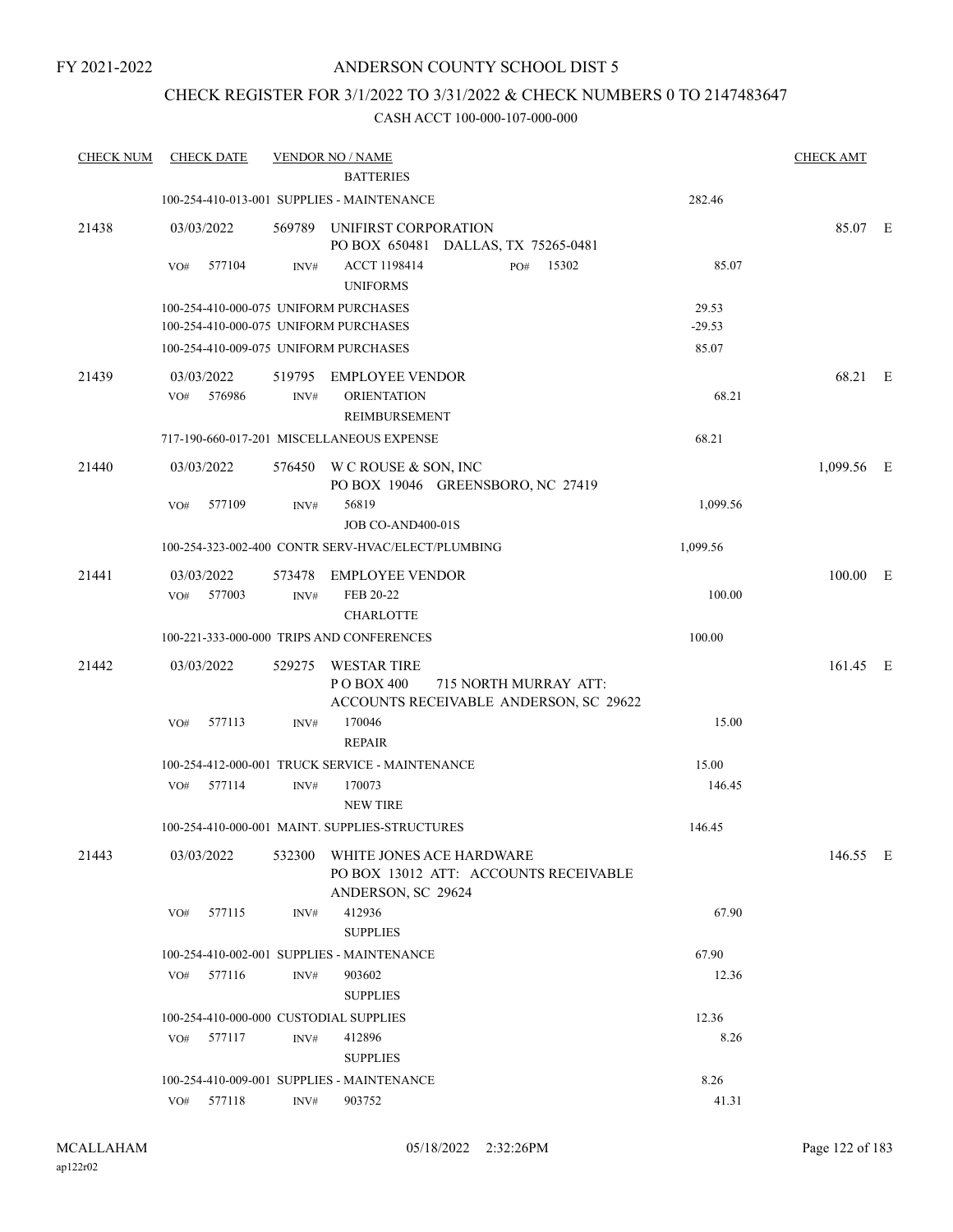FY 2021-2022

# ANDERSON COUNTY SCHOOL DIST 5

### CHECK REGISTER FOR 3/1/2022 TO 3/31/2022 & CHECK NUMBERS 0 TO 2147483647

| <b>CHECK NUM</b> | <b>CHECK DATE</b>                                                              |        | <b>VENDOR NO / NAME</b>                                                                        |                   | <b>CHECK AMT</b> |  |
|------------------|--------------------------------------------------------------------------------|--------|------------------------------------------------------------------------------------------------|-------------------|------------------|--|
|                  |                                                                                |        | <b>BATTERIES</b>                                                                               |                   |                  |  |
|                  |                                                                                |        | 100-254-410-013-001 SUPPLIES - MAINTENANCE                                                     | 282.46            |                  |  |
| 21438            | 03/03/2022                                                                     |        | 569789 UNIFIRST CORPORATION<br>PO BOX 650481 DALLAS, TX 75265-0481                             |                   | 85.07 E          |  |
|                  | 577104<br>VO#                                                                  | INV#   | ACCT 1198414<br>15302<br>PO#<br><b>UNIFORMS</b>                                                | 85.07             |                  |  |
|                  | 100-254-410-000-075 UNIFORM PURCHASES<br>100-254-410-000-075 UNIFORM PURCHASES |        |                                                                                                | 29.53<br>$-29.53$ |                  |  |
|                  | 100-254-410-009-075 UNIFORM PURCHASES                                          |        |                                                                                                | 85.07             |                  |  |
| 21439            | 03/03/2022                                                                     | 519795 | <b>EMPLOYEE VENDOR</b>                                                                         |                   | 68.21 E          |  |
|                  | 576986<br>VO#                                                                  | INV#   | <b>ORIENTATION</b><br>REIMBURSEMENT                                                            | 68.21             |                  |  |
|                  |                                                                                |        | 717-190-660-017-201 MISCELLANEOUS EXPENSE                                                      | 68.21             |                  |  |
| 21440            | 03/03/2022                                                                     |        | 576450 W C ROUSE & SON, INC<br>PO BOX 19046 GREENSBORO, NC 27419                               |                   | 1,099.56 E       |  |
|                  | 577109<br>VO#                                                                  | INV#   | 56819<br>JOB CO-AND400-01S                                                                     | 1,099.56          |                  |  |
|                  |                                                                                |        | 100-254-323-002-400 CONTR SERV-HVAC/ELECT/PLUMBING                                             | 1,099.56          |                  |  |
| 21441            | 03/03/2022                                                                     | 573478 | <b>EMPLOYEE VENDOR</b>                                                                         |                   | 100.00 E         |  |
|                  | 577003<br>VO#                                                                  | INV#   | FEB 20-22<br><b>CHARLOTTE</b>                                                                  | 100.00            |                  |  |
|                  |                                                                                |        | 100-221-333-000-000 TRIPS AND CONFERENCES                                                      | 100.00            |                  |  |
| 21442            | 03/03/2022                                                                     | 529275 | <b>WESTAR TIRE</b><br>P O BOX 400<br>715 NORTH MURRAY ATT:                                     |                   | 161.45 E         |  |
|                  | VO#<br>577113                                                                  | INV#   | ACCOUNTS RECEIVABLE ANDERSON, SC 29622<br>170046<br><b>REPAIR</b>                              | 15.00             |                  |  |
|                  |                                                                                |        | 100-254-412-000-001 TRUCK SERVICE - MAINTENANCE                                                | 15.00             |                  |  |
|                  | 577114<br>VO#                                                                  | INV#   | 170073<br><b>NEW TIRE</b>                                                                      | 146.45            |                  |  |
|                  |                                                                                |        | 100-254-410-000-001 MAINT, SUPPLIES-STRUCTURES                                                 | 146.45            |                  |  |
| 21443            | 03/03/2022                                                                     |        | 532300 WHITE JONES ACE HARDWARE<br>PO BOX 13012 ATT: ACCOUNTS RECEIVABLE<br>ANDERSON, SC 29624 |                   | 146.55 E         |  |
|                  | 577115<br>VO#                                                                  | INV#   | 412936<br><b>SUPPLIES</b>                                                                      | 67.90             |                  |  |
|                  |                                                                                |        | 100-254-410-002-001 SUPPLIES - MAINTENANCE                                                     | 67.90             |                  |  |
|                  | 577116<br>VO#                                                                  | INV#   | 903602                                                                                         | 12.36             |                  |  |
|                  |                                                                                |        | <b>SUPPLIES</b>                                                                                |                   |                  |  |
|                  | 100-254-410-000-000 CUSTODIAL SUPPLIES                                         |        |                                                                                                | 12.36             |                  |  |
|                  | 577117<br>VO#                                                                  | INV#   | 412896<br><b>SUPPLIES</b>                                                                      | 8.26              |                  |  |
|                  |                                                                                |        | 100-254-410-009-001 SUPPLIES - MAINTENANCE                                                     | 8.26              |                  |  |
|                  | 577118<br>VO#                                                                  | INV#   | 903752                                                                                         | 41.31             |                  |  |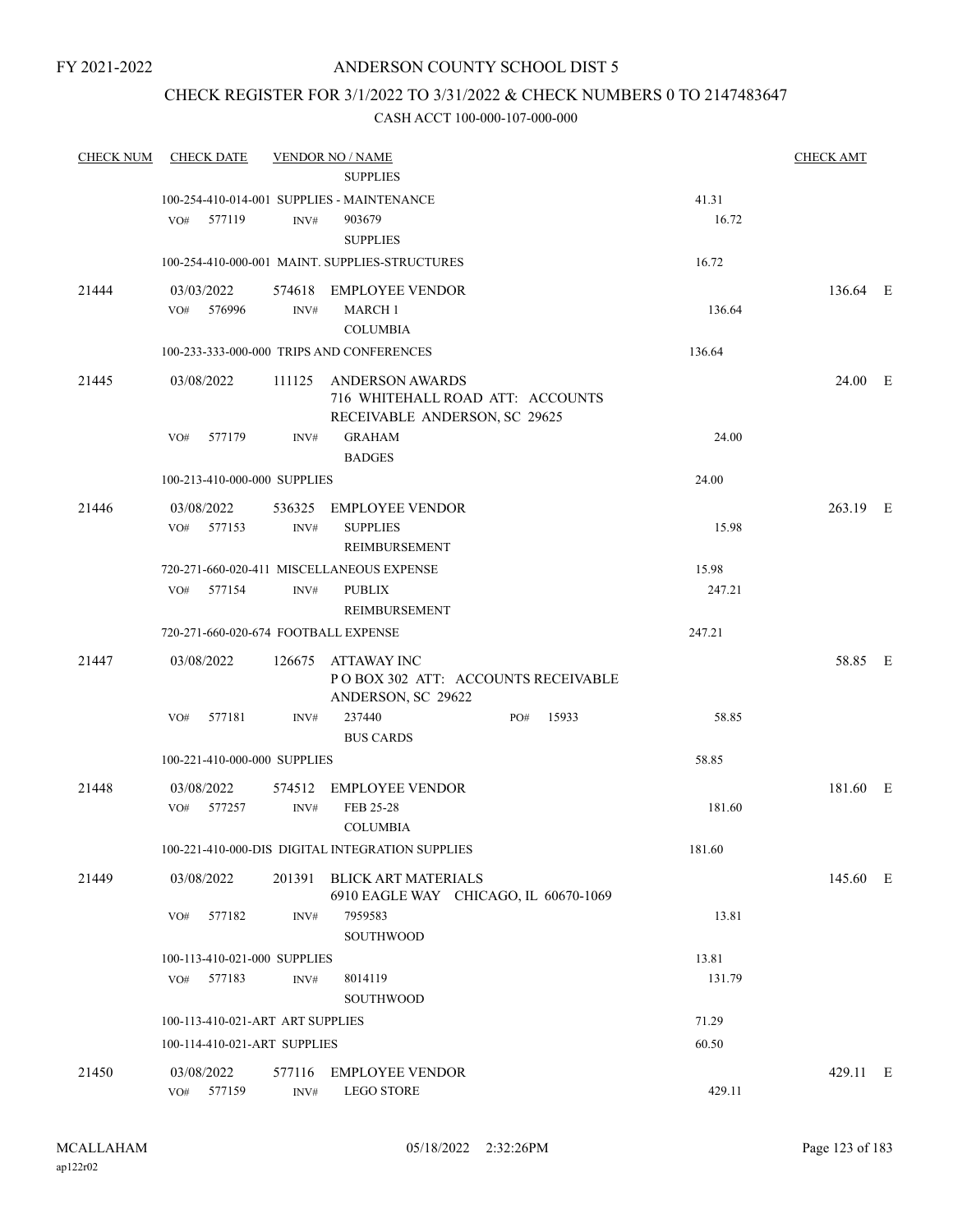### CHECK REGISTER FOR 3/1/2022 TO 3/31/2022 & CHECK NUMBERS 0 TO 2147483647

| <b>CHECK NUM</b> | <b>CHECK DATE</b>                    |        | <b>VENDOR NO / NAME</b><br><b>SUPPLIES</b>                                                  |     |        |                | <b>CHECK AMT</b> |  |
|------------------|--------------------------------------|--------|---------------------------------------------------------------------------------------------|-----|--------|----------------|------------------|--|
|                  | 577119<br>VO#                        | INV#   | 100-254-410-014-001 SUPPLIES - MAINTENANCE<br>903679                                        |     |        | 41.31<br>16.72 |                  |  |
|                  |                                      |        | <b>SUPPLIES</b><br>100-254-410-000-001 MAINT. SUPPLIES-STRUCTURES                           |     |        | 16.72          |                  |  |
|                  |                                      |        |                                                                                             |     |        |                |                  |  |
| 21444            | 03/03/2022<br>VO# 576996             | INV#   | 574618 EMPLOYEE VENDOR<br><b>MARCH 1</b><br><b>COLUMBIA</b>                                 |     |        | 136.64         | 136.64 E         |  |
|                  |                                      |        | 100-233-333-000-000 TRIPS AND CONFERENCES                                                   |     | 136.64 |                |                  |  |
| 21445            | 03/08/2022                           |        | 111125 ANDERSON AWARDS<br>716 WHITEHALL ROAD ATT: ACCOUNTS<br>RECEIVABLE ANDERSON, SC 29625 |     |        |                | 24.00 E          |  |
|                  | 577179<br>VO#                        | INV#   | <b>GRAHAM</b><br><b>BADGES</b>                                                              |     |        | 24.00          |                  |  |
|                  | 100-213-410-000-000 SUPPLIES         |        |                                                                                             |     |        | 24.00          |                  |  |
| 21446            | 03/08/2022                           |        | 536325 EMPLOYEE VENDOR                                                                      |     |        |                | 263.19 E         |  |
|                  | VO#<br>577153                        | INV#   | <b>SUPPLIES</b><br>REIMBURSEMENT                                                            |     |        | 15.98          |                  |  |
|                  |                                      |        | 720-271-660-020-411 MISCELLANEOUS EXPENSE                                                   |     |        | 15.98          |                  |  |
|                  | VO# 577154                           | INV#   | <b>PUBLIX</b><br>REIMBURSEMENT                                                              |     |        | 247.21         |                  |  |
|                  | 720-271-660-020-674 FOOTBALL EXPENSE |        |                                                                                             |     |        | 247.21         |                  |  |
| 21447            | 03/08/2022                           |        | 126675 ATTAWAY INC<br>PO BOX 302 ATT: ACCOUNTS RECEIVABLE<br>ANDERSON, SC 29622             |     |        |                | 58.85 E          |  |
|                  | 577181<br>VO#                        | INV#   | 237440<br><b>BUS CARDS</b>                                                                  | PO# | 15933  | 58.85          |                  |  |
|                  | 100-221-410-000-000 SUPPLIES         |        |                                                                                             |     |        | 58.85          |                  |  |
| 21448            | 03/08/2022<br>VO#<br>577257          | INV#   | 574512 EMPLOYEE VENDOR<br>FEB 25-28                                                         |     |        | 181.60         | 181.60 E         |  |
|                  |                                      |        | <b>COLUMBIA</b><br>100-221-410-000-DIS DIGITAL INTEGRATION SUPPLIES                         |     |        | 181.60         |                  |  |
|                  |                                      |        |                                                                                             |     |        |                |                  |  |
| 21449            | 03/08/2022                           | 201391 | <b>BLICK ART MATERIALS</b><br>6910 EAGLE WAY CHICAGO, IL 60670-1069                         |     |        |                | 145.60 E         |  |
|                  | 577182<br>VO#                        | INV#   | 7959583<br><b>SOUTHWOOD</b>                                                                 |     |        | 13.81          |                  |  |
|                  | 100-113-410-021-000 SUPPLIES         |        |                                                                                             |     |        | 13.81          |                  |  |
|                  | 577183<br>VO#                        | INV#   | 8014119<br>SOUTHWOOD                                                                        |     |        | 131.79         |                  |  |
|                  | 100-113-410-021-ART ART SUPPLIES     |        |                                                                                             |     |        | 71.29          |                  |  |
|                  | 100-114-410-021-ART SUPPLIES         |        |                                                                                             |     |        | 60.50          |                  |  |
| 21450            | 03/08/2022                           | 577116 | <b>EMPLOYEE VENDOR</b>                                                                      |     |        |                | 429.11 E         |  |
|                  | 577159<br>VO#                        | INV#   | <b>LEGO STORE</b>                                                                           |     |        | 429.11         |                  |  |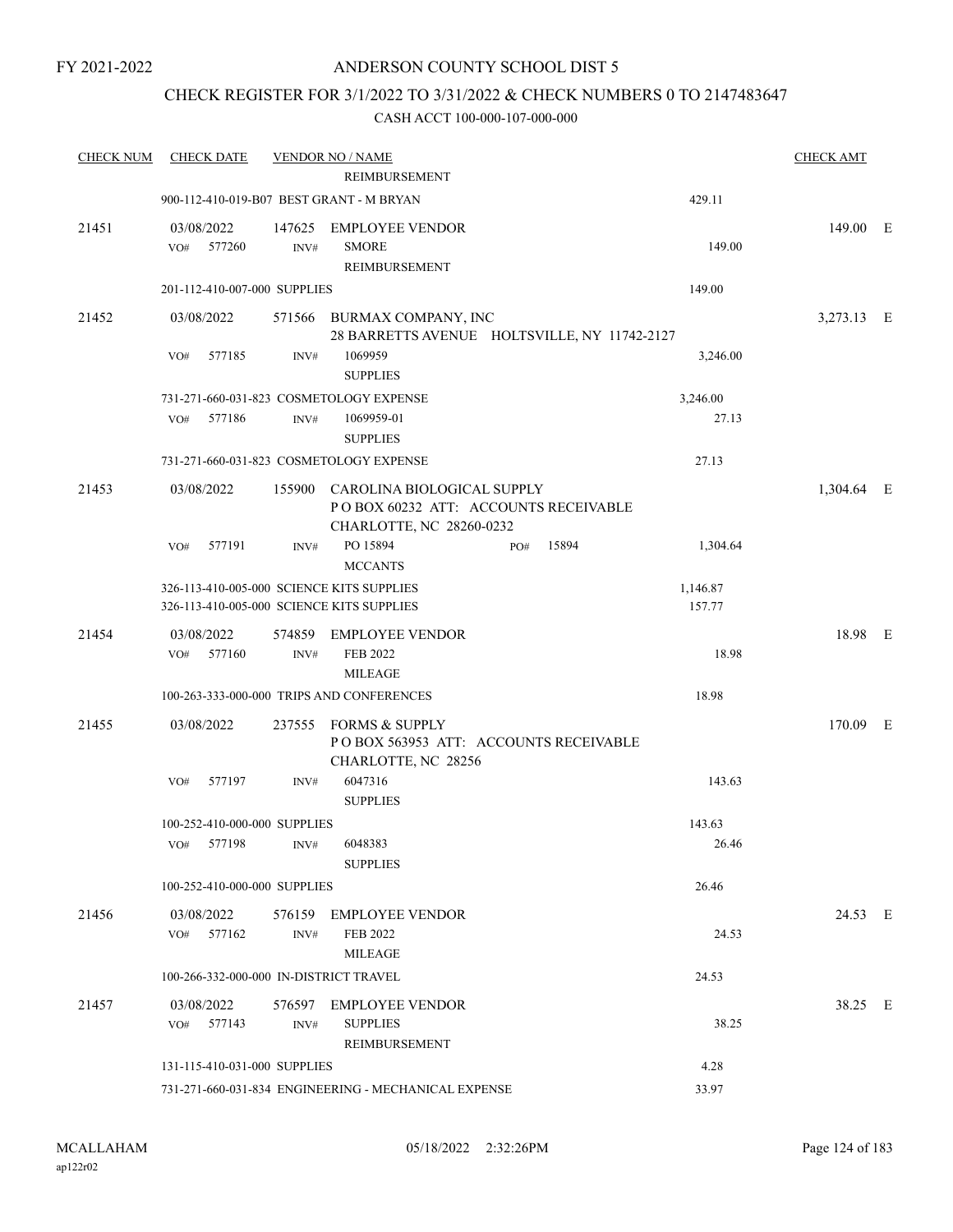### CHECK REGISTER FOR 3/1/2022 TO 3/31/2022 & CHECK NUMBERS 0 TO 2147483647

| <b>CHECK NUM</b> | <b>CHECK DATE</b>                                                                      |                | <b>VENDOR NO / NAME</b>                                                                        |     |       |                    | <b>CHECK AMT</b> |  |
|------------------|----------------------------------------------------------------------------------------|----------------|------------------------------------------------------------------------------------------------|-----|-------|--------------------|------------------|--|
|                  |                                                                                        |                | <b>REIMBURSEMENT</b>                                                                           |     |       |                    |                  |  |
|                  |                                                                                        |                | 900-112-410-019-B07 BEST GRANT - M BRYAN                                                       |     |       | 429.11             |                  |  |
| 21451            | 03/08/2022<br>577260<br>VO#                                                            | 147625<br>INV# | <b>EMPLOYEE VENDOR</b><br><b>SMORE</b><br>REIMBURSEMENT                                        |     |       | 149.00             | 149.00 E         |  |
|                  | 201-112-410-007-000 SUPPLIES                                                           |                |                                                                                                |     |       | 149.00             |                  |  |
| 21452            | 03/08/2022                                                                             |                | 571566 BURMAX COMPANY, INC<br>28 BARRETTS AVENUE HOLTSVILLE, NY 11742-2127                     |     |       |                    | 3,273.13 E       |  |
|                  | 577185<br>VO#                                                                          | INV#           | 1069959<br><b>SUPPLIES</b>                                                                     |     |       | 3,246.00           |                  |  |
|                  |                                                                                        |                | 731-271-660-031-823 COSMETOLOGY EXPENSE                                                        |     |       | 3,246.00           |                  |  |
|                  | 577186<br>VO#                                                                          | INV#           | 1069959-01<br><b>SUPPLIES</b>                                                                  |     |       | 27.13              |                  |  |
|                  |                                                                                        |                | 731-271-660-031-823 COSMETOLOGY EXPENSE                                                        |     |       | 27.13              |                  |  |
| 21453            | 03/08/2022                                                                             | 155900         | CAROLINA BIOLOGICAL SUPPLY<br>POBOX 60232 ATT: ACCOUNTS RECEIVABLE<br>CHARLOTTE, NC 28260-0232 |     |       |                    | 1,304.64 E       |  |
|                  | 577191<br>VO#                                                                          | INV#           | PO 15894<br><b>MCCANTS</b>                                                                     | PO# | 15894 | 1,304.64           |                  |  |
|                  | 326-113-410-005-000 SCIENCE KITS SUPPLIES<br>326-113-410-005-000 SCIENCE KITS SUPPLIES |                |                                                                                                |     |       | 1,146.87<br>157.77 |                  |  |
| 21454            | 03/08/2022<br>VO#<br>577160                                                            | 574859<br>INV# | <b>EMPLOYEE VENDOR</b><br><b>FEB 2022</b><br><b>MILEAGE</b>                                    |     |       | 18.98              | 18.98 E          |  |
|                  |                                                                                        |                | 100-263-333-000-000 TRIPS AND CONFERENCES                                                      |     |       | 18.98              |                  |  |
| 21455            | 03/08/2022                                                                             | 237555         | <b>FORMS &amp; SUPPLY</b><br>POBOX 563953 ATT: ACCOUNTS RECEIVABLE<br>CHARLOTTE, NC 28256      |     |       |                    | 170.09 E         |  |
|                  | VO#<br>577197                                                                          | INV#           | 6047316<br><b>SUPPLIES</b>                                                                     |     |       | 143.63             |                  |  |
|                  | 100-252-410-000-000 SUPPLIES                                                           |                |                                                                                                |     |       | 143.63             |                  |  |
|                  | VO# 577198 INV#                                                                        |                | 6048383<br><b>SUPPLIES</b>                                                                     |     |       | 26.46              |                  |  |
|                  | 100-252-410-000-000 SUPPLIES                                                           |                |                                                                                                |     |       | 26.46              |                  |  |
| 21456            | 03/08/2022<br>VO# 577162                                                               | INV#           | 576159 EMPLOYEE VENDOR<br>FEB 2022<br><b>MILEAGE</b>                                           |     |       | 24.53              | 24.53 E          |  |
|                  | 100-266-332-000-000 IN-DISTRICT TRAVEL                                                 |                |                                                                                                |     |       | 24.53              |                  |  |
| 21457            | 03/08/2022<br>VO# 577143                                                               | INV#           | 576597 EMPLOYEE VENDOR<br><b>SUPPLIES</b><br>REIMBURSEMENT                                     |     |       | 38.25              | 38.25 E          |  |
|                  | 131-115-410-031-000 SUPPLIES                                                           |                |                                                                                                |     |       | 4.28               |                  |  |
|                  |                                                                                        |                | 731-271-660-031-834 ENGINEERING - MECHANICAL EXPENSE                                           |     |       | 33.97              |                  |  |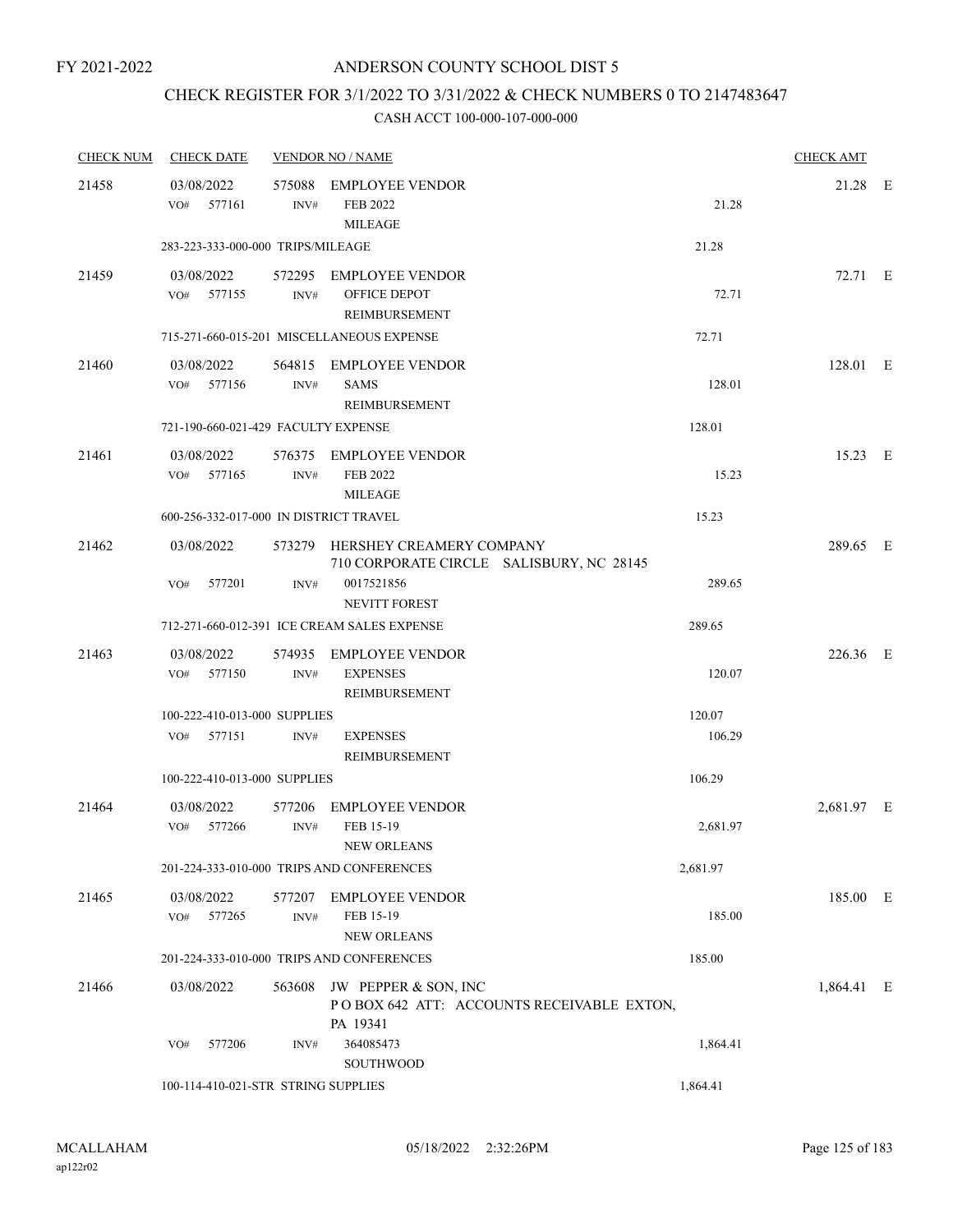# CHECK REGISTER FOR 3/1/2022 TO 3/31/2022 & CHECK NUMBERS 0 TO 2147483647

| <b>CHECK NUM</b> | <b>CHECK DATE</b>                      |                | <b>VENDOR NO / NAME</b>                                                       |          | <b>CHECK AMT</b> |  |
|------------------|----------------------------------------|----------------|-------------------------------------------------------------------------------|----------|------------------|--|
| 21458            | 03/08/2022<br>VO# 577161               | INV#           | 575088 EMPLOYEE VENDOR<br>FEB 2022<br><b>MILEAGE</b>                          | 21.28    | 21.28 E          |  |
|                  | 283-223-333-000-000 TRIPS/MILEAGE      |                |                                                                               | 21.28    |                  |  |
| 21459            | 03/08/2022<br>VO# 577155               | INV#           | 572295 EMPLOYEE VENDOR<br><b>OFFICE DEPOT</b><br><b>REIMBURSEMENT</b>         | 72.71    | 72.71 E          |  |
|                  |                                        |                | 715-271-660-015-201 MISCELLANEOUS EXPENSE                                     | 72.71    |                  |  |
| 21460            | 03/08/2022<br>VO# 577156               | INV#           | 564815 EMPLOYEE VENDOR<br><b>SAMS</b><br>REIMBURSEMENT                        | 128.01   | 128.01 E         |  |
|                  | 721-190-660-021-429 FACULTY EXPENSE    |                |                                                                               | 128.01   |                  |  |
| 21461            | 03/08/2022<br>$VO#$ 577165             | INV#           | 576375 EMPLOYEE VENDOR<br>FEB 2022<br><b>MILEAGE</b>                          | 15.23    | 15.23 E          |  |
|                  | 600-256-332-017-000 IN DISTRICT TRAVEL |                |                                                                               | 15.23    |                  |  |
| 21462            | 03/08/2022                             |                | 573279 HERSHEY CREAMERY COMPANY<br>710 CORPORATE CIRCLE SALISBURY, NC 28145   |          | 289.65 E         |  |
|                  | VO#<br>577201                          | INV#           | 0017521856<br><b>NEVITT FOREST</b>                                            | 289.65   |                  |  |
|                  |                                        |                | 712-271-660-012-391 ICE CREAM SALES EXPENSE                                   | 289.65   |                  |  |
| 21463            | 03/08/2022<br>VO#<br>577150            | 574935<br>INV# | <b>EMPLOYEE VENDOR</b><br><b>EXPENSES</b><br>REIMBURSEMENT                    | 120.07   | 226.36 E         |  |
|                  | 100-222-410-013-000 SUPPLIES           |                |                                                                               | 120.07   |                  |  |
|                  | VO# 577151                             | INV#           | <b>EXPENSES</b><br><b>REIMBURSEMENT</b>                                       | 106.29   |                  |  |
|                  | 100-222-410-013-000 SUPPLIES           |                |                                                                               | 106.29   |                  |  |
| 21464            | 03/08/2022<br>VO#<br>577266            | INV#           | 577206 EMPLOYEE VENDOR<br>FEB 15-19<br>NEW ORLEANS                            | 2,681.97 | 2,681.97 E       |  |
|                  |                                        |                | 201-224-333-010-000 TRIPS AND CONFERENCES                                     | 2,681.97 |                  |  |
| 21465            | 03/08/2022<br>VO# 577265               | INV#           | 577207 EMPLOYEE VENDOR<br>FEB 15-19<br><b>NEW ORLEANS</b>                     | 185.00   | 185.00 E         |  |
|                  |                                        |                | 201-224-333-010-000 TRIPS AND CONFERENCES                                     | 185.00   |                  |  |
| 21466            | 03/08/2022                             | 563608         | JW PEPPER & SON, INC<br>POBOX 642 ATT: ACCOUNTS RECEIVABLE EXTON,<br>PA 19341 |          | 1,864.41 E       |  |
|                  | 577206<br>VO#                          | INV#           | 364085473<br>SOUTHWOOD                                                        | 1,864.41 |                  |  |
|                  | 100-114-410-021-STR STRING SUPPLIES    |                |                                                                               | 1,864.41 |                  |  |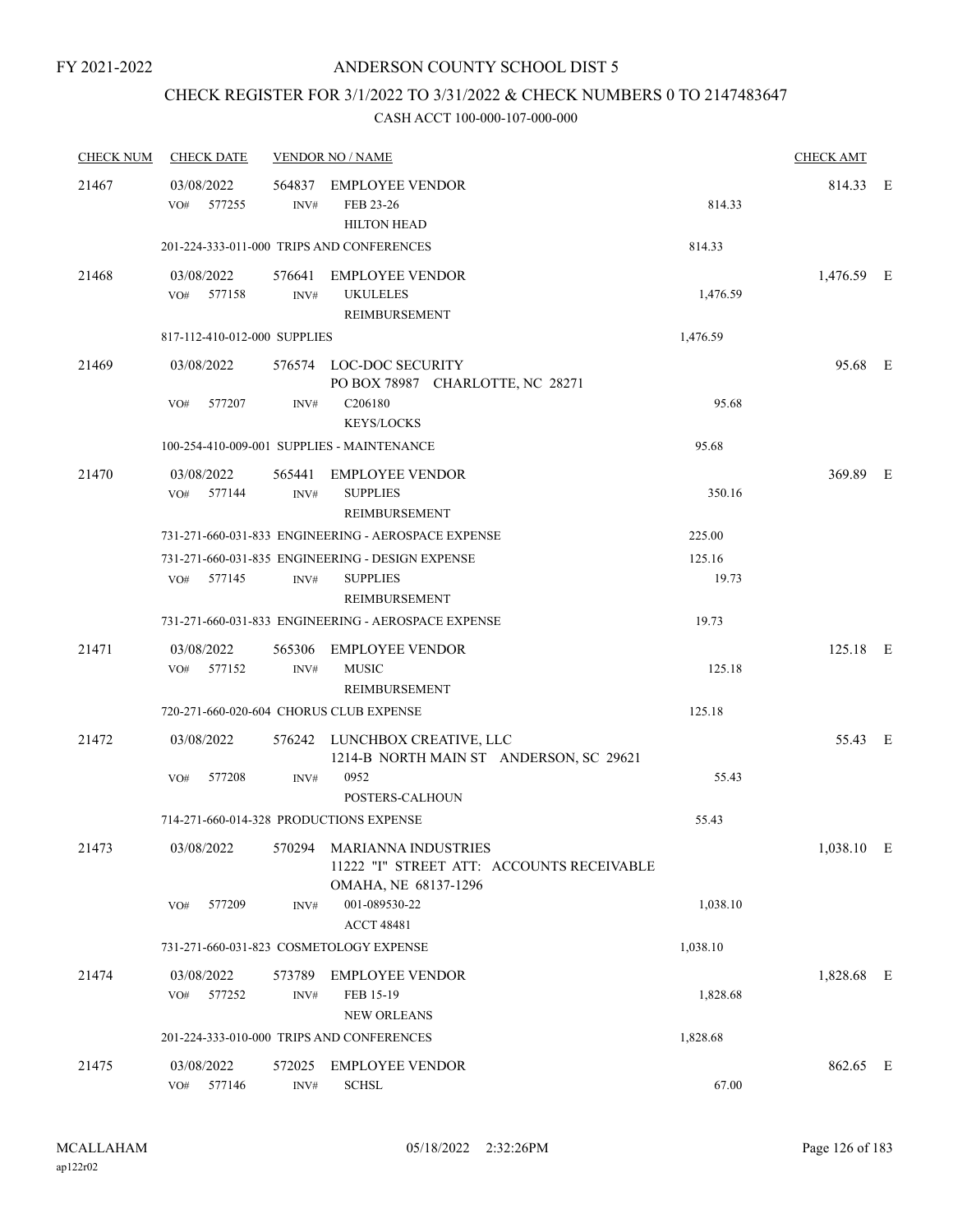## CHECK REGISTER FOR 3/1/2022 TO 3/31/2022 & CHECK NUMBERS 0 TO 2147483647

| <b>CHECK NUM</b> | <b>CHECK DATE</b>                       |                | <b>VENDOR NO / NAME</b>                                                                                    |                 | <b>CHECK AMT</b> |  |
|------------------|-----------------------------------------|----------------|------------------------------------------------------------------------------------------------------------|-----------------|------------------|--|
| 21467            | 03/08/2022<br>VO# 577255                | INV#           | 564837 EMPLOYEE VENDOR<br>FEB 23-26                                                                        | 814.33          | 814.33 E         |  |
|                  |                                         |                | <b>HILTON HEAD</b><br>201-224-333-011-000 TRIPS AND CONFERENCES                                            | 814.33          |                  |  |
|                  |                                         |                |                                                                                                            |                 |                  |  |
| 21468            | 03/08/2022<br>VO# 577158                | INV#           | 576641 EMPLOYEE VENDOR<br><b>UKULELES</b><br>REIMBURSEMENT                                                 | 1,476.59        | 1,476.59 E       |  |
|                  | 817-112-410-012-000 SUPPLIES            |                |                                                                                                            | 1,476.59        |                  |  |
| 21469            | 03/08/2022                              |                | 576574 LOC-DOC SECURITY<br>PO BOX 78987 CHARLOTTE, NC 28271                                                |                 | 95.68 E          |  |
|                  | VO#<br>577207                           | INV#           | C206180<br><b>KEYS/LOCKS</b>                                                                               | 95.68           |                  |  |
|                  |                                         |                | 100-254-410-009-001 SUPPLIES - MAINTENANCE                                                                 | 95.68           |                  |  |
| 21470            | 03/08/2022<br>VO#<br>577144             | INV#           | 565441 EMPLOYEE VENDOR<br><b>SUPPLIES</b><br>REIMBURSEMENT                                                 | 350.16          | 369.89 E         |  |
|                  |                                         |                | 731-271-660-031-833 ENGINEERING - AEROSPACE EXPENSE                                                        | 225.00          |                  |  |
|                  | 577145<br>VO#                           | INV#           | 731-271-660-031-835 ENGINEERING - DESIGN EXPENSE<br><b>SUPPLIES</b><br>REIMBURSEMENT                       | 125.16<br>19.73 |                  |  |
|                  |                                         |                | 731-271-660-031-833 ENGINEERING - AEROSPACE EXPENSE                                                        | 19.73           |                  |  |
| 21471            | 03/08/2022<br>VO# 577152                | 565306<br>INV# | <b>EMPLOYEE VENDOR</b><br><b>MUSIC</b><br>REIMBURSEMENT                                                    | 125.18          | 125.18 E         |  |
|                  | 720-271-660-020-604 CHORUS CLUB EXPENSE |                |                                                                                                            | 125.18          |                  |  |
| 21472            | 03/08/2022                              |                | 576242 LUNCHBOX CREATIVE, LLC<br>1214-B NORTH MAIN ST ANDERSON, SC 29621                                   |                 | 55.43 E          |  |
|                  | 577208<br>VO#                           | INV#           | 0952<br>POSTERS-CALHOUN                                                                                    | 55.43           |                  |  |
|                  | 714-271-660-014-328 PRODUCTIONS EXPENSE |                |                                                                                                            | 55.43           |                  |  |
| 21473            |                                         |                | 03/08/2022 570294 MARIANNA INDUSTRIES<br>11222 "I" STREET ATT: ACCOUNTS RECEIVABLE<br>OMAHA, NE 68137-1296 |                 | 1,038.10 E       |  |
|                  | 577209<br>VO#                           | INV#           | 001-089530-22<br><b>ACCT 48481</b>                                                                         | 1,038.10        |                  |  |
|                  | 731-271-660-031-823 COSMETOLOGY EXPENSE |                |                                                                                                            | 1,038.10        |                  |  |
| 21474            | 03/08/2022<br>VO#<br>577252             | 573789<br>INV# | <b>EMPLOYEE VENDOR</b><br>FEB 15-19<br><b>NEW ORLEANS</b>                                                  | 1,828.68        | 1,828.68 E       |  |
|                  |                                         |                | 201-224-333-010-000 TRIPS AND CONFERENCES                                                                  | 1,828.68        |                  |  |
| 21475            | 03/08/2022<br>577146<br>VO#             | 572025<br>INV# | <b>EMPLOYEE VENDOR</b><br><b>SCHSL</b>                                                                     | 67.00           | 862.65 E         |  |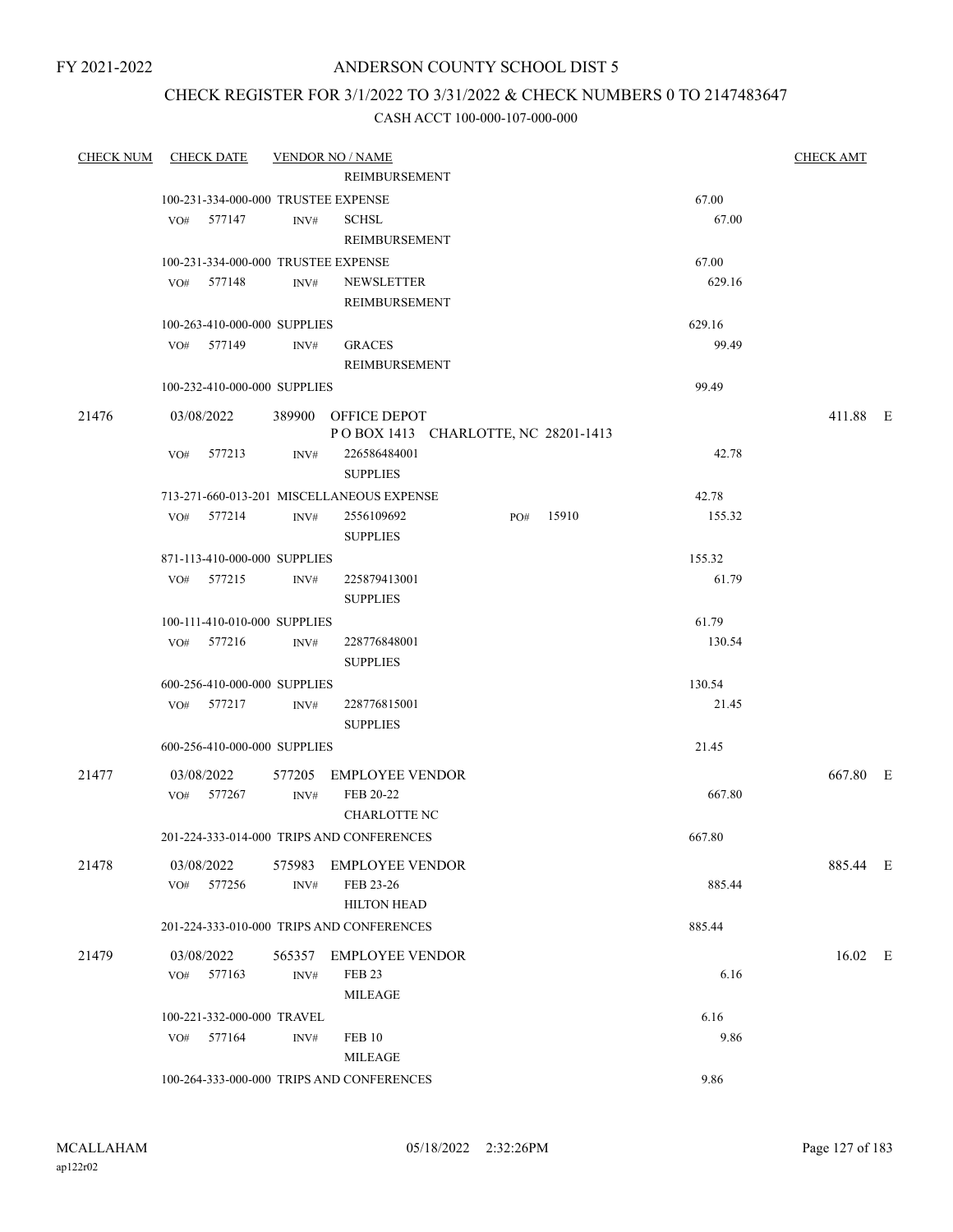FY 2021-2022

### ANDERSON COUNTY SCHOOL DIST 5

### CHECK REGISTER FOR 3/1/2022 TO 3/31/2022 & CHECK NUMBERS 0 TO 2147483647

| <b>CHECK NUM</b> | CHECK DATE                   | <b>VENDOR NO / NAME</b>                   |                     |                                     |           |        | <b>CHECK AMT</b> |  |
|------------------|------------------------------|-------------------------------------------|---------------------|-------------------------------------|-----------|--------|------------------|--|
|                  |                              |                                           | REIMBURSEMENT       |                                     |           |        |                  |  |
|                  |                              | 100-231-334-000-000 TRUSTEE EXPENSE       |                     |                                     |           | 67.00  |                  |  |
|                  | VO# 577147                   | INV#                                      | <b>SCHSL</b>        |                                     |           | 67.00  |                  |  |
|                  |                              |                                           | REIMBURSEMENT       |                                     |           |        |                  |  |
|                  |                              | 100-231-334-000-000 TRUSTEE EXPENSE       |                     |                                     |           | 67.00  |                  |  |
|                  | VO# 577148                   | INV#                                      | NEWSLETTER          |                                     |           | 629.16 |                  |  |
|                  |                              |                                           | REIMBURSEMENT       |                                     |           |        |                  |  |
|                  | 100-263-410-000-000 SUPPLIES |                                           |                     |                                     |           | 629.16 |                  |  |
|                  | VO# 577149                   | INV#                                      | <b>GRACES</b>       |                                     |           | 99.49  |                  |  |
|                  |                              |                                           | REIMBURSEMENT       |                                     |           |        |                  |  |
|                  | 100-232-410-000-000 SUPPLIES |                                           |                     |                                     |           | 99.49  |                  |  |
| 21476            | 03/08/2022                   | 389900 OFFICE DEPOT                       |                     |                                     |           |        | 411.88 E         |  |
|                  |                              |                                           |                     | POBOX 1413 CHARLOTTE, NC 28201-1413 |           |        |                  |  |
|                  | VO# 577213                   | INV#                                      | 226586484001        |                                     |           | 42.78  |                  |  |
|                  |                              |                                           | <b>SUPPLIES</b>     |                                     |           |        |                  |  |
|                  |                              | 713-271-660-013-201 MISCELLANEOUS EXPENSE |                     |                                     |           | 42.78  |                  |  |
|                  | VO# 577214                   | INV#                                      | 2556109692          |                                     | PO# 15910 | 155.32 |                  |  |
|                  |                              |                                           | <b>SUPPLIES</b>     |                                     |           |        |                  |  |
|                  | 871-113-410-000-000 SUPPLIES |                                           |                     |                                     |           | 155.32 |                  |  |
|                  | VO# 577215                   | INV#                                      | 225879413001        |                                     |           | 61.79  |                  |  |
|                  |                              |                                           | <b>SUPPLIES</b>     |                                     |           |        |                  |  |
|                  | 100-111-410-010-000 SUPPLIES |                                           |                     |                                     |           | 61.79  |                  |  |
|                  | VO# 577216                   | INV#                                      | 228776848001        |                                     |           | 130.54 |                  |  |
|                  |                              |                                           | <b>SUPPLIES</b>     |                                     |           |        |                  |  |
|                  | 600-256-410-000-000 SUPPLIES |                                           |                     |                                     |           | 130.54 |                  |  |
|                  | VO# 577217                   | INV#                                      | 228776815001        |                                     |           | 21.45  |                  |  |
|                  |                              |                                           | <b>SUPPLIES</b>     |                                     |           |        |                  |  |
|                  | 600-256-410-000-000 SUPPLIES |                                           |                     |                                     |           | 21.45  |                  |  |
|                  |                              |                                           |                     |                                     |           |        |                  |  |
| 21477            | 03/08/2022<br>VO# 577267     | 577205 EMPLOYEE VENDOR<br>INV#            | FEB 20-22           |                                     |           | 667.80 | 667.80 E         |  |
|                  |                              |                                           | <b>CHARLOTTE NC</b> |                                     |           |        |                  |  |
|                  |                              | 201-224-333-014-000 TRIPS AND CONFERENCES |                     |                                     |           | 667.80 |                  |  |
|                  |                              |                                           |                     |                                     |           |        |                  |  |
| 21478            | 03/08/2022                   | 575983 EMPLOYEE VENDOR                    |                     |                                     |           |        | 885.44 E         |  |
|                  | VO# 577256                   | INV#                                      | FEB 23-26           |                                     |           | 885.44 |                  |  |
|                  |                              |                                           | <b>HILTON HEAD</b>  |                                     |           |        |                  |  |
|                  |                              | 201-224-333-010-000 TRIPS AND CONFERENCES |                     |                                     |           | 885.44 |                  |  |
| 21479            | 03/08/2022                   | 565357 EMPLOYEE VENDOR                    |                     |                                     |           |        | $16.02$ E        |  |
|                  | VO# 577163                   | INV#                                      | FEB <sub>23</sub>   |                                     |           | 6.16   |                  |  |
|                  |                              |                                           | <b>MILEAGE</b>      |                                     |           |        |                  |  |
|                  | 100-221-332-000-000 TRAVEL   |                                           |                     |                                     |           | 6.16   |                  |  |
|                  | VO# 577164                   | INV#                                      | FEB 10              |                                     |           | 9.86   |                  |  |
|                  |                              |                                           | <b>MILEAGE</b>      |                                     |           |        |                  |  |
|                  |                              | 100-264-333-000-000 TRIPS AND CONFERENCES |                     |                                     |           | 9.86   |                  |  |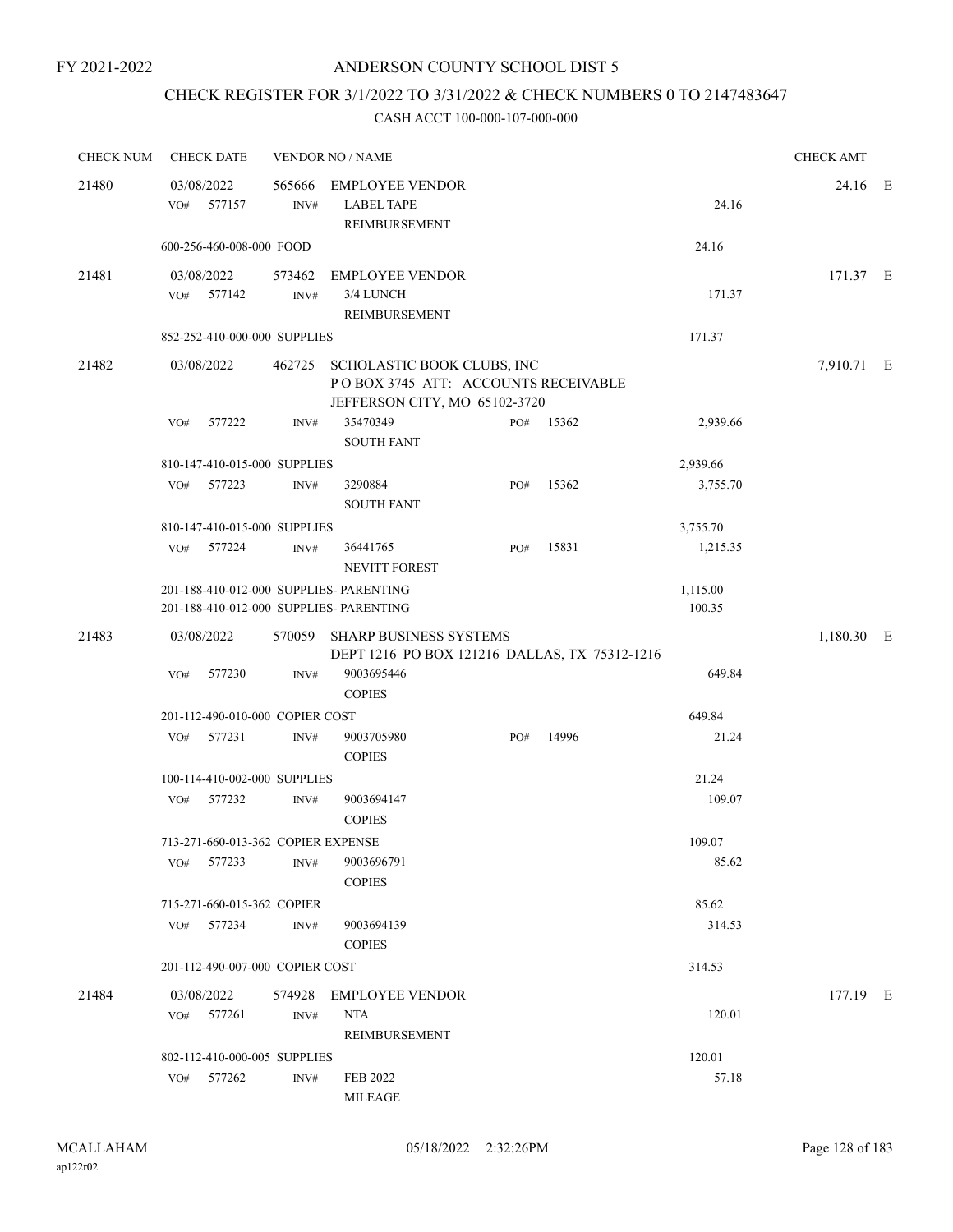# CHECK REGISTER FOR 3/1/2022 TO 3/31/2022 & CHECK NUMBERS 0 TO 2147483647

| <b>CHECK NUM</b> | <b>CHECK DATE</b>                                                                  |                | <b>VENDOR NO / NAME</b>                                                                                   |     |           |                    | <b>CHECK AMT</b> |  |
|------------------|------------------------------------------------------------------------------------|----------------|-----------------------------------------------------------------------------------------------------------|-----|-----------|--------------------|------------------|--|
| 21480            | 03/08/2022<br>577157<br>VO#                                                        | 565666<br>INV# | EMPLOYEE VENDOR<br><b>LABEL TAPE</b><br>REIMBURSEMENT                                                     |     |           | 24.16              | 24.16 E          |  |
|                  | 600-256-460-008-000 FOOD                                                           |                |                                                                                                           |     |           | 24.16              |                  |  |
| 21481            | 03/08/2022<br>VO# 577142                                                           | 573462<br>INV# | <b>EMPLOYEE VENDOR</b><br>3/4 LUNCH<br>REIMBURSEMENT                                                      |     |           | 171.37             | 171.37 E         |  |
|                  | 852-252-410-000-000 SUPPLIES                                                       |                |                                                                                                           |     |           | 171.37             |                  |  |
| 21482            | 03/08/2022                                                                         |                | 462725 SCHOLASTIC BOOK CLUBS, INC<br>POBOX 3745 ATT: ACCOUNTS RECEIVABLE<br>JEFFERSON CITY, MO 65102-3720 |     |           |                    | 7,910.71 E       |  |
|                  | VO#<br>577222                                                                      | INV#           | 35470349<br><b>SOUTH FANT</b>                                                                             |     | PO# 15362 | 2,939.66           |                  |  |
|                  | 810-147-410-015-000 SUPPLIES                                                       |                |                                                                                                           |     |           | 2,939.66           |                  |  |
|                  | 577223<br>VO#                                                                      | INV#           | 3290884<br><b>SOUTH FANT</b>                                                                              | PO# | 15362     | 3,755.70           |                  |  |
|                  | 810-147-410-015-000 SUPPLIES                                                       |                |                                                                                                           |     |           | 3,755.70           |                  |  |
|                  | VO#<br>577224                                                                      | INV#           | 36441765<br>NEVITT FOREST                                                                                 | PO# | 15831     | 1,215.35           |                  |  |
|                  | 201-188-410-012-000 SUPPLIES- PARENTING<br>201-188-410-012-000 SUPPLIES- PARENTING |                |                                                                                                           |     |           | 1,115.00<br>100.35 |                  |  |
| 21483            | 03/08/2022                                                                         |                | 570059 SHARP BUSINESS SYSTEMS<br>DEPT 1216 PO BOX 121216 DALLAS, TX 75312-1216                            |     |           |                    | 1,180.30 E       |  |
|                  | 577230<br>VO#                                                                      | INV#           | 9003695446<br><b>COPIES</b>                                                                               |     |           | 649.84             |                  |  |
|                  | 201-112-490-010-000 COPIER COST                                                    |                |                                                                                                           |     |           | 649.84             |                  |  |
|                  | 577231<br>VO#                                                                      | INV#           | 9003705980<br><b>COPIES</b>                                                                               | PO# | 14996     | 21.24              |                  |  |
|                  | 100-114-410-002-000 SUPPLIES                                                       |                |                                                                                                           |     |           | 21.24              |                  |  |
|                  | 577232<br>VO#                                                                      | INV#           | 9003694147<br><b>COPIES</b>                                                                               |     |           | 109.07             |                  |  |
|                  | 713-271-660-013-362 COPIER EXPENSE<br>VO# 577233                                   | INV#           | 9003696791                                                                                                |     |           | 109.07<br>85.62    |                  |  |
|                  |                                                                                    |                | <b>COPIES</b>                                                                                             |     |           |                    |                  |  |
|                  | 715-271-660-015-362 COPIER                                                         |                |                                                                                                           |     |           | 85.62              |                  |  |
|                  | VO# 577234                                                                         | INV#           | 9003694139<br><b>COPIES</b>                                                                               |     |           | 314.53             |                  |  |
|                  | 201-112-490-007-000 COPIER COST                                                    |                |                                                                                                           |     |           | 314.53             |                  |  |
| 21484            | 03/08/2022<br>VO# 577261                                                           | INV#           | 574928 EMPLOYEE VENDOR<br>NTA<br>REIMBURSEMENT                                                            |     |           | 120.01             | 177.19 E         |  |
|                  | 802-112-410-000-005 SUPPLIES                                                       |                |                                                                                                           |     |           | 120.01             |                  |  |
|                  | VO# 577262                                                                         | INV#           | FEB 2022<br><b>MILEAGE</b>                                                                                |     |           | 57.18              |                  |  |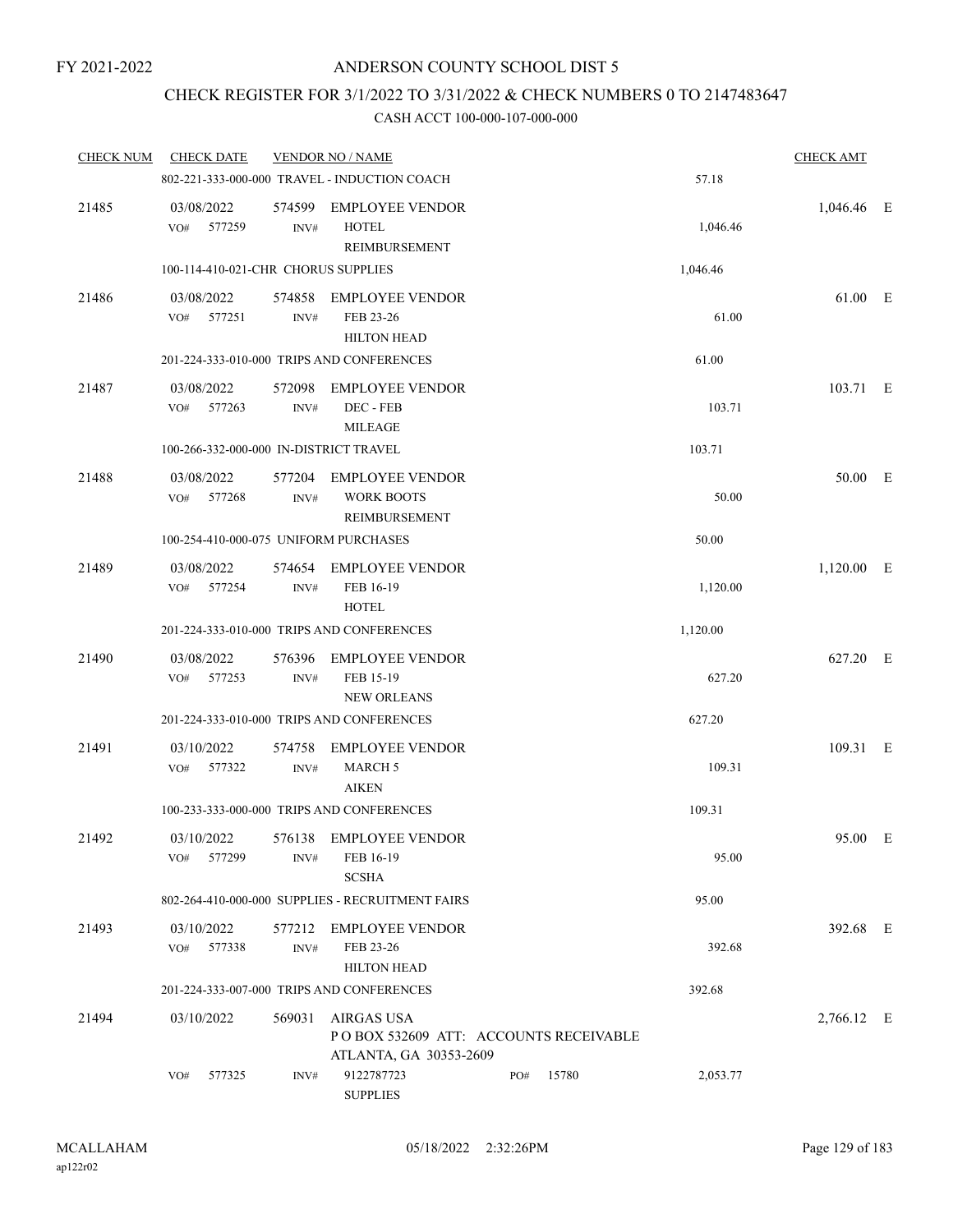# CHECK REGISTER FOR 3/1/2022 TO 3/31/2022 & CHECK NUMBERS 0 TO 2147483647

| <b>CHECK NUM</b> | <b>CHECK DATE</b>           |                                        | <b>VENDOR NO / NAME</b>                                                              |     |       |          | <b>CHECK AMT</b> |  |
|------------------|-----------------------------|----------------------------------------|--------------------------------------------------------------------------------------|-----|-------|----------|------------------|--|
|                  |                             |                                        | 802-221-333-000-000 TRAVEL - INDUCTION COACH                                         |     |       | 57.18    |                  |  |
| 21485            | 03/08/2022<br>577259<br>VO# | INV#                                   | 574599 EMPLOYEE VENDOR<br><b>HOTEL</b><br>REIMBURSEMENT                              |     |       | 1,046.46 | 1,046.46 E       |  |
|                  |                             | 100-114-410-021-CHR CHORUS SUPPLIES    |                                                                                      |     |       | 1,046.46 |                  |  |
| 21486            | 03/08/2022<br>577251<br>VO# | 574858<br>INV#                         | <b>EMPLOYEE VENDOR</b><br>FEB 23-26<br><b>HILTON HEAD</b>                            |     |       | 61.00    | 61.00 E          |  |
|                  |                             |                                        | 201-224-333-010-000 TRIPS AND CONFERENCES                                            |     |       | 61.00    |                  |  |
| 21487            | 03/08/2022<br>VO# 577263    | 572098<br>INV#                         | <b>EMPLOYEE VENDOR</b><br>DEC - FEB<br><b>MILEAGE</b>                                |     |       | 103.71   | 103.71 E         |  |
|                  |                             | 100-266-332-000-000 IN-DISTRICT TRAVEL |                                                                                      |     |       | 103.71   |                  |  |
| 21488            | 03/08/2022<br>577268<br>VO# | 577204<br>INV#                         | EMPLOYEE VENDOR<br><b>WORK BOOTS</b><br><b>REIMBURSEMENT</b>                         |     |       | 50.00    | 50.00 E          |  |
|                  |                             |                                        | 100-254-410-000-075 UNIFORM PURCHASES                                                |     |       | 50.00    |                  |  |
| 21489            | 03/08/2022<br>VO#<br>577254 | $\text{INV}\#$                         | 574654 EMPLOYEE VENDOR<br>FEB 16-19<br><b>HOTEL</b>                                  |     |       | 1,120.00 | $1,120.00$ E     |  |
|                  |                             |                                        | 201-224-333-010-000 TRIPS AND CONFERENCES                                            |     |       | 1,120.00 |                  |  |
| 21490            | 03/08/2022<br>VO# 577253    | 576396<br>INV#                         | <b>EMPLOYEE VENDOR</b><br>FEB 15-19<br><b>NEW ORLEANS</b>                            |     |       | 627.20   | 627.20 E         |  |
|                  |                             |                                        | 201-224-333-010-000 TRIPS AND CONFERENCES                                            |     |       | 627.20   |                  |  |
| 21491            | 03/10/2022<br>577322<br>VO# | 574758<br>INV#                         | EMPLOYEE VENDOR<br><b>MARCH 5</b><br><b>AIKEN</b>                                    |     |       | 109.31   | 109.31 E         |  |
|                  |                             |                                        | 100-233-333-000-000 TRIPS AND CONFERENCES                                            |     |       | 109.31   |                  |  |
| 21492            | 03/10/2022<br>577299<br>VO# | INV#                                   | 576138 EMPLOYEE VENDOR<br>FEB 16-19<br><b>SCSHA</b>                                  |     |       | 95.00    | 95.00 E          |  |
|                  |                             |                                        | 802-264-410-000-000 SUPPLIES - RECRUITMENT FAIRS                                     |     |       | 95.00    |                  |  |
| 21493            | 03/10/2022<br>VO#<br>577338 | 577212<br>INV#                         | <b>EMPLOYEE VENDOR</b><br>FEB 23-26<br><b>HILTON HEAD</b>                            |     |       | 392.68   | 392.68 E         |  |
|                  |                             |                                        | 201-224-333-007-000 TRIPS AND CONFERENCES                                            |     |       | 392.68   |                  |  |
| 21494            | 03/10/2022                  | 569031                                 | <b>AIRGAS USA</b><br>POBOX 532609 ATT: ACCOUNTS RECEIVABLE<br>ATLANTA, GA 30353-2609 |     |       |          | 2,766.12 E       |  |
|                  | 577325<br>VO#               | INV#                                   | 9122787723<br><b>SUPPLIES</b>                                                        | PO# | 15780 | 2,053.77 |                  |  |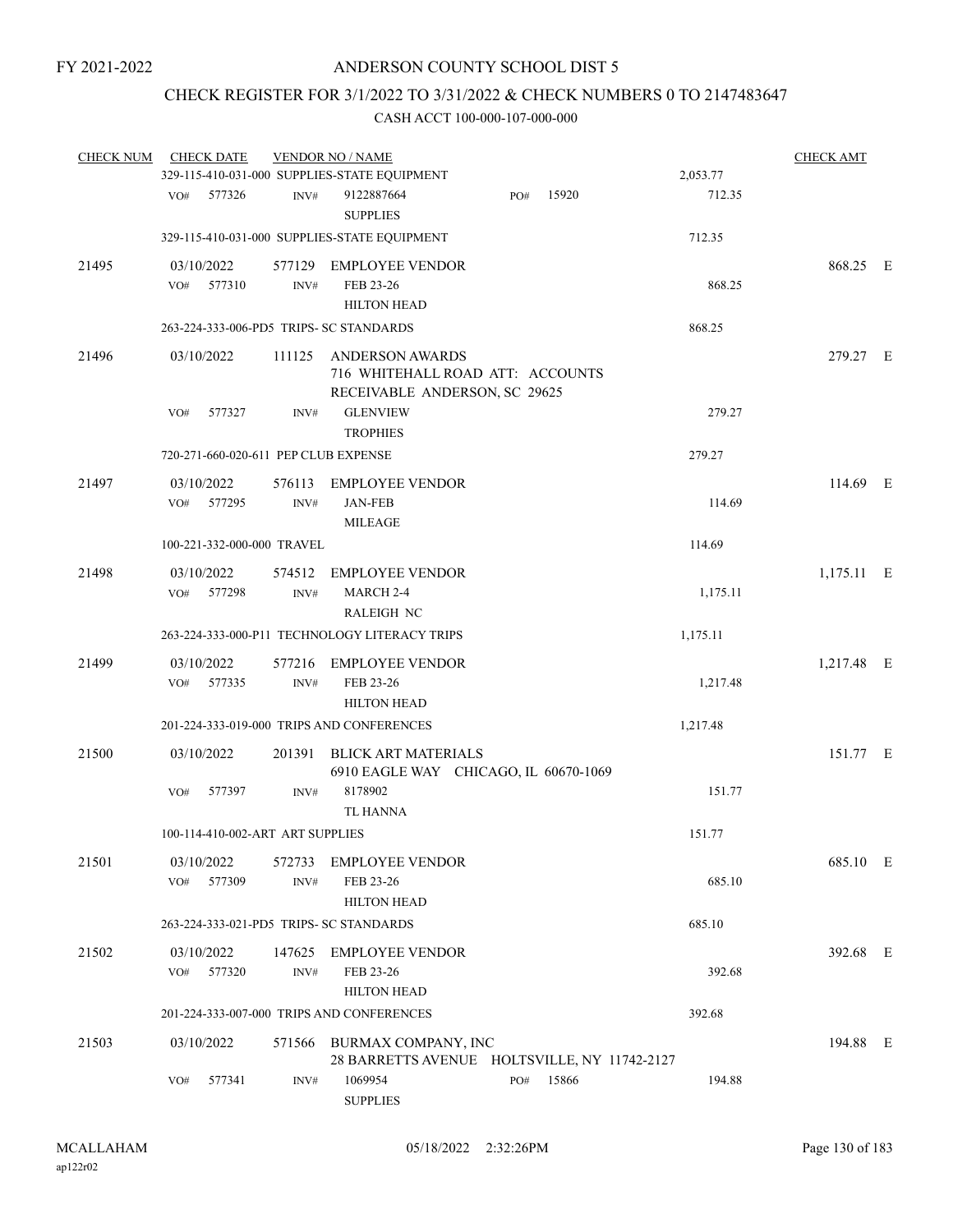### CHECK REGISTER FOR 3/1/2022 TO 3/31/2022 & CHECK NUMBERS 0 TO 2147483647

| <b>CHECK NUM</b> | <b>CHECK DATE</b>                       |                          | <b>VENDOR NO / NAME</b>                                                                     |     |       |          | <b>CHECK AMT</b> |  |
|------------------|-----------------------------------------|--------------------------|---------------------------------------------------------------------------------------------|-----|-------|----------|------------------|--|
|                  |                                         |                          | 329-115-410-031-000 SUPPLIES-STATE EQUIPMENT                                                |     |       | 2,053.77 |                  |  |
|                  | VO#<br>577326                           | INV#                     | 9122887664<br><b>SUPPLIES</b>                                                               | PO# | 15920 | 712.35   |                  |  |
|                  |                                         |                          | 329-115-410-031-000 SUPPLIES-STATE EQUIPMENT                                                |     |       | 712.35   |                  |  |
| 21495            | 03/10/2022                              |                          | 577129 EMPLOYEE VENDOR                                                                      |     |       |          | 868.25 E         |  |
|                  | 577310<br>VO#                           | INV#                     | FEB 23-26<br><b>HILTON HEAD</b>                                                             |     |       | 868.25   |                  |  |
|                  | 263-224-333-006-PD5 TRIPS- SC STANDARDS |                          |                                                                                             |     |       | 868.25   |                  |  |
| 21496            | 03/10/2022                              | 111125                   | <b>ANDERSON AWARDS</b><br>716 WHITEHALL ROAD ATT: ACCOUNTS<br>RECEIVABLE ANDERSON, SC 29625 |     |       |          | 279.27 E         |  |
|                  | VO#<br>577327                           | INV#                     | <b>GLENVIEW</b><br><b>TROPHIES</b>                                                          |     |       | 279.27   |                  |  |
|                  | 720-271-660-020-611 PEP CLUB EXPENSE    |                          |                                                                                             |     |       | 279.27   |                  |  |
| 21497            | 03/10/2022<br>577295<br>VO#             | 576113<br>INV#           | <b>EMPLOYEE VENDOR</b><br><b>JAN-FEB</b><br><b>MILEAGE</b>                                  |     |       | 114.69   | 114.69 E         |  |
|                  | 100-221-332-000-000 TRAVEL              |                          |                                                                                             |     |       | 114.69   |                  |  |
| 21498            | 03/10/2022<br>VO# 577298                | 574512<br>$\text{INV}\#$ | <b>EMPLOYEE VENDOR</b><br>MARCH 2-4<br><b>RALEIGH NC</b>                                    |     |       | 1,175.11 | $1,175.11$ E     |  |
|                  |                                         |                          | 263-224-333-000-P11 TECHNOLOGY LITERACY TRIPS                                               |     |       | 1,175.11 |                  |  |
| 21499            | 03/10/2022<br>VO#<br>577335             | 577216<br>INV#           | <b>EMPLOYEE VENDOR</b><br>FEB 23-26<br><b>HILTON HEAD</b>                                   |     |       | 1,217.48 | 1,217.48 E       |  |
|                  |                                         |                          | 201-224-333-019-000 TRIPS AND CONFERENCES                                                   |     |       | 1,217.48 |                  |  |
| 21500            | 03/10/2022                              | 201391                   | <b>BLICK ART MATERIALS</b><br>6910 EAGLE WAY CHICAGO, IL 60670-1069                         |     |       |          | 151.77 E         |  |
|                  | 577397<br>VO#                           | INV#                     | 8178902<br><b>TL HANNA</b>                                                                  |     |       | 151.77   |                  |  |
|                  | 100-114-410-002-ART ART SUPPLIES        |                          |                                                                                             |     |       | 151.77   |                  |  |
| 21501            | 03/10/2022<br>577309<br>VO#             | INV#                     | 572733 EMPLOYEE VENDOR<br>FEB 23-26<br><b>HILTON HEAD</b>                                   |     |       | 685.10   | 685.10 E         |  |
|                  | 263-224-333-021-PD5 TRIPS- SC STANDARDS |                          |                                                                                             |     |       | 685.10   |                  |  |
| 21502            | 03/10/2022<br>577320<br>VO#             | INV#                     | 147625 EMPLOYEE VENDOR<br>FEB 23-26<br><b>HILTON HEAD</b>                                   |     |       | 392.68   | 392.68 E         |  |
|                  |                                         |                          | 201-224-333-007-000 TRIPS AND CONFERENCES                                                   |     |       | 392.68   |                  |  |
| 21503            | 03/10/2022                              |                          | 571566 BURMAX COMPANY, INC<br>28 BARRETTS AVENUE HOLTSVILLE, NY 11742-2127                  |     |       |          | 194.88 E         |  |
|                  | 577341<br>VO#                           | INV#                     | 1069954<br><b>SUPPLIES</b>                                                                  | PO# | 15866 | 194.88   |                  |  |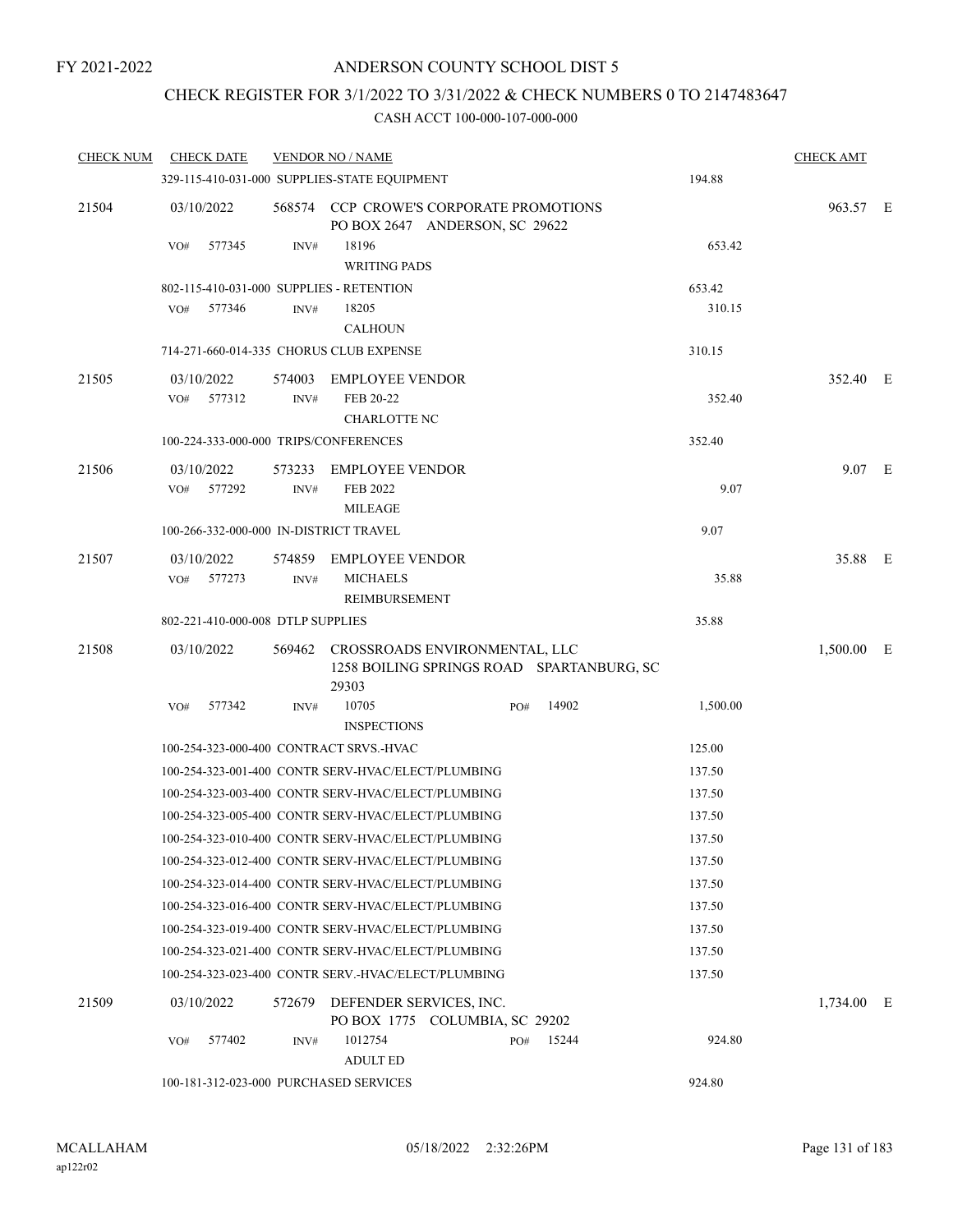### CHECK REGISTER FOR 3/1/2022 TO 3/31/2022 & CHECK NUMBERS 0 TO 2147483647

| <b>CHECK NUM</b> | <b>CHECK DATE</b>                        |        | <b>VENDOR NO / NAME</b>                                                           |     |       |          | <b>CHECK AMT</b> |  |
|------------------|------------------------------------------|--------|-----------------------------------------------------------------------------------|-----|-------|----------|------------------|--|
|                  |                                          |        | 329-115-410-031-000 SUPPLIES-STATE EQUIPMENT                                      |     |       | 194.88   |                  |  |
| 21504            | 03/10/2022                               |        | 568574 CCP CROWE'S CORPORATE PROMOTIONS<br>PO BOX 2647 ANDERSON, SC 29622         |     |       |          | 963.57 E         |  |
|                  | VO#<br>577345                            | INV#   | 18196                                                                             |     |       | 653.42   |                  |  |
|                  |                                          |        | <b>WRITING PADS</b>                                                               |     |       |          |                  |  |
|                  | 802-115-410-031-000 SUPPLIES - RETENTION |        |                                                                                   |     |       | 653.42   |                  |  |
|                  | 577346<br>VO#                            | INV#   | 18205                                                                             |     |       | 310.15   |                  |  |
|                  |                                          |        | <b>CALHOUN</b>                                                                    |     |       |          |                  |  |
|                  | 714-271-660-014-335 CHORUS CLUB EXPENSE  |        |                                                                                   |     |       | 310.15   |                  |  |
| 21505            | 03/10/2022                               |        | 574003 EMPLOYEE VENDOR                                                            |     |       |          | 352.40 E         |  |
|                  | 577312<br>VO#                            | INV#   | FEB 20-22                                                                         |     |       | 352.40   |                  |  |
|                  | 100-224-333-000-000 TRIPS/CONFERENCES    |        | <b>CHARLOTTE NC</b>                                                               |     |       | 352.40   |                  |  |
|                  |                                          |        |                                                                                   |     |       |          |                  |  |
| 21506            | 03/10/2022<br>577292<br>VO#              | INV#   | 573233 EMPLOYEE VENDOR<br>FEB 2022                                                |     |       | 9.07     | 9.07 E           |  |
|                  |                                          |        | <b>MILEAGE</b>                                                                    |     |       |          |                  |  |
|                  | 100-266-332-000-000 IN-DISTRICT TRAVEL   |        |                                                                                   |     |       | 9.07     |                  |  |
| 21507            | 03/10/2022                               |        | 574859 EMPLOYEE VENDOR                                                            |     |       |          | 35.88 E          |  |
|                  | 577273<br>VO#                            | INV#   | <b>MICHAELS</b>                                                                   |     |       | 35.88    |                  |  |
|                  |                                          |        | REIMBURSEMENT                                                                     |     |       |          |                  |  |
|                  | 802-221-410-000-008 DTLP SUPPLIES        |        |                                                                                   |     |       | 35.88    |                  |  |
| 21508            | 03/10/2022                               |        | 569462 CROSSROADS ENVIRONMENTAL, LLC<br>1258 BOILING SPRINGS ROAD SPARTANBURG, SC |     |       |          | 1,500.00 E       |  |
|                  |                                          |        | 29303                                                                             |     |       |          |                  |  |
|                  | VO#<br>577342                            | INV#   | 10705<br><b>INSPECTIONS</b>                                                       | PO# | 14902 | 1,500.00 |                  |  |
|                  | 100-254-323-000-400 CONTRACT SRVS.-HVAC  |        |                                                                                   |     |       | 125.00   |                  |  |
|                  |                                          |        | 100-254-323-001-400 CONTR SERV-HVAC/ELECT/PLUMBING                                |     |       | 137.50   |                  |  |
|                  |                                          |        | 100-254-323-003-400 CONTR SERV-HVAC/ELECT/PLUMBING                                |     |       | 137.50   |                  |  |
|                  |                                          |        | 100-254-323-005-400 CONTR SERV-HVAC/ELECT/PLUMBING                                |     |       | 137.50   |                  |  |
|                  |                                          |        | 100-254-323-010-400 CONTR SERV-HVAC/ELECT/PLUMBING                                |     |       | 137.50   |                  |  |
|                  |                                          |        | 100-254-323-012-400 CONTR SERV-HVAC/ELECT/PLUMBING                                |     |       | 137.50   |                  |  |
|                  |                                          |        | 100-254-323-014-400 CONTR SERV-HVAC/ELECT/PLUMBING                                |     |       | 137.50   |                  |  |
|                  |                                          |        | 100-254-323-016-400 CONTR SERV-HVAC/ELECT/PLUMBING                                |     |       | 137.50   |                  |  |
|                  |                                          |        | 100-254-323-019-400 CONTR SERV-HVAC/ELECT/PLUMBING                                |     |       | 137.50   |                  |  |
|                  |                                          |        | 100-254-323-021-400 CONTR SERV-HVAC/ELECT/PLUMBING                                |     |       | 137.50   |                  |  |
|                  |                                          |        | 100-254-323-023-400 CONTR SERV.-HVAC/ELECT/PLUMBING                               |     |       | 137.50   |                  |  |
| 21509            | 03/10/2022                               | 572679 | DEFENDER SERVICES, INC.<br>PO BOX 1775 COLUMBIA, SC 29202                         |     |       |          | 1,734.00 E       |  |
|                  | 577402<br>VO#                            | INV#   | 1012754<br><b>ADULT ED</b>                                                        | PO# | 15244 | 924.80   |                  |  |
|                  | 100-181-312-023-000 PURCHASED SERVICES   |        |                                                                                   |     |       | 924.80   |                  |  |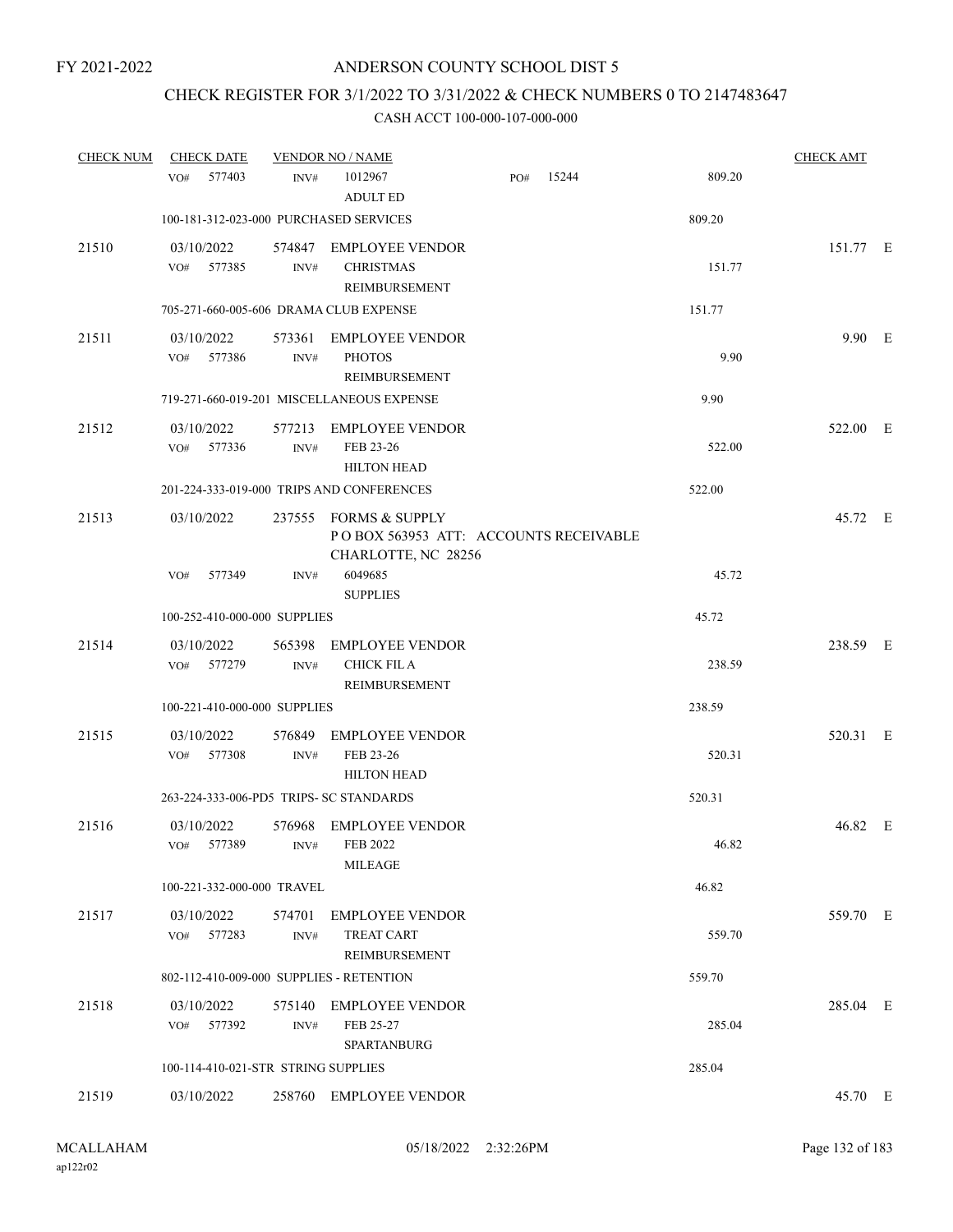# CHECK REGISTER FOR 3/1/2022 TO 3/31/2022 & CHECK NUMBERS 0 TO 2147483647

| <b>CHECK NUM</b> | <b>CHECK DATE</b>                        | <b>VENDOR NO / NAME</b> |                                                                                       |     |       |        | <b>CHECK AMT</b> |  |
|------------------|------------------------------------------|-------------------------|---------------------------------------------------------------------------------------|-----|-------|--------|------------------|--|
|                  | 577403<br>VO#                            | INV#                    | 1012967<br><b>ADULT ED</b>                                                            | PO# | 15244 | 809.20 |                  |  |
|                  | 100-181-312-023-000 PURCHASED SERVICES   |                         |                                                                                       |     |       | 809.20 |                  |  |
| 21510            | 03/10/2022<br>577385<br>VO#              | INV#                    | 574847 EMPLOYEE VENDOR<br><b>CHRISTMAS</b><br>REIMBURSEMENT                           |     |       | 151.77 | 151.77 E         |  |
|                  | 705-271-660-005-606 DRAMA CLUB EXPENSE   |                         |                                                                                       |     |       | 151.77 |                  |  |
| 21511            | 03/10/2022<br>577386<br>VO#              | INV#                    | 573361 EMPLOYEE VENDOR<br><b>PHOTOS</b><br>REIMBURSEMENT                              |     |       | 9.90   | 9.90 E           |  |
|                  |                                          |                         | 719-271-660-019-201 MISCELLANEOUS EXPENSE                                             |     |       | 9.90   |                  |  |
| 21512            | 03/10/2022<br>577336<br>VO#              | 577213<br>INV#          | <b>EMPLOYEE VENDOR</b><br>FEB 23-26<br><b>HILTON HEAD</b>                             |     |       | 522.00 | 522.00 E         |  |
|                  |                                          |                         | 201-224-333-019-000 TRIPS AND CONFERENCES                                             |     |       | 522.00 |                  |  |
| 21513            | 03/10/2022                               |                         | 237555 FORMS & SUPPLY<br>POBOX 563953 ATT: ACCOUNTS RECEIVABLE<br>CHARLOTTE, NC 28256 |     |       |        | 45.72 E          |  |
|                  | 577349<br>VO#                            | INV#                    | 6049685<br><b>SUPPLIES</b>                                                            |     |       | 45.72  |                  |  |
|                  | 100-252-410-000-000 SUPPLIES             |                         |                                                                                       |     |       | 45.72  |                  |  |
| 21514            | 03/10/2022<br>VO#<br>577279              | 565398<br>INV#          | EMPLOYEE VENDOR<br><b>CHICK FIL A</b><br>REIMBURSEMENT                                |     |       | 238.59 | 238.59 E         |  |
|                  | 100-221-410-000-000 SUPPLIES             |                         |                                                                                       |     |       | 238.59 |                  |  |
| 21515            | 03/10/2022<br>577308<br>VO#              | INV#                    | 576849 EMPLOYEE VENDOR<br>FEB 23-26<br><b>HILTON HEAD</b>                             |     |       | 520.31 | 520.31 E         |  |
|                  | 263-224-333-006-PD5 TRIPS- SC STANDARDS  |                         |                                                                                       |     |       | 520.31 |                  |  |
| 21516            | 03/10/2022<br>VO# 577389                 |                         | 576968 EMPLOYEE VENDOR<br>INV# FEB 2022<br><b>MILEAGE</b>                             |     |       | 46.82  | 46.82 E          |  |
|                  | 100-221-332-000-000 TRAVEL               |                         |                                                                                       |     |       | 46.82  |                  |  |
| 21517            | VO# 577283                               | INV#                    | 03/10/2022 574701 EMPLOYEE VENDOR<br><b>TREAT CART</b><br>REIMBURSEMENT               |     |       | 559.70 | 559.70 E         |  |
|                  | 802-112-410-009-000 SUPPLIES - RETENTION |                         |                                                                                       |     |       | 559.70 |                  |  |
| 21518            | 03/10/2022<br>VO# 577392                 | INV#                    | 575140 EMPLOYEE VENDOR<br>FEB 25-27<br><b>SPARTANBURG</b>                             |     |       | 285.04 | 285.04 E         |  |
|                  | 100-114-410-021-STR STRING SUPPLIES      |                         |                                                                                       |     |       | 285.04 |                  |  |
| 21519            | 03/10/2022                               |                         | 258760 EMPLOYEE VENDOR                                                                |     |       |        | 45.70 E          |  |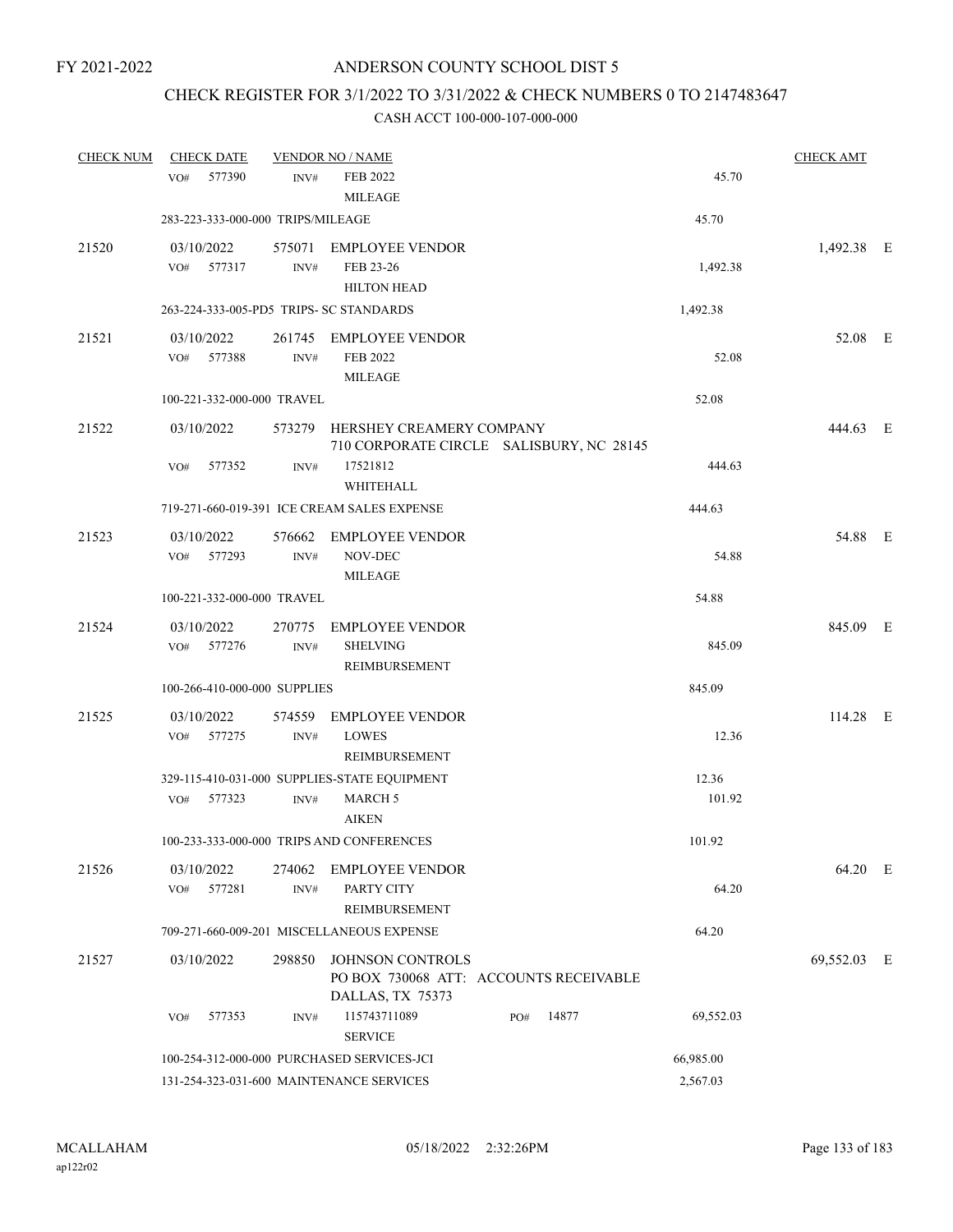# CHECK REGISTER FOR 3/1/2022 TO 3/31/2022 & CHECK NUMBERS 0 TO 2147483647

| <b>CHECK NUM</b> | <b>CHECK DATE</b><br>577390<br>VO#      | INV#           | <b>VENDOR NO / NAME</b><br><b>FEB 2022</b>                                     |     |       | 45.70     | <b>CHECK AMT</b> |  |
|------------------|-----------------------------------------|----------------|--------------------------------------------------------------------------------|-----|-------|-----------|------------------|--|
|                  |                                         |                | <b>MILEAGE</b>                                                                 |     |       |           |                  |  |
|                  | 283-223-333-000-000 TRIPS/MILEAGE       |                |                                                                                |     |       | 45.70     |                  |  |
| 21520            | 03/10/2022<br>VO#<br>577317             | INV#           | 575071 EMPLOYEE VENDOR<br>FEB 23-26<br><b>HILTON HEAD</b>                      |     |       | 1,492.38  | 1,492.38 E       |  |
|                  | 263-224-333-005-PD5 TRIPS- SC STANDARDS |                |                                                                                |     |       | 1,492.38  |                  |  |
| 21521            | 03/10/2022<br>577388<br>VO#             | INV#           | 261745 EMPLOYEE VENDOR<br>FEB 2022<br><b>MILEAGE</b>                           |     |       | 52.08     | 52.08 E          |  |
|                  | 100-221-332-000-000 TRAVEL              |                |                                                                                |     |       | 52.08     |                  |  |
| 21522            | 03/10/2022                              |                | 573279 HERSHEY CREAMERY COMPANY<br>710 CORPORATE CIRCLE SALISBURY, NC 28145    |     |       |           | 444.63 E         |  |
|                  | 577352<br>VO#                           | INV#           | 17521812<br>WHITEHALL                                                          |     |       | 444.63    |                  |  |
|                  |                                         |                | 719-271-660-019-391 ICE CREAM SALES EXPENSE                                    |     |       | 444.63    |                  |  |
| 21523            | 03/10/2022<br>VO# 577293                | INV#           | 576662 EMPLOYEE VENDOR<br>NOV-DEC<br><b>MILEAGE</b>                            |     |       | 54.88     | 54.88 E          |  |
|                  | 100-221-332-000-000 TRAVEL              |                |                                                                                |     |       | 54.88     |                  |  |
| 21524            | 03/10/2022<br>VO# 577276                | INV#           | 270775 EMPLOYEE VENDOR<br><b>SHELVING</b><br>REIMBURSEMENT                     |     |       | 845.09    | 845.09 E         |  |
|                  | 100-266-410-000-000 SUPPLIES            |                |                                                                                |     |       | 845.09    |                  |  |
| 21525            | 03/10/2022<br>VO#<br>577275             | INV#           | 574559 EMPLOYEE VENDOR<br><b>LOWES</b><br>REIMBURSEMENT                        |     |       | 12.36     | $114.28$ E       |  |
|                  |                                         |                | 329-115-410-031-000 SUPPLIES-STATE EQUIPMENT                                   |     |       | 12.36     |                  |  |
|                  | VO# 577323                              | INV#           | <b>MARCH 5</b><br><b>AIKEN</b>                                                 |     |       | 101.92    |                  |  |
|                  |                                         |                | 100-233-333-000-000 TRIPS AND CONFERENCES                                      |     |       | 101.92    |                  |  |
| 21526            | 03/10/2022<br>577281<br>VO#             | 274062<br>INV# | <b>EMPLOYEE VENDOR</b><br>PARTY CITY<br><b>REIMBURSEMENT</b>                   |     |       | 64.20     | 64.20 E          |  |
|                  |                                         |                | 709-271-660-009-201 MISCELLANEOUS EXPENSE                                      |     |       | 64.20     |                  |  |
| 21527            | 03/10/2022                              | 298850         | JOHNSON CONTROLS<br>PO BOX 730068 ATT: ACCOUNTS RECEIVABLE<br>DALLAS, TX 75373 |     |       |           | 69,552.03 E      |  |
|                  | 577353<br>VO#                           | INV#           | 115743711089<br><b>SERVICE</b>                                                 | PO# | 14877 | 69,552.03 |                  |  |
|                  |                                         |                | 100-254-312-000-000 PURCHASED SERVICES-JCI                                     |     |       | 66,985.00 |                  |  |
|                  |                                         |                | 131-254-323-031-600 MAINTENANCE SERVICES                                       |     |       | 2,567.03  |                  |  |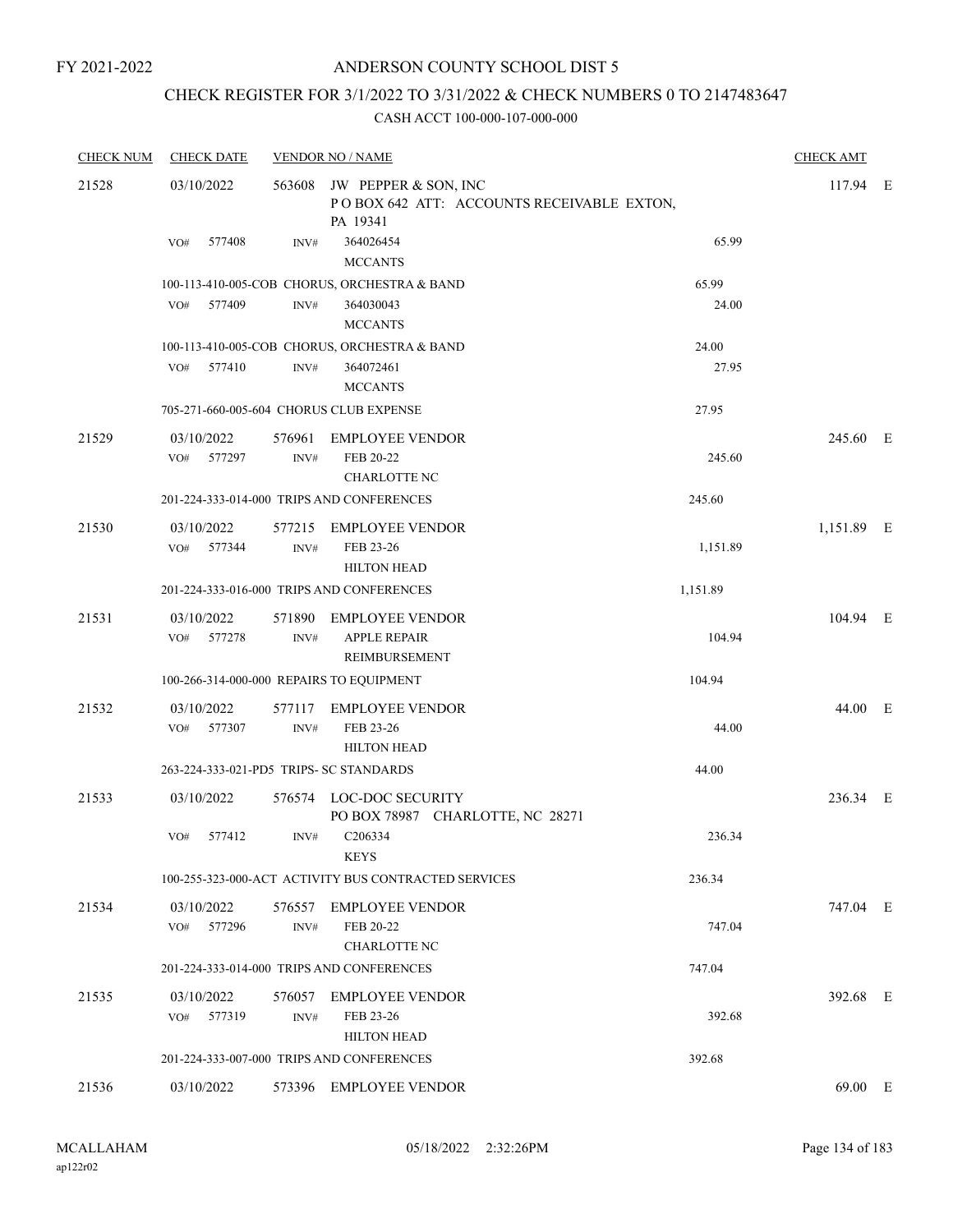FY 2021-2022

### ANDERSON COUNTY SCHOOL DIST 5

# CHECK REGISTER FOR 3/1/2022 TO 3/31/2022 & CHECK NUMBERS 0 TO 2147483647

| <b>CHECK NUM</b> | <b>CHECK DATE</b>                       |                | <b>VENDOR NO / NAME</b>                                                              |          | <b>CHECK AMT</b> |  |
|------------------|-----------------------------------------|----------------|--------------------------------------------------------------------------------------|----------|------------------|--|
| 21528            | 03/10/2022                              |                | 563608 JW PEPPER & SON, INC<br>POBOX 642 ATT: ACCOUNTS RECEIVABLE EXTON,<br>PA 19341 |          | 117.94 E         |  |
|                  | 577408<br>VO#                           | INV#           | 364026454<br><b>MCCANTS</b>                                                          | 65.99    |                  |  |
|                  |                                         |                | 100-113-410-005-COB CHORUS, ORCHESTRA & BAND                                         | 65.99    |                  |  |
|                  | 577409<br>VO#                           | INV#           | 364030043<br><b>MCCANTS</b>                                                          | 24.00    |                  |  |
|                  |                                         |                | 100-113-410-005-COB CHORUS, ORCHESTRA & BAND                                         | 24.00    |                  |  |
|                  | VO#<br>577410                           | INV#           | 364072461<br><b>MCCANTS</b>                                                          | 27.95    |                  |  |
|                  |                                         |                | 705-271-660-005-604 CHORUS CLUB EXPENSE                                              | 27.95    |                  |  |
| 21529            | 03/10/2022                              | 576961         | <b>EMPLOYEE VENDOR</b>                                                               |          | 245.60 E         |  |
|                  | 577297<br>VO#                           | INV#           | FEB 20-22<br><b>CHARLOTTE NC</b>                                                     | 245.60   |                  |  |
|                  |                                         |                | 201-224-333-014-000 TRIPS AND CONFERENCES                                            | 245.60   |                  |  |
|                  |                                         |                |                                                                                      |          |                  |  |
| 21530            | 03/10/2022<br>577344<br>VO#             | 577215<br>INV# | <b>EMPLOYEE VENDOR</b><br>FEB 23-26                                                  | 1,151.89 | 1,151.89 E       |  |
|                  |                                         |                | <b>HILTON HEAD</b>                                                                   |          |                  |  |
|                  |                                         |                | 201-224-333-016-000 TRIPS AND CONFERENCES                                            |          |                  |  |
|                  |                                         |                |                                                                                      | 1,151.89 |                  |  |
| 21531            | 03/10/2022                              | 571890         | <b>EMPLOYEE VENDOR</b>                                                               |          | 104.94 E         |  |
|                  | 577278<br>VO#                           | INV#           | <b>APPLE REPAIR</b><br>REIMBURSEMENT                                                 | 104.94   |                  |  |
|                  |                                         |                | 100-266-314-000-000 REPAIRS TO EQUIPMENT                                             | 104.94   |                  |  |
| 21532            | 03/10/2022                              | 577117         | <b>EMPLOYEE VENDOR</b>                                                               |          | 44.00 E          |  |
|                  | 577307<br>VO#                           | INV#           | FEB 23-26                                                                            | 44.00    |                  |  |
|                  |                                         |                | <b>HILTON HEAD</b>                                                                   |          |                  |  |
|                  | 263-224-333-021-PD5 TRIPS- SC STANDARDS |                |                                                                                      | 44.00    |                  |  |
| 21533            | 03/10/2022                              |                | 576574 LOC-DOC SECURITY                                                              |          | 236.34 E         |  |
|                  |                                         |                | PO BOX 78987 CHARLOTTE, NC 28271                                                     |          |                  |  |
|                  | VO#<br>577412                           | INV#           | C206334                                                                              | 236.34   |                  |  |
|                  |                                         |                | <b>KEYS</b>                                                                          |          |                  |  |
|                  |                                         |                | 100-255-323-000-ACT ACTIVITY BUS CONTRACTED SERVICES                                 | 236.34   |                  |  |
| 21534            | 03/10/2022                              | 576557         | <b>EMPLOYEE VENDOR</b>                                                               |          | 747.04 E         |  |
|                  | 577296<br>VO#                           | INV#           | FEB 20-22                                                                            | 747.04   |                  |  |
|                  |                                         |                | <b>CHARLOTTE NC</b>                                                                  |          |                  |  |
|                  |                                         |                | 201-224-333-014-000 TRIPS AND CONFERENCES                                            | 747.04   |                  |  |
| 21535            | 03/10/2022                              | 576057         | <b>EMPLOYEE VENDOR</b>                                                               |          | 392.68 E         |  |
|                  | 577319<br>VO#                           | INV#           | FEB 23-26                                                                            | 392.68   |                  |  |
|                  |                                         |                | <b>HILTON HEAD</b>                                                                   |          |                  |  |
|                  |                                         |                | 201-224-333-007-000 TRIPS AND CONFERENCES                                            | 392.68   |                  |  |
| 21536            | 03/10/2022                              |                | 573396 EMPLOYEE VENDOR                                                               |          | 69.00 E          |  |
|                  |                                         |                |                                                                                      |          |                  |  |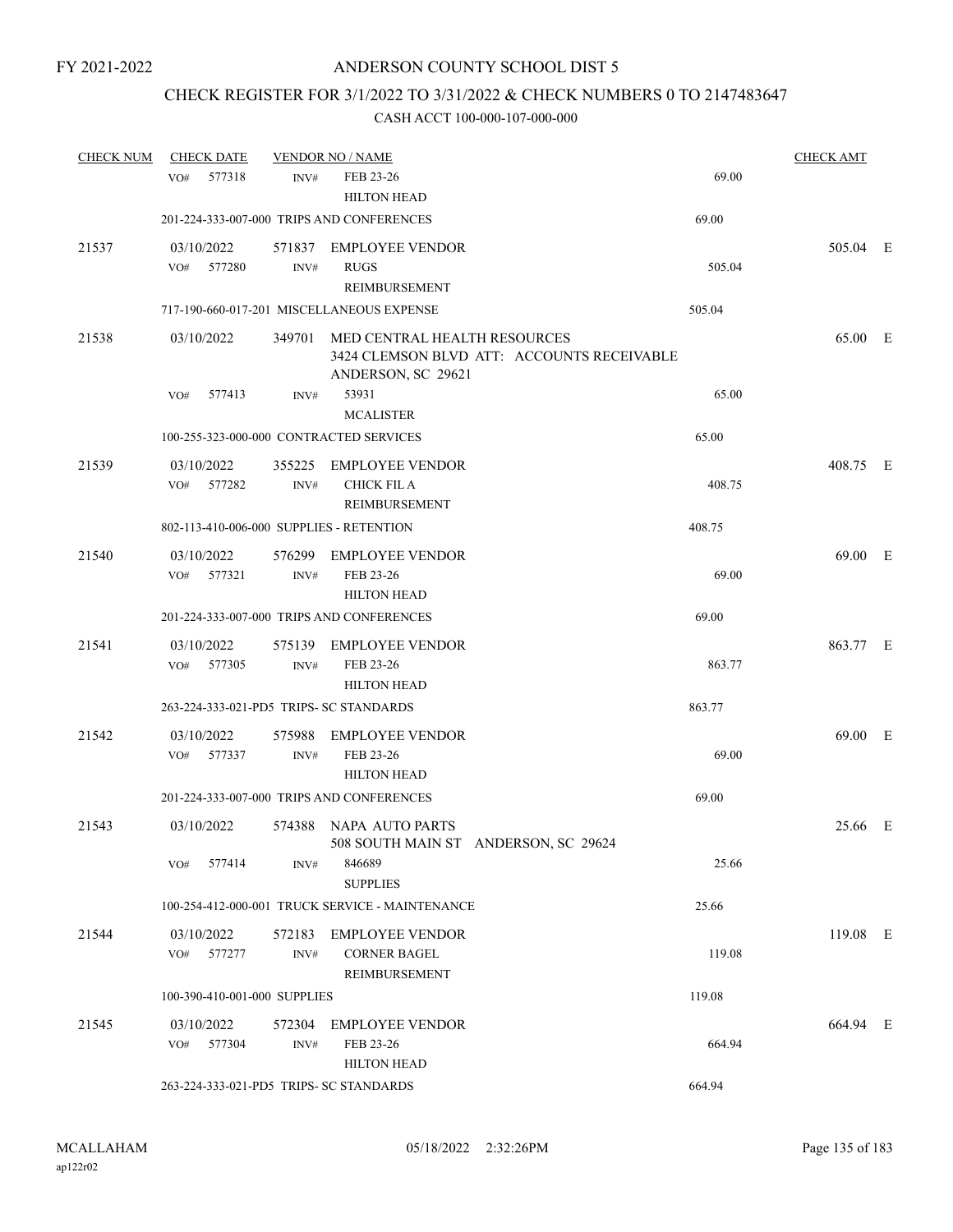## CHECK REGISTER FOR 3/1/2022 TO 3/31/2022 & CHECK NUMBERS 0 TO 2147483647

| <b>CHECK NUM</b> | <b>CHECK DATE</b>                        |                | <b>VENDOR NO / NAME</b>                                        |                                            |        | <b>CHECK AMT</b> |  |
|------------------|------------------------------------------|----------------|----------------------------------------------------------------|--------------------------------------------|--------|------------------|--|
|                  | 577318<br>VO#                            | INV#           | FEB 23-26<br><b>HILTON HEAD</b>                                |                                            | 69.00  |                  |  |
|                  |                                          |                | 201-224-333-007-000 TRIPS AND CONFERENCES                      |                                            | 69.00  |                  |  |
| 21537            | 03/10/2022<br>577280<br>VO#              | INV#           | 571837 EMPLOYEE VENDOR<br><b>RUGS</b><br>REIMBURSEMENT         |                                            | 505.04 | 505.04 E         |  |
|                  |                                          |                | 717-190-660-017-201 MISCELLANEOUS EXPENSE                      |                                            | 505.04 |                  |  |
| 21538            | 03/10/2022                               |                | 349701 MED CENTRAL HEALTH RESOURCES<br>ANDERSON, SC 29621      | 3424 CLEMSON BLVD ATT: ACCOUNTS RECEIVABLE |        | 65.00 E          |  |
|                  | VO#<br>577413                            | INV#           | 53931<br><b>MCALISTER</b>                                      |                                            | 65.00  |                  |  |
|                  | 100-255-323-000-000 CONTRACTED SERVICES  |                |                                                                |                                            | 65.00  |                  |  |
| 21539            | 03/10/2022<br>577282<br>VO#              | 355225<br>INV# | <b>EMPLOYEE VENDOR</b><br><b>CHICK FIL A</b><br>REIMBURSEMENT  |                                            | 408.75 | 408.75 E         |  |
|                  | 802-113-410-006-000 SUPPLIES - RETENTION |                |                                                                |                                            | 408.75 |                  |  |
| 21540            | 03/10/2022<br>VO# 577321                 | 576299<br>INV# | <b>EMPLOYEE VENDOR</b><br>FEB 23-26<br><b>HILTON HEAD</b>      |                                            | 69.00  | 69.00 E          |  |
|                  |                                          |                | 201-224-333-007-000 TRIPS AND CONFERENCES                      |                                            | 69.00  |                  |  |
| 21541            | 03/10/2022<br>VO# 577305                 | INV#           | 575139 EMPLOYEE VENDOR<br>FEB 23-26<br><b>HILTON HEAD</b>      |                                            | 863.77 | 863.77 E         |  |
|                  | 263-224-333-021-PD5 TRIPS- SC STANDARDS  |                |                                                                |                                            | 863.77 |                  |  |
| 21542            | 03/10/2022<br>577337<br>VO#              | 575988<br>INV# | <b>EMPLOYEE VENDOR</b><br>FEB 23-26<br><b>HILTON HEAD</b>      |                                            | 69.00  | 69.00 E          |  |
|                  |                                          |                | 201-224-333-007-000 TRIPS AND CONFERENCES                      |                                            | 69.00  |                  |  |
| 21543            | 03/10/2022                               | 574388         | NAPA AUTO PARTS<br>508 SOUTH MAIN ST ANDERSON, SC 29624        |                                            |        | 25.66 E          |  |
|                  | VO# 577414                               | INV#           | 846689<br><b>SUPPLIES</b>                                      |                                            | 25.66  |                  |  |
|                  |                                          |                | 100-254-412-000-001 TRUCK SERVICE - MAINTENANCE                |                                            | 25.66  |                  |  |
| 21544            | 03/10/2022<br>VO# 577277                 | INV#           | 572183 EMPLOYEE VENDOR<br><b>CORNER BAGEL</b><br>REIMBURSEMENT |                                            | 119.08 | 119.08 E         |  |
|                  | 100-390-410-001-000 SUPPLIES             |                |                                                                |                                            | 119.08 |                  |  |
| 21545            | 03/10/2022<br>VO# 577304                 | INV#           | 572304 EMPLOYEE VENDOR<br>FEB 23-26<br><b>HILTON HEAD</b>      |                                            | 664.94 | 664.94 E         |  |
|                  | 263-224-333-021-PD5 TRIPS- SC STANDARDS  |                |                                                                |                                            | 664.94 |                  |  |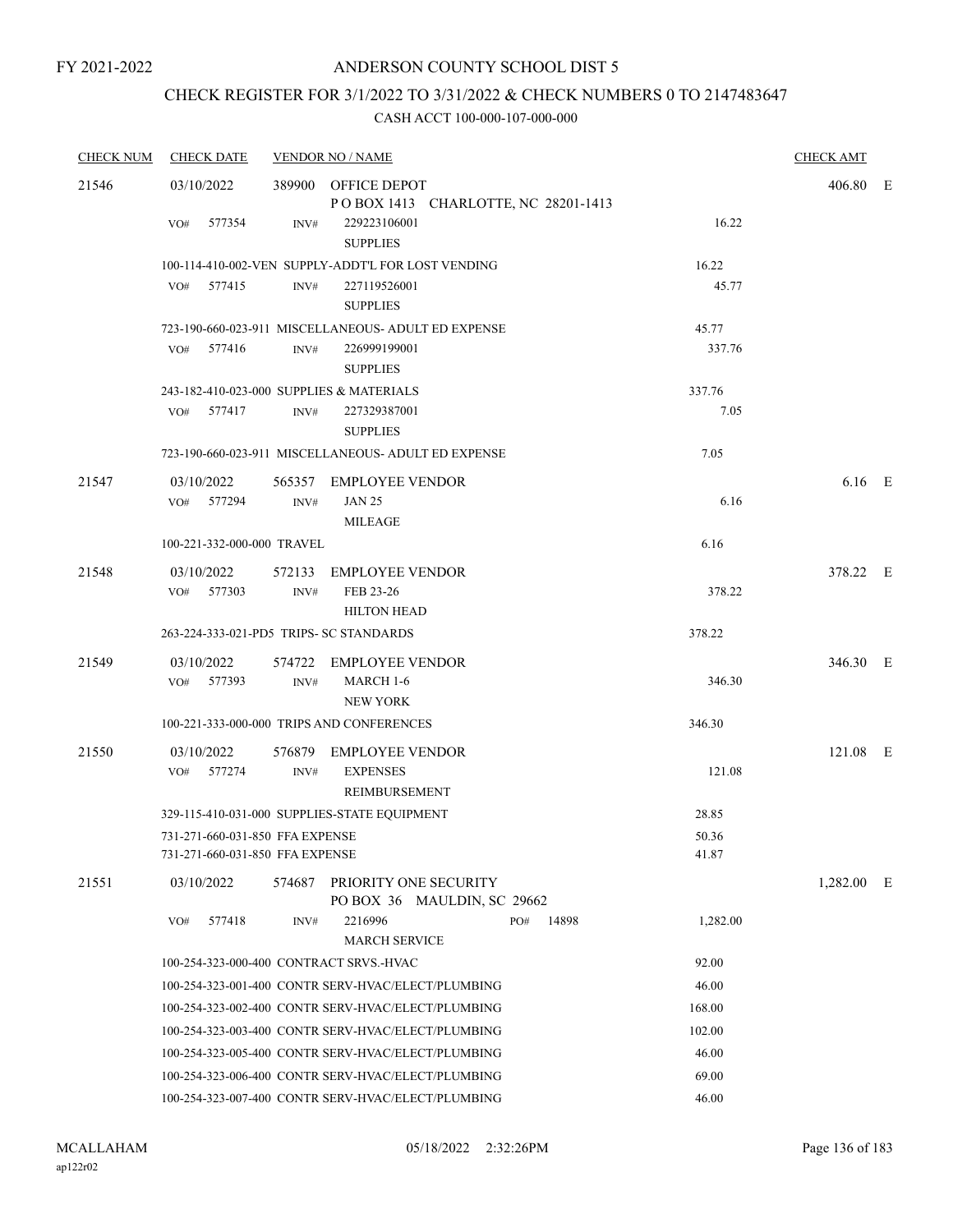# CHECK REGISTER FOR 3/1/2022 TO 3/31/2022 & CHECK NUMBERS 0 TO 2147483647

| <b>CHECK NUM</b> | <b>CHECK DATE</b>                                                  |        | <b>VENDOR NO / NAME</b>                                    |              |                | <b>CHECK AMT</b> |  |
|------------------|--------------------------------------------------------------------|--------|------------------------------------------------------------|--------------|----------------|------------------|--|
| 21546            | 03/10/2022                                                         |        | 389900 OFFICE DEPOT<br>POBOX 1413 CHARLOTTE, NC 28201-1413 |              |                | 406.80 E         |  |
|                  | 577354<br>VO#                                                      | INV#   | 229223106001<br><b>SUPPLIES</b>                            |              | 16.22          |                  |  |
|                  |                                                                    |        | 100-114-410-002-VEN SUPPLY-ADDT'L FOR LOST VENDING         |              | 16.22          |                  |  |
|                  | VO# 577415                                                         | INV#   | 227119526001<br><b>SUPPLIES</b>                            |              | 45.77          |                  |  |
|                  |                                                                    |        | 723-190-660-023-911 MISCELLANEOUS- ADULT ED EXPENSE        |              | 45.77          |                  |  |
|                  | VO#<br>577416                                                      | INV#   | 226999199001<br><b>SUPPLIES</b>                            |              | 337.76         |                  |  |
|                  | 243-182-410-023-000 SUPPLIES & MATERIALS                           |        |                                                            |              | 337.76         |                  |  |
|                  | VO# 577417                                                         | INV#   | 227329387001<br><b>SUPPLIES</b>                            |              | 7.05           |                  |  |
|                  |                                                                    |        | 723-190-660-023-911 MISCELLANEOUS- ADULT ED EXPENSE        |              | 7.05           |                  |  |
| 21547            | 03/10/2022<br>VO# 577294                                           | INV#   | 565357 EMPLOYEE VENDOR<br><b>JAN 25</b><br><b>MILEAGE</b>  |              | 6.16           | $6.16$ E         |  |
|                  | 100-221-332-000-000 TRAVEL                                         |        |                                                            |              | 6.16           |                  |  |
| 21548            | 03/10/2022                                                         |        | 572133 EMPLOYEE VENDOR                                     |              |                | 378.22 E         |  |
|                  | $VO#$ 577303                                                       | INV#   | FEB 23-26<br><b>HILTON HEAD</b>                            |              | 378.22         |                  |  |
|                  | 263-224-333-021-PD5 TRIPS- SC STANDARDS                            |        |                                                            |              | 378.22         |                  |  |
| 21549            | 03/10/2022                                                         |        | 574722 EMPLOYEE VENDOR                                     |              |                | 346.30 E         |  |
|                  | VO# 577393                                                         | INV#   | MARCH 1-6<br><b>NEW YORK</b>                               |              | 346.30         |                  |  |
|                  |                                                                    |        | 100-221-333-000-000 TRIPS AND CONFERENCES                  |              | 346.30         |                  |  |
| 21550            | 03/10/2022<br>VO# 577274                                           | INV#   | 576879 EMPLOYEE VENDOR<br><b>EXPENSES</b>                  |              | 121.08         | 121.08 E         |  |
|                  |                                                                    |        | <b>REIMBURSEMENT</b>                                       |              |                |                  |  |
|                  |                                                                    |        | 329-115-410-031-000 SUPPLIES-STATE EQUIPMENT               |              | 28.85          |                  |  |
|                  | 731-271-660-031-850 FFA EXPENSE<br>731-271-660-031-850 FFA EXPENSE |        |                                                            |              | 50.36<br>41.87 |                  |  |
| 21551            | 03/10/2022                                                         | 574687 | PRIORITY ONE SECURITY<br>PO BOX 36 MAULDIN, SC 29662       |              |                | $1,282.00$ E     |  |
|                  | 577418<br>VO#                                                      | INV#   | 2216996<br><b>MARCH SERVICE</b>                            | 14898<br>PO# | 1,282.00       |                  |  |
|                  | 100-254-323-000-400 CONTRACT SRVS.-HVAC                            |        |                                                            |              | 92.00          |                  |  |
|                  |                                                                    |        | 100-254-323-001-400 CONTR SERV-HVAC/ELECT/PLUMBING         |              | 46.00          |                  |  |
|                  |                                                                    |        | 100-254-323-002-400 CONTR SERV-HVAC/ELECT/PLUMBING         |              | 168.00         |                  |  |
|                  |                                                                    |        | 100-254-323-003-400 CONTR SERV-HVAC/ELECT/PLUMBING         |              | 102.00         |                  |  |
|                  |                                                                    |        | 100-254-323-005-400 CONTR SERV-HVAC/ELECT/PLUMBING         |              | 46.00          |                  |  |
|                  |                                                                    |        | 100-254-323-006-400 CONTR SERV-HVAC/ELECT/PLUMBING         |              | 69.00          |                  |  |
|                  |                                                                    |        | 100-254-323-007-400 CONTR SERV-HVAC/ELECT/PLUMBING         |              | 46.00          |                  |  |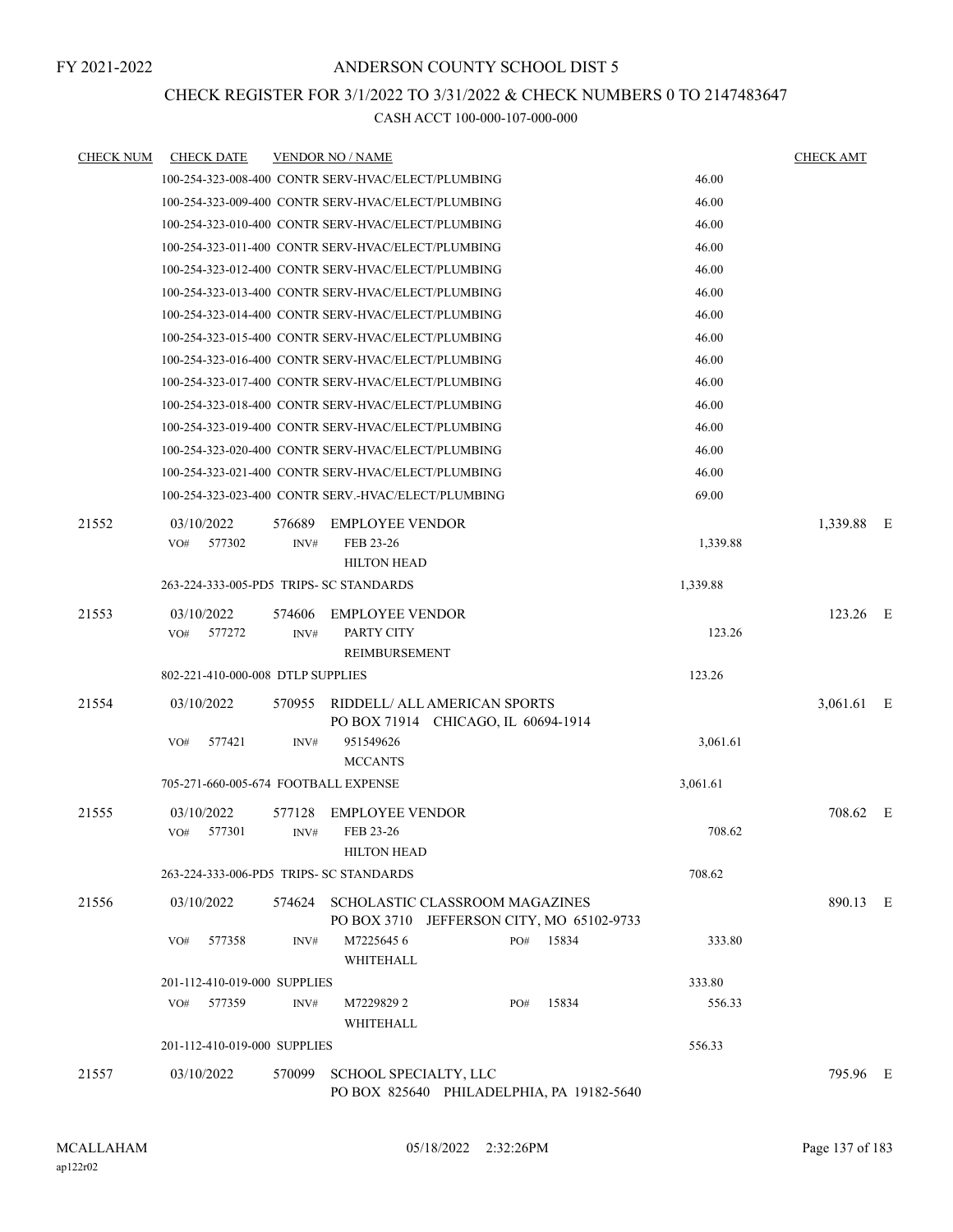### CHECK REGISTER FOR 3/1/2022 TO 3/31/2022 & CHECK NUMBERS 0 TO 2147483647

| <b>CHECK NUM</b> | <b>CHECK DATE</b>                       |                | <b>VENDOR NO / NAME</b>                                                            |          | <b>CHECK AMT</b> |  |
|------------------|-----------------------------------------|----------------|------------------------------------------------------------------------------------|----------|------------------|--|
|                  |                                         |                | 100-254-323-008-400 CONTR SERV-HVAC/ELECT/PLUMBING                                 | 46.00    |                  |  |
|                  |                                         |                | 100-254-323-009-400 CONTR SERV-HVAC/ELECT/PLUMBING                                 | 46.00    |                  |  |
|                  |                                         |                | 100-254-323-010-400 CONTR SERV-HVAC/ELECT/PLUMBING                                 | 46.00    |                  |  |
|                  |                                         |                | 100-254-323-011-400 CONTR SERV-HVAC/ELECT/PLUMBING                                 | 46.00    |                  |  |
|                  |                                         |                | 100-254-323-012-400 CONTR SERV-HVAC/ELECT/PLUMBING                                 | 46.00    |                  |  |
|                  |                                         |                | 100-254-323-013-400 CONTR SERV-HVAC/ELECT/PLUMBING                                 | 46.00    |                  |  |
|                  |                                         |                | 100-254-323-014-400 CONTR SERV-HVAC/ELECT/PLUMBING                                 | 46.00    |                  |  |
|                  |                                         |                | 100-254-323-015-400 CONTR SERV-HVAC/ELECT/PLUMBING                                 | 46.00    |                  |  |
|                  |                                         |                | 100-254-323-016-400 CONTR SERV-HVAC/ELECT/PLUMBING                                 | 46.00    |                  |  |
|                  |                                         |                | 100-254-323-017-400 CONTR SERV-HVAC/ELECT/PLUMBING                                 | 46.00    |                  |  |
|                  |                                         |                | 100-254-323-018-400 CONTR SERV-HVAC/ELECT/PLUMBING                                 | 46.00    |                  |  |
|                  |                                         |                | 100-254-323-019-400 CONTR SERV-HVAC/ELECT/PLUMBING                                 | 46.00    |                  |  |
|                  |                                         |                | 100-254-323-020-400 CONTR SERV-HVAC/ELECT/PLUMBING                                 | 46.00    |                  |  |
|                  |                                         |                | 100-254-323-021-400 CONTR SERV-HVAC/ELECT/PLUMBING                                 | 46.00    |                  |  |
|                  |                                         |                | 100-254-323-023-400 CONTR SERV.-HVAC/ELECT/PLUMBING                                | 69.00    |                  |  |
| 21552            | 03/10/2022<br>577302<br>VO#             | 576689<br>INV# | <b>EMPLOYEE VENDOR</b><br>FEB 23-26<br><b>HILTON HEAD</b>                          | 1,339.88 | 1,339.88 E       |  |
|                  | 263-224-333-005-PD5 TRIPS- SC STANDARDS |                |                                                                                    | 1,339.88 |                  |  |
| 21553            | 03/10/2022                              | 574606         | <b>EMPLOYEE VENDOR</b>                                                             |          | 123.26 E         |  |
|                  | 577272<br>VO#                           | INV#           | PARTY CITY<br>REIMBURSEMENT                                                        | 123.26   |                  |  |
|                  | 802-221-410-000-008 DTLP SUPPLIES       |                |                                                                                    | 123.26   |                  |  |
| 21554            | 03/10/2022                              | 570955         | RIDDELL/ ALL AMERICAN SPORTS                                                       |          | 3,061.61 E       |  |
|                  |                                         |                | PO BOX 71914 CHICAGO, IL 60694-1914                                                |          |                  |  |
|                  | VO#<br>577421                           | INV#           | 951549626<br><b>MCCANTS</b>                                                        | 3,061.61 |                  |  |
|                  | 705-271-660-005-674 FOOTBALL EXPENSE    |                |                                                                                    | 3,061.61 |                  |  |
| 21555            | 03/10/2022                              | 577128         | <b>EMPLOYEE VENDOR</b>                                                             |          | 708.62 E         |  |
|                  | 577301<br>VO#                           | INV#           | FEB 23-26<br><b>HILTON HEAD</b>                                                    | 708.62   |                  |  |
|                  | 263-224-333-006-PD5 TRIPS- SC STANDARDS |                |                                                                                    | 708.62   |                  |  |
| 21556            | 03/10/2022                              |                | 574624 SCHOLASTIC CLASSROOM MAGAZINES<br>PO BOX 3710 JEFFERSON CITY, MO 65102-9733 |          | 890.13 E         |  |
|                  | 577358<br>VO#                           | INV#           | M72256456<br>15834<br>PO#<br>WHITEHALL                                             | 333.80   |                  |  |
|                  | 201-112-410-019-000 SUPPLIES            |                |                                                                                    | 333.80   |                  |  |
|                  | 577359<br>VO#                           | INV#           | M7229829 2<br>15834<br>PO#<br>WHITEHALL                                            | 556.33   |                  |  |
|                  | 201-112-410-019-000 SUPPLIES            |                |                                                                                    | 556.33   |                  |  |
| 21557            | 03/10/2022                              | 570099         | SCHOOL SPECIALTY, LLC<br>PO BOX 825640 PHILADELPHIA, PA 19182-5640                 |          | 795.96 E         |  |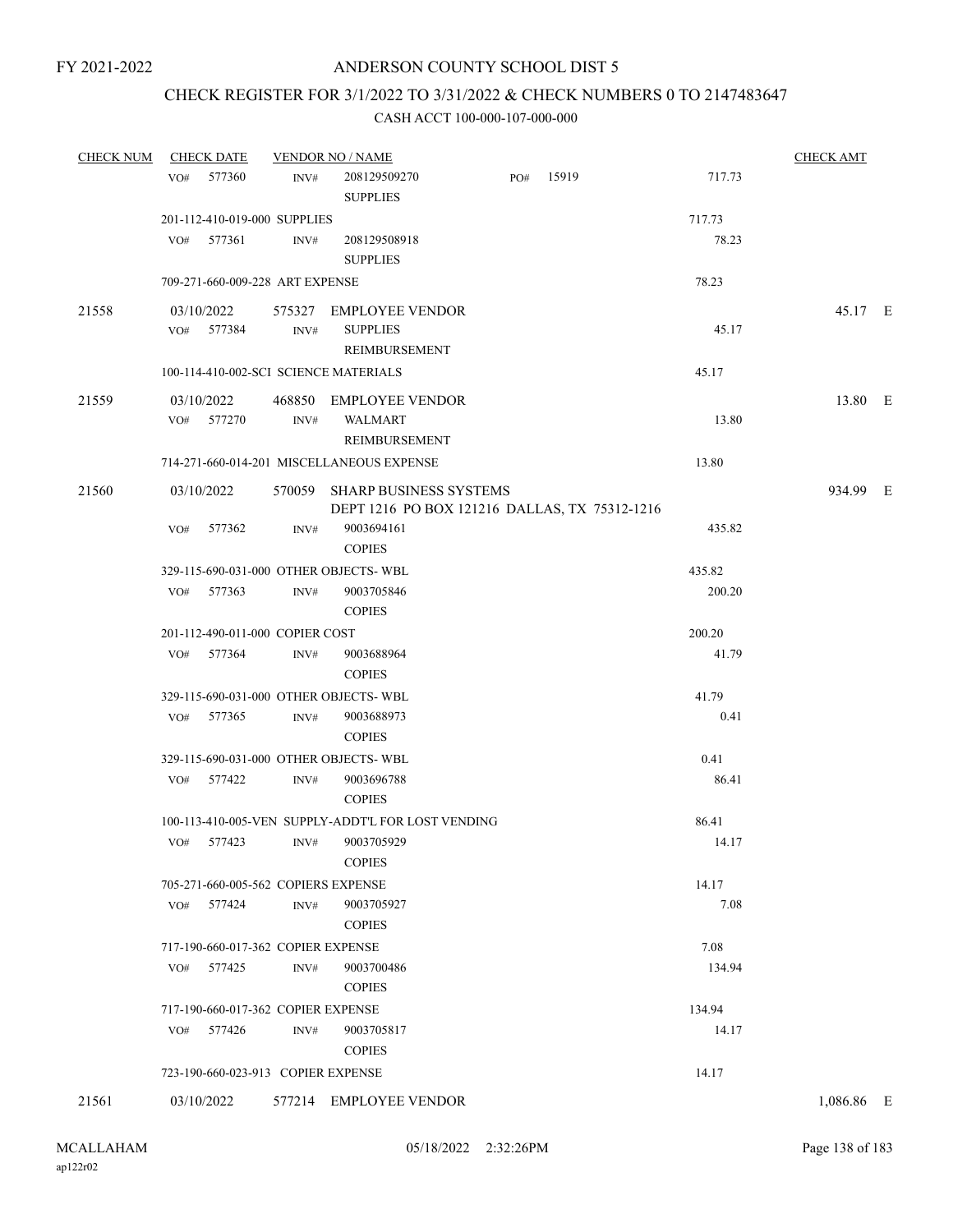### CHECK REGISTER FOR 3/1/2022 TO 3/31/2022 & CHECK NUMBERS 0 TO 2147483647

| <b>CHECK NUM</b> | <b>CHECK DATE</b>                     |      | <b>VENDOR NO / NAME</b>                                                        |     |       |        | <b>CHECK AMT</b> |  |
|------------------|---------------------------------------|------|--------------------------------------------------------------------------------|-----|-------|--------|------------------|--|
|                  | 577360<br>VO#                         | INV# | 208129509270<br><b>SUPPLIES</b>                                                | PO# | 15919 | 717.73 |                  |  |
|                  | 201-112-410-019-000 SUPPLIES          |      |                                                                                |     |       | 717.73 |                  |  |
|                  | 577361<br>VO#                         | INV# | 208129508918<br><b>SUPPLIES</b>                                                |     |       | 78.23  |                  |  |
|                  | 709-271-660-009-228 ART EXPENSE       |      |                                                                                |     |       | 78.23  |                  |  |
| 21558            | 03/10/2022                            |      | 575327 EMPLOYEE VENDOR                                                         |     |       |        | 45.17 E          |  |
|                  | VO# 577384                            | INV# | <b>SUPPLIES</b><br>REIMBURSEMENT                                               |     |       | 45.17  |                  |  |
|                  | 100-114-410-002-SCI SCIENCE MATERIALS |      |                                                                                |     |       | 45.17  |                  |  |
| 21559            | 03/10/2022                            |      | 468850 EMPLOYEE VENDOR                                                         |     |       |        | 13.80 E          |  |
|                  | VO# 577270                            | INV# | <b>WALMART</b><br>REIMBURSEMENT                                                |     |       | 13.80  |                  |  |
|                  |                                       |      | 714-271-660-014-201 MISCELLANEOUS EXPENSE                                      |     |       | 13.80  |                  |  |
| 21560            | 03/10/2022                            |      | 570059 SHARP BUSINESS SYSTEMS<br>DEPT 1216 PO BOX 121216 DALLAS, TX 75312-1216 |     |       |        | 934.99 E         |  |
|                  | VO#<br>577362                         | INV# | 9003694161<br><b>COPIES</b>                                                    |     |       | 435.82 |                  |  |
|                  | 329-115-690-031-000 OTHER OBJECTS-WBL |      |                                                                                |     |       | 435.82 |                  |  |
|                  | VO# 577363                            | INV# | 9003705846<br><b>COPIES</b>                                                    |     |       | 200.20 |                  |  |
|                  | 201-112-490-011-000 COPIER COST       |      |                                                                                |     |       | 200.20 |                  |  |
|                  | VO# 577364                            | INV# | 9003688964<br><b>COPIES</b>                                                    |     |       | 41.79  |                  |  |
|                  | 329-115-690-031-000 OTHER OBJECTS-WBL |      |                                                                                |     |       | 41.79  |                  |  |
|                  | VO# 577365                            | INV# | 9003688973<br><b>COPIES</b>                                                    |     |       | 0.41   |                  |  |
|                  | 329-115-690-031-000 OTHER OBJECTS-WBL |      |                                                                                |     |       | 0.41   |                  |  |
|                  | VO# 577422                            | INV# | 9003696788<br><b>COPIES</b>                                                    |     |       | 86.41  |                  |  |
|                  |                                       |      | 100-113-410-005-VEN SUPPLY-ADDT'L FOR LOST VENDING                             |     |       | 86.41  |                  |  |
|                  | VO# 577423 INV#                       |      | 9003705929<br><b>COPIES</b>                                                    |     |       | 14.17  |                  |  |
|                  | 705-271-660-005-562 COPIERS EXPENSE   |      |                                                                                |     |       | 14.17  |                  |  |
|                  | 577424<br>VO#                         | INV# | 9003705927<br><b>COPIES</b>                                                    |     |       | 7.08   |                  |  |
|                  | 717-190-660-017-362 COPIER EXPENSE    |      |                                                                                |     |       | 7.08   |                  |  |
|                  | 577425<br>VO#                         | INV# | 9003700486<br><b>COPIES</b>                                                    |     |       | 134.94 |                  |  |
|                  | 717-190-660-017-362 COPIER EXPENSE    |      |                                                                                |     |       | 134.94 |                  |  |
|                  | 577426<br>VO#                         | INV# | 9003705817<br><b>COPIES</b>                                                    |     |       | 14.17  |                  |  |
|                  | 723-190-660-023-913 COPIER EXPENSE    |      |                                                                                |     |       | 14.17  |                  |  |
| 21561            | 03/10/2022                            |      | 577214 EMPLOYEE VENDOR                                                         |     |       |        | 1,086.86 E       |  |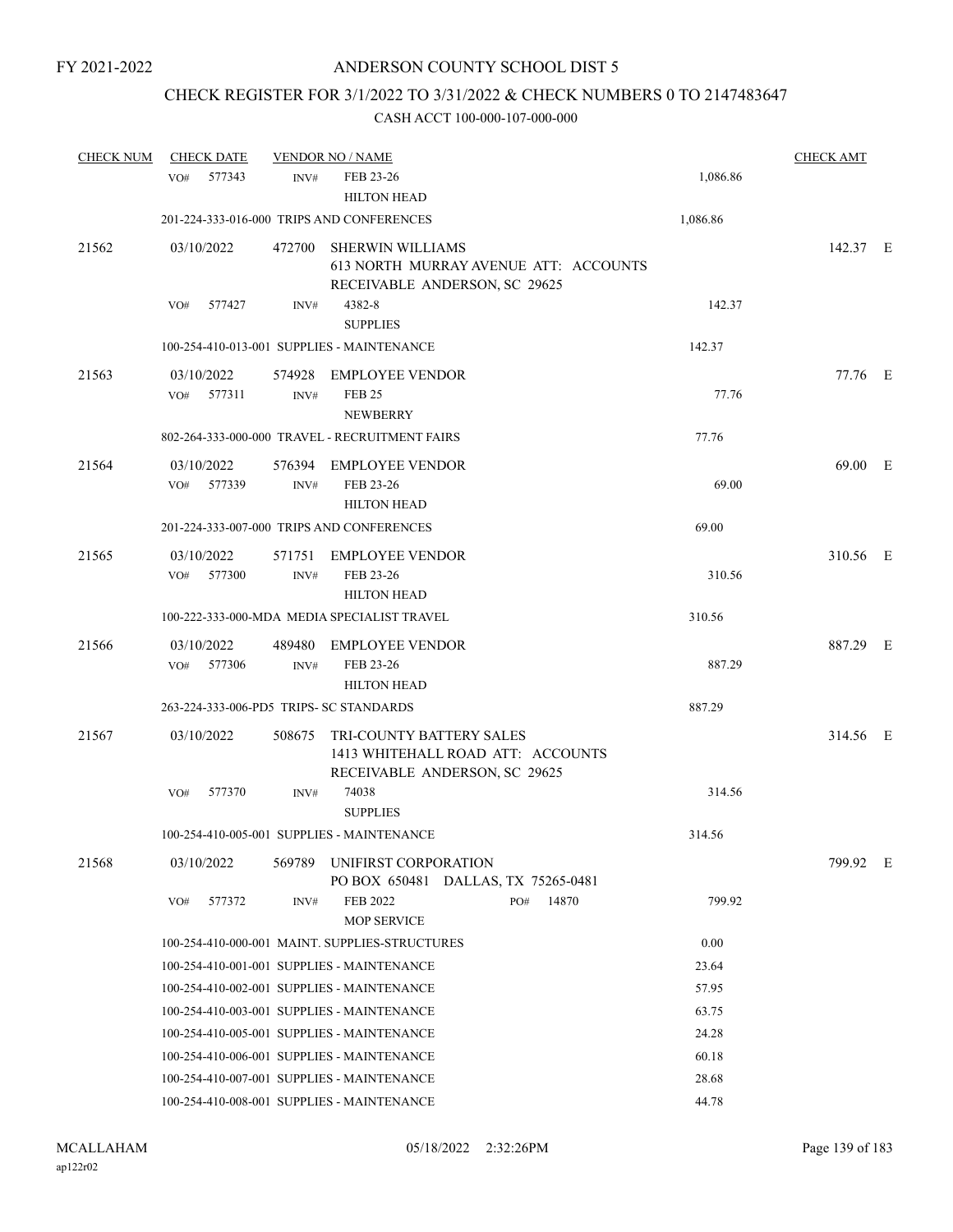# CHECK REGISTER FOR 3/1/2022 TO 3/31/2022 & CHECK NUMBERS 0 TO 2147483647

| <b>CHECK NUM</b> | <b>CHECK DATE</b>                       |                | <b>VENDOR NO / NAME</b>                                                                        |                 | <b>CHECK AMT</b> |  |
|------------------|-----------------------------------------|----------------|------------------------------------------------------------------------------------------------|-----------------|------------------|--|
|                  | 577343<br>VO#                           | INV#           | FEB 23-26<br><b>HILTON HEAD</b>                                                                | 1,086.86        |                  |  |
|                  |                                         |                | 201-224-333-016-000 TRIPS AND CONFERENCES                                                      | 1,086.86        |                  |  |
| 21562            | 03/10/2022                              | 472700         | SHERWIN WILLIAMS<br>613 NORTH MURRAY AVENUE ATT: ACCOUNTS<br>RECEIVABLE ANDERSON, SC 29625     |                 | 142.37 E         |  |
|                  | 577427<br>VO#                           | INV#           | 4382-8<br><b>SUPPLIES</b>                                                                      | 142.37          |                  |  |
|                  |                                         |                | 100-254-410-013-001 SUPPLIES - MAINTENANCE                                                     | 142.37          |                  |  |
| 21563            | 03/10/2022<br>577311<br>VO#             | 574928<br>INV# | EMPLOYEE VENDOR<br><b>FEB 25</b><br><b>NEWBERRY</b>                                            | 77.76           | 77.76 E          |  |
|                  |                                         |                | 802-264-333-000-000 TRAVEL - RECRUITMENT FAIRS                                                 | 77.76           |                  |  |
| 21564            | 03/10/2022<br>VO#<br>577339             | 576394<br>INV# | <b>EMPLOYEE VENDOR</b><br>FEB 23-26<br><b>HILTON HEAD</b>                                      | 69.00           | 69.00 E          |  |
|                  |                                         |                | 201-224-333-007-000 TRIPS AND CONFERENCES                                                      | 69.00           |                  |  |
| 21565            | 03/10/2022<br>VO#<br>577300             | 571751<br>INV# | <b>EMPLOYEE VENDOR</b><br>FEB 23-26<br><b>HILTON HEAD</b>                                      | 310.56          | 310.56 E         |  |
|                  |                                         |                | 100-222-333-000-MDA MEDIA SPECIALIST TRAVEL                                                    | 310.56          |                  |  |
| 21566            | 03/10/2022<br>VO# 577306                | 489480<br>INV# | EMPLOYEE VENDOR<br>FEB 23-26<br><b>HILTON HEAD</b>                                             | 887.29          | 887.29 E         |  |
|                  | 263-224-333-006-PD5 TRIPS- SC STANDARDS |                |                                                                                                | 887.29          |                  |  |
| 21567            | 03/10/2022                              | 508675         | TRI-COUNTY BATTERY SALES<br>1413 WHITEHALL ROAD ATT: ACCOUNTS<br>RECEIVABLE ANDERSON, SC 29625 |                 | 314.56 E         |  |
|                  | 577370<br>VO#                           | INV#           | 74038<br><b>SUPPLIES</b>                                                                       | 314.56          |                  |  |
|                  |                                         |                | 100-254-410-005-001 SUPPLIES - MAINTENANCE                                                     | 314.56          |                  |  |
| 21568            | 03/10/2022                              | 569789         | UNIFIRST CORPORATION<br>PO BOX 650481 DALLAS, TX 75265-0481                                    |                 | 799.92 E         |  |
|                  | 577372<br>VO#                           | INV#           | FEB 2022<br>PO#<br><b>MOP SERVICE</b>                                                          | 14870<br>799.92 |                  |  |
|                  |                                         |                | 100-254-410-000-001 MAINT. SUPPLIES-STRUCTURES                                                 | 0.00            |                  |  |
|                  |                                         |                | 100-254-410-001-001 SUPPLIES - MAINTENANCE                                                     | 23.64           |                  |  |
|                  |                                         |                | 100-254-410-002-001 SUPPLIES - MAINTENANCE                                                     | 57.95           |                  |  |
|                  |                                         |                | 100-254-410-003-001 SUPPLIES - MAINTENANCE                                                     | 63.75           |                  |  |
|                  |                                         |                | 100-254-410-005-001 SUPPLIES - MAINTENANCE                                                     | 24.28           |                  |  |
|                  |                                         |                | 100-254-410-006-001 SUPPLIES - MAINTENANCE                                                     | 60.18           |                  |  |
|                  |                                         |                | 100-254-410-007-001 SUPPLIES - MAINTENANCE                                                     | 28.68           |                  |  |
|                  |                                         |                | 100-254-410-008-001 SUPPLIES - MAINTENANCE                                                     | 44.78           |                  |  |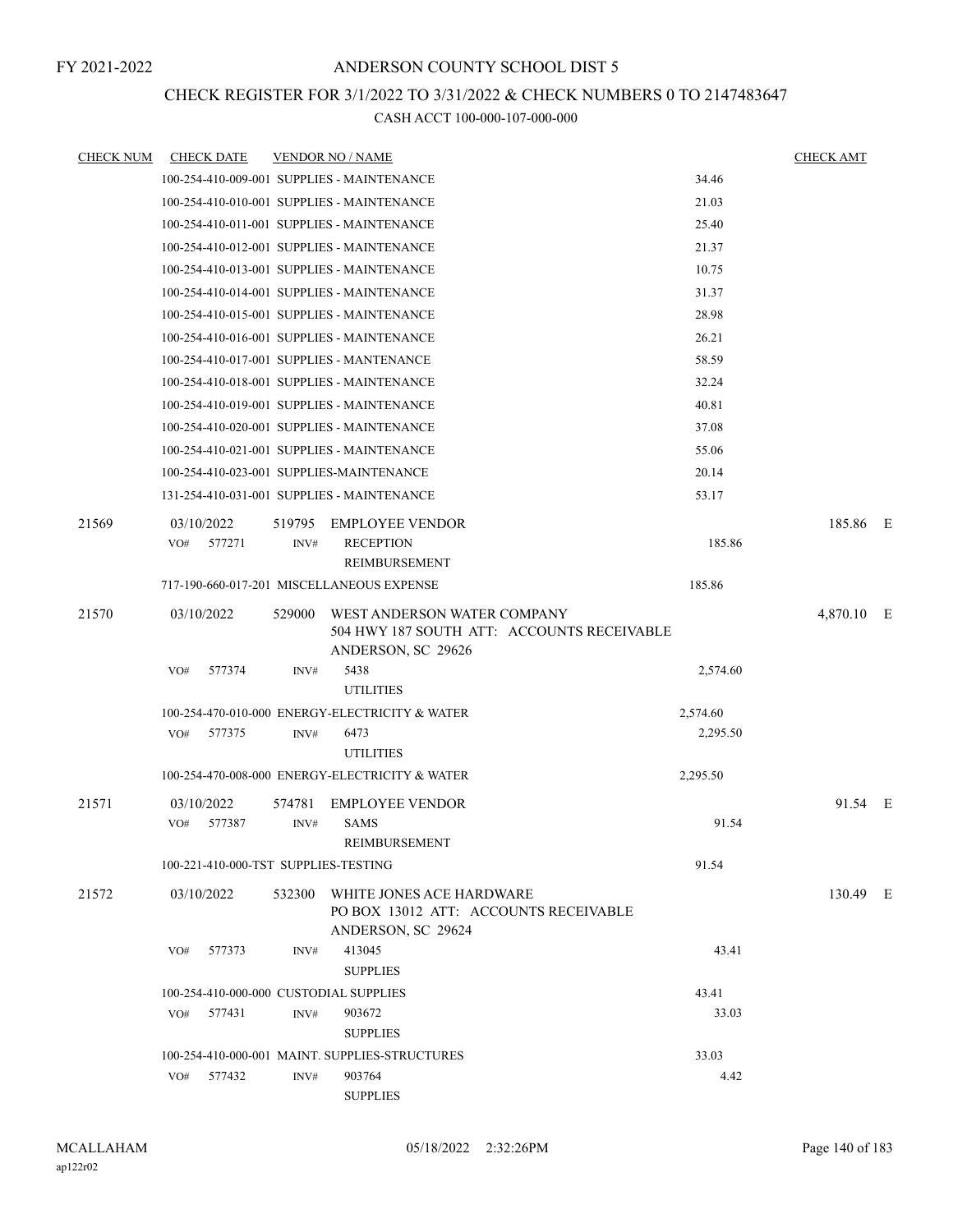### CHECK REGISTER FOR 3/1/2022 TO 3/31/2022 & CHECK NUMBERS 0 TO 2147483647

| <b>CHECK NUM</b> | <b>CHECK DATE</b>                          |        | <b>VENDOR NO / NAME</b>                                                                         |          | <b>CHECK AMT</b> |     |
|------------------|--------------------------------------------|--------|-------------------------------------------------------------------------------------------------|----------|------------------|-----|
|                  |                                            |        | 100-254-410-009-001 SUPPLIES - MAINTENANCE                                                      | 34.46    |                  |     |
|                  |                                            |        | 100-254-410-010-001 SUPPLIES - MAINTENANCE                                                      | 21.03    |                  |     |
|                  |                                            |        | 100-254-410-011-001 SUPPLIES - MAINTENANCE                                                      | 25.40    |                  |     |
|                  |                                            |        | 100-254-410-012-001 SUPPLIES - MAINTENANCE                                                      | 21.37    |                  |     |
|                  |                                            |        | 100-254-410-013-001 SUPPLIES - MAINTENANCE                                                      | 10.75    |                  |     |
|                  | 100-254-410-014-001 SUPPLIES - MAINTENANCE |        |                                                                                                 | 31.37    |                  |     |
|                  |                                            |        | 100-254-410-015-001 SUPPLIES - MAINTENANCE                                                      | 28.98    |                  |     |
|                  |                                            |        | 100-254-410-016-001 SUPPLIES - MAINTENANCE                                                      | 26.21    |                  |     |
|                  | 100-254-410-017-001 SUPPLIES - MANTENANCE  |        |                                                                                                 | 58.59    |                  |     |
|                  |                                            |        | 100-254-410-018-001 SUPPLIES - MAINTENANCE                                                      | 32.24    |                  |     |
|                  |                                            |        | 100-254-410-019-001 SUPPLIES - MAINTENANCE                                                      | 40.81    |                  |     |
|                  |                                            |        | 100-254-410-020-001 SUPPLIES - MAINTENANCE                                                      | 37.08    |                  |     |
|                  |                                            |        | 100-254-410-021-001 SUPPLIES - MAINTENANCE                                                      | 55.06    |                  |     |
|                  | 100-254-410-023-001 SUPPLIES-MAINTENANCE   |        |                                                                                                 | 20.14    |                  |     |
|                  |                                            |        | 131-254-410-031-001 SUPPLIES - MAINTENANCE                                                      | 53.17    |                  |     |
| 21569            | 03/10/2022                                 | 519795 | <b>EMPLOYEE VENDOR</b>                                                                          |          | 185.86 E         |     |
|                  | 577271<br>VO#                              | INV#   | <b>RECEPTION</b>                                                                                | 185.86   |                  |     |
|                  |                                            |        | REIMBURSEMENT                                                                                   |          |                  |     |
|                  |                                            |        | 717-190-660-017-201 MISCELLANEOUS EXPENSE                                                       | 185.86   |                  |     |
| 21570            | 03/10/2022                                 | 529000 | WEST ANDERSON WATER COMPANY<br>504 HWY 187 SOUTH ATT: ACCOUNTS RECEIVABLE<br>ANDERSON, SC 29626 |          | 4,870.10         | – E |
|                  | 577374<br>VO#                              | INV#   | 5438<br><b>UTILITIES</b>                                                                        | 2,574.60 |                  |     |
|                  |                                            |        | 100-254-470-010-000 ENERGY-ELECTRICITY & WATER                                                  | 2,574.60 |                  |     |
|                  | 577375<br>VO#                              | INV#   | 6473                                                                                            | 2,295.50 |                  |     |
|                  |                                            |        | <b>UTILITIES</b>                                                                                |          |                  |     |
|                  |                                            |        | 100-254-470-008-000 ENERGY-ELECTRICITY & WATER                                                  | 2,295.50 |                  |     |
| 21571            | 03/10/2022                                 | 574781 | <b>EMPLOYEE VENDOR</b>                                                                          |          | 91.54 E          |     |
|                  | 577387<br>VO#                              | INV#   | <b>SAMS</b><br>REIMBURSEMENT                                                                    | 91.54    |                  |     |
|                  | 100-221-410-000-TST SUPPLIES-TESTING       |        |                                                                                                 | 91.54    |                  |     |
|                  |                                            |        |                                                                                                 |          |                  |     |
| 21572            | 03/10/2022                                 |        | 532300 WHITE JONES ACE HARDWARE<br>PO BOX 13012 ATT: ACCOUNTS RECEIVABLE<br>ANDERSON, SC 29624  |          | 130.49 E         |     |
|                  | VO# 577373                                 | INV#   | 413045<br><b>SUPPLIES</b>                                                                       | 43.41    |                  |     |
|                  | 100-254-410-000-000 CUSTODIAL SUPPLIES     |        |                                                                                                 | 43.41    |                  |     |
|                  | 577431<br>VO#                              | INV#   | 903672                                                                                          | 33.03    |                  |     |
|                  |                                            |        | <b>SUPPLIES</b>                                                                                 |          |                  |     |
|                  |                                            |        | 100-254-410-000-001 MAINT. SUPPLIES-STRUCTURES                                                  | 33.03    |                  |     |
|                  | 577432<br>VO#                              | INV#   | 903764<br><b>SUPPLIES</b>                                                                       | 4.42     |                  |     |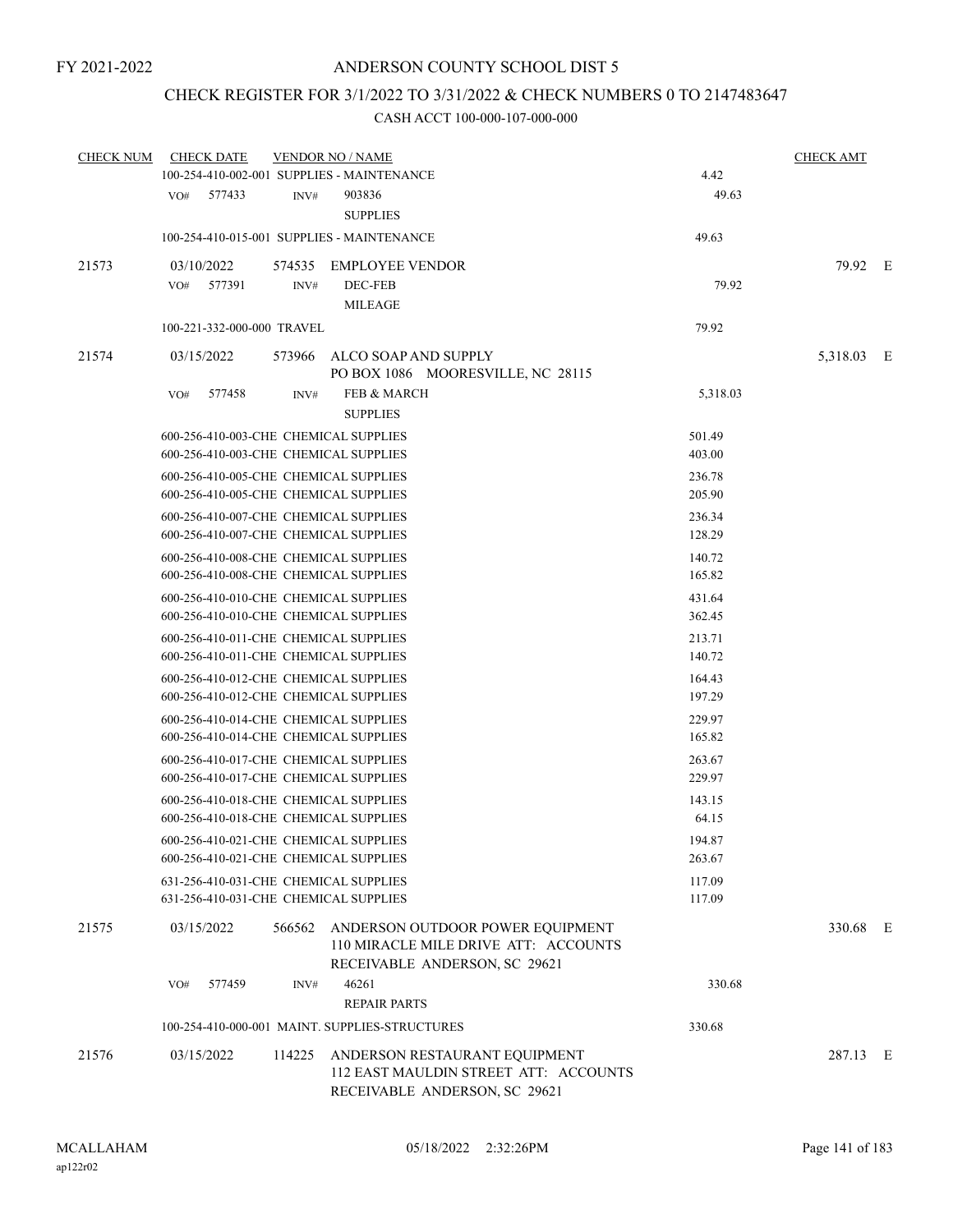## CHECK REGISTER FOR 3/1/2022 TO 3/31/2022 & CHECK NUMBERS 0 TO 2147483647

| <b>CHECK NUM</b> | <b>CHECK DATE</b>                                                              |        | <b>VENDOR NO / NAME</b>                                                                                        |                  | <b>CHECK AMT</b> |  |
|------------------|--------------------------------------------------------------------------------|--------|----------------------------------------------------------------------------------------------------------------|------------------|------------------|--|
|                  | 100-254-410-002-001 SUPPLIES - MAINTENANCE                                     |        |                                                                                                                | 4.42             |                  |  |
|                  | VO#<br>577433                                                                  | INV#   | 903836<br><b>SUPPLIES</b>                                                                                      | 49.63            |                  |  |
|                  | 100-254-410-015-001 SUPPLIES - MAINTENANCE                                     |        |                                                                                                                | 49.63            |                  |  |
| 21573            | 03/10/2022                                                                     | 574535 | <b>EMPLOYEE VENDOR</b>                                                                                         |                  | 79.92 E          |  |
|                  | 577391<br>VO#                                                                  | INV#   | DEC-FEB                                                                                                        | 79.92            |                  |  |
|                  |                                                                                |        | <b>MILEAGE</b>                                                                                                 |                  |                  |  |
|                  | 100-221-332-000-000 TRAVEL                                                     |        |                                                                                                                | 79.92            |                  |  |
|                  |                                                                                |        |                                                                                                                |                  |                  |  |
| 21574            | 03/15/2022                                                                     | 573966 | ALCO SOAP AND SUPPLY<br>PO BOX 1086 MOORESVILLE, NC 28115                                                      |                  | 5,318.03 E       |  |
|                  | VO#<br>577458                                                                  | INV#   | <b>FEB &amp; MARCH</b>                                                                                         | 5,318.03         |                  |  |
|                  |                                                                                |        | <b>SUPPLIES</b>                                                                                                |                  |                  |  |
|                  | 600-256-410-003-CHE CHEMICAL SUPPLIES                                          |        |                                                                                                                | 501.49           |                  |  |
|                  | 600-256-410-003-CHE CHEMICAL SUPPLIES                                          |        |                                                                                                                | 403.00           |                  |  |
|                  | 600-256-410-005-CHE CHEMICAL SUPPLIES                                          |        |                                                                                                                | 236.78           |                  |  |
|                  | 600-256-410-005-CHE CHEMICAL SUPPLIES                                          |        |                                                                                                                | 205.90           |                  |  |
|                  | 600-256-410-007-CHE CHEMICAL SUPPLIES                                          |        |                                                                                                                | 236.34           |                  |  |
|                  | 600-256-410-007-CHE CHEMICAL SUPPLIES                                          |        |                                                                                                                | 128.29           |                  |  |
|                  | 600-256-410-008-CHE CHEMICAL SUPPLIES                                          |        |                                                                                                                | 140.72           |                  |  |
|                  | 600-256-410-008-CHE CHEMICAL SUPPLIES                                          |        |                                                                                                                | 165.82           |                  |  |
|                  | 600-256-410-010-CHE CHEMICAL SUPPLIES                                          |        |                                                                                                                | 431.64           |                  |  |
|                  | 600-256-410-010-CHE CHEMICAL SUPPLIES                                          |        |                                                                                                                | 362.45           |                  |  |
|                  | 600-256-410-011-CHE CHEMICAL SUPPLIES<br>600-256-410-011-CHE CHEMICAL SUPPLIES |        |                                                                                                                | 213.71<br>140.72 |                  |  |
|                  |                                                                                |        |                                                                                                                |                  |                  |  |
|                  | 600-256-410-012-CHE CHEMICAL SUPPLIES<br>600-256-410-012-CHE CHEMICAL SUPPLIES |        |                                                                                                                | 164.43<br>197.29 |                  |  |
|                  | 600-256-410-014-CHE CHEMICAL SUPPLIES                                          |        |                                                                                                                | 229.97           |                  |  |
|                  | 600-256-410-014-CHE CHEMICAL SUPPLIES                                          |        |                                                                                                                | 165.82           |                  |  |
|                  | 600-256-410-017-CHE CHEMICAL SUPPLIES                                          |        |                                                                                                                | 263.67           |                  |  |
|                  | 600-256-410-017-CHE CHEMICAL SUPPLIES                                          |        |                                                                                                                | 229.97           |                  |  |
|                  | 600-256-410-018-CHE CHEMICAL SUPPLIES                                          |        |                                                                                                                | 143.15           |                  |  |
|                  | 600-256-410-018-CHE CHEMICAL SUPPLIES                                          |        |                                                                                                                | 64.15            |                  |  |
|                  | 600-256-410-021-CHE CHEMICAL SUPPLIES                                          |        |                                                                                                                | 194.87           |                  |  |
|                  | 600-256-410-021-CHE CHEMICAL SUPPLIES                                          |        |                                                                                                                | 263.67           |                  |  |
|                  | 631-256-410-031-CHE CHEMICAL SUPPLIES                                          |        |                                                                                                                | 117.09           |                  |  |
|                  | 631-256-410-031-CHE CHEMICAL SUPPLIES                                          |        |                                                                                                                | 117.09           |                  |  |
| 21575            | 03/15/2022                                                                     | 566562 | ANDERSON OUTDOOR POWER EQUIPMENT<br>110 MIRACLE MILE DRIVE ATT: ACCOUNTS<br>RECEIVABLE ANDERSON, SC 29621      |                  | 330.68 E         |  |
|                  | 577459<br>VO#                                                                  | INV#   | 46261                                                                                                          | 330.68           |                  |  |
|                  |                                                                                |        | <b>REPAIR PARTS</b>                                                                                            |                  |                  |  |
|                  |                                                                                |        | 100-254-410-000-001 MAINT. SUPPLIES-STRUCTURES                                                                 | 330.68           |                  |  |
| 21576            | 03/15/2022                                                                     |        | 114225 ANDERSON RESTAURANT EQUIPMENT<br>112 EAST MAULDIN STREET ATT: ACCOUNTS<br>RECEIVABLE ANDERSON, SC 29621 |                  | 287.13 E         |  |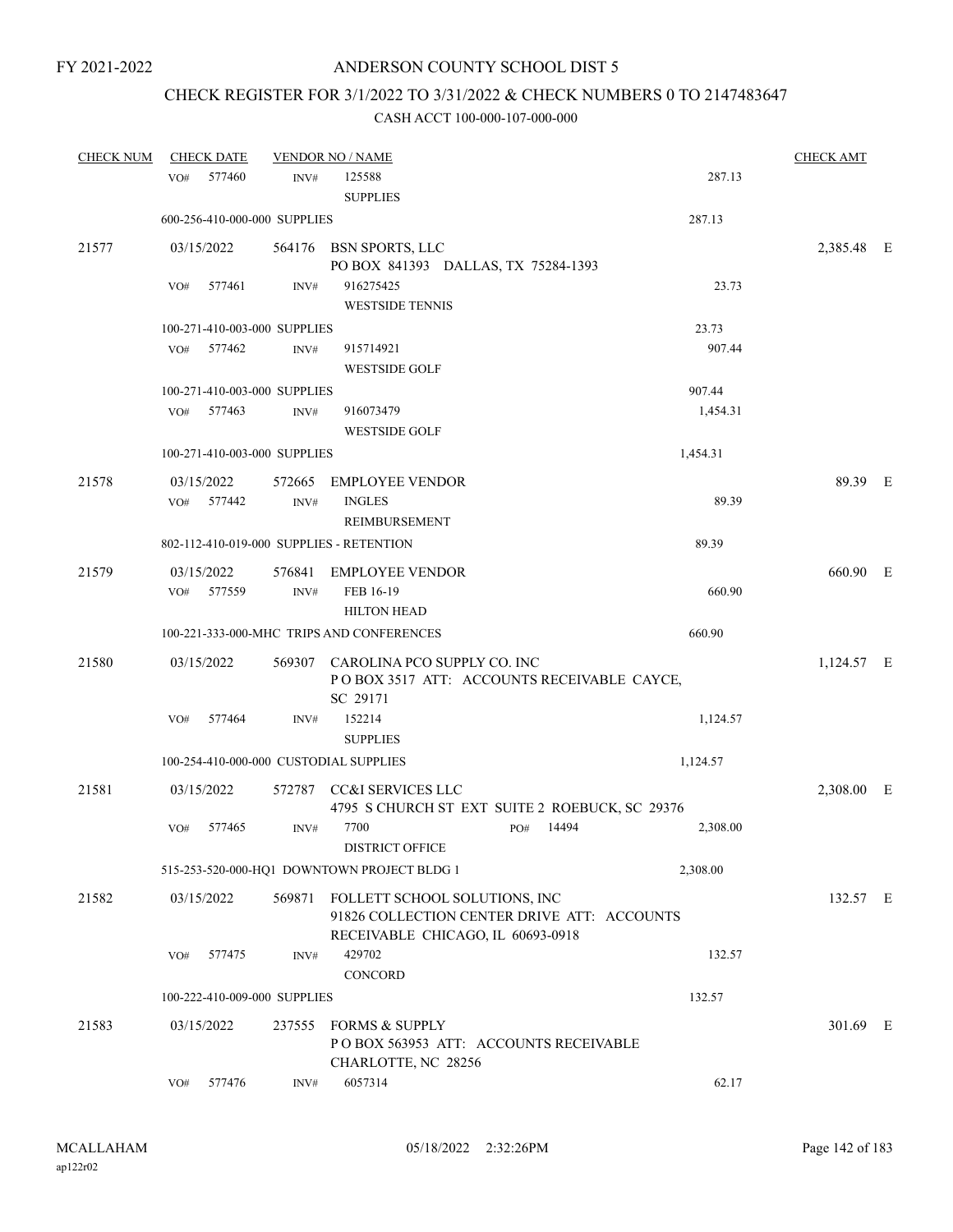# CHECK REGISTER FOR 3/1/2022 TO 3/31/2022 & CHECK NUMBERS 0 TO 2147483647

| <b>CHECK NUM</b> |     | <b>CHECK DATE</b> |                              | <b>VENDOR NO / NAME</b>                        |     |       |          | <b>CHECK AMT</b> |  |
|------------------|-----|-------------------|------------------------------|------------------------------------------------|-----|-------|----------|------------------|--|
|                  | VO# | 577460            | INV#                         | 125588                                         |     |       | 287.13   |                  |  |
|                  |     |                   |                              | <b>SUPPLIES</b>                                |     |       |          |                  |  |
|                  |     |                   | 600-256-410-000-000 SUPPLIES |                                                |     |       | 287.13   |                  |  |
| 21577            |     | 03/15/2022        |                              | 564176 BSN SPORTS, LLC                         |     |       |          | 2,385.48 E       |  |
|                  |     |                   |                              | PO BOX 841393 DALLAS, TX 75284-1393            |     |       |          |                  |  |
|                  | VO# | 577461            | INV#                         | 916275425                                      |     |       | 23.73    |                  |  |
|                  |     |                   |                              | <b>WESTSIDE TENNIS</b>                         |     |       |          |                  |  |
|                  |     |                   | 100-271-410-003-000 SUPPLIES |                                                |     |       | 23.73    |                  |  |
|                  | VO# | 577462            | INV#                         | 915714921                                      |     |       | 907.44   |                  |  |
|                  |     |                   |                              | <b>WESTSIDE GOLF</b>                           |     |       |          |                  |  |
|                  |     |                   | 100-271-410-003-000 SUPPLIES |                                                |     |       | 907.44   |                  |  |
|                  | VO# | 577463            | INV#                         | 916073479                                      |     |       | 1,454.31 |                  |  |
|                  |     |                   |                              | <b>WESTSIDE GOLF</b>                           |     |       |          |                  |  |
|                  |     |                   | 100-271-410-003-000 SUPPLIES |                                                |     |       | 1,454.31 |                  |  |
| 21578            |     | 03/15/2022        | 572665                       | <b>EMPLOYEE VENDOR</b>                         |     |       |          | 89.39 E          |  |
|                  |     | VO# 577442        | INV#                         | <b>INGLES</b>                                  |     |       | 89.39    |                  |  |
|                  |     |                   |                              | <b>REIMBURSEMENT</b>                           |     |       |          |                  |  |
|                  |     |                   |                              | 802-112-410-019-000 SUPPLIES - RETENTION       |     |       | 89.39    |                  |  |
| 21579            |     | 03/15/2022        |                              | 576841 EMPLOYEE VENDOR                         |     |       |          | 660.90 E         |  |
|                  | VO# | 577559            | INV#                         | FEB 16-19                                      |     |       | 660.90   |                  |  |
|                  |     |                   |                              | <b>HILTON HEAD</b>                             |     |       |          |                  |  |
|                  |     |                   |                              | 100-221-333-000-MHC TRIPS AND CONFERENCES      |     |       | 660.90   |                  |  |
| 21580            |     | 03/15/2022        |                              | 569307 CAROLINA PCO SUPPLY CO. INC             |     |       |          | 1,124.57 E       |  |
|                  |     |                   |                              | POBOX 3517 ATT: ACCOUNTS RECEIVABLE CAYCE,     |     |       |          |                  |  |
|                  |     |                   |                              | SC 29171                                       |     |       |          |                  |  |
|                  | VO# | 577464            | INV#                         | 152214                                         |     |       | 1,124.57 |                  |  |
|                  |     |                   |                              | <b>SUPPLIES</b>                                |     |       |          |                  |  |
|                  |     |                   |                              | 100-254-410-000-000 CUSTODIAL SUPPLIES         |     |       | 1,124.57 |                  |  |
| 21581            |     | 03/15/2022        | 572787                       | CC&I SERVICES LLC                              |     |       |          | 2,308.00 E       |  |
|                  |     |                   |                              | 4795 S CHURCH ST EXT SUITE 2 ROEBUCK, SC 29376 |     |       |          |                  |  |
|                  | VO# | 577465            | INV#                         | 7700                                           | PO# | 14494 | 2,308.00 |                  |  |
|                  |     |                   |                              | DISTRICT OFFICE                                |     |       |          |                  |  |
|                  |     |                   |                              | 515-253-520-000-HQ1 DOWNTOWN PROJECT BLDG 1    |     |       | 2,308.00 |                  |  |
| 21582            |     | 03/15/2022        |                              | 569871 FOLLETT SCHOOL SOLUTIONS, INC           |     |       |          | 132.57 E         |  |
|                  |     |                   |                              | 91826 COLLECTION CENTER DRIVE ATT: ACCOUNTS    |     |       |          |                  |  |
|                  |     |                   |                              | RECEIVABLE CHICAGO, IL 60693-0918              |     |       |          |                  |  |
|                  | VO# | 577475            | INV#                         | 429702                                         |     |       | 132.57   |                  |  |
|                  |     |                   |                              | CONCORD                                        |     |       |          |                  |  |
|                  |     |                   | 100-222-410-009-000 SUPPLIES |                                                |     |       | 132.57   |                  |  |
| 21583            |     | 03/15/2022        | 237555                       | <b>FORMS &amp; SUPPLY</b>                      |     |       |          | 301.69 E         |  |
|                  |     |                   |                              | POBOX 563953 ATT: ACCOUNTS RECEIVABLE          |     |       |          |                  |  |
|                  |     |                   |                              | CHARLOTTE, NC 28256                            |     |       |          |                  |  |
|                  | VO# | 577476            | INV#                         | 6057314                                        |     |       | 62.17    |                  |  |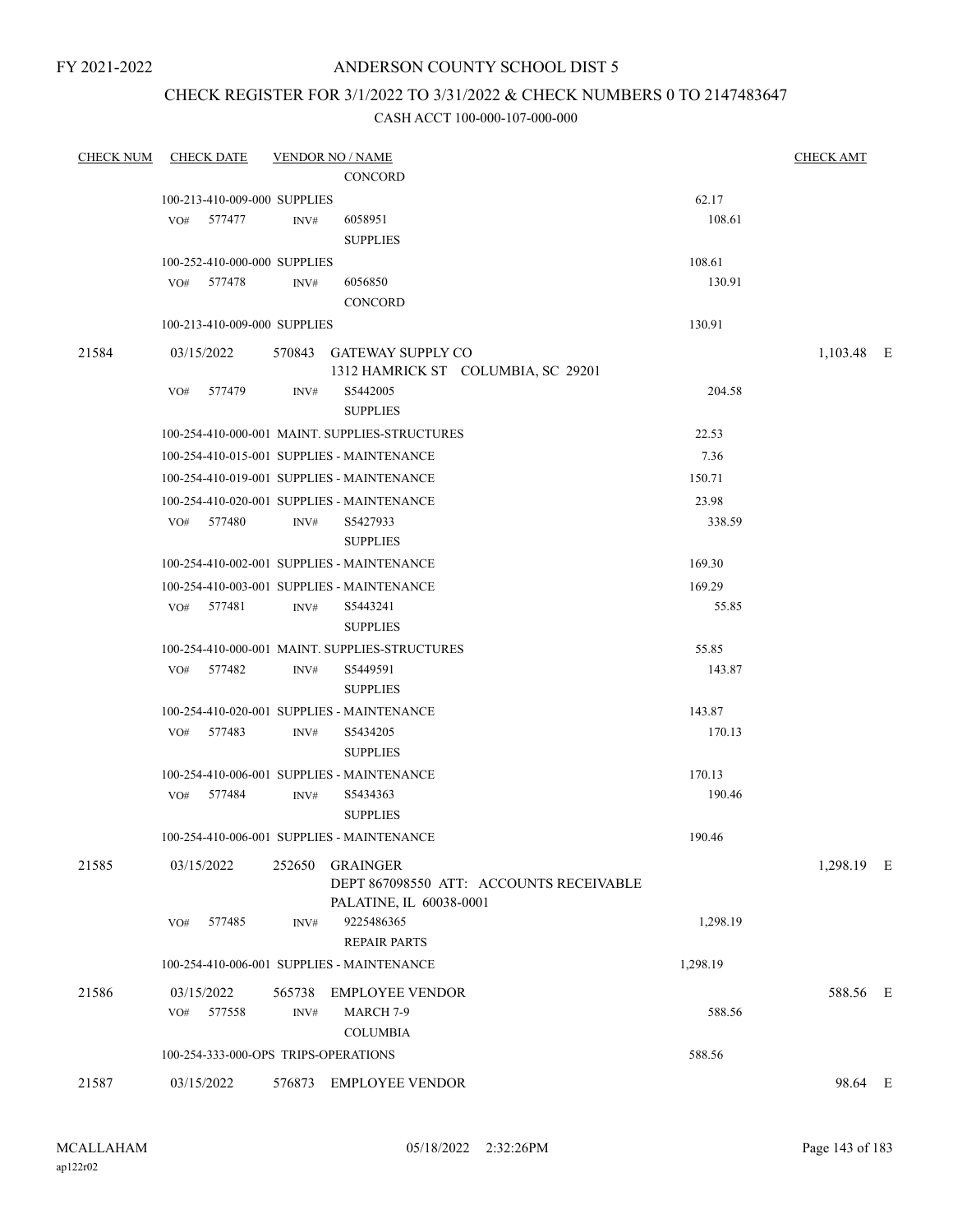FY 2021-2022

# ANDERSON COUNTY SCHOOL DIST 5

## CHECK REGISTER FOR 3/1/2022 TO 3/31/2022 & CHECK NUMBERS 0 TO 2147483647

| <b>CHECK NUM</b> | <b>CHECK DATE</b>                    |        | <b>VENDOR NO / NAME</b>                                        |          | <b>CHECK AMT</b> |  |
|------------------|--------------------------------------|--------|----------------------------------------------------------------|----------|------------------|--|
|                  |                                      |        | <b>CONCORD</b>                                                 |          |                  |  |
|                  | 100-213-410-009-000 SUPPLIES         |        |                                                                | 62.17    |                  |  |
|                  | VO# 577477                           | INV#   | 6058951                                                        | 108.61   |                  |  |
|                  |                                      |        | <b>SUPPLIES</b>                                                |          |                  |  |
|                  | 100-252-410-000-000 SUPPLIES         |        |                                                                | 108.61   |                  |  |
|                  | VO# 577478                           | INV#   | 6056850                                                        | 130.91   |                  |  |
|                  |                                      |        | <b>CONCORD</b>                                                 |          |                  |  |
|                  | 100-213-410-009-000 SUPPLIES         |        |                                                                | 130.91   |                  |  |
| 21584            | 03/15/2022                           |        | 570843 GATEWAY SUPPLY CO<br>1312 HAMRICK ST COLUMBIA, SC 29201 |          | 1,103.48 E       |  |
|                  | VO#<br>577479                        | INV#   | S5442005                                                       | 204.58   |                  |  |
|                  |                                      |        | <b>SUPPLIES</b>                                                |          |                  |  |
|                  |                                      |        | 100-254-410-000-001 MAINT. SUPPLIES-STRUCTURES                 | 22.53    |                  |  |
|                  |                                      |        | 100-254-410-015-001 SUPPLIES - MAINTENANCE                     | 7.36     |                  |  |
|                  |                                      |        | 100-254-410-019-001 SUPPLIES - MAINTENANCE                     | 150.71   |                  |  |
|                  |                                      |        | 100-254-410-020-001 SUPPLIES - MAINTENANCE                     | 23.98    |                  |  |
|                  | VO# 577480                           | INV#   | S5427933                                                       | 338.59   |                  |  |
|                  |                                      |        | <b>SUPPLIES</b>                                                |          |                  |  |
|                  |                                      |        | 100-254-410-002-001 SUPPLIES - MAINTENANCE                     | 169.30   |                  |  |
|                  |                                      |        | 100-254-410-003-001 SUPPLIES - MAINTENANCE                     | 169.29   |                  |  |
|                  | VO# 577481                           | INV#   | S5443241                                                       | 55.85    |                  |  |
|                  |                                      |        | <b>SUPPLIES</b>                                                |          |                  |  |
|                  |                                      |        | 100-254-410-000-001 MAINT. SUPPLIES-STRUCTURES                 | 55.85    |                  |  |
|                  | VO# 577482                           | INV#   | S5449591                                                       | 143.87   |                  |  |
|                  |                                      |        | <b>SUPPLIES</b>                                                |          |                  |  |
|                  |                                      |        | 100-254-410-020-001 SUPPLIES - MAINTENANCE                     | 143.87   |                  |  |
|                  | VO# 577483                           | INV#   | S5434205                                                       | 170.13   |                  |  |
|                  |                                      |        | <b>SUPPLIES</b>                                                |          |                  |  |
|                  |                                      |        | 100-254-410-006-001 SUPPLIES - MAINTENANCE                     | 170.13   |                  |  |
|                  | VO# 577484                           | INV#   | S5434363                                                       | 190.46   |                  |  |
|                  |                                      |        | <b>SUPPLIES</b>                                                |          |                  |  |
|                  |                                      |        | 100-254-410-006-001 SUPPLIES - MAINTENANCE                     | 190.46   |                  |  |
| 21585            | 03/15/2022                           |        | 252650 GRAINGER<br>DEPT 867098550 ATT: ACCOUNTS RECEIVABLE     |          | 1,298.19 E       |  |
|                  | 577485<br>VO#                        | INV#   | PALATINE, IL 60038-0001<br>9225486365                          | 1,298.19 |                  |  |
|                  |                                      |        | <b>REPAIR PARTS</b>                                            |          |                  |  |
|                  |                                      |        | 100-254-410-006-001 SUPPLIES - MAINTENANCE                     | 1,298.19 |                  |  |
|                  |                                      |        |                                                                |          |                  |  |
| 21586            | 03/15/2022                           | 565738 | <b>EMPLOYEE VENDOR</b>                                         |          | 588.56 E         |  |
|                  | VO#<br>577558                        | INV#   | MARCH 7-9<br><b>COLUMBIA</b>                                   | 588.56   |                  |  |
|                  |                                      |        |                                                                |          |                  |  |
|                  | 100-254-333-000-OPS TRIPS-OPERATIONS |        |                                                                | 588.56   |                  |  |
| 21587            | 03/15/2022                           |        | 576873 EMPLOYEE VENDOR                                         |          | 98.64 E          |  |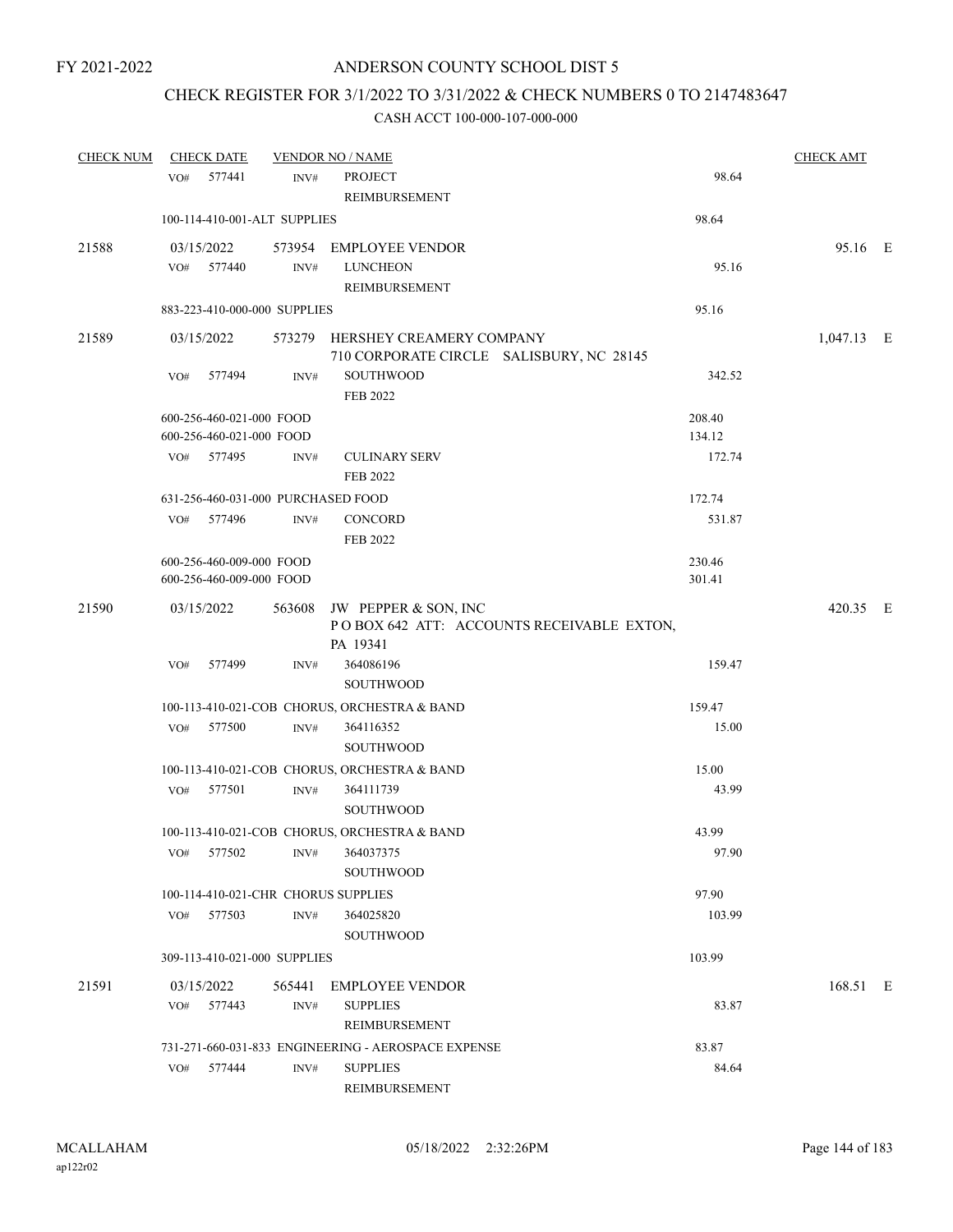# CHECK REGISTER FOR 3/1/2022 TO 3/31/2022 & CHECK NUMBERS 0 TO 2147483647

| <b>CHECK NUM</b> | <b>CHECK DATE</b>                                    |                | <b>VENDOR NO / NAME</b>                                                     |                                           |                  | <b>CHECK AMT</b> |  |
|------------------|------------------------------------------------------|----------------|-----------------------------------------------------------------------------|-------------------------------------------|------------------|------------------|--|
|                  | VO# 577441                                           | INV#           | <b>PROJECT</b>                                                              |                                           | 98.64            |                  |  |
|                  |                                                      |                | <b>REIMBURSEMENT</b>                                                        |                                           |                  |                  |  |
|                  | 100-114-410-001-ALT SUPPLIES                         |                |                                                                             |                                           | 98.64            |                  |  |
| 21588            | 03/15/2022                                           |                | 573954 EMPLOYEE VENDOR                                                      |                                           |                  | 95.16 E          |  |
|                  | VO# 577440                                           | INV#           | <b>LUNCHEON</b>                                                             |                                           | 95.16            |                  |  |
|                  |                                                      |                | REIMBURSEMENT                                                               |                                           |                  |                  |  |
|                  | 883-223-410-000-000 SUPPLIES                         |                |                                                                             |                                           | 95.16            |                  |  |
| 21589            | 03/15/2022                                           |                | 573279 HERSHEY CREAMERY COMPANY<br>710 CORPORATE CIRCLE SALISBURY, NC 28145 |                                           |                  | 1,047.13 E       |  |
|                  | VO#<br>577494                                        | INV#           | SOUTHWOOD<br>FEB 2022                                                       |                                           | 342.52           |                  |  |
|                  |                                                      |                |                                                                             |                                           |                  |                  |  |
|                  | 600-256-460-021-000 FOOD<br>600-256-460-021-000 FOOD |                |                                                                             |                                           | 208.40<br>134.12 |                  |  |
|                  | VO# 577495                                           | INV#           | <b>CULINARY SERV</b>                                                        |                                           | 172.74           |                  |  |
|                  |                                                      |                | <b>FEB 2022</b>                                                             |                                           |                  |                  |  |
|                  | 631-256-460-031-000 PURCHASED FOOD                   |                |                                                                             |                                           | 172.74           |                  |  |
|                  | VO# 577496                                           | INV#           | CONCORD                                                                     |                                           | 531.87           |                  |  |
|                  |                                                      |                | FEB 2022                                                                    |                                           |                  |                  |  |
|                  | 600-256-460-009-000 FOOD                             |                |                                                                             |                                           | 230.46           |                  |  |
|                  | 600-256-460-009-000 FOOD                             |                |                                                                             |                                           | 301.41           |                  |  |
| 21590            | 03/15/2022                                           |                | 563608 JW PEPPER & SON, INC                                                 |                                           |                  | 420.35 E         |  |
|                  |                                                      |                |                                                                             | POBOX 642 ATT: ACCOUNTS RECEIVABLE EXTON, |                  |                  |  |
|                  |                                                      |                | PA 19341                                                                    |                                           |                  |                  |  |
|                  | VO#<br>577499                                        | INV#           | 364086196                                                                   |                                           | 159.47           |                  |  |
|                  |                                                      |                | SOUTHWOOD                                                                   |                                           |                  |                  |  |
|                  |                                                      |                | 100-113-410-021-COB CHORUS, ORCHESTRA & BAND                                |                                           | 159.47           |                  |  |
|                  | 577500<br>VO#                                        | $\text{INV}\#$ | 364116352                                                                   |                                           | 15.00            |                  |  |
|                  |                                                      |                | <b>SOUTHWOOD</b>                                                            |                                           |                  |                  |  |
|                  |                                                      |                | 100-113-410-021-COB CHORUS, ORCHESTRA & BAND                                |                                           | 15.00            |                  |  |
|                  | 577501<br>VO#                                        | INV#           | 364111739                                                                   |                                           | 43.99            |                  |  |
|                  |                                                      |                | <b>SOUTHWOOD</b>                                                            |                                           |                  |                  |  |
|                  |                                                      |                | 100-113-410-021-COB CHORUS, ORCHESTRA & BAND                                |                                           | 43.99            |                  |  |
|                  | 577502<br>VO#                                        | INV#           | 364037375<br><b>SOUTHWOOD</b>                                               |                                           | 97.90            |                  |  |
|                  | 100-114-410-021-CHR CHORUS SUPPLIES                  |                |                                                                             |                                           | 97.90            |                  |  |
|                  | 577503<br>VO#                                        | INV#           | 364025820                                                                   |                                           | 103.99           |                  |  |
|                  |                                                      |                | <b>SOUTHWOOD</b>                                                            |                                           |                  |                  |  |
|                  | 309-113-410-021-000 SUPPLIES                         |                |                                                                             |                                           | 103.99           |                  |  |
| 21591            | 03/15/2022                                           | 565441         | <b>EMPLOYEE VENDOR</b>                                                      |                                           |                  | 168.51 E         |  |
|                  | VO# 577443                                           | INV#           | <b>SUPPLIES</b>                                                             |                                           | 83.87            |                  |  |
|                  |                                                      |                | <b>REIMBURSEMENT</b>                                                        |                                           |                  |                  |  |
|                  |                                                      |                | 731-271-660-031-833 ENGINEERING - AEROSPACE EXPENSE                         |                                           | 83.87            |                  |  |
|                  | 577444<br>VO#                                        | INV#           | <b>SUPPLIES</b>                                                             |                                           | 84.64            |                  |  |
|                  |                                                      |                | REIMBURSEMENT                                                               |                                           |                  |                  |  |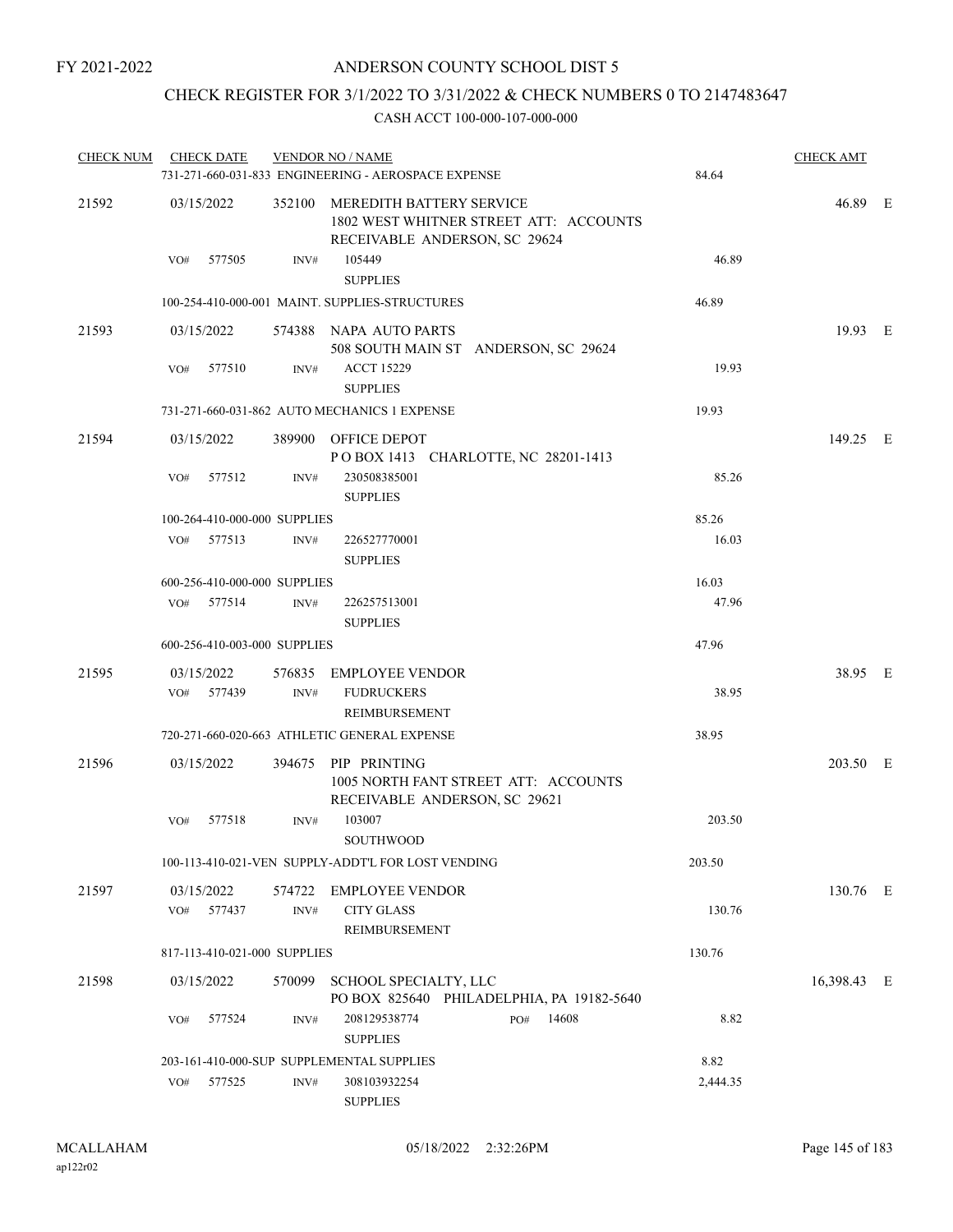# CHECK REGISTER FOR 3/1/2022 TO 3/31/2022 & CHECK NUMBERS 0 TO 2147483647

| <b>CHECK NUM</b> | <b>CHECK DATE</b>            |                                 | <b>VENDOR NO / NAME</b><br>731-271-660-031-833 ENGINEERING - AEROSPACE EXPENSE               | 84.64    | <b>CHECK AMT</b> |  |
|------------------|------------------------------|---------------------------------|----------------------------------------------------------------------------------------------|----------|------------------|--|
| 21592            | 03/15/2022                   | 352100 MEREDITH BATTERY SERVICE |                                                                                              | 46.89 E  |                  |  |
|                  | VO#<br>577505                | INV#                            | 105449<br><b>SUPPLIES</b>                                                                    | 46.89    |                  |  |
|                  |                              |                                 | 100-254-410-000-001 MAINT. SUPPLIES-STRUCTURES                                               | 46.89    |                  |  |
| 21593            | 03/15/2022                   |                                 | 574388 NAPA AUTO PARTS<br>508 SOUTH MAIN ST ANDERSON, SC 29624                               |          | 19.93 E          |  |
|                  | 577510<br>VO#                | INV#                            | <b>ACCT 15229</b><br><b>SUPPLIES</b>                                                         | 19.93    |                  |  |
|                  |                              |                                 | 731-271-660-031-862 AUTO MECHANICS 1 EXPENSE                                                 | 19.93    |                  |  |
| 21594            | 03/15/2022                   |                                 | 389900 OFFICE DEPOT<br>POBOX 1413 CHARLOTTE, NC 28201-1413                                   |          | 149.25 E         |  |
|                  | 577512<br>VO#                | INV#                            | 230508385001<br><b>SUPPLIES</b>                                                              | 85.26    |                  |  |
|                  | 100-264-410-000-000 SUPPLIES |                                 |                                                                                              | 85.26    |                  |  |
|                  | VO# 577513                   | INV#                            | 226527770001<br><b>SUPPLIES</b>                                                              | 16.03    |                  |  |
|                  | 600-256-410-000-000 SUPPLIES |                                 |                                                                                              | 16.03    |                  |  |
|                  | VO# 577514                   | INV#                            | 226257513001<br><b>SUPPLIES</b>                                                              | 47.96    |                  |  |
|                  | 600-256-410-003-000 SUPPLIES |                                 |                                                                                              | 47.96    |                  |  |
| 21595            | 03/15/2022<br>VO# 577439     | INV#                            | 576835 EMPLOYEE VENDOR<br><b>FUDRUCKERS</b><br>REIMBURSEMENT                                 | 38.95    | 38.95 E          |  |
|                  |                              |                                 | 720-271-660-020-663 ATHLETIC GENERAL EXPENSE                                                 | 38.95    |                  |  |
| 21596            | 03/15/2022                   |                                 | 394675 PIP PRINTING<br>1005 NORTH FANT STREET ATT: ACCOUNTS<br>RECEIVABLE ANDERSON, SC 29621 |          | 203.50 E         |  |
|                  | 577518<br>VO#                | INV#                            | 103007<br><b>SOUTHWOOD</b>                                                                   | 203.50   |                  |  |
|                  |                              |                                 | 100-113-410-021-VEN SUPPLY-ADDT'L FOR LOST VENDING                                           | 203.50   |                  |  |
| 21597            | 03/15/2022                   |                                 | 574722 EMPLOYEE VENDOR                                                                       |          | 130.76 E         |  |
|                  | 577437<br>VO#                | INV#                            | <b>CITY GLASS</b><br>REIMBURSEMENT                                                           | 130.76   |                  |  |
|                  | 817-113-410-021-000 SUPPLIES |                                 |                                                                                              | 130.76   |                  |  |
| 21598            | 03/15/2022                   | 570099                          | SCHOOL SPECIALTY, LLC<br>PO BOX 825640 PHILADELPHIA, PA 19182-5640                           |          | 16,398.43 E      |  |
|                  | 577524<br>VO#                | INV#                            | 208129538774<br>14608<br>PO#<br><b>SUPPLIES</b>                                              | 8.82     |                  |  |
|                  |                              |                                 | 203-161-410-000-SUP SUPPLEMENTAL SUPPLIES                                                    | 8.82     |                  |  |
|                  | 577525<br>VO#                | INV#                            | 308103932254<br><b>SUPPLIES</b>                                                              | 2,444.35 |                  |  |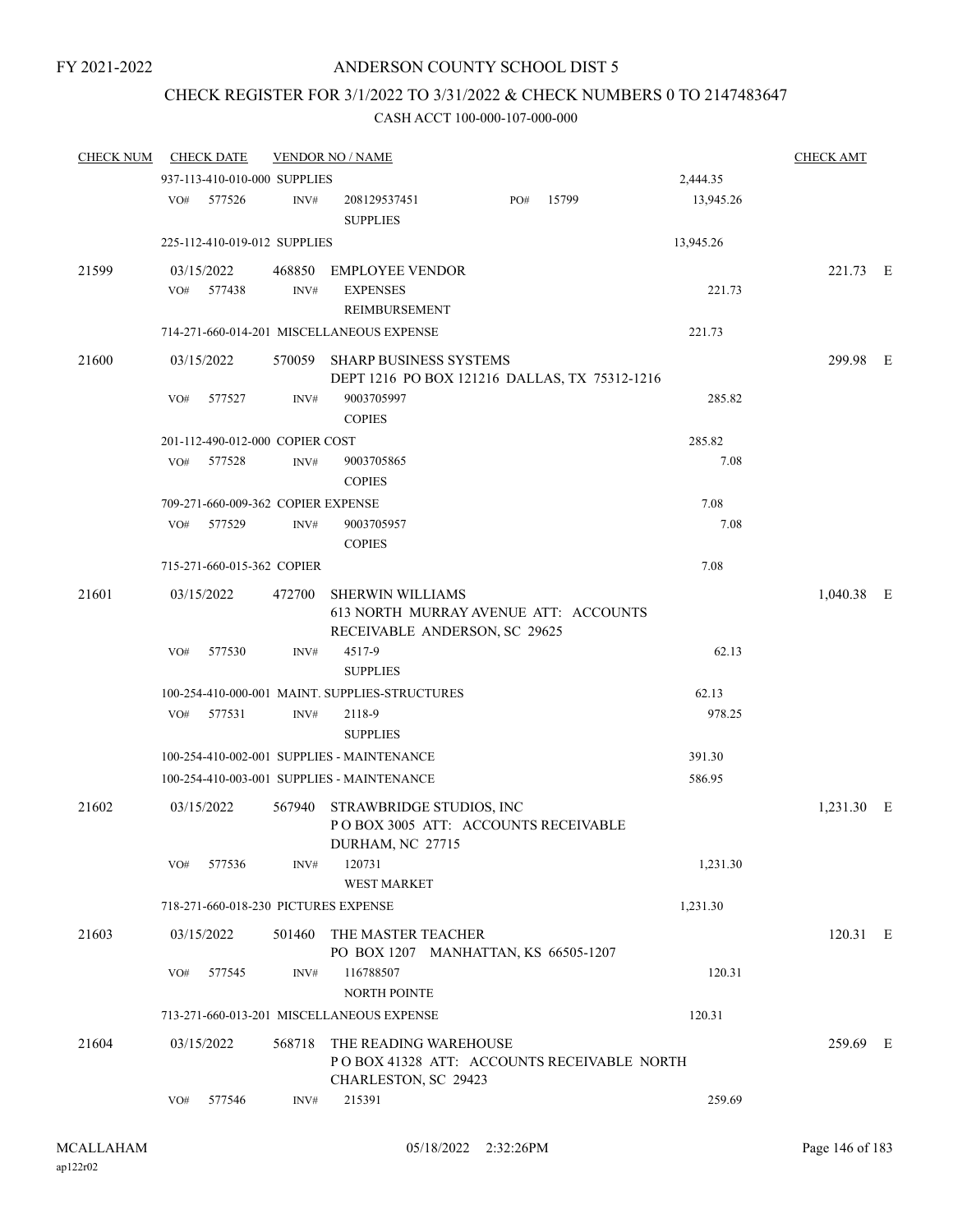# CHECK REGISTER FOR 3/1/2022 TO 3/31/2022 & CHECK NUMBERS 0 TO 2147483647

| <b>CHECK NUM</b> |     | <b>CHECK DATE</b>                  |        | <b>VENDOR NO / NAME</b>                                                                           |     |       |                 | <b>CHECK AMT</b> |  |
|------------------|-----|------------------------------------|--------|---------------------------------------------------------------------------------------------------|-----|-------|-----------------|------------------|--|
|                  |     | 937-113-410-010-000 SUPPLIES       |        |                                                                                                   |     |       | 2,444.35        |                  |  |
|                  | VO# | 577526                             | INV#   | 208129537451<br><b>SUPPLIES</b>                                                                   | PO# | 15799 | 13,945.26       |                  |  |
|                  |     | 225-112-410-019-012 SUPPLIES       |        |                                                                                                   |     |       | 13,945.26       |                  |  |
| 21599            |     | 03/15/2022                         |        | 468850 EMPLOYEE VENDOR                                                                            |     |       |                 | 221.73 E         |  |
|                  | VO# | 577438                             | INV#   | <b>EXPENSES</b><br>REIMBURSEMENT                                                                  |     |       | 221.73          |                  |  |
|                  |     |                                    |        | 714-271-660-014-201 MISCELLANEOUS EXPENSE                                                         |     |       | 221.73          |                  |  |
| 21600            |     | 03/15/2022                         |        | 570059 SHARP BUSINESS SYSTEMS<br>DEPT 1216 PO BOX 121216 DALLAS, TX 75312-1216                    |     |       |                 | 299.98 E         |  |
|                  | VO# | 577527                             | INV#   | 9003705997<br><b>COPIES</b>                                                                       |     |       | 285.82          |                  |  |
|                  |     | 201-112-490-012-000 COPIER COST    |        |                                                                                                   |     |       | 285.82          |                  |  |
|                  | VO# | 577528                             | INV#   | 9003705865<br><b>COPIES</b>                                                                       |     |       | 7.08            |                  |  |
|                  |     | 709-271-660-009-362 COPIER EXPENSE |        |                                                                                                   |     |       | 7.08            |                  |  |
|                  | VO# | 577529                             | INV#   | 9003705957<br><b>COPIES</b>                                                                       |     |       | 7.08            |                  |  |
|                  |     | 715-271-660-015-362 COPIER         |        |                                                                                                   |     |       | 7.08            |                  |  |
| 21601            |     | 03/15/2022                         | 472700 | <b>SHERWIN WILLIAMS</b><br>613 NORTH MURRAY AVENUE ATT: ACCOUNTS<br>RECEIVABLE ANDERSON, SC 29625 |     |       |                 | $1,040.38$ E     |  |
|                  | VO# | 577530                             | INV#   | 4517-9<br><b>SUPPLIES</b>                                                                         |     |       | 62.13           |                  |  |
|                  |     | VO# 577531                         | INV#   | 100-254-410-000-001 MAINT. SUPPLIES-STRUCTURES<br>2118-9<br><b>SUPPLIES</b>                       |     |       | 62.13<br>978.25 |                  |  |
|                  |     |                                    |        | 100-254-410-002-001 SUPPLIES - MAINTENANCE                                                        |     |       | 391.30          |                  |  |
|                  |     |                                    |        | 100-254-410-003-001 SUPPLIES - MAINTENANCE                                                        |     |       | 586.95          |                  |  |
| 21602            |     | 03/15/2022                         |        | 567940 STRAWBRIDGE STUDIOS, INC<br>POBOX 3005 ATT: ACCOUNTS RECEIVABLE<br>DURHAM, NC 27715        |     |       |                 | 1,231.30 E       |  |
|                  | VO# | 577536                             | INV#   | 120731<br><b>WEST MARKET</b>                                                                      |     |       | 1,231.30        |                  |  |
|                  |     |                                    |        | 718-271-660-018-230 PICTURES EXPENSE                                                              |     |       | 1,231.30        |                  |  |
| 21603            |     | 03/15/2022                         |        | 501460 THE MASTER TEACHER<br>PO BOX 1207 MANHATTAN, KS 66505-1207                                 |     |       |                 | 120.31 E         |  |
|                  | VO# | 577545                             | INV#   | 116788507<br><b>NORTH POINTE</b>                                                                  |     |       | 120.31          |                  |  |
|                  |     |                                    |        | 713-271-660-013-201 MISCELLANEOUS EXPENSE                                                         |     |       | 120.31          |                  |  |
| 21604            |     | 03/15/2022                         | 568718 | THE READING WAREHOUSE<br>POBOX 41328 ATT: ACCOUNTS RECEIVABLE NORTH<br>CHARLESTON, SC 29423       |     |       |                 | 259.69 E         |  |
|                  | VO# | 577546                             | INV#   | 215391                                                                                            |     |       | 259.69          |                  |  |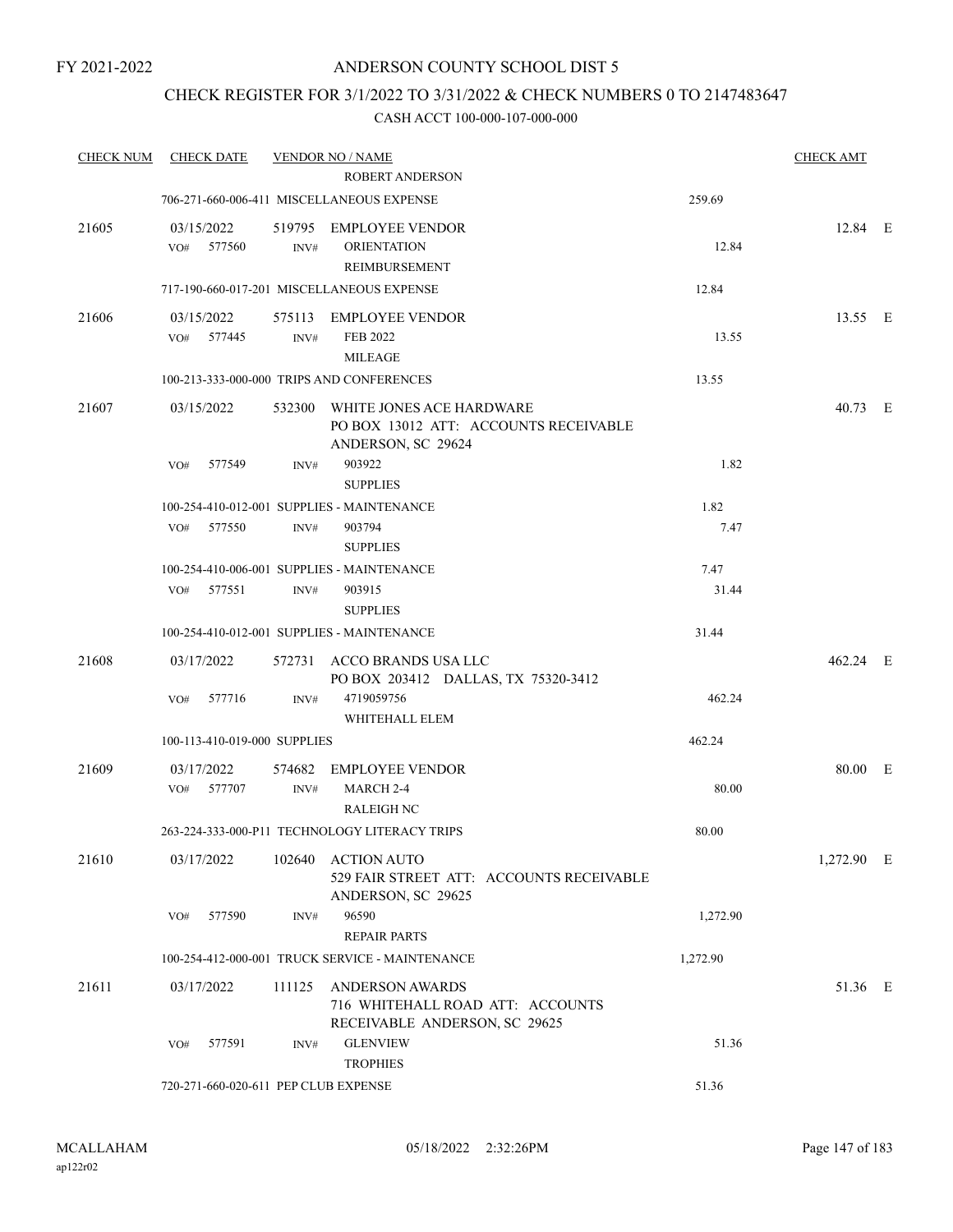# CHECK REGISTER FOR 3/1/2022 TO 3/31/2022 & CHECK NUMBERS 0 TO 2147483647

| <b>CHECK NUM</b> | <b>CHECK DATE</b>                    |        | <b>VENDOR NO / NAME</b>                                                                     |          | <b>CHECK AMT</b> |  |
|------------------|--------------------------------------|--------|---------------------------------------------------------------------------------------------|----------|------------------|--|
|                  |                                      |        | <b>ROBERT ANDERSON</b>                                                                      |          |                  |  |
|                  |                                      |        | 706-271-660-006-411 MISCELLANEOUS EXPENSE                                                   | 259.69   |                  |  |
| 21605            | 03/15/2022<br>VO# 577560             | INV#   | 519795 EMPLOYEE VENDOR<br><b>ORIENTATION</b><br>REIMBURSEMENT                               | 12.84    | 12.84 E          |  |
|                  |                                      |        | 717-190-660-017-201 MISCELLANEOUS EXPENSE                                                   | 12.84    |                  |  |
| 21606            | 03/15/2022<br>577445<br>VO#          | INV#   | 575113 EMPLOYEE VENDOR<br><b>FEB 2022</b><br><b>MILEAGE</b>                                 | 13.55    | 13.55 E          |  |
|                  |                                      |        | 100-213-333-000-000 TRIPS AND CONFERENCES                                                   | 13.55    |                  |  |
| 21607            | 03/15/2022                           | 532300 | WHITE JONES ACE HARDWARE<br>PO BOX 13012 ATT: ACCOUNTS RECEIVABLE<br>ANDERSON, SC 29624     |          | 40.73 E          |  |
|                  | VO#<br>577549                        | INV#   | 903922<br><b>SUPPLIES</b>                                                                   | 1.82     |                  |  |
|                  |                                      |        | 100-254-410-012-001 SUPPLIES - MAINTENANCE                                                  | 1.82     |                  |  |
|                  | $VO#$ 577550                         | INV#   | 903794                                                                                      | 7.47     |                  |  |
|                  |                                      |        | <b>SUPPLIES</b><br>100-254-410-006-001 SUPPLIES - MAINTENANCE                               | 7.47     |                  |  |
|                  | 577551<br>VO#                        | INV#   | 903915<br><b>SUPPLIES</b>                                                                   | 31.44    |                  |  |
|                  |                                      |        | 100-254-410-012-001 SUPPLIES - MAINTENANCE                                                  | 31.44    |                  |  |
| 21608            | 03/17/2022                           |        | 572731 ACCO BRANDS USA LLC<br>PO BOX 203412 DALLAS, TX 75320-3412                           |          | 462.24 E         |  |
|                  | 577716<br>VO#                        | INV#   | 4719059756<br>WHITEHALL ELEM                                                                | 462.24   |                  |  |
|                  | 100-113-410-019-000 SUPPLIES         |        |                                                                                             | 462.24   |                  |  |
| 21609            | 03/17/2022                           | 574682 | <b>EMPLOYEE VENDOR</b>                                                                      |          | 80.00 E          |  |
|                  | VO# 577707                           | INV#   | MARCH 2-4<br><b>RALEIGH NC</b>                                                              | 80.00    |                  |  |
|                  |                                      |        | 263-224-333-000-P11 TECHNOLOGY LITERACY TRIPS                                               | 80.00    |                  |  |
| 21610            | 03/17/2022                           | 102640 | <b>ACTION AUTO</b><br>529 FAIR STREET ATT: ACCOUNTS RECEIVABLE<br>ANDERSON, SC 29625        |          | 1,272.90 E       |  |
|                  | 577590<br>VO#                        | INV#   | 96590<br><b>REPAIR PARTS</b>                                                                | 1,272.90 |                  |  |
|                  |                                      |        | 100-254-412-000-001 TRUCK SERVICE - MAINTENANCE                                             | 1,272.90 |                  |  |
| 21611            | 03/17/2022                           | 111125 | <b>ANDERSON AWARDS</b><br>716 WHITEHALL ROAD ATT: ACCOUNTS<br>RECEIVABLE ANDERSON, SC 29625 |          | 51.36 E          |  |
|                  | 577591<br>VO#                        | INV#   | <b>GLENVIEW</b><br><b>TROPHIES</b>                                                          | 51.36    |                  |  |
|                  | 720-271-660-020-611 PEP CLUB EXPENSE |        |                                                                                             | 51.36    |                  |  |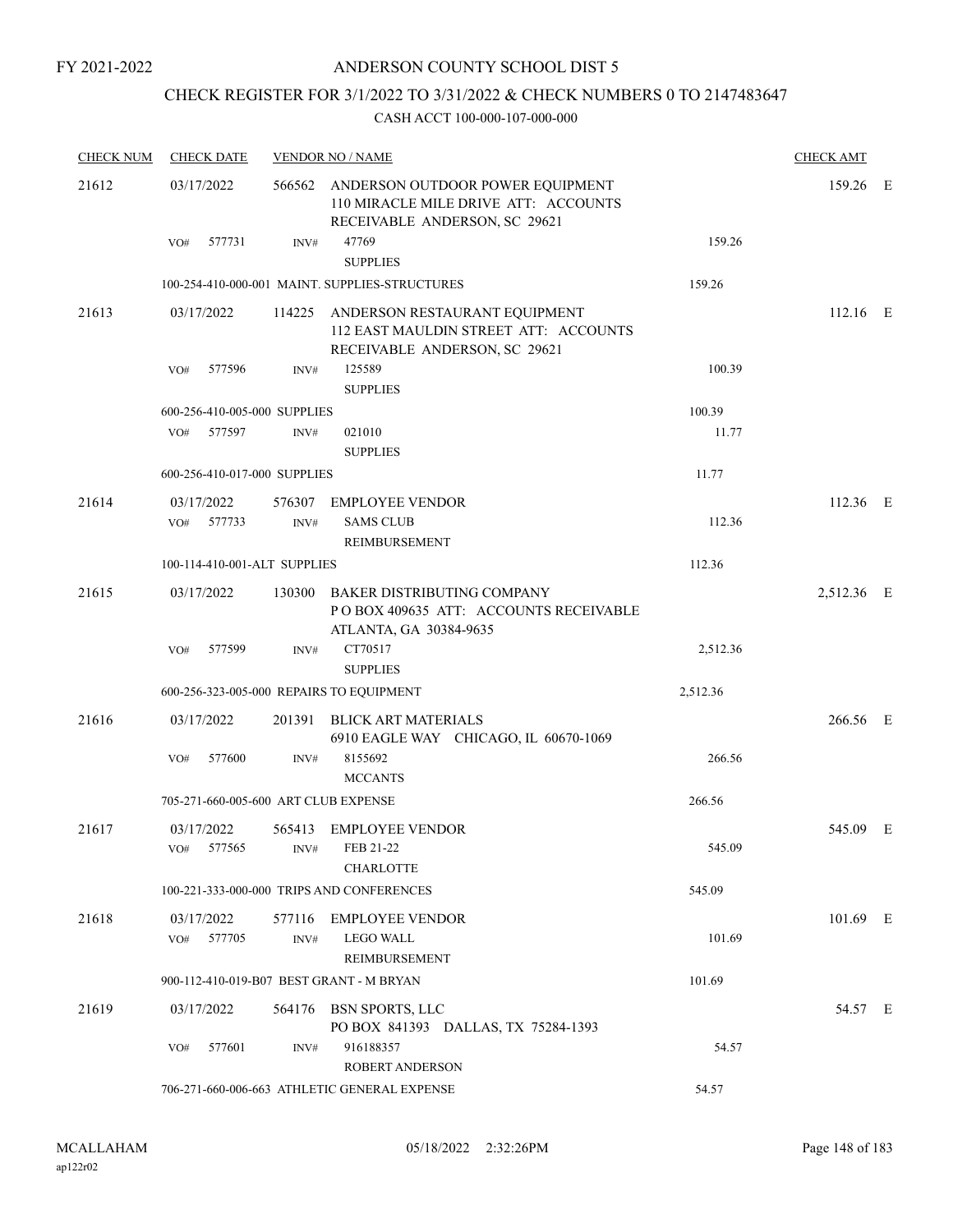# CHECK REGISTER FOR 3/1/2022 TO 3/31/2022 & CHECK NUMBERS 0 TO 2147483647

| <b>CHECK NUM</b> | <b>CHECK DATE</b>                       |      | <b>VENDOR NO / NAME</b>                                                                                          |          | <b>CHECK AMT</b> |  |
|------------------|-----------------------------------------|------|------------------------------------------------------------------------------------------------------------------|----------|------------------|--|
| 21612            | 03/17/2022                              |      | 566562 ANDERSON OUTDOOR POWER EQUIPMENT<br>110 MIRACLE MILE DRIVE ATT: ACCOUNTS<br>RECEIVABLE ANDERSON, SC 29621 |          | 159.26 E         |  |
|                  | 577731<br>VO#                           | INV# | 47769<br><b>SUPPLIES</b>                                                                                         | 159.26   |                  |  |
|                  |                                         |      | 100-254-410-000-001 MAINT. SUPPLIES-STRUCTURES                                                                   | 159.26   |                  |  |
| 21613            | 03/17/2022                              |      | 114225 ANDERSON RESTAURANT EQUIPMENT<br>112 EAST MAULDIN STREET ATT: ACCOUNTS<br>RECEIVABLE ANDERSON, SC 29621   |          | $112.16$ E       |  |
|                  | 577596<br>VO#                           | INV# | 125589<br><b>SUPPLIES</b>                                                                                        | 100.39   |                  |  |
|                  | 600-256-410-005-000 SUPPLIES            |      |                                                                                                                  | 100.39   |                  |  |
|                  | 577597<br>VO#                           | INV# | 021010<br><b>SUPPLIES</b>                                                                                        | 11.77    |                  |  |
|                  | 600-256-410-017-000 SUPPLIES            |      |                                                                                                                  | 11.77    |                  |  |
| 21614            | 03/17/2022                              |      | 576307 EMPLOYEE VENDOR                                                                                           |          | 112.36 E         |  |
|                  | $VO#$ 577733                            | INV# | <b>SAMS CLUB</b><br>REIMBURSEMENT                                                                                | 112.36   |                  |  |
|                  | 100-114-410-001-ALT SUPPLIES            |      |                                                                                                                  | 112.36   |                  |  |
| 21615            | 03/17/2022                              |      | 130300 BAKER DISTRIBUTING COMPANY<br>POBOX 409635 ATT: ACCOUNTS RECEIVABLE                                       |          | 2,512.36 E       |  |
|                  | 577599<br>VO#                           | INV# | ATLANTA, GA 30384-9635<br>CT70517<br><b>SUPPLIES</b>                                                             | 2,512.36 |                  |  |
|                  |                                         |      | 600-256-323-005-000 REPAIRS TO EQUIPMENT                                                                         | 2,512.36 |                  |  |
| 21616            | 03/17/2022                              |      | 201391 BLICK ART MATERIALS<br>6910 EAGLE WAY CHICAGO, IL 60670-1069                                              |          | 266.56 E         |  |
|                  | 577600<br>VO#                           | INV# | 8155692<br><b>MCCANTS</b>                                                                                        | 266.56   |                  |  |
|                  | 705-271-660-005-600 ART CLUB EXPENSE    |      |                                                                                                                  | 266.56   |                  |  |
| 21617            | 03/17/2022<br>VO# 577565 INV# FEB 21-22 |      | 565413 EMPLOYEE VENDOR                                                                                           | 545.09   | 545.09 E         |  |
|                  |                                         |      | <b>CHARLOTTE</b>                                                                                                 |          |                  |  |
|                  |                                         |      | 100-221-333-000-000 TRIPS AND CONFERENCES                                                                        | 545.09   |                  |  |
| 21618            | 03/17/2022<br>577705<br>VO#             | INV# | 577116 EMPLOYEE VENDOR<br><b>LEGO WALL</b><br><b>REIMBURSEMENT</b>                                               | 101.69   | 101.69 E         |  |
|                  |                                         |      | 900-112-410-019-B07 BEST GRANT - M BRYAN                                                                         | 101.69   |                  |  |
| 21619            | 03/17/2022                              |      | 564176 BSN SPORTS, LLC<br>PO BOX 841393 DALLAS, TX 75284-1393                                                    |          | 54.57 E          |  |
|                  | 577601<br>VO#                           | INV# | 916188357<br><b>ROBERT ANDERSON</b>                                                                              | 54.57    |                  |  |
|                  |                                         |      | 706-271-660-006-663 ATHLETIC GENERAL EXPENSE                                                                     | 54.57    |                  |  |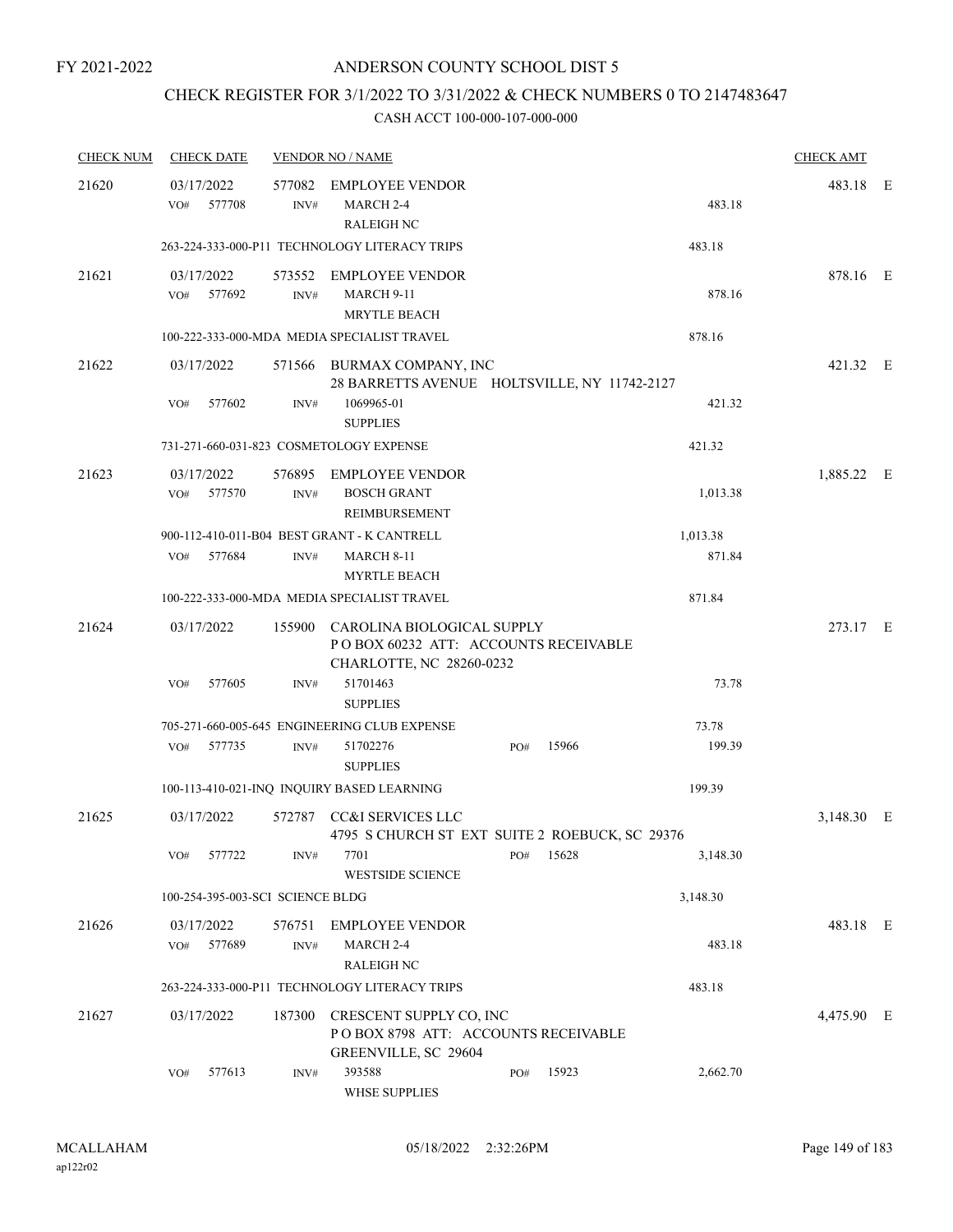# CHECK REGISTER FOR 3/1/2022 TO 3/31/2022 & CHECK NUMBERS 0 TO 2147483647

| <b>CHECK NUM</b> | <b>CHECK DATE</b>                |        |                | <b>VENDOR NO / NAME</b>                                                                                |     |       |          | <b>CHECK AMT</b> |  |
|------------------|----------------------------------|--------|----------------|--------------------------------------------------------------------------------------------------------|-----|-------|----------|------------------|--|
| 21620            | 03/17/2022<br>VO#                | 577708 | INV#           | 577082 EMPLOYEE VENDOR<br>MARCH 2-4                                                                    |     |       | 483.18   | 483.18 E         |  |
|                  |                                  |        |                | <b>RALEIGH NC</b><br>263-224-333-000-P11 TECHNOLOGY LITERACY TRIPS                                     |     |       | 483.18   |                  |  |
| 21621            | 03/17/2022                       |        |                | 573552 EMPLOYEE VENDOR                                                                                 |     |       |          | 878.16 E         |  |
|                  | VO# 577692                       |        | INV#           | MARCH 9-11<br><b>MRYTLE BEACH</b>                                                                      |     |       | 878.16   |                  |  |
|                  |                                  |        |                | 100-222-333-000-MDA MEDIA SPECIALIST TRAVEL                                                            |     |       | 878.16   |                  |  |
| 21622            | 03/17/2022                       |        |                | 571566 BURMAX COMPANY, INC<br>28 BARRETTS AVENUE HOLTSVILLE, NY 11742-2127                             |     |       |          | 421.32 E         |  |
|                  | VO#                              | 577602 | INV#           | 1069965-01<br><b>SUPPLIES</b>                                                                          |     |       | 421.32   |                  |  |
|                  |                                  |        |                | 731-271-660-031-823 COSMETOLOGY EXPENSE                                                                |     |       | 421.32   |                  |  |
| 21623            | 03/17/2022<br>VO#                | 577570 | INV#           | 576895 EMPLOYEE VENDOR<br><b>BOSCH GRANT</b>                                                           |     |       | 1,013.38 | 1,885.22 E       |  |
|                  |                                  |        |                | <b>REIMBURSEMENT</b>                                                                                   |     |       |          |                  |  |
|                  |                                  |        |                | 900-112-410-011-B04 BEST GRANT - K CANTRELL                                                            |     |       | 1,013.38 |                  |  |
|                  | VO#                              | 577684 | INV#           | <b>MARCH 8-11</b><br><b>MYRTLE BEACH</b>                                                               |     |       | 871.84   |                  |  |
|                  |                                  |        |                | 100-222-333-000-MDA MEDIA SPECIALIST TRAVEL                                                            |     |       | 871.84   |                  |  |
| 21624            | 03/17/2022                       |        |                | 155900 CAROLINA BIOLOGICAL SUPPLY<br>PO BOX 60232 ATT: ACCOUNTS RECEIVABLE<br>CHARLOTTE, NC 28260-0232 |     |       |          | 273.17 E         |  |
|                  | VO#                              | 577605 | INV#           | 51701463<br><b>SUPPLIES</b>                                                                            |     |       | 73.78    |                  |  |
|                  |                                  |        |                | 705-271-660-005-645 ENGINEERING CLUB EXPENSE                                                           |     |       | 73.78    |                  |  |
|                  | VO#                              | 577735 | INV#           | 51702276<br><b>SUPPLIES</b>                                                                            | PO# | 15966 | 199.39   |                  |  |
|                  |                                  |        |                | 100-113-410-021-INQ INQUIRY BASED LEARNING                                                             |     |       | 199.39   |                  |  |
| 21625            | 03/17/2022                       |        | 572787         | CC&I SERVICES LLC<br>4795 S CHURCH ST EXT SUITE 2 ROEBUCK, SC 29376                                    |     |       |          | 3,148.30 E       |  |
|                  | VO#                              | 577722 | INV#           | 7701<br><b>WESTSIDE SCIENCE</b>                                                                        | PO# | 15628 | 3,148.30 |                  |  |
|                  | 100-254-395-003-SCI SCIENCE BLDG |        |                |                                                                                                        |     |       | 3,148.30 |                  |  |
| 21626            | 03/17/2022<br>VO#                | 577689 | 576751<br>INV# | <b>EMPLOYEE VENDOR</b><br>MARCH 2-4                                                                    |     |       | 483.18   | 483.18 E         |  |
|                  |                                  |        |                | <b>RALEIGH NC</b>                                                                                      |     |       |          |                  |  |
|                  |                                  |        |                | 263-224-333-000-P11 TECHNOLOGY LITERACY TRIPS                                                          |     |       | 483.18   |                  |  |
| 21627            | 03/17/2022                       |        | 187300         | CRESCENT SUPPLY CO, INC<br>POBOX 8798 ATT: ACCOUNTS RECEIVABLE<br>GREENVILLE, SC 29604                 |     |       |          | 4,475.90 E       |  |
|                  | VO#                              | 577613 | INV#           | 393588<br>WHSE SUPPLIES                                                                                | PO# | 15923 | 2,662.70 |                  |  |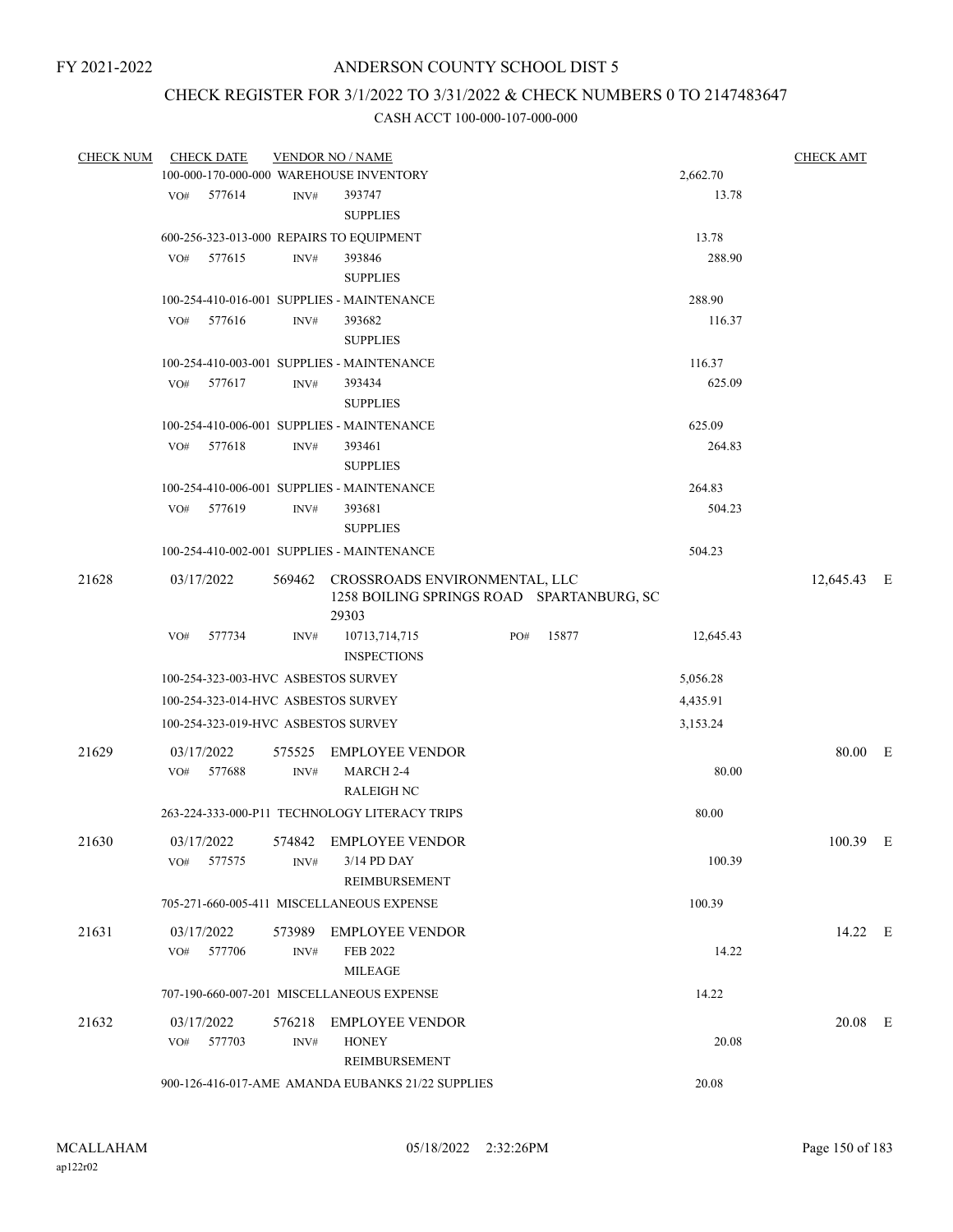# CHECK REGISTER FOR 3/1/2022 TO 3/31/2022 & CHECK NUMBERS 0 TO 2147483647

| <b>CHECK NUM</b> | <b>CHECK DATE</b>                        |                | <b>VENDOR NO / NAME</b>                                                                    |              |           | <b>CHECK AMT</b> |   |
|------------------|------------------------------------------|----------------|--------------------------------------------------------------------------------------------|--------------|-----------|------------------|---|
|                  |                                          |                | 100-000-170-000-000 WAREHOUSE INVENTORY                                                    |              | 2,662.70  |                  |   |
|                  | VO#<br>577614                            | INV#           | 393747                                                                                     |              | 13.78     |                  |   |
|                  |                                          |                | <b>SUPPLIES</b>                                                                            |              |           |                  |   |
|                  | 600-256-323-013-000 REPAIRS TO EQUIPMENT |                |                                                                                            |              | 13.78     |                  |   |
|                  | 577615<br>VO#                            | INV#           | 393846                                                                                     |              | 288.90    |                  |   |
|                  |                                          |                | <b>SUPPLIES</b>                                                                            |              |           |                  |   |
|                  |                                          |                | 100-254-410-016-001 SUPPLIES - MAINTENANCE                                                 |              | 288.90    |                  |   |
|                  | 577616<br>VO#                            | INV#           | 393682                                                                                     |              | 116.37    |                  |   |
|                  |                                          |                | <b>SUPPLIES</b>                                                                            |              |           |                  |   |
|                  |                                          |                | 100-254-410-003-001 SUPPLIES - MAINTENANCE                                                 |              | 116.37    |                  |   |
|                  | 577617<br>VO#                            | INV#           | 393434                                                                                     |              | 625.09    |                  |   |
|                  |                                          |                | <b>SUPPLIES</b>                                                                            |              |           |                  |   |
|                  |                                          |                | 100-254-410-006-001 SUPPLIES - MAINTENANCE                                                 |              | 625.09    |                  |   |
|                  | VO#<br>577618                            | INV#           | 393461                                                                                     |              | 264.83    |                  |   |
|                  |                                          |                | <b>SUPPLIES</b>                                                                            |              |           |                  |   |
|                  |                                          |                | 100-254-410-006-001 SUPPLIES - MAINTENANCE                                                 |              | 264.83    |                  |   |
|                  | 577619<br>VO#                            | INV#           | 393681                                                                                     |              | 504.23    |                  |   |
|                  |                                          |                | <b>SUPPLIES</b>                                                                            |              |           |                  |   |
|                  |                                          |                | 100-254-410-002-001 SUPPLIES - MAINTENANCE                                                 |              | 504.23    |                  |   |
| 21628            | 03/17/2022                               |                | 569462 CROSSROADS ENVIRONMENTAL, LLC<br>1258 BOILING SPRINGS ROAD SPARTANBURG, SC<br>29303 |              |           | 12,645.43 E      |   |
|                  | 577734<br>VO#                            | INV#           | 10713,714,715<br><b>INSPECTIONS</b>                                                        | 15877<br>PO# | 12,645.43 |                  |   |
|                  | 100-254-323-003-HVC ASBESTOS SURVEY      |                |                                                                                            |              | 5,056.28  |                  |   |
|                  | 100-254-323-014-HVC ASBESTOS SURVEY      |                |                                                                                            |              | 4,435.91  |                  |   |
|                  | 100-254-323-019-HVC ASBESTOS SURVEY      |                |                                                                                            |              | 3,153.24  |                  |   |
|                  |                                          |                |                                                                                            |              |           |                  |   |
| 21629            | 03/17/2022<br>577688<br>VO#              | 575525<br>INV# | <b>EMPLOYEE VENDOR</b><br>MARCH 2-4<br><b>RALEIGH NC</b>                                   |              | 80.00     | 80.00 E          |   |
|                  |                                          |                | 263-224-333-000-P11 TECHNOLOGY LITERACY TRIPS                                              |              | 80.00     |                  |   |
| 21630            | 03/17/2022                               | 574842         | <b>EMPLOYEE VENDOR</b>                                                                     |              |           | 100.39           | Ε |
|                  | 577575<br>VO#                            | INV#           | 3/14 PD DAY<br>REIMBURSEMENT                                                               |              | 100.39    |                  |   |
|                  |                                          |                | 705-271-660-005-411 MISCELLANEOUS EXPENSE                                                  |              | 100.39    |                  |   |
| 21631            | 03/17/2022                               | 573989         | <b>EMPLOYEE VENDOR</b>                                                                     |              |           | 14.22 E          |   |
|                  | 577706<br>VO#                            | INV#           | FEB 2022<br><b>MILEAGE</b>                                                                 |              | 14.22     |                  |   |
|                  |                                          |                | 707-190-660-007-201 MISCELLANEOUS EXPENSE                                                  |              | 14.22     |                  |   |
| 21632            | 03/17/2022                               | 576218         | <b>EMPLOYEE VENDOR</b>                                                                     |              |           | $20.08$ E        |   |
|                  | 577703<br>VO#                            | INV#           | <b>HONEY</b>                                                                               |              | 20.08     |                  |   |
|                  |                                          |                | REIMBURSEMENT                                                                              |              |           |                  |   |
|                  |                                          |                | 900-126-416-017-AME AMANDA EUBANKS 21/22 SUPPLIES                                          |              | 20.08     |                  |   |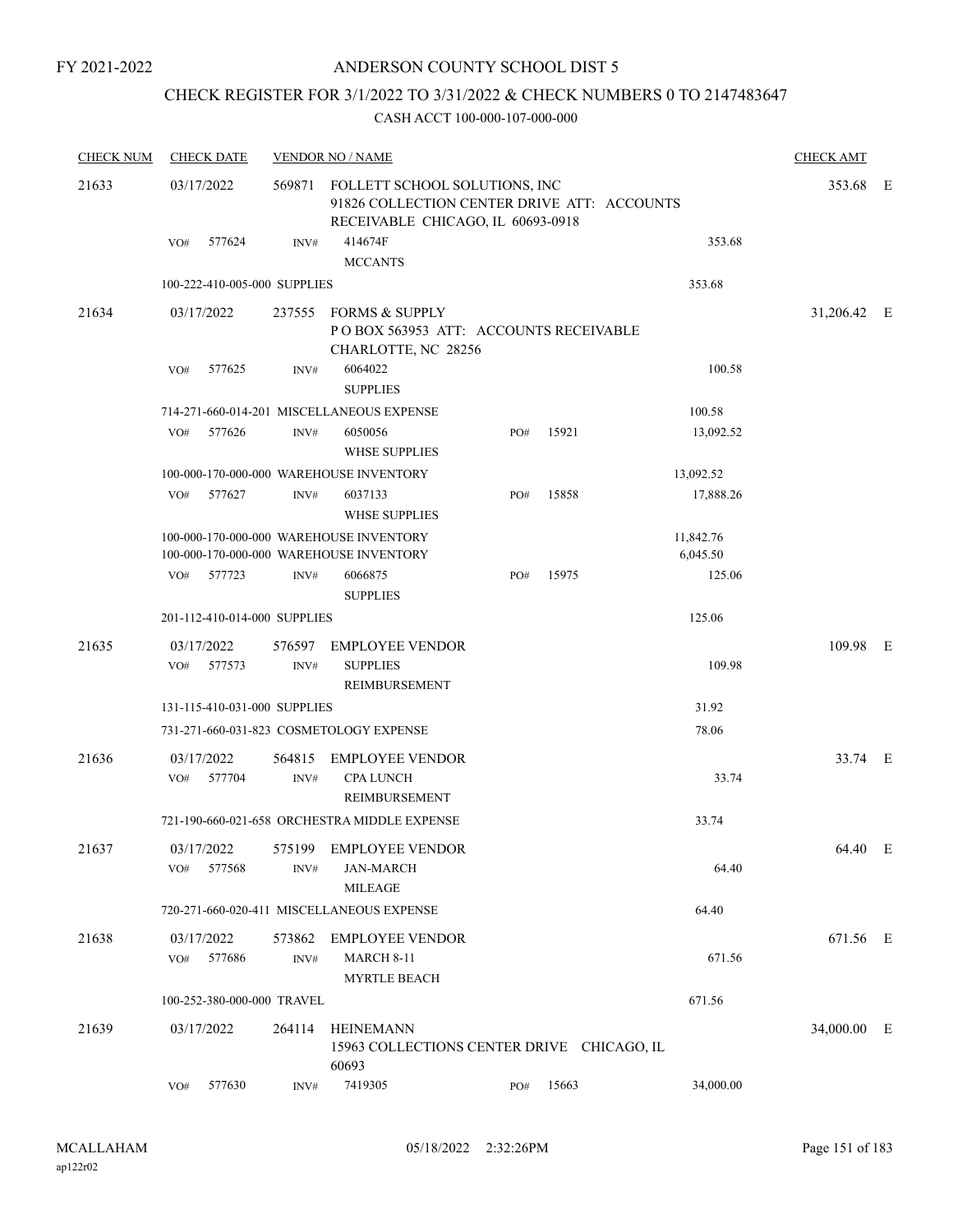FY 2021-2022

# ANDERSON COUNTY SCHOOL DIST 5

# CHECK REGISTER FOR 3/1/2022 TO 3/31/2022 & CHECK NUMBERS 0 TO 2147483647

| <b>CHECK NUM</b> | <b>CHECK DATE</b>            |                | <b>VENDOR NO / NAME</b>                                                                                                  |     |       |           | <b>CHECK AMT</b> |  |
|------------------|------------------------------|----------------|--------------------------------------------------------------------------------------------------------------------------|-----|-------|-----------|------------------|--|
| 21633            | 03/17/2022                   |                | 569871 FOLLETT SCHOOL SOLUTIONS, INC<br>91826 COLLECTION CENTER DRIVE ATT: ACCOUNTS<br>RECEIVABLE CHICAGO, IL 60693-0918 |     |       |           | 353.68 E         |  |
|                  | VO# 577624                   | INV#           | 414674F<br><b>MCCANTS</b>                                                                                                |     |       | 353.68    |                  |  |
|                  | 100-222-410-005-000 SUPPLIES |                |                                                                                                                          |     |       | 353.68    |                  |  |
| 21634            | 03/17/2022                   |                | 237555 FORMS & SUPPLY<br>POBOX 563953 ATT: ACCOUNTS RECEIVABLE<br>CHARLOTTE, NC 28256                                    |     |       |           | 31,206.42 E      |  |
|                  | 577625<br>VO#                | INV#           | 6064022<br><b>SUPPLIES</b>                                                                                               |     |       | 100.58    |                  |  |
|                  |                              |                | 714-271-660-014-201 MISCELLANEOUS EXPENSE                                                                                |     |       | 100.58    |                  |  |
|                  | 577626<br>VO#                | INV#           | 6050056<br><b>WHSE SUPPLIES</b>                                                                                          | PO# | 15921 | 13,092.52 |                  |  |
|                  |                              |                | 100-000-170-000-000 WAREHOUSE INVENTORY                                                                                  |     |       | 13,092.52 |                  |  |
|                  | 577627<br>VO#                | INV#           | 6037133<br><b>WHSE SUPPLIES</b>                                                                                          | PO# | 15858 | 17,888.26 |                  |  |
|                  |                              |                | 100-000-170-000-000 WAREHOUSE INVENTORY                                                                                  |     |       | 11,842.76 |                  |  |
|                  |                              |                | 100-000-170-000-000 WAREHOUSE INVENTORY                                                                                  |     |       | 6,045.50  |                  |  |
|                  | VO# 577723                   | INV#           | 6066875<br><b>SUPPLIES</b>                                                                                               | PO# | 15975 | 125.06    |                  |  |
|                  | 201-112-410-014-000 SUPPLIES |                |                                                                                                                          |     |       | 125.06    |                  |  |
| 21635            | 03/17/2022<br>577573<br>VO#  | INV#           | 576597 EMPLOYEE VENDOR<br><b>SUPPLIES</b><br>REIMBURSEMENT                                                               |     |       | 109.98    | 109.98 E         |  |
|                  | 131-115-410-031-000 SUPPLIES |                |                                                                                                                          |     |       | 31.92     |                  |  |
|                  |                              |                | 731-271-660-031-823 COSMETOLOGY EXPENSE                                                                                  |     |       | 78.06     |                  |  |
| 21636            | 03/17/2022<br>VO# 577704     | 564815<br>INV# | EMPLOYEE VENDOR<br><b>CPA LUNCH</b>                                                                                      |     |       | 33.74     | 33.74 E          |  |
|                  |                              |                | REIMBURSEMENT                                                                                                            |     |       |           |                  |  |
|                  |                              |                | 721-190-660-021-658 ORCHESTRA MIDDLE EXPENSE                                                                             |     |       | 33.74     |                  |  |
| 21637            | 03/17/2022<br>577568<br>VO#  | INV#           | 575199 EMPLOYEE VENDOR<br><b>JAN-MARCH</b><br><b>MILEAGE</b>                                                             |     |       | 64.40     | 64.40 E          |  |
|                  |                              |                | 720-271-660-020-411 MISCELLANEOUS EXPENSE                                                                                |     |       | 64.40     |                  |  |
| 21638            | 03/17/2022<br>VO# 577686     | INV#           | 573862 EMPLOYEE VENDOR<br><b>MARCH 8-11</b><br><b>MYRTLE BEACH</b>                                                       |     |       | 671.56    | 671.56 E         |  |
|                  | 100-252-380-000-000 TRAVEL   |                |                                                                                                                          |     |       | 671.56    |                  |  |
| 21639            | 03/17/2022                   |                | 264114 HEINEMANN<br>15963 COLLECTIONS CENTER DRIVE CHICAGO, IL<br>60693                                                  |     |       |           | 34,000.00 E      |  |
|                  | 577630<br>VO#                | $\text{INV}\#$ | 7419305                                                                                                                  | PO# | 15663 | 34,000.00 |                  |  |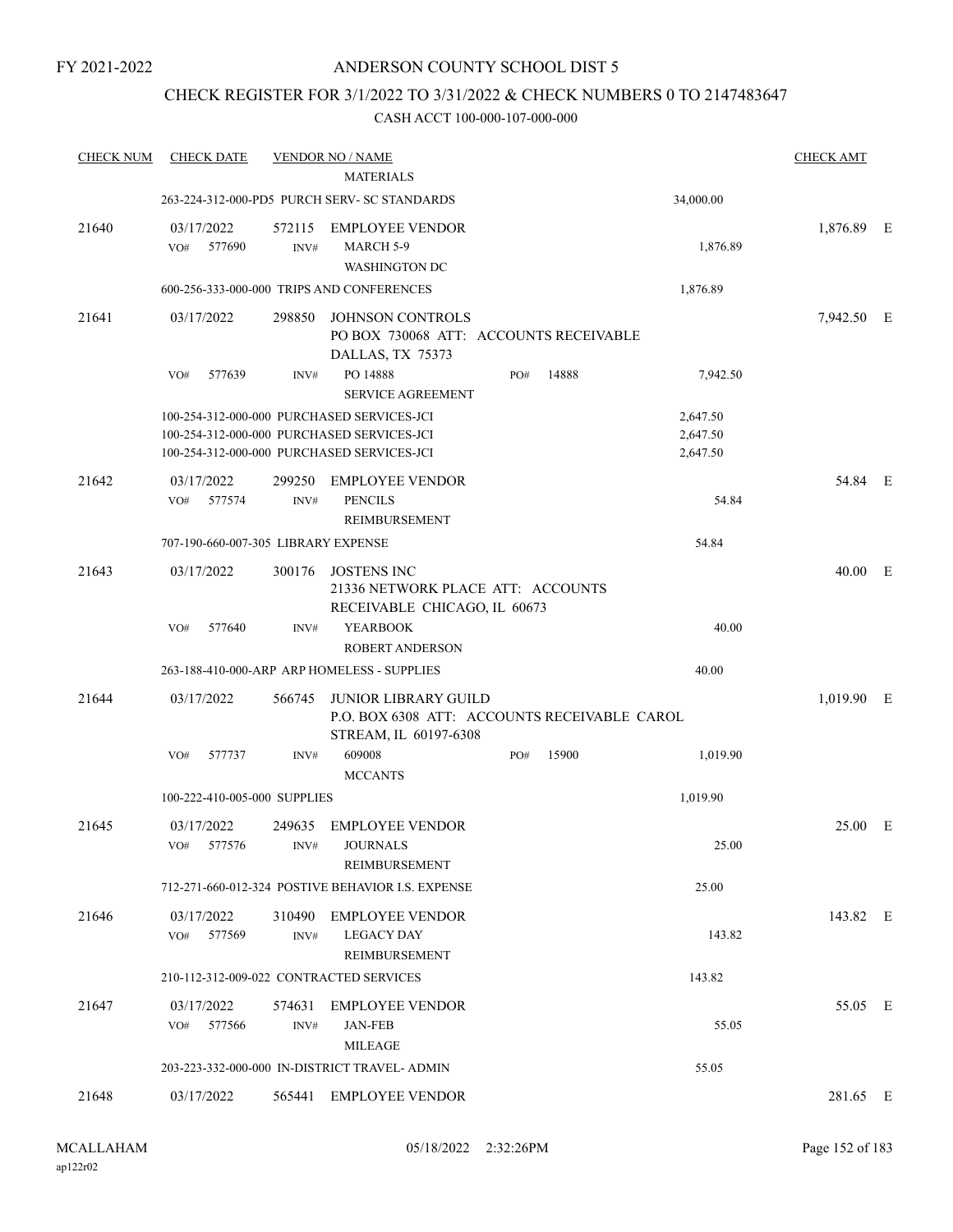# CHECK REGISTER FOR 3/1/2022 TO 3/31/2022 & CHECK NUMBERS 0 TO 2147483647

| <b>CHECK DATE</b>           |                |                                                            |                                                                                                                                                                                                                                                                                                                                                                                                                                                                                                                                                                                                                                                                                                                               |                             |                                                                   | <b>CHECK AMT</b>                                                                       |                                                                                                            |
|-----------------------------|----------------|------------------------------------------------------------|-------------------------------------------------------------------------------------------------------------------------------------------------------------------------------------------------------------------------------------------------------------------------------------------------------------------------------------------------------------------------------------------------------------------------------------------------------------------------------------------------------------------------------------------------------------------------------------------------------------------------------------------------------------------------------------------------------------------------------|-----------------------------|-------------------------------------------------------------------|----------------------------------------------------------------------------------------|------------------------------------------------------------------------------------------------------------|
|                             |                |                                                            |                                                                                                                                                                                                                                                                                                                                                                                                                                                                                                                                                                                                                                                                                                                               |                             | 34,000.00                                                         |                                                                                        |                                                                                                            |
| 03/17/2022<br>577690<br>VO# | 572115<br>INV# | <b>EMPLOYEE VENDOR</b><br>MARCH 5-9                        |                                                                                                                                                                                                                                                                                                                                                                                                                                                                                                                                                                                                                                                                                                                               |                             | 1,876.89                                                          |                                                                                        |                                                                                                            |
|                             |                |                                                            |                                                                                                                                                                                                                                                                                                                                                                                                                                                                                                                                                                                                                                                                                                                               |                             | 1,876.89                                                          |                                                                                        |                                                                                                            |
| 03/17/2022                  | 298850         | <b>JOHNSON CONTROLS</b><br>DALLAS, TX 75373                |                                                                                                                                                                                                                                                                                                                                                                                                                                                                                                                                                                                                                                                                                                                               |                             |                                                                   |                                                                                        |                                                                                                            |
| 577639<br>VO#               | INV#           | PO 14888                                                   | PO#                                                                                                                                                                                                                                                                                                                                                                                                                                                                                                                                                                                                                                                                                                                           | 14888                       | 7,942.50                                                          |                                                                                        |                                                                                                            |
|                             |                |                                                            |                                                                                                                                                                                                                                                                                                                                                                                                                                                                                                                                                                                                                                                                                                                               |                             | 2,647.50<br>2,647.50<br>2,647.50                                  |                                                                                        |                                                                                                            |
| 03/17/2022<br>VO#<br>577574 | 299250<br>INV# | <b>EMPLOYEE VENDOR</b><br><b>PENCILS</b><br>REIMBURSEMENT  |                                                                                                                                                                                                                                                                                                                                                                                                                                                                                                                                                                                                                                                                                                                               |                             | 54.84                                                             |                                                                                        |                                                                                                            |
|                             |                |                                                            |                                                                                                                                                                                                                                                                                                                                                                                                                                                                                                                                                                                                                                                                                                                               |                             | 54.84                                                             |                                                                                        |                                                                                                            |
| 03/17/2022                  | 300176         | <b>JOSTENS INC</b>                                         |                                                                                                                                                                                                                                                                                                                                                                                                                                                                                                                                                                                                                                                                                                                               |                             |                                                                   |                                                                                        |                                                                                                            |
| 577640<br>VO#               |                | <b>YEARBOOK</b><br><b>ROBERT ANDERSON</b>                  |                                                                                                                                                                                                                                                                                                                                                                                                                                                                                                                                                                                                                                                                                                                               |                             | 40.00                                                             |                                                                                        |                                                                                                            |
|                             |                |                                                            |                                                                                                                                                                                                                                                                                                                                                                                                                                                                                                                                                                                                                                                                                                                               |                             | 40.00                                                             |                                                                                        |                                                                                                            |
| 03/17/2022                  | 566745         | STREAM, IL 60197-6308                                      |                                                                                                                                                                                                                                                                                                                                                                                                                                                                                                                                                                                                                                                                                                                               |                             |                                                                   |                                                                                        |                                                                                                            |
| VO#<br>577737               | INV#           | 609008                                                     | PO#                                                                                                                                                                                                                                                                                                                                                                                                                                                                                                                                                                                                                                                                                                                           | 15900                       | 1,019.90                                                          |                                                                                        |                                                                                                            |
|                             |                |                                                            |                                                                                                                                                                                                                                                                                                                                                                                                                                                                                                                                                                                                                                                                                                                               |                             | 1,019.90                                                          |                                                                                        |                                                                                                            |
| 03/17/2022<br>VO# 577576    |                | <b>JOURNALS</b><br>REIMBURSEMENT                           |                                                                                                                                                                                                                                                                                                                                                                                                                                                                                                                                                                                                                                                                                                                               |                             | 25.00                                                             |                                                                                        |                                                                                                            |
|                             |                |                                                            |                                                                                                                                                                                                                                                                                                                                                                                                                                                                                                                                                                                                                                                                                                                               |                             | 25.00                                                             |                                                                                        |                                                                                                            |
| 03/17/2022<br>VO#<br>577569 | INV#           | <b>LEGACY DAY</b><br>REIMBURSEMENT                         |                                                                                                                                                                                                                                                                                                                                                                                                                                                                                                                                                                                                                                                                                                                               |                             | 143.82                                                            |                                                                                        |                                                                                                            |
|                             |                |                                                            |                                                                                                                                                                                                                                                                                                                                                                                                                                                                                                                                                                                                                                                                                                                               |                             | 143.82                                                            |                                                                                        |                                                                                                            |
| 03/17/2022<br>VO#<br>577566 | 574631<br>INV# | <b>EMPLOYEE VENDOR</b><br><b>JAN-FEB</b><br><b>MILEAGE</b> |                                                                                                                                                                                                                                                                                                                                                                                                                                                                                                                                                                                                                                                                                                                               |                             | 55.05                                                             |                                                                                        |                                                                                                            |
|                             |                |                                                            |                                                                                                                                                                                                                                                                                                                                                                                                                                                                                                                                                                                                                                                                                                                               |                             | 55.05                                                             |                                                                                        |                                                                                                            |
| 03/17/2022                  |                |                                                            |                                                                                                                                                                                                                                                                                                                                                                                                                                                                                                                                                                                                                                                                                                                               |                             |                                                                   |                                                                                        |                                                                                                            |
|                             |                |                                                            | <b>VENDOR NO / NAME</b><br><b>MATERIALS</b><br>263-224-312-000-PD5 PURCH SERV- SC STANDARDS<br><b>WASHINGTON DC</b><br>600-256-333-000-000 TRIPS AND CONFERENCES<br><b>SERVICE AGREEMENT</b><br>100-254-312-000-000 PURCHASED SERVICES-JCI<br>100-254-312-000-000 PURCHASED SERVICES-JCI<br>100-254-312-000-000 PURCHASED SERVICES-JCI<br>707-190-660-007-305 LIBRARY EXPENSE<br>INV#<br>263-188-410-000-ARP ARP HOMELESS - SUPPLIES<br><b>MCCANTS</b><br>100-222-410-005-000 SUPPLIES<br>249635 EMPLOYEE VENDOR<br>INV#<br>712-271-660-012-324 POSTIVE BEHAVIOR I.S. EXPENSE<br>310490 EMPLOYEE VENDOR<br>210-112-312-009-022 CONTRACTED SERVICES<br>203-223-332-000-000 IN-DISTRICT TRAVEL- ADMIN<br>565441 EMPLOYEE VENDOR | <b>JUNIOR LIBRARY GUILD</b> | 21336 NETWORK PLACE ATT: ACCOUNTS<br>RECEIVABLE CHICAGO, IL 60673 | PO BOX 730068 ATT: ACCOUNTS RECEIVABLE<br>P.O. BOX 6308 ATT: ACCOUNTS RECEIVABLE CAROL | 1,876.89 E<br>7,942.50 E<br>54.84 E<br>40.00 E<br>1,019.90 E<br>25.00 E<br>143.82 E<br>55.05 E<br>281.65 E |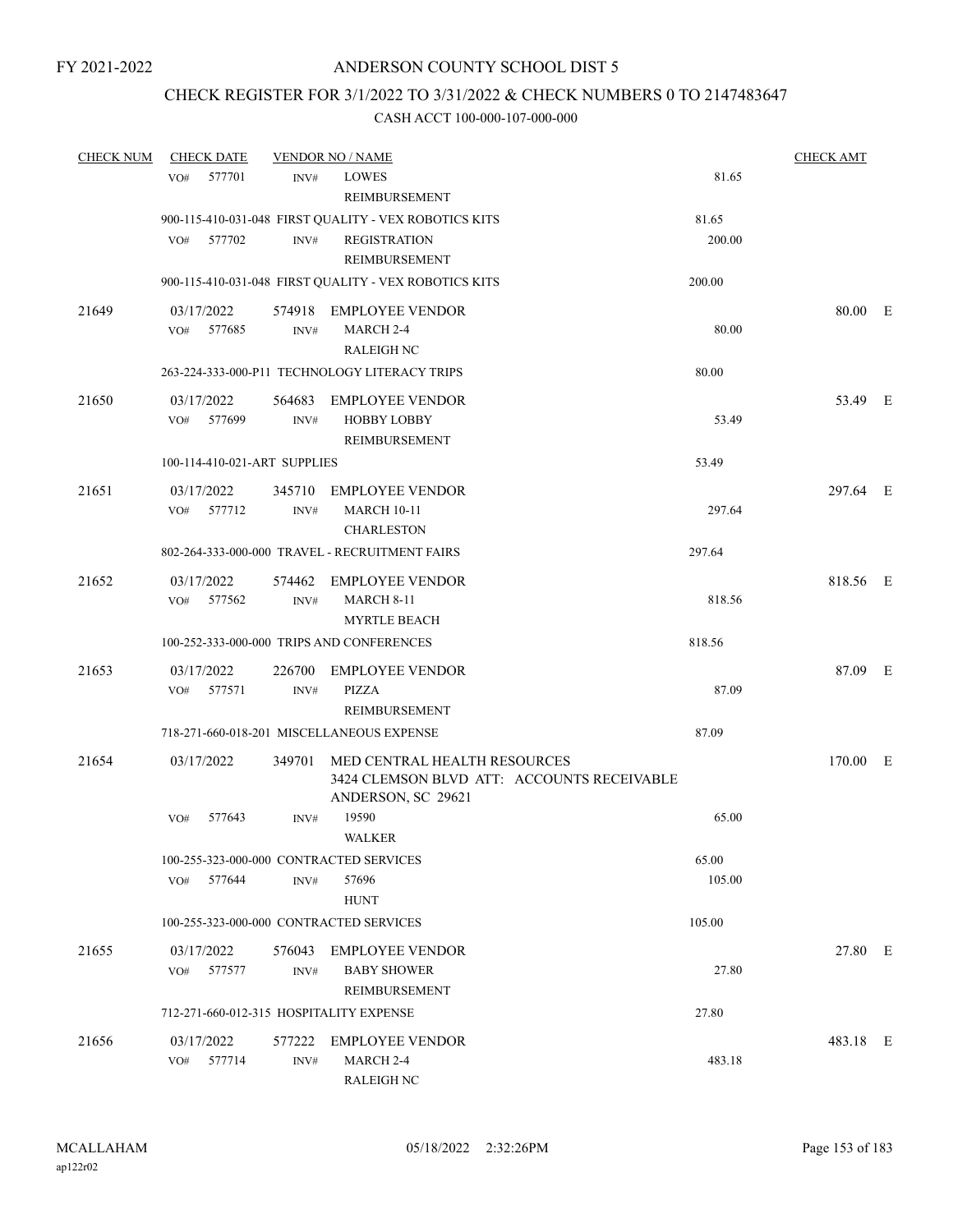# CHECK REGISTER FOR 3/1/2022 TO 3/31/2022 & CHECK NUMBERS 0 TO 2147483647

| <b>CHECK NUM</b> | <b>CHECK DATE</b>                       |                | <b>VENDOR NO / NAME</b>                                                                                 |        | <b>CHECK AMT</b> |  |
|------------------|-----------------------------------------|----------------|---------------------------------------------------------------------------------------------------------|--------|------------------|--|
|                  | 577701<br>VO#                           | INV#           | <b>LOWES</b><br>REIMBURSEMENT                                                                           | 81.65  |                  |  |
|                  |                                         |                | 900-115-410-031-048 FIRST QUALITY - VEX ROBOTICS KITS                                                   | 81.65  |                  |  |
|                  | VO# 577702                              | INV#           | <b>REGISTRATION</b><br><b>REIMBURSEMENT</b>                                                             | 200.00 |                  |  |
|                  |                                         |                | 900-115-410-031-048 FIRST QUALITY - VEX ROBOTICS KITS                                                   | 200.00 |                  |  |
| 21649            | 03/17/2022<br>577685<br>VO#             | INV#           | 574918 EMPLOYEE VENDOR<br>MARCH 2-4<br><b>RALEIGH NC</b>                                                | 80.00  | 80.00 E          |  |
|                  |                                         |                | 263-224-333-000-P11 TECHNOLOGY LITERACY TRIPS                                                           | 80.00  |                  |  |
|                  |                                         |                |                                                                                                         |        |                  |  |
| 21650            | 03/17/2022<br>577699<br>VO#             | INV#           | 564683 EMPLOYEE VENDOR<br><b>HOBBY LOBBY</b><br>REIMBURSEMENT                                           | 53.49  | 53.49 E          |  |
|                  | 100-114-410-021-ART SUPPLIES            |                |                                                                                                         | 53.49  |                  |  |
| 21651            | 03/17/2022<br>577712<br>VO#             | INV#           | 345710 EMPLOYEE VENDOR<br><b>MARCH 10-11</b><br><b>CHARLESTON</b>                                       | 297.64 | 297.64 E         |  |
|                  |                                         |                | 802-264-333-000-000 TRAVEL - RECRUITMENT FAIRS                                                          | 297.64 |                  |  |
| 21652            | 03/17/2022<br>577562<br>VO#             | 574462<br>INV# | EMPLOYEE VENDOR<br><b>MARCH 8-11</b><br><b>MYRTLE BEACH</b>                                             | 818.56 | 818.56 E         |  |
|                  |                                         |                | 100-252-333-000-000 TRIPS AND CONFERENCES                                                               | 818.56 |                  |  |
| 21653            | 03/17/2022<br>VO#<br>577571             | 226700<br>INV# | <b>EMPLOYEE VENDOR</b><br>PIZZA<br>REIMBURSEMENT                                                        | 87.09  | 87.09 E          |  |
|                  |                                         |                | 718-271-660-018-201 MISCELLANEOUS EXPENSE                                                               | 87.09  |                  |  |
| 21654            | 03/17/2022                              |                | 349701 MED CENTRAL HEALTH RESOURCES<br>3424 CLEMSON BLVD ATT: ACCOUNTS RECEIVABLE<br>ANDERSON, SC 29621 |        | 170.00 E         |  |
|                  | 577643<br>VO#                           | INV#           | 19590<br><b>WALKER</b>                                                                                  | 65.00  |                  |  |
|                  | 100-255-323-000-000 CONTRACTED SERVICES |                |                                                                                                         | 65.00  |                  |  |
|                  | 577644<br>VO#                           | INV#           | 57696<br><b>HUNT</b>                                                                                    | 105.00 |                  |  |
|                  | 100-255-323-000-000 CONTRACTED SERVICES |                |                                                                                                         | 105.00 |                  |  |
| 21655            | 03/17/2022<br>VO#<br>577577             | 576043<br>INV# | <b>EMPLOYEE VENDOR</b><br><b>BABY SHOWER</b><br>REIMBURSEMENT                                           | 27.80  | 27.80 E          |  |
|                  | 712-271-660-012-315 HOSPITALITY EXPENSE |                |                                                                                                         | 27.80  |                  |  |
| 21656            | 03/17/2022<br>577714<br>VO#             | 577222<br>INV# | <b>EMPLOYEE VENDOR</b><br>MARCH 2-4<br><b>RALEIGH NC</b>                                                | 483.18 | 483.18 E         |  |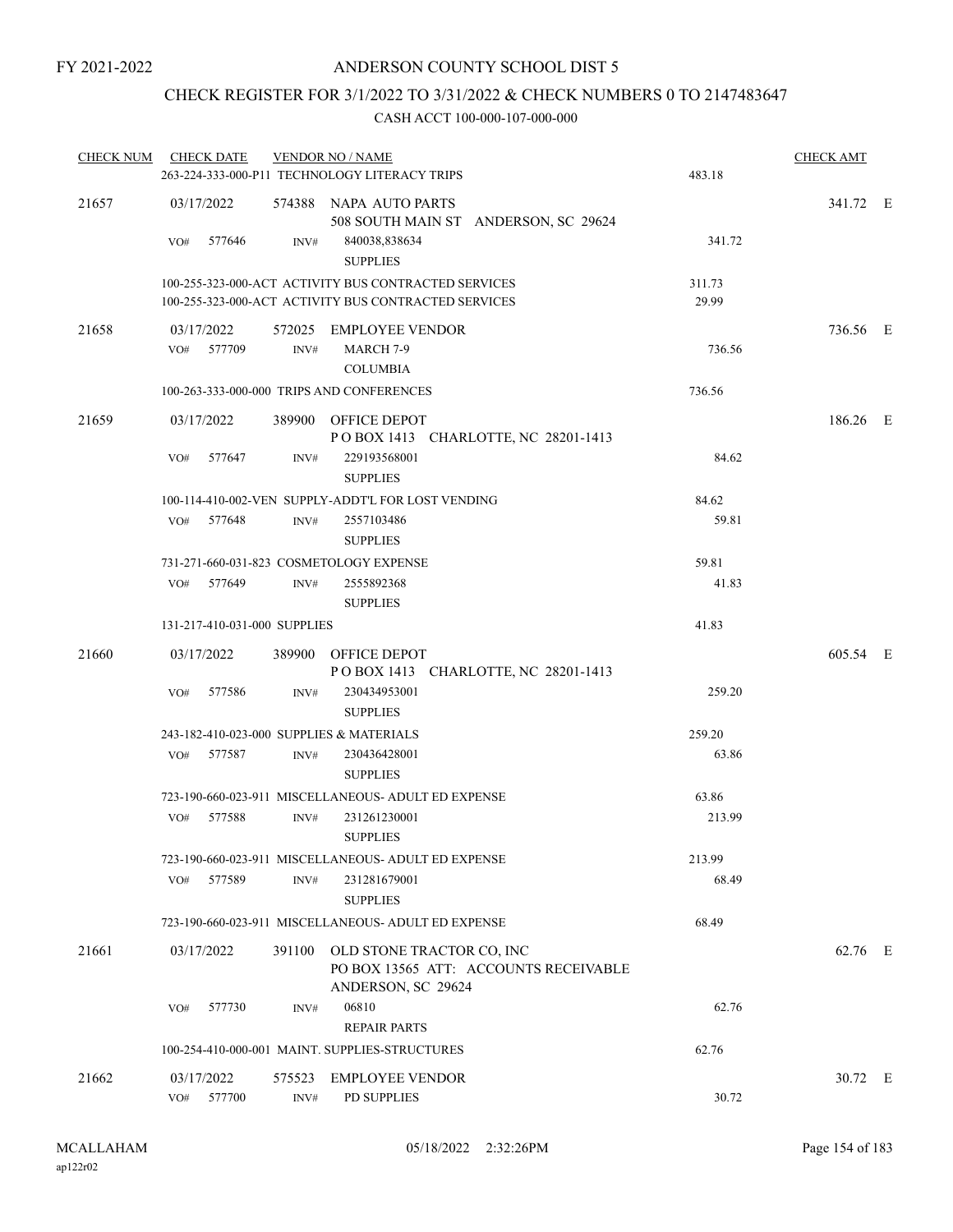# CHECK REGISTER FOR 3/1/2022 TO 3/31/2022 & CHECK NUMBERS 0 TO 2147483647

| <b>CHECK NUM</b> | <b>CHECK DATE</b>            |                | <b>VENDOR NO / NAME</b><br>263-224-333-000-P11 TECHNOLOGY LITERACY TRIPS                                     | 483.18          | <b>CHECK AMT</b> |  |
|------------------|------------------------------|----------------|--------------------------------------------------------------------------------------------------------------|-----------------|------------------|--|
| 21657            | 03/17/2022<br>VO#<br>577646  | INV#           | 574388 NAPA AUTO PARTS<br>508 SOUTH MAIN ST ANDERSON, SC 29624<br>840038,838634<br><b>SUPPLIES</b>           | 341.72          | 341.72 E         |  |
|                  |                              |                | 100-255-323-000-ACT ACTIVITY BUS CONTRACTED SERVICES<br>100-255-323-000-ACT ACTIVITY BUS CONTRACTED SERVICES | 311.73<br>29.99 |                  |  |
| 21658            | 03/17/2022<br>VO# 577709     | INV#           | 572025 EMPLOYEE VENDOR<br>MARCH 7-9<br><b>COLUMBIA</b>                                                       | 736.56          | 736.56 E         |  |
|                  |                              |                | 100-263-333-000-000 TRIPS AND CONFERENCES                                                                    | 736.56          |                  |  |
| 21659            | 03/17/2022                   |                | 389900 OFFICE DEPOT<br>POBOX 1413 CHARLOTTE, NC 28201-1413                                                   |                 | 186.26 E         |  |
|                  | 577647<br>VO#                | INV#           | 229193568001<br><b>SUPPLIES</b>                                                                              | 84.62           |                  |  |
|                  |                              |                | 100-114-410-002-VEN SUPPLY-ADDT'L FOR LOST VENDING                                                           | 84.62           |                  |  |
|                  | VO# 577648                   | INV#           | 2557103486<br><b>SUPPLIES</b>                                                                                | 59.81           |                  |  |
|                  |                              |                | 731-271-660-031-823 COSMETOLOGY EXPENSE                                                                      | 59.81           |                  |  |
|                  | VO# 577649                   | INV#           | 2555892368<br><b>SUPPLIES</b>                                                                                | 41.83           |                  |  |
|                  | 131-217-410-031-000 SUPPLIES |                |                                                                                                              | 41.83           |                  |  |
| 21660            | 03/17/2022                   |                | 389900 OFFICE DEPOT<br>POBOX 1413 CHARLOTTE, NC 28201-1413                                                   |                 | 605.54 E         |  |
|                  | 577586<br>VO#                | INV#           | 230434953001<br><b>SUPPLIES</b>                                                                              | 259.20          |                  |  |
|                  |                              |                | 243-182-410-023-000 SUPPLIES & MATERIALS                                                                     | 259.20          |                  |  |
|                  | VO# 577587                   | INV#           | 230436428001<br><b>SUPPLIES</b>                                                                              | 63.86           |                  |  |
|                  |                              |                | 723-190-660-023-911 MISCELLANEOUS- ADULT ED EXPENSE                                                          | 63.86           |                  |  |
|                  | 577588<br>VO#                | INV#           | 231261230001<br><b>SUPPLIES</b>                                                                              | 213.99          |                  |  |
|                  |                              |                | 723-190-660-023-911 MISCELLANEOUS- ADULT ED EXPENSE                                                          | 213.99          |                  |  |
|                  | VO#<br>577589                | INV#           | 231281679001<br><b>SUPPLIES</b>                                                                              | 68.49           |                  |  |
|                  |                              |                | 723-190-660-023-911 MISCELLANEOUS- ADULT ED EXPENSE                                                          | 68.49           |                  |  |
| 21661            | 03/17/2022                   |                | 391100 OLD STONE TRACTOR CO, INC<br>PO BOX 13565 ATT: ACCOUNTS RECEIVABLE<br>ANDERSON, SC 29624              |                 | 62.76 E          |  |
|                  | 577730<br>VO#                | INV#           | 06810<br><b>REPAIR PARTS</b>                                                                                 | 62.76           |                  |  |
|                  |                              |                | 100-254-410-000-001 MAINT. SUPPLIES-STRUCTURES                                                               | 62.76           |                  |  |
| 21662            | 03/17/2022<br>VO#<br>577700  | 575523<br>INV# | <b>EMPLOYEE VENDOR</b><br>PD SUPPLIES                                                                        | 30.72           | 30.72 E          |  |
|                  |                              |                |                                                                                                              |                 |                  |  |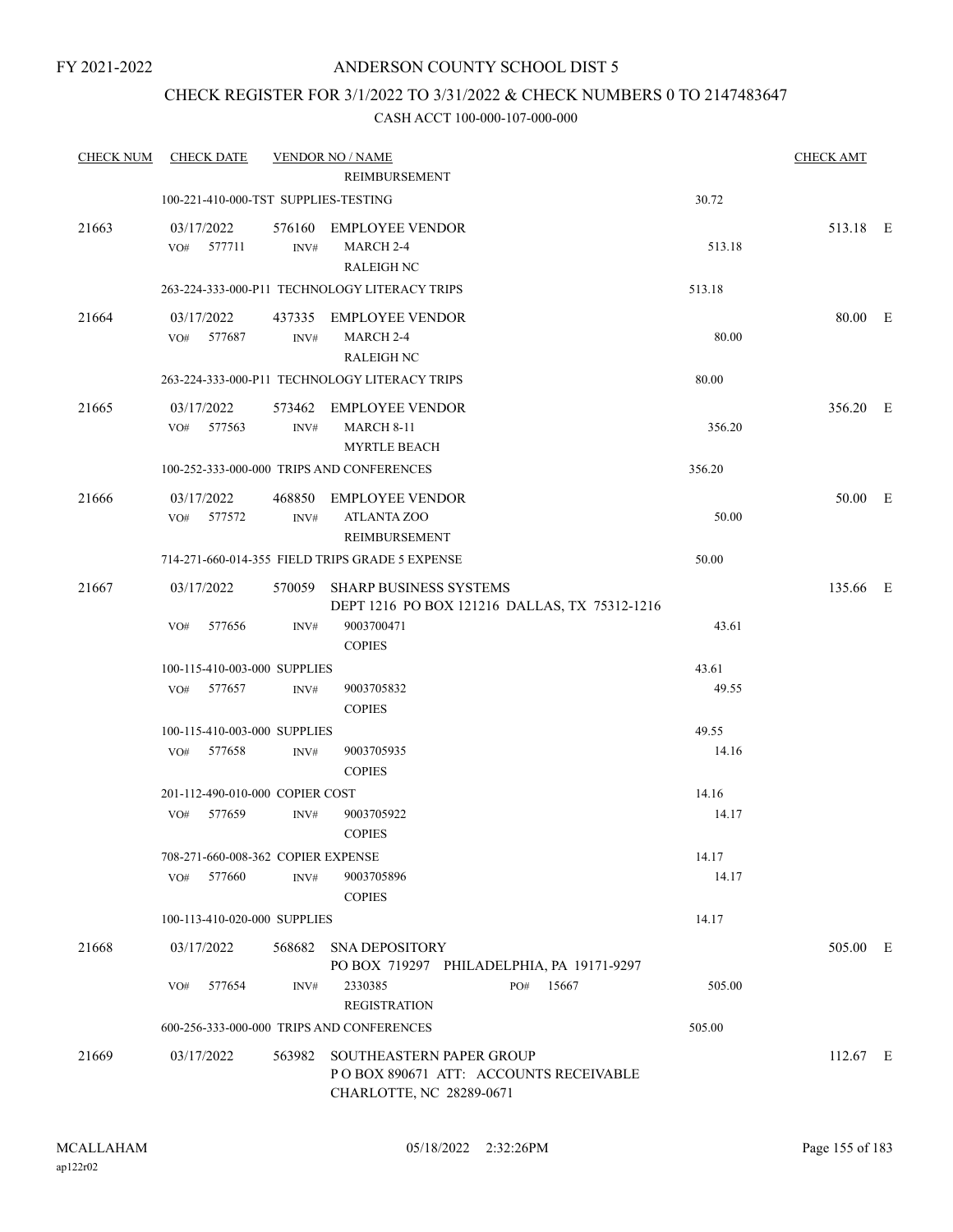# CHECK REGISTER FOR 3/1/2022 TO 3/31/2022 & CHECK NUMBERS 0 TO 2147483647

| <b>CHECK NUM</b> | <b>CHECK DATE</b>                    |                | <b>VENDOR NO / NAME</b>                                                                       |        | <b>CHECK AMT</b> |  |
|------------------|--------------------------------------|----------------|-----------------------------------------------------------------------------------------------|--------|------------------|--|
|                  |                                      |                | REIMBURSEMENT                                                                                 |        |                  |  |
|                  | 100-221-410-000-TST SUPPLIES-TESTING |                |                                                                                               | 30.72  |                  |  |
| 21663            | 03/17/2022<br>VO# 577711             | INV#           | 576160 EMPLOYEE VENDOR<br>MARCH 2-4<br><b>RALEIGH NC</b>                                      | 513.18 | 513.18 E         |  |
|                  |                                      |                | 263-224-333-000-P11 TECHNOLOGY LITERACY TRIPS                                                 | 513.18 |                  |  |
| 21664            | 03/17/2022<br>VO# 577687             | INV#           | 437335 EMPLOYEE VENDOR<br>MARCH 2-4<br><b>RALEIGH NC</b>                                      | 80.00  | 80.00 E          |  |
|                  |                                      |                | 263-224-333-000-P11 TECHNOLOGY LITERACY TRIPS                                                 | 80.00  |                  |  |
| 21665            | 03/17/2022<br>VO#<br>577563          | INV#           | 573462 EMPLOYEE VENDOR<br><b>MARCH 8-11</b><br><b>MYRTLE BEACH</b>                            | 356.20 | 356.20 E         |  |
|                  |                                      |                | 100-252-333-000-000 TRIPS AND CONFERENCES                                                     | 356.20 |                  |  |
| 21666            | 03/17/2022<br>VO# 577572             | INV#           | 468850 EMPLOYEE VENDOR<br><b>ATLANTA ZOO</b><br><b>REIMBURSEMENT</b>                          | 50.00  | 50.00 E          |  |
|                  |                                      |                | 714-271-660-014-355 FIELD TRIPS GRADE 5 EXPENSE                                               | 50.00  |                  |  |
| 21667            | 03/17/2022                           | 570059         | <b>SHARP BUSINESS SYSTEMS</b><br>DEPT 1216 PO BOX 121216 DALLAS, TX 75312-1216                |        | 135.66 E         |  |
|                  | 577656<br>VO#                        | INV#           | 9003700471<br><b>COPIES</b>                                                                   | 43.61  |                  |  |
|                  | 100-115-410-003-000 SUPPLIES         |                |                                                                                               | 43.61  |                  |  |
|                  | VO#<br>577657                        | INV#           | 9003705832<br><b>COPIES</b>                                                                   | 49.55  |                  |  |
|                  | 100-115-410-003-000 SUPPLIES         |                |                                                                                               | 49.55  |                  |  |
|                  | VO# 577658                           | INV#           | 9003705935<br><b>COPIES</b>                                                                   | 14.16  |                  |  |
|                  | 201-112-490-010-000 COPIER COST      |                |                                                                                               | 14.16  |                  |  |
|                  | VO#<br>577659                        | $\text{INV}\#$ | 9003705922<br><b>COPIES</b>                                                                   | 14.17  |                  |  |
|                  | 708-271-660-008-362 COPIER EXPENSE   |                |                                                                                               | 14.17  |                  |  |
|                  | 577660<br>VO#                        | INV#           | 9003705896<br><b>COPIES</b>                                                                   | 14.17  |                  |  |
|                  | 100-113-410-020-000 SUPPLIES         |                |                                                                                               | 14.17  |                  |  |
| 21668            | 03/17/2022                           | 568682         | <b>SNA DEPOSITORY</b><br>PO BOX 719297 PHILADELPHIA, PA 19171-9297                            |        | 505.00 E         |  |
|                  | 577654<br>VO#                        | INV#           | 2330385<br>PO#<br>15667<br><b>REGISTRATION</b>                                                | 505.00 |                  |  |
|                  |                                      |                | 600-256-333-000-000 TRIPS AND CONFERENCES                                                     | 505.00 |                  |  |
| 21669            | 03/17/2022                           | 563982         | SOUTHEASTERN PAPER GROUP<br>POBOX 890671 ATT: ACCOUNTS RECEIVABLE<br>CHARLOTTE, NC 28289-0671 |        | $112.67$ E       |  |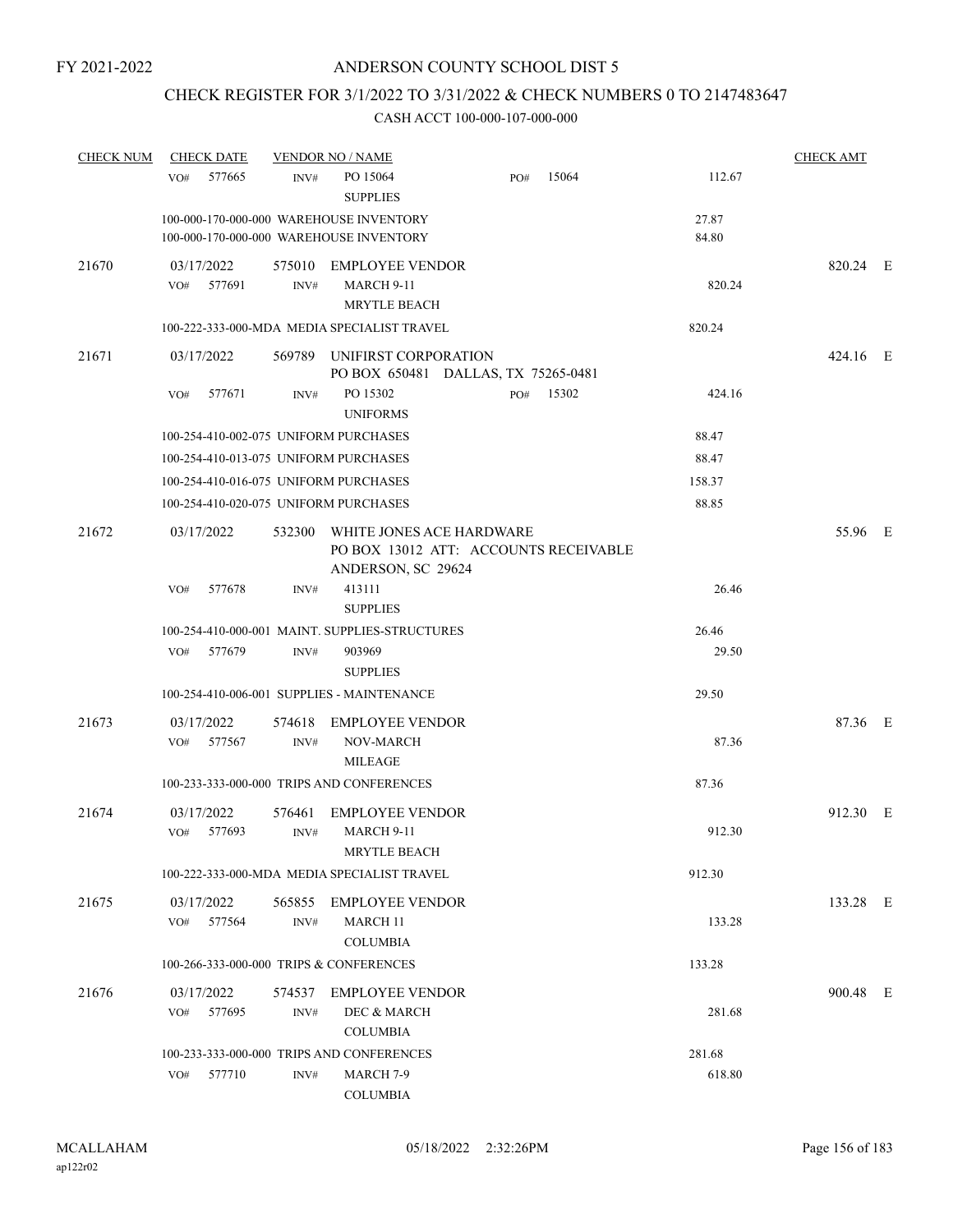# CHECK REGISTER FOR 3/1/2022 TO 3/31/2022 & CHECK NUMBERS 0 TO 2147483647

| <b>CHECK NUM</b> | <b>CHECK DATE</b>                       |                | <b>VENDOR NO / NAME</b>                                                            |                                       |       |                | <b>CHECK AMT</b> |  |
|------------------|-----------------------------------------|----------------|------------------------------------------------------------------------------------|---------------------------------------|-------|----------------|------------------|--|
|                  | 577665<br>VO#                           | INV#           | PO 15064<br><b>SUPPLIES</b>                                                        | PO#                                   | 15064 | 112.67         |                  |  |
|                  |                                         |                | 100-000-170-000-000 WAREHOUSE INVENTORY<br>100-000-170-000-000 WAREHOUSE INVENTORY |                                       |       | 27.87<br>84.80 |                  |  |
| 21670            | 03/17/2022<br>577691<br>VO#             | INV#           | 575010 EMPLOYEE VENDOR<br>MARCH 9-11<br><b>MRYTLE BEACH</b>                        |                                       |       | 820.24         | 820.24 E         |  |
|                  |                                         |                | 100-222-333-000-MDA MEDIA SPECIALIST TRAVEL                                        |                                       |       | 820.24         |                  |  |
| 21671            | 03/17/2022                              |                | 569789 UNIFIRST CORPORATION                                                        | PO BOX 650481 DALLAS, TX 75265-0481   |       |                | 424.16 E         |  |
|                  | VO#<br>577671                           | INV#           | PO 15302<br><b>UNIFORMS</b>                                                        | PO#                                   | 15302 | 424.16         |                  |  |
|                  | 100-254-410-002-075 UNIFORM PURCHASES   |                |                                                                                    |                                       |       | 88.47          |                  |  |
|                  | 100-254-410-013-075 UNIFORM PURCHASES   |                |                                                                                    |                                       |       | 88.47          |                  |  |
|                  | 100-254-410-016-075 UNIFORM PURCHASES   |                |                                                                                    |                                       |       | 158.37         |                  |  |
|                  | 100-254-410-020-075 UNIFORM PURCHASES   |                |                                                                                    |                                       |       | 88.85          |                  |  |
| 21672            | 03/17/2022                              |                | 532300 WHITE JONES ACE HARDWARE<br>ANDERSON, SC 29624                              | PO BOX 13012 ATT: ACCOUNTS RECEIVABLE |       |                | 55.96 E          |  |
|                  | 577678<br>VO#                           | INV#           | 413111<br><b>SUPPLIES</b>                                                          |                                       |       | 26.46          |                  |  |
|                  |                                         |                | 100-254-410-000-001 MAINT. SUPPLIES-STRUCTURES                                     |                                       |       | 26.46          |                  |  |
|                  | 577679<br>VO#                           | INV#           | 903969<br><b>SUPPLIES</b>                                                          |                                       |       | 29.50          |                  |  |
|                  |                                         |                | 100-254-410-006-001 SUPPLIES - MAINTENANCE                                         |                                       |       | 29.50          |                  |  |
| 21673            | 03/17/2022<br>577567<br>VO#             | 574618<br>INV# | <b>EMPLOYEE VENDOR</b><br>NOV-MARCH<br><b>MILEAGE</b>                              |                                       |       | 87.36          | 87.36 E          |  |
|                  |                                         |                | 100-233-333-000-000 TRIPS AND CONFERENCES                                          |                                       |       | 87.36          |                  |  |
| 21674            | 03/17/2022<br>577693<br>VO#             | 576461<br>INV# | <b>EMPLOYEE VENDOR</b><br>MARCH 9-11<br>MRYTLE BEACH                               |                                       |       | 912.30         | 912.30 E         |  |
|                  |                                         |                | 100-222-333-000-MDA MEDIA SPECIALIST TRAVEL                                        |                                       |       | 912.30         |                  |  |
| 21675            | 03/17/2022<br>577564<br>VO#             | 565855<br>INV# | <b>EMPLOYEE VENDOR</b><br><b>MARCH 11</b><br><b>COLUMBIA</b>                       |                                       |       | 133.28         | 133.28 E         |  |
|                  | 100-266-333-000-000 TRIPS & CONFERENCES |                |                                                                                    |                                       |       | 133.28         |                  |  |
| 21676            | 03/17/2022<br>577695<br>VO#             | 574537<br>INV# | <b>EMPLOYEE VENDOR</b><br>DEC & MARCH<br><b>COLUMBIA</b>                           |                                       |       | 281.68         | 900.48 E         |  |
|                  |                                         |                | 100-233-333-000-000 TRIPS AND CONFERENCES                                          |                                       |       | 281.68         |                  |  |
|                  | 577710<br>VO#                           | INV#           | MARCH 7-9<br><b>COLUMBIA</b>                                                       |                                       |       | 618.80         |                  |  |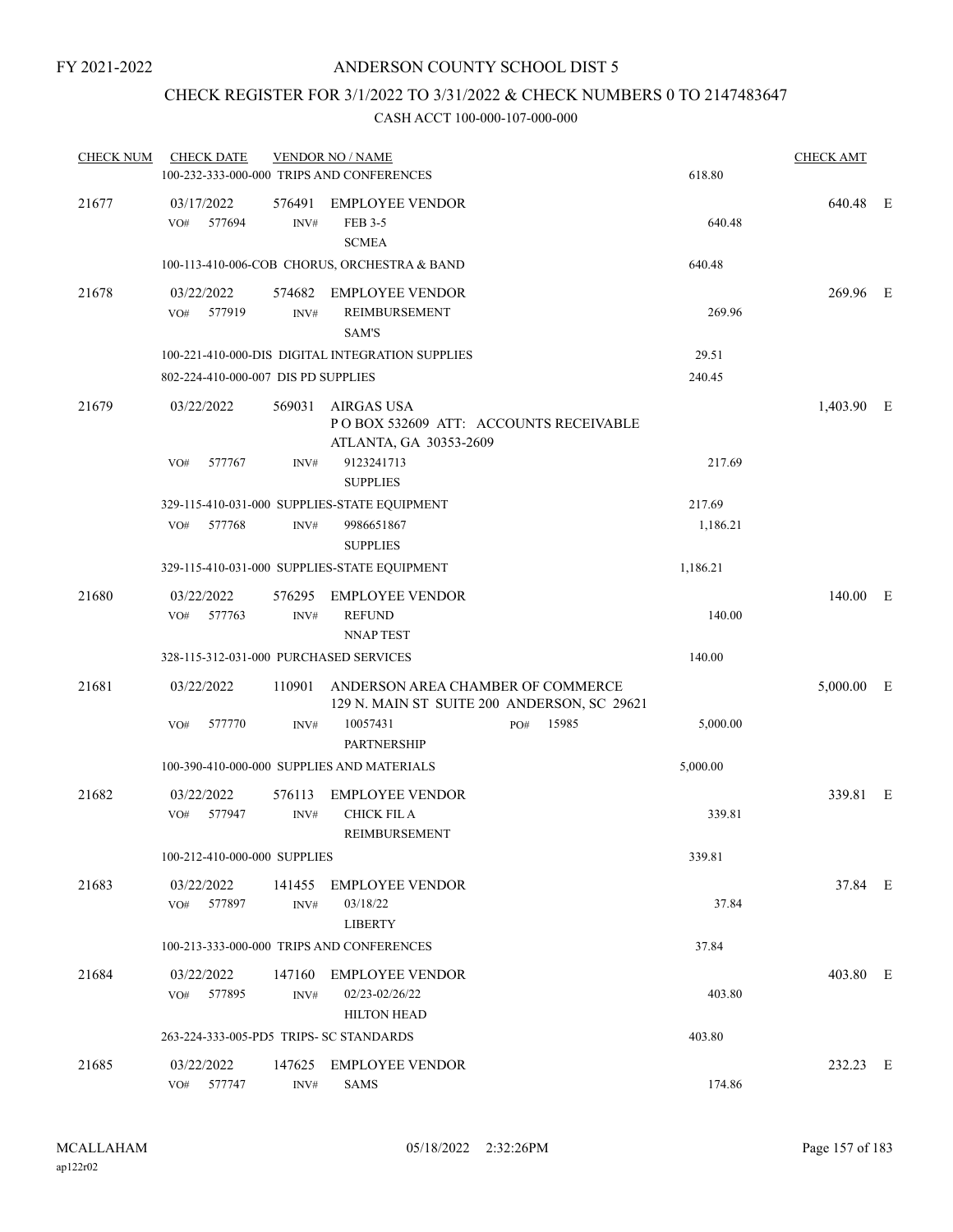# CHECK REGISTER FOR 3/1/2022 TO 3/31/2022 & CHECK NUMBERS 0 TO 2147483647

| <b>CHECK NUM</b> | <b>CHECK DATE</b>                       |                | <b>VENDOR NO / NAME</b><br>100-232-333-000-000 TRIPS AND CONFERENCES                 |     |       | 618.80   | <b>CHECK AMT</b> |  |
|------------------|-----------------------------------------|----------------|--------------------------------------------------------------------------------------|-----|-------|----------|------------------|--|
| 21677            | 03/17/2022<br>577694<br>VO#             | 576491<br>INV# | <b>EMPLOYEE VENDOR</b><br>FEB 3-5<br><b>SCMEA</b>                                    |     |       | 640.48   | 640.48 E         |  |
|                  |                                         |                | 100-113-410-006-COB CHORUS, ORCHESTRA & BAND                                         |     |       | 640.48   |                  |  |
| 21678            | 03/22/2022<br>VO# 577919                | INV#           | 574682 EMPLOYEE VENDOR<br><b>REIMBURSEMENT</b><br><b>SAM'S</b>                       |     |       | 269.96   | 269.96 E         |  |
|                  |                                         |                | 100-221-410-000-DIS DIGITAL INTEGRATION SUPPLIES                                     |     |       | 29.51    |                  |  |
|                  | 802-224-410-000-007 DIS PD SUPPLIES     |                |                                                                                      |     |       | 240.45   |                  |  |
| 21679            | 03/22/2022                              |                | 569031 AIRGAS USA<br>POBOX 532609 ATT: ACCOUNTS RECEIVABLE<br>ATLANTA, GA 30353-2609 |     |       |          | 1,403.90 E       |  |
|                  | 577767<br>VO#                           | INV#           | 9123241713<br><b>SUPPLIES</b>                                                        |     |       | 217.69   |                  |  |
|                  |                                         |                | 329-115-410-031-000 SUPPLIES-STATE EQUIPMENT                                         |     |       | 217.69   |                  |  |
|                  | 577768<br>VO#                           | INV#           | 9986651867<br><b>SUPPLIES</b>                                                        |     |       | 1,186.21 |                  |  |
|                  |                                         |                | 329-115-410-031-000 SUPPLIES-STATE EQUIPMENT                                         |     |       | 1,186.21 |                  |  |
| 21680            | 03/22/2022<br>577763<br>VO#             | 576295<br>INV# | <b>EMPLOYEE VENDOR</b><br><b>REFUND</b><br><b>NNAPTEST</b>                           |     |       | 140.00   | 140.00 E         |  |
|                  | 328-115-312-031-000 PURCHASED SERVICES  |                |                                                                                      |     |       | 140.00   |                  |  |
| 21681            | 03/22/2022                              | 110901         | ANDERSON AREA CHAMBER OF COMMERCE<br>129 N. MAIN ST SUITE 200 ANDERSON, SC 29621     |     |       |          | $5,000.00$ E     |  |
|                  | 577770<br>VO#                           | INV#           | 10057431<br><b>PARTNERSHIP</b>                                                       | PO# | 15985 | 5,000.00 |                  |  |
|                  |                                         |                | 100-390-410-000-000 SUPPLIES AND MATERIALS                                           |     |       | 5,000.00 |                  |  |
| 21682            | 03/22/2022<br>577947<br>VO#             | 576113<br>INV# | <b>EMPLOYEE VENDOR</b><br><b>CHICK FIL A</b><br>REIMBURSEMENT                        |     |       | 339.81   | 339.81 E         |  |
|                  | 100-212-410-000-000 SUPPLIES            |                |                                                                                      |     |       | 339.81   |                  |  |
| 21683            | 03/22/2022<br>577897<br>VO#             | 141455<br>INV# | <b>EMPLOYEE VENDOR</b><br>03/18/22<br><b>LIBERTY</b>                                 |     |       | 37.84    | 37.84 E          |  |
|                  |                                         |                | 100-213-333-000-000 TRIPS AND CONFERENCES                                            |     |       | 37.84    |                  |  |
| 21684            | 03/22/2022<br>577895<br>VO#             | 147160<br>INV# | <b>EMPLOYEE VENDOR</b><br>02/23-02/26/22<br><b>HILTON HEAD</b>                       |     |       | 403.80   | 403.80 E         |  |
|                  | 263-224-333-005-PD5 TRIPS- SC STANDARDS |                |                                                                                      |     |       | 403.80   |                  |  |
| 21685            | 03/22/2022<br>577747<br>VO#             | 147625<br>INV# | <b>EMPLOYEE VENDOR</b><br><b>SAMS</b>                                                |     |       | 174.86   | 232.23 E         |  |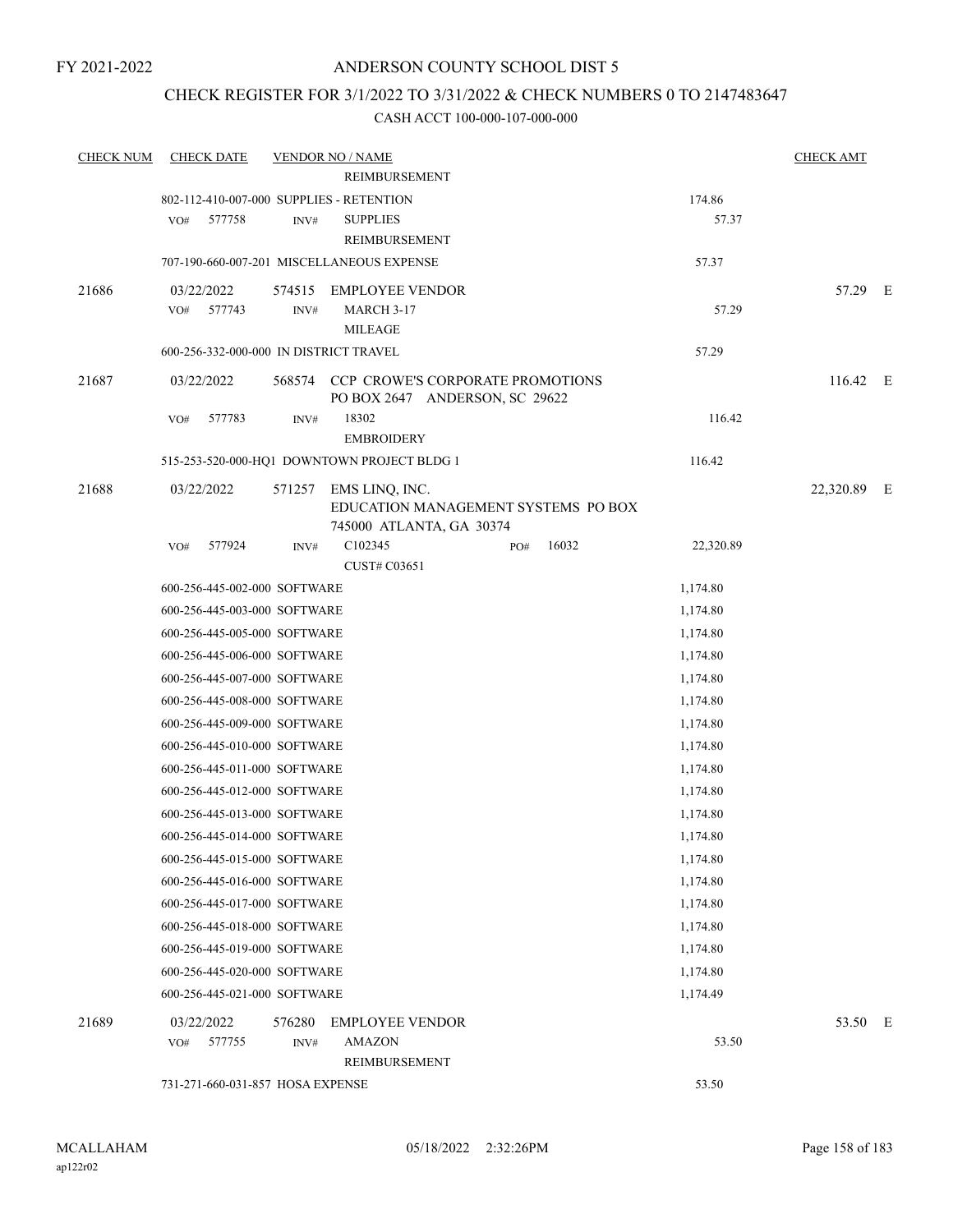# CHECK REGISTER FOR 3/1/2022 TO 3/31/2022 & CHECK NUMBERS 0 TO 2147483647

| <b>CHECK NUM</b> | <b>CHECK DATE</b>                        |        | <b>VENDOR NO / NAME</b>                                                   |     |       |           | <b>CHECK AMT</b> |  |
|------------------|------------------------------------------|--------|---------------------------------------------------------------------------|-----|-------|-----------|------------------|--|
|                  |                                          |        | <b>REIMBURSEMENT</b>                                                      |     |       |           |                  |  |
|                  | 802-112-410-007-000 SUPPLIES - RETENTION |        |                                                                           |     |       | 174.86    |                  |  |
|                  | VO#<br>577758                            | INV#   | <b>SUPPLIES</b>                                                           |     |       | 57.37     |                  |  |
|                  |                                          |        | REIMBURSEMENT                                                             |     |       |           |                  |  |
|                  |                                          |        | 707-190-660-007-201 MISCELLANEOUS EXPENSE                                 |     |       | 57.37     |                  |  |
| 21686            | 03/22/2022                               |        | 574515 EMPLOYEE VENDOR                                                    |     |       |           | 57.29 E          |  |
|                  | VO#<br>577743                            | INV#   | MARCH 3-17                                                                |     |       | 57.29     |                  |  |
|                  |                                          |        | <b>MILEAGE</b>                                                            |     |       |           |                  |  |
|                  | 600-256-332-000-000 IN DISTRICT TRAVEL   |        |                                                                           |     |       | 57.29     |                  |  |
| 21687            | 03/22/2022                               |        | 568574 CCP CROWE'S CORPORATE PROMOTIONS<br>PO BOX 2647 ANDERSON, SC 29622 |     |       |           | 116.42 E         |  |
|                  | 577783<br>VO#                            | INV#   | 18302<br><b>EMBROIDERY</b>                                                |     |       | 116.42    |                  |  |
|                  |                                          |        | 515-253-520-000-HQ1 DOWNTOWN PROJECT BLDG 1                               |     |       | 116.42    |                  |  |
| 21688            | 03/22/2022                               | 571257 | EMS LINQ, INC.                                                            |     |       |           | 22,320.89 E      |  |
|                  |                                          |        | EDUCATION MANAGEMENT SYSTEMS PO BOX<br>745000 ATLANTA, GA 30374           |     |       |           |                  |  |
|                  | 577924<br>VO#                            | INV#   | C102345                                                                   | PO# | 16032 | 22,320.89 |                  |  |
|                  |                                          |        | <b>CUST# C03651</b>                                                       |     |       |           |                  |  |
|                  | 600-256-445-002-000 SOFTWARE             |        |                                                                           |     |       | 1,174.80  |                  |  |
|                  | 600-256-445-003-000 SOFTWARE             |        |                                                                           |     |       | 1,174.80  |                  |  |
|                  | 600-256-445-005-000 SOFTWARE             |        |                                                                           |     |       | 1,174.80  |                  |  |
|                  | 600-256-445-006-000 SOFTWARE             |        |                                                                           |     |       | 1,174.80  |                  |  |
|                  | 600-256-445-007-000 SOFTWARE             |        |                                                                           |     |       | 1,174.80  |                  |  |
|                  | 600-256-445-008-000 SOFTWARE             |        |                                                                           |     |       | 1,174.80  |                  |  |
|                  | 600-256-445-009-000 SOFTWARE             |        |                                                                           |     |       | 1,174.80  |                  |  |
|                  | 600-256-445-010-000 SOFTWARE             |        |                                                                           |     |       | 1,174.80  |                  |  |
|                  | 600-256-445-011-000 SOFTWARE             |        |                                                                           |     |       | 1,174.80  |                  |  |
|                  | 600-256-445-012-000 SOFTWARE             |        |                                                                           |     |       | 1,174.80  |                  |  |
|                  | 600-256-445-013-000 SOFTWARE             |        |                                                                           |     |       | 1,174.80  |                  |  |
|                  | 600-256-445-014-000 SOFTWARE             |        |                                                                           |     |       | 1,174.80  |                  |  |
|                  | 600-256-445-015-000 SOFTWARE             |        |                                                                           |     |       | 1,174.80  |                  |  |
|                  | 600-256-445-016-000 SOFTWARE             |        |                                                                           |     |       | 1,174.80  |                  |  |
|                  | 600-256-445-017-000 SOFTWARE             |        |                                                                           |     |       | 1,174.80  |                  |  |
|                  | 600-256-445-018-000 SOFTWARE             |        |                                                                           |     |       | 1,174.80  |                  |  |
|                  | 600-256-445-019-000 SOFTWARE             |        |                                                                           |     |       | 1,174.80  |                  |  |
|                  | 600-256-445-020-000 SOFTWARE             |        |                                                                           |     |       | 1,174.80  |                  |  |
|                  | 600-256-445-021-000 SOFTWARE             |        |                                                                           |     |       | 1,174.49  |                  |  |
| 21689            | 03/22/2022                               | 576280 | <b>EMPLOYEE VENDOR</b>                                                    |     |       |           | 53.50 E          |  |
|                  | 577755<br>VO#                            | INV#   | <b>AMAZON</b>                                                             |     |       | 53.50     |                  |  |
|                  |                                          |        | REIMBURSEMENT                                                             |     |       |           |                  |  |
|                  | 731-271-660-031-857 HOSA EXPENSE         |        |                                                                           |     |       | 53.50     |                  |  |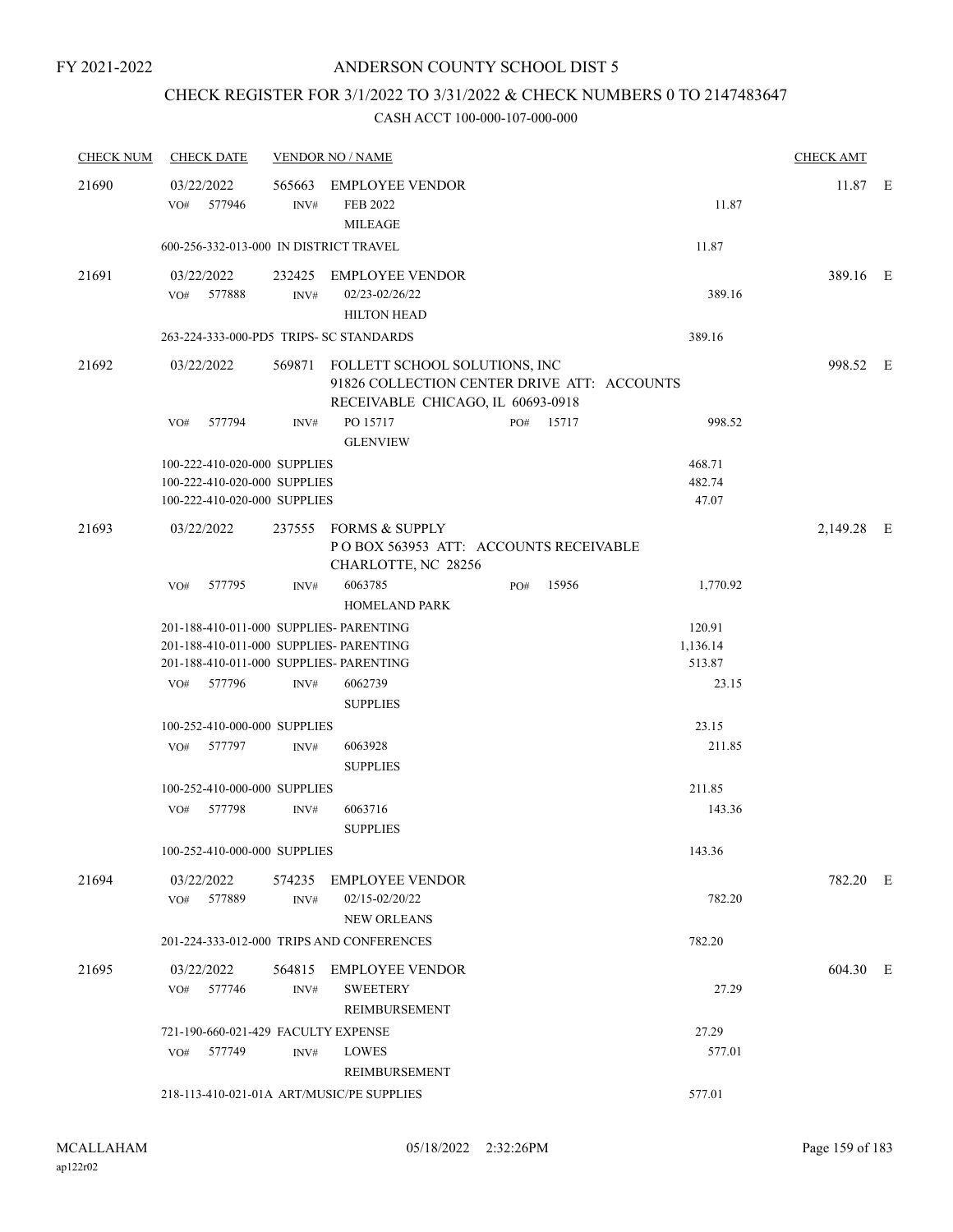# CHECK REGISTER FOR 3/1/2022 TO 3/31/2022 & CHECK NUMBERS 0 TO 2147483647

| <b>CHECK NUM</b> | <b>CHECK DATE</b>                         |        | <b>VENDOR NO / NAME</b>                                                                                                  |     |           |          | <b>CHECK AMT</b> |  |
|------------------|-------------------------------------------|--------|--------------------------------------------------------------------------------------------------------------------------|-----|-----------|----------|------------------|--|
| 21690            | 03/22/2022<br>577946<br>VO#               | INV#   | 565663 EMPLOYEE VENDOR<br>FEB 2022                                                                                       |     |           | 11.87    | 11.87 E          |  |
|                  | 600-256-332-013-000 IN DISTRICT TRAVEL    |        | <b>MILEAGE</b>                                                                                                           |     |           | 11.87    |                  |  |
| 21691            | 03/22/2022                                |        | 232425 EMPLOYEE VENDOR                                                                                                   |     |           |          | 389.16 E         |  |
|                  | VO# 577888                                | INV#   | 02/23-02/26/22<br><b>HILTON HEAD</b>                                                                                     |     |           | 389.16   |                  |  |
|                  | 263-224-333-000-PD5 TRIPS- SC STANDARDS   |        |                                                                                                                          |     |           | 389.16   |                  |  |
| 21692            | 03/22/2022                                |        | 569871 FOLLETT SCHOOL SOLUTIONS, INC<br>91826 COLLECTION CENTER DRIVE ATT: ACCOUNTS<br>RECEIVABLE CHICAGO, IL 60693-0918 |     |           |          | 998.52 E         |  |
|                  | 577794<br>VO#                             | INV#   | PO 15717<br><b>GLENVIEW</b>                                                                                              |     | PO# 15717 | 998.52   |                  |  |
|                  | 100-222-410-020-000 SUPPLIES              |        |                                                                                                                          |     |           | 468.71   |                  |  |
|                  | 100-222-410-020-000 SUPPLIES              |        |                                                                                                                          |     |           | 482.74   |                  |  |
|                  | 100-222-410-020-000 SUPPLIES              |        |                                                                                                                          |     |           | 47.07    |                  |  |
| 21693            | 03/22/2022                                |        | 237555 FORMS & SUPPLY<br>POBOX 563953 ATT: ACCOUNTS RECEIVABLE<br>CHARLOTTE, NC 28256                                    |     |           |          | 2,149.28 E       |  |
|                  | VO#<br>577795                             | INV#   | 6063785<br><b>HOMELAND PARK</b>                                                                                          | PO# | 15956     | 1,770.92 |                  |  |
|                  | 201-188-410-011-000 SUPPLIES- PARENTING   |        |                                                                                                                          |     |           | 120.91   |                  |  |
|                  | 201-188-410-011-000 SUPPLIES- PARENTING   |        |                                                                                                                          |     |           | 1,136.14 |                  |  |
|                  | 201-188-410-011-000 SUPPLIES- PARENTING   |        |                                                                                                                          |     |           | 513.87   |                  |  |
|                  | VO# 577796                                | INV#   | 6062739<br><b>SUPPLIES</b>                                                                                               |     |           | 23.15    |                  |  |
|                  | 100-252-410-000-000 SUPPLIES              |        |                                                                                                                          |     |           | 23.15    |                  |  |
|                  | 577797<br>VO#                             | INV#   | 6063928<br><b>SUPPLIES</b>                                                                                               |     |           | 211.85   |                  |  |
|                  | 100-252-410-000-000 SUPPLIES              |        |                                                                                                                          |     |           | 211.85   |                  |  |
|                  | 577798<br>VO#                             | INV#   | 6063716<br><b>SUPPLIES</b>                                                                                               |     |           | 143.36   |                  |  |
|                  | 100-252-410-000-000 SUPPLIES              |        |                                                                                                                          |     |           | 143.36   |                  |  |
| 21694            | 03/22/2022<br>VO#<br>577889               | INV#   | 574235 EMPLOYEE VENDOR<br>02/15-02/20/22                                                                                 |     |           | 782.20   | 782.20 E         |  |
|                  |                                           |        | <b>NEW ORLEANS</b>                                                                                                       |     |           |          |                  |  |
|                  |                                           |        | 201-224-333-012-000 TRIPS AND CONFERENCES                                                                                |     |           | 782.20   |                  |  |
| 21695            | 03/22/2022                                | 564815 | EMPLOYEE VENDOR                                                                                                          |     |           |          | 604.30 E         |  |
|                  | 577746<br>VO#                             | INV#   | <b>SWEETERY</b><br>REIMBURSEMENT                                                                                         |     |           | 27.29    |                  |  |
|                  | 721-190-660-021-429 FACULTY EXPENSE       |        |                                                                                                                          |     |           | 27.29    |                  |  |
|                  | 577749<br>VO#                             | INV#   | LOWES<br>REIMBURSEMENT                                                                                                   |     |           | 577.01   |                  |  |
|                  | 218-113-410-021-01A ART/MUSIC/PE SUPPLIES |        |                                                                                                                          |     |           | 577.01   |                  |  |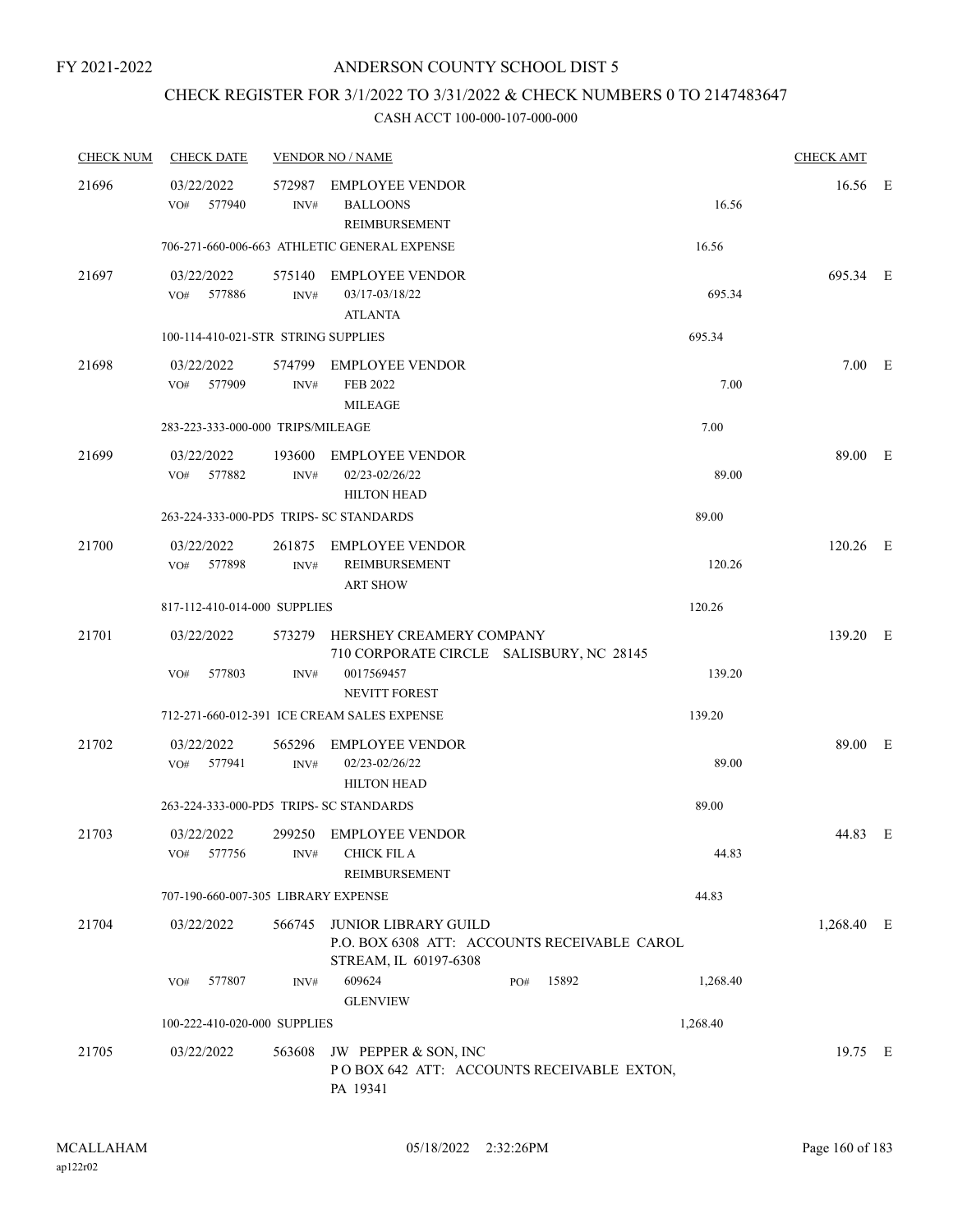# CHECK REGISTER FOR 3/1/2022 TO 3/31/2022 & CHECK NUMBERS 0 TO 2147483647

| <b>CHECK NUM</b> | <b>CHECK DATE</b>                       |                | <b>VENDOR NO / NAME</b>                                                                       |              |          | <b>CHECK AMT</b> |  |
|------------------|-----------------------------------------|----------------|-----------------------------------------------------------------------------------------------|--------------|----------|------------------|--|
| 21696            | 03/22/2022<br>577940<br>VO#             | 572987<br>INV# | <b>EMPLOYEE VENDOR</b><br><b>BALLOONS</b><br>REIMBURSEMENT                                    |              | 16.56    | 16.56 E          |  |
|                  |                                         |                | 706-271-660-006-663 ATHLETIC GENERAL EXPENSE                                                  |              | 16.56    |                  |  |
| 21697            | 03/22/2022<br>VO# 577886                | INV#           | 575140 EMPLOYEE VENDOR<br>03/17-03/18/22<br><b>ATLANTA</b>                                    |              | 695.34   | 695.34 E         |  |
|                  | 100-114-410-021-STR STRING SUPPLIES     |                |                                                                                               |              | 695.34   |                  |  |
| 21698            | 03/22/2022<br>VO#<br>577909             | INV#           | 574799 EMPLOYEE VENDOR<br><b>FEB 2022</b><br><b>MILEAGE</b>                                   |              | 7.00     | $7.00$ E         |  |
|                  | 283-223-333-000-000 TRIPS/MILEAGE       |                |                                                                                               |              | 7.00     |                  |  |
| 21699            | 03/22/2022<br>VO# 577882                | 193600<br>INV# | EMPLOYEE VENDOR<br>02/23-02/26/22<br><b>HILTON HEAD</b>                                       |              | 89.00    | 89.00 E          |  |
|                  | 263-224-333-000-PD5 TRIPS- SC STANDARDS |                |                                                                                               |              | 89.00    |                  |  |
| 21700            | 03/22/2022<br>577898<br>VO#             | INV#           | 261875 EMPLOYEE VENDOR<br>REIMBURSEMENT<br><b>ART SHOW</b>                                    |              | 120.26   | $120.26$ E       |  |
|                  | 817-112-410-014-000 SUPPLIES            |                |                                                                                               |              | 120.26   |                  |  |
| 21701            | 03/22/2022                              | 573279         | HERSHEY CREAMERY COMPANY<br>710 CORPORATE CIRCLE SALISBURY, NC 28145                          |              |          | 139.20 E         |  |
|                  | 577803<br>VO#                           | INV#           | 0017569457<br><b>NEVITT FOREST</b>                                                            |              | 139.20   |                  |  |
|                  |                                         |                | 712-271-660-012-391 ICE CREAM SALES EXPENSE                                                   |              | 139.20   |                  |  |
| 21702            | 03/22/2022<br>VO#<br>577941             | 565296<br>INV# | <b>EMPLOYEE VENDOR</b><br>02/23-02/26/22<br><b>HILTON HEAD</b>                                |              | 89.00    | 89.00 E          |  |
|                  | 263-224-333-000-PD5 TRIPS- SC STANDARDS |                |                                                                                               |              | 89.00    |                  |  |
| 21703            | 03/22/2022<br>577756<br>VO#             | INV#           | 299250 EMPLOYEE VENDOR<br><b>CHICK FIL A</b><br>REIMBURSEMENT                                 |              | 44.83    | 44.83 E          |  |
|                  | 707-190-660-007-305 LIBRARY EXPENSE     |                |                                                                                               |              | 44.83    |                  |  |
| 21704            | 03/22/2022                              | 566745         | JUNIOR LIBRARY GUILD<br>P.O. BOX 6308 ATT: ACCOUNTS RECEIVABLE CAROL<br>STREAM, IL 60197-6308 |              |          | 1,268.40 E       |  |
|                  | 577807<br>VO#                           | INV#           | 609624<br><b>GLENVIEW</b>                                                                     | 15892<br>PO# | 1,268.40 |                  |  |
|                  | 100-222-410-020-000 SUPPLIES            |                |                                                                                               |              | 1,268.40 |                  |  |
| 21705            | 03/22/2022                              | 563608         | JW PEPPER & SON, INC<br>POBOX 642 ATT: ACCOUNTS RECEIVABLE EXTON,<br>PA 19341                 |              |          | 19.75 E          |  |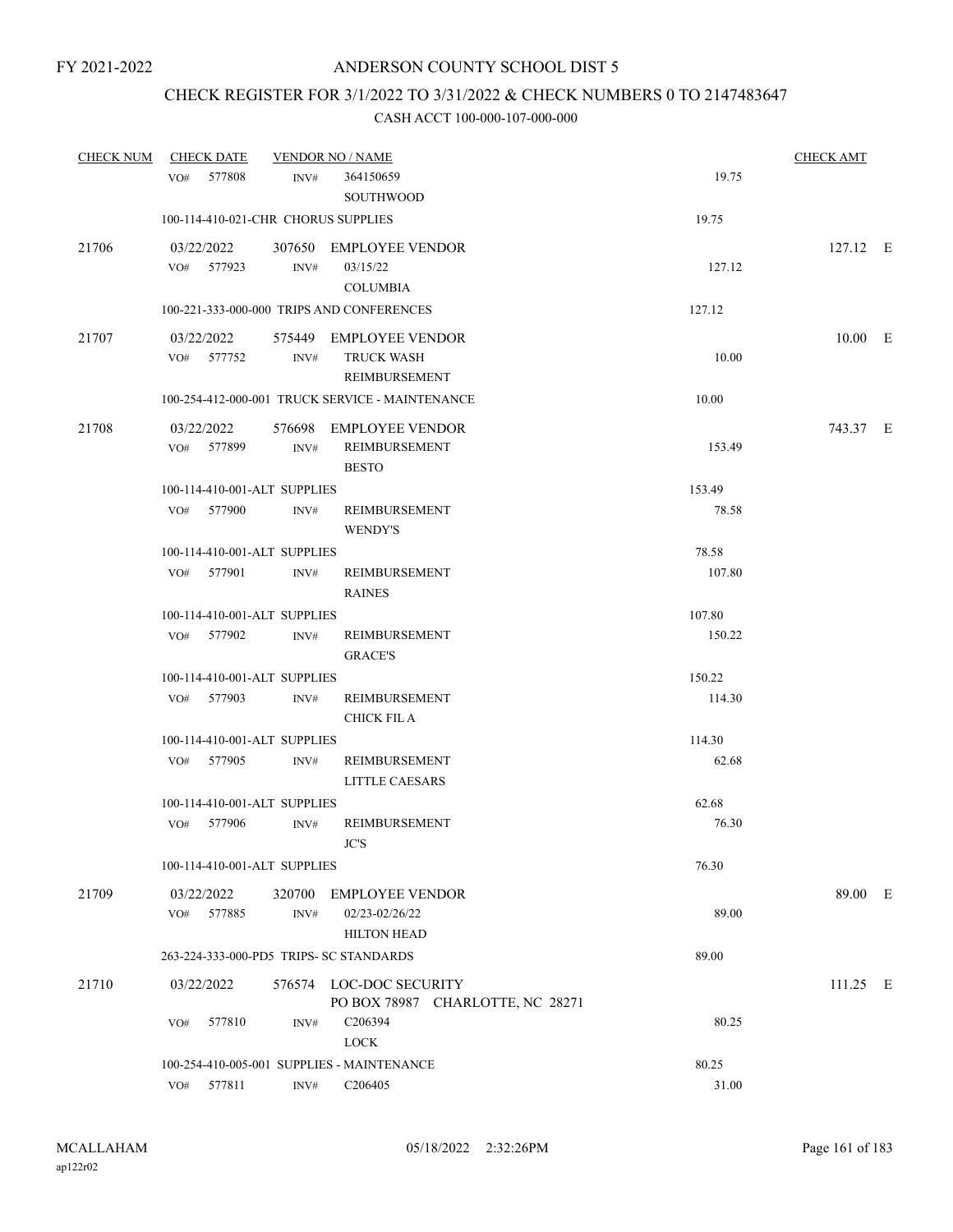# CHECK REGISTER FOR 3/1/2022 TO 3/31/2022 & CHECK NUMBERS 0 TO 2147483647

| <b>CHECK NUM</b> | <b>CHECK DATE</b>                       |                | <b>VENDOR NO / NAME</b>                                        |        | <b>CHECK AMT</b> |  |
|------------------|-----------------------------------------|----------------|----------------------------------------------------------------|--------|------------------|--|
|                  | 577808<br>VO#                           | INV#           | 364150659<br><b>SOUTHWOOD</b>                                  | 19.75  |                  |  |
|                  | 100-114-410-021-CHR CHORUS SUPPLIES     |                |                                                                | 19.75  |                  |  |
| 21706            | 03/22/2022<br>VO# 577923                | INV#           | 307650 EMPLOYEE VENDOR<br>03/15/22<br><b>COLUMBIA</b>          | 127.12 | 127.12 E         |  |
|                  |                                         |                | 100-221-333-000-000 TRIPS AND CONFERENCES                      | 127.12 |                  |  |
| 21707            | 03/22/2022<br>VO# 577752                | INV#           | 575449 EMPLOYEE VENDOR<br><b>TRUCK WASH</b><br>REIMBURSEMENT   | 10.00  | $10.00$ E        |  |
|                  |                                         |                | 100-254-412-000-001 TRUCK SERVICE - MAINTENANCE                | 10.00  |                  |  |
| 21708            | 03/22/2022<br>VO# 577899                | INV#           | 576698 EMPLOYEE VENDOR<br>REIMBURSEMENT<br><b>BESTO</b>        | 153.49 | 743.37 E         |  |
|                  | 100-114-410-001-ALT SUPPLIES            |                |                                                                | 153.49 |                  |  |
|                  | VO# 577900                              | INV#           | REIMBURSEMENT<br><b>WENDY'S</b>                                | 78.58  |                  |  |
|                  | 100-114-410-001-ALT SUPPLIES            |                |                                                                | 78.58  |                  |  |
|                  | VO# 577901                              | INV#           | REIMBURSEMENT<br><b>RAINES</b>                                 | 107.80 |                  |  |
|                  | 100-114-410-001-ALT SUPPLIES            |                |                                                                | 107.80 |                  |  |
|                  | VO# 577902                              | INV#           | REIMBURSEMENT<br><b>GRACE'S</b>                                | 150.22 |                  |  |
|                  | 100-114-410-001-ALT SUPPLIES            |                |                                                                | 150.22 |                  |  |
|                  | VO# 577903                              | INV#           | REIMBURSEMENT<br>CHICK FIL A                                   | 114.30 |                  |  |
|                  | 100-114-410-001-ALT SUPPLIES            |                |                                                                | 114.30 |                  |  |
|                  | VO# 577905                              | INV#           | REIMBURSEMENT<br><b>LITTLE CAESARS</b>                         | 62.68  |                  |  |
|                  | 100-114-410-001-ALT SUPPLIES            |                |                                                                | 62.68  |                  |  |
|                  | 577906<br>VO#                           | INV#           | REIMBURSEMENT<br>JC'S                                          | 76.30  |                  |  |
|                  | 100-114-410-001-ALT SUPPLIES            |                |                                                                | 76.30  |                  |  |
| 21709            | 03/22/2022<br>577885<br>VO#             | 320700<br>INV# | <b>EMPLOYEE VENDOR</b><br>02/23-02/26/22<br><b>HILTON HEAD</b> | 89.00  | 89.00 E          |  |
|                  | 263-224-333-000-PD5 TRIPS- SC STANDARDS |                |                                                                | 89.00  |                  |  |
| 21710            | 03/22/2022                              |                | 576574 LOC-DOC SECURITY<br>PO BOX 78987 CHARLOTTE, NC 28271    |        | $111.25$ E       |  |
|                  | 577810<br>VO#                           | INV#           | C206394<br><b>LOCK</b>                                         | 80.25  |                  |  |
|                  |                                         |                | 100-254-410-005-001 SUPPLIES - MAINTENANCE                     | 80.25  |                  |  |
|                  | 577811<br>VO#                           | $\text{INV}\#$ | C206405                                                        | 31.00  |                  |  |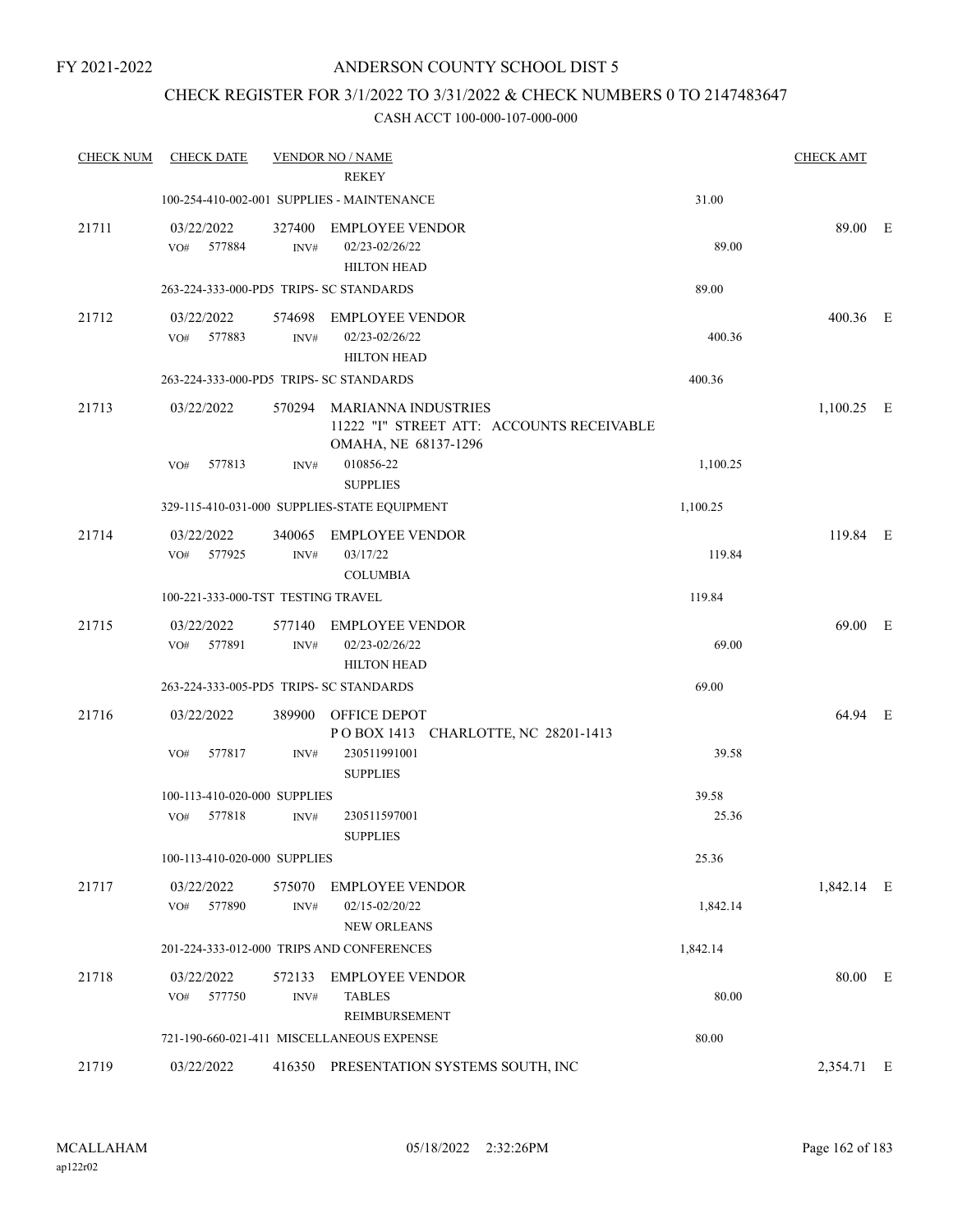# CHECK REGISTER FOR 3/1/2022 TO 3/31/2022 & CHECK NUMBERS 0 TO 2147483647

| <b>CHECK NUM</b> | <b>CHECK DATE</b>                       |                          | <b>VENDOR NO / NAME</b><br><b>REKEY</b>                                                         |          | <b>CHECK AMT</b> |  |
|------------------|-----------------------------------------|--------------------------|-------------------------------------------------------------------------------------------------|----------|------------------|--|
|                  |                                         |                          | 100-254-410-002-001 SUPPLIES - MAINTENANCE                                                      | 31.00    |                  |  |
| 21711            | 03/22/2022                              | 327400                   | <b>EMPLOYEE VENDOR</b>                                                                          |          | 89.00 E          |  |
|                  | 577884<br>VO#                           | INV#                     | 02/23-02/26/22<br><b>HILTON HEAD</b>                                                            | 89.00    |                  |  |
|                  | 263-224-333-000-PD5 TRIPS- SC STANDARDS |                          |                                                                                                 | 89.00    |                  |  |
| 21712            | 03/22/2022<br>577883<br>VO#             | INV#                     | 574698 EMPLOYEE VENDOR<br>02/23-02/26/22<br><b>HILTON HEAD</b>                                  | 400.36   | $400.36$ E       |  |
|                  | 263-224-333-000-PD5 TRIPS- SC STANDARDS |                          |                                                                                                 | 400.36   |                  |  |
| 21713            | 03/22/2022                              |                          | 570294 MARIANNA INDUSTRIES<br>11222 "I" STREET ATT: ACCOUNTS RECEIVABLE<br>OMAHA, NE 68137-1296 |          | $1,100.25$ E     |  |
|                  | 577813<br>VO#                           | INV#                     | 010856-22<br><b>SUPPLIES</b>                                                                    | 1,100.25 |                  |  |
|                  |                                         |                          | 329-115-410-031-000 SUPPLIES-STATE EQUIPMENT                                                    | 1,100.25 |                  |  |
| 21714            | 03/22/2022<br>VO# 577925                | 340065<br>INV#           | <b>EMPLOYEE VENDOR</b><br>03/17/22<br><b>COLUMBIA</b>                                           | 119.84   | 119.84 E         |  |
|                  | 100-221-333-000-TST TESTING TRAVEL      |                          |                                                                                                 | 119.84   |                  |  |
| 21715            | 03/22/2022<br>577891<br>VO#             | 577140<br>$\text{INV}\#$ | EMPLOYEE VENDOR<br>02/23-02/26/22<br><b>HILTON HEAD</b>                                         | 69.00    | 69.00 E          |  |
|                  | 263-224-333-005-PD5 TRIPS- SC STANDARDS |                          |                                                                                                 | 69.00    |                  |  |
| 21716            | 03/22/2022                              | 389900                   | OFFICE DEPOT<br>POBOX 1413 CHARLOTTE, NC 28201-1413                                             |          | 64.94 E          |  |
|                  | VO#<br>577817                           | INV#                     | 230511991001<br><b>SUPPLIES</b>                                                                 | 39.58    |                  |  |
|                  | 100-113-410-020-000 SUPPLIES            |                          |                                                                                                 | 39.58    |                  |  |
|                  | 577818<br>VO#                           | INV#                     | 230511597001<br><b>SUPPLIES</b>                                                                 | 25.36    |                  |  |
|                  | 100-113-410-020-000 SUPPLIES            |                          |                                                                                                 | 25.36    |                  |  |
| 21717            | 03/22/2022<br>VO#<br>577890             | 575070<br>INV#           | <b>EMPLOYEE VENDOR</b><br>02/15-02/20/22<br><b>NEW ORLEANS</b>                                  | 1,842.14 | 1,842.14 E       |  |
|                  |                                         |                          | 201-224-333-012-000 TRIPS AND CONFERENCES                                                       | 1,842.14 |                  |  |
| 21718            | 03/22/2022<br>577750<br>VO#             | 572133<br>INV#           | <b>EMPLOYEE VENDOR</b><br><b>TABLES</b><br>REIMBURSEMENT                                        | 80.00    | 80.00 E          |  |
|                  |                                         |                          | 721-190-660-021-411 MISCELLANEOUS EXPENSE                                                       | 80.00    |                  |  |
| 21719            | 03/22/2022                              |                          | 416350 PRESENTATION SYSTEMS SOUTH, INC                                                          |          | 2,354.71 E       |  |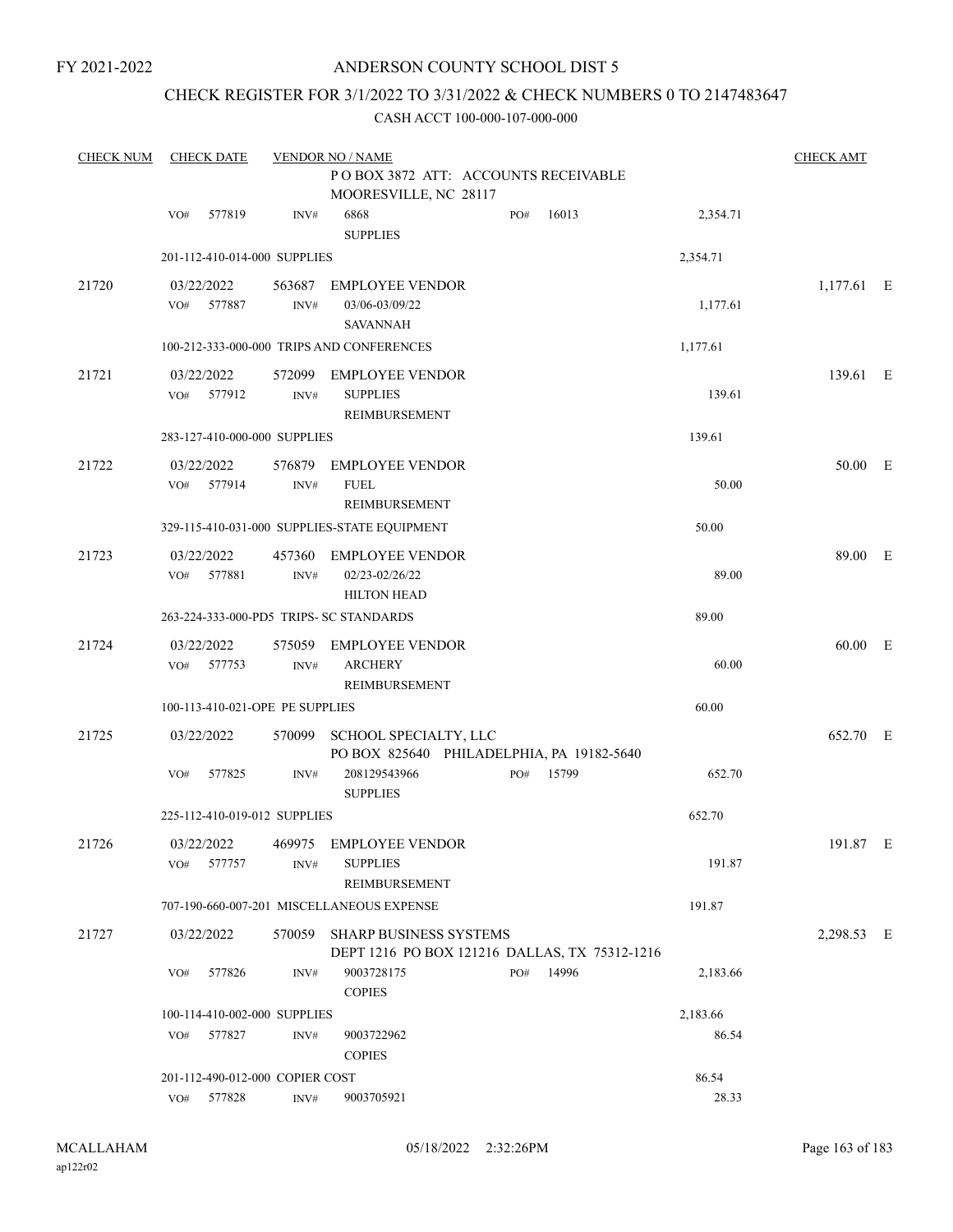FY 2021-2022

# ANDERSON COUNTY SCHOOL DIST 5

# CHECK REGISTER FOR 3/1/2022 TO 3/31/2022 & CHECK NUMBERS 0 TO 2147483647

| <b>CHECK NUM</b> | <b>CHECK DATE</b><br><b>VENDOR NO / NAME</b> |                |                                                                                |           |       |          |            |  |
|------------------|----------------------------------------------|----------------|--------------------------------------------------------------------------------|-----------|-------|----------|------------|--|
|                  |                                              |                | PO BOX 3872 ATT: ACCOUNTS RECEIVABLE<br>MOORESVILLE, NC 28117                  |           |       |          |            |  |
|                  | 577819<br>VO#                                | INV#           | 6868<br><b>SUPPLIES</b>                                                        | PO#       | 16013 | 2,354.71 |            |  |
|                  | 201-112-410-014-000 SUPPLIES                 |                |                                                                                |           |       | 2,354.71 |            |  |
| 21720            | 03/22/2022<br>577887<br>VO#                  | 563687<br>INV# | EMPLOYEE VENDOR<br>03/06-03/09/22<br><b>SAVANNAH</b>                           |           |       | 1,177.61 | 1,177.61 E |  |
|                  |                                              |                | 100-212-333-000-000 TRIPS AND CONFERENCES                                      |           |       | 1,177.61 |            |  |
| 21721            | 03/22/2022<br>VO# 577912                     | 572099<br>INV# | <b>EMPLOYEE VENDOR</b><br><b>SUPPLIES</b><br>REIMBURSEMENT                     |           |       | 139.61   | 139.61 E   |  |
|                  | 283-127-410-000-000 SUPPLIES                 |                |                                                                                |           |       | 139.61   |            |  |
| 21722            | 03/22/2022<br>577914<br>VO#                  | 576879<br>INV# | <b>EMPLOYEE VENDOR</b><br><b>FUEL</b><br>REIMBURSEMENT                         |           |       | 50.00    | 50.00 E    |  |
|                  |                                              |                | 329-115-410-031-000 SUPPLIES-STATE EQUIPMENT                                   |           |       | 50.00    |            |  |
| 21723            | 03/22/2022<br>VO# 577881                     | 457360<br>INV# | EMPLOYEE VENDOR<br>02/23-02/26/22<br><b>HILTON HEAD</b>                        |           |       | 89.00    | 89.00 E    |  |
|                  | 263-224-333-000-PD5 TRIPS- SC STANDARDS      |                |                                                                                |           |       | 89.00    |            |  |
| 21724            | 03/22/2022<br>VO# 577753                     | INV#           | 575059 EMPLOYEE VENDOR<br><b>ARCHERY</b><br>REIMBURSEMENT                      |           |       | 60.00    | 60.00 E    |  |
|                  | 100-113-410-021-OPE PE SUPPLIES              |                |                                                                                |           |       | 60.00    |            |  |
| 21725            | 03/22/2022                                   | 570099         | SCHOOL SPECIALTY, LLC<br>PO BOX 825640 PHILADELPHIA, PA 19182-5640             |           |       |          | 652.70 E   |  |
|                  | 577825<br>VO#                                | INV#           | 208129543966<br><b>SUPPLIES</b>                                                | PO# 15799 |       | 652.70   |            |  |
|                  | 225-112-410-019-012 SUPPLIES                 |                |                                                                                |           |       | 652.70   |            |  |
| 21726            | 03/22/2022<br>VO# 577757                     | INV#           | 469975 EMPLOYEE VENDOR<br><b>SUPPLIES</b><br>REIMBURSEMENT                     |           |       | 191.87   | 191.87 E   |  |
|                  |                                              |                | 707-190-660-007-201 MISCELLANEOUS EXPENSE                                      |           |       | 191.87   |            |  |
| 21727            | 03/22/2022                                   |                | 570059 SHARP BUSINESS SYSTEMS<br>DEPT 1216 PO BOX 121216 DALLAS, TX 75312-1216 |           |       |          | 2,298.53 E |  |
|                  | 577826<br>VO#                                | INV#           | 9003728175<br><b>COPIES</b>                                                    | PO# 14996 |       | 2,183.66 |            |  |
|                  | 100-114-410-002-000 SUPPLIES                 |                |                                                                                |           |       | 2,183.66 |            |  |
|                  | 577827<br>VO#                                | INV#           | 9003722962<br><b>COPIES</b>                                                    |           |       | 86.54    |            |  |
|                  | 201-112-490-012-000 COPIER COST              |                |                                                                                |           |       | 86.54    |            |  |
|                  | 577828<br>VO#                                | INV#           | 9003705921                                                                     |           |       | 28.33    |            |  |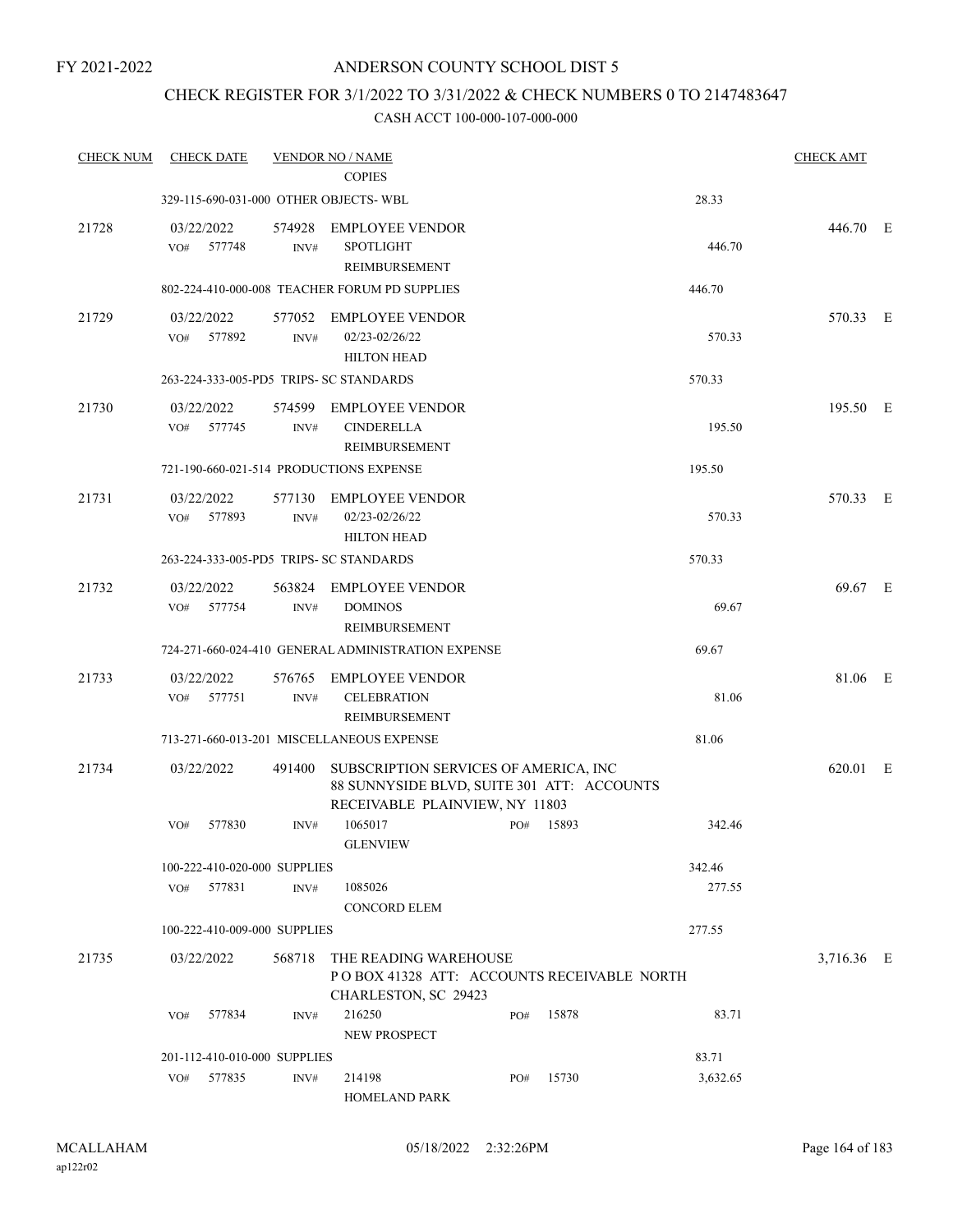## CHECK REGISTER FOR 3/1/2022 TO 3/31/2022 & CHECK NUMBERS 0 TO 2147483647

| <b>CHECK NUM</b> | <b>CHECK DATE</b>                       |                | <b>VENDOR NO / NAME</b><br><b>COPIES</b>                                                                              |     |       |          | <b>CHECK AMT</b> |  |
|------------------|-----------------------------------------|----------------|-----------------------------------------------------------------------------------------------------------------------|-----|-------|----------|------------------|--|
|                  | 329-115-690-031-000 OTHER OBJECTS- WBL  |                |                                                                                                                       |     |       | 28.33    |                  |  |
| 21728            | 03/22/2022<br>577748<br>VO#             | 574928<br>INV# | <b>EMPLOYEE VENDOR</b><br><b>SPOTLIGHT</b><br>REIMBURSEMENT                                                           |     |       | 446.70   | 446.70 E         |  |
|                  |                                         |                | 802-224-410-000-008 TEACHER FORUM PD SUPPLIES                                                                         |     |       | 446.70   |                  |  |
| 21729            | 03/22/2022<br>577892<br>VO#             | INV#           | 577052 EMPLOYEE VENDOR<br>02/23-02/26/22<br><b>HILTON HEAD</b>                                                        |     |       | 570.33   | 570.33 E         |  |
|                  | 263-224-333-005-PD5 TRIPS- SC STANDARDS |                |                                                                                                                       |     |       | 570.33   |                  |  |
| 21730            | 03/22/2022<br>577745<br>VO#             | 574599<br>INV# | <b>EMPLOYEE VENDOR</b><br><b>CINDERELLA</b><br>REIMBURSEMENT                                                          |     |       | 195.50   | 195.50 E         |  |
|                  |                                         |                | 721-190-660-021-514 PRODUCTIONS EXPENSE                                                                               |     |       | 195.50   |                  |  |
| 21731            | 03/22/2022<br>VO# 577893                | 577130<br>INV# | <b>EMPLOYEE VENDOR</b><br>02/23-02/26/22<br><b>HILTON HEAD</b>                                                        |     |       | 570.33   | 570.33 E         |  |
|                  | 263-224-333-005-PD5 TRIPS- SC STANDARDS |                |                                                                                                                       |     |       | 570.33   |                  |  |
| 21732            | 03/22/2022<br>VO# 577754                | 563824<br>INV# | <b>EMPLOYEE VENDOR</b><br><b>DOMINOS</b><br>REIMBURSEMENT                                                             |     |       | 69.67    | 69.67 E          |  |
|                  |                                         |                | 724-271-660-024-410 GENERAL ADMINISTRATION EXPENSE                                                                    |     |       | 69.67    |                  |  |
| 21733            | 03/22/2022<br>577751<br>VO#             | 576765<br>INV# | EMPLOYEE VENDOR<br><b>CELEBRATION</b><br>REIMBURSEMENT                                                                |     |       | 81.06    | 81.06 E          |  |
|                  |                                         |                | 713-271-660-013-201 MISCELLANEOUS EXPENSE                                                                             |     |       | 81.06    |                  |  |
| 21734            | 03/22/2022                              | 491400         | SUBSCRIPTION SERVICES OF AMERICA, INC<br>88 SUNNYSIDE BLVD, SUITE 301 ATT: ACCOUNTS<br>RECEIVABLE PLAINVIEW, NY 11803 |     |       |          | 620.01 E         |  |
|                  | 577830<br>VO#                           | INV#           | 1065017<br><b>GLENVIEW</b>                                                                                            | PO# | 15893 | 342.46   |                  |  |
|                  | 100-222-410-020-000 SUPPLIES            |                |                                                                                                                       |     |       | 342.46   |                  |  |
|                  | VO# 577831                              | INV#           | 1085026<br><b>CONCORD ELEM</b>                                                                                        |     |       | 277.55   |                  |  |
|                  | 100-222-410-009-000 SUPPLIES            |                |                                                                                                                       |     |       | 277.55   |                  |  |
| 21735            | 03/22/2022                              | 568718         | THE READING WAREHOUSE<br>POBOX 41328 ATT: ACCOUNTS RECEIVABLE NORTH<br>CHARLESTON, SC 29423                           |     |       |          | 3,716.36 E       |  |
|                  | 577834<br>VO#                           | INV#           | 216250<br>NEW PROSPECT                                                                                                | PO# | 15878 | 83.71    |                  |  |
|                  | 201-112-410-010-000 SUPPLIES            |                |                                                                                                                       |     |       | 83.71    |                  |  |
|                  | VO#<br>577835                           | INV#           | 214198<br>HOMELAND PARK                                                                                               | PO# | 15730 | 3,632.65 |                  |  |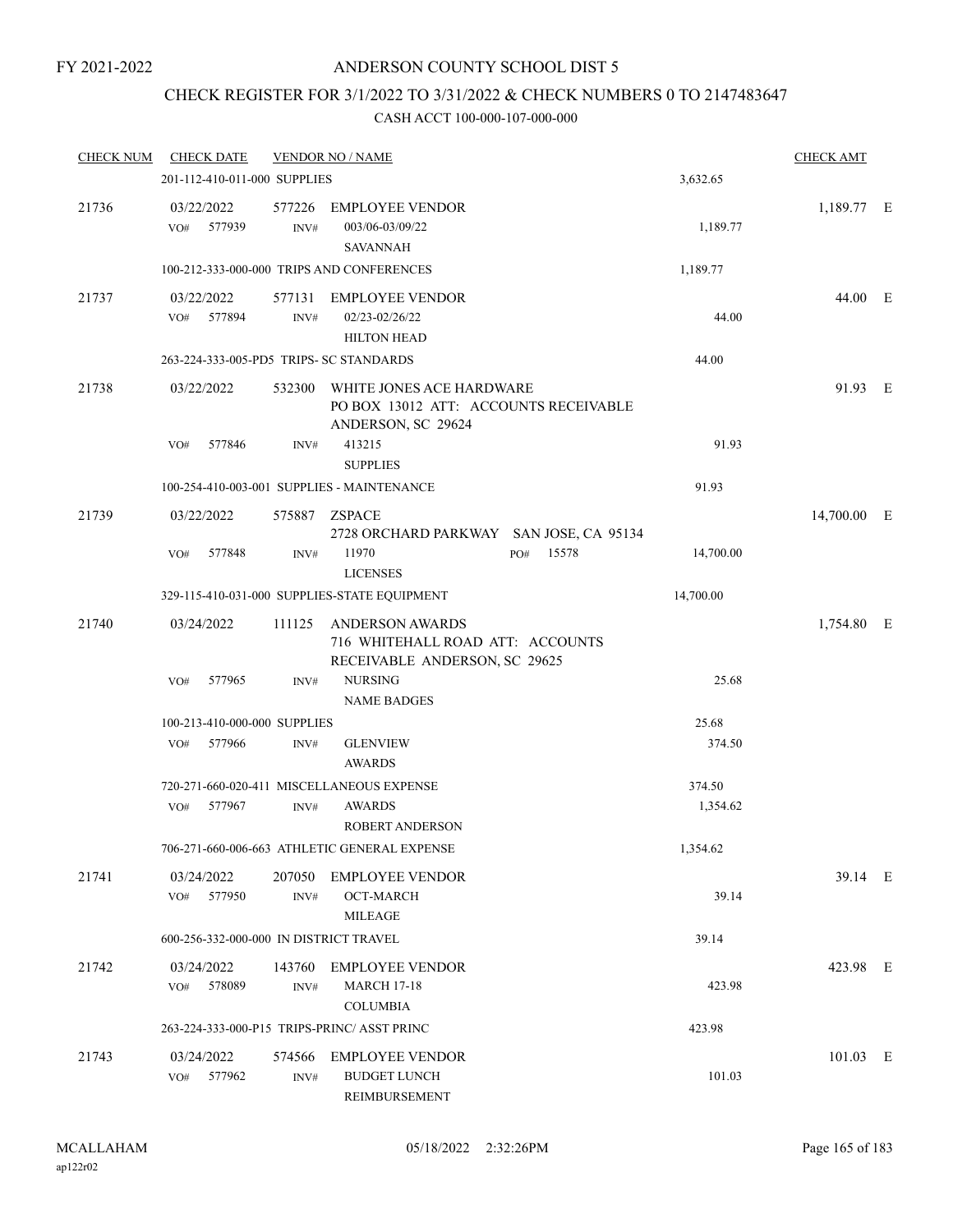# CHECK REGISTER FOR 3/1/2022 TO 3/31/2022 & CHECK NUMBERS 0 TO 2147483647

| <b>CHECK NUM</b> | <b>CHECK DATE</b>                       |                | <b>VENDOR NO / NAME</b>                                                                 |              |           | <b>CHECK AMT</b> |  |
|------------------|-----------------------------------------|----------------|-----------------------------------------------------------------------------------------|--------------|-----------|------------------|--|
|                  | 201-112-410-011-000 SUPPLIES            |                |                                                                                         |              | 3,632.65  |                  |  |
| 21736            | 03/22/2022<br>577939<br>VO#             | 577226<br>INV# | <b>EMPLOYEE VENDOR</b><br>003/06-03/09/22<br><b>SAVANNAH</b>                            |              | 1,189.77  | 1,189.77 E       |  |
|                  |                                         |                | 100-212-333-000-000 TRIPS AND CONFERENCES                                               |              | 1,189.77  |                  |  |
| 21737            | 03/22/2022<br>577894<br>VO#             | 577131<br>INV# | <b>EMPLOYEE VENDOR</b><br>02/23-02/26/22<br><b>HILTON HEAD</b>                          |              | 44.00     | 44.00 E          |  |
|                  | 263-224-333-005-PD5 TRIPS- SC STANDARDS |                |                                                                                         |              | 44.00     |                  |  |
| 21738            | 03/22/2022                              | 532300         | WHITE JONES ACE HARDWARE<br>PO BOX 13012 ATT: ACCOUNTS RECEIVABLE<br>ANDERSON, SC 29624 |              |           | 91.93 E          |  |
|                  | 577846<br>VO#                           | INV#           | 413215<br><b>SUPPLIES</b>                                                               |              | 91.93     |                  |  |
|                  |                                         |                | 100-254-410-003-001 SUPPLIES - MAINTENANCE                                              |              | 91.93     |                  |  |
| 21739            | 03/22/2022                              |                | 575887 ZSPACE<br>2728 ORCHARD PARKWAY SAN JOSE, CA 95134                                |              |           | 14,700.00 E      |  |
|                  | VO#<br>577848                           | INV#           | 11970<br><b>LICENSES</b>                                                                | 15578<br>PO# | 14,700.00 |                  |  |
|                  |                                         |                | 329-115-410-031-000 SUPPLIES-STATE EQUIPMENT                                            |              | 14,700.00 |                  |  |
| 21740            | 03/24/2022                              | 111125         | ANDERSON AWARDS<br>716 WHITEHALL ROAD ATT: ACCOUNTS<br>RECEIVABLE ANDERSON, SC 29625    |              |           | 1,754.80 E       |  |
|                  | 577965<br>VO#                           | INV#           | <b>NURSING</b><br><b>NAME BADGES</b>                                                    |              | 25.68     |                  |  |
|                  | 100-213-410-000-000 SUPPLIES            |                |                                                                                         |              | 25.68     |                  |  |
|                  | VO#<br>577966                           | INV#           | <b>GLENVIEW</b><br><b>AWARDS</b>                                                        |              | 374.50    |                  |  |
|                  |                                         |                | 720-271-660-020-411 MISCELLANEOUS EXPENSE                                               |              | 374.50    |                  |  |
|                  | 577967<br>VO#                           | INV#           | AWARDS<br><b>ROBERT ANDERSON</b>                                                        |              | 1,354.62  |                  |  |
|                  |                                         |                | 706-271-660-006-663 ATHLETIC GENERAL EXPENSE                                            |              | 1,354.62  |                  |  |
| 21741            | 03/24/2022<br>577950<br>VO#             | 207050<br>INV# | <b>EMPLOYEE VENDOR</b><br>OCT-MARCH<br>MILEAGE                                          |              | 39.14     | 39.14 E          |  |
|                  | 600-256-332-000-000 IN DISTRICT TRAVEL  |                |                                                                                         |              | 39.14     |                  |  |
| 21742            | 03/24/2022<br>578089<br>VO#             | 143760<br>INV# | <b>EMPLOYEE VENDOR</b><br><b>MARCH 17-18</b><br><b>COLUMBIA</b>                         |              | 423.98    | 423.98 E         |  |
|                  |                                         |                | 263-224-333-000-P15 TRIPS-PRINC/ ASST PRINC                                             |              | 423.98    |                  |  |
| 21743            | 03/24/2022<br>577962<br>VO#             | 574566<br>INV# | <b>EMPLOYEE VENDOR</b><br><b>BUDGET LUNCH</b><br>REIMBURSEMENT                          |              | 101.03    | $101.03$ E       |  |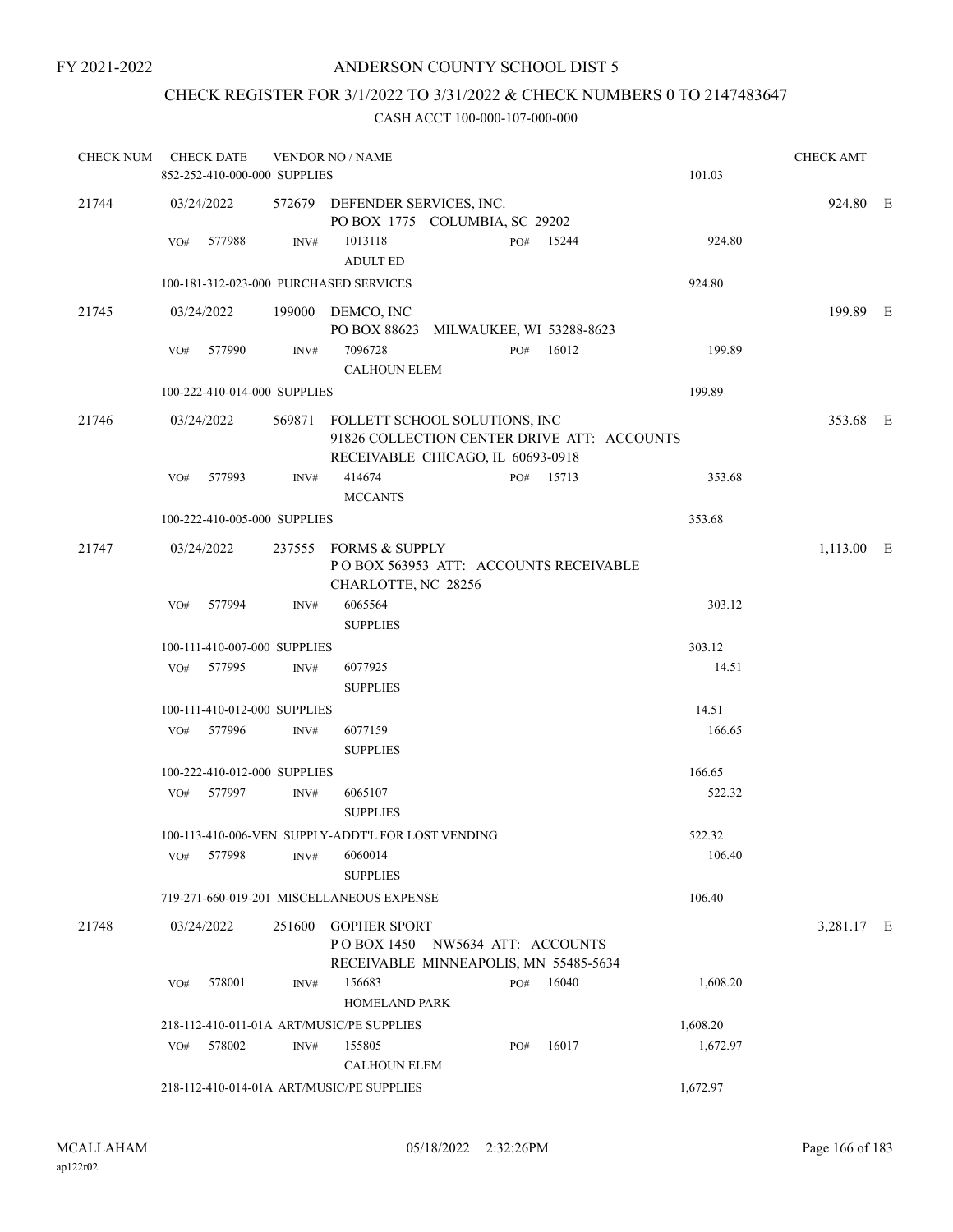# CHECK REGISTER FOR 3/1/2022 TO 3/31/2022 & CHECK NUMBERS 0 TO 2147483647

| <b>CHECK NUM</b> |     | <b>CHECK DATE</b>            |        | <b>VENDOR NO / NAME</b>                                                                                                  |     |           |          | <b>CHECK AMT</b> |  |
|------------------|-----|------------------------------|--------|--------------------------------------------------------------------------------------------------------------------------|-----|-----------|----------|------------------|--|
|                  |     | 852-252-410-000-000 SUPPLIES |        |                                                                                                                          |     |           | 101.03   |                  |  |
| 21744            |     | 03/24/2022                   |        | 572679 DEFENDER SERVICES, INC.<br>PO BOX 1775 COLUMBIA, SC 29202                                                         |     |           |          | 924.80 E         |  |
|                  | VO# | 577988                       | INV#   | 1013118<br><b>ADULT ED</b>                                                                                               | PO# | 15244     | 924.80   |                  |  |
|                  |     |                              |        | 100-181-312-023-000 PURCHASED SERVICES                                                                                   |     |           | 924.80   |                  |  |
| 21745            |     | 03/24/2022                   |        | 199000 DEMCO, INC<br>PO BOX 88623 MILWAUKEE, WI 53288-8623                                                               |     |           |          | 199.89 E         |  |
|                  |     | VO# 577990                   | INV#   | 7096728<br><b>CALHOUN ELEM</b>                                                                                           |     | PO# 16012 | 199.89   |                  |  |
|                  |     | 100-222-410-014-000 SUPPLIES |        |                                                                                                                          |     |           | 199.89   |                  |  |
| 21746            |     | 03/24/2022                   |        | 569871 FOLLETT SCHOOL SOLUTIONS, INC<br>91826 COLLECTION CENTER DRIVE ATT: ACCOUNTS<br>RECEIVABLE CHICAGO, IL 60693-0918 |     |           |          | 353.68 E         |  |
|                  | VO# | 577993                       | INV#   | 414674<br><b>MCCANTS</b>                                                                                                 |     | PO# 15713 | 353.68   |                  |  |
|                  |     | 100-222-410-005-000 SUPPLIES |        |                                                                                                                          |     |           | 353.68   |                  |  |
| 21747            |     | 03/24/2022                   |        | 237555 FORMS & SUPPLY<br>PO BOX 563953 ATT: ACCOUNTS RECEIVABLE<br>CHARLOTTE, NC 28256                                   |     |           |          | $1,113.00$ E     |  |
|                  | VO# | 577994                       | INV#   | 6065564<br><b>SUPPLIES</b>                                                                                               |     |           | 303.12   |                  |  |
|                  |     | 100-111-410-007-000 SUPPLIES |        |                                                                                                                          |     |           | 303.12   |                  |  |
|                  |     | VO# 577995                   | INV#   | 6077925<br><b>SUPPLIES</b>                                                                                               |     |           | 14.51    |                  |  |
|                  |     | 100-111-410-012-000 SUPPLIES |        |                                                                                                                          |     |           | 14.51    |                  |  |
|                  | VO# | 577996                       | INV#   | 6077159<br><b>SUPPLIES</b>                                                                                               |     |           | 166.65   |                  |  |
|                  |     | 100-222-410-012-000 SUPPLIES |        |                                                                                                                          |     |           | 166.65   |                  |  |
|                  |     | VO# 577997                   | INV#   | 6065107<br><b>SUPPLIES</b>                                                                                               |     |           | 522.32   |                  |  |
|                  |     |                              |        | 100-113-410-006-VEN SUPPLY-ADDT'L FOR LOST VENDING                                                                       |     |           | 522.32   |                  |  |
|                  | VO# | 577998                       | INV#   | 6060014<br><b>SUPPLIES</b>                                                                                               |     |           | 106.40   |                  |  |
|                  |     |                              |        | 719-271-660-019-201 MISCELLANEOUS EXPENSE                                                                                |     |           | 106.40   |                  |  |
| 21748            |     | 03/24/2022                   | 251600 | <b>GOPHER SPORT</b><br>POBOX 1450 NW5634 ATT: ACCOUNTS<br>RECEIVABLE MINNEAPOLIS, MN 55485-5634                          |     |           |          | 3,281.17 E       |  |
|                  | VO# | 578001                       | INV#   | 156683<br>HOMELAND PARK                                                                                                  | PO# | 16040     | 1,608.20 |                  |  |
|                  |     |                              |        | 218-112-410-011-01A ART/MUSIC/PE SUPPLIES                                                                                |     |           | 1,608.20 |                  |  |
|                  | VO# | 578002                       | INV#   | 155805<br><b>CALHOUN ELEM</b>                                                                                            | PO# | 16017     | 1,672.97 |                  |  |
|                  |     |                              |        | 218-112-410-014-01A ART/MUSIC/PE SUPPLIES                                                                                |     |           | 1,672.97 |                  |  |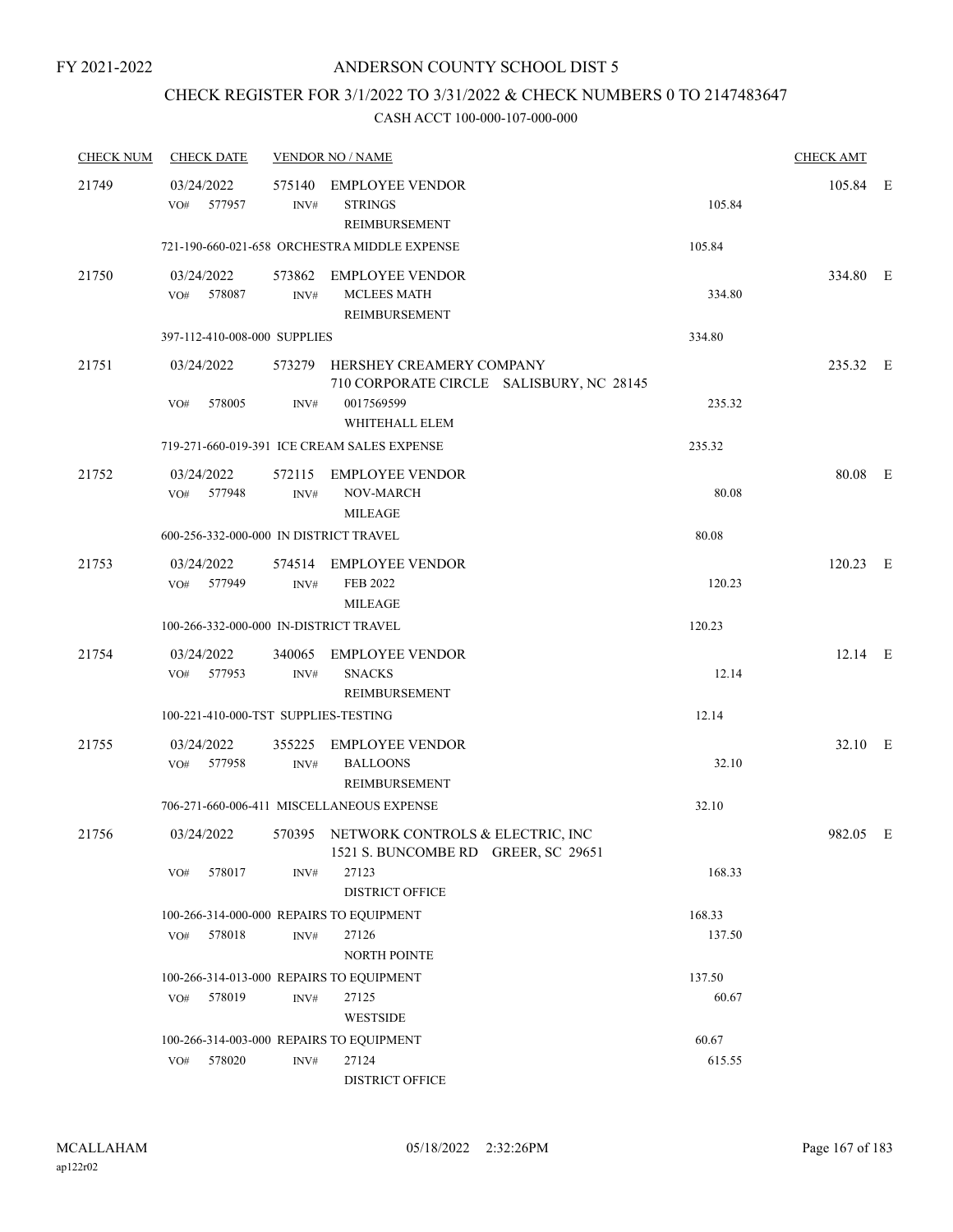# CHECK REGISTER FOR 3/1/2022 TO 3/31/2022 & CHECK NUMBERS 0 TO 2147483647

| <b>CHECK NUM</b> | <b>CHECK DATE</b>                        |                | <b>VENDOR NO / NAME</b>                                                                   |        | <b>CHECK AMT</b> |  |
|------------------|------------------------------------------|----------------|-------------------------------------------------------------------------------------------|--------|------------------|--|
| 21749            | 03/24/2022<br>577957<br>VO#              | INV#           | 575140 EMPLOYEE VENDOR<br><b>STRINGS</b><br>REIMBURSEMENT                                 | 105.84 | 105.84 E         |  |
|                  |                                          |                | 721-190-660-021-658 ORCHESTRA MIDDLE EXPENSE                                              | 105.84 |                  |  |
| 21750            | 03/24/2022<br>VO# 578087                 | INV#           | 573862 EMPLOYEE VENDOR<br><b>MCLEES MATH</b><br>REIMBURSEMENT                             | 334.80 | 334.80 E         |  |
|                  | 397-112-410-008-000 SUPPLIES             |                |                                                                                           | 334.80 |                  |  |
| 21751            | 03/24/2022<br>VO#<br>578005              | INV#           | 573279 HERSHEY CREAMERY COMPANY<br>710 CORPORATE CIRCLE SALISBURY, NC 28145<br>0017569599 | 235.32 | 235.32 E         |  |
|                  |                                          |                | WHITEHALL ELEM                                                                            |        |                  |  |
|                  |                                          |                | 719-271-660-019-391 ICE CREAM SALES EXPENSE                                               | 235.32 |                  |  |
| 21752            | 03/24/2022<br>VO#<br>577948              | INV#           | 572115 EMPLOYEE VENDOR<br><b>NOV-MARCH</b><br><b>MILEAGE</b>                              | 80.08  | 80.08 E          |  |
|                  | 600-256-332-000-000 IN DISTRICT TRAVEL   |                |                                                                                           | 80.08  |                  |  |
| 21753            | 03/24/2022<br>VO# 577949                 | INV#           | 574514 EMPLOYEE VENDOR<br>FEB 2022<br><b>MILEAGE</b>                                      | 120.23 | $120.23$ E       |  |
|                  | 100-266-332-000-000 IN-DISTRICT TRAVEL   |                |                                                                                           | 120.23 |                  |  |
| 21754            | 03/24/2022<br>577953<br>VO#              | INV#           | 340065 EMPLOYEE VENDOR<br><b>SNACKS</b><br>REIMBURSEMENT                                  | 12.14  | $12.14$ E        |  |
|                  | 100-221-410-000-TST SUPPLIES-TESTING     |                |                                                                                           | 12.14  |                  |  |
| 21755            | 03/24/2022<br>577958<br>VO#              | 355225<br>INV# | <b>EMPLOYEE VENDOR</b><br><b>BALLOONS</b><br>REIMBURSEMENT                                | 32.10  | 32.10 E          |  |
|                  |                                          |                | 706-271-660-006-411 MISCELLANEOUS EXPENSE                                                 | 32.10  |                  |  |
| 21756            | 03/24/2022                               |                | 570395 NETWORK CONTROLS & ELECTRIC, INC<br>1521 S. BUNCOMBE RD GREER, SC 29651            |        | 982.05 E         |  |
|                  | 578017<br>VO#                            | INV#           | 27123<br><b>DISTRICT OFFICE</b>                                                           | 168.33 |                  |  |
|                  | 100-266-314-000-000 REPAIRS TO EQUIPMENT |                |                                                                                           | 168.33 |                  |  |
|                  | 578018<br>VO#                            | INV#           | 27126<br><b>NORTH POINTE</b>                                                              | 137.50 |                  |  |
|                  | 100-266-314-013-000 REPAIRS TO EQUIPMENT |                |                                                                                           | 137.50 |                  |  |
|                  | 578019<br>VO#                            | INV#           | 27125<br><b>WESTSIDE</b>                                                                  | 60.67  |                  |  |
|                  | 100-266-314-003-000 REPAIRS TO EQUIPMENT |                |                                                                                           | 60.67  |                  |  |
|                  | 578020<br>VO#                            | INV#           | 27124<br><b>DISTRICT OFFICE</b>                                                           | 615.55 |                  |  |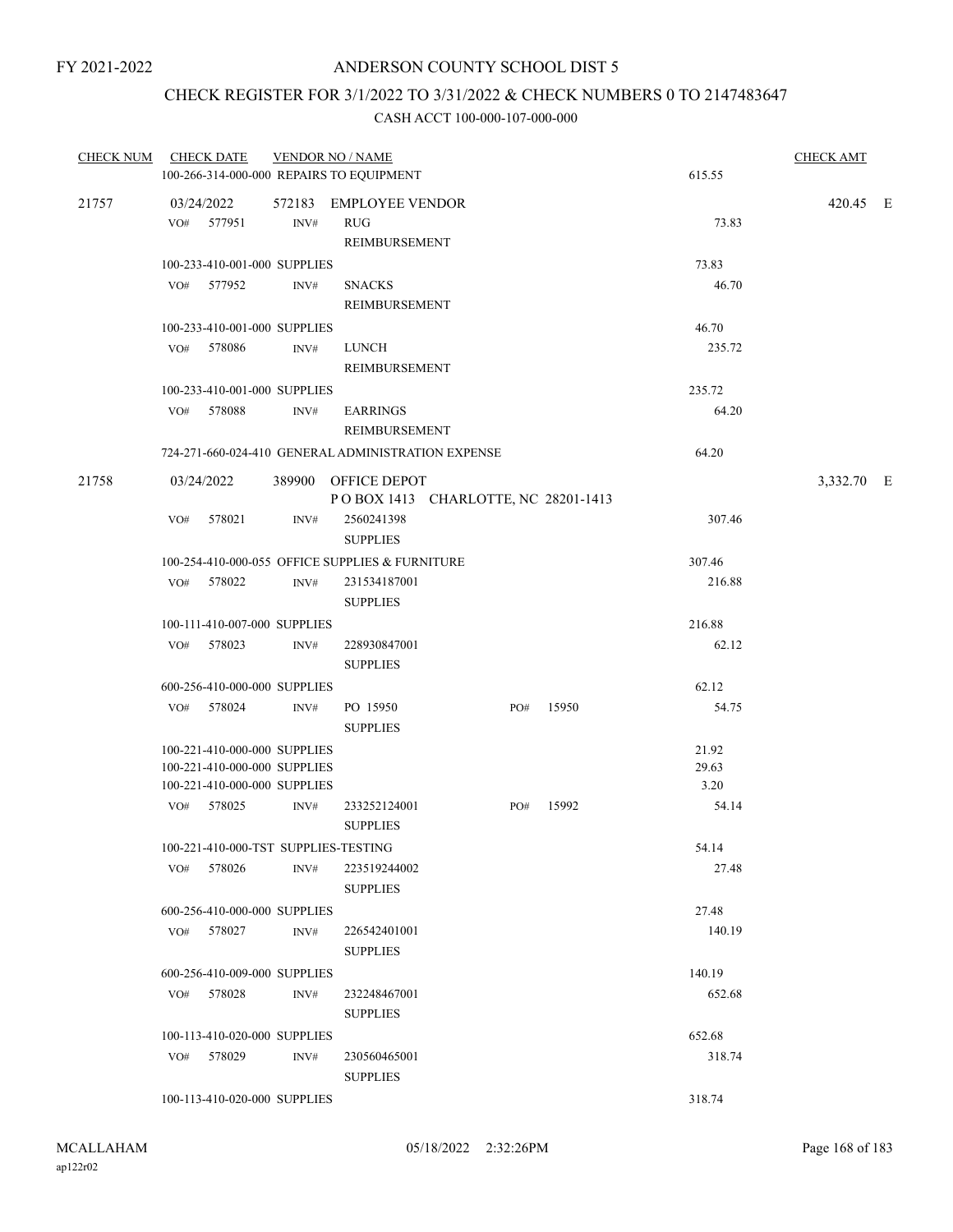# CHECK REGISTER FOR 3/1/2022 TO 3/31/2022 & CHECK NUMBERS 0 TO 2147483647

| CHECK NUM CHECK DATE |                                                              |      | <b>VENDOR NO / NAME</b>                                    |     |       |               | <b>CHECK AMT</b> |  |
|----------------------|--------------------------------------------------------------|------|------------------------------------------------------------|-----|-------|---------------|------------------|--|
|                      |                                                              |      | 100-266-314-000-000 REPAIRS TO EQUIPMENT                   |     |       | 615.55        |                  |  |
| 21757                | 03/24/2022                                                   |      | 572183 EMPLOYEE VENDOR                                     |     |       |               | 420.45 E         |  |
|                      | VO# 577951                                                   | INV# | <b>RUG</b>                                                 |     |       | 73.83         |                  |  |
|                      |                                                              |      | REIMBURSEMENT                                              |     |       |               |                  |  |
|                      | 100-233-410-001-000 SUPPLIES                                 |      |                                                            |     |       | 73.83         |                  |  |
|                      | VO# 577952                                                   | INV# | <b>SNACKS</b>                                              |     |       | 46.70         |                  |  |
|                      |                                                              |      | REIMBURSEMENT                                              |     |       |               |                  |  |
|                      | 100-233-410-001-000 SUPPLIES                                 |      |                                                            |     |       | 46.70         |                  |  |
|                      | VO# 578086                                                   | INV# | <b>LUNCH</b>                                               |     |       | 235.72        |                  |  |
|                      |                                                              |      | <b>REIMBURSEMENT</b>                                       |     |       |               |                  |  |
|                      | 100-233-410-001-000 SUPPLIES                                 |      |                                                            |     |       | 235.72        |                  |  |
|                      | VO# 578088                                                   | INV# | EARRINGS                                                   |     |       | 64.20         |                  |  |
|                      |                                                              |      | REIMBURSEMENT                                              |     |       |               |                  |  |
|                      |                                                              |      | 724-271-660-024-410 GENERAL ADMINISTRATION EXPENSE         |     |       | 64.20         |                  |  |
|                      |                                                              |      |                                                            |     |       |               |                  |  |
| 21758                | 03/24/2022                                                   |      | 389900 OFFICE DEPOT<br>POBOX 1413 CHARLOTTE, NC 28201-1413 |     |       |               | 3,332.70 E       |  |
|                      | 578021<br>VO#                                                | INV# | 2560241398                                                 |     |       | 307.46        |                  |  |
|                      |                                                              |      | <b>SUPPLIES</b>                                            |     |       |               |                  |  |
|                      |                                                              |      | 100-254-410-000-055 OFFICE SUPPLIES & FURNITURE            |     |       | 307.46        |                  |  |
|                      | VO# 578022                                                   | INV# | 231534187001                                               |     |       | 216.88        |                  |  |
|                      |                                                              |      | <b>SUPPLIES</b>                                            |     |       |               |                  |  |
|                      |                                                              |      |                                                            |     |       |               |                  |  |
|                      | 100-111-410-007-000 SUPPLIES                                 |      |                                                            |     |       | 216.88        |                  |  |
|                      | VO# 578023                                                   | INV# | 228930847001                                               |     |       | 62.12         |                  |  |
|                      |                                                              |      | <b>SUPPLIES</b>                                            |     |       |               |                  |  |
|                      | 600-256-410-000-000 SUPPLIES                                 |      |                                                            |     |       | 62.12         |                  |  |
|                      | VO# 578024                                                   | INV# | PO 15950                                                   | PO# | 15950 | 54.75         |                  |  |
|                      |                                                              |      | <b>SUPPLIES</b>                                            |     |       |               |                  |  |
|                      | 100-221-410-000-000 SUPPLIES                                 |      |                                                            |     |       | 21.92         |                  |  |
|                      | 100-221-410-000-000 SUPPLIES<br>100-221-410-000-000 SUPPLIES |      |                                                            |     |       | 29.63<br>3.20 |                  |  |
|                      | VO# 578025                                                   | INV# | 233252124001                                               | PO# | 15992 | 54.14         |                  |  |
|                      |                                                              |      | <b>SUPPLIES</b>                                            |     |       |               |                  |  |
|                      | 100-221-410-000-TST SUPPLIES-TESTING                         |      |                                                            |     |       | 54.14         |                  |  |
|                      | VO# 578026                                                   | INV# | 223519244002                                               |     |       | 27.48         |                  |  |
|                      |                                                              |      | <b>SUPPLIES</b>                                            |     |       |               |                  |  |
|                      | 600-256-410-000-000 SUPPLIES                                 |      |                                                            |     |       | 27.48         |                  |  |
|                      | VO# 578027                                                   | INV# | 226542401001                                               |     |       | 140.19        |                  |  |
|                      |                                                              |      | <b>SUPPLIES</b>                                            |     |       |               |                  |  |
|                      |                                                              |      |                                                            |     |       |               |                  |  |
|                      | 600-256-410-009-000 SUPPLIES                                 |      |                                                            |     |       | 140.19        |                  |  |
|                      | VO# 578028                                                   | INV# | 232248467001<br><b>SUPPLIES</b>                            |     |       | 652.68        |                  |  |
|                      |                                                              |      |                                                            |     |       |               |                  |  |
|                      | 100-113-410-020-000 SUPPLIES                                 |      |                                                            |     |       | 652.68        |                  |  |
|                      | VO# 578029                                                   | INV# | 230560465001                                               |     |       | 318.74        |                  |  |
|                      |                                                              |      | <b>SUPPLIES</b>                                            |     |       |               |                  |  |
|                      | 100-113-410-020-000 SUPPLIES                                 |      |                                                            |     |       | 318.74        |                  |  |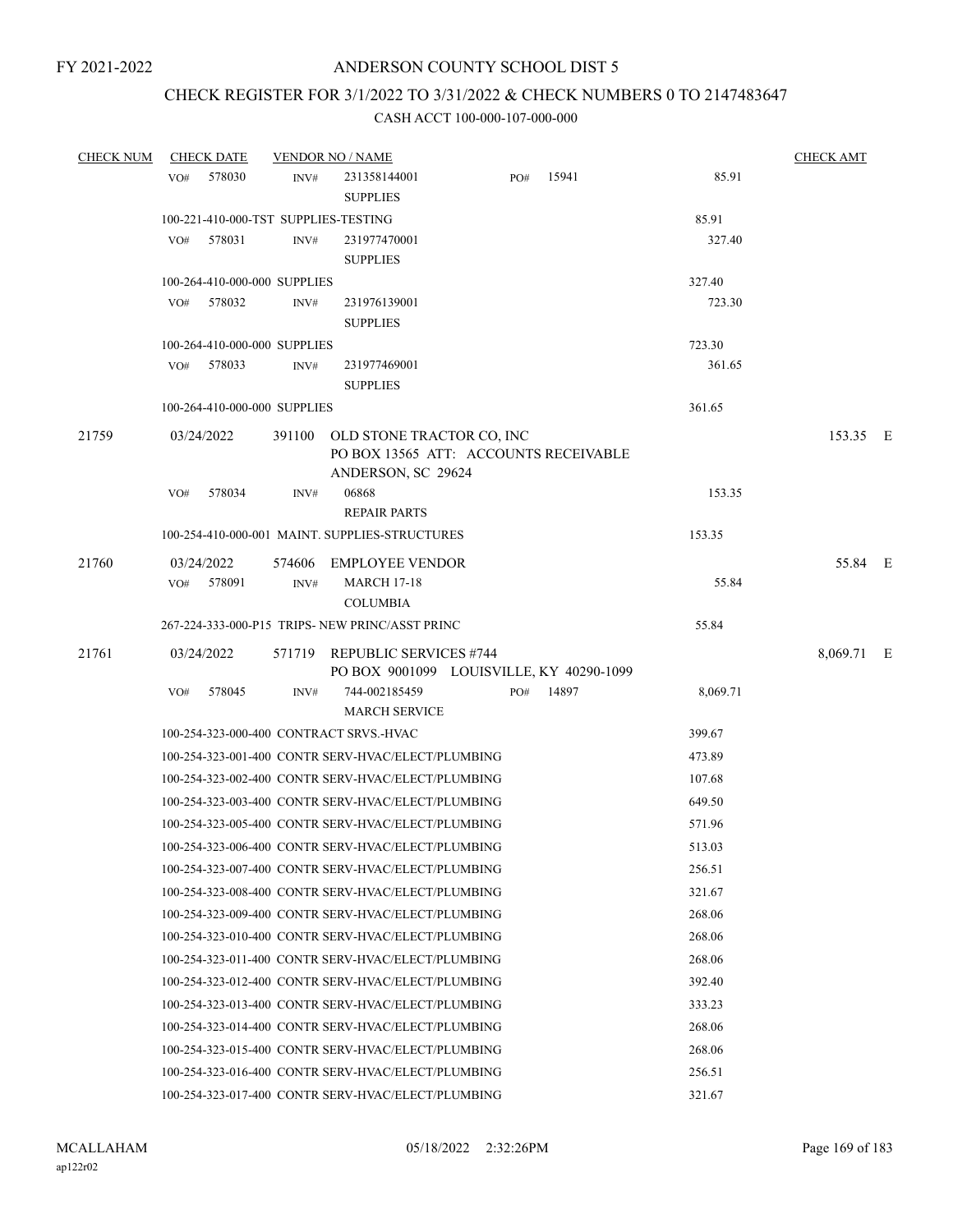# CHECK REGISTER FOR 3/1/2022 TO 3/31/2022 & CHECK NUMBERS 0 TO 2147483647

| <b>CHECK NUM</b> | <b>CHECK DATE</b>                       |                | <b>VENDOR NO / NAME</b>                                                   |     |           |          | <b>CHECK AMT</b> |  |
|------------------|-----------------------------------------|----------------|---------------------------------------------------------------------------|-----|-----------|----------|------------------|--|
|                  | 578030<br>VO#                           | INV#           | 231358144001                                                              | PO# | 15941     | 85.91    |                  |  |
|                  |                                         |                | <b>SUPPLIES</b>                                                           |     |           |          |                  |  |
|                  | 100-221-410-000-TST SUPPLIES-TESTING    |                |                                                                           |     |           | 85.91    |                  |  |
|                  | 578031<br>VO#                           | INV#           | 231977470001                                                              |     |           | 327.40   |                  |  |
|                  |                                         |                | <b>SUPPLIES</b>                                                           |     |           |          |                  |  |
|                  | 100-264-410-000-000 SUPPLIES            |                |                                                                           |     |           | 327.40   |                  |  |
|                  | 578032<br>VO#                           | INV#           | 231976139001                                                              |     |           | 723.30   |                  |  |
|                  |                                         |                | <b>SUPPLIES</b>                                                           |     |           |          |                  |  |
|                  | 100-264-410-000-000 SUPPLIES            |                |                                                                           |     |           | 723.30   |                  |  |
|                  | 578033<br>VO#                           | INV#           | 231977469001                                                              |     |           | 361.65   |                  |  |
|                  |                                         |                | <b>SUPPLIES</b>                                                           |     |           |          |                  |  |
|                  | 100-264-410-000-000 SUPPLIES            |                |                                                                           |     |           | 361.65   |                  |  |
| 21759            | 03/24/2022                              |                | 391100 OLD STONE TRACTOR CO, INC                                          |     |           | 153.35 E |                  |  |
|                  |                                         |                | PO BOX 13565 ATT: ACCOUNTS RECEIVABLE                                     |     |           |          |                  |  |
|                  | 578034                                  |                | ANDERSON, SC 29624<br>06868                                               |     |           | 153.35   |                  |  |
|                  | VO#                                     | INV#           | <b>REPAIR PARTS</b>                                                       |     |           |          |                  |  |
|                  |                                         |                | 100-254-410-000-001 MAINT. SUPPLIES-STRUCTURES                            |     |           | 153.35   |                  |  |
|                  |                                         |                |                                                                           |     |           |          |                  |  |
| 21760            | 03/24/2022                              |                | 574606 EMPLOYEE VENDOR                                                    |     |           |          | 55.84 E          |  |
|                  | 578091<br>VO#                           | $\text{INV}\#$ | <b>MARCH 17-18</b><br><b>COLUMBIA</b>                                     |     |           | 55.84    |                  |  |
|                  |                                         |                | 267-224-333-000-P15 TRIPS- NEW PRINC/ASST PRINC                           |     |           | 55.84    |                  |  |
|                  |                                         |                |                                                                           |     |           |          |                  |  |
| 21761            | 03/24/2022                              |                | 571719 REPUBLIC SERVICES #744<br>PO BOX 9001099 LOUISVILLE, KY 40290-1099 |     |           |          | 8,069.71 E       |  |
|                  | VO#<br>578045                           | INV#           | 744-002185459                                                             |     | PO# 14897 | 8,069.71 |                  |  |
|                  |                                         |                | <b>MARCH SERVICE</b>                                                      |     |           |          |                  |  |
|                  | 100-254-323-000-400 CONTRACT SRVS.-HVAC |                |                                                                           |     |           | 399.67   |                  |  |
|                  |                                         |                | 100-254-323-001-400 CONTR SERV-HVAC/ELECT/PLUMBING                        |     |           | 473.89   |                  |  |
|                  |                                         |                | 100-254-323-002-400 CONTR SERV-HVAC/ELECT/PLUMBING                        |     |           | 107.68   |                  |  |
|                  |                                         |                | 100-254-323-003-400 CONTR SERV-HVAC/ELECT/PLUMBING                        |     |           | 649.50   |                  |  |
|                  |                                         |                | 100-254-323-005-400 CONTR SERV-HVAC/ELECT/PLUMBING                        |     |           | 571.96   |                  |  |
|                  |                                         |                | 100-254-323-006-400 CONTR SERV-HVAC/ELECT/PLUMBING                        |     |           | 513.03   |                  |  |
|                  |                                         |                | 100-254-323-007-400 CONTR SERV-HVAC/ELECT/PLUMBING                        |     |           | 256.51   |                  |  |
|                  |                                         |                | 100-254-323-008-400 CONTR SERV-HVAC/ELECT/PLUMBING                        |     |           | 321.67   |                  |  |
|                  |                                         |                | 100-254-323-009-400 CONTR SERV-HVAC/ELECT/PLUMBING                        |     |           | 268.06   |                  |  |
|                  |                                         |                | 100-254-323-010-400 CONTR SERV-HVAC/ELECT/PLUMBING                        |     |           | 268.06   |                  |  |
|                  |                                         |                | 100-254-323-011-400 CONTR SERV-HVAC/ELECT/PLUMBING                        |     |           | 268.06   |                  |  |
|                  |                                         |                | 100-254-323-012-400 CONTR SERV-HVAC/ELECT/PLUMBING                        |     |           | 392.40   |                  |  |
|                  |                                         |                | 100-254-323-013-400 CONTR SERV-HVAC/ELECT/PLUMBING                        |     |           | 333.23   |                  |  |
|                  |                                         |                | 100-254-323-014-400 CONTR SERV-HVAC/ELECT/PLUMBING                        |     |           | 268.06   |                  |  |
|                  |                                         |                | 100-254-323-015-400 CONTR SERV-HVAC/ELECT/PLUMBING                        |     |           | 268.06   |                  |  |
|                  |                                         |                | 100-254-323-016-400 CONTR SERV-HVAC/ELECT/PLUMBING                        |     |           | 256.51   |                  |  |
|                  |                                         |                | 100-254-323-017-400 CONTR SERV-HVAC/ELECT/PLUMBING                        |     |           | 321.67   |                  |  |
|                  |                                         |                |                                                                           |     |           |          |                  |  |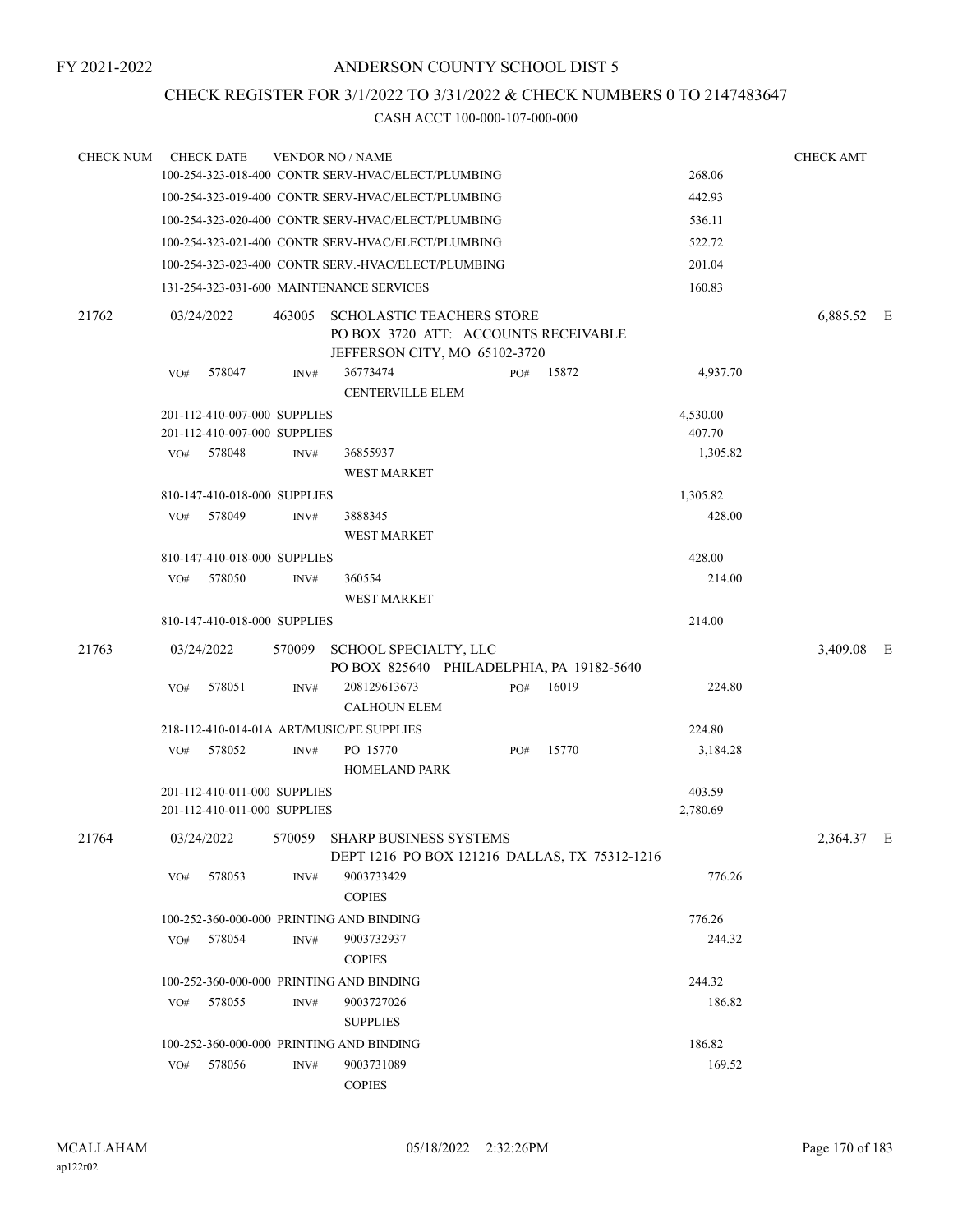# CHECK REGISTER FOR 3/1/2022 TO 3/31/2022 & CHECK NUMBERS 0 TO 2147483647

| <b>CHECK NUM</b> | <b>CHECK DATE</b> |        |                                                              | <b>VENDOR NO / NAME</b>                                                                                   |     |       |                    | <b>CHECK AMT</b> |  |
|------------------|-------------------|--------|--------------------------------------------------------------|-----------------------------------------------------------------------------------------------------------|-----|-------|--------------------|------------------|--|
|                  |                   |        |                                                              | 100-254-323-018-400 CONTR SERV-HVAC/ELECT/PLUMBING                                                        |     |       | 268.06             |                  |  |
|                  |                   |        |                                                              | 100-254-323-019-400 CONTR SERV-HVAC/ELECT/PLUMBING                                                        |     |       | 442.93             |                  |  |
|                  |                   |        |                                                              | 100-254-323-020-400 CONTR SERV-HVAC/ELECT/PLUMBING                                                        |     |       | 536.11             |                  |  |
|                  |                   |        |                                                              | 100-254-323-021-400 CONTR SERV-HVAC/ELECT/PLUMBING                                                        |     |       | 522.72             |                  |  |
|                  |                   |        |                                                              | 100-254-323-023-400 CONTR SERV.-HVAC/ELECT/PLUMBING                                                       |     |       | 201.04             |                  |  |
|                  |                   |        |                                                              | 131-254-323-031-600 MAINTENANCE SERVICES                                                                  |     |       | 160.83             |                  |  |
| 21762            | 03/24/2022        |        | 463005                                                       | <b>SCHOLASTIC TEACHERS STORE</b><br>PO BOX 3720 ATT: ACCOUNTS RECEIVABLE<br>JEFFERSON CITY, MO 65102-3720 |     |       |                    | 6,885.52 E       |  |
|                  | VO#               | 578047 | INV#                                                         | 36773474<br><b>CENTERVILLE ELEM</b>                                                                       | PO# | 15872 | 4,937.70           |                  |  |
|                  |                   |        | 201-112-410-007-000 SUPPLIES                                 |                                                                                                           |     |       | 4,530.00           |                  |  |
|                  |                   |        | 201-112-410-007-000 SUPPLIES                                 |                                                                                                           |     |       | 407.70             |                  |  |
|                  | VO# 578048        |        | INV#                                                         | 36855937                                                                                                  |     |       | 1,305.82           |                  |  |
|                  |                   |        |                                                              | <b>WEST MARKET</b>                                                                                        |     |       |                    |                  |  |
|                  |                   |        | 810-147-410-018-000 SUPPLIES                                 |                                                                                                           |     |       | 1,305.82           |                  |  |
|                  | VO# 578049        |        | INV#                                                         | 3888345                                                                                                   |     |       | 428.00             |                  |  |
|                  |                   |        |                                                              | <b>WEST MARKET</b>                                                                                        |     |       |                    |                  |  |
|                  |                   |        | 810-147-410-018-000 SUPPLIES                                 |                                                                                                           |     |       | 428.00             |                  |  |
|                  | VO# 578050        |        | INV#                                                         | 360554                                                                                                    |     |       | 214.00             |                  |  |
|                  |                   |        |                                                              | <b>WEST MARKET</b>                                                                                        |     |       |                    |                  |  |
|                  |                   |        | 810-147-410-018-000 SUPPLIES                                 |                                                                                                           |     |       | 214.00             |                  |  |
| 21763            | 03/24/2022        |        |                                                              | 570099 SCHOOL SPECIALTY, LLC<br>PO BOX 825640 PHILADELPHIA, PA 19182-5640                                 |     |       |                    | 3,409.08 E       |  |
|                  | VO#               | 578051 | INV#                                                         | 208129613673<br><b>CALHOUN ELEM</b>                                                                       | PO# | 16019 | 224.80             |                  |  |
|                  |                   |        |                                                              | 218-112-410-014-01A ART/MUSIC/PE SUPPLIES                                                                 |     |       | 224.80             |                  |  |
|                  | VO# 578052        |        | INV#                                                         | PO 15770<br><b>HOMELAND PARK</b>                                                                          | PO# | 15770 | 3,184.28           |                  |  |
|                  |                   |        | 201-112-410-011-000 SUPPLIES<br>201-112-410-011-000 SUPPLIES |                                                                                                           |     |       | 403.59<br>2,780.69 |                  |  |
|                  |                   |        |                                                              |                                                                                                           |     |       |                    |                  |  |
| 21764            | 03/24/2022        |        |                                                              | 570059 SHARP BUSINESS SYSTEMS<br>DEPT 1216 PO BOX 121216 DALLAS, TX 75312-1216                            |     |       |                    | 2,364.37 E       |  |
|                  | VO#               | 578053 | INV#                                                         | 9003733429<br><b>COPIES</b>                                                                               |     |       | 776.26             |                  |  |
|                  |                   |        |                                                              | 100-252-360-000-000 PRINTING AND BINDING                                                                  |     |       | 776.26             |                  |  |
|                  | VO#               | 578054 | INV#                                                         | 9003732937<br><b>COPIES</b>                                                                               |     |       | 244.32             |                  |  |
|                  |                   |        |                                                              | 100-252-360-000-000 PRINTING AND BINDING                                                                  |     |       | 244.32             |                  |  |
|                  | VO#               | 578055 | INV#                                                         | 9003727026                                                                                                |     |       | 186.82             |                  |  |
|                  |                   |        |                                                              | <b>SUPPLIES</b>                                                                                           |     |       |                    |                  |  |
|                  |                   |        |                                                              | 100-252-360-000-000 PRINTING AND BINDING                                                                  |     |       | 186.82             |                  |  |
|                  | VO#               | 578056 | $\text{INV}\#$                                               | 9003731089                                                                                                |     |       | 169.52             |                  |  |
|                  |                   |        |                                                              | <b>COPIES</b>                                                                                             |     |       |                    |                  |  |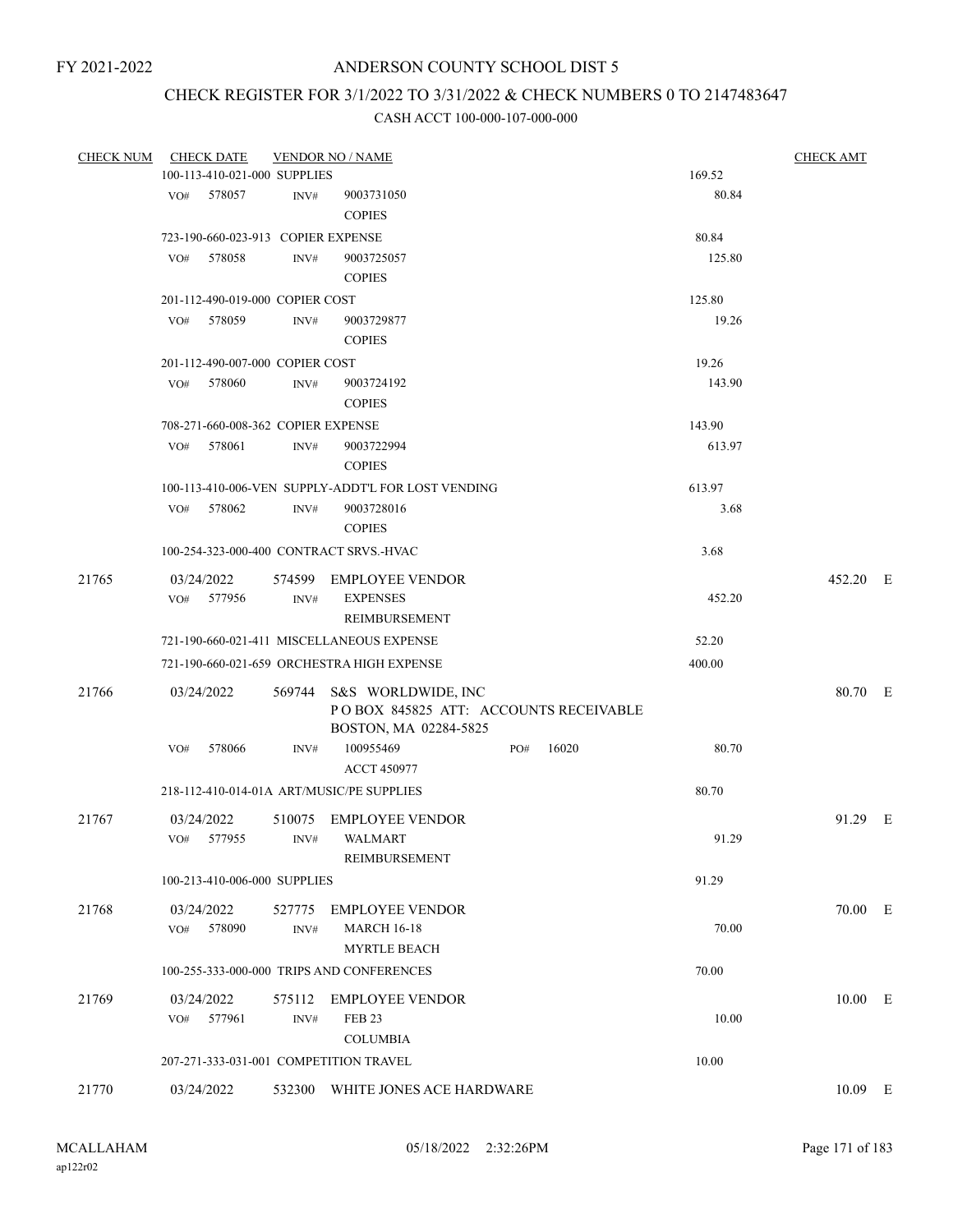# CHECK REGISTER FOR 3/1/2022 TO 3/31/2022 & CHECK NUMBERS 0 TO 2147483647

| <b>CHECK NUM</b> | <b>CHECK DATE</b> |                                    | <b>VENDOR NO / NAME</b>                            |     |       |        | <b>CHECK AMT</b> |  |
|------------------|-------------------|------------------------------------|----------------------------------------------------|-----|-------|--------|------------------|--|
|                  |                   | 100-113-410-021-000 SUPPLIES       |                                                    |     |       | 169.52 |                  |  |
|                  | 578057<br>VO#     | INV#                               | 9003731050                                         |     |       | 80.84  |                  |  |
|                  |                   |                                    | <b>COPIES</b>                                      |     |       |        |                  |  |
|                  |                   | 723-190-660-023-913 COPIER EXPENSE |                                                    |     |       | 80.84  |                  |  |
|                  | 578058<br>VO#     | INV#                               | 9003725057                                         |     |       | 125.80 |                  |  |
|                  |                   |                                    | <b>COPIES</b>                                      |     |       |        |                  |  |
|                  |                   | 201-112-490-019-000 COPIER COST    |                                                    |     |       | 125.80 |                  |  |
|                  | 578059<br>VO#     | INV#                               | 9003729877                                         |     |       | 19.26  |                  |  |
|                  |                   |                                    | <b>COPIES</b>                                      |     |       |        |                  |  |
|                  |                   |                                    |                                                    |     |       |        |                  |  |
|                  |                   | 201-112-490-007-000 COPIER COST    |                                                    |     |       | 19.26  |                  |  |
|                  | 578060<br>VO#     | INV#                               | 9003724192                                         |     |       | 143.90 |                  |  |
|                  |                   |                                    | <b>COPIES</b>                                      |     |       |        |                  |  |
|                  |                   | 708-271-660-008-362 COPIER EXPENSE |                                                    |     |       | 143.90 |                  |  |
|                  | 578061<br>VO#     | INV#                               | 9003722994                                         |     |       | 613.97 |                  |  |
|                  |                   |                                    | <b>COPIES</b>                                      |     |       |        |                  |  |
|                  |                   |                                    | 100-113-410-006-VEN SUPPLY-ADDT'L FOR LOST VENDING |     |       | 613.97 |                  |  |
|                  | 578062<br>VO#     | INV#                               | 9003728016                                         |     |       | 3.68   |                  |  |
|                  |                   |                                    | <b>COPIES</b>                                      |     |       |        |                  |  |
|                  |                   |                                    | 100-254-323-000-400 CONTRACT SRVS.-HVAC            |     |       | 3.68   |                  |  |
| 21765            | 03/24/2022        |                                    | 574599 EMPLOYEE VENDOR                             |     |       |        | 452.20 E         |  |
|                  | VO#<br>577956     | INV#                               | <b>EXPENSES</b>                                    |     |       | 452.20 |                  |  |
|                  |                   |                                    | REIMBURSEMENT                                      |     |       |        |                  |  |
|                  |                   |                                    | 721-190-660-021-411 MISCELLANEOUS EXPENSE          |     |       | 52.20  |                  |  |
|                  |                   |                                    |                                                    |     |       |        |                  |  |
|                  |                   |                                    | 721-190-660-021-659 ORCHESTRA HIGH EXPENSE         |     |       | 400.00 |                  |  |
| 21766            | 03/24/2022        |                                    | 569744 S&S WORLDWIDE, INC                          |     |       |        | 80.70 E          |  |
|                  |                   |                                    | POBOX 845825 ATT: ACCOUNTS RECEIVABLE              |     |       |        |                  |  |
|                  |                   |                                    | BOSTON, MA 02284-5825                              |     |       |        |                  |  |
|                  | 578066<br>VO#     | INV#                               | 100955469                                          | PO# | 16020 | 80.70  |                  |  |
|                  |                   |                                    | <b>ACCT 450977</b>                                 |     |       |        |                  |  |
|                  |                   |                                    | 218-112-410-014-01A ART/MUSIC/PE SUPPLIES          |     |       | 80.70  |                  |  |
| 21767            | 03/24/2022        | 510075                             | <b>EMPLOYEE VENDOR</b>                             |     |       |        | 91.29 E          |  |
|                  | VO#<br>577955     | INV#                               | <b>WALMART</b>                                     |     |       | 91.29  |                  |  |
|                  |                   |                                    | REIMBURSEMENT                                      |     |       |        |                  |  |
|                  |                   | 100-213-410-006-000 SUPPLIES       |                                                    |     |       | 91.29  |                  |  |
|                  |                   |                                    |                                                    |     |       |        |                  |  |
| 21768            | 03/24/2022        | 527775                             | <b>EMPLOYEE VENDOR</b>                             |     |       |        | 70.00 E          |  |
|                  | 578090<br>VO#     | INV#                               | <b>MARCH 16-18</b>                                 |     |       | 70.00  |                  |  |
|                  |                   |                                    | <b>MYRTLE BEACH</b>                                |     |       |        |                  |  |
|                  |                   |                                    | 100-255-333-000-000 TRIPS AND CONFERENCES          |     |       | 70.00  |                  |  |
| 21769            | 03/24/2022        | 575112                             | <b>EMPLOYEE VENDOR</b>                             |     |       |        | $10.00$ E        |  |
|                  | 577961<br>VO#     | INV#                               | FEB <sub>23</sub>                                  |     |       | 10.00  |                  |  |
|                  |                   |                                    | <b>COLUMBIA</b>                                    |     |       |        |                  |  |
|                  |                   |                                    | 207-271-333-031-001 COMPETITION TRAVEL             |     |       | 10.00  |                  |  |
|                  |                   |                                    |                                                    |     |       |        |                  |  |
| 21770            | 03/24/2022        |                                    | 532300 WHITE JONES ACE HARDWARE                    |     |       |        | $10.09$ E        |  |
|                  |                   |                                    |                                                    |     |       |        |                  |  |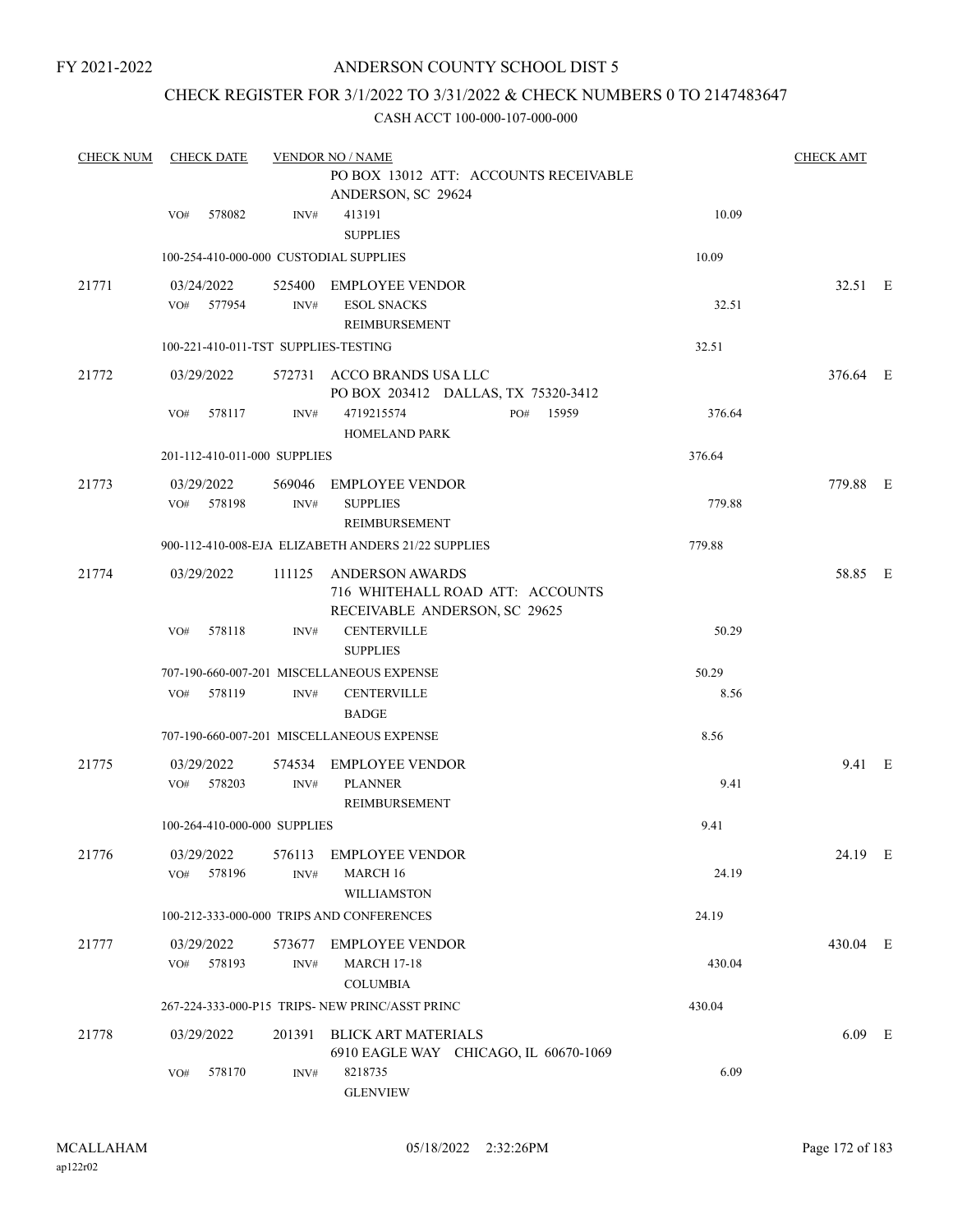FY 2021-2022

# ANDERSON COUNTY SCHOOL DIST 5

# CHECK REGISTER FOR 3/1/2022 TO 3/31/2022 & CHECK NUMBERS 0 TO 2147483647

| <b>CHECK NUM</b> | <b>CHECK DATE</b>                      |                | <b>VENDOR NO / NAME</b>                                                                     |        |          |  |  |  |
|------------------|----------------------------------------|----------------|---------------------------------------------------------------------------------------------|--------|----------|--|--|--|
|                  |                                        |                | PO BOX 13012 ATT: ACCOUNTS RECEIVABLE<br>ANDERSON, SC 29624                                 |        |          |  |  |  |
|                  | 578082<br>VO#                          | INV#           | 413191<br><b>SUPPLIES</b>                                                                   | 10.09  |          |  |  |  |
|                  | 100-254-410-000-000 CUSTODIAL SUPPLIES |                |                                                                                             | 10.09  |          |  |  |  |
| 21771            | 03/24/2022<br>VO# 577954               | INV#           | 525400 EMPLOYEE VENDOR<br><b>ESOL SNACKS</b><br>REIMBURSEMENT                               | 32.51  | 32.51 E  |  |  |  |
|                  | 100-221-410-011-TST SUPPLIES-TESTING   |                |                                                                                             | 32.51  |          |  |  |  |
| 21772            | 03/29/2022                             |                | 572731 ACCO BRANDS USA LLC<br>PO BOX 203412 DALLAS, TX 75320-3412                           |        | 376.64 E |  |  |  |
|                  | 578117<br>VO#                          | INV#           | 4719215574<br>15959<br>PO#<br><b>HOMELAND PARK</b>                                          | 376.64 |          |  |  |  |
|                  | 201-112-410-011-000 SUPPLIES           |                |                                                                                             | 376.64 |          |  |  |  |
| 21773            | 03/29/2022<br>VO# 578198               | INV#           | 569046 EMPLOYEE VENDOR<br><b>SUPPLIES</b><br>REIMBURSEMENT                                  | 779.88 | 779.88 E |  |  |  |
|                  |                                        |                | 900-112-410-008-EJA ELIZABETH ANDERS 21/22 SUPPLIES                                         | 779.88 |          |  |  |  |
| 21774            | 03/29/2022                             |                | 111125 ANDERSON AWARDS<br>716 WHITEHALL ROAD ATT: ACCOUNTS<br>RECEIVABLE ANDERSON, SC 29625 |        | 58.85 E  |  |  |  |
|                  | 578118<br>VO#                          | INV#           | <b>CENTERVILLE</b><br><b>SUPPLIES</b>                                                       | 50.29  |          |  |  |  |
|                  |                                        |                | 707-190-660-007-201 MISCELLANEOUS EXPENSE                                                   | 50.29  |          |  |  |  |
|                  | 578119<br>VO#                          | INV#           | <b>CENTERVILLE</b><br><b>BADGE</b>                                                          | 8.56   |          |  |  |  |
|                  |                                        |                | 707-190-660-007-201 MISCELLANEOUS EXPENSE                                                   | 8.56   |          |  |  |  |
| 21775            | 03/29/2022                             |                | 574534 EMPLOYEE VENDOR                                                                      |        | 9.41 E   |  |  |  |
|                  | 578203<br>VO#                          | INV#           | <b>PLANNER</b><br>REIMBURSEMENT                                                             | 9.41   |          |  |  |  |
|                  | 100-264-410-000-000 SUPPLIES           |                |                                                                                             | 9.41   |          |  |  |  |
| 21776            | 03/29/2022<br>578196<br>VO#            | 576113<br>INV# | <b>EMPLOYEE VENDOR</b><br>MARCH 16<br><b>WILLIAMSTON</b>                                    | 24.19  | 24.19 E  |  |  |  |
|                  |                                        |                | 100-212-333-000-000 TRIPS AND CONFERENCES                                                   | 24.19  |          |  |  |  |
| 21777            | 03/29/2022<br>578193<br>VO#            | 573677<br>INV# | EMPLOYEE VENDOR<br><b>MARCH 17-18</b><br><b>COLUMBIA</b>                                    | 430.04 | 430.04 E |  |  |  |
|                  |                                        |                | 267-224-333-000-P15 TRIPS- NEW PRINC/ASST PRINC                                             | 430.04 |          |  |  |  |
| 21778            | 03/29/2022                             | 201391         | <b>BLICK ART MATERIALS</b><br>6910 EAGLE WAY CHICAGO, IL 60670-1069                         |        | $6.09$ E |  |  |  |
|                  | 578170<br>VO#                          | INV#           | 8218735<br><b>GLENVIEW</b>                                                                  | 6.09   |          |  |  |  |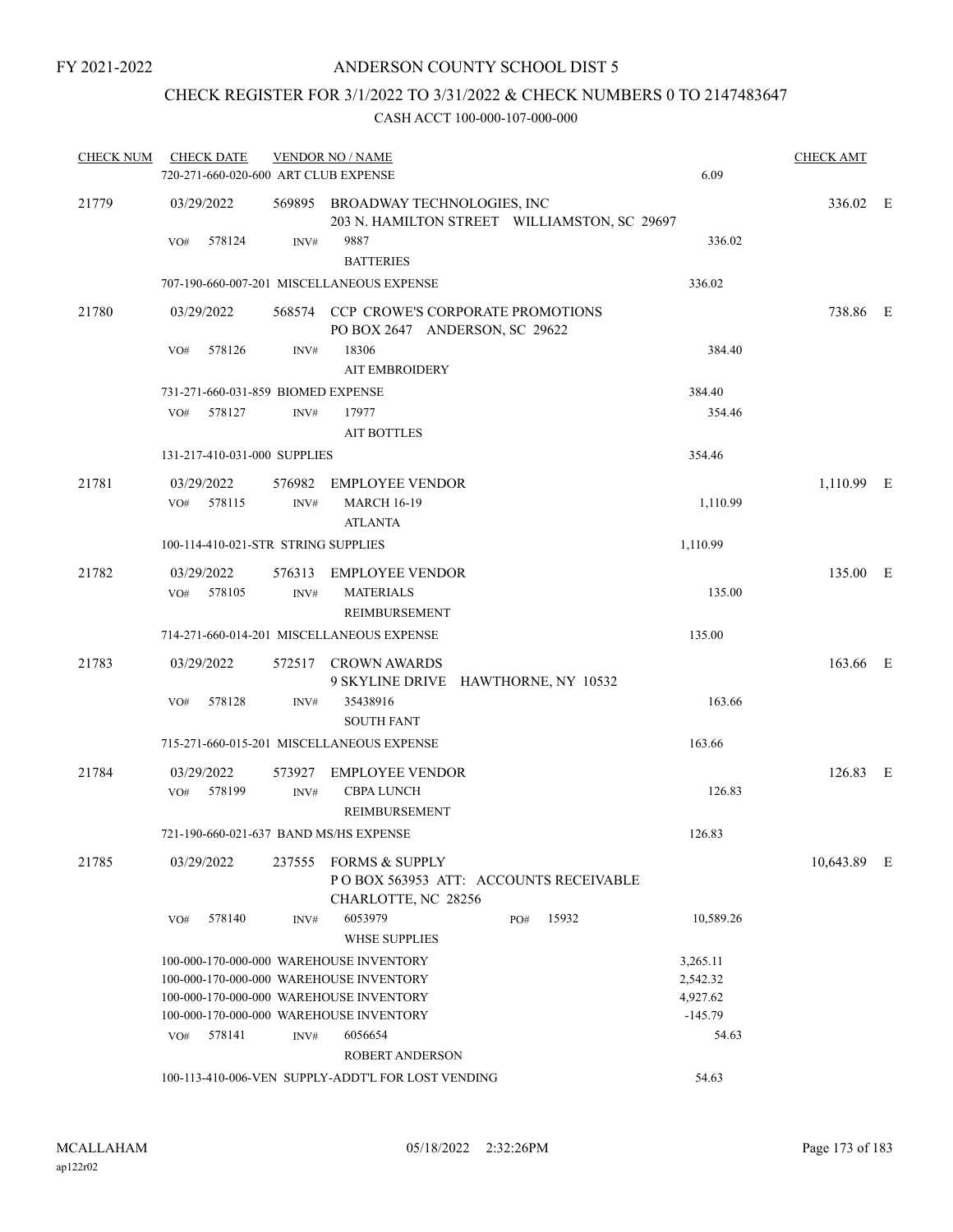# CHECK REGISTER FOR 3/1/2022 TO 3/31/2022 & CHECK NUMBERS 0 TO 2147483647

| <b>CHECK NUM</b> | <b>CHECK DATE</b><br>720-271-660-020-600 ART CLUB EXPENSE |                | <b>VENDOR NO / NAME</b>                                                               |     |       | 6.09      | <b>CHECK AMT</b> |  |
|------------------|-----------------------------------------------------------|----------------|---------------------------------------------------------------------------------------|-----|-------|-----------|------------------|--|
| 21779            | 03/29/2022                                                |                | 569895 BROADWAY TECHNOLOGIES, INC                                                     |     |       |           | 336.02 E         |  |
|                  | 578124<br>VO#                                             | INV#           | 203 N. HAMILTON STREET WILLIAMSTON, SC 29697<br>9887<br><b>BATTERIES</b>              |     |       | 336.02    |                  |  |
|                  |                                                           |                | 707-190-660-007-201 MISCELLANEOUS EXPENSE                                             |     |       | 336.02    |                  |  |
| 21780            | 03/29/2022                                                |                | 568574 CCP CROWE'S CORPORATE PROMOTIONS<br>PO BOX 2647 ANDERSON, SC 29622             |     |       |           | 738.86 E         |  |
|                  | 578126<br>VO#                                             | INV#           | 18306<br><b>AIT EMBROIDERY</b>                                                        |     |       | 384.40    |                  |  |
|                  | 731-271-660-031-859 BIOMED EXPENSE                        |                |                                                                                       |     |       | 384.40    |                  |  |
|                  | 578127<br>VO#                                             | INV#           | 17977<br><b>AIT BOTTLES</b>                                                           |     |       | 354.46    |                  |  |
|                  | 131-217-410-031-000 SUPPLIES                              |                |                                                                                       |     |       | 354.46    |                  |  |
| 21781            | 03/29/2022<br>VO#<br>578115                               | 576982<br>INV# | <b>EMPLOYEE VENDOR</b><br><b>MARCH 16-19</b>                                          |     |       | 1,110.99  | $1,110.99$ E     |  |
|                  | 100-114-410-021-STR STRING SUPPLIES                       |                | <b>ATLANTA</b>                                                                        |     |       | 1,110.99  |                  |  |
| 21782            | 03/29/2022<br>VO# 578105                                  | INV#           | 576313 EMPLOYEE VENDOR<br><b>MATERIALS</b><br><b>REIMBURSEMENT</b>                    |     |       | 135.00    | 135.00 E         |  |
|                  |                                                           |                | 714-271-660-014-201 MISCELLANEOUS EXPENSE                                             |     |       | 135.00    |                  |  |
| 21783            | 03/29/2022                                                |                | 572517 CROWN AWARDS<br>9 SKYLINE DRIVE HAWTHORNE, NY 10532                            |     |       |           | 163.66 E         |  |
|                  | VO#<br>578128                                             | INV#           | 35438916<br><b>SOUTH FANT</b>                                                         |     |       | 163.66    |                  |  |
|                  |                                                           |                | 715-271-660-015-201 MISCELLANEOUS EXPENSE                                             |     |       | 163.66    |                  |  |
| 21784            | 03/29/2022                                                |                | 573927 EMPLOYEE VENDOR                                                                |     |       |           | 126.83 E         |  |
|                  | VO# 578199                                                | INV#           | <b>CBPA LUNCH</b><br><b>REIMBURSEMENT</b>                                             |     |       | 126.83    |                  |  |
|                  | 721-190-660-021-637 BAND MS/HS EXPENSE                    |                |                                                                                       |     |       | 126.83    |                  |  |
| 21785            | 03/29/2022                                                |                | 237555 FORMS & SUPPLY<br>POBOX 563953 ATT: ACCOUNTS RECEIVABLE<br>CHARLOTTE, NC 28256 |     |       |           | 10,643.89 E      |  |
|                  | 578140<br>VO#                                             | INV#           | 6053979<br><b>WHSE SUPPLIES</b>                                                       | PO# | 15932 | 10,589.26 |                  |  |
|                  |                                                           |                | 100-000-170-000-000 WAREHOUSE INVENTORY                                               |     |       | 3,265.11  |                  |  |
|                  |                                                           |                | 100-000-170-000-000 WAREHOUSE INVENTORY                                               |     |       | 2,542.32  |                  |  |
|                  |                                                           |                | 100-000-170-000-000 WAREHOUSE INVENTORY                                               |     |       | 4,927.62  |                  |  |
|                  |                                                           |                | 100-000-170-000-000 WAREHOUSE INVENTORY                                               |     |       | $-145.79$ |                  |  |
|                  | 578141<br>VO#                                             | INV#           | 6056654<br><b>ROBERT ANDERSON</b>                                                     |     |       | 54.63     |                  |  |
|                  |                                                           |                | 100-113-410-006-VEN SUPPLY-ADDT'L FOR LOST VENDING                                    |     |       | 54.63     |                  |  |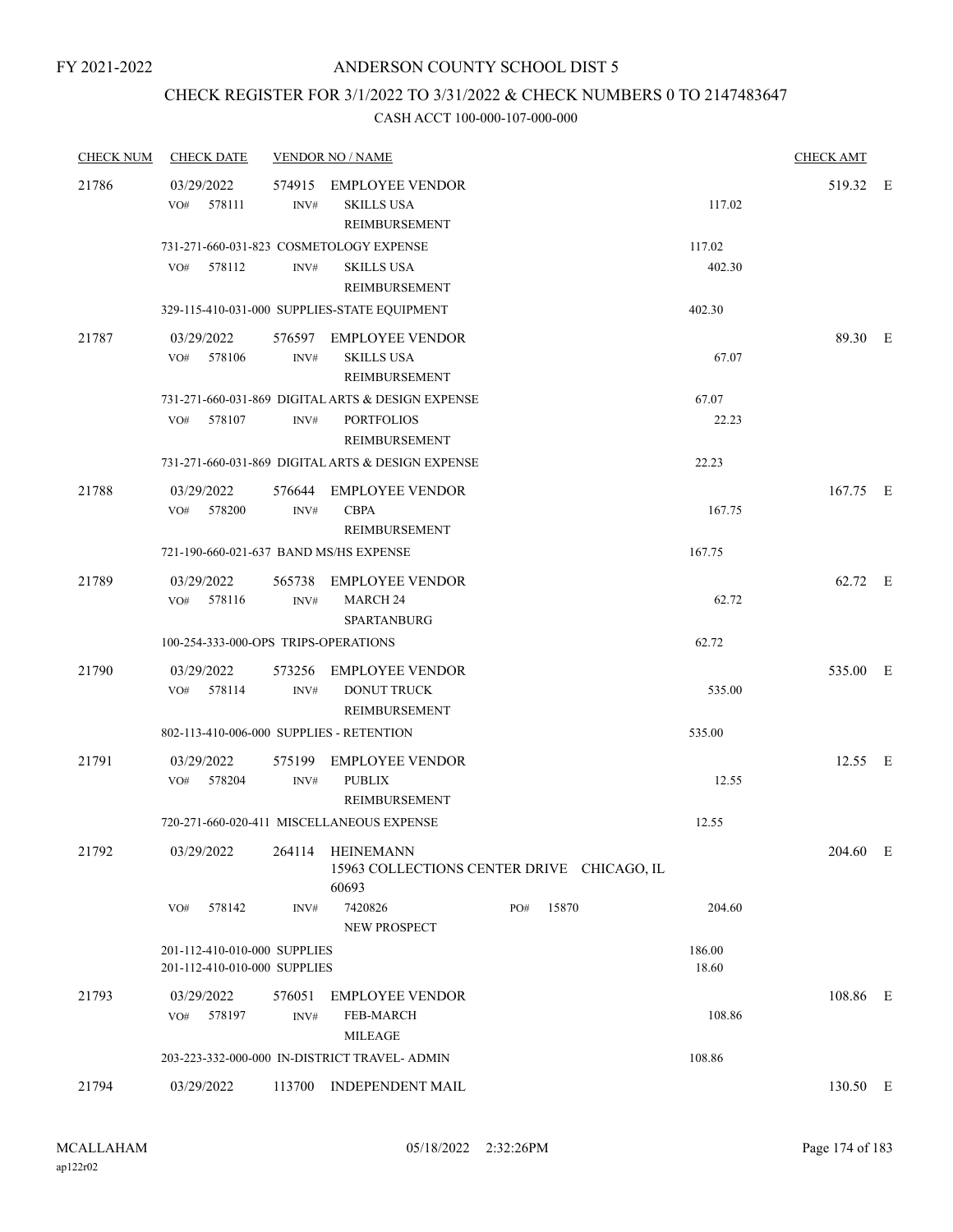# CHECK REGISTER FOR 3/1/2022 TO 3/31/2022 & CHECK NUMBERS 0 TO 2147483647

| <b>CHECK NUM</b> | <b>CHECK DATE</b>                                            |                | <b>VENDOR NO / NAME</b>                                                                 |     |       |                  | <b>CHECK AMT</b> |  |
|------------------|--------------------------------------------------------------|----------------|-----------------------------------------------------------------------------------------|-----|-------|------------------|------------------|--|
| 21786            | 03/29/2022<br>578111<br>VO#                                  | INV#           | 574915 EMPLOYEE VENDOR<br><b>SKILLS USA</b><br>REIMBURSEMENT                            |     |       | 117.02           | 519.32 E         |  |
|                  | 578112<br>VO#                                                | INV#           | 731-271-660-031-823 COSMETOLOGY EXPENSE<br><b>SKILLS USA</b><br>REIMBURSEMENT           |     |       | 117.02<br>402.30 |                  |  |
|                  |                                                              |                | 329-115-410-031-000 SUPPLIES-STATE EQUIPMENT                                            |     |       | 402.30           |                  |  |
| 21787            | 03/29/2022<br>578106<br>VO#                                  | INV#           | 576597 EMPLOYEE VENDOR<br><b>SKILLS USA</b><br>REIMBURSEMENT                            |     |       | 67.07            | 89.30 E          |  |
|                  | 578107<br>VO#                                                | INV#           | 731-271-660-031-869 DIGITAL ARTS & DESIGN EXPENSE<br><b>PORTFOLIOS</b><br>REIMBURSEMENT |     |       | 67.07<br>22.23   |                  |  |
|                  |                                                              |                | 731-271-660-031-869 DIGITAL ARTS & DESIGN EXPENSE                                       |     |       | 22.23            |                  |  |
| 21788            | 03/29/2022<br>VO#<br>578200                                  | INV#           | 576644 EMPLOYEE VENDOR<br><b>CBPA</b><br>REIMBURSEMENT                                  |     |       | 167.75           | 167.75 E         |  |
|                  | 721-190-660-021-637 BAND MS/HS EXPENSE                       |                |                                                                                         |     |       | 167.75           |                  |  |
| 21789            | 03/29/2022<br>578116<br>VO#                                  | INV#           | 565738 EMPLOYEE VENDOR<br><b>MARCH 24</b><br><b>SPARTANBURG</b>                         |     |       | 62.72            | 62.72 E          |  |
|                  | 100-254-333-000-OPS TRIPS-OPERATIONS                         |                |                                                                                         |     |       | 62.72            |                  |  |
| 21790            | 03/29/2022<br>578114<br>VO#                                  | 573256<br>INV# | <b>EMPLOYEE VENDOR</b><br><b>DONUT TRUCK</b><br>REIMBURSEMENT                           |     |       | 535.00           | 535.00 E         |  |
|                  | 802-113-410-006-000 SUPPLIES - RETENTION                     |                |                                                                                         |     |       | 535.00           |                  |  |
| 21791            | 03/29/2022<br>VO# 578204                                     | 575199<br>INV# | <b>EMPLOYEE VENDOR</b><br><b>PUBLIX</b><br>REIMBURSEMENT                                |     |       | 12.55            | 12.55 E          |  |
|                  |                                                              |                | 720-271-660-020-411 MISCELLANEOUS EXPENSE                                               |     |       | 12.55            |                  |  |
| 21792            | 03/29/2022                                                   | 264114         | <b>HEINEMANN</b><br>15963 COLLECTIONS CENTER DRIVE CHICAGO, IL<br>60693                 |     |       |                  | 204.60 E         |  |
|                  | 578142<br>VO#                                                | INV#           | 7420826<br>NEW PROSPECT                                                                 | PO# | 15870 | 204.60           |                  |  |
|                  | 201-112-410-010-000 SUPPLIES<br>201-112-410-010-000 SUPPLIES |                |                                                                                         |     |       | 186.00<br>18.60  |                  |  |
| 21793            | 03/29/2022<br>578197<br>VO#                                  | 576051<br>INV# | <b>EMPLOYEE VENDOR</b><br><b>FEB-MARCH</b><br><b>MILEAGE</b>                            |     |       | 108.86           | 108.86 E         |  |
|                  |                                                              |                | 203-223-332-000-000 IN-DISTRICT TRAVEL- ADMIN                                           |     |       | 108.86           |                  |  |
| 21794            | 03/29/2022                                                   |                | 113700 INDEPENDENT MAIL                                                                 |     |       |                  | 130.50 E         |  |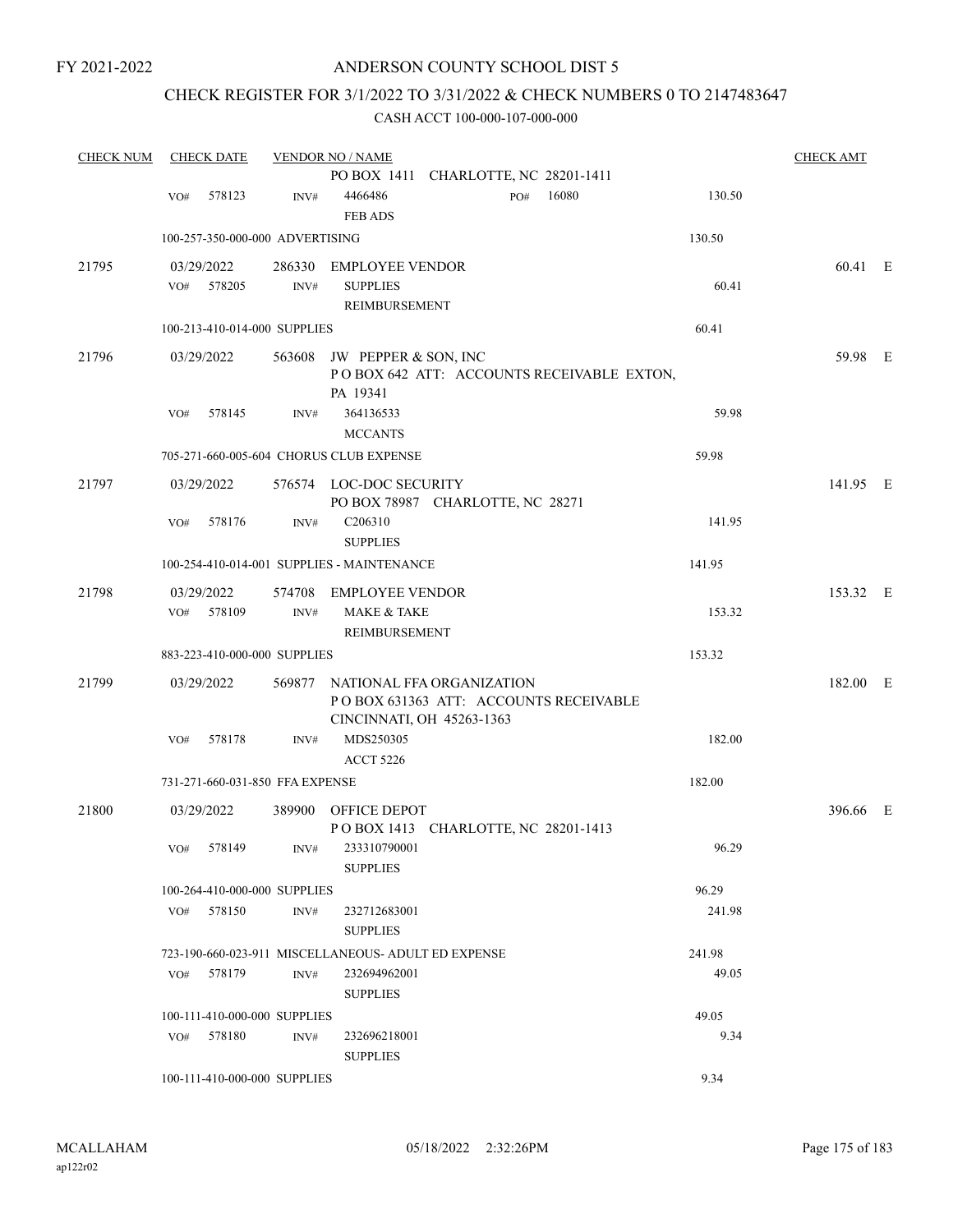FY 2021-2022

# ANDERSON COUNTY SCHOOL DIST 5

# CHECK REGISTER FOR 3/1/2022 TO 3/31/2022 & CHECK NUMBERS 0 TO 2147483647

| <b>CHECK NUM</b> | <b>CHECK DATE</b>                       |      | <b>VENDOR NO / NAME</b>                                                              |        | <b>CHECK AMT</b> |  |
|------------------|-----------------------------------------|------|--------------------------------------------------------------------------------------|--------|------------------|--|
|                  |                                         |      | PO BOX 1411 CHARLOTTE, NC 28201-1411                                                 |        |                  |  |
|                  | 578123<br>VO#                           | INV# | 16080<br>4466486<br>PO#<br><b>FEB ADS</b>                                            | 130.50 |                  |  |
|                  | 100-257-350-000-000 ADVERTISING         |      |                                                                                      | 130.50 |                  |  |
| 21795            | 03/29/2022                              |      | 286330 EMPLOYEE VENDOR                                                               |        | 60.41 E          |  |
|                  | 578205<br>VO#                           | INV# | <b>SUPPLIES</b><br>REIMBURSEMENT                                                     | 60.41  |                  |  |
|                  | 100-213-410-014-000 SUPPLIES            |      |                                                                                      | 60.41  |                  |  |
| 21796            | 03/29/2022                              |      | 563608 JW PEPPER & SON, INC<br>POBOX 642 ATT: ACCOUNTS RECEIVABLE EXTON,<br>PA 19341 |        | 59.98 E          |  |
|                  | 578145<br>VO#                           | INV# | 364136533<br><b>MCCANTS</b>                                                          | 59.98  |                  |  |
|                  | 705-271-660-005-604 CHORUS CLUB EXPENSE |      |                                                                                      | 59.98  |                  |  |
| 21797            | 03/29/2022                              |      | 576574 LOC-DOC SECURITY                                                              |        | 141.95 E         |  |
|                  |                                         |      | PO BOX 78987 CHARLOTTE, NC 28271                                                     |        |                  |  |
|                  | 578176<br>VO#                           | INV# | C206310<br><b>SUPPLIES</b>                                                           | 141.95 |                  |  |
|                  |                                         |      | 100-254-410-014-001 SUPPLIES - MAINTENANCE                                           | 141.95 |                  |  |
| 21798            | 03/29/2022                              |      | 574708 EMPLOYEE VENDOR                                                               |        | 153.32 E         |  |
|                  | VO# 578109                              | INV# | <b>MAKE &amp; TAKE</b><br>REIMBURSEMENT                                              | 153.32 |                  |  |
|                  | 883-223-410-000-000 SUPPLIES            |      |                                                                                      | 153.32 |                  |  |
| 21799            | 03/29/2022                              |      | 569877 NATIONAL FFA ORGANIZATION                                                     |        | 182.00 E         |  |
|                  |                                         |      | PO BOX 631363 ATT: ACCOUNTS RECEIVABLE<br>CINCINNATI, OH 45263-1363                  |        |                  |  |
|                  | 578178<br>VO#                           | INV# | MDS250305<br><b>ACCT 5226</b>                                                        | 182.00 |                  |  |
|                  | 731-271-660-031-850 FFA EXPENSE         |      |                                                                                      | 182.00 |                  |  |
| 21800            | 03/29/2022                              |      | 389900 OFFICE DEPOT                                                                  |        | 396.66 E         |  |
|                  |                                         |      | POBOX 1413 CHARLOTTE, NC 28201-1413                                                  |        |                  |  |
|                  | VO# 578149                              | INV# | 233310790001<br><b>SUPPLIES</b>                                                      | 96.29  |                  |  |
|                  | 100-264-410-000-000 SUPPLIES            |      |                                                                                      | 96.29  |                  |  |
|                  | VO# 578150                              | INV# | 232712683001<br><b>SUPPLIES</b>                                                      | 241.98 |                  |  |
|                  |                                         |      | 723-190-660-023-911 MISCELLANEOUS- ADULT ED EXPENSE                                  | 241.98 |                  |  |
|                  | VO# 578179                              | INV# | 232694962001<br><b>SUPPLIES</b>                                                      | 49.05  |                  |  |
|                  | 100-111-410-000-000 SUPPLIES            |      |                                                                                      | 49.05  |                  |  |
|                  | VO# 578180                              | INV# | 232696218001<br><b>SUPPLIES</b>                                                      | 9.34   |                  |  |
|                  | 100-111-410-000-000 SUPPLIES            |      |                                                                                      | 9.34   |                  |  |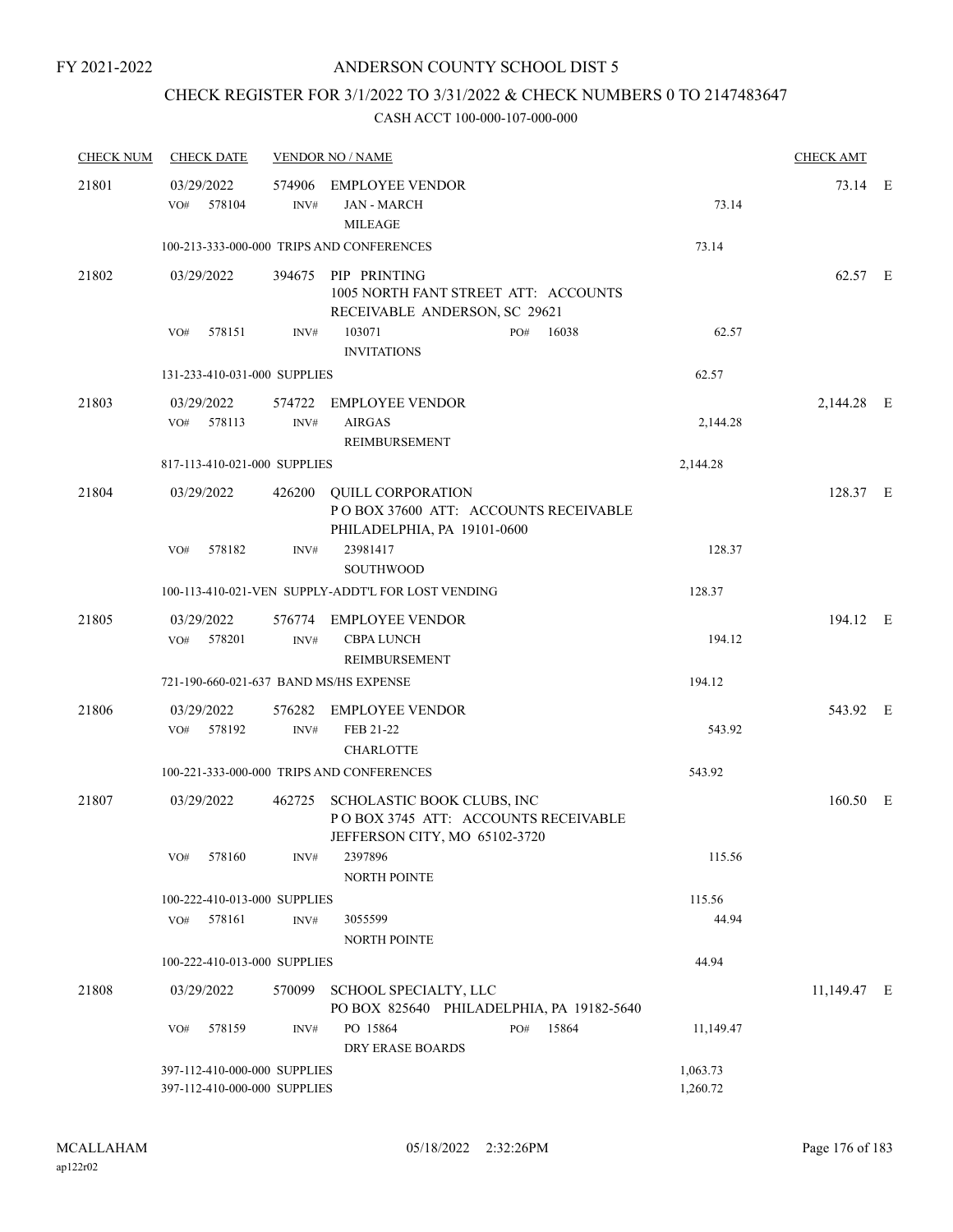# CHECK REGISTER FOR 3/1/2022 TO 3/31/2022 & CHECK NUMBERS 0 TO 2147483647

| <b>CHECK NUM</b> | <b>CHECK DATE</b>                                            |        | <b>VENDOR NO / NAME</b>                                                                            |                      | <b>CHECK AMT</b> |  |
|------------------|--------------------------------------------------------------|--------|----------------------------------------------------------------------------------------------------|----------------------|------------------|--|
| 21801            | 03/29/2022<br>578104<br>VO#                                  | INV#   | 574906 EMPLOYEE VENDOR<br><b>JAN - MARCH</b><br><b>MILEAGE</b>                                     | 73.14                | 73.14 E          |  |
|                  |                                                              |        | 100-213-333-000-000 TRIPS AND CONFERENCES                                                          | 73.14                |                  |  |
| 21802            | 03/29/2022                                                   |        | 394675 PIP PRINTING<br>1005 NORTH FANT STREET ATT: ACCOUNTS<br>RECEIVABLE ANDERSON, SC 29621       |                      | 62.57 E          |  |
|                  | 578151<br>VO#                                                | INV#   | 103071<br>16038<br>PO#<br><b>INVITATIONS</b>                                                       | 62.57                |                  |  |
|                  | 131-233-410-031-000 SUPPLIES                                 |        |                                                                                                    | 62.57                |                  |  |
| 21803            | 03/29/2022<br>578113<br>VO#                                  | INV#   | 574722 EMPLOYEE VENDOR<br><b>AIRGAS</b><br>REIMBURSEMENT                                           | 2,144.28             | 2,144.28 E       |  |
|                  | 817-113-410-021-000 SUPPLIES                                 |        |                                                                                                    | 2,144.28             |                  |  |
| 21804            | 03/29/2022                                                   | 426200 | <b>QUILL CORPORATION</b><br>PO BOX 37600 ATT: ACCOUNTS RECEIVABLE<br>PHILADELPHIA, PA 19101-0600   |                      | 128.37 E         |  |
|                  | 578182<br>VO#                                                | INV#   | 23981417<br><b>SOUTHWOOD</b>                                                                       | 128.37               |                  |  |
|                  |                                                              |        | 100-113-410-021-VEN SUPPLY-ADDT'L FOR LOST VENDING                                                 | 128.37               |                  |  |
| 21805            | 03/29/2022<br>578201<br>VO#                                  | INV#   | 576774 EMPLOYEE VENDOR<br><b>CBPA LUNCH</b><br>REIMBURSEMENT                                       | 194.12               | 194.12 E         |  |
|                  | 721-190-660-021-637 BAND MS/HS EXPENSE                       |        |                                                                                                    | 194.12               |                  |  |
| 21806            | 03/29/2022<br>578192<br>VO#                                  | INV#   | 576282 EMPLOYEE VENDOR<br>FEB 21-22<br><b>CHARLOTTE</b>                                            | 543.92               | 543.92 E         |  |
|                  |                                                              |        | 100-221-333-000-000 TRIPS AND CONFERENCES                                                          | 543.92               |                  |  |
| 21807            | 03/29/2022                                                   | 462725 | SCHOLASTIC BOOK CLUBS, INC<br>POBOX 3745 ATT: ACCOUNTS RECEIVABLE<br>JEFFERSON CITY, MO 65102-3720 |                      | 160.50 E         |  |
|                  | 578160<br>VO#                                                | INV#   | 2397896<br>NORTH POINTE                                                                            | 115.56               |                  |  |
|                  | 100-222-410-013-000 SUPPLIES                                 |        |                                                                                                    | 115.56               |                  |  |
|                  | 578161<br>VO#                                                | INV#   | 3055599<br>NORTH POINTE                                                                            | 44.94                |                  |  |
|                  | 100-222-410-013-000 SUPPLIES                                 |        |                                                                                                    | 44.94                |                  |  |
| 21808            | 03/29/2022                                                   | 570099 | SCHOOL SPECIALTY, LLC<br>PO BOX 825640 PHILADELPHIA, PA 19182-5640                                 |                      | 11,149.47 E      |  |
|                  | 578159<br>VO#                                                | INV#   | PO 15864<br>15864<br>PO#<br><b>DRY ERASE BOARDS</b>                                                | 11,149.47            |                  |  |
|                  | 397-112-410-000-000 SUPPLIES<br>397-112-410-000-000 SUPPLIES |        |                                                                                                    | 1,063.73<br>1,260.72 |                  |  |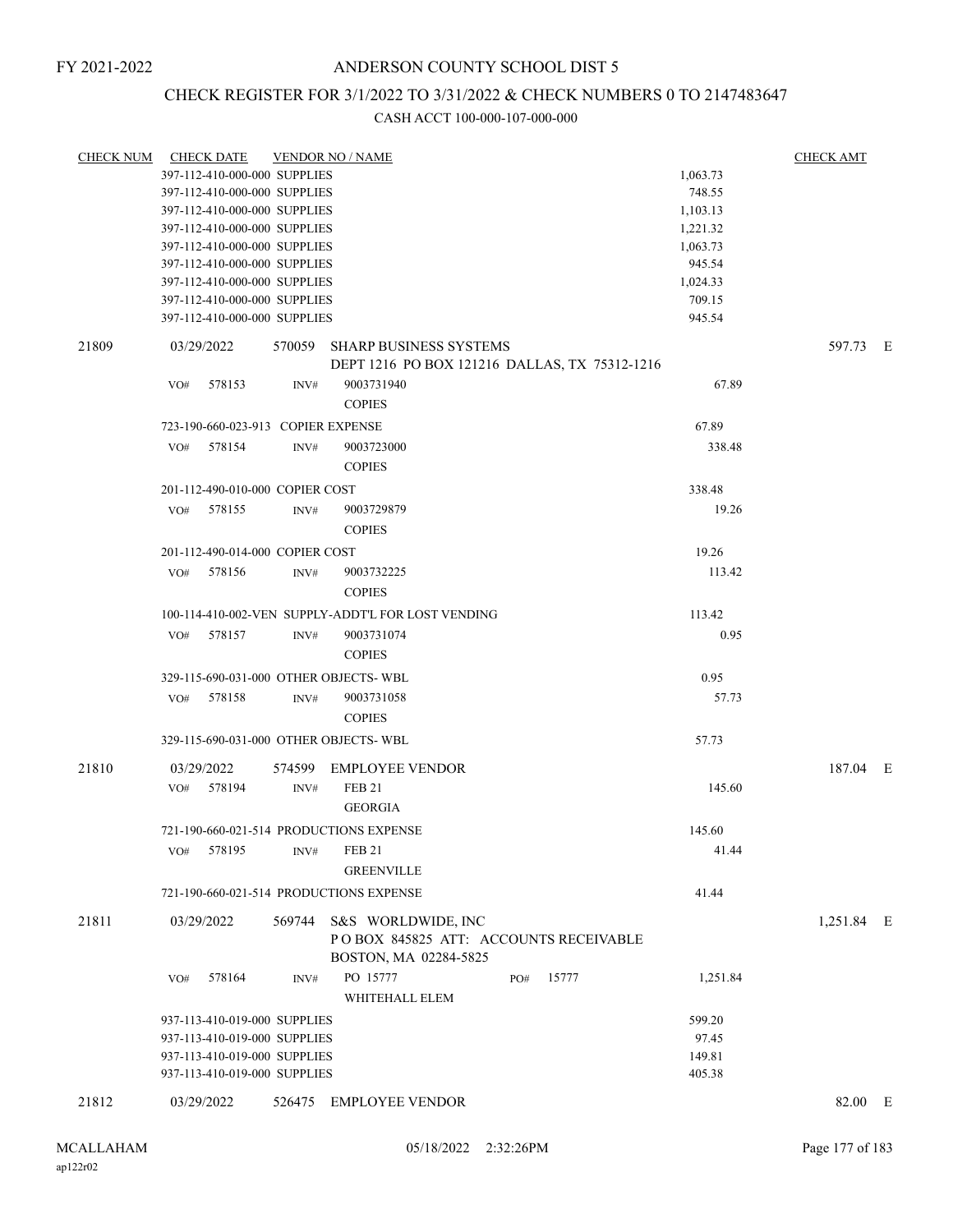## FY 2021-2022

# ANDERSON COUNTY SCHOOL DIST 5

# CHECK REGISTER FOR 3/1/2022 TO 3/31/2022 & CHECK NUMBERS 0 TO 2147483647

|       | CHECK NUM CHECK DATE                    |                | <b>VENDOR NO / NAME</b>                                        |                  | <b>CHECK AMT</b> |  |
|-------|-----------------------------------------|----------------|----------------------------------------------------------------|------------------|------------------|--|
|       | 397-112-410-000-000 SUPPLIES            |                |                                                                | 1,063.73         |                  |  |
|       | 397-112-410-000-000 SUPPLIES            |                |                                                                | 748.55           |                  |  |
|       | 397-112-410-000-000 SUPPLIES            |                |                                                                | 1,103.13         |                  |  |
|       | 397-112-410-000-000 SUPPLIES            |                |                                                                | 1,221.32         |                  |  |
|       | 397-112-410-000-000 SUPPLIES            |                |                                                                | 1,063.73         |                  |  |
|       | 397-112-410-000-000 SUPPLIES            |                |                                                                | 945.54           |                  |  |
|       | 397-112-410-000-000 SUPPLIES            |                |                                                                | 1,024.33         |                  |  |
|       | 397-112-410-000-000 SUPPLIES            |                |                                                                | 709.15           |                  |  |
|       | 397-112-410-000-000 SUPPLIES            |                |                                                                | 945.54           |                  |  |
| 21809 | 03/29/2022                              |                | 570059 SHARP BUSINESS SYSTEMS                                  |                  | 597.73 E         |  |
|       |                                         |                | DEPT 1216 PO BOX 121216 DALLAS, TX 75312-1216                  |                  |                  |  |
|       | 578153<br>VO#                           | INV#           | 9003731940<br><b>COPIES</b>                                    | 67.89            |                  |  |
|       | 723-190-660-023-913 COPIER EXPENSE      |                |                                                                | 67.89            |                  |  |
|       | 578154<br>VO#                           | INV#           | 9003723000                                                     | 338.48           |                  |  |
|       |                                         |                | <b>COPIES</b>                                                  |                  |                  |  |
|       | 201-112-490-010-000 COPIER COST         |                |                                                                | 338.48           |                  |  |
|       | VO# 578155                              | INV#           | 9003729879                                                     | 19.26            |                  |  |
|       |                                         |                | <b>COPIES</b>                                                  |                  |                  |  |
|       | 201-112-490-014-000 COPIER COST         |                |                                                                | 19.26            |                  |  |
|       | 578156<br>VO#                           | INV#           | 9003732225                                                     | 113.42           |                  |  |
|       |                                         |                | <b>COPIES</b>                                                  |                  |                  |  |
|       |                                         |                | 100-114-410-002-VEN SUPPLY-ADDT'L FOR LOST VENDING             | 113.42           |                  |  |
|       | 578157<br>VO#                           | INV#           | 9003731074                                                     | 0.95             |                  |  |
|       |                                         |                | <b>COPIES</b>                                                  |                  |                  |  |
|       |                                         |                |                                                                |                  |                  |  |
|       | 329-115-690-031-000 OTHER OBJECTS-WBL   |                |                                                                | 0.95             |                  |  |
|       | VO# 578158                              | INV#           | 9003731058                                                     | 57.73            |                  |  |
|       |                                         |                | <b>COPIES</b>                                                  |                  |                  |  |
|       | 329-115-690-031-000 OTHER OBJECTS-WBL   |                |                                                                | 57.73            |                  |  |
| 21810 | 03/29/2022                              |                | 574599 EMPLOYEE VENDOR                                         |                  | 187.04 E         |  |
|       | VO# 578194                              | INV#           | <b>FEB 21</b>                                                  | 145.60           |                  |  |
|       |                                         |                | <b>GEORGIA</b>                                                 |                  |                  |  |
|       | 721-190-660-021-514 PRODUCTIONS EXPENSE |                |                                                                | 145.60           |                  |  |
|       | 578195<br>VO#                           | $\text{INV}\#$ | <b>FEB 21</b>                                                  | 41.44            |                  |  |
|       |                                         |                | <b>GREENVILLE</b>                                              |                  |                  |  |
|       |                                         |                |                                                                |                  |                  |  |
|       | 721-190-660-021-514 PRODUCTIONS EXPENSE |                |                                                                | 41.44            |                  |  |
| 21811 | 03/29/2022                              |                | 569744 S&S WORLDWIDE, INC                                      |                  | 1,251.84 E       |  |
|       |                                         |                | POBOX 845825 ATT: ACCOUNTS RECEIVABLE<br>BOSTON, MA 02284-5825 |                  |                  |  |
|       | 578164<br>VO#                           | INV#           | PO 15777<br>15777<br>PO#                                       | 1,251.84         |                  |  |
|       |                                         |                | WHITEHALL ELEM                                                 |                  |                  |  |
|       |                                         |                |                                                                |                  |                  |  |
|       | 937-113-410-019-000 SUPPLIES            |                |                                                                | 599.20           |                  |  |
|       | 937-113-410-019-000 SUPPLIES            |                |                                                                | 97.45            |                  |  |
|       | 937-113-410-019-000 SUPPLIES            |                |                                                                | 149.81<br>405.38 |                  |  |
|       | 937-113-410-019-000 SUPPLIES            |                |                                                                |                  |                  |  |
| 21812 | 03/29/2022                              |                | 526475 EMPLOYEE VENDOR                                         |                  | 82.00 E          |  |
|       |                                         |                |                                                                |                  |                  |  |
|       |                                         |                |                                                                |                  |                  |  |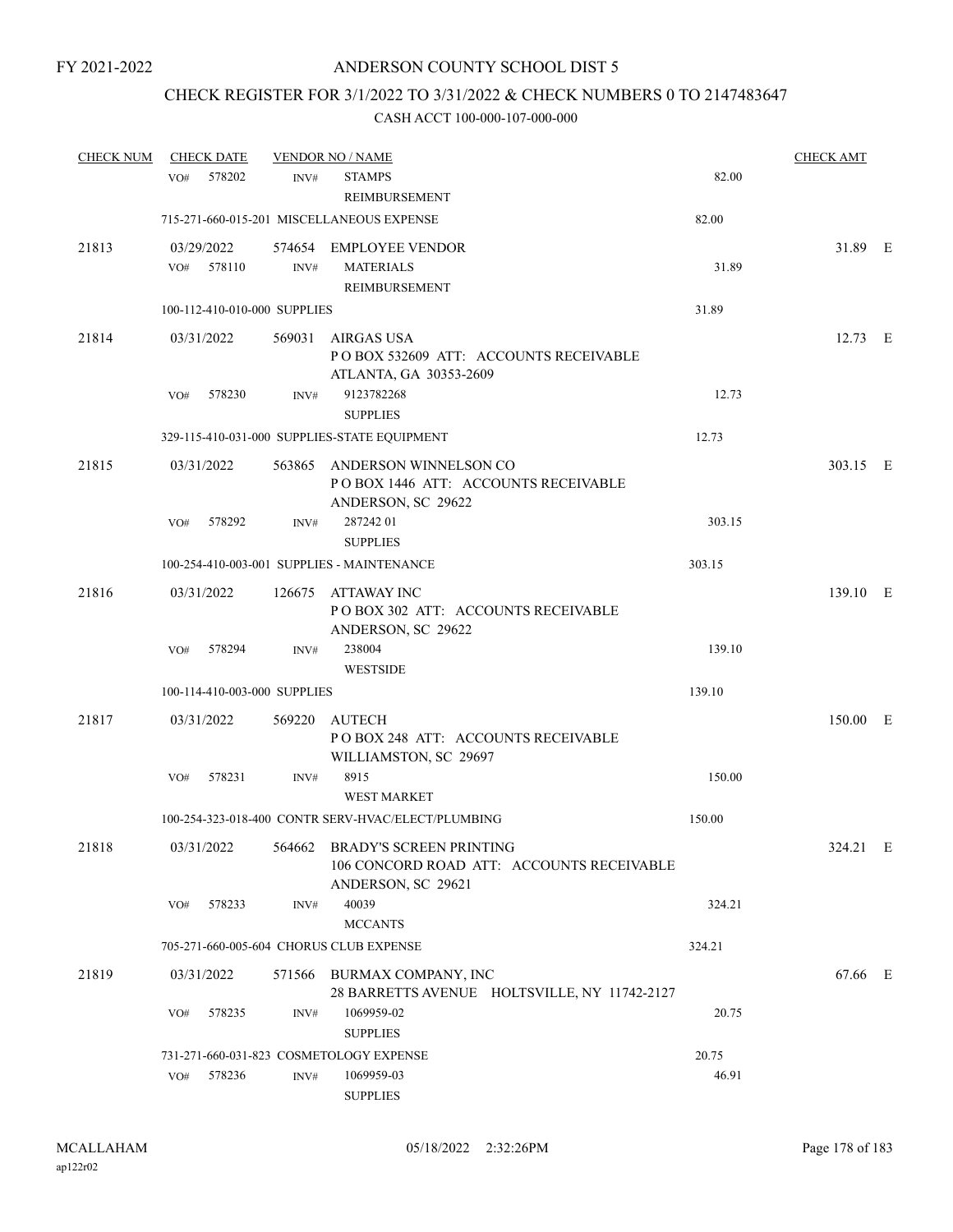# CHECK REGISTER FOR 3/1/2022 TO 3/31/2022 & CHECK NUMBERS 0 TO 2147483647

| <b>CHECK NUM</b> |     | <b>CHECK DATE</b> |                              | <b>VENDOR NO / NAME</b>                                                                                      |        | <b>CHECK AMT</b> |  |
|------------------|-----|-------------------|------------------------------|--------------------------------------------------------------------------------------------------------------|--------|------------------|--|
|                  | VO# | 578202            | INV#                         | <b>STAMPS</b>                                                                                                | 82.00  |                  |  |
|                  |     |                   |                              | REIMBURSEMENT                                                                                                |        |                  |  |
|                  |     |                   |                              | 715-271-660-015-201 MISCELLANEOUS EXPENSE                                                                    | 82.00  |                  |  |
| 21813            |     | 03/29/2022        |                              | 574654 EMPLOYEE VENDOR                                                                                       |        | 31.89 E          |  |
|                  |     | VO# 578110        | INV#                         | <b>MATERIALS</b>                                                                                             | 31.89  |                  |  |
|                  |     |                   |                              | REIMBURSEMENT                                                                                                |        |                  |  |
|                  |     |                   | 100-112-410-010-000 SUPPLIES |                                                                                                              | 31.89  |                  |  |
| 21814            |     | 03/31/2022        |                              | 569031 AIRGAS USA<br>PO BOX 532609 ATT: ACCOUNTS RECEIVABLE<br>ATLANTA, GA 30353-2609                        |        | 12.73 E          |  |
|                  | VO# | 578230            | INV#                         | 9123782268<br><b>SUPPLIES</b>                                                                                | 12.73  |                  |  |
|                  |     |                   |                              | 329-115-410-031-000 SUPPLIES-STATE EQUIPMENT                                                                 | 12.73  |                  |  |
| 21815            |     | 03/31/2022        |                              | 563865 ANDERSON WINNELSON CO<br>POBOX 1446 ATT: ACCOUNTS RECEIVABLE<br>ANDERSON, SC 29622                    |        | 303.15 E         |  |
|                  | VO# | 578292            | INV#                         | 28724201<br><b>SUPPLIES</b>                                                                                  | 303.15 |                  |  |
|                  |     |                   |                              | 100-254-410-003-001 SUPPLIES - MAINTENANCE                                                                   | 303.15 |                  |  |
| 21816            |     | 03/31/2022        | 126675                       | ATTAWAY INC<br>POBOX 302 ATT: ACCOUNTS RECEIVABLE<br>ANDERSON, SC 29622                                      |        | 139.10 E         |  |
|                  |     | VO# 578294        | INV#                         | 238004<br><b>WESTSIDE</b>                                                                                    | 139.10 |                  |  |
|                  |     |                   | 100-114-410-003-000 SUPPLIES |                                                                                                              | 139.10 |                  |  |
| 21817            |     |                   | 569220                       | AUTECH                                                                                                       |        | 150.00 E         |  |
|                  |     | 03/31/2022        |                              | POBOX 248 ATT: ACCOUNTS RECEIVABLE<br>WILLIAMSTON, SC 29697                                                  |        |                  |  |
|                  | VO# | 578231            | INV#                         | 8915<br><b>WEST MARKET</b>                                                                                   | 150.00 |                  |  |
|                  |     |                   |                              | 100-254-323-018-400 CONTR SERV-HVAC/ELECT/PLUMBING                                                           | 150.00 |                  |  |
| 21818            |     |                   |                              | 03/31/2022 564662 BRADY'S SCREEN PRINTING<br>106 CONCORD ROAD ATT: ACCOUNTS RECEIVABLE<br>ANDERSON, SC 29621 |        | 324.21 E         |  |
|                  | VO# | 578233            | INV#                         | 40039                                                                                                        | 324.21 |                  |  |
|                  |     |                   |                              | <b>MCCANTS</b>                                                                                               |        |                  |  |
|                  |     |                   |                              | 705-271-660-005-604 CHORUS CLUB EXPENSE                                                                      | 324.21 |                  |  |
| 21819            |     | 03/31/2022        |                              | 571566 BURMAX COMPANY, INC<br>28 BARRETTS AVENUE HOLTSVILLE, NY 11742-2127                                   |        | 67.66 E          |  |
|                  | VO# | 578235            | INV#                         | 1069959-02<br><b>SUPPLIES</b>                                                                                | 20.75  |                  |  |
|                  |     |                   |                              | 731-271-660-031-823 COSMETOLOGY EXPENSE                                                                      | 20.75  |                  |  |
|                  | VO# | 578236            | INV#                         | 1069959-03<br><b>SUPPLIES</b>                                                                                | 46.91  |                  |  |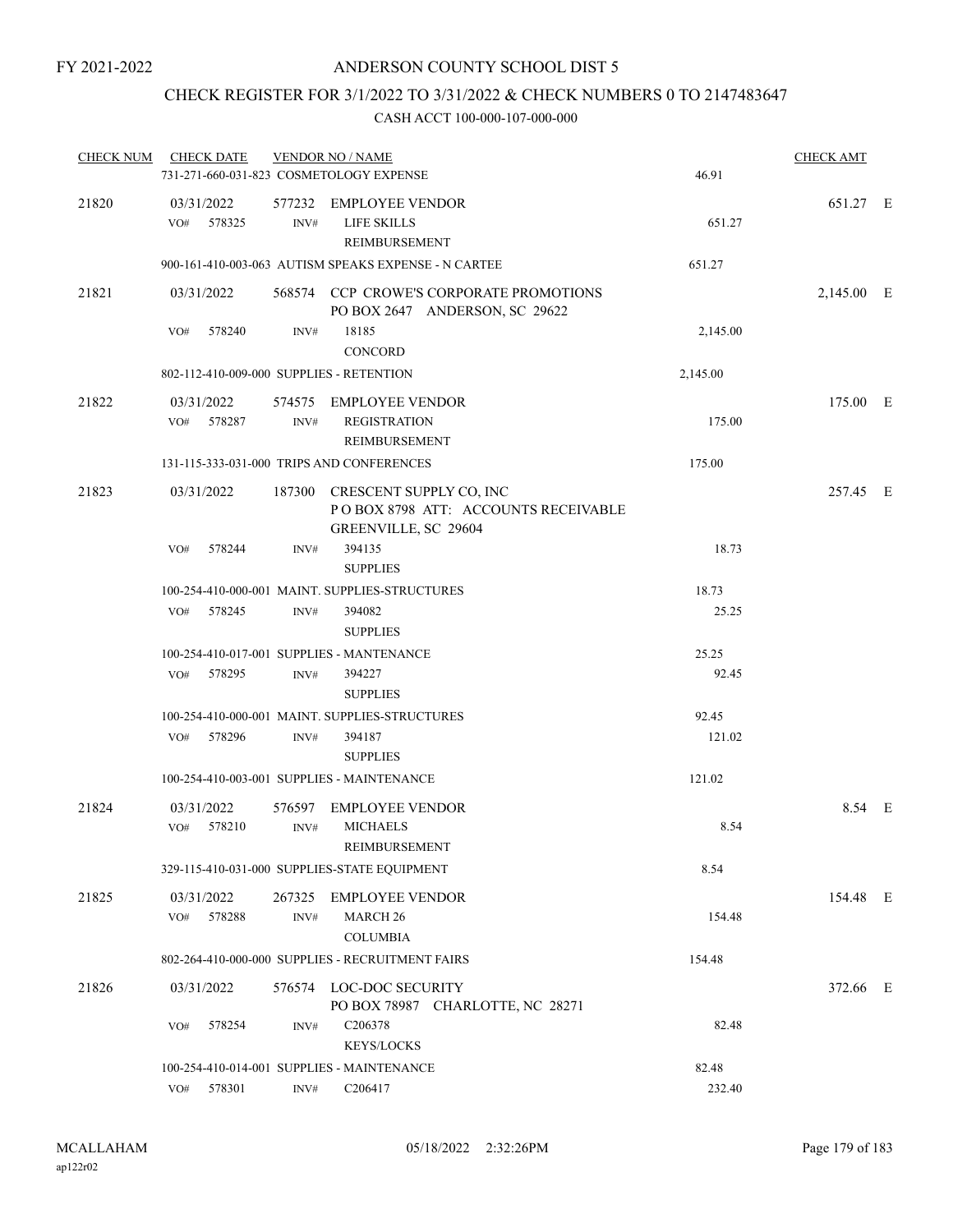# CHECK REGISTER FOR 3/1/2022 TO 3/31/2022 & CHECK NUMBERS 0 TO 2147483647

| <b>CHECK NUM</b> | <b>CHECK DATE</b>                        |                  | <b>VENDOR NO / NAME</b>                                                                       |          | <b>CHECK AMT</b> |  |
|------------------|------------------------------------------|------------------|-----------------------------------------------------------------------------------------------|----------|------------------|--|
|                  |                                          |                  | 731-271-660-031-823 COSMETOLOGY EXPENSE                                                       | 46.91    |                  |  |
| 21820            | 03/31/2022<br>578325<br>VO#              | INV#             | 577232 EMPLOYEE VENDOR<br><b>LIFE SKILLS</b><br>REIMBURSEMENT                                 | 651.27   | 651.27 E         |  |
|                  |                                          |                  | 900-161-410-003-063 AUTISM SPEAKS EXPENSE - N CARTEE                                          | 651.27   |                  |  |
| 21821            | 03/31/2022                               |                  | 568574 CCP CROWE'S CORPORATE PROMOTIONS<br>PO BOX 2647 ANDERSON, SC 29622                     |          | 2,145.00 E       |  |
|                  | 578240<br>VO#                            | INV#             | 18185<br>CONCORD                                                                              | 2,145.00 |                  |  |
|                  | 802-112-410-009-000 SUPPLIES - RETENTION |                  |                                                                                               | 2,145.00 |                  |  |
| 21822            | 03/31/2022<br>578287<br>VO#              | INV#             | 574575 EMPLOYEE VENDOR<br><b>REGISTRATION</b><br>REIMBURSEMENT                                | 175.00   | 175.00 E         |  |
|                  |                                          |                  | 131-115-333-031-000 TRIPS AND CONFERENCES                                                     | 175.00   |                  |  |
| 21823            | 03/31/2022                               |                  | 187300 CRESCENT SUPPLY CO, INC<br>POBOX 8798 ATT: ACCOUNTS RECEIVABLE<br>GREENVILLE, SC 29604 |          | 257.45 E         |  |
|                  | 578244<br>VO#                            | INV#             | 394135<br><b>SUPPLIES</b>                                                                     | 18.73    |                  |  |
|                  |                                          |                  | 100-254-410-000-001 MAINT. SUPPLIES-STRUCTURES                                                | 18.73    |                  |  |
|                  | VO#<br>578245                            | INV#             | 394082<br><b>SUPPLIES</b>                                                                     | 25.25    |                  |  |
|                  |                                          |                  | 100-254-410-017-001 SUPPLIES - MANTENANCE                                                     | 25.25    |                  |  |
|                  | 578295<br>VO#                            | INV#             | 394227<br><b>SUPPLIES</b>                                                                     | 92.45    |                  |  |
|                  |                                          |                  | 100-254-410-000-001 MAINT. SUPPLIES-STRUCTURES                                                | 92.45    |                  |  |
|                  | 578296<br>VO#                            | INV#             | 394187<br><b>SUPPLIES</b>                                                                     | 121.02   |                  |  |
|                  |                                          |                  | 100-254-410-003-001 SUPPLIES - MAINTENANCE                                                    | 121.02   |                  |  |
| 21824            | 03/31/2022                               |                  | 576597 EMPLOYEE VENDOR                                                                        |          | 8.54 E           |  |
|                  | 578210<br>VO#                            | INV#             | <b>MICHAELS</b><br>REIMBURSEMENT                                                              | 8.54     |                  |  |
|                  |                                          |                  | 329-115-410-031-000 SUPPLIES-STATE EQUIPMENT                                                  | 8.54     |                  |  |
| 21825            | 03/31/2022<br>578288<br>VO#              | 267325<br>INV#   | <b>EMPLOYEE VENDOR</b><br>MARCH <sub>26</sub><br><b>COLUMBIA</b>                              | 154.48   | 154.48 E         |  |
|                  |                                          |                  | 802-264-410-000-000 SUPPLIES - RECRUITMENT FAIRS                                              | 154.48   |                  |  |
| 21826            | 03/31/2022                               |                  | 576574 LOC-DOC SECURITY<br>PO BOX 78987 CHARLOTTE, NC 28271                                   |          | 372.66 E         |  |
|                  | 578254<br>VO#                            | INV#             | C206378<br><b>KEYS/LOCKS</b>                                                                  | 82.48    |                  |  |
|                  |                                          |                  | 100-254-410-014-001 SUPPLIES - MAINTENANCE                                                    | 82.48    |                  |  |
|                  | 578301<br>VO#                            | $\mathrm{INV}\#$ | C206417                                                                                       | 232.40   |                  |  |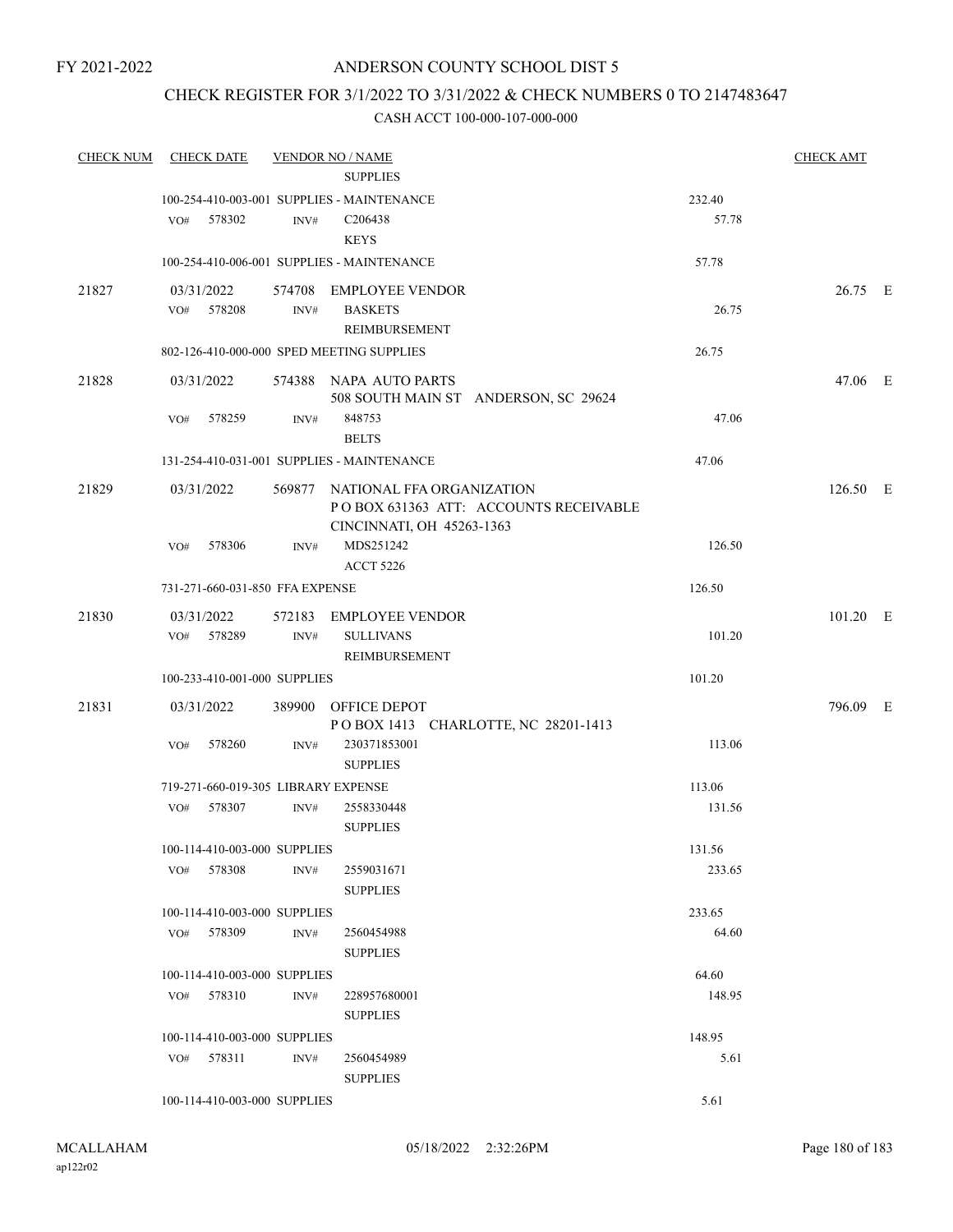# CHECK REGISTER FOR 3/1/2022 TO 3/31/2022 & CHECK NUMBERS 0 TO 2147483647

| <b>CHECK NUM</b> |     | <b>CHECK DATE</b>                   |      | <b>VENDOR NO / NAME</b><br><b>SUPPLIES</b>                                                             |        | <b>CHECK AMT</b> |  |
|------------------|-----|-------------------------------------|------|--------------------------------------------------------------------------------------------------------|--------|------------------|--|
|                  |     |                                     |      | 100-254-410-003-001 SUPPLIES - MAINTENANCE                                                             | 232.40 |                  |  |
|                  | VO# | 578302                              | INV# | C206438<br><b>KEYS</b>                                                                                 | 57.78  |                  |  |
|                  |     |                                     |      | 100-254-410-006-001 SUPPLIES - MAINTENANCE                                                             | 57.78  |                  |  |
| 21827            |     | 03/31/2022                          |      | 574708 EMPLOYEE VENDOR                                                                                 |        | 26.75 E          |  |
|                  |     | VO# 578208                          | INV# | <b>BASKETS</b><br><b>REIMBURSEMENT</b>                                                                 | 26.75  |                  |  |
|                  |     |                                     |      | 802-126-410-000-000 SPED MEETING SUPPLIES                                                              | 26.75  |                  |  |
| 21828            |     | 03/31/2022                          |      | 574388 NAPA AUTO PARTS<br>508 SOUTH MAIN ST ANDERSON, SC 29624                                         |        | 47.06 E          |  |
|                  | VO# | 578259                              | INV# | 848753<br><b>BELTS</b>                                                                                 | 47.06  |                  |  |
|                  |     |                                     |      | 131-254-410-031-001 SUPPLIES - MAINTENANCE                                                             | 47.06  |                  |  |
| 21829            |     | 03/31/2022                          |      | 569877 NATIONAL FFA ORGANIZATION<br>POBOX 631363 ATT: ACCOUNTS RECEIVABLE<br>CINCINNATI, OH 45263-1363 |        | 126.50 E         |  |
|                  | VO# | 578306                              | INV# | MDS251242<br><b>ACCT 5226</b>                                                                          | 126.50 |                  |  |
|                  |     | 731-271-660-031-850 FFA EXPENSE     |      |                                                                                                        | 126.50 |                  |  |
| 21830            |     | 03/31/2022                          |      | 572183 EMPLOYEE VENDOR                                                                                 |        | 101.20 E         |  |
|                  |     | VO# 578289                          | INV# | <b>SULLIVANS</b><br>REIMBURSEMENT                                                                      | 101.20 |                  |  |
|                  |     | 100-233-410-001-000 SUPPLIES        |      |                                                                                                        | 101.20 |                  |  |
| 21831            |     | 03/31/2022                          |      | 389900 OFFICE DEPOT<br>POBOX 1413 CHARLOTTE, NC 28201-1413                                             |        | 796.09 E         |  |
|                  | VO# | 578260                              | INV# | 230371853001<br><b>SUPPLIES</b>                                                                        | 113.06 |                  |  |
|                  |     | 719-271-660-019-305 LIBRARY EXPENSE |      |                                                                                                        | 113.06 |                  |  |
|                  | VO# | 578307                              | INV# | 2558330448<br><b>SUPPLIES</b>                                                                          | 131.56 |                  |  |
|                  |     | 100-114-410-003-000 SUPPLIES        |      |                                                                                                        | 131.56 |                  |  |
|                  |     | VO# 578308                          | INV# | 2559031671<br><b>SUPPLIES</b>                                                                          | 233.65 |                  |  |
|                  |     | 100-114-410-003-000 SUPPLIES        |      |                                                                                                        | 233.65 |                  |  |
|                  | VO# | 578309                              | INV# | 2560454988<br><b>SUPPLIES</b>                                                                          | 64.60  |                  |  |
|                  |     | 100-114-410-003-000 SUPPLIES        |      |                                                                                                        | 64.60  |                  |  |
|                  | VO# | 578310                              | INV# | 228957680001<br><b>SUPPLIES</b>                                                                        | 148.95 |                  |  |
|                  |     | 100-114-410-003-000 SUPPLIES        |      |                                                                                                        | 148.95 |                  |  |
|                  |     | VO# 578311                          | INV# | 2560454989<br><b>SUPPLIES</b>                                                                          | 5.61   |                  |  |
|                  |     | 100-114-410-003-000 SUPPLIES        |      |                                                                                                        | 5.61   |                  |  |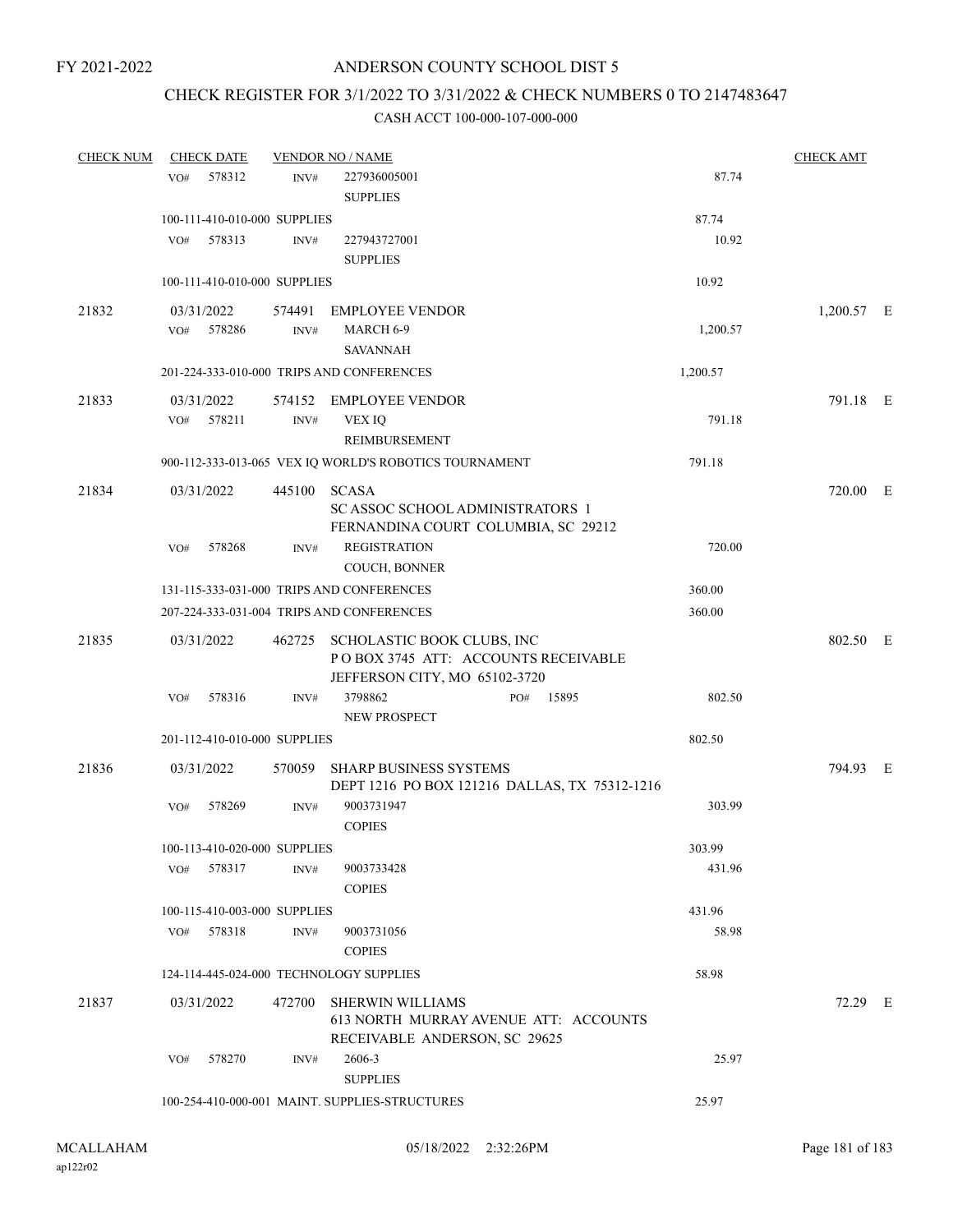## ANDERSON COUNTY SCHOOL DIST 5

## CHECK REGISTER FOR 3/1/2022 TO 3/31/2022 & CHECK NUMBERS 0 TO 2147483647

#### CASH ACCT 100-000-107-000-000

| <b>CHECK NUM</b> | <b>CHECK DATE</b>                       |        | <b>VENDOR NO / NAME</b>                                                                            |          | <b>CHECK AMT</b> |  |
|------------------|-----------------------------------------|--------|----------------------------------------------------------------------------------------------------|----------|------------------|--|
|                  | 578312<br>VO#                           | INV#   | 227936005001<br><b>SUPPLIES</b>                                                                    | 87.74    |                  |  |
|                  | 100-111-410-010-000 SUPPLIES            |        |                                                                                                    | 87.74    |                  |  |
|                  | 578313<br>VO#                           | INV#   | 227943727001<br><b>SUPPLIES</b>                                                                    | 10.92    |                  |  |
|                  | 100-111-410-010-000 SUPPLIES            |        |                                                                                                    | 10.92    |                  |  |
| 21832            | 03/31/2022                              |        | 574491 EMPLOYEE VENDOR                                                                             |          | $1,200.57$ E     |  |
|                  | 578286<br>VO#                           | INV#   | MARCH 6-9<br>SAVANNAH                                                                              | 1,200.57 |                  |  |
|                  |                                         |        | 201-224-333-010-000 TRIPS AND CONFERENCES                                                          | 1,200.57 |                  |  |
| 21833            | 03/31/2022<br>578211<br>VO#             | INV#   | 574152 EMPLOYEE VENDOR<br>VEX IQ<br>REIMBURSEMENT                                                  | 791.18   | 791.18 E         |  |
|                  |                                         |        | 900-112-333-013-065 VEX IQ WORLD'S ROBOTICS TOURNAMENT                                             | 791.18   |                  |  |
| 21834            | 03/31/2022                              |        | 445100 SCASA<br>SC ASSOC SCHOOL ADMINISTRATORS 1                                                   |          | 720.00 E         |  |
|                  | 578268<br>VO#                           | INV#   | FERNANDINA COURT COLUMBIA, SC 29212<br><b>REGISTRATION</b><br>COUCH, BONNER                        | 720.00   |                  |  |
|                  |                                         |        | 131-115-333-031-000 TRIPS AND CONFERENCES                                                          | 360.00   |                  |  |
|                  |                                         |        | 207-224-333-031-004 TRIPS AND CONFERENCES                                                          | 360.00   |                  |  |
| 21835            | 03/31/2022                              | 462725 | SCHOLASTIC BOOK CLUBS, INC<br>POBOX 3745 ATT: ACCOUNTS RECEIVABLE<br>JEFFERSON CITY, MO 65102-3720 |          | 802.50 E         |  |
|                  | 578316<br>VO#                           | INV#   | 3798862<br>15895<br>PO#<br>NEW PROSPECT                                                            | 802.50   |                  |  |
|                  | 201-112-410-010-000 SUPPLIES            |        |                                                                                                    | 802.50   |                  |  |
| 21836            | 03/31/2022                              | 570059 | <b>SHARP BUSINESS SYSTEMS</b><br>DEPT 1216 PO BOX 121216 DALLAS, TX 75312-1216                     |          | 794.93 E         |  |
|                  | 578269<br>VO#                           | INV#   | 9003731947<br><b>COPIES</b>                                                                        | 303.99   |                  |  |
|                  | 100-113-410-020-000 SUPPLIES            |        |                                                                                                    | 303.99   |                  |  |
|                  | VO#<br>578317                           | INV#   | 9003733428<br><b>COPIES</b>                                                                        | 431.96   |                  |  |
|                  | 100-115-410-003-000 SUPPLIES            |        |                                                                                                    | 431.96   |                  |  |
|                  | 578318<br>VO#                           | INV#   | 9003731056<br><b>COPIES</b>                                                                        | 58.98    |                  |  |
|                  | 124-114-445-024-000 TECHNOLOGY SUPPLIES |        |                                                                                                    | 58.98    |                  |  |
| 21837            | 03/31/2022                              | 472700 | <b>SHERWIN WILLIAMS</b><br>613 NORTH MURRAY AVENUE ATT: ACCOUNTS<br>RECEIVABLE ANDERSON, SC 29625  |          | 72.29 E          |  |
|                  | 578270<br>VO#                           | INV#   | 2606-3<br><b>SUPPLIES</b>                                                                          | 25.97    |                  |  |
|                  |                                         |        | 100-254-410-000-001 MAINT. SUPPLIES-STRUCTURES                                                     | 25.97    |                  |  |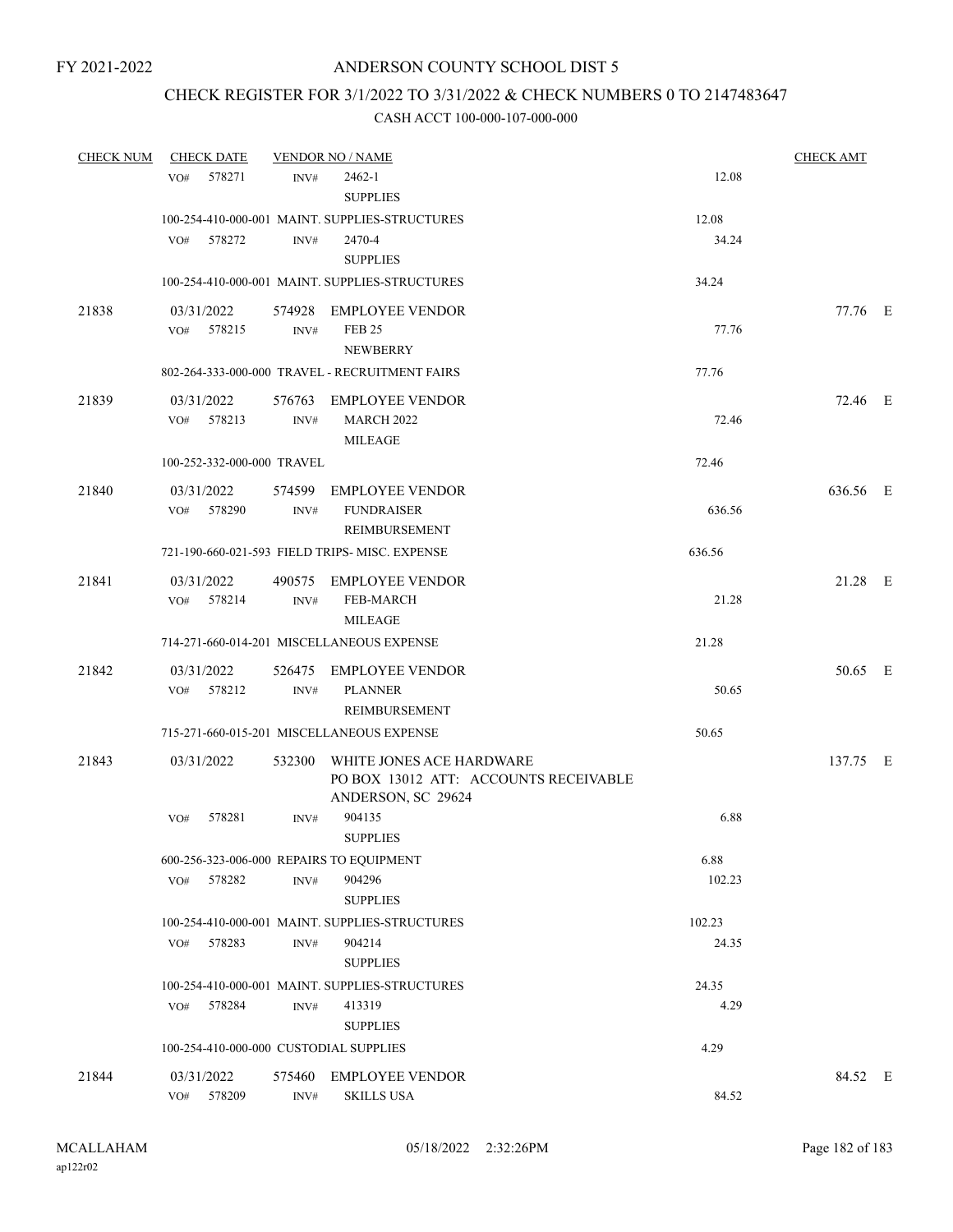## ANDERSON COUNTY SCHOOL DIST 5

## CHECK REGISTER FOR 3/1/2022 TO 3/31/2022 & CHECK NUMBERS 0 TO 2147483647

#### CASH ACCT 100-000-107-000-000

| <b>CHECK NUM</b> | <b>CHECK DATE</b>                        |                | <b>VENDOR NO / NAME</b>                                                                 |        | <b>CHECK AMT</b> |  |
|------------------|------------------------------------------|----------------|-----------------------------------------------------------------------------------------|--------|------------------|--|
|                  | 578271<br>VO#                            | INV#           | 2462-1<br><b>SUPPLIES</b>                                                               | 12.08  |                  |  |
|                  |                                          |                | 100-254-410-000-001 MAINT. SUPPLIES-STRUCTURES                                          | 12.08  |                  |  |
|                  | VO#<br>578272                            | INV#           | 2470-4<br><b>SUPPLIES</b>                                                               | 34.24  |                  |  |
|                  |                                          |                | 100-254-410-000-001 MAINT. SUPPLIES-STRUCTURES                                          | 34.24  |                  |  |
| 21838            | 03/31/2022<br>VO# 578215                 | INV#           | 574928 EMPLOYEE VENDOR<br><b>FEB 25</b><br><b>NEWBERRY</b>                              | 77.76  | 77.76 E          |  |
|                  |                                          |                | 802-264-333-000-000 TRAVEL - RECRUITMENT FAIRS                                          | 77.76  |                  |  |
| 21839            | 03/31/2022<br>VO# 578213                 | INV#           | 576763 EMPLOYEE VENDOR<br><b>MARCH 2022</b><br><b>MILEAGE</b>                           | 72.46  | 72.46 E          |  |
|                  | 100-252-332-000-000 TRAVEL               |                |                                                                                         | 72.46  |                  |  |
| 21840            | 03/31/2022<br>578290<br>VO#              | INV#           | 574599 EMPLOYEE VENDOR<br><b>FUNDRAISER</b><br><b>REIMBURSEMENT</b>                     | 636.56 | 636.56 E         |  |
|                  |                                          |                | 721-190-660-021-593 FIELD TRIPS- MISC. EXPENSE                                          | 636.56 |                  |  |
| 21841            | 03/31/2022<br>578214<br>VO#              | INV#           | 490575 EMPLOYEE VENDOR<br>FEB-MARCH<br><b>MILEAGE</b>                                   | 21.28  | 21.28 E          |  |
|                  |                                          |                | 714-271-660-014-201 MISCELLANEOUS EXPENSE                                               | 21.28  |                  |  |
| 21842            | 03/31/2022<br>578212<br>VO#              | 526475<br>INV# | EMPLOYEE VENDOR<br><b>PLANNER</b><br>REIMBURSEMENT                                      | 50.65  | 50.65 E          |  |
|                  |                                          |                | 715-271-660-015-201 MISCELLANEOUS EXPENSE                                               | 50.65  |                  |  |
| 21843            | 03/31/2022                               | 532300         | WHITE JONES ACE HARDWARE<br>PO BOX 13012 ATT: ACCOUNTS RECEIVABLE<br>ANDERSON, SC 29624 |        | 137.75 E         |  |
|                  | 578281<br>VO#                            | INV#           | 904135<br><b>SUPPLIES</b>                                                               | 6.88   |                  |  |
|                  | 600-256-323-006-000 REPAIRS TO EQUIPMENT |                |                                                                                         | 6.88   |                  |  |
|                  | 578282<br>VO#                            | INV#           | 904296<br><b>SUPPLIES</b>                                                               | 102.23 |                  |  |
|                  |                                          |                | 100-254-410-000-001 MAINT. SUPPLIES-STRUCTURES                                          | 102.23 |                  |  |
|                  | VO#<br>578283                            | INV#           | 904214<br><b>SUPPLIES</b>                                                               | 24.35  |                  |  |
|                  |                                          |                | 100-254-410-000-001 MAINT. SUPPLIES-STRUCTURES                                          | 24.35  |                  |  |
|                  | 578284<br>VO#                            | INV#           | 413319<br><b>SUPPLIES</b>                                                               | 4.29   |                  |  |
|                  | 100-254-410-000-000 CUSTODIAL SUPPLIES   |                |                                                                                         | 4.29   |                  |  |
| 21844            | 03/31/2022<br>578209<br>VO#              | 575460<br>INV# | <b>EMPLOYEE VENDOR</b><br><b>SKILLS USA</b>                                             | 84.52  | 84.52 E          |  |